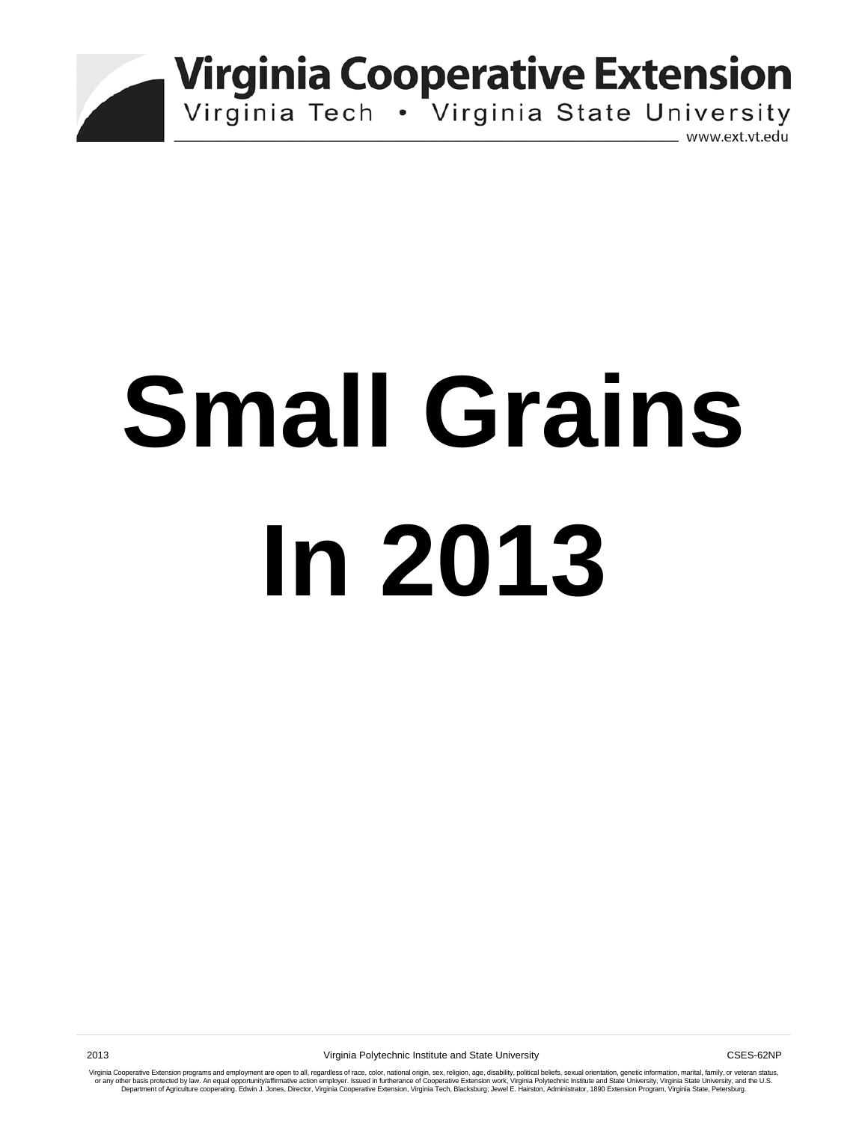

**Virginia Cooperative Extension** 

Virginia Tech . Virginia State University

www.ext.vt.edu

# **Small Grains In 2013**

Virginia Cooperative Extension programs and employment are open to all, regardless of race, color, national origin, sex, religion, age, disability, political beliefs, sexual orientation, genetic information, marital, fami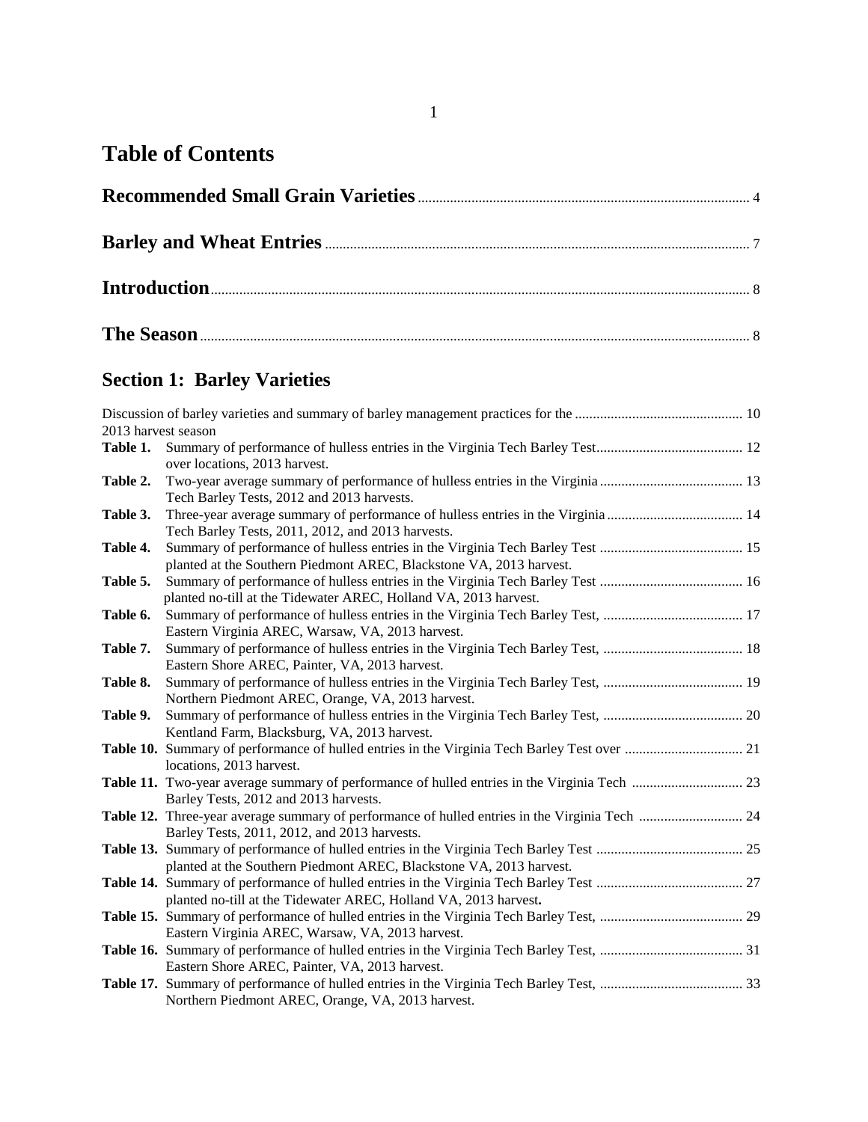# **Table of Contents**

# **Section 1: Barley Varieties**

| 2013 harvest season |                                                                                                                                       |  |
|---------------------|---------------------------------------------------------------------------------------------------------------------------------------|--|
| Table 1.            | over locations, 2013 harvest.                                                                                                         |  |
| Table 2.            | Tech Barley Tests, 2012 and 2013 harvests.                                                                                            |  |
| Table 3.            | Three-year average summary of performance of hulless entries in the Virginia  14<br>Tech Barley Tests, 2011, 2012, and 2013 harvests. |  |
| Table 4.            | planted at the Southern Piedmont AREC, Blackstone VA, 2013 harvest.                                                                   |  |
| Table 5.            | planted no-till at the Tidewater AREC, Holland VA, 2013 harvest.                                                                      |  |
| Table 6.            | Summary of performance of hulless entries in the Virginia Tech Barley Test,  17<br>Eastern Virginia AREC, Warsaw, VA, 2013 harvest.   |  |
| Table 7.            | Eastern Shore AREC, Painter, VA, 2013 harvest.                                                                                        |  |
| Table 8.            | Northern Piedmont AREC, Orange, VA, 2013 harvest.                                                                                     |  |
| Table 9.            | Kentland Farm, Blacksburg, VA, 2013 harvest.                                                                                          |  |
|                     | locations, 2013 harvest.                                                                                                              |  |
|                     | Barley Tests, 2012 and 2013 harvests.                                                                                                 |  |
|                     | Barley Tests, 2011, 2012, and 2013 harvests.                                                                                          |  |
|                     | planted at the Southern Piedmont AREC, Blackstone VA, 2013 harvest.                                                                   |  |
|                     | planted no-till at the Tidewater AREC, Holland VA, 2013 harvest.                                                                      |  |
|                     | Eastern Virginia AREC, Warsaw, VA, 2013 harvest.                                                                                      |  |
|                     | Eastern Shore AREC, Painter, VA, 2013 harvest.                                                                                        |  |
|                     | Northern Piedmont AREC, Orange, VA, 2013 harvest.                                                                                     |  |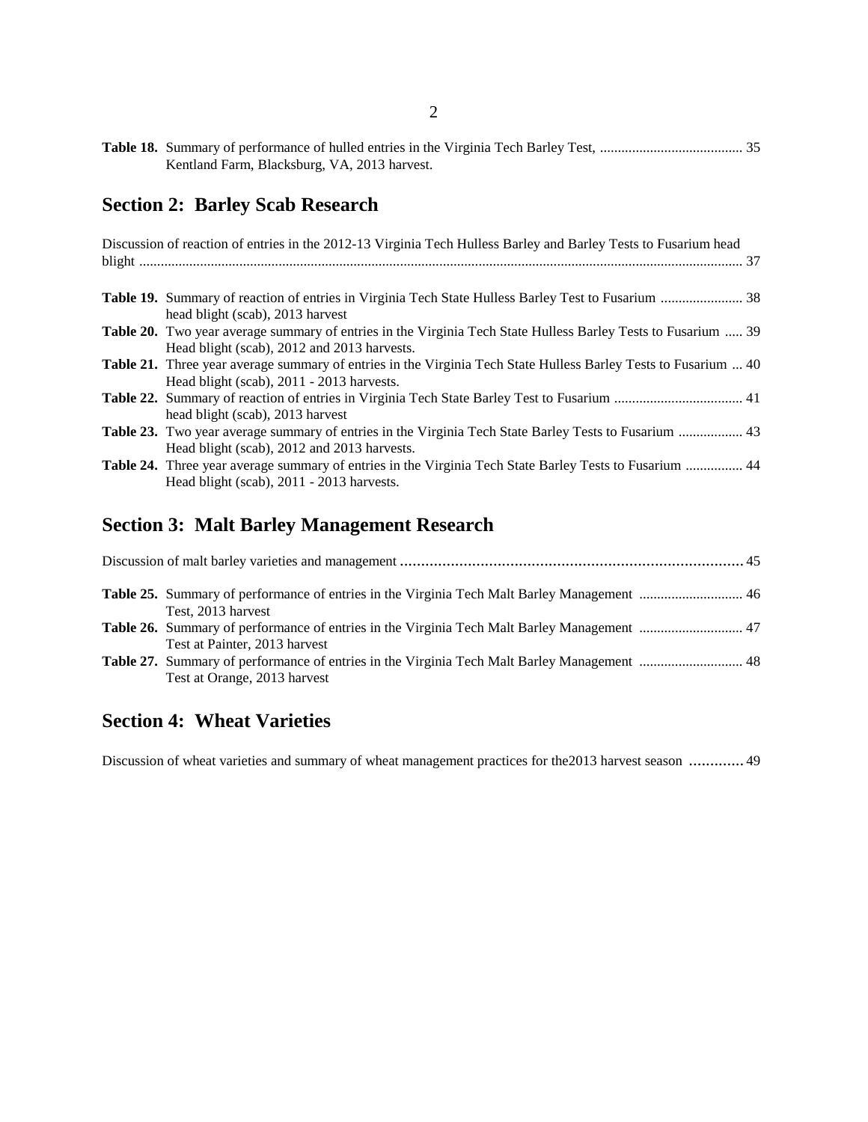| Kentland Farm, Blacksburg, VA, 2013 harvest. |  |
|----------------------------------------------|--|

# **Section 2: Barley Scab Research**

| Discussion of reaction of entries in the 2012-13 Virginia Tech Hulless Barley and Barley Tests to Fusarium head |
|-----------------------------------------------------------------------------------------------------------------|
|                                                                                                                 |
|                                                                                                                 |
|                                                                                                                 |
| head blight (scab), 2013 harvest                                                                                |
| Table 20. Two year average summary of entries in the Virginia Tech State Hulless Barley Tests to Fusarium  39   |
| Head blight (scab), 2012 and 2013 harvests.                                                                     |
| Table 21. Three year average summary of entries in the Virginia Tech State Hulless Barley Tests to Fusarium  40 |
| Head blight (scab), 2011 - 2013 harvests.                                                                       |
|                                                                                                                 |
| head blight (scab), 2013 harvest                                                                                |
| Table 23. Two year average summary of entries in the Virginia Tech State Barley Tests to Fusarium  43           |
| Head blight (scab), 2012 and 2013 harvests.                                                                     |
| Table 24. Three year average summary of entries in the Virginia Tech State Barley Tests to Fusarium  44         |
| Head blight (scab), 2011 - 2013 harvests.                                                                       |
|                                                                                                                 |

# **Section 3: Malt Barley Management Research**

| Test, 2013 harvest                                                                                                           |  |
|------------------------------------------------------------------------------------------------------------------------------|--|
| Table 26. Summary of performance of entries in the Virginia Tech Malt Barley Management  47<br>Test at Painter, 2013 harvest |  |
| Test at Orange, 2013 harvest                                                                                                 |  |

## **Section 4: Wheat Varieties**

Discussion of wheat varieties and summary of wheat management practices for the2013 harvest season ............. 49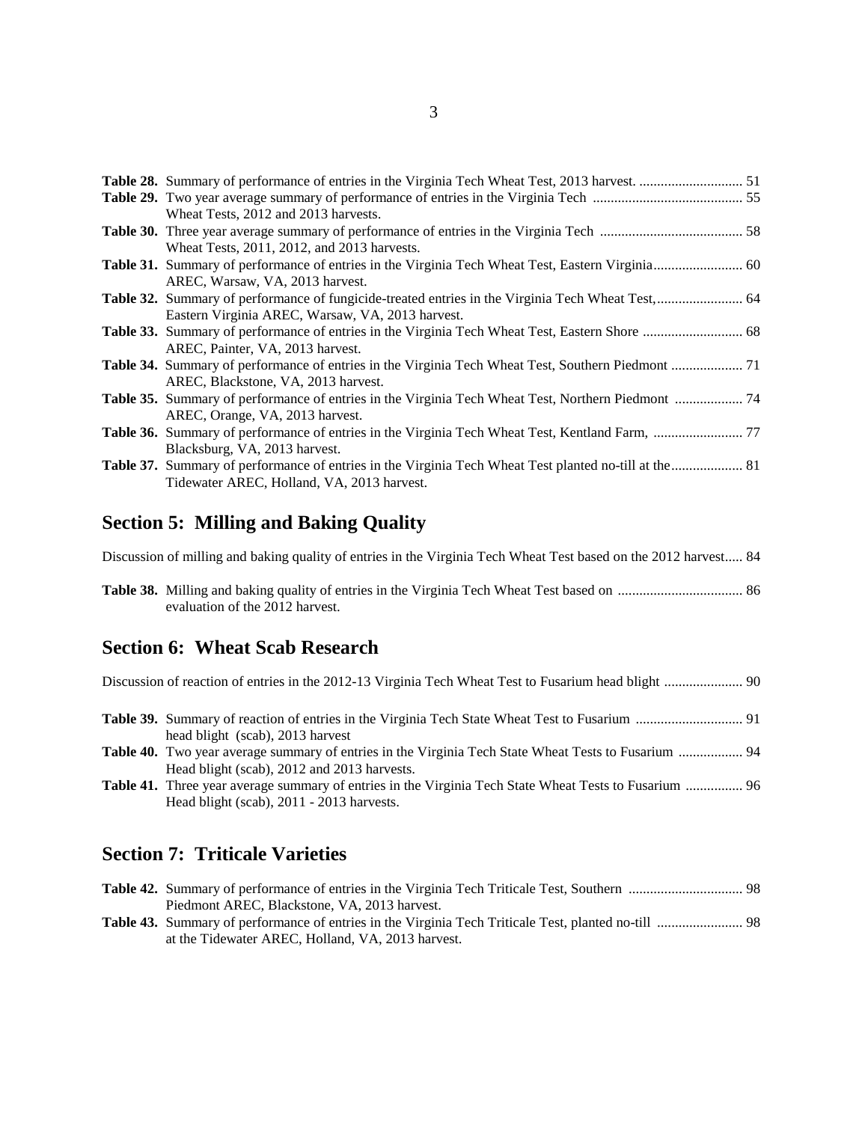| Wheat Tests, 2012 and 2013 harvests.                                                                   |  |
|--------------------------------------------------------------------------------------------------------|--|
|                                                                                                        |  |
| Wheat Tests, 2011, 2012, and 2013 harvests.                                                            |  |
|                                                                                                        |  |
| AREC, Warsaw, VA, 2013 harvest.                                                                        |  |
|                                                                                                        |  |
| Eastern Virginia AREC, Warsaw, VA, 2013 harvest.                                                       |  |
|                                                                                                        |  |
| AREC, Painter, VA, 2013 harvest.                                                                       |  |
| Table 34. Summary of performance of entries in the Virginia Tech Wheat Test, Southern Piedmont  71     |  |
| AREC, Blackstone, VA, 2013 harvest.                                                                    |  |
| Table 35. Summary of performance of entries in the Virginia Tech Wheat Test, Northern Piedmont  74     |  |
| AREC, Orange, VA, 2013 harvest.                                                                        |  |
|                                                                                                        |  |
| Blacksburg, VA, 2013 harvest.                                                                          |  |
| Table 37. Summary of performance of entries in the Virginia Tech Wheat Test planted no-till at the  81 |  |
| Tidewater AREC, Holland, VA, 2013 harvest.                                                             |  |

#### **Section 5: Milling and Baking Quality**

Discussion of milling and baking quality of entries in the Virginia Tech Wheat Test based on the 2012 harvest..... 84

**Table 38.** Milling and baking quality of entries in the Virginia Tech Wheat Test based on ................................... 86 evaluation of the 2012 harvest.

#### **Section 6: Wheat Scab Research**

- **Table 39.** Summary of reaction of entries in the Virginia Tech State Wheat Test to Fusarium .............................. 91 head blight (scab), 2013 harvest
- **Table 40.** Two year average summary of entries in the Virginia Tech State Wheat Tests to Fusarium .................. 94 Head blight (scab), 2012 and 2013 harvests.
- **Table 41.** Three year average summary of entries in the Virginia Tech State Wheat Tests to Fusarium ................ 96 Head blight (scab), 2011 - 2013 harvests.

#### **Section 7: Triticale Varieties**

| Piedmont AREC, Blackstone, VA, 2013 harvest.      |  |
|---------------------------------------------------|--|
|                                                   |  |
| at the Tidewater AREC, Holland, VA, 2013 harvest. |  |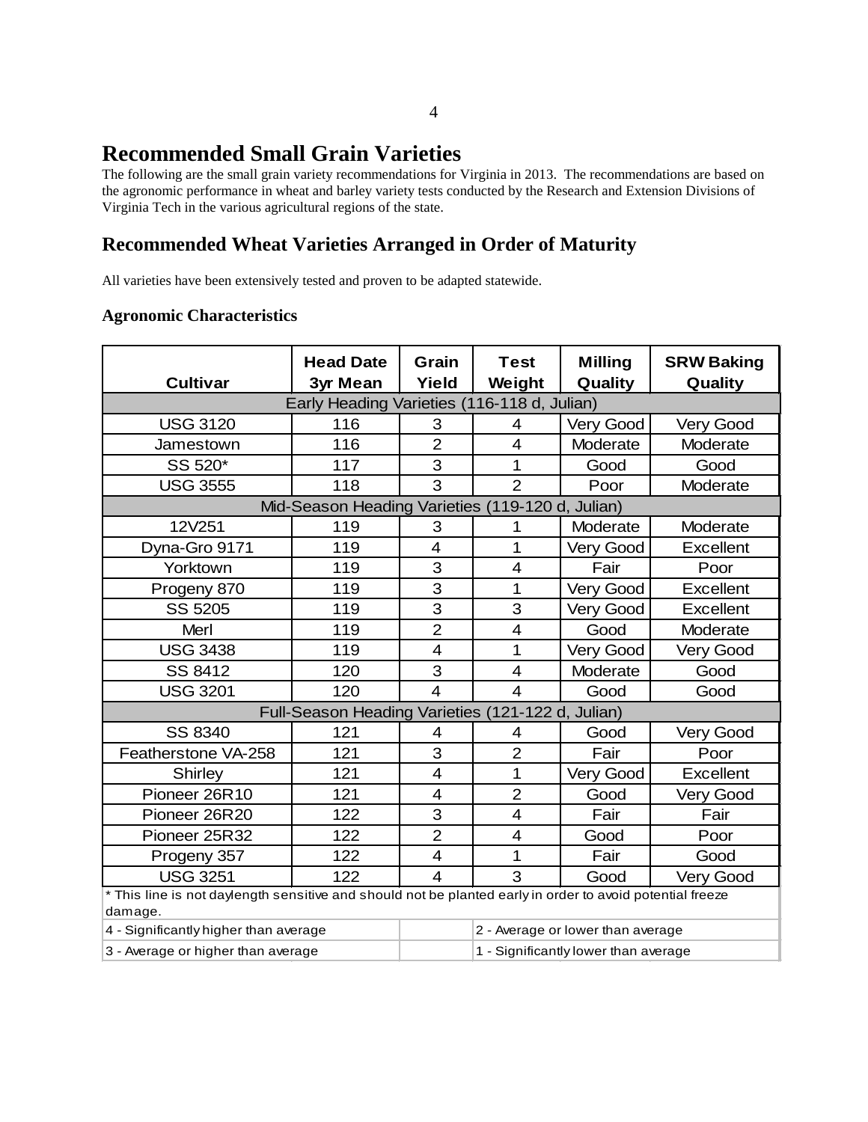# **Recommended Small Grain Varieties**

The following are the small grain variety recommendations for Virginia in 2013. The recommendations are based on the agronomic performance in wheat and barley variety tests conducted by the Research and Extension Divisions of Virginia Tech in the various agricultural regions of the state.

### **Recommended Wheat Varieties Arranged in Order of Maturity**

All varieties have been extensively tested and proven to be adapted statewide.

#### **Agronomic Characteristics**

| <b>Cultivar</b>                                                                                                    | <b>Head Date</b><br><b>3yr Mean</b>               | Grain<br>Yield | <b>Test</b><br>Weight   | <b>Milling</b><br>Quality            | <b>SRW Baking</b><br>Quality |  |  |  |  |  |  |
|--------------------------------------------------------------------------------------------------------------------|---------------------------------------------------|----------------|-------------------------|--------------------------------------|------------------------------|--|--|--|--|--|--|
|                                                                                                                    | Early Heading Varieties (116-118 d, Julian)       |                |                         |                                      |                              |  |  |  |  |  |  |
| <b>USG 3120</b>                                                                                                    | 116                                               | 3              | 4                       | Very Good                            | Very Good                    |  |  |  |  |  |  |
| Jamestown                                                                                                          | 116                                               | $\overline{2}$ | $\overline{4}$          | Moderate                             | Moderate                     |  |  |  |  |  |  |
| SS 520*                                                                                                            | 117                                               | 3              | 1                       | Good                                 | Good                         |  |  |  |  |  |  |
| <b>USG 3555</b>                                                                                                    | 118                                               | 3              | $\overline{2}$          | Poor                                 | Moderate                     |  |  |  |  |  |  |
| Mid-Season Heading Varieties (119-120 d, Julian)                                                                   |                                                   |                |                         |                                      |                              |  |  |  |  |  |  |
| 12V251<br>119<br>Moderate<br>3<br>1<br>Moderate                                                                    |                                                   |                |                         |                                      |                              |  |  |  |  |  |  |
| Dyna-Gro 9171                                                                                                      | 119                                               | 4              | 1                       | <b>Very Good</b>                     | <b>Excellent</b>             |  |  |  |  |  |  |
| Yorktown                                                                                                           | 119                                               | 3              | $\overline{\mathbf{4}}$ | Fair                                 | Poor                         |  |  |  |  |  |  |
| Progeny 870                                                                                                        | 119                                               | 3              | 1                       | Very Good                            | Excellent                    |  |  |  |  |  |  |
| SS 5205                                                                                                            | 119                                               | 3              | 3                       | Very Good                            | <b>Excellent</b>             |  |  |  |  |  |  |
| Merl                                                                                                               | 119                                               | $\overline{2}$ | $\overline{4}$          | Good                                 | Moderate                     |  |  |  |  |  |  |
| <b>USG 3438</b>                                                                                                    | 119                                               | $\overline{4}$ | 1                       | Very Good                            | Very Good                    |  |  |  |  |  |  |
| SS 8412                                                                                                            | 120                                               | 3              | $\overline{4}$          | Moderate                             | Good                         |  |  |  |  |  |  |
| <b>USG 3201</b>                                                                                                    | 120                                               | $\overline{4}$ | $\overline{4}$          | Good                                 | Good                         |  |  |  |  |  |  |
|                                                                                                                    | Full-Season Heading Varieties (121-122 d, Julian) |                |                         |                                      |                              |  |  |  |  |  |  |
| SS 8340                                                                                                            | 121                                               | 4              | 4                       | Good                                 | <b>Very Good</b>             |  |  |  |  |  |  |
| Featherstone VA-258                                                                                                | 121                                               | 3              | $\overline{2}$          | Fair                                 | Poor                         |  |  |  |  |  |  |
| Shirley                                                                                                            | 121                                               | $\overline{4}$ | 1                       | Very Good                            | <b>Excellent</b>             |  |  |  |  |  |  |
| Pioneer 26R10                                                                                                      | 121                                               | 4              | $\overline{2}$          | Good                                 | Very Good                    |  |  |  |  |  |  |
| Pioneer 26R20                                                                                                      | 122                                               | 3              | $\overline{4}$          | Fair                                 | Fair                         |  |  |  |  |  |  |
| Pioneer 25R32                                                                                                      | 122                                               | $\overline{2}$ | $\overline{4}$          | Good                                 | Poor                         |  |  |  |  |  |  |
| Progeny 357                                                                                                        | 122                                               | 4              | 1                       | Fair                                 | Good                         |  |  |  |  |  |  |
| <b>USG 3251</b>                                                                                                    | 122                                               | 4              | 3                       | Very Good                            |                              |  |  |  |  |  |  |
| This line is not daylength sensitive and should not be planted early in order to avoid potential freeze<br>damage. |                                                   |                |                         |                                      |                              |  |  |  |  |  |  |
| 4 - Significantly higher than average                                                                              |                                                   |                |                         | 2 - Average or lower than average    |                              |  |  |  |  |  |  |
| 3 - Average or higher than average                                                                                 |                                                   |                |                         | 1 - Significantly lower than average |                              |  |  |  |  |  |  |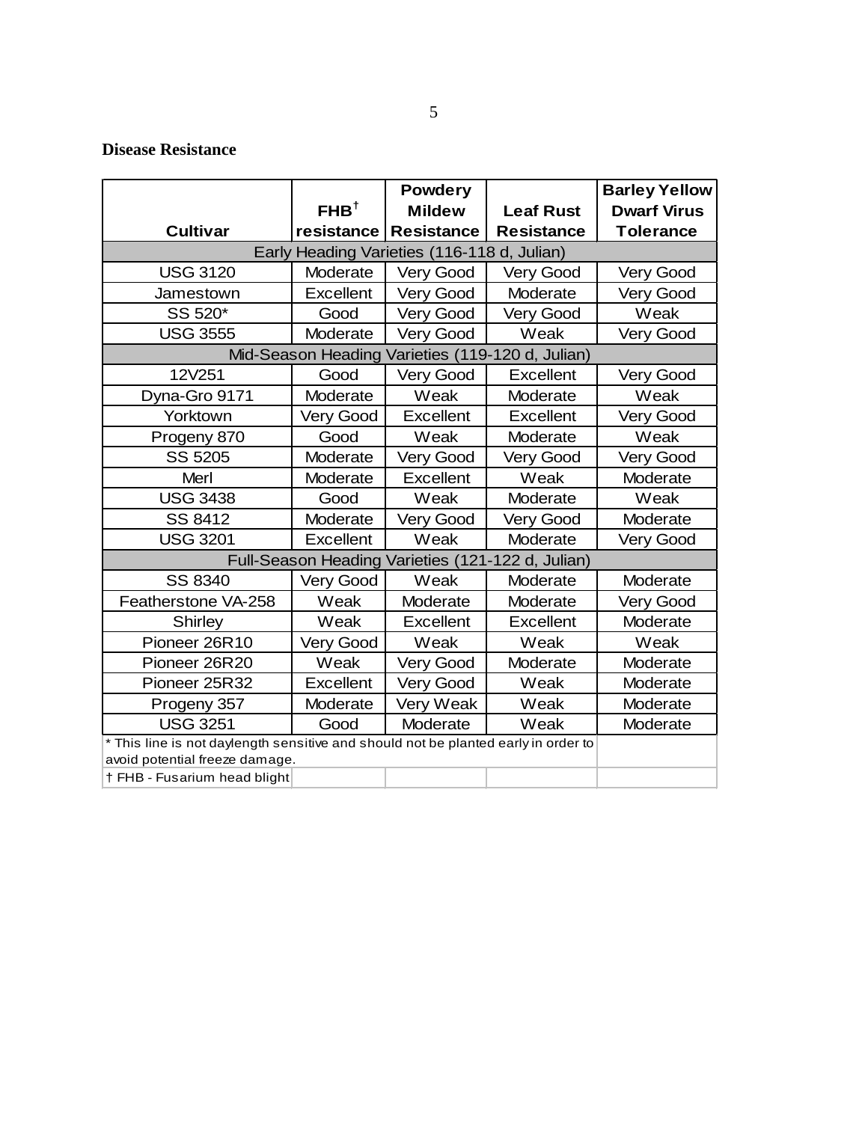#### **Disease Resistance**

|                                                                                    |                    | <b>Powdery</b>    |                                                   | <b>Barley Yellow</b> |
|------------------------------------------------------------------------------------|--------------------|-------------------|---------------------------------------------------|----------------------|
|                                                                                    | FHB <sup>†</sup>   | <b>Mildew</b>     | <b>Leaf Rust</b>                                  | <b>Dwarf Virus</b>   |
| <b>Cultivar</b>                                                                    | resistance         | <b>Resistance</b> | <b>Resistance</b>                                 | <b>Tolerance</b>     |
| Early Heading Varieties (116-118 d, Julian)                                        |                    |                   |                                                   |                      |
| <b>USG 3120</b>                                                                    | Moderate           | Very Good         | <b>Very Good</b>                                  | <b>Very Good</b>     |
| Jamestown                                                                          | Excellent          | <b>Very Good</b>  | Moderate                                          | <b>Very Good</b>     |
| SS 520*                                                                            | Good               | Very Good         | Very Good                                         | Weak                 |
| <b>USG 3555</b>                                                                    | Moderate           | Very Good         | Weak                                              | Very Good            |
|                                                                                    | Mid-Season Heading |                   | Varieties (119-120 d, Julian)                     |                      |
| 12V251                                                                             | Good               | Very Good         | <b>Excellent</b>                                  | Very Good            |
| Dyna-Gro 9171                                                                      | Moderate           | Weak              | Moderate                                          | Weak                 |
| Yorktown                                                                           | <b>Very Good</b>   | <b>Excellent</b>  | <b>Excellent</b>                                  | <b>Very Good</b>     |
| Progeny 870                                                                        | Good               | Weak              | Moderate                                          | Weak                 |
| SS 5205                                                                            | Moderate           | Very Good         | <b>Very Good</b>                                  | <b>Very Good</b>     |
| Merl                                                                               | Moderate           | Excellent         | Weak                                              | Moderate             |
| <b>USG 3438</b>                                                                    | Good               | Weak              | Moderate                                          | Weak                 |
| SS 8412                                                                            | Moderate           | Very Good         | Very Good                                         | Moderate             |
| <b>USG 3201</b>                                                                    | Excellent          | Weak              | Moderate                                          | Very Good            |
|                                                                                    |                    |                   | Full-Season Heading Varieties (121-122 d, Julian) |                      |
| SS 8340                                                                            | <b>Very Good</b>   | Weak              | Moderate                                          | Moderate             |
| Featherstone VA-258                                                                | Weak               | Moderate          | Moderate                                          | Very Good            |
| Shirley                                                                            | Weak               | <b>Excellent</b>  | <b>Excellent</b>                                  | Moderate             |
| Pioneer 26R10                                                                      | Very Good          | Weak              | Weak                                              | Weak                 |
| Pioneer 26R20                                                                      | Weak               | Very Good         | Moderate                                          | Moderate             |
| Pioneer 25R32                                                                      | Excellent          | Very Good         | Weak                                              | Moderate             |
| Progeny 357                                                                        | Moderate           | Very Weak         | Weak                                              | Moderate             |
| <b>USG 3251</b>                                                                    | Good               | Moderate          | Weak                                              | Moderate             |
| * This line is not daylength sensitive and should not be planted early in order to |                    |                   |                                                   |                      |
| avoid potential freeze damage.                                                     |                    |                   |                                                   |                      |
| † FHB - Fusarium head blight                                                       |                    |                   |                                                   |                      |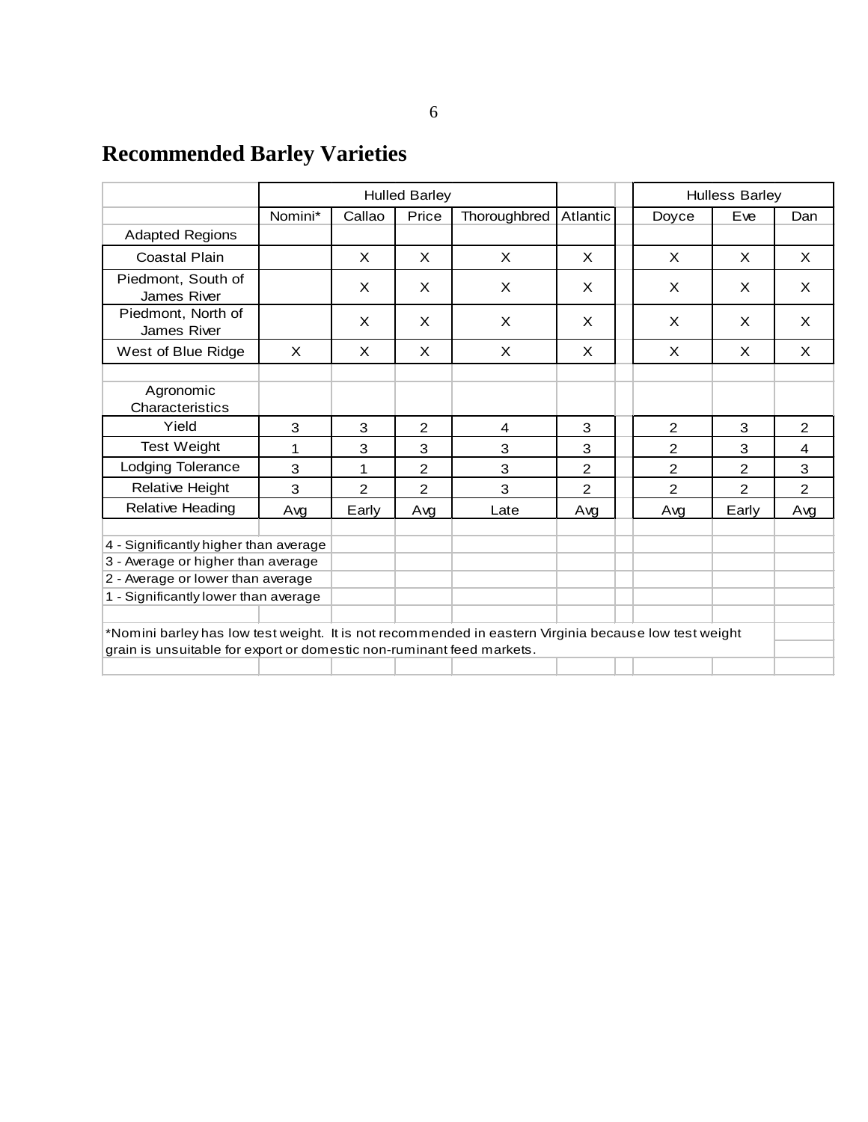# **Recommended Barley Varieties**

|                                                                                                                                                                                |          |                | <b>Hulled Barley</b> |              |          | <b>Hulless Barley</b> |          |                |  |  |  |  |
|--------------------------------------------------------------------------------------------------------------------------------------------------------------------------------|----------|----------------|----------------------|--------------|----------|-----------------------|----------|----------------|--|--|--|--|
|                                                                                                                                                                                | Nomini*  | Callao         | Price                | Thoroughbred | Atlantic | Doyce                 | Eve      | Dan            |  |  |  |  |
| <b>Adapted Regions</b>                                                                                                                                                         |          |                |                      |              |          |                       |          |                |  |  |  |  |
| Coastal Plain                                                                                                                                                                  |          | X              | X                    | X            | $\times$ | X                     | $\times$ | X              |  |  |  |  |
| Piedmont, South of<br>James River                                                                                                                                              |          | $\times$       | X                    | X.           | X        | X                     | X        | $\times$       |  |  |  |  |
| Piedmont, North of<br>James River                                                                                                                                              |          | X              | X                    | X            | X        | X                     | X        | X              |  |  |  |  |
| West of Blue Ridge                                                                                                                                                             | $\times$ | X              | $\times$             | X            | X        | X                     | X        | X              |  |  |  |  |
| Agronomic<br>Characteristics                                                                                                                                                   |          |                |                      |              |          |                       |          |                |  |  |  |  |
| Yield                                                                                                                                                                          | 3        | 3              | 2                    | 4            | 3        | 2                     | 3        | $\overline{2}$ |  |  |  |  |
| <b>Test Weight</b>                                                                                                                                                             | 1        | 3              | 3                    | 3            | 3        | 2                     | 3        | 4              |  |  |  |  |
| <b>Lodging Tolerance</b>                                                                                                                                                       | 3        | 1              | 2                    | 3            | 2        | $\overline{2}$        | 2        | 3              |  |  |  |  |
| <b>Relative Height</b>                                                                                                                                                         | 3        | $\overline{2}$ | $\mathcal{P}$        | 3            | 2        | $\overline{2}$        | 2        | 2              |  |  |  |  |
| <b>Relative Heading</b>                                                                                                                                                        | Avg      | Early          | Avg                  | Late         | Avg      | Avg                   | Early    | Avg            |  |  |  |  |
| 4 - Significantly higher than average<br>3 - Average or higher than average<br>2 - Average or lower than average<br>1 - Significantly lower than average                       |          |                |                      |              |          |                       |          |                |  |  |  |  |
| *Nomini barley has low test weight. It is not recommended in eastern Virginia because low test weight<br>grain is unsuitable for export or domestic non-ruminant feed markets. |          |                |                      |              |          |                       |          |                |  |  |  |  |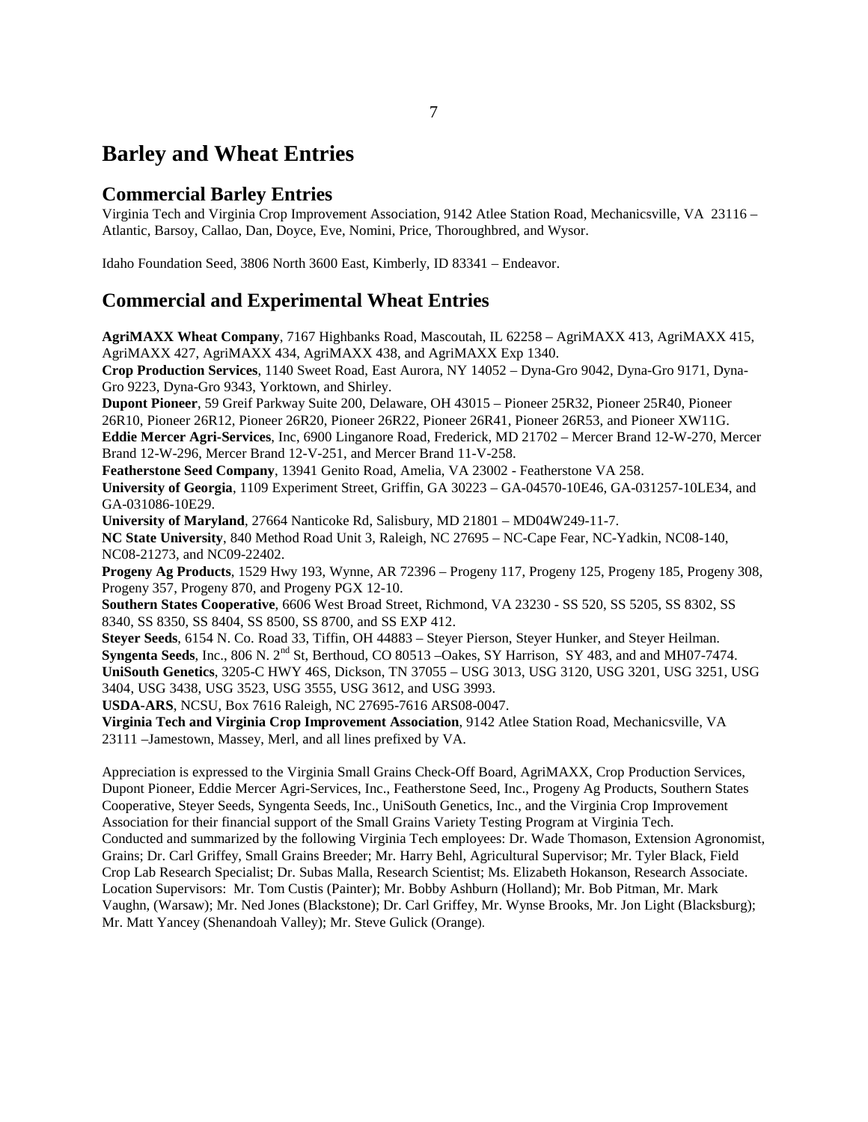# **Barley and Wheat Entries**

#### **Commercial Barley Entries**

Virginia Tech and Virginia Crop Improvement Association, 9142 Atlee Station Road, Mechanicsville, VA 23116 – Atlantic, Barsoy, Callao, Dan, Doyce, Eve, Nomini, Price, Thoroughbred, and Wysor.

Idaho Foundation Seed, 3806 North 3600 East, Kimberly, ID 83341 – Endeavor.

#### **Commercial and Experimental Wheat Entries**

**AgriMAXX Wheat Company**, 7167 Highbanks Road, Mascoutah, IL 62258 – AgriMAXX 413, AgriMAXX 415, AgriMAXX 427, AgriMAXX 434, AgriMAXX 438, and AgriMAXX Exp 1340.

**Crop Production Services**, 1140 Sweet Road, East Aurora, NY 14052 – Dyna-Gro 9042, Dyna-Gro 9171, Dyna-Gro 9223, Dyna-Gro 9343, Yorktown, and Shirley.

**Dupont Pioneer**, 59 Greif Parkway Suite 200, Delaware, OH 43015 – Pioneer 25R32, Pioneer 25R40, Pioneer 26R10, Pioneer 26R12, Pioneer 26R20, Pioneer 26R22, Pioneer 26R41, Pioneer 26R53, and Pioneer XW11G.

**Eddie Mercer Agri-Services**, Inc, 6900 Linganore Road, Frederick, MD 21702 – Mercer Brand 12-W-270, Mercer Brand 12-W-296, Mercer Brand 12-V-251, and Mercer Brand 11-V-258.

**Featherstone Seed Company**, 13941 Genito Road, Amelia, VA 23002 - Featherstone VA 258.

**University of Georgia**, 1109 Experiment Street, Griffin, GA 30223 – GA-04570-10E46, GA-031257-10LE34, and GA-031086-10E29.

**University of Maryland**, 27664 Nanticoke Rd, Salisbury, MD 21801 – MD04W249-11-7.

**NC State University**, 840 Method Road Unit 3, Raleigh, NC 27695 – NC-Cape Fear, NC-Yadkin, NC08-140, NC08-21273, and NC09-22402.

**Progeny Ag Products**, 1529 Hwy 193, Wynne, AR 72396 – Progeny 117, Progeny 125, Progeny 185, Progeny 308, Progeny 357, Progeny 870, and Progeny PGX 12-10.

**Southern States Cooperative**, 6606 West Broad Street, Richmond, VA 23230 - SS 520, SS 5205, SS 8302, SS 8340, SS 8350, SS 8404, SS 8500, SS 8700, and SS EXP 412.

**Steyer Seeds**, 6154 N. Co. Road 33, Tiffin, OH 44883 – Steyer Pierson, Steyer Hunker, and Steyer Heilman. **Syngenta Seeds**, Inc., 806 N. 2nd St, Berthoud, CO 80513 –Oakes, SY Harrison, SY 483, and and MH07-7474. **UniSouth Genetics**, 3205-C HWY 46S, Dickson, TN 37055 – USG 3013, USG 3120, USG 3201, USG 3251, USG 3404, USG 3438, USG 3523, USG 3555, USG 3612, and USG 3993.

**USDA-ARS**, NCSU, Box 7616 Raleigh, NC 27695-7616 ARS08-0047.

**Virginia Tech and Virginia Crop Improvement Association**, 9142 Atlee Station Road, Mechanicsville, VA 23111 –Jamestown, Massey, Merl, and all lines prefixed by VA.

Appreciation is expressed to the Virginia Small Grains Check-Off Board, AgriMAXX, Crop Production Services, Dupont Pioneer, Eddie Mercer Agri-Services, Inc., Featherstone Seed, Inc., Progeny Ag Products, Southern States Cooperative, Steyer Seeds, Syngenta Seeds, Inc., UniSouth Genetics, Inc., and the Virginia Crop Improvement Association for their financial support of the Small Grains Variety Testing Program at Virginia Tech. Conducted and summarized by the following Virginia Tech employees: Dr. Wade Thomason, Extension Agronomist, Grains; Dr. Carl Griffey, Small Grains Breeder; Mr. Harry Behl, Agricultural Supervisor; Mr. Tyler Black, Field Crop Lab Research Specialist; Dr. Subas Malla, Research Scientist; Ms. Elizabeth Hokanson, Research Associate. Location Supervisors: Mr. Tom Custis (Painter); Mr. Bobby Ashburn (Holland); Mr. Bob Pitman, Mr. Mark Vaughn, (Warsaw); Mr. Ned Jones (Blackstone); Dr. Carl Griffey, Mr. Wynse Brooks, Mr. Jon Light (Blacksburg); Mr. Matt Yancey (Shenandoah Valley); Mr. Steve Gulick (Orange).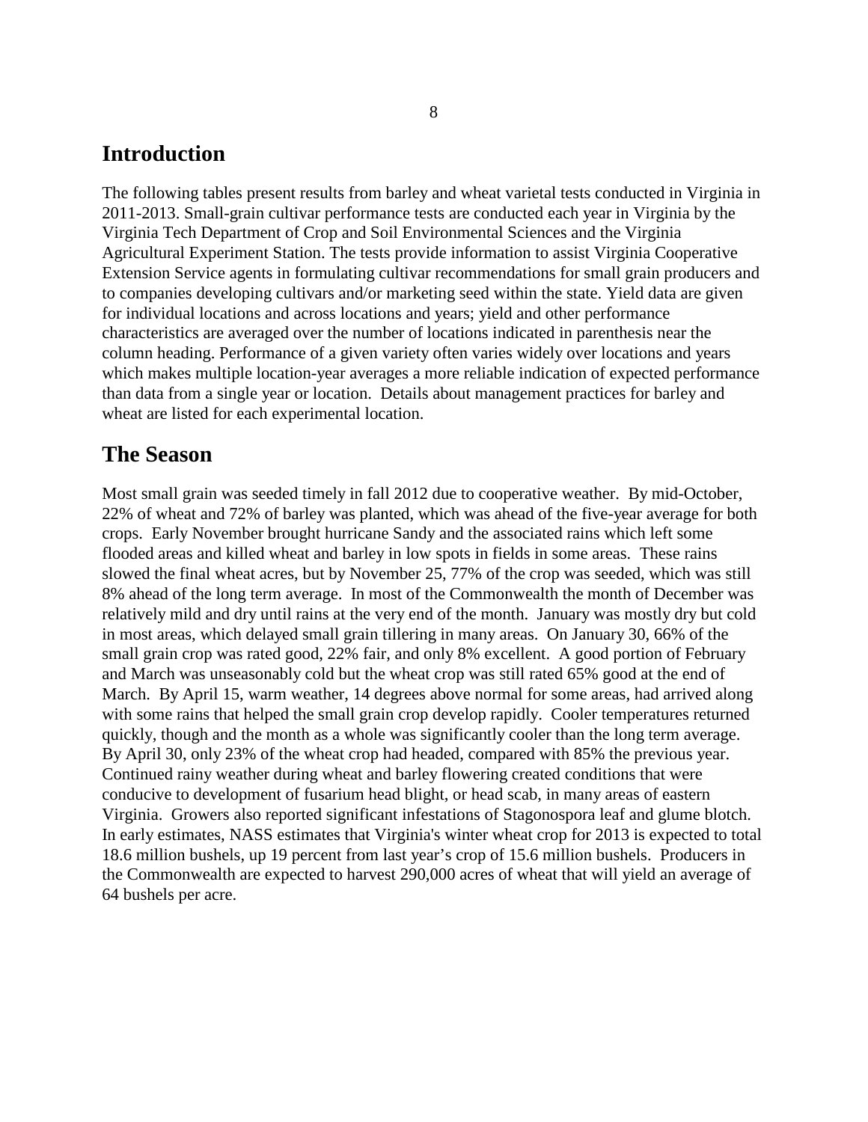### **Introduction**

The following tables present results from barley and wheat varietal tests conducted in Virginia in 2011-2013. Small-grain cultivar performance tests are conducted each year in Virginia by the Virginia Tech Department of Crop and Soil Environmental Sciences and the Virginia Agricultural Experiment Station. The tests provide information to assist Virginia Cooperative Extension Service agents in formulating cultivar recommendations for small grain producers and to companies developing cultivars and/or marketing seed within the state. Yield data are given for individual locations and across locations and years; yield and other performance characteristics are averaged over the number of locations indicated in parenthesis near the column heading. Performance of a given variety often varies widely over locations and years which makes multiple location-year averages a more reliable indication of expected performance than data from a single year or location. Details about management practices for barley and wheat are listed for each experimental location.

#### **The Season**

Most small grain was seeded timely in fall 2012 due to cooperative weather. By mid-October, 22% of wheat and 72% of barley was planted, which was ahead of the five-year average for both crops. Early November brought hurricane Sandy and the associated rains which left some flooded areas and killed wheat and barley in low spots in fields in some areas. These rains slowed the final wheat acres, but by November 25, 77% of the crop was seeded, which was still 8% ahead of the long term average. In most of the Commonwealth the month of December was relatively mild and dry until rains at the very end of the month. January was mostly dry but cold in most areas, which delayed small grain tillering in many areas. On January 30, 66% of the small grain crop was rated good, 22% fair, and only 8% excellent. A good portion of February and March was unseasonably cold but the wheat crop was still rated 65% good at the end of March. By April 15, warm weather, 14 degrees above normal for some areas, had arrived along with some rains that helped the small grain crop develop rapidly. Cooler temperatures returned quickly, though and the month as a whole was significantly cooler than the long term average. By April 30, only 23% of the wheat crop had headed, compared with 85% the previous year. Continued rainy weather during wheat and barley flowering created conditions that were conducive to development of fusarium head blight, or head scab, in many areas of eastern Virginia. Growers also reported significant infestations of Stagonospora leaf and glume blotch. In early estimates, NASS estimates that Virginia's winter wheat crop for 2013 is expected to total 18.6 million bushels, up 19 percent from last year's crop of 15.6 million bushels. Producers in the Commonwealth are expected to harvest 290,000 acres of wheat that will yield an average of 64 bushels per acre.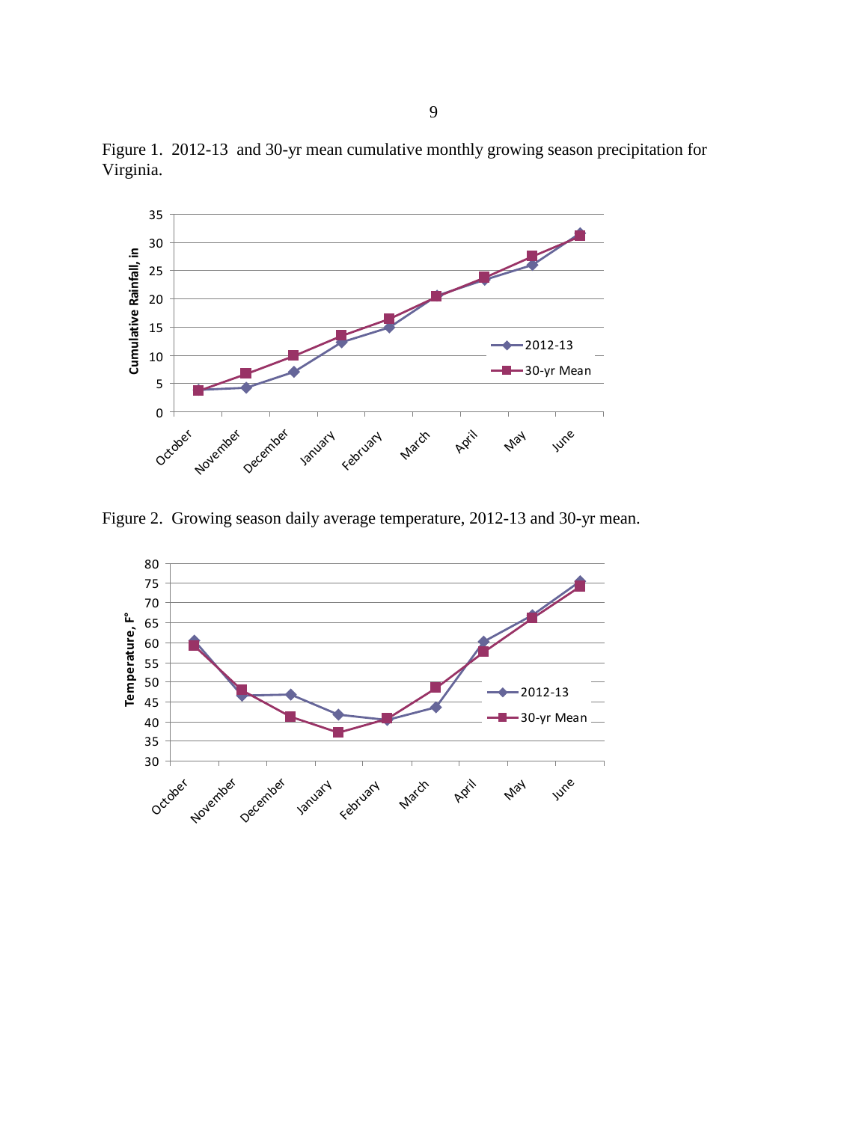

Figure 1. 2012-13 and 30-yr mean cumulative monthly growing season precipitation for Virginia.

Figure 2. Growing season daily average temperature, 2012-13 and 30-yr mean.

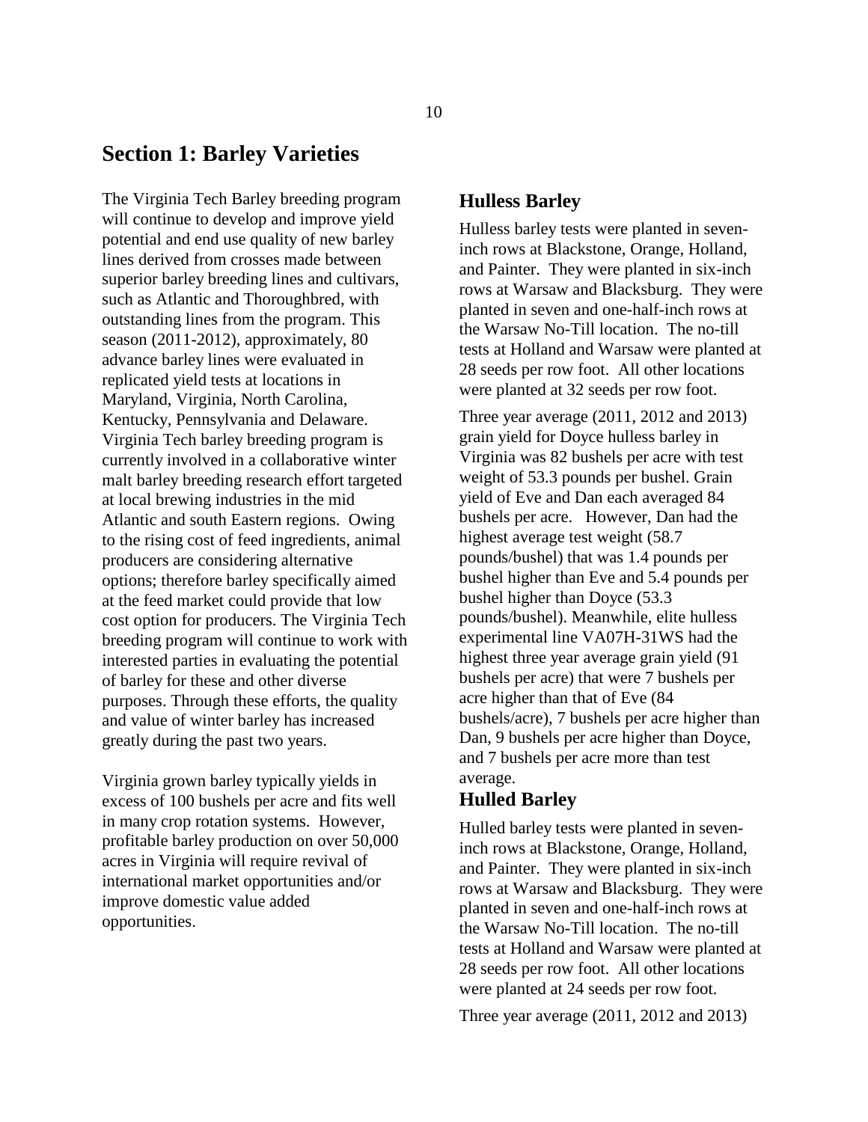#### **Section 1: Barley Varieties**

The Virginia Tech Barley breeding program will continue to develop and improve yield potential and end use quality of new barley lines derived from crosses made between superior barley breeding lines and cultivars, such as Atlantic and Thoroughbred, with outstanding lines from the program. This season (2011-2012), approximately, 80 advance barley lines were evaluated in replicated yield tests at locations in Maryland, Virginia, North Carolina, Kentucky, Pennsylvania and Delaware. Virginia Tech barley breeding program is currently involved in a collaborative winter malt barley breeding research effort targeted at local brewing industries in the mid Atlantic and south Eastern regions. Owing to the rising cost of feed ingredients, animal producers are considering alternative options; therefore barley specifically aimed at the feed market could provide that low cost option for producers. The Virginia Tech breeding program will continue to work with interested parties in evaluating the potential of barley for these and other diverse purposes. Through these efforts, the quality and value of winter barley has increased greatly during the past two years.

Virginia grown barley typically yields in excess of 100 bushels per acre and fits well in many crop rotation systems. However, profitable barley production on over 50,000 acres in Virginia will require revival of international market opportunities and/or improve domestic value added opportunities.

#### **Hulless Barley**

Hulless barley tests were planted in seveninch rows at Blackstone, Orange, Holland, and Painter. They were planted in six-inch rows at Warsaw and Blacksburg. They were planted in seven and one-half-inch rows at the Warsaw No-Till location. The no-till tests at Holland and Warsaw were planted at 28 seeds per row foot. All other locations were planted at 32 seeds per row foot.

Three year average (2011, 2012 and 2013) grain yield for Doyce hulless barley in Virginia was 82 bushels per acre with test weight of 53.3 pounds per bushel. Grain yield of Eve and Dan each averaged 84 bushels per acre. However, Dan had the highest average test weight (58.7 pounds/bushel) that was 1.4 pounds per bushel higher than Eve and 5.4 pounds per bushel higher than Doyce (53.3 pounds/bushel). Meanwhile, elite hulless experimental line VA07H-31WS had the highest three year average grain yield (91 bushels per acre) that were 7 bushels per acre higher than that of Eve (84 bushels/acre), 7 bushels per acre higher than Dan, 9 bushels per acre higher than Doyce, and 7 bushels per acre more than test average.

#### **Hulled Barley**

Hulled barley tests were planted in seveninch rows at Blackstone, Orange, Holland, and Painter. They were planted in six-inch rows at Warsaw and Blacksburg. They were planted in seven and one-half-inch rows at the Warsaw No-Till location. The no-till tests at Holland and Warsaw were planted at 28 seeds per row foot. All other locations were planted at 24 seeds per row foot.

Three year average (2011, 2012 and 2013)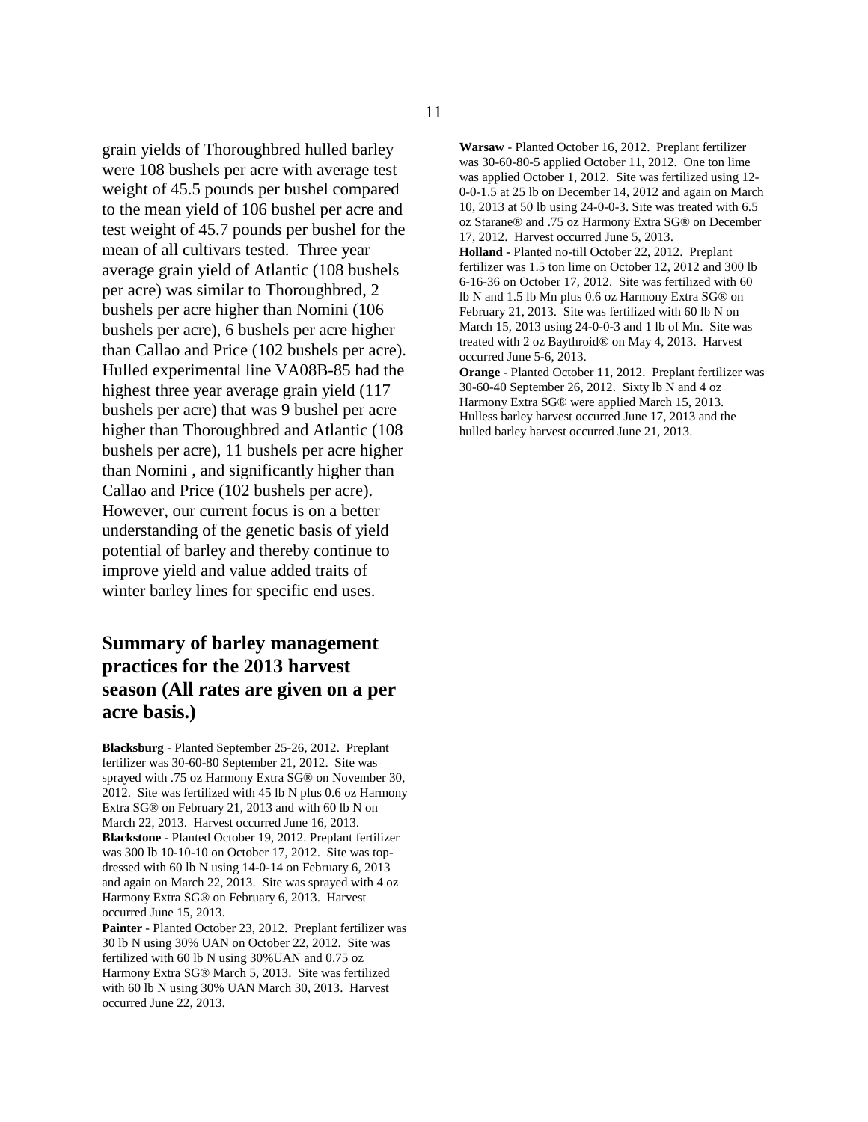grain yields of Thoroughbred hulled barley were 108 bushels per acre with average test weight of 45.5 pounds per bushel compared to the mean yield of 106 bushel per acre and test weight of 45.7 pounds per bushel for the mean of all cultivars tested. Three year average grain yield of Atlantic (108 bushels per acre) was similar to Thoroughbred, 2 bushels per acre higher than Nomini (106 bushels per acre), 6 bushels per acre higher than Callao and Price (102 bushels per acre). Hulled experimental line VA08B-85 had the highest three year average grain yield (117 bushels per acre) that was 9 bushel per acre higher than Thoroughbred and Atlantic (108 bushels per acre), 11 bushels per acre higher than Nomini , and significantly higher than Callao and Price (102 bushels per acre). However, our current focus is on a better understanding of the genetic basis of yield potential of barley and thereby continue to improve yield and value added traits of winter barley lines for specific end uses.

#### **Summary of barley management practices for the 2013 harvest season (All rates are given on a per acre basis.)**

**Blacksburg** - Planted September 25-26, 2012. Preplant fertilizer was 30-60-80 September 21, 2012. Site was sprayed with .75 oz Harmony Extra SG® on November 30, 2012. Site was fertilized with 45 lb N plus 0.6 oz Harmony Extra SG® on February 21, 2013 and with 60 lb N on March 22, 2013. Harvest occurred June 16, 2013. **Blackstone** - Planted October 19, 2012. Preplant fertilizer was 300 lb 10-10-10 on October 17, 2012. Site was topdressed with 60 lb N using 14-0-14 on February 6, 2013 and again on March 22, 2013. Site was sprayed with 4 oz Harmony Extra SG® on February 6, 2013. Harvest occurred June 15, 2013.

**Painter** - Planted October 23, 2012. Preplant fertilizer was 30 lb N using 30% UAN on October 22, 2012. Site was fertilized with 60 lb N using 30%UAN and 0.75 oz Harmony Extra SG® March 5, 2013. Site was fertilized with 60 lb N using 30% UAN March 30, 2013. Harvest occurred June 22, 2013.

**Warsaw** - Planted October 16, 2012. Preplant fertilizer was 30-60-80-5 applied October 11, 2012. One ton lime was applied October 1, 2012. Site was fertilized using 12- 0-0-1.5 at 25 lb on December 14, 2012 and again on March 10, 2013 at 50 lb using 24-0-0-3. Site was treated with 6.5 oz Starane® and .75 oz Harmony Extra SG® on December 17, 2012. Harvest occurred June 5, 2013.

**Holland -** Planted no-till October 22, 2012. Preplant fertilizer was 1.5 ton lime on October 12, 2012 and 300 lb 6-16-36 on October 17, 2012. Site was fertilized with 60 lb N and 1.5 lb Mn plus 0.6 oz Harmony Extra SG® on February 21, 2013. Site was fertilized with 60 lb N on March 15, 2013 using 24-0-0-3 and 1 lb of Mn. Site was treated with 2 oz Baythroid® on May 4, 2013. Harvest occurred June 5-6, 2013.

**Orange** - Planted October 11, 2012. Preplant fertilizer was 30-60-40 September 26, 2012. Sixty lb N and 4 oz Harmony Extra SG® were applied March 15, 2013. Hulless barley harvest occurred June 17, 2013 and the hulled barley harvest occurred June 21, 2013.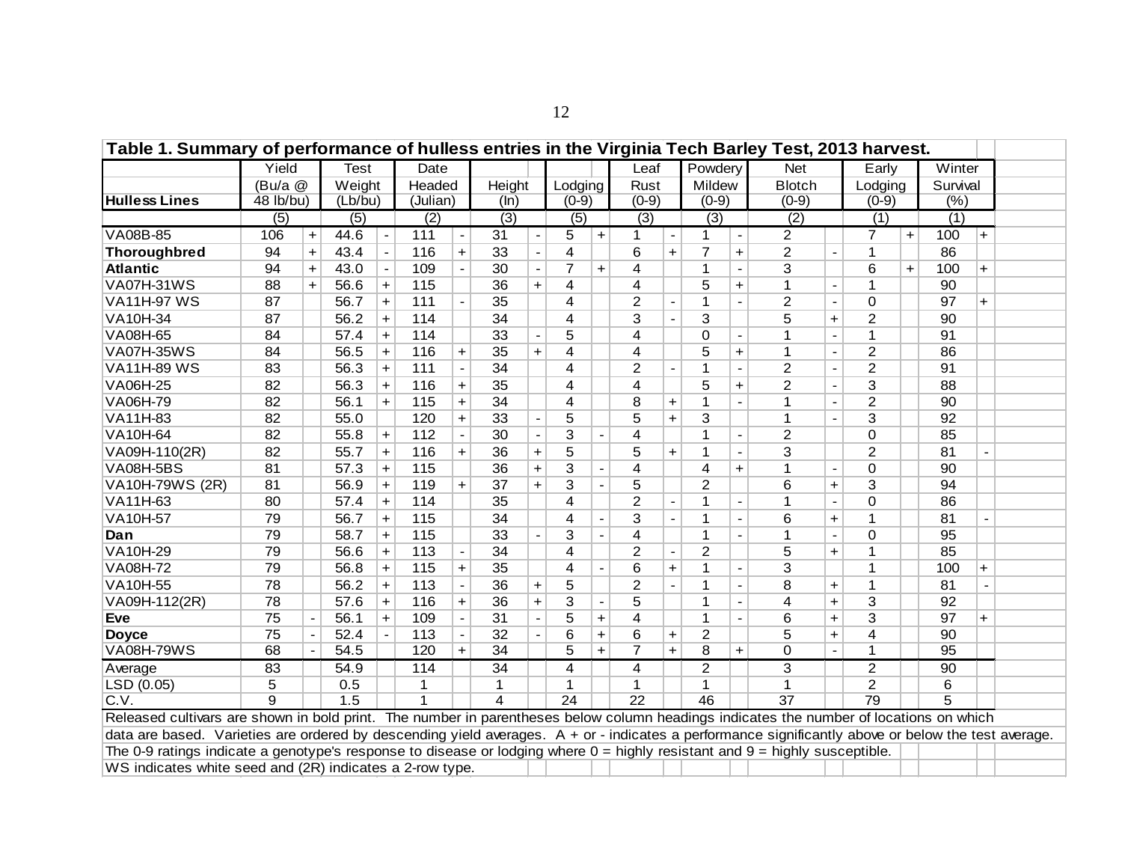| Table 1. Summary of performance of hulless entries in the Virginia Tech Barley Test, 2013 harvest.                                                  |           |           |             |                  |          |                          |        |                |                 |                          |                         |                          |                |                |                 |                          |                  |           |          |           |  |
|-----------------------------------------------------------------------------------------------------------------------------------------------------|-----------|-----------|-------------|------------------|----------|--------------------------|--------|----------------|-----------------|--------------------------|-------------------------|--------------------------|----------------|----------------|-----------------|--------------------------|------------------|-----------|----------|-----------|--|
|                                                                                                                                                     | Yield     |           | <b>Test</b> |                  | Date     |                          |        |                |                 |                          | Leaf                    |                          | Powdery        |                | <b>Net</b>      |                          | Early            |           | Winter   |           |  |
|                                                                                                                                                     | (Bu/a @   |           | Weight      |                  | Headed   |                          | Height |                | Lodging         |                          | Rust                    |                          | Mildew         |                | <b>Blotch</b>   |                          | Lodging          |           | Survival |           |  |
| <b>Hulless Lines</b>                                                                                                                                | 48 lb/bu) |           | (Lb/bu)     |                  | (Julian) |                          | (ln)   |                | $(0-9)$         |                          | $(0-9)$                 |                          | $(0-9)$        |                | $(0-9)$         |                          | $(0-9)$          |           | (%)      |           |  |
|                                                                                                                                                     | (5)       |           | (5)         |                  | (2)      |                          | (3)    |                | (5)             |                          | (3)                     |                          | (3)            |                | (2)             |                          | (1)              |           | (1)      |           |  |
| VA08B-85                                                                                                                                            | 106       | $\ddot{}$ | 44.6        | $\blacksquare$   | 111      | $\overline{\phantom{a}}$ | 31     | $\blacksquare$ | 5               | $+$                      | $\mathbf 1$             | $\overline{\phantom{a}}$ | 1              | $\blacksquare$ | $\overline{c}$  |                          | $\overline{7}$   | $+$       | 100      | $+$       |  |
| <b>Thoroughbred</b>                                                                                                                                 | 94        | $\ddot{}$ | 43.4        |                  | 116      | $+$                      | 33     |                | 4               |                          | 6                       | $\ddot{}$                | 7              | $\ddot{}$      | $\overline{2}$  |                          | $\mathbf 1$      |           | 86       |           |  |
| <b>Atlantic</b>                                                                                                                                     | 94        | $\ddot{}$ | 43.0        | $\blacksquare$   | 109      |                          | 30     |                | $\overline{7}$  | $+$                      | 4                       |                          | 1              |                | 3               |                          | 6                | $\ddot{}$ | 100      | $+$       |  |
| <b>VA07H-31WS</b>                                                                                                                                   | 88        | $\ddot{}$ | 56.6        | $+$              | 115      |                          | 36     | $+$            | 4               |                          | 4                       |                          | 5              | $\ddot{}$      | 1               |                          | 1                |           | 90       |           |  |
| <b>VA11H-97 WS</b>                                                                                                                                  | 87        |           | 56.7        | $\ddot{}$        | 111      |                          | 35     |                | 4               |                          | $\overline{2}$          |                          | 1              |                | $\overline{2}$  | $\blacksquare$           | $\Omega$         |           | 97       | $+$       |  |
| VA10H-34                                                                                                                                            | 87        |           | 56.2        | $\ddot{}$        | 114      |                          | 34     |                | 4               |                          | $\overline{3}$          |                          | 3              |                | 5               | $+$                      | $\overline{2}$   |           | 90       |           |  |
| VA08H-65                                                                                                                                            | 84        |           | 57.4        | $+$              | 114      |                          | 33     |                | 5               |                          | $\overline{4}$          |                          | $\Omega$       |                | 1               |                          | $\mathbf{1}$     |           | 91       |           |  |
| <b>VA07H-35WS</b>                                                                                                                                   | 84        |           | 56.5        | $\ddot{}$        | 116      | $\ddot{}$                | 35     | $\ddot{}$      | 4               |                          | $\overline{\mathbf{4}}$ |                          | 5              | $\ddot{}$      | 1               | $\overline{\phantom{a}}$ | $\boldsymbol{2}$ |           | 86       |           |  |
| <b>VA11H-89 WS</b>                                                                                                                                  | 83        |           | 56.3        | $\boldsymbol{+}$ | 111      |                          | 34     |                | 4               |                          | $\overline{2}$          | $\blacksquare$           | 1              |                | $\overline{2}$  | $\overline{\phantom{a}}$ | $\overline{2}$   |           | 91       |           |  |
| VA06H-25                                                                                                                                            | 82        |           | 56.3        | $\boldsymbol{+}$ | 116      | $\ddot{}$                | 35     |                | 4               |                          | 4                       |                          | 5              | $\ddot{}$      | $\overline{2}$  | $\overline{\phantom{a}}$ | 3                |           | 88       |           |  |
| VA06H-79                                                                                                                                            | 82        |           | 56.1        | $\bf{+}$         | 115      | $\ddot{}$                | 34     |                | 4               |                          | 8                       | $\ddot{}$                | 1              |                | 1               |                          | $\overline{2}$   |           | 90       |           |  |
| VA11H-83                                                                                                                                            | 82        |           | 55.0        |                  | 120      | $\ddot{}$                | 33     |                | 5               |                          | 5                       | $+$                      | 3              |                | 1               |                          | 3                |           | 92       |           |  |
| VA10H-64                                                                                                                                            | 82        |           | 55.8        | $\ddot{}$        | 112      |                          | 30     |                | 3               |                          | 4                       |                          |                |                | $\overline{2}$  |                          | $\pmb{0}$        |           | 85       |           |  |
| VA09H-110(2R)                                                                                                                                       | 82        |           | 55.7        | $\ddot{}$        | 116      | $+$                      | 36     | $\ddot{}$      | 5               |                          | 5                       | $+$                      | 1              |                | 3               |                          | $\overline{2}$   |           | 81       |           |  |
| <b>VA08H-5BS</b>                                                                                                                                    | 81        |           | 57.3        | $\ddot{}$        | 115      |                          | 36     | $\ddot{}$      | 3               |                          | $\overline{4}$          |                          | 4              | $\ddot{}$      | 1               |                          | $\mathbf 0$      |           | 90       |           |  |
| VA10H-79WS (2R)                                                                                                                                     | 81        |           | 56.9        | $\ddot{}$        | 119      | $\ddot{}$                | 37     | $+$            | 3               |                          | 5                       |                          | $\overline{2}$ |                | 6               | $+$                      | 3                |           | 94       |           |  |
| VA11H-63                                                                                                                                            | 80        |           | 57.4        | $\ddot{}$        | 114      |                          | 35     |                | 4               |                          | $\overline{2}$          | $\overline{a}$           | 1              |                | 1               | $\overline{a}$           | $\mathbf 0$      |           | 86       |           |  |
| VA10H-57                                                                                                                                            | 79        |           | 56.7        | $\ddot{}$        | 115      |                          | 34     |                | 4               |                          | 3                       | $\overline{a}$           | 1              |                | 6               | $+$                      | $\mathbf{1}$     |           | 81       |           |  |
| Dan                                                                                                                                                 | 79        |           | 58.7        | $\ddot{}$        | 115      |                          | 33     |                | 3               |                          | $\overline{4}$          |                          | 1              |                | 1               | $\blacksquare$           | 0                |           | 95       |           |  |
| VA10H-29                                                                                                                                            | 79        |           | 56.6        | $\ddot{}$        | 113      | $\blacksquare$           | 34     |                | 4               |                          | $\overline{2}$          | $\blacksquare$           | $\overline{2}$ |                | 5               | $+$                      | $\mathbf 1$      |           | 85       |           |  |
| <b>VA08H-72</b>                                                                                                                                     | 79        |           | 56.8        | $+$              | 115      | $\ddot{}$                | 35     |                | 4               | $\blacksquare$           | 6                       | $\ddot{}$                |                | $\overline{a}$ | $\overline{3}$  |                          | $\mathbf{1}$     |           | 100      | $\ddot{}$ |  |
| VA10H-55                                                                                                                                            | 78        |           | 56.2        | $+$              | 113      |                          | 36     | $\ddot{}$      | 5               |                          | $\overline{2}$          |                          |                |                | 8               | $\ddot{}$                | $\mathbf 1$      |           | 81       |           |  |
| VA09H-112(2R)                                                                                                                                       | 78        |           | 57.6        | $+$              | 116      | $+$                      | 36     | $+$            | 3               | $\overline{\phantom{a}}$ | 5                       |                          |                |                | 4               | $\ddot{}$                | 3                |           | 92       |           |  |
| Eve                                                                                                                                                 | 75        |           | 56.1        | $\ddot{}$        | 109      |                          | 31     |                | 5               | $\ddot{}$                | 4                       |                          | 1              |                | 6               | $+$                      | 3                |           | 97       | $\ddot{}$ |  |
| <b>Doyce</b>                                                                                                                                        | 75        |           | 52.4        |                  | 113      |                          | 32     |                | 6               | $\ddot{}$                | 6                       | $\ddot{}$                | $\overline{2}$ |                | 5               | $+$                      | 4                |           | 90       |           |  |
| <b>VA08H-79WS</b>                                                                                                                                   | 68        |           | 54.5        |                  | 120      | $+$                      | 34     |                | 5               | $+$                      | $\overline{7}$          | $+$                      | 8              | $\ddot{}$      | $\Omega$        |                          | 1                |           | 95       |           |  |
| Average                                                                                                                                             | 83        |           | 54.9        |                  | 114      |                          | 34     |                | 4               |                          | 4                       |                          | $\overline{2}$ |                | 3               |                          | $\overline{2}$   |           | 90       |           |  |
| LSD (0.05)                                                                                                                                          | 5         |           | 0.5         |                  | 1        |                          | 1      |                | 1               |                          | $\mathbf{1}$            |                          | 1              |                | 1               |                          | $\overline{2}$   |           | 6        |           |  |
| C.V.                                                                                                                                                | 9         |           | 1.5         |                  | 1        |                          | 4      |                | $\overline{24}$ |                          | 22                      |                          | 46             |                | $\overline{37}$ |                          | 79               |           | 5        |           |  |
| Released cultivars are shown in bold print. The number in parentheses below column headings indicates the number of locations on which              |           |           |             |                  |          |                          |        |                |                 |                          |                         |                          |                |                |                 |                          |                  |           |          |           |  |
| data are based. Varieties are ordered by descending yield averages. A + or - indicates a performance significantly above or below the test average. |           |           |             |                  |          |                          |        |                |                 |                          |                         |                          |                |                |                 |                          |                  |           |          |           |  |
| The 0-9 ratings indicate a genotype's response to disease or lodging where $0 =$ highly resistant and $9 =$ highly susceptible.                     |           |           |             |                  |          |                          |        |                |                 |                          |                         |                          |                |                |                 |                          |                  |           |          |           |  |
| WS indicates white seed and (2R) indicates a 2-row type.                                                                                            |           |           |             |                  |          |                          |        |                |                 |                          |                         |                          |                |                |                 |                          |                  |           |          |           |  |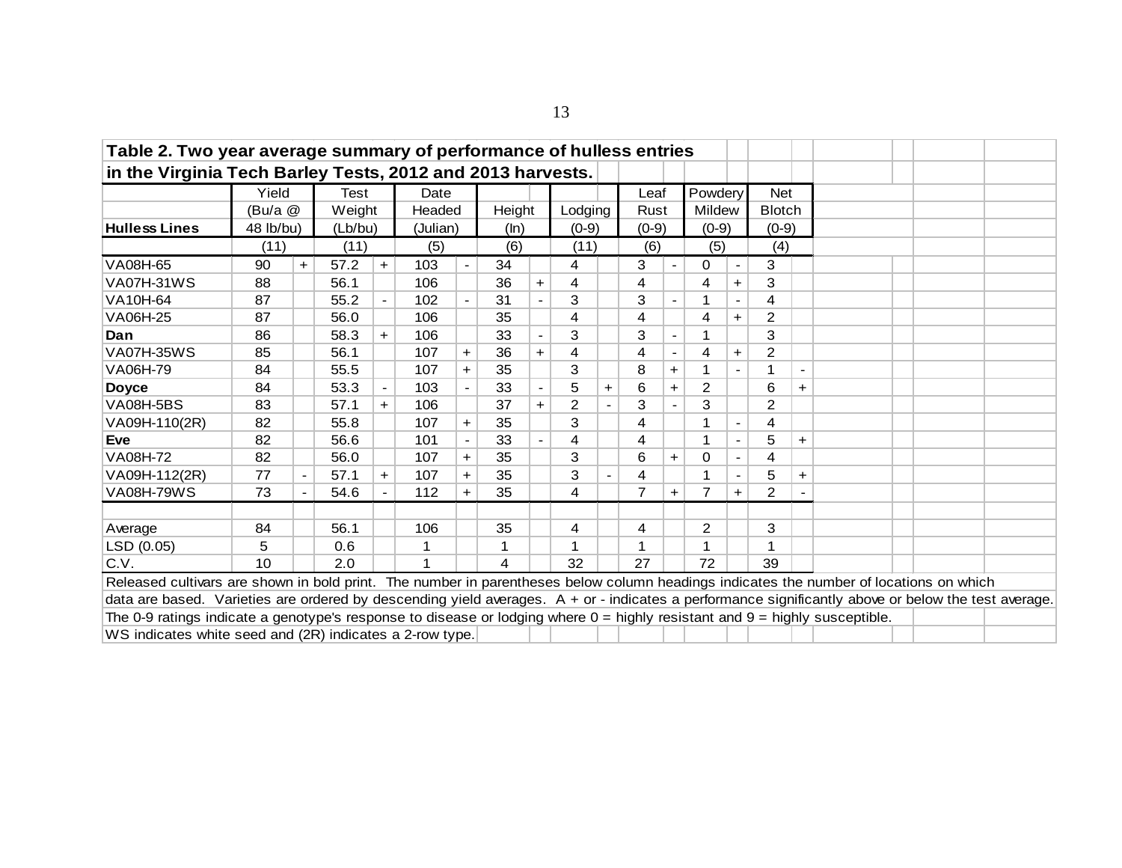| Table 2. Two year average summary of performance of hulless entries                                                                                                          |                                                                                                 |     |         |     |          |            |        |     |         |  |                |       |                |                |                |       |  |  |  |
|------------------------------------------------------------------------------------------------------------------------------------------------------------------------------|-------------------------------------------------------------------------------------------------|-----|---------|-----|----------|------------|--------|-----|---------|--|----------------|-------|----------------|----------------|----------------|-------|--|--|--|
| in the Virginia Tech Barley Tests, 2012 and 2013 harvests.                                                                                                                   |                                                                                                 |     |         |     |          |            |        |     |         |  |                |       |                |                |                |       |  |  |  |
|                                                                                                                                                                              | Yield                                                                                           |     | Test    |     | Date     |            |        |     |         |  | Leaf           |       | Powdery        |                | <b>Net</b>     |       |  |  |  |
|                                                                                                                                                                              | (Bu/a @                                                                                         |     | Weight  |     | Headed   |            | Height |     | Lodging |  | Rust           |       | Mildew         |                | <b>Blotch</b>  |       |  |  |  |
| <b>Hulless Lines</b>                                                                                                                                                         | 48 lb/bu)                                                                                       |     | (Lb/bu) |     | (Julian) |            | (ln)   |     | $(0-9)$ |  | $(0-9)$        |       | $(0-9)$        |                | $(0-9)$        |       |  |  |  |
|                                                                                                                                                                              | (11)                                                                                            |     | (11)    |     | (5)      |            | (6)    |     | (11)    |  | (6)            |       | (5)            |                | (4)            |       |  |  |  |
| VA08H-65                                                                                                                                                                     | 90                                                                                              | $+$ | 57.2    | $+$ | 103      |            | 34     |     | 4       |  | 3              |       | 0              |                | 3              |       |  |  |  |
| <b>VA07H-31WS</b>                                                                                                                                                            | 88                                                                                              |     | 56.1    |     | 106      |            | 36     | $+$ | 4       |  | 4              |       | 4              | $\ddot{}$      | 3              |       |  |  |  |
| VA10H-64                                                                                                                                                                     | 87                                                                                              |     | 55.2    |     | 102      |            | 31     |     | 3       |  | 3              |       |                | $\blacksquare$ | 4              |       |  |  |  |
| 35<br>$\overline{2}$<br>VA06H-25<br>87<br>106<br>$\overline{4}$<br>4<br>56.0<br>4<br>$\ddagger$<br>3<br>3<br>106<br>33<br>3<br>86<br>58.3<br>$+$<br>$\overline{\phantom{a}}$ |                                                                                                 |     |         |     |          |            |        |     |         |  |                |       |                |                |                |       |  |  |  |
| Dan                                                                                                                                                                          | $\overline{c}$<br>85<br>56.1<br>36<br>4<br>107<br>$\ddot{}$<br>4<br>4<br>$\ddot{}$<br>$\ddot{}$ |     |         |     |          |            |        |     |         |  |                |       |                |                |                |       |  |  |  |
| <b>VA07H-35WS</b><br>VA06H-79<br>84<br>3<br>8<br>55.5<br>107<br>35<br>1<br>$\ddot{}$<br>$+$                                                                                  |                                                                                                 |     |         |     |          |            |        |     |         |  |                |       |                |                |                |       |  |  |  |
|                                                                                                                                                                              |                                                                                                 |     |         |     |          |            |        |     |         |  |                |       |                |                |                |       |  |  |  |
| 33<br>6<br>2<br>6<br>84<br>53.3<br>103<br><b>Doyce</b><br>5<br>$\overline{\phantom{a}}$<br>$\ddag$<br>$\pm$<br>$\pm$                                                         |                                                                                                 |     |         |     |          |            |        |     |         |  |                |       |                |                |                |       |  |  |  |
| <b>VA08H-5BS</b>                                                                                                                                                             | 83                                                                                              |     | 57.1    | $+$ | 106      |            | 37     | $+$ | 2       |  | 3              |       | 3              |                | $\overline{2}$ |       |  |  |  |
| VA09H-110(2R)                                                                                                                                                                | 82                                                                                              |     | 55.8    |     | 107      | $\ddagger$ | 35     |     | 3       |  | 4              |       |                | $\blacksquare$ | 4              |       |  |  |  |
| <b>Eve</b>                                                                                                                                                                   | 82                                                                                              |     | 56.6    |     | 101      |            | 33     |     | 4       |  | 4              |       | 1              |                | 5              | $+$   |  |  |  |
| <b>VA08H-72</b>                                                                                                                                                              | 82                                                                                              |     | 56.0    |     | 107      | $\ddot{}$  | 35     |     | 3       |  | 6              | $\pm$ | $\Omega$       |                | 4              |       |  |  |  |
| VA09H-112(2R)                                                                                                                                                                | 77                                                                                              |     | 57.1    | $+$ | 107      | +          | 35     |     | 3       |  | 4              |       |                |                | 5              | $\pm$ |  |  |  |
| <b>VA08H-79WS</b>                                                                                                                                                            | 73                                                                                              |     | 54.6    |     | 112      | $\ddag$    | 35     |     | 4       |  | $\overline{7}$ | $+$   | $\overline{7}$ | $\ddot{}$      | $\overline{2}$ |       |  |  |  |
| Average                                                                                                                                                                      | 84                                                                                              |     | 56.1    |     | 106      |            | 35     |     | 4       |  | 4              |       | $\overline{c}$ |                | 3              |       |  |  |  |
| LSD (0.05)                                                                                                                                                                   | 5                                                                                               |     | 0.6     |     |          |            | 1      |     |         |  | 1              |       | 1              |                | 1              |       |  |  |  |
| C.V.                                                                                                                                                                         | 10                                                                                              |     | 2.0     |     |          |            | 4      |     | 32      |  | 27             |       | 72             |                | 39             |       |  |  |  |
| Released cultivars are shown in bold print. The number in parentheses below column headings indicates the number of locations on which                                       |                                                                                                 |     |         |     |          |            |        |     |         |  |                |       |                |                |                |       |  |  |  |
| data are based. Varieties are ordered by descending yield averages. A + or - indicates a performance significantly above or below the test average.                          |                                                                                                 |     |         |     |          |            |        |     |         |  |                |       |                |                |                |       |  |  |  |
| The 0-9 ratings indicate a genotype's response to disease or lodging where $0 =$ highly resistant and $9 =$ highly susceptible.                                              |                                                                                                 |     |         |     |          |            |        |     |         |  |                |       |                |                |                |       |  |  |  |
| WS indicates white seed and (2R) indicates a 2-row type.                                                                                                                     |                                                                                                 |     |         |     |          |            |        |     |         |  |                |       |                |                |                |       |  |  |  |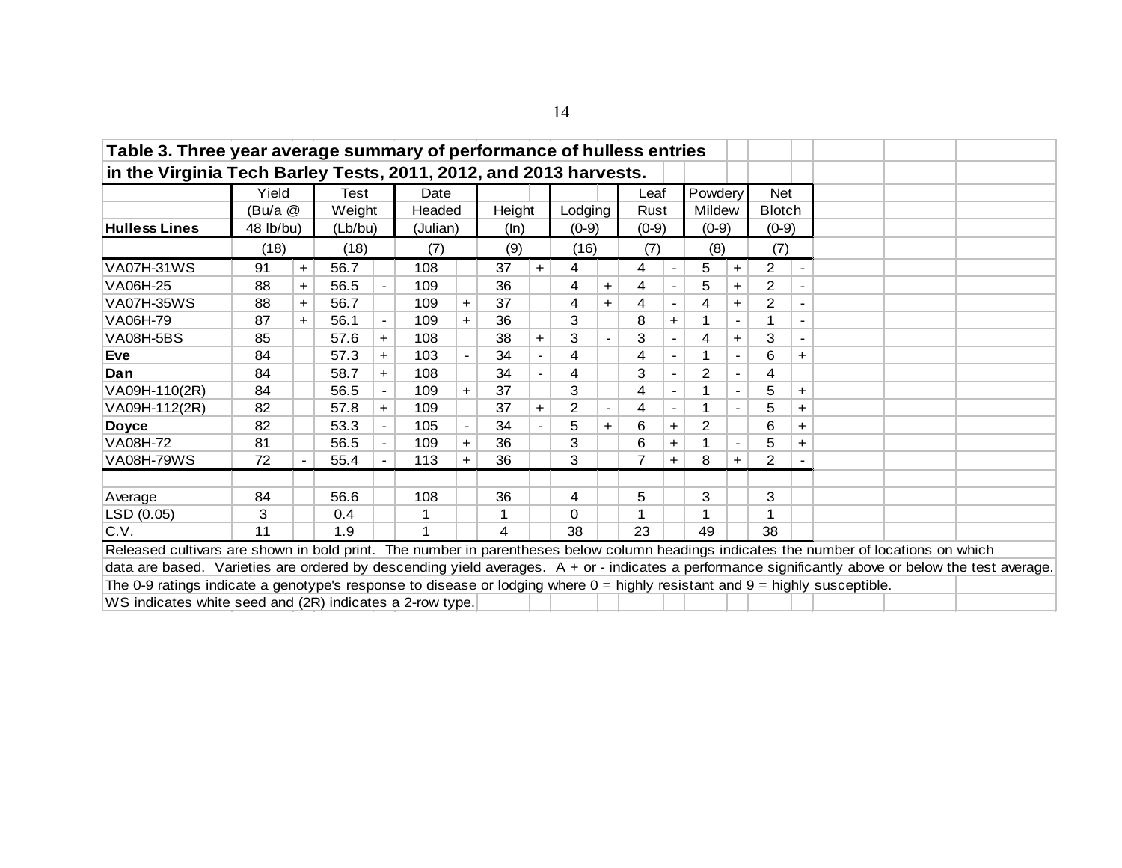| Table 3. Three year average summary of performance of hulless entries                                                                                                                                                                        |                                                                               |     |         |                |          |           |        |     |          |       |         |       |         |           |               |       |  |  |
|----------------------------------------------------------------------------------------------------------------------------------------------------------------------------------------------------------------------------------------------|-------------------------------------------------------------------------------|-----|---------|----------------|----------|-----------|--------|-----|----------|-------|---------|-------|---------|-----------|---------------|-------|--|--|
| in the Virginia Tech Barley Tests, 2011, 2012, and 2013 harvests.                                                                                                                                                                            |                                                                               |     |         |                |          |           |        |     |          |       |         |       |         |           |               |       |  |  |
|                                                                                                                                                                                                                                              | Yield                                                                         |     | Test    |                | Date     |           |        |     |          |       | Leaf    |       | Powdery |           | <b>Net</b>    |       |  |  |
|                                                                                                                                                                                                                                              | (Bu/a @                                                                       |     | Weight  |                | Headed   |           | Height |     | Lodging  |       | Rust    |       | Mildew  |           | <b>Blotch</b> |       |  |  |
| <b>Hulless Lines</b>                                                                                                                                                                                                                         | $48$ lb/bu)                                                                   |     | (Lb/bu) |                | (Julian) |           | (ln)   |     | $(0-9)$  |       | $(0-9)$ |       | $(0-9)$ |           | $(0-9)$       |       |  |  |
|                                                                                                                                                                                                                                              | (18)                                                                          |     | (18)    |                | (7)      |           | (9)    |     | (16)     |       | (7)     |       | (8)     |           | (7)           |       |  |  |
| <b>VA07H-31WS</b>                                                                                                                                                                                                                            | 91                                                                            | $+$ | 56.7    |                | 108      |           | 37     | $+$ | 4        |       | 4       |       | 5       | $\ddot{}$ | 2             |       |  |  |
| 2<br>VA06H-25<br>88<br>56.5<br>109<br>36<br>4<br>5<br>4<br>$+$<br>+<br>37<br>2<br>88<br>56.7<br>109<br>4<br>4<br>4<br>$+$<br>$\ddot{}$<br>$\ddot{}$<br>$\pm$<br>36<br>3<br>8<br>87<br>56.1<br>109<br>$+$<br>$\blacksquare$<br>$\pm$<br>$\pm$ |                                                                               |     |         |                |          |           |        |     |          |       |         |       |         |           |               |       |  |  |
|                                                                                                                                                                                                                                              |                                                                               |     |         |                |          |           |        |     |          |       |         |       |         |           |               |       |  |  |
| 3<br>38<br>3<br>3<br>85<br>57.6<br>108<br>4<br>$\ddot{}$<br>$+$<br>$\ddot{}$                                                                                                                                                                 |                                                                               |     |         |                |          |           |        |     |          |       |         |       |         |           |               |       |  |  |
| <b>VA08H-5BS</b>                                                                                                                                                                                                                             | 84<br>57.3<br>103<br>34<br>4<br>6<br>4<br>1<br>$+$<br>$\blacksquare$<br>$\pm$ |     |         |                |          |           |        |     |          |       |         |       |         |           |               |       |  |  |
| 3<br>2<br>84<br>58.7<br>108<br>34<br>4<br>4<br>$+$<br>$\blacksquare$                                                                                                                                                                         |                                                                               |     |         |                |          |           |        |     |          |       |         |       |         |           |               |       |  |  |
| 3<br>84<br>56.5<br>109<br>37<br>5<br>4<br>$\blacksquare$<br>$\pm$<br>+                                                                                                                                                                       |                                                                               |     |         |                |          |           |        |     |          |       |         |       |         |           |               |       |  |  |
| <b>VA07H-35WS</b><br>VA06H-79<br><b>Eve</b><br>Dan<br>VA09H-110(2R)                                                                                                                                                                          |                                                                               |     |         |                |          |           |        |     |          |       |         |       |         |           |               |       |  |  |
| VA09H-112(2R)                                                                                                                                                                                                                                | 82                                                                            |     | 57.8    | $+$            | 109      |           | 37     | $+$ | 2        |       | 4       |       | 1       |           | 5             | $\pm$ |  |  |
| <b>Doyce</b>                                                                                                                                                                                                                                 | 82                                                                            |     | 53.3    | $\blacksquare$ | 105      |           | 34     |     | 5        | $\pm$ | 6       | $\pm$ | 2       |           | 6             | $\pm$ |  |  |
| VA08H-72                                                                                                                                                                                                                                     | 81                                                                            |     | 56.5    | $\blacksquare$ | 109      | $\ddot{}$ | 36     |     | 3        |       | 6       | $\pm$ |         |           | 5             | $\pm$ |  |  |
| <b>VA08H-79WS</b>                                                                                                                                                                                                                            | 72                                                                            |     | 55.4    |                | 113      | +         | 36     |     | 3        |       | 7       | $\pm$ | 8       | ٠         | 2             |       |  |  |
|                                                                                                                                                                                                                                              | 84                                                                            |     | 56.6    |                | 108      |           | 36     |     | 4        |       | 5       |       | 3       |           | 3             |       |  |  |
| Average<br>LSD (0.05)                                                                                                                                                                                                                        | 3                                                                             |     | 0.4     |                |          |           |        |     | $\Omega$ |       |         |       |         |           |               |       |  |  |
| C.V.                                                                                                                                                                                                                                         | 11                                                                            |     | 1.9     |                |          |           | 4      |     | 38       |       | 23      |       | 49      |           | 38            |       |  |  |
|                                                                                                                                                                                                                                              |                                                                               |     |         |                |          |           |        |     |          |       |         |       |         |           |               |       |  |  |
| Released cultivars are shown in bold print. The number in parentheses below column headings indicates the number of locations on which                                                                                                       |                                                                               |     |         |                |          |           |        |     |          |       |         |       |         |           |               |       |  |  |
| data are based. Varieties are ordered by descending yield averages. A + or - indicates a performance significantly above or below the test average.                                                                                          |                                                                               |     |         |                |          |           |        |     |          |       |         |       |         |           |               |       |  |  |
| The 0-9 ratings indicate a genotype's response to disease or lodging where $0 =$ highly resistant and $9 =$ highly susceptible.                                                                                                              |                                                                               |     |         |                |          |           |        |     |          |       |         |       |         |           |               |       |  |  |
| WS indicates white seed and (2R) indicates a 2-row type.                                                                                                                                                                                     |                                                                               |     |         |                |          |           |        |     |          |       |         |       |         |           |               |       |  |  |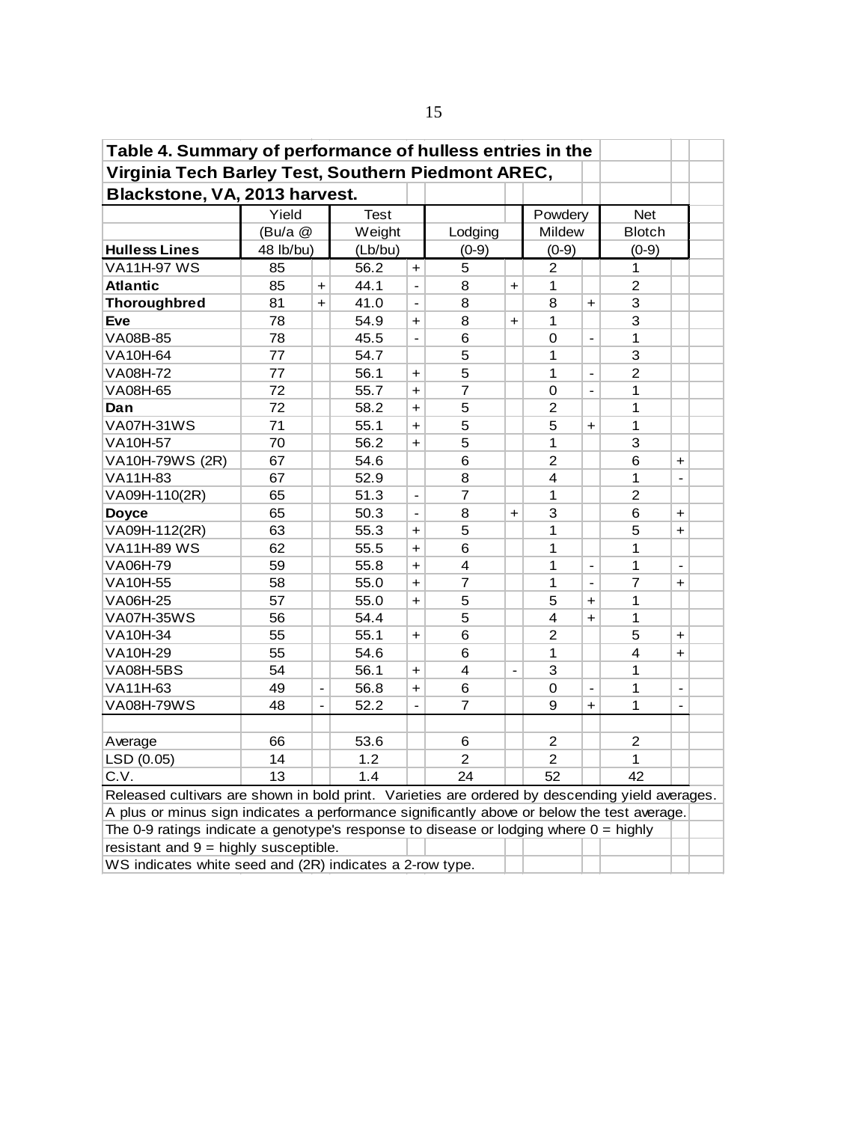| Table 4. Summary of performance of hulless entries in the                                                                                                                                                     |                                                                    |                              |             |                      |                         |                      |                |                |                |                              |  |  |  |  |
|---------------------------------------------------------------------------------------------------------------------------------------------------------------------------------------------------------------|--------------------------------------------------------------------|------------------------------|-------------|----------------------|-------------------------|----------------------|----------------|----------------|----------------|------------------------------|--|--|--|--|
| Virginia Tech Barley Test, Southern Piedmont AREC,                                                                                                                                                            |                                                                    |                              |             |                      |                         |                      |                |                |                |                              |  |  |  |  |
| Blackstone, VA, 2013 harvest.                                                                                                                                                                                 |                                                                    |                              |             |                      |                         |                      |                |                |                |                              |  |  |  |  |
|                                                                                                                                                                                                               | Yield                                                              |                              | <b>Test</b> |                      |                         |                      | Powdery        |                | <b>Net</b>     |                              |  |  |  |  |
|                                                                                                                                                                                                               | (Bu/a @                                                            |                              | Weight      |                      | Lodging                 |                      | Mildew         |                | <b>Blotch</b>  |                              |  |  |  |  |
| <b>Hulless Lines</b>                                                                                                                                                                                          | 48 lb/bu)                                                          |                              | (Lb/bu)     |                      | $(0-9)$                 |                      | $(0-9)$        |                | $(0-9)$        |                              |  |  |  |  |
| VA11H-97 WS                                                                                                                                                                                                   | 85                                                                 |                              | 56.2        | $+$                  | 5                       |                      | 2              |                | 1              |                              |  |  |  |  |
| <b>Atlantic</b>                                                                                                                                                                                               | 85                                                                 | $\ddot{}$                    | 44.1        |                      | 8                       | $\ddot{}$            | 1              |                | 2              |                              |  |  |  |  |
| <b>Thoroughbred</b>                                                                                                                                                                                           | 81                                                                 | $\ddot{}$                    | 41.0        |                      | 8                       |                      | 8              | $\ddot{}$      | 3              |                              |  |  |  |  |
| <b>Eve</b>                                                                                                                                                                                                    | 78                                                                 |                              | 54.9        | $\ddot{}$            | 8                       | $\ddot{}$            | 1              |                | 3              |                              |  |  |  |  |
| VA08B-85                                                                                                                                                                                                      | 78                                                                 |                              | 45.5        | $\overline{a}$       | 6                       |                      | 0              | $\blacksquare$ | 1              |                              |  |  |  |  |
| VA10H-64                                                                                                                                                                                                      | 77                                                                 |                              | 54.7        |                      | 5                       |                      | 1              |                | 3              |                              |  |  |  |  |
| VA08H-72                                                                                                                                                                                                      | 77                                                                 |                              | 56.1        | +                    | 5                       |                      | 1              | $\frac{1}{2}$  | $\overline{2}$ |                              |  |  |  |  |
| 72<br>7<br>VA08H-65<br>55.7<br>0<br>$\blacksquare$<br>1<br>$+$<br>72<br>5<br>$\overline{c}$<br>1<br>Dan<br>58.2<br>$+$<br><b>VA07H-31WS</b><br>71<br>5<br>5<br>1<br>55.1<br>$\ddot{\phantom{1}}$<br>$\ddot{}$ |                                                                    |                              |             |                      |                         |                      |                |                |                |                              |  |  |  |  |
| $\overline{5}$<br>70<br>3<br>56.2<br>1<br><b>VA10H-57</b><br>+                                                                                                                                                |                                                                    |                              |             |                      |                         |                      |                |                |                |                              |  |  |  |  |
| $\overline{2}$<br>67<br>6<br>6<br>54.6<br>$\ddot{}$                                                                                                                                                           |                                                                    |                              |             |                      |                         |                      |                |                |                |                              |  |  |  |  |
|                                                                                                                                                                                                               |                                                                    |                              |             |                      |                         |                      |                |                |                |                              |  |  |  |  |
| VA10H-79WS (2R)                                                                                                                                                                                               |                                                                    |                              |             |                      |                         |                      |                |                |                |                              |  |  |  |  |
| VA11H-83<br>67<br>52.9<br>8<br>4<br>1<br>$\overline{a}$                                                                                                                                                       |                                                                    |                              |             |                      |                         |                      |                |                |                |                              |  |  |  |  |
| VA09H-110(2R)                                                                                                                                                                                                 | $\overline{c}$<br>51.3<br>7<br>1<br>65<br>$\overline{\phantom{a}}$ |                              |             |                      |                         |                      |                |                |                |                              |  |  |  |  |
| <b>Doyce</b>                                                                                                                                                                                                  | 65                                                                 |                              | 50.3        | $\overline{a}$       | 8                       | $\ddot{\phantom{1}}$ | 3              |                | 6              | $+$                          |  |  |  |  |
| VA09H-112(2R)                                                                                                                                                                                                 | 63                                                                 |                              | 55.3        | $\ddot{\phantom{1}}$ | 5                       |                      | 1              |                | 5              | $+$                          |  |  |  |  |
| <b>VA11H-89 WS</b>                                                                                                                                                                                            | 62                                                                 |                              | 55.5        | $\ddot{\phantom{1}}$ | 6                       |                      | 1              |                | 1              |                              |  |  |  |  |
| VA06H-79                                                                                                                                                                                                      | 59                                                                 |                              | 55.8        | $\ddot{}$            | $\overline{\mathbf{4}}$ |                      | 1              | $\overline{a}$ | 1              | $\overline{\phantom{a}}$     |  |  |  |  |
| VA10H-55                                                                                                                                                                                                      | 58                                                                 |                              | 55.0        | $\ddot{\phantom{1}}$ | 7                       |                      | 1              | $\overline{a}$ | 7              | $\ddot{}$                    |  |  |  |  |
| VA06H-25                                                                                                                                                                                                      | 57                                                                 |                              | 55.0        | $\ddot{\phantom{1}}$ | 5                       |                      | 5              | $\ddot{}$      | 1              |                              |  |  |  |  |
| <b>VA07H-35WS</b>                                                                                                                                                                                             | 56                                                                 |                              | 54.4        |                      | 5                       |                      | 4              | $\ddot{}$      | 1              |                              |  |  |  |  |
| VA10H-34                                                                                                                                                                                                      | 55                                                                 |                              | 55.1        | $\ddot{\phantom{1}}$ | 6                       |                      | $\overline{2}$ |                | 5              | $\ddot{\phantom{1}}$         |  |  |  |  |
| VA10H-29                                                                                                                                                                                                      | 55                                                                 |                              | 54.6        |                      | 6                       |                      | 1              |                | 4              | $\ddot{}$                    |  |  |  |  |
| <b>VA08H-5BS</b>                                                                                                                                                                                              | 54                                                                 |                              | 56.1        | $+$                  | 4                       | $\overline{a}$       | 3              |                | 1              |                              |  |  |  |  |
| VA11H-63                                                                                                                                                                                                      | 49                                                                 | $\qquad \qquad \blacksquare$ | 56.8        | $\ddot{\phantom{1}}$ | 6                       |                      | 0              | $\blacksquare$ | 1              | $\qquad \qquad \blacksquare$ |  |  |  |  |
| <b>VA08H-79WS</b>                                                                                                                                                                                             | 48                                                                 |                              | 52.2        |                      | $\overline{7}$          |                      | 9              | $+$            | 1              |                              |  |  |  |  |
|                                                                                                                                                                                                               |                                                                    |                              |             |                      |                         |                      |                |                |                |                              |  |  |  |  |
| Average                                                                                                                                                                                                       | 66                                                                 |                              | 53.6        |                      | 6                       |                      | 2              |                | 2              |                              |  |  |  |  |
| LSD (0.05)                                                                                                                                                                                                    | 14                                                                 |                              | 1.2         |                      | 2                       |                      | 2              |                | 1              |                              |  |  |  |  |
| C.V.                                                                                                                                                                                                          | 13                                                                 |                              | 1.4         |                      | 24                      |                      | 52             |                | 42             |                              |  |  |  |  |
| Released cultivars are shown in bold print. Varieties are ordered by descending yield averages.                                                                                                               |                                                                    |                              |             |                      |                         |                      |                |                |                |                              |  |  |  |  |
|                                                                                                                                                                                                               |                                                                    |                              |             |                      |                         |                      |                |                |                |                              |  |  |  |  |
| A plus or minus sign indicates a performance significantly above or below the test average.<br>The 0-9 ratings indicate a genotype's response to disease or lodging where $0 =$ highly                        |                                                                    |                              |             |                      |                         |                      |                |                |                |                              |  |  |  |  |
|                                                                                                                                                                                                               | resistant and $9 =$ highly susceptible.                            |                              |             |                      |                         |                      |                |                |                |                              |  |  |  |  |
| WS indicates white seed and (2R) indicates a 2-row type.                                                                                                                                                      |                                                                    |                              |             |                      |                         |                      |                |                |                |                              |  |  |  |  |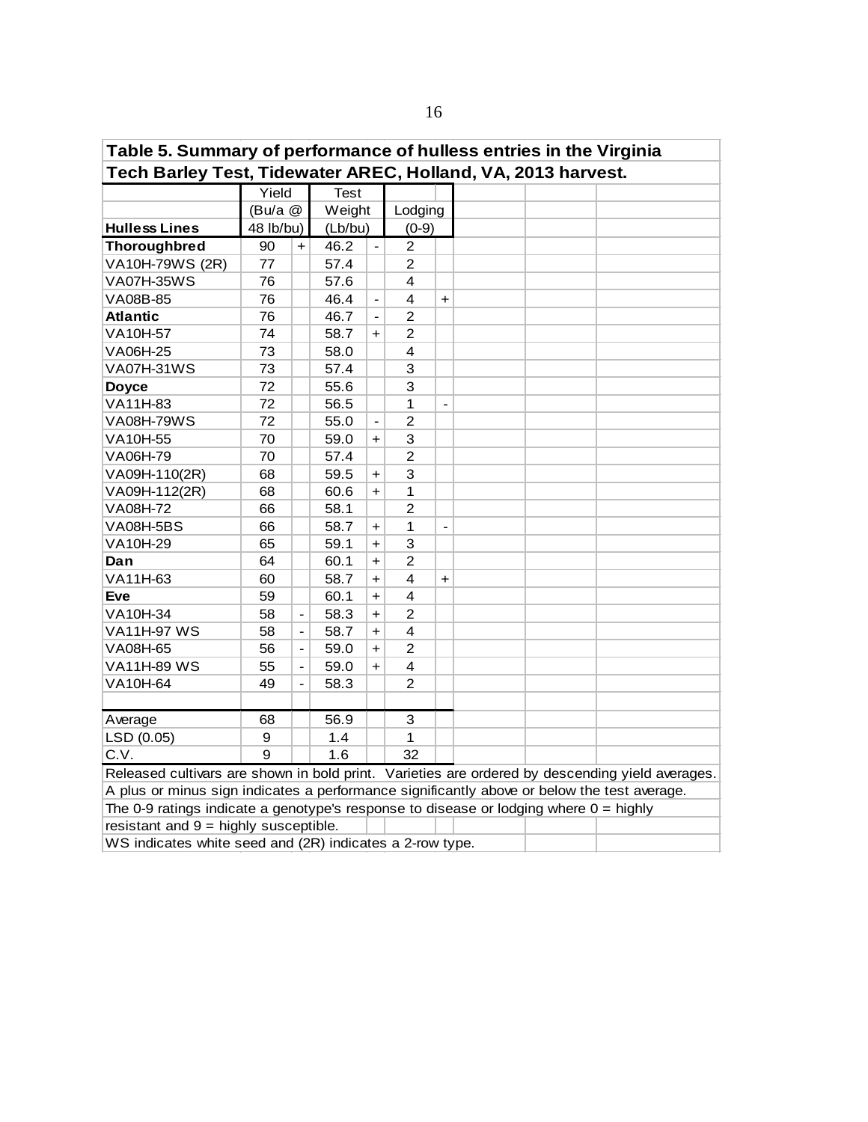| Table 5. Summary of performance of hulless entries in the Virginia                                                                                             |                                                                                                                                    |                              |             |                      |                |                          |  |  |  |  |  |  |  |  |
|----------------------------------------------------------------------------------------------------------------------------------------------------------------|------------------------------------------------------------------------------------------------------------------------------------|------------------------------|-------------|----------------------|----------------|--------------------------|--|--|--|--|--|--|--|--|
| Tech Barley Test, Tidewater AREC, Holland, VA, 2013 harvest.                                                                                                   |                                                                                                                                    |                              |             |                      |                |                          |  |  |  |  |  |  |  |  |
|                                                                                                                                                                | Yield                                                                                                                              |                              | <b>Test</b> |                      |                |                          |  |  |  |  |  |  |  |  |
|                                                                                                                                                                | (Bu/a)                                                                                                                             |                              | Weight      |                      | Lodging        |                          |  |  |  |  |  |  |  |  |
| <b>Hulless Lines</b>                                                                                                                                           | 48 lb/bu)                                                                                                                          |                              | (Lb/bu)     |                      | $(0-9)$        |                          |  |  |  |  |  |  |  |  |
| <b>Thoroughbred</b>                                                                                                                                            | 90                                                                                                                                 | $+$                          | 46.2        | $\blacksquare$       | $\overline{2}$ |                          |  |  |  |  |  |  |  |  |
| VA10H-79WS (2R)                                                                                                                                                | 77                                                                                                                                 |                              | 57.4        |                      | $\overline{c}$ |                          |  |  |  |  |  |  |  |  |
| <b>VA07H-35WS</b>                                                                                                                                              | 76                                                                                                                                 |                              | 57.6        |                      | 4              |                          |  |  |  |  |  |  |  |  |
| VA08B-85                                                                                                                                                       | 76                                                                                                                                 |                              | 46.4        | $\frac{1}{2}$        | 4              | $\ddot{}$                |  |  |  |  |  |  |  |  |
| <b>Atlantic</b>                                                                                                                                                | 76                                                                                                                                 |                              | 46.7        |                      | $\overline{c}$ |                          |  |  |  |  |  |  |  |  |
| VA10H-57                                                                                                                                                       | 74                                                                                                                                 |                              | 58.7        | $+$                  | 2              |                          |  |  |  |  |  |  |  |  |
| VA06H-25                                                                                                                                                       | 73                                                                                                                                 |                              | 58.0        |                      | 4              |                          |  |  |  |  |  |  |  |  |
| VA07H-31WS                                                                                                                                                     | 73                                                                                                                                 |                              | 57.4        |                      | 3              |                          |  |  |  |  |  |  |  |  |
| 72<br>3<br>55.6<br><b>Doyce</b><br>VA11H-83<br>72<br>1<br>56.5<br>$\overline{\phantom{a}}$<br><b>VA08H-79WS</b><br>72<br>2<br>55.0<br>$\overline{\phantom{a}}$ |                                                                                                                                    |                              |             |                      |                |                          |  |  |  |  |  |  |  |  |
| 70<br>59.0<br>3<br>$\ddot{}$<br>$\overline{2}$<br>70<br>57.4                                                                                                   |                                                                                                                                    |                              |             |                      |                |                          |  |  |  |  |  |  |  |  |
| 3<br>68<br>59.5<br>$\ddot{}$                                                                                                                                   |                                                                                                                                    |                              |             |                      |                |                          |  |  |  |  |  |  |  |  |
| VA10H-55                                                                                                                                                       |                                                                                                                                    |                              |             |                      |                |                          |  |  |  |  |  |  |  |  |
| VA06H-79                                                                                                                                                       |                                                                                                                                    |                              |             |                      |                |                          |  |  |  |  |  |  |  |  |
| VA09H-110(2R)                                                                                                                                                  |                                                                                                                                    |                              |             |                      |                |                          |  |  |  |  |  |  |  |  |
| $\mathbf{1}$<br>68<br>VA09H-112(2R)<br>60.6<br>$+$                                                                                                             |                                                                                                                                    |                              |             |                      |                |                          |  |  |  |  |  |  |  |  |
| VA08H-72                                                                                                                                                       | 66                                                                                                                                 |                              | 58.1        |                      | $\overline{2}$ |                          |  |  |  |  |  |  |  |  |
| <b>VA08H-5BS</b>                                                                                                                                               | 66                                                                                                                                 |                              | 58.7        | $+$                  | 1              | $\overline{\phantom{a}}$ |  |  |  |  |  |  |  |  |
| VA10H-29                                                                                                                                                       | 65                                                                                                                                 |                              | 59.1        | $\ddot{}$            | 3              |                          |  |  |  |  |  |  |  |  |
| Dan                                                                                                                                                            | 64                                                                                                                                 |                              | 60.1        | $\ddot{}$            | $\overline{2}$ |                          |  |  |  |  |  |  |  |  |
| VA11H-63                                                                                                                                                       | 60                                                                                                                                 |                              | 58.7        | $\ddag$              | 4              | $\ddot{}$                |  |  |  |  |  |  |  |  |
| Eve                                                                                                                                                            | 59                                                                                                                                 |                              | 60.1        | $\ddot{}$            | 4              |                          |  |  |  |  |  |  |  |  |
| VA10H-34                                                                                                                                                       | 58                                                                                                                                 | $\overline{a}$               | 58.3        | $\ddag$              | $\overline{2}$ |                          |  |  |  |  |  |  |  |  |
| <b>VA11H-97 WS</b>                                                                                                                                             | 58                                                                                                                                 | $\frac{1}{2}$                | 58.7        | $\ddot{}$            | 4              |                          |  |  |  |  |  |  |  |  |
| VA08H-65                                                                                                                                                       | 56                                                                                                                                 | $\blacksquare$               | 59.0        | $+$                  | $\overline{2}$ |                          |  |  |  |  |  |  |  |  |
| <b>VA11H-89 WS</b>                                                                                                                                             | 55                                                                                                                                 | $\qquad \qquad \blacksquare$ | 59.0        | $\ddot{\phantom{1}}$ | 4              |                          |  |  |  |  |  |  |  |  |
| VA10H-64                                                                                                                                                       | 49                                                                                                                                 | $\frac{1}{2}$                | 58.3        |                      | $\overline{2}$ |                          |  |  |  |  |  |  |  |  |
|                                                                                                                                                                |                                                                                                                                    |                              |             |                      |                |                          |  |  |  |  |  |  |  |  |
| Average                                                                                                                                                        | 68                                                                                                                                 |                              | 56.9        |                      | 3              |                          |  |  |  |  |  |  |  |  |
| LSD (0.05)                                                                                                                                                     | 9                                                                                                                                  |                              | 1.4         |                      | 1              |                          |  |  |  |  |  |  |  |  |
| C.V.                                                                                                                                                           | 9                                                                                                                                  |                              | 1.6         |                      | 32             |                          |  |  |  |  |  |  |  |  |
| Released cultivars are shown in bold print. Varieties are ordered by descending yield averages.                                                                |                                                                                                                                    |                              |             |                      |                |                          |  |  |  |  |  |  |  |  |
| A plus or minus sign indicates a performance significantly above or below the test average.                                                                    |                                                                                                                                    |                              |             |                      |                |                          |  |  |  |  |  |  |  |  |
|                                                                                                                                                                |                                                                                                                                    |                              |             |                      |                |                          |  |  |  |  |  |  |  |  |
|                                                                                                                                                                | The 0-9 ratings indicate a genotype's response to disease or lodging where $0 =$ highly<br>resistant and $9 =$ highly susceptible. |                              |             |                      |                |                          |  |  |  |  |  |  |  |  |
| WS indicates white seed and (2R) indicates a 2-row type.                                                                                                       |                                                                                                                                    |                              |             |                      |                |                          |  |  |  |  |  |  |  |  |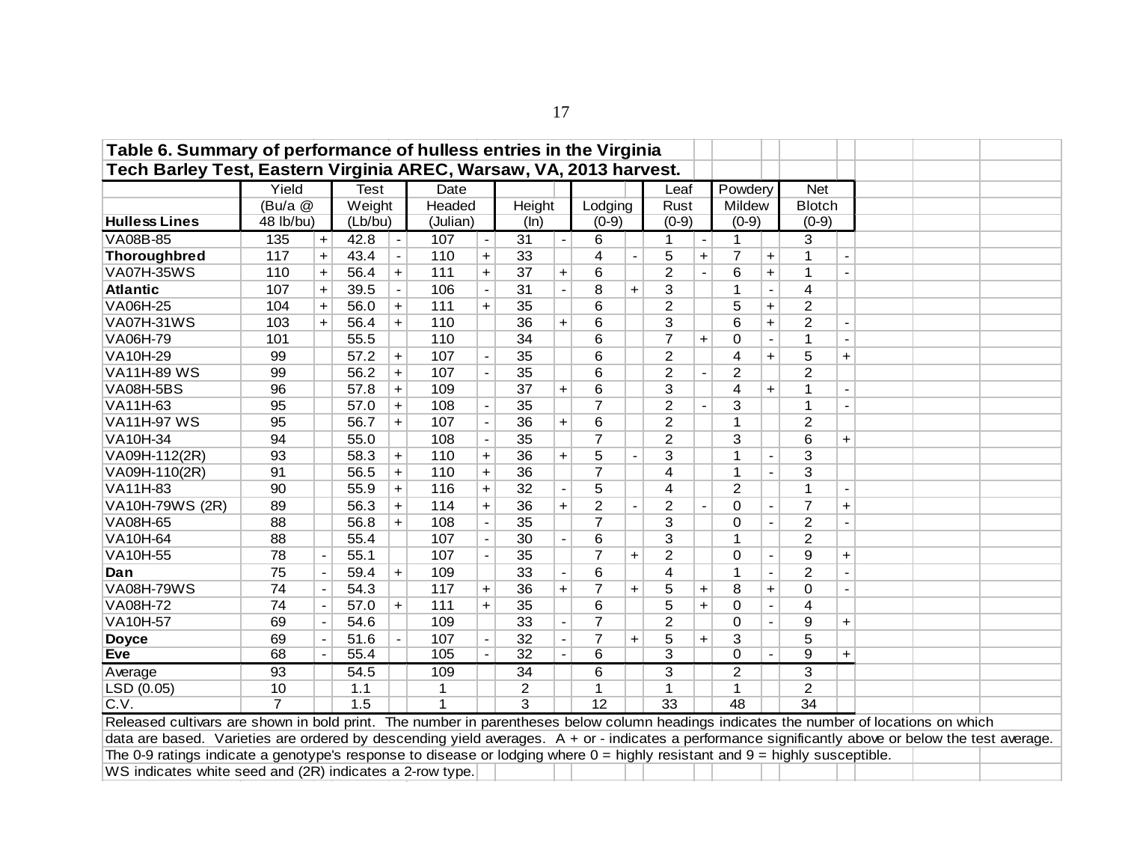| Table 6. Summary of performance of hulless entries in the Virginia                                                                                  |                                                                                                                                                                                                                                                                                                                                                                                                                                                                                                                                                                                                             |           |             |                          |                |                          |                 |                |                 |           |                         |           |                |                          |                 |                |  |  |
|-----------------------------------------------------------------------------------------------------------------------------------------------------|-------------------------------------------------------------------------------------------------------------------------------------------------------------------------------------------------------------------------------------------------------------------------------------------------------------------------------------------------------------------------------------------------------------------------------------------------------------------------------------------------------------------------------------------------------------------------------------------------------------|-----------|-------------|--------------------------|----------------|--------------------------|-----------------|----------------|-----------------|-----------|-------------------------|-----------|----------------|--------------------------|-----------------|----------------|--|--|
| Tech Barley Test, Eastern Virginia AREC, Warsaw, VA, 2013 harvest.                                                                                  |                                                                                                                                                                                                                                                                                                                                                                                                                                                                                                                                                                                                             |           |             |                          |                |                          |                 |                |                 |           |                         |           |                |                          |                 |                |  |  |
|                                                                                                                                                     | Yield                                                                                                                                                                                                                                                                                                                                                                                                                                                                                                                                                                                                       |           | <b>Test</b> |                          | Date           |                          |                 |                |                 |           | Leaf                    |           | Powdery        |                          | <b>Net</b>      |                |  |  |
|                                                                                                                                                     | (Bu/a @                                                                                                                                                                                                                                                                                                                                                                                                                                                                                                                                                                                                     |           | Weight      |                          | Headed         |                          | Height          |                | Lodging         |           | Rust                    |           | Mildew         |                          | <b>Blotch</b>   |                |  |  |
| <b>Hulless Lines</b>                                                                                                                                | 48 lb/bu)                                                                                                                                                                                                                                                                                                                                                                                                                                                                                                                                                                                                   |           | (Lb/bu)     |                          | (Julian)       |                          | (ln)            |                | $(0-9)$         |           | $(0-9)$                 |           | $(0-9)$        |                          | $(0-9)$         |                |  |  |
| VA08B-85                                                                                                                                            | 135                                                                                                                                                                                                                                                                                                                                                                                                                                                                                                                                                                                                         | $\ddot{}$ | 42.8        | $\blacksquare$           | 107            |                          | 31              |                | 6               |           | 1                       |           | 1              |                          | 3               |                |  |  |
| <b>Thoroughbred</b>                                                                                                                                 | 117                                                                                                                                                                                                                                                                                                                                                                                                                                                                                                                                                                                                         | $\ddot{}$ | 43.4        | $\overline{\phantom{a}}$ | 110            | $\ddot{}$                | 33              |                | 4               |           | 5                       | $\ddot{}$ | $\overline{7}$ | +                        |                 |                |  |  |
| <b>VA07H-35WS</b>                                                                                                                                   | 110                                                                                                                                                                                                                                                                                                                                                                                                                                                                                                                                                                                                         | $\ddot{}$ | 56.4        | $+$                      | 111            | $\ddot{}$                | 37              | $\ddot{}$      | 6               |           | $\overline{2}$          |           | 6              | $\ddot{}$                |                 |                |  |  |
| <b>Atlantic</b>                                                                                                                                     | 107                                                                                                                                                                                                                                                                                                                                                                                                                                                                                                                                                                                                         | $\ddot{}$ | 39.5        | $\blacksquare$           | 106            | $\blacksquare$           | $\overline{31}$ | $\blacksquare$ | 8               | $+$       | 3                       |           | 1              | $\overline{\phantom{a}}$ | 4               |                |  |  |
| VA06H-25                                                                                                                                            | 104                                                                                                                                                                                                                                                                                                                                                                                                                                                                                                                                                                                                         | $\ddot{}$ | 56.0        | $+$                      | 111            | $\ddot{}$                | 35              |                | 6               |           | $\overline{2}$          |           | 5              | $\ddot{}$                | $\overline{2}$  |                |  |  |
| <b>VA07H-31WS</b>                                                                                                                                   | 103                                                                                                                                                                                                                                                                                                                                                                                                                                                                                                                                                                                                         | $\ddot{}$ | 56.4        | $\ddot{}$                | 110            |                          | 36              | $\ddot{}$      | 6               |           | $\overline{3}$          |           | 6              | $\ddot{}$                | $\overline{2}$  |                |  |  |
| VA06H-79                                                                                                                                            | 101                                                                                                                                                                                                                                                                                                                                                                                                                                                                                                                                                                                                         |           | 55.5        |                          | 110            |                          | 34              |                | 6               |           | $\overline{7}$          |           | 0              |                          | $\mathbf 1$     |                |  |  |
| VA10H-29                                                                                                                                            | $\overline{2}$<br>5<br>99<br>57.2<br>107<br>35<br>6<br>$\overline{4}$<br>$\ddot{}$<br>$\ddot{}$<br>$+$<br>$\overline{2}$<br>99<br>56.2<br>35<br>6<br>$\overline{2}$<br>$\overline{2}$<br>107<br>$\ddot{}$<br>$\blacksquare$<br>57.8<br>109<br>37<br>6<br>3<br>$\overline{4}$<br>96<br>$+$<br>$+$<br>$\mathbf 1$<br>$+$<br>$\overline{a}$<br>$\overline{c}$<br>95<br>57.0<br>108<br>35<br>$\overline{7}$<br>3<br>$+$<br>1<br>$\overline{\phantom{a}}$<br>$\blacksquare$<br>$\overline{a}$<br>$\overline{c}$<br>$\overline{2}$<br>95<br>56.7<br>107<br>36<br>6<br>1<br>$+$<br>$+$<br>$\overline{\phantom{a}}$ |           |             |                          |                |                          |                 |                |                 |           |                         |           |                |                          |                 |                |  |  |
| <b>VA11H-89 WS</b>                                                                                                                                  | $+$<br>35<br>$\overline{7}$<br>$\overline{c}$<br>94<br>55.0<br>3<br>6<br>108<br>$+$<br>$\overline{\phantom{a}}$<br>5<br>93<br>36<br>1<br>3<br>110<br>$+$<br>$\ddot{}$<br>$\ddot{}$                                                                                                                                                                                                                                                                                                                                                                                                                          |           |             |                          |                |                          |                 |                |                 |           |                         |           |                |                          |                 |                |  |  |
| VA08H-5BS                                                                                                                                           | 58.3<br>3<br>4<br>3<br>91<br>56.5<br>110<br>36<br>$\overline{7}$<br>1<br>$\ddot{}$<br>$\ddot{}$                                                                                                                                                                                                                                                                                                                                                                                                                                                                                                             |           |             |                          |                |                          |                 |                |                 |           |                         |           |                |                          |                 |                |  |  |
| VA11H-63                                                                                                                                            |                                                                                                                                                                                                                                                                                                                                                                                                                                                                                                                                                                                                             |           |             |                          |                |                          |                 |                |                 |           |                         |           |                |                          |                 |                |  |  |
| <b>VA11H-97 WS</b>                                                                                                                                  |                                                                                                                                                                                                                                                                                                                                                                                                                                                                                                                                                                                                             |           |             |                          |                |                          |                 |                |                 |           |                         |           |                |                          |                 |                |  |  |
| VA10H-34                                                                                                                                            |                                                                                                                                                                                                                                                                                                                                                                                                                                                                                                                                                                                                             |           |             |                          |                |                          |                 |                |                 |           |                         |           |                |                          |                 |                |  |  |
| VA09H-112(2R)                                                                                                                                       |                                                                                                                                                                                                                                                                                                                                                                                                                                                                                                                                                                                                             |           |             |                          |                |                          |                 |                |                 |           |                         |           |                |                          |                 |                |  |  |
| VA09H-110(2R)                                                                                                                                       |                                                                                                                                                                                                                                                                                                                                                                                                                                                                                                                                                                                                             |           |             |                          |                |                          |                 |                |                 |           |                         |           |                |                          |                 |                |  |  |
| VA11H-83                                                                                                                                            | 90                                                                                                                                                                                                                                                                                                                                                                                                                                                                                                                                                                                                          |           | 55.9        | $\ddot{}$                | 116            | $\ddot{}$                | 32              |                | 5               |           | 4                       |           | $\overline{2}$ |                          |                 |                |  |  |
| VA10H-79WS (2R)                                                                                                                                     | $\overline{2}$<br>36<br>$\overline{2}$<br>$\overline{0}$<br>$\overline{7}$<br>89<br>56.3<br>114<br>$\ddot{}$<br>$+$<br>$+$<br>$+$<br>$\overline{\phantom{a}}$                                                                                                                                                                                                                                                                                                                                                                                                                                               |           |             |                          |                |                          |                 |                |                 |           |                         |           |                |                          |                 |                |  |  |
| VA08H-65                                                                                                                                            | 88                                                                                                                                                                                                                                                                                                                                                                                                                                                                                                                                                                                                          |           | 56.8        | $+$                      | 108            | $\overline{\phantom{a}}$ | 35              |                | $\overline{7}$  |           | 3                       |           | 0              | $\overline{\phantom{a}}$ | $\overline{2}$  | $\blacksquare$ |  |  |
| <b>VA10H-64</b>                                                                                                                                     | 88                                                                                                                                                                                                                                                                                                                                                                                                                                                                                                                                                                                                          |           | 55.4        |                          | 107            | $\overline{\phantom{a}}$ | 30              |                | 6               |           | $\overline{3}$          |           | 1              |                          | $\overline{2}$  |                |  |  |
| VA10H-55                                                                                                                                            | 78                                                                                                                                                                                                                                                                                                                                                                                                                                                                                                                                                                                                          |           | 55.1        |                          | 107            |                          | 35              |                | $\overline{7}$  | $\ddot{}$ | $\overline{2}$          |           | $\mathbf 0$    |                          | 9               | $\ddot{}$      |  |  |
| Dan                                                                                                                                                 | 75                                                                                                                                                                                                                                                                                                                                                                                                                                                                                                                                                                                                          |           | 59.4        | $+$                      | 109            |                          | 33              |                | 6               |           | 4                       |           | $\mathbf{1}$   | $\overline{a}$           | $\overline{2}$  |                |  |  |
| <b>VA08H-79WS</b>                                                                                                                                   | 74                                                                                                                                                                                                                                                                                                                                                                                                                                                                                                                                                                                                          |           | 54.3        |                          | 117            | $\ddot{}$                | 36              | $\ddot{}$      | $\overline{7}$  | $\ddot{}$ | 5                       | $\ddot{}$ | 8              | $\ddot{}$                | $\Omega$        |                |  |  |
| VA08H-72                                                                                                                                            | 74                                                                                                                                                                                                                                                                                                                                                                                                                                                                                                                                                                                                          |           | 57.0        | $+$                      | 111            | $+$                      | 35              |                | 6               |           | 5                       | $+$       | 0              | $\blacksquare$           | 4               |                |  |  |
| VA10H-57                                                                                                                                            | 69                                                                                                                                                                                                                                                                                                                                                                                                                                                                                                                                                                                                          |           | 54.6        |                          | 109            |                          | 33              | $\blacksquare$ | $\overline{7}$  |           | $\overline{2}$          |           | $\overline{0}$ | $\blacksquare$           | 9               | $+$            |  |  |
| <b>Doyce</b>                                                                                                                                        | 69                                                                                                                                                                                                                                                                                                                                                                                                                                                                                                                                                                                                          |           | 51.6        |                          | 107            | $\overline{\phantom{a}}$ | 32              | $\blacksquare$ | $\overline{7}$  | $\ddot{}$ | 5                       | $\ddot{}$ | 3              |                          | 5               |                |  |  |
| Eve                                                                                                                                                 | 68                                                                                                                                                                                                                                                                                                                                                                                                                                                                                                                                                                                                          |           | 55.4        |                          | 105            |                          | 32              |                | $\overline{6}$  |           | $\overline{\mathbf{3}}$ |           | $\Omega$       |                          | $\overline{9}$  | $\ddot{}$      |  |  |
| Average                                                                                                                                             | 93                                                                                                                                                                                                                                                                                                                                                                                                                                                                                                                                                                                                          |           | 54.5        |                          | 109            |                          | 34              |                | 6               |           | 3                       |           | $\overline{2}$ |                          | 3               |                |  |  |
| LSD (0.05)                                                                                                                                          | 10                                                                                                                                                                                                                                                                                                                                                                                                                                                                                                                                                                                                          |           | 1.1         |                          | 1              |                          | $\overline{2}$  |                | $\overline{1}$  |           | $\mathbf{1}$            |           | 1              |                          | $\overline{2}$  |                |  |  |
| C.V.                                                                                                                                                | $\overline{7}$                                                                                                                                                                                                                                                                                                                                                                                                                                                                                                                                                                                              |           | 1.5         |                          | $\overline{1}$ |                          | $\overline{3}$  |                | $\overline{12}$ |           | 33                      |           | 48             |                          | $\overline{34}$ |                |  |  |
| Released cultivars are shown in bold print. The number in parentheses below column headings indicates the number of locations on which              |                                                                                                                                                                                                                                                                                                                                                                                                                                                                                                                                                                                                             |           |             |                          |                |                          |                 |                |                 |           |                         |           |                |                          |                 |                |  |  |
| data are based. Varieties are ordered by descending yield averages. A + or - indicates a performance significantly above or below the test average. |                                                                                                                                                                                                                                                                                                                                                                                                                                                                                                                                                                                                             |           |             |                          |                |                          |                 |                |                 |           |                         |           |                |                          |                 |                |  |  |
| The 0-9 ratings indicate a genotype's response to disease or lodging where $0 =$ highly resistant and $9 =$ highly susceptible.                     |                                                                                                                                                                                                                                                                                                                                                                                                                                                                                                                                                                                                             |           |             |                          |                |                          |                 |                |                 |           |                         |           |                |                          |                 |                |  |  |
| WS indicates white seed and (2R) indicates a 2-row type.                                                                                            |                                                                                                                                                                                                                                                                                                                                                                                                                                                                                                                                                                                                             |           |             |                          |                |                          |                 |                |                 |           |                         |           |                |                          |                 |                |  |  |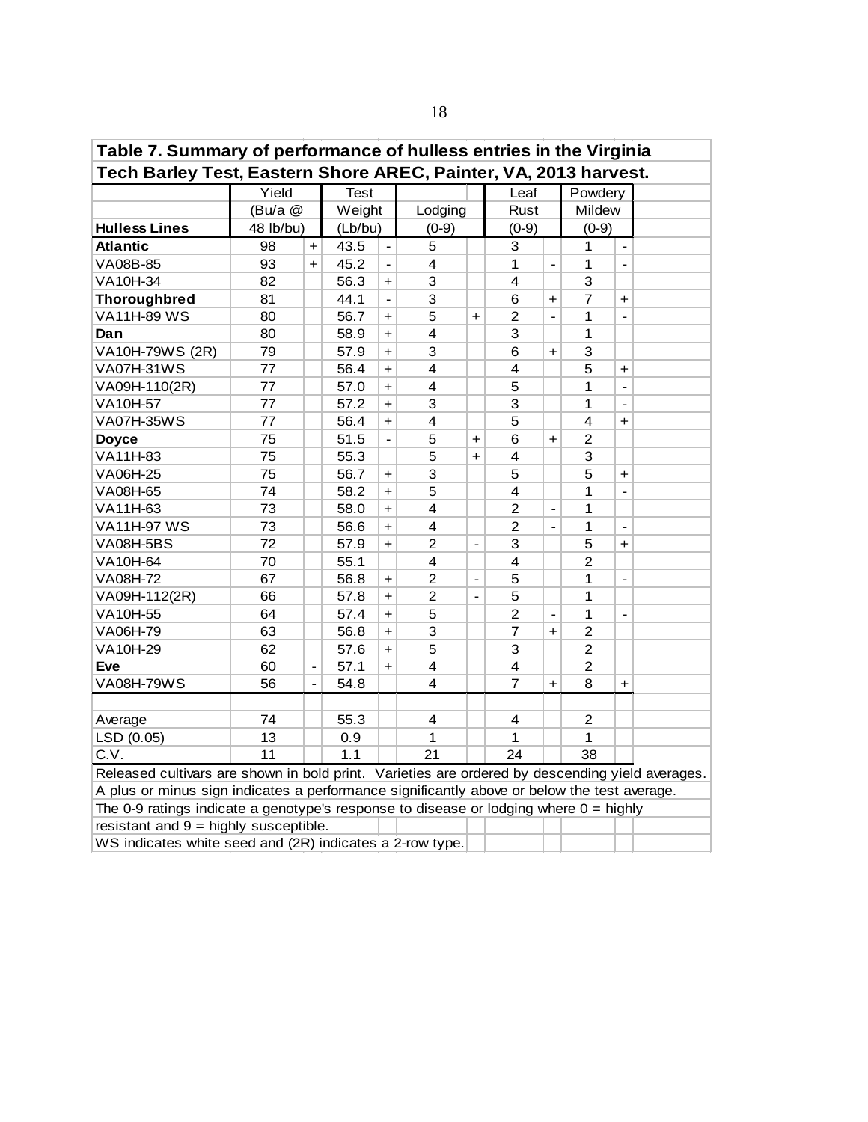| Table 7. Summary of performance of hulless entries in the Virginia                                                                   |                                                                                                                                                                                                |                          |             |                          |                         |                              |                         |                |                         |                          |  |  |  |  |
|--------------------------------------------------------------------------------------------------------------------------------------|------------------------------------------------------------------------------------------------------------------------------------------------------------------------------------------------|--------------------------|-------------|--------------------------|-------------------------|------------------------------|-------------------------|----------------|-------------------------|--------------------------|--|--|--|--|
| Tech Barley Test, Eastern Shore AREC, Painter, VA, 2013 harvest.                                                                     |                                                                                                                                                                                                |                          |             |                          |                         |                              |                         |                |                         |                          |  |  |  |  |
|                                                                                                                                      | Yield                                                                                                                                                                                          |                          | <b>Test</b> |                          |                         |                              | Leaf                    |                | Powdery                 |                          |  |  |  |  |
|                                                                                                                                      | (Bu/a @                                                                                                                                                                                        |                          | Weight      |                          | Lodging                 |                              | Rust                    |                | Mildew                  |                          |  |  |  |  |
| <b>Hulless Lines</b>                                                                                                                 | 48 lb/bu)                                                                                                                                                                                      |                          | (Lb/bu)     |                          | $(0-9)$                 |                              | $(0-9)$                 |                | $(0-9)$                 |                          |  |  |  |  |
| <b>Atlantic</b>                                                                                                                      | 98                                                                                                                                                                                             | $\ddot{}$                | 43.5        | $\overline{\phantom{a}}$ | 5                       |                              | 3                       |                | 1                       | $\blacksquare$           |  |  |  |  |
| VA08B-85                                                                                                                             | 93                                                                                                                                                                                             | $\ddot{}$                | 45.2        |                          | $\overline{4}$          |                              | 1                       | $\overline{a}$ | 1                       | $\blacksquare$           |  |  |  |  |
| VA10H-34                                                                                                                             | 82                                                                                                                                                                                             |                          | 56.3        | +                        | 3                       |                              | $\overline{4}$          |                | 3                       |                          |  |  |  |  |
| <b>Thoroughbred</b>                                                                                                                  | 81                                                                                                                                                                                             |                          | 44.1        | $\overline{a}$           | 3                       |                              | $6\phantom{1}6$         | $\ddot{}$      | $\overline{7}$          | $\ddot{}$                |  |  |  |  |
| <b>VA11H-89 WS</b>                                                                                                                   | 80                                                                                                                                                                                             |                          | 56.7        | $\ddot{}$                | 5                       | $\ddot{\phantom{1}}$         | $\overline{c}$          | $\overline{a}$ | $\mathbf{1}$            | $\blacksquare$           |  |  |  |  |
| Dan                                                                                                                                  | 80                                                                                                                                                                                             |                          | 58.9        | +                        | 4                       |                              | 3                       |                | 1                       |                          |  |  |  |  |
| VA10H-79WS (2R)                                                                                                                      | 79                                                                                                                                                                                             |                          | 57.9        | $\ddot{}$                | 3                       |                              | 6                       | $\ddot{}$      | 3                       |                          |  |  |  |  |
| <b>VA07H-31WS</b>                                                                                                                    | 77                                                                                                                                                                                             |                          | 56.4        | $\ddot{}$                | $\overline{\mathbf{4}}$ |                              | $\overline{\mathbf{4}}$ |                | 5                       | $\ddot{}$                |  |  |  |  |
| 5<br>$\overline{4}$<br>77<br>1<br>VA09H-110(2R)<br>57.0<br>$\ddot{}$<br>$\blacksquare$<br>3<br>3<br>VA10H-57<br>77<br>57.2<br>1<br>+ |                                                                                                                                                                                                |                          |             |                          |                         |                              |                         |                |                         |                          |  |  |  |  |
|                                                                                                                                      |                                                                                                                                                                                                |                          |             |                          |                         |                              |                         |                |                         |                          |  |  |  |  |
| <b>VA07H-35WS</b>                                                                                                                    | 77                                                                                                                                                                                             |                          | 56.4        | $\ddot{}$                | $\overline{\mathbf{4}}$ |                              | 5                       |                | $\overline{\mathbf{4}}$ | $\ddot{\phantom{1}}$     |  |  |  |  |
| <b>Doyce</b>                                                                                                                         | 75                                                                                                                                                                                             |                          | 51.5        | $\overline{\phantom{a}}$ | 5                       | $\ddot{}$                    | 6                       | +              | $\overline{c}$          |                          |  |  |  |  |
| VA11H-83                                                                                                                             | 75                                                                                                                                                                                             |                          | 55.3        |                          | 5                       | $\ddot{}$                    | $\overline{\mathbf{4}}$ |                | 3                       |                          |  |  |  |  |
| VA06H-25                                                                                                                             | 75                                                                                                                                                                                             |                          | 56.7        | $\ddag$                  | 3                       |                              | 5                       |                | 5                       | $\ddot{}$                |  |  |  |  |
| VA08H-65                                                                                                                             | 74                                                                                                                                                                                             |                          | 58.2        | $\ddot{\phantom{1}}$     | 5                       |                              | $\overline{\mathbf{4}}$ |                | 1                       |                          |  |  |  |  |
| VA11H-63                                                                                                                             | 73                                                                                                                                                                                             |                          | 58.0        | $\ddot{}$                | $\overline{\mathbf{4}}$ |                              | $\overline{2}$          |                | 1                       |                          |  |  |  |  |
| <b>VA11H-97 WS</b>                                                                                                                   | 73                                                                                                                                                                                             |                          | 56.6        | $\ddot{}$                | $\overline{4}$          |                              | $\overline{2}$          | $\overline{a}$ | 1                       | $\blacksquare$           |  |  |  |  |
| <b>VA08H-5BS</b>                                                                                                                     | 72                                                                                                                                                                                             |                          | 57.9        | +                        | $\overline{c}$          | $\qquad \qquad -$            | 3                       |                | 5                       | $+$                      |  |  |  |  |
| VA10H-64                                                                                                                             | 70                                                                                                                                                                                             |                          | 55.1        |                          | 4                       |                              | 4                       |                | $\overline{2}$          |                          |  |  |  |  |
| VA08H-72                                                                                                                             | 67                                                                                                                                                                                             |                          | 56.8        | $\ddot{}$                | $\overline{c}$          | $\overline{\phantom{a}}$     | 5                       |                | 1                       | $\overline{\phantom{a}}$ |  |  |  |  |
| VA09H-112(2R)                                                                                                                        | 66                                                                                                                                                                                             |                          | 57.8        | $\ddot{}$                | $\overline{2}$          | $\qquad \qquad \blacksquare$ | 5                       |                | 1                       |                          |  |  |  |  |
| VA10H-55                                                                                                                             | 64                                                                                                                                                                                             |                          | 57.4        | $\ddot{}$                | 5                       |                              | $\overline{2}$          |                | $\mathbf{1}$            |                          |  |  |  |  |
| VA06H-79                                                                                                                             | 63                                                                                                                                                                                             |                          | 56.8        | $\ddot{}$                | 3                       |                              | $\overline{7}$          | $\ddot{}$      | $\overline{2}$          |                          |  |  |  |  |
| VA10H-29                                                                                                                             | 62                                                                                                                                                                                             |                          | 57.6        | +                        | 5                       |                              | 3                       |                | $\overline{2}$          |                          |  |  |  |  |
| Eve                                                                                                                                  | 60                                                                                                                                                                                             | $\overline{\phantom{0}}$ | 57.1        | $+$                      | 4                       |                              | $\overline{\mathbf{4}}$ |                | $\overline{c}$          |                          |  |  |  |  |
| <b>VA08H-79WS</b>                                                                                                                    | 56                                                                                                                                                                                             | $\frac{1}{2}$            | 54.8        |                          | $\overline{\mathbf{4}}$ |                              | 7                       | $\ddot{}$      | 8                       | $\ddot{}$                |  |  |  |  |
|                                                                                                                                      |                                                                                                                                                                                                |                          |             |                          |                         |                              |                         |                |                         |                          |  |  |  |  |
| Average                                                                                                                              | 74                                                                                                                                                                                             |                          | 55.3        |                          | 4                       |                              | 4                       |                | $\overline{2}$          |                          |  |  |  |  |
| LSD (0.05)                                                                                                                           | 13                                                                                                                                                                                             |                          | 0.9         |                          | 1                       |                              | 1                       |                | 1                       |                          |  |  |  |  |
| C.V.                                                                                                                                 | 11                                                                                                                                                                                             |                          | 1.1         |                          | 21                      |                              | 24                      |                | 38                      |                          |  |  |  |  |
|                                                                                                                                      |                                                                                                                                                                                                |                          |             |                          |                         |                              |                         |                |                         |                          |  |  |  |  |
|                                                                                                                                      | Released cultivars are shown in bold print. Varieties are ordered by descending yield averages.<br>A plus or minus sign indicates a performance significantly above or below the test average. |                          |             |                          |                         |                              |                         |                |                         |                          |  |  |  |  |
| The 0-9 ratings indicate a genotype's response to disease or lodging where $0 =$ highly                                              |                                                                                                                                                                                                |                          |             |                          |                         |                              |                         |                |                         |                          |  |  |  |  |
|                                                                                                                                      | resistant and $9 =$ highly susceptible.<br>WS indicates white seed and (2R) indicates a 2-row type.                                                                                            |                          |             |                          |                         |                              |                         |                |                         |                          |  |  |  |  |
|                                                                                                                                      |                                                                                                                                                                                                |                          |             |                          |                         |                              |                         |                |                         |                          |  |  |  |  |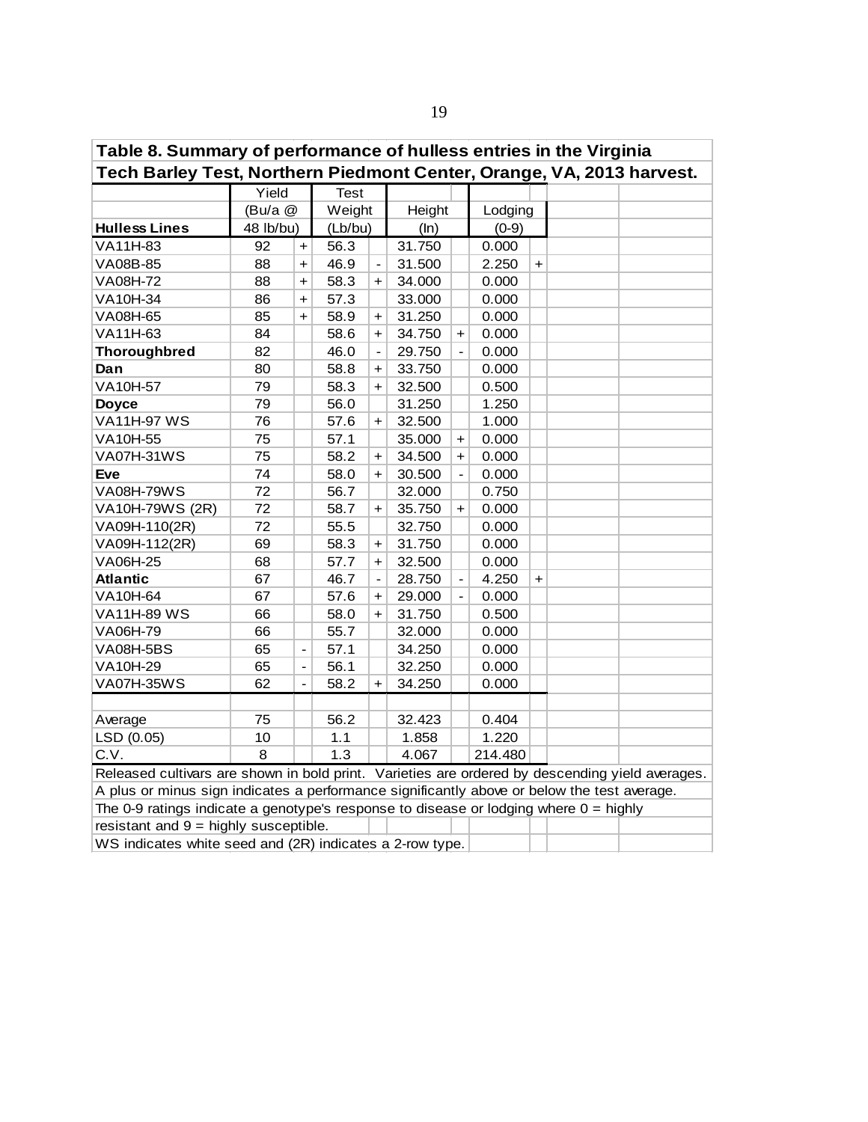| Table 8. Summary of performance of hulless entries in the Virginia                                                                            |                                                                                                                                                                                        |                |             |                              |        |                      |         |     |  |  |  |  |  |  |
|-----------------------------------------------------------------------------------------------------------------------------------------------|----------------------------------------------------------------------------------------------------------------------------------------------------------------------------------------|----------------|-------------|------------------------------|--------|----------------------|---------|-----|--|--|--|--|--|--|
| Tech Barley Test, Northern Piedmont Center, Orange, VA, 2013 harvest.                                                                         |                                                                                                                                                                                        |                |             |                              |        |                      |         |     |  |  |  |  |  |  |
|                                                                                                                                               | Yield                                                                                                                                                                                  |                | <b>Test</b> |                              |        |                      |         |     |  |  |  |  |  |  |
|                                                                                                                                               | (Bu/a @                                                                                                                                                                                |                | Weight      |                              | Height |                      | Lodging |     |  |  |  |  |  |  |
| <b>Hulless Lines</b>                                                                                                                          | 48 lb/bu)                                                                                                                                                                              |                | (Lb/bu)     |                              | (ln)   |                      | $(0-9)$ |     |  |  |  |  |  |  |
| VA11H-83                                                                                                                                      | 92                                                                                                                                                                                     | $\ddot{}$      | 56.3        |                              | 31.750 |                      | 0.000   |     |  |  |  |  |  |  |
| VA08B-85                                                                                                                                      | 88                                                                                                                                                                                     | $\ddot{}$      | 46.9        | $\qquad \qquad \blacksquare$ | 31.500 |                      | 2.250   | $+$ |  |  |  |  |  |  |
| VA08H-72                                                                                                                                      | 88                                                                                                                                                                                     | $\ddot{}$      | 58.3        | $\ddot{}$                    | 34.000 |                      | 0.000   |     |  |  |  |  |  |  |
| VA10H-34                                                                                                                                      | 86                                                                                                                                                                                     | $\ddot{}$      | 57.3        |                              | 33.000 |                      | 0.000   |     |  |  |  |  |  |  |
| VA08H-65                                                                                                                                      | 85                                                                                                                                                                                     | $+$            | 58.9        | $\ddot{}$                    | 31.250 |                      | 0.000   |     |  |  |  |  |  |  |
| VA11H-63                                                                                                                                      | 84                                                                                                                                                                                     |                | 58.6        | $\ddot{}$                    | 34.750 | +                    | 0.000   |     |  |  |  |  |  |  |
| <b>Thoroughbred</b>                                                                                                                           | 82                                                                                                                                                                                     |                | 46.0        | $\blacksquare$               | 29.750 | $\overline{a}$       | 0.000   |     |  |  |  |  |  |  |
| Dan                                                                                                                                           | 80                                                                                                                                                                                     |                | 58.8        | $+$                          | 33.750 |                      | 0.000   |     |  |  |  |  |  |  |
| 79<br>VA10H-57<br>58.3<br>32.500<br>0.500<br>+<br>1.250<br><b>Doyce</b><br>79<br>56.0<br>31.250<br>76<br>1.000<br>57.6<br>32.500<br>$\ddot{}$ |                                                                                                                                                                                        |                |             |                              |        |                      |         |     |  |  |  |  |  |  |
| 57.1<br>0.000<br>75<br>35.000<br>+                                                                                                            |                                                                                                                                                                                        |                |             |                              |        |                      |         |     |  |  |  |  |  |  |
| <b>VA11H-97 WS</b>                                                                                                                            |                                                                                                                                                                                        |                |             |                              |        |                      |         |     |  |  |  |  |  |  |
| VA10H-55                                                                                                                                      |                                                                                                                                                                                        |                |             |                              |        |                      |         |     |  |  |  |  |  |  |
| <b>VA07H-31WS</b>                                                                                                                             | 75                                                                                                                                                                                     |                | 58.2        | $\ddot{}$                    | 34.500 | $\ddot{\phantom{1}}$ | 0.000   |     |  |  |  |  |  |  |
| <b>Eve</b>                                                                                                                                    | 74                                                                                                                                                                                     |                | 58.0        | $\ddot{}$                    | 30.500 | $\frac{1}{2}$        | 0.000   |     |  |  |  |  |  |  |
| <b>VA08H-79WS</b>                                                                                                                             | 72                                                                                                                                                                                     |                | 56.7        |                              | 32.000 |                      | 0.750   |     |  |  |  |  |  |  |
| VA10H-79WS (2R)                                                                                                                               | 72                                                                                                                                                                                     |                | 58.7        | $\ddot{}$                    | 35.750 | $\ddot{}$            | 0.000   |     |  |  |  |  |  |  |
| VA09H-110(2R)                                                                                                                                 | 72                                                                                                                                                                                     |                | 55.5        |                              | 32.750 |                      | 0.000   |     |  |  |  |  |  |  |
| VA09H-112(2R)                                                                                                                                 | 69                                                                                                                                                                                     |                | 58.3        | +                            | 31.750 |                      | 0.000   |     |  |  |  |  |  |  |
| VA06H-25                                                                                                                                      | 68                                                                                                                                                                                     |                | 57.7        | $+$                          | 32.500 |                      | 0.000   |     |  |  |  |  |  |  |
| <b>Atlantic</b>                                                                                                                               | 67                                                                                                                                                                                     |                | 46.7        | $\blacksquare$               | 28.750 | $\blacksquare$       | 4.250   | $+$ |  |  |  |  |  |  |
| VA10H-64                                                                                                                                      | 67                                                                                                                                                                                     |                | 57.6        | $\ddot{}$                    | 29.000 |                      | 0.000   |     |  |  |  |  |  |  |
| <b>VA11H-89 WS</b>                                                                                                                            | 66                                                                                                                                                                                     |                | 58.0        | $+$                          | 31.750 |                      | 0.500   |     |  |  |  |  |  |  |
| VA06H-79                                                                                                                                      | 66                                                                                                                                                                                     |                | 55.7        |                              | 32.000 |                      | 0.000   |     |  |  |  |  |  |  |
| <b>VA08H-5BS</b>                                                                                                                              | 65                                                                                                                                                                                     | $\overline{a}$ | 57.1        |                              | 34.250 |                      | 0.000   |     |  |  |  |  |  |  |
| VA10H-29                                                                                                                                      | 65                                                                                                                                                                                     | -              | 56.1        |                              | 32.250 |                      | 0.000   |     |  |  |  |  |  |  |
| <b>VA07H-35WS</b>                                                                                                                             | 62                                                                                                                                                                                     |                | 58.2        | $\ddot{}$                    | 34.250 |                      | 0.000   |     |  |  |  |  |  |  |
|                                                                                                                                               |                                                                                                                                                                                        |                |             |                              |        |                      |         |     |  |  |  |  |  |  |
| Average                                                                                                                                       | 75                                                                                                                                                                                     |                | 56.2        |                              | 32.423 |                      | 0.404   |     |  |  |  |  |  |  |
| LSD (0.05)                                                                                                                                    | 10                                                                                                                                                                                     |                | 1.1         |                              | 1.858  |                      | 1.220   |     |  |  |  |  |  |  |
| C.V.                                                                                                                                          | 8                                                                                                                                                                                      |                | 1.3         |                              | 4.067  |                      | 214.480 |     |  |  |  |  |  |  |
| Released cultivars are shown in bold print. Varieties are ordered by descending yield averages.                                               |                                                                                                                                                                                        |                |             |                              |        |                      |         |     |  |  |  |  |  |  |
|                                                                                                                                               |                                                                                                                                                                                        |                |             |                              |        |                      |         |     |  |  |  |  |  |  |
|                                                                                                                                               | A plus or minus sign indicates a performance significantly above or below the test average.<br>The 0-9 ratings indicate a genotype's response to disease or lodging where $0 =$ highly |                |             |                              |        |                      |         |     |  |  |  |  |  |  |
|                                                                                                                                               | resistant and $9 =$ highly susceptible.                                                                                                                                                |                |             |                              |        |                      |         |     |  |  |  |  |  |  |
| WS indicates white seed and (2R) indicates a 2-row type.                                                                                      |                                                                                                                                                                                        |                |             |                              |        |                      |         |     |  |  |  |  |  |  |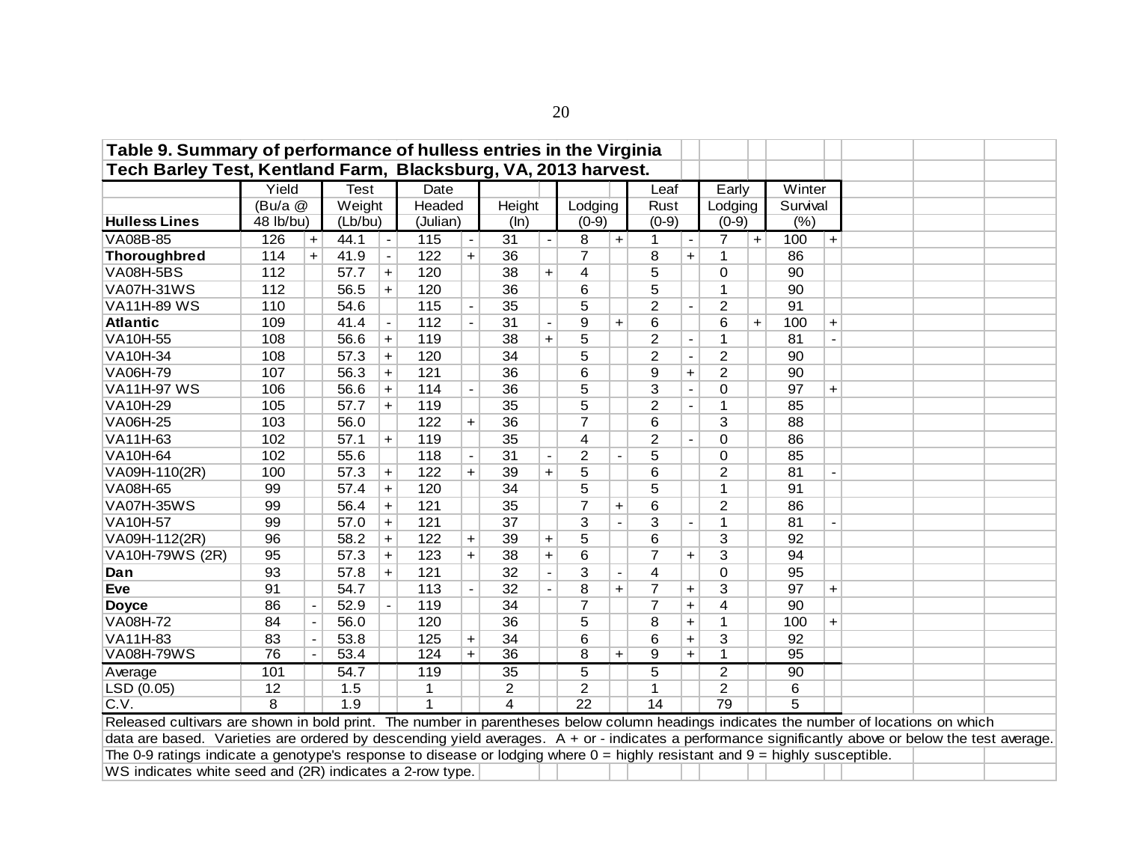| Table 9. Summary of performance of hulless entries in the Virginia                                                                                  |                                                                                                                                                                                                                                                                                                                                                                                                            |                |             |                |                |           |                |                          |                 |           |                 |                          |                |           |          |           |  |  |
|-----------------------------------------------------------------------------------------------------------------------------------------------------|------------------------------------------------------------------------------------------------------------------------------------------------------------------------------------------------------------------------------------------------------------------------------------------------------------------------------------------------------------------------------------------------------------|----------------|-------------|----------------|----------------|-----------|----------------|--------------------------|-----------------|-----------|-----------------|--------------------------|----------------|-----------|----------|-----------|--|--|
| Tech Barley Test, Kentland Farm, Blacksburg, VA, 2013 harvest.                                                                                      |                                                                                                                                                                                                                                                                                                                                                                                                            |                |             |                |                |           |                |                          |                 |           |                 |                          |                |           |          |           |  |  |
|                                                                                                                                                     | Yield                                                                                                                                                                                                                                                                                                                                                                                                      |                | <b>Test</b> |                | Date           |           |                |                          |                 |           | Leaf            |                          | Early          |           | Winter   |           |  |  |
|                                                                                                                                                     | (Bu/a @                                                                                                                                                                                                                                                                                                                                                                                                    |                | Weight      |                | Headed         |           | Height         |                          | Lodging         |           | Rust            |                          | Lodging        |           | Survival |           |  |  |
| <b>Hulless Lines</b>                                                                                                                                | 48 lb/bu)                                                                                                                                                                                                                                                                                                                                                                                                  |                | (Lb/bu)     |                | (Julian)       |           | (ln)           |                          | $(0-9)$         |           | $(0-9)$         |                          | $(0-9)$        |           | (%)      |           |  |  |
| VA08B-85                                                                                                                                            | 126                                                                                                                                                                                                                                                                                                                                                                                                        | $\ddot{}$      | 44.1        | $\blacksquare$ | 115            |           | 31             | $\overline{\phantom{a}}$ | 8               | $\ddot{}$ | 1               | $\blacksquare$           | 7              | $\ddot{}$ | 100      | $\ddot{}$ |  |  |
| <b>Thoroughbred</b>                                                                                                                                 | 114                                                                                                                                                                                                                                                                                                                                                                                                        | $+$            | 41.9        |                | 122            | $+$       | 36             |                          | 7               |           | 8               | $\ddot{}$                |                |           | 86       |           |  |  |
| <b>VA08H-5BS</b>                                                                                                                                    | 112                                                                                                                                                                                                                                                                                                                                                                                                        |                | 57.7        | $\ddot{}$      | 120            |           | 38             | $\ddot{}$                | 4               |           | 5               |                          | 0              |           | 90       |           |  |  |
| <b>VA07H-31WS</b>                                                                                                                                   | 112                                                                                                                                                                                                                                                                                                                                                                                                        |                | 56.5        | $+$            | 120            |           | 36             |                          | 6               |           | 5               |                          | 1              |           | 90       |           |  |  |
| <b>VA11H-89 WS</b>                                                                                                                                  | 110                                                                                                                                                                                                                                                                                                                                                                                                        |                | 54.6        |                | $115$          |           | 35             |                          | 5               |           | $\overline{2}$  | $\overline{\phantom{a}}$ | $\overline{2}$ |           | 91       |           |  |  |
| <b>Atlantic</b>                                                                                                                                     | 109                                                                                                                                                                                                                                                                                                                                                                                                        |                | 41.4        |                | 112            |           | 31             | $\overline{\phantom{a}}$ | 9               | $\ddot{}$ | 6               |                          | 6              | $\ddot{}$ | 100      | $\ddot{}$ |  |  |
| VA10H-55                                                                                                                                            | 108                                                                                                                                                                                                                                                                                                                                                                                                        |                | 56.6        | $\ddag$        | 119            |           | 38             | $\ddot{}$                | 5               |           | $\overline{2}$  | $\overline{\phantom{a}}$ | $\mathbf{1}$   |           | 81       |           |  |  |
| VA10H-34                                                                                                                                            | 120<br>$\overline{2}$<br>$\overline{2}$<br>108<br>57.3<br>34<br>5<br>90<br>$\blacksquare$<br>$\ddot{}$<br>56.3<br>121<br>9<br>107<br>36<br>6<br>$\overline{2}$<br>90<br>$\ddot{}$<br>$\ddot{}$<br>56.6<br>114<br>36<br>5<br>3<br>$\Omega$<br>97<br>106<br>$\ddot{}$<br>$\blacksquare$<br>$\ddot{}$<br>119<br>5<br>$\overline{2}$<br>105<br>57.7<br>35<br>$\mathbf{1}$<br>85<br>$\ddot{}$<br>$\blacksquare$ |                |             |                |                |           |                |                          |                 |           |                 |                          |                |           |          |           |  |  |
| VA06H-79                                                                                                                                            | 122<br>103<br>56.0<br>36<br>$\overline{7}$<br>3<br>6<br>88<br>$+$<br>35<br>$\overline{c}$<br>102<br>57.1<br>119<br>4<br>86<br>0<br>$\ddot{}$<br>$\overline{\phantom{a}}$                                                                                                                                                                                                                                   |                |             |                |                |           |                |                          |                 |           |                 |                          |                |           |          |           |  |  |
| <b>VA11H-97 WS</b>                                                                                                                                  | $\overline{2}$<br>102<br>55.6<br>118<br>31<br>5<br>$\Omega$<br>85                                                                                                                                                                                                                                                                                                                                          |                |             |                |                |           |                |                          |                 |           |                 |                          |                |           |          |           |  |  |
| VA10H-29                                                                                                                                            |                                                                                                                                                                                                                                                                                                                                                                                                            |                |             |                |                |           |                |                          |                 |           |                 |                          |                |           |          |           |  |  |
| <b>VA06H-25</b>                                                                                                                                     |                                                                                                                                                                                                                                                                                                                                                                                                            |                |             |                |                |           |                |                          |                 |           |                 |                          |                |           |          |           |  |  |
| VA11H-63                                                                                                                                            |                                                                                                                                                                                                                                                                                                                                                                                                            |                |             |                |                |           |                |                          |                 |           |                 |                          |                |           |          |           |  |  |
| VA10H-64                                                                                                                                            |                                                                                                                                                                                                                                                                                                                                                                                                            |                |             |                |                |           |                |                          |                 |           |                 |                          |                |           |          |           |  |  |
| VA09H-110(2R)                                                                                                                                       | 100                                                                                                                                                                                                                                                                                                                                                                                                        |                | 57.3        | $\ddot{}$      | 122            | $+$       | 39             | $\ddot{}$                | 5               |           | 6               |                          | $\overline{2}$ |           | 81       |           |  |  |
| VA08H-65                                                                                                                                            | 99                                                                                                                                                                                                                                                                                                                                                                                                         |                | 57.4        | $\ddot{}$      | 120            |           | 34             |                          | 5               |           | 5               |                          | 1              |           | 91       |           |  |  |
| <b>VA07H-35WS</b>                                                                                                                                   | 99                                                                                                                                                                                                                                                                                                                                                                                                         |                | 56.4        | $\ddot{}$      | 121            |           | 35             |                          | $\overline{7}$  | $\ddot{}$ | $6\phantom{1}6$ |                          | $\overline{2}$ |           | 86       |           |  |  |
| VA10H-57                                                                                                                                            | 99                                                                                                                                                                                                                                                                                                                                                                                                         |                | 57.0        | $\ddot{}$      | 121            |           | 37             |                          | 3               |           | 3               | $\overline{\phantom{a}}$ | 1              |           | 81       |           |  |  |
| VA09H-112(2R)                                                                                                                                       | 96                                                                                                                                                                                                                                                                                                                                                                                                         |                | 58.2        | $\ddag$        | 122            | $\ddot{}$ | 39             | $\ddot{}$                | 5               |           | 6               |                          | 3              |           | 92       |           |  |  |
| VA10H-79WS (2R)                                                                                                                                     | 95                                                                                                                                                                                                                                                                                                                                                                                                         |                | 57.3        | $\ddot{}$      | 123            | $\ddot{}$ | 38             | $\ddot{}$                | 6               |           | 7               | +                        | 3              |           | 94       |           |  |  |
| Dan                                                                                                                                                 | 93                                                                                                                                                                                                                                                                                                                                                                                                         |                | 57.8        | $\ddot{}$      | 121            |           | 32             |                          | 3               |           | 4               |                          | $\overline{0}$ |           | 95       |           |  |  |
| <b>Eve</b>                                                                                                                                          | 91                                                                                                                                                                                                                                                                                                                                                                                                         |                | 54.7        |                | 113            |           | 32             |                          | 8               | $\ddot{}$ | $\overline{7}$  | $\ddot{}$                | 3              |           | 97       | $\ddot{}$ |  |  |
| <b>Doyce</b>                                                                                                                                        | 86                                                                                                                                                                                                                                                                                                                                                                                                         |                | 52.9        |                | 119            |           | 34             |                          | 7               |           | $\overline{7}$  | $\ddot{}$                | 4              |           | 90       |           |  |  |
| <b>VA08H-72</b>                                                                                                                                     | 84                                                                                                                                                                                                                                                                                                                                                                                                         | $\blacksquare$ | 56.0        |                | 120            |           | 36             |                          | 5               |           | 8               | $\ddot{}$                | $\mathbf 1$    |           | 100      | $+$       |  |  |
| <b>VA11H-83</b>                                                                                                                                     | 83                                                                                                                                                                                                                                                                                                                                                                                                         | $\blacksquare$ | 53.8        |                | 125            | $\ddot{}$ | 34             |                          | 6               |           | 6               | $\ddot{}$                | 3              |           | 92       |           |  |  |
| <b>VA08H-79WS</b>                                                                                                                                   | 76                                                                                                                                                                                                                                                                                                                                                                                                         |                | 53.4        |                | 124            | $+$       | 36             |                          | 8               | $\ddot{}$ | 9               | $\ddot{}$                | 1              |           | 95       |           |  |  |
| Average                                                                                                                                             | 101                                                                                                                                                                                                                                                                                                                                                                                                        |                | 54.7        |                | 119            |           | 35             |                          | 5               |           | 5               |                          | $\overline{2}$ |           | 90       |           |  |  |
| LSD (0.05)                                                                                                                                          | 12                                                                                                                                                                                                                                                                                                                                                                                                         |                | 1.5         |                | 1              |           | $\overline{2}$ |                          | $\overline{2}$  |           | 1               |                          | $\overline{2}$ |           | 6        |           |  |  |
| C.V.                                                                                                                                                | $\overline{8}$                                                                                                                                                                                                                                                                                                                                                                                             |                | 1.9         |                | $\overline{1}$ |           | $\overline{4}$ |                          | $\overline{22}$ |           | 14              |                          | 79             |           | 5        |           |  |  |
| Released cultivars are shown in bold print. The number in parentheses below column headings indicates the number of locations on which              |                                                                                                                                                                                                                                                                                                                                                                                                            |                |             |                |                |           |                |                          |                 |           |                 |                          |                |           |          |           |  |  |
| data are based. Varieties are ordered by descending yield averages. A + or - indicates a performance significantly above or below the test average. |                                                                                                                                                                                                                                                                                                                                                                                                            |                |             |                |                |           |                |                          |                 |           |                 |                          |                |           |          |           |  |  |
| The 0-9 ratings indicate a genotype's response to disease or lodging where $0 =$ highly resistant and $9 =$ highly susceptible.                     |                                                                                                                                                                                                                                                                                                                                                                                                            |                |             |                |                |           |                |                          |                 |           |                 |                          |                |           |          |           |  |  |
| WS indicates white seed and (2R) indicates a 2-row type.                                                                                            |                                                                                                                                                                                                                                                                                                                                                                                                            |                |             |                |                |           |                |                          |                 |           |                 |                          |                |           |          |           |  |  |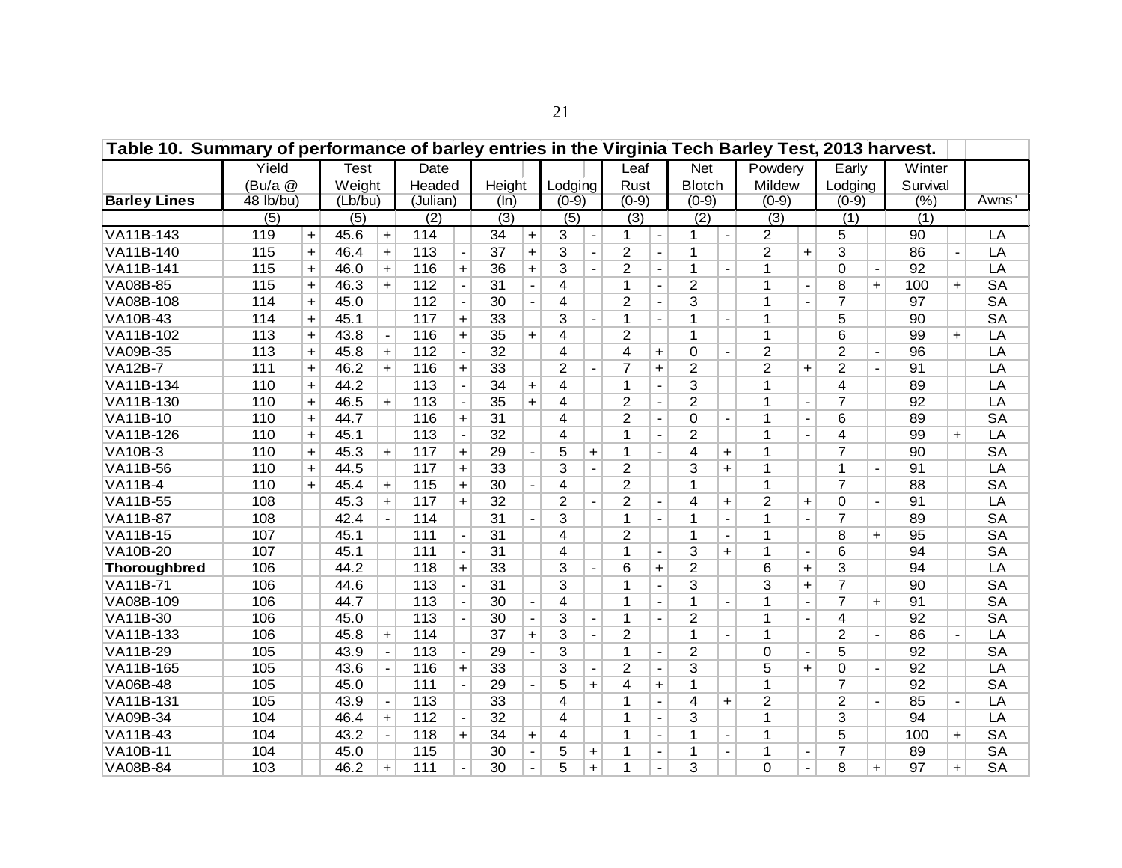| Table 10. Summary of performance of barley entries in the Virginia Tech Barley Test, 2013 harvest. |           |           |                  |                          |                  |                |                 |                |                  |                |                  |                              |                  |                          |                  |                          |                |                          |          |           |           |
|----------------------------------------------------------------------------------------------------|-----------|-----------|------------------|--------------------------|------------------|----------------|-----------------|----------------|------------------|----------------|------------------|------------------------------|------------------|--------------------------|------------------|--------------------------|----------------|--------------------------|----------|-----------|-----------|
|                                                                                                    | Yield     |           | <b>Test</b>      |                          | Date             |                |                 |                |                  |                | Leaf             |                              | <b>Net</b>       |                          | Powdery          |                          | Early          |                          | Winter   |           |           |
|                                                                                                    | (Bu/a @   |           | Weight           |                          | Headed           |                | Height          |                | Lodging          |                | Rust             |                              | <b>Blotch</b>    |                          | Mildew           |                          | Lodging        |                          | Survival |           |           |
| <b>Barley Lines</b>                                                                                | 48 lb/bu) |           | (Lb/bu)          |                          | (Julian)         |                | (ln)            |                | $(0-9)$          |                | $(0-9)$          |                              | $(0-9)$          |                          | $(0-9)$          |                          | $(0-9)$        |                          | (%)      |           | Awns      |
|                                                                                                    | (5)       |           | $\overline{(5)}$ |                          | $\overline{(2)}$ |                | (3)             |                | $\overline{(5)}$ |                | $\overline{(3)}$ |                              | $\overline{(2)}$ |                          | $\overline{(3)}$ |                          | (1)            |                          | (1)      |           |           |
| VA11B-143                                                                                          | 119       | $\ddot{}$ | 45.6             | $\ddot{}$                | 114              |                | 34              | $\ddot{}$      | 3                | $\overline{a}$ | 1                | $\overline{\phantom{0}}$     | 1                | $\overline{\phantom{a}}$ | $\overline{2}$   |                          | 5              |                          | 90       |           | LA        |
| VA11B-140                                                                                          | 115       | $\ddot{}$ | 46.4             | $\ddot{}$                | 113              |                | 37              | $\ddot{}$      | $\overline{3}$   |                | $\overline{2}$   | $\blacksquare$               | 1                |                          | $\overline{2}$   | $\ddot{}$                | $\overline{3}$ |                          | 86       |           | LA        |
| VA11B-141                                                                                          | 115       | $\ddot{}$ | 46.0             | $+$                      | 116              | $+$            | 36              | $+$            | $\overline{3}$   |                | $\overline{2}$   | $\blacksquare$               | $\mathbf{1}$     | $\overline{\phantom{a}}$ | 1                |                          | $\mathbf 0$    | $\blacksquare$           | 92       |           | LA        |
| VA08B-85                                                                                           | 115       | $\ddot{}$ | 46.3             | $+$                      | 112              | $\blacksquare$ | 31              | $\blacksquare$ | $\overline{4}$   |                | $\mathbf{1}$     | $\blacksquare$               | $\overline{2}$   |                          | $\mathbf{1}$     |                          | 8              | $+$                      | 100      | $+$       | <b>SA</b> |
| VA08B-108                                                                                          | 114       | $\ddot{}$ | 45.0             |                          | 112              |                | 30              |                | $\overline{4}$   |                | $\overline{2}$   | $\overline{\phantom{a}}$     | $\overline{3}$   |                          | 1                | $\overline{\phantom{a}}$ | $\overline{7}$ |                          | 97       |           | <b>SA</b> |
| VA10B-43                                                                                           | 114       | $\ddot{}$ | 45.1             |                          | 117              | $+$            | 33              |                | $\overline{3}$   |                | $\mathbf{1}$     |                              | $\mathbf 1$      | $\overline{a}$           | $\mathbf{1}$     |                          | 5              |                          | 90       |           | <b>SA</b> |
| VA11B-102                                                                                          | 113       | $\ddot{}$ | 43.8             |                          | 116              | $+$            | 35              | $\ddot{}$      | $\overline{4}$   |                | $\overline{c}$   |                              | 1                |                          | $\mathbf{1}$     |                          | 6              |                          | 99       | $+$       | LA        |
| VA09B-35                                                                                           | 113       | $\ddot{}$ | 45.8             | $\ddot{}$                | 112              |                | $\overline{32}$ |                | 4                |                | 4                | $\ddot{}$                    | $\mathbf 0$      |                          | $\overline{2}$   |                          | $\overline{2}$ | $\overline{\phantom{a}}$ | 96       |           | LA        |
| <b>VA12B-7</b>                                                                                     | 111       | $\ddot{}$ | 46.2             | $\ddot{}$                | 116              | $\ddot{}$      | 33              |                | $\overline{2}$   |                | $\overline{7}$   | $\ddot{}$                    | $\overline{2}$   |                          | $\overline{2}$   | $+$                      | $\overline{2}$ |                          | 91       |           | LA        |
| VA11B-134                                                                                          | 110       | $\ddot{}$ | 44.2             |                          | 113              |                | 34              | $\ddot{}$      | 4                |                | 1                |                              | 3                |                          | $\mathbf{1}$     |                          | 4              |                          | 89       |           | LA        |
| VA11B-130                                                                                          | 110       | $\ddot{}$ | 46.5             | $\ddot{}$                | 113              |                | 35              | $\ddot{}$      | 4                |                | $\overline{c}$   |                              | $\overline{2}$   |                          | $\mathbf{1}$     |                          | $\overline{7}$ |                          | 92       |           | LA        |
| <b>VA11B-10</b>                                                                                    | 110       | $\ddot{}$ | 44.7             |                          | 116              | $\ddot{}$      | 31              |                | 4                |                | $\overline{c}$   |                              | $\mathbf 0$      | $\blacksquare$           | $\mathbf{1}$     |                          | 6              |                          | 89       |           | <b>SA</b> |
| VA11B-126                                                                                          | 110       | $\ddot{}$ | 45.1             |                          | 113              | $\blacksquare$ | 32              |                | 4                |                | 1                | $\blacksquare$               | $\overline{2}$   |                          | $\mathbf 1$      |                          | 4              |                          | 99       | $\ddot{}$ | LA        |
| <b>VA10B-3</b>                                                                                     | 110       | $\ddot{}$ | 45.3             | $\ddot{}$                | 117              | $+$            | 29              |                | 5                | $+$            | 1                |                              | 4                | $\ddot{}$                | $\mathbf{1}$     |                          | $\overline{7}$ |                          | 90       |           | <b>SA</b> |
| VA11B-56                                                                                           | 110       | $+$       | 44.5             |                          | 117              | $+$            | 33              |                | $\overline{3}$   |                | $\overline{2}$   |                              | 3                | $\ddot{}$                | $\mathbf{1}$     |                          | 1              | $\mathbf{r}$             | 91       |           | LA        |
| <b>VA11B-4</b>                                                                                     | 110       | $+$       | 45.4             | $+$                      | 115              | $+$            | 30              | $\sim$         | $\overline{4}$   |                | $\overline{2}$   |                              | 1                |                          | $\mathbf{1}$     |                          | $\overline{7}$ |                          | 88       |           | <b>SA</b> |
| VA11B-55                                                                                           | 108       |           | 45.3             | $+$                      | 117              | $+$            | 32              |                | $\overline{2}$   | $\overline{a}$ | $\overline{2}$   | $\blacksquare$               | 4                | $+$                      | $\overline{2}$   | $+$                      | 0              | $\blacksquare$           | 91       |           | LA        |
| <b>VA11B-87</b>                                                                                    | 108       |           | 42.4             |                          | 114              |                | $\overline{31}$ |                | 3                |                | 1                | $\blacksquare$               | 1                | $\blacksquare$           | 1                | $\blacksquare$           | $\overline{7}$ |                          | 89       |           | <b>SA</b> |
| VA11B-15                                                                                           | 107       |           | 45.1             |                          | 111              | $\blacksquare$ | 31              |                | 4                |                | $\overline{2}$   |                              | 1                | $\blacksquare$           | $\mathbf 1$      |                          | 8              | $+$                      | 95       |           | <b>SA</b> |
| VA10B-20                                                                                           | 107       |           | 45.1             |                          | 111              |                | 31              |                | 4                |                | 1                | $\overline{\phantom{a}}$     | 3                | $+$                      | 1                | $\blacksquare$           | 6              |                          | 94       |           | <b>SA</b> |
| <b>Thoroughbred</b>                                                                                | 106       |           | 44.2             |                          | 118              | $\ddot{}$      | 33              |                | 3                |                | 6                | $\ddot{}$                    | $\overline{c}$   |                          | 6                | $+$                      | 3              |                          | 94       |           | LA        |
| <b>VA11B-71</b>                                                                                    | 106       |           | 44.6             |                          | 113              |                | 31              |                | 3                |                | 1                | $\overline{\phantom{a}}$     | 3                |                          | 3                | $+$                      | $\overline{7}$ |                          | 90       |           | <b>SA</b> |
| VA08B-109                                                                                          | 106       |           | 44.7             |                          | 113              |                | 30              |                | 4                |                | 1                |                              | 1                |                          | 1                |                          | $\overline{7}$ | $\ddot{}$                | 91       |           | <b>SA</b> |
| VA11B-30                                                                                           | 106       |           | 45.0             |                          | 113              |                | 30              |                | 3                |                | 1                | $\overline{\phantom{a}}$     | $\overline{2}$   |                          | 1                |                          | 4              |                          | 92       |           | <b>SA</b> |
| VA11B-133                                                                                          | 106       |           | 45.8             | $\ddot{}$                | 114              |                | 37              | $\ddot{}$      | 3                |                | $\overline{2}$   |                              | 1                |                          | 1                |                          | $\overline{2}$ |                          | 86       |           | LA        |
| VA11B-29                                                                                           | 105       |           | 43.9             |                          | 113              |                | 29              |                | 3                |                | 1                | $\qquad \qquad \blacksquare$ | $\overline{c}$   |                          | $\Omega$         |                          | 5              |                          | 92       |           | <b>SA</b> |
| VA11B-165                                                                                          | 105       |           | 43.6             |                          | 116              | $\ddot{}$      | 33              |                | $\overline{3}$   |                | $\overline{c}$   | $\overline{\phantom{a}}$     | $\overline{3}$   |                          | 5                | $+$                      | $\mathbf 0$    |                          | 92       |           | LA        |
| VA06B-48                                                                                           | 105       |           | 45.0             |                          | 111              | $\blacksquare$ | 29              |                | 5                | $+$            | 4                | $\ddot{}$                    | $\mathbf 1$      |                          | 1                |                          | $\overline{7}$ |                          | 92       |           | <b>SA</b> |
| VA11B-131                                                                                          | 105       |           | 43.9             |                          | 113              |                | 33              |                | 4                |                | 1                | $\overline{\phantom{a}}$     | 4                | $+$                      | $\overline{2}$   |                          | $\overline{2}$ |                          | 85       |           | LA        |
| VA09B-34                                                                                           | 104       |           | 46.4             | $\ddot{}$                | 112              |                | $\overline{32}$ |                | 4                |                | 1                | $\overline{\phantom{a}}$     | 3                |                          | 1                |                          | 3              |                          | 94       |           | LA        |
| VA11B-43                                                                                           | 104       |           | 43.2             | $\overline{\phantom{a}}$ | 118              | $\ddot{}$      | 34              | $\ddot{}$      | 4                |                | 1                | $\overline{\phantom{a}}$     | 1                | $\blacksquare$           | $\mathbf{1}$     |                          | 5              |                          | 100      | $\ddot{}$ | <b>SA</b> |
| VA10B-11                                                                                           | 104       |           | 45.0             |                          | 115              |                | 30              |                | 5                | +              | 1                | $\overline{\phantom{0}}$     | 1                | $\overline{\phantom{a}}$ | $\mathbf 1$      |                          | $\overline{7}$ |                          | 89       |           | <b>SA</b> |
| <b>VA08B-84</b>                                                                                    | 103       |           | 46.2             | $\ddot{}$                | 111              |                | 30              |                | 5                | $+$            | 1                | $\overline{\phantom{a}}$     | 3                |                          | $\Omega$         | $\blacksquare$           | 8              | $\ddot{}$                | 97       | $\ddot{}$ | <b>SA</b> |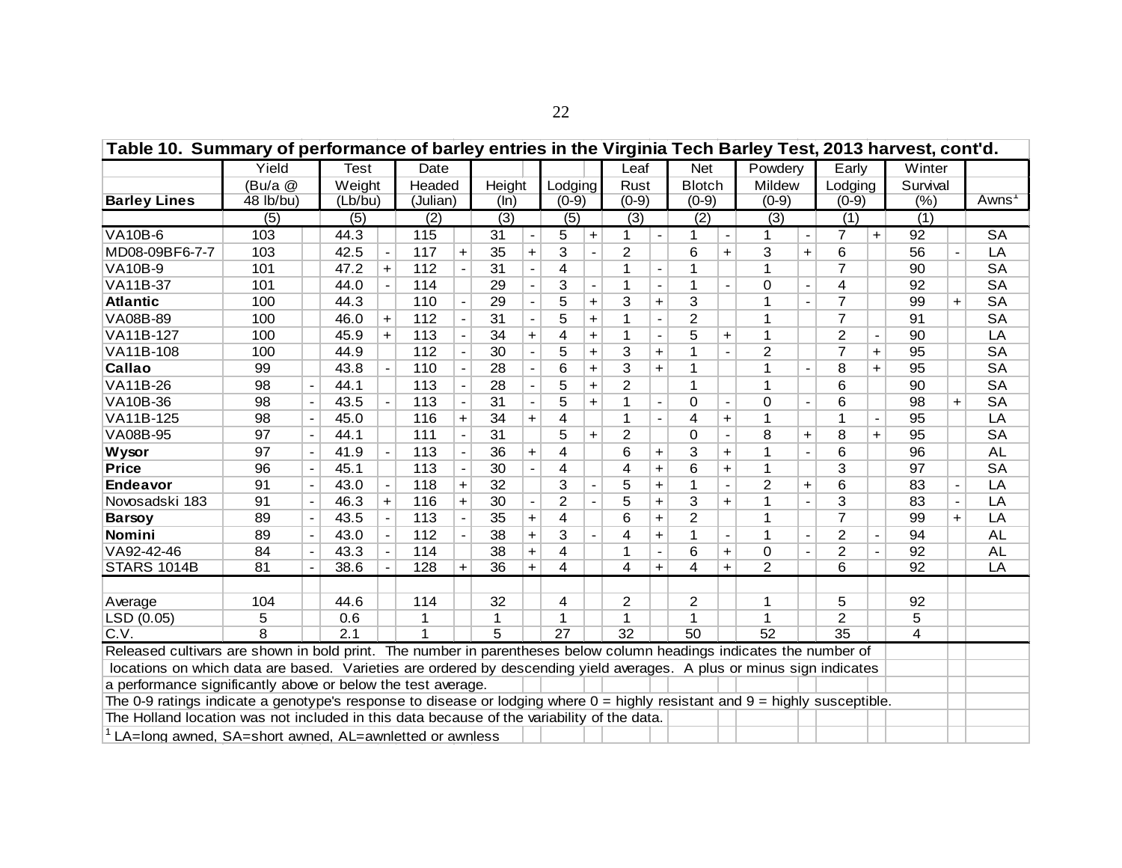| Table 10. Summary of performance of barley entries in the Virginia Tech Barley Test, 2013 harvest, cont'd.                                                                                                                                                                                                                                                                                                                                                                                                                                                                                |                                                                                                                                                                                                                               |                          |                  |           |          |           |                 |           |                 |                          |                 |                          |               |                          |                |                          |                 |                |                |           |           |
|-------------------------------------------------------------------------------------------------------------------------------------------------------------------------------------------------------------------------------------------------------------------------------------------------------------------------------------------------------------------------------------------------------------------------------------------------------------------------------------------------------------------------------------------------------------------------------------------|-------------------------------------------------------------------------------------------------------------------------------------------------------------------------------------------------------------------------------|--------------------------|------------------|-----------|----------|-----------|-----------------|-----------|-----------------|--------------------------|-----------------|--------------------------|---------------|--------------------------|----------------|--------------------------|-----------------|----------------|----------------|-----------|-----------|
|                                                                                                                                                                                                                                                                                                                                                                                                                                                                                                                                                                                           | Yield                                                                                                                                                                                                                         |                          | <b>Test</b>      |           | Date     |           |                 |           |                 |                          | Leaf            |                          | <b>Net</b>    |                          | Powdery        |                          | Early           |                | Winter         |           |           |
|                                                                                                                                                                                                                                                                                                                                                                                                                                                                                                                                                                                           | (Bu/a)                                                                                                                                                                                                                        |                          | Weight           |           | Headed   |           | Height          |           | Lodging         |                          | Rust            |                          | <b>Blotch</b> |                          | Mildew         |                          | Lodging         |                | Survival       |           |           |
| <b>Barley Lines</b>                                                                                                                                                                                                                                                                                                                                                                                                                                                                                                                                                                       | 48 lb/bu)                                                                                                                                                                                                                     |                          | (Lb/bu)          |           | (Julian) |           | (ln)            |           | $(0-9)$         |                          | $(0-9)$         |                          | $(0-9)$       |                          | $(0-9)$        |                          | $(0-9)$         |                | (%)            |           | Awns'     |
|                                                                                                                                                                                                                                                                                                                                                                                                                                                                                                                                                                                           | $\overline{(5)}$                                                                                                                                                                                                              |                          | (5)              |           | (2)      |           | (3)             |           | (5)             |                          | (3)             |                          | (2)           |                          | (3)            |                          | (1)             |                | (1)            |           |           |
| <b>VA10B-6</b>                                                                                                                                                                                                                                                                                                                                                                                                                                                                                                                                                                            | 103                                                                                                                                                                                                                           |                          | 44.3             |           | 115      |           | 31              |           | 5               | $+$                      | 1               |                          | 1             |                          | 1              |                          | $\overline{7}$  | $\ddot{}$      | 92             |           | <b>SA</b> |
| MD08-09BF6-7-7                                                                                                                                                                                                                                                                                                                                                                                                                                                                                                                                                                            | 103                                                                                                                                                                                                                           |                          | 42.5             |           | 117      | +         | 35              | $\ddot{}$ | 3               |                          | $\overline{c}$  |                          | 6             | $\ddot{}$                | 3              | $+$                      | 6               |                | 56             |           | LA        |
| <b>VA10B-9</b>                                                                                                                                                                                                                                                                                                                                                                                                                                                                                                                                                                            | 101                                                                                                                                                                                                                           |                          | 47.2             | $+$       | 112      |           | $\overline{31}$ |           | 4               |                          | 1               |                          | 1             |                          | 1              |                          | $\overline{7}$  |                | 90             |           | <b>SA</b> |
| VA11B-37                                                                                                                                                                                                                                                                                                                                                                                                                                                                                                                                                                                  | 101                                                                                                                                                                                                                           |                          | 44.0             |           | 114      |           | 29              |           | 3               | $\overline{\phantom{a}}$ | 1               | $\overline{\phantom{a}}$ | 1             | $\overline{\phantom{a}}$ | 0              |                          | 4               |                | 92             |           | <b>SA</b> |
| <b>Atlantic</b>                                                                                                                                                                                                                                                                                                                                                                                                                                                                                                                                                                           | 100                                                                                                                                                                                                                           |                          | 44.3             |           | 110      |           | 29              |           | 5               | +                        | 3               | $\ddot{}$                | 3             |                          | 1              | $\overline{\phantom{a}}$ | $\overline{7}$  |                | 99             | $\ddot{}$ | <b>SA</b> |
| VA08B-89                                                                                                                                                                                                                                                                                                                                                                                                                                                                                                                                                                                  | 100                                                                                                                                                                                                                           |                          | 46.0             | $\ddot{}$ |          |           | 31              |           |                 | $\ddot{}$                | 1               | $\overline{\phantom{a}}$ |               |                          | 1              |                          | $\overline{7}$  |                | 91             |           |           |
| VA11B-127                                                                                                                                                                                                                                                                                                                                                                                                                                                                                                                                                                                 | 100                                                                                                                                                                                                                           |                          | 45.9             | $+$       | 113      |           | 34              | $\ddot{}$ | 4               | $\ddot{}$                | 1               |                          | 5             | $\ddot{}$                | $\mathbf{1}$   |                          | $\overline{c}$  |                | 90             |           | LA        |
| VA11B-108                                                                                                                                                                                                                                                                                                                                                                                                                                                                                                                                                                                 | 100                                                                                                                                                                                                                           |                          | 44.9             |           | 112      |           | 30              |           | 5               | +                        | 3               | $\ddot{}$                |               |                          | $\overline{2}$ |                          | $\overline{7}$  | +              | 95             |           | <b>SA</b> |
| Callao                                                                                                                                                                                                                                                                                                                                                                                                                                                                                                                                                                                    | 99                                                                                                                                                                                                                            |                          | 43.8             |           | 110      |           | 28              |           | 6               | +                        | $\overline{3}$  | $\ddot{}$                | 1             |                          | 1              |                          | 8               | $\ddot{}$      | 95             |           | <b>SA</b> |
| <b>VA11B-26</b>                                                                                                                                                                                                                                                                                                                                                                                                                                                                                                                                                                           | 98                                                                                                                                                                                                                            |                          | 44.1             |           | 113      |           | 28              |           | 5               | $\ddot{}$                | $\overline{2}$  |                          | 1             |                          | 1              |                          | 6               |                | 90             |           | <b>SA</b> |
| VA10B-36                                                                                                                                                                                                                                                                                                                                                                                                                                                                                                                                                                                  | 98                                                                                                                                                                                                                            | $\overline{\phantom{a}}$ | 43.5             |           | 113      |           | 31              |           | 5               | $\ddot{}$                | 1               | $\blacksquare$           | 0             | $\overline{\phantom{a}}$ | 0              | $\blacksquare$           | 6               |                | 98             | $\ddot{}$ | <b>SA</b> |
| VA11B-125                                                                                                                                                                                                                                                                                                                                                                                                                                                                                                                                                                                 | 98                                                                                                                                                                                                                            | $\blacksquare$           | 45.0             |           | 116      | $\ddot{}$ | 34              | $\ddot{}$ | 4               |                          | 1               | $\overline{\phantom{a}}$ | 4             | $\ddot{}$                | 1              |                          | 1               | $\blacksquare$ | 95             |           | LA        |
| VA08B-95                                                                                                                                                                                                                                                                                                                                                                                                                                                                                                                                                                                  | 97                                                                                                                                                                                                                            | $\overline{\phantom{a}}$ | 44.1             |           | 111      |           | 31              |           | 5               | $+$                      | $\overline{c}$  |                          | 0             | $\blacksquare$           | 8              | $+$                      | 8               | $+$            | 95             |           | <b>SA</b> |
| 5<br>$\overline{2}$<br>112<br><b>SA</b><br>36<br>4<br>3<br><b>AL</b><br>97<br>41.9<br>113<br>6<br>1<br>6<br>96<br>Wysor<br>$\ddot{}$<br>$\ddot{}$<br>$\blacksquare$<br>$\ddot{}$<br>3<br><b>SA</b><br><b>Price</b><br>30<br>4<br>4<br>6<br>1<br>97<br>96<br>45.1<br>113<br>$\ddot{}$<br>$\ddot{}$<br>$\blacksquare$<br>91<br>32<br>3<br>$\overline{2}$<br>LA<br><b>Endeavor</b><br>43.0<br>118<br>5<br>6<br>83<br>$\ddot{}$<br>$\ddot{}$<br>$+$<br>46.3<br>30<br>$\overline{2}$<br>3<br>3<br>83<br>LA<br>91<br>116<br>5<br>1<br>Novosadski 183<br><sup>+</sup><br>$\ddot{}$<br>$+$<br>$+$ |                                                                                                                                                                                                                               |                          |                  |           |          |           |                 |           |                 |                          |                 |                          |               |                          |                |                          |                 |                |                |           |           |
|                                                                                                                                                                                                                                                                                                                                                                                                                                                                                                                                                                                           |                                                                                                                                                                                                                               |                          |                  |           |          |           |                 |           |                 |                          |                 |                          |               |                          |                |                          |                 |                |                |           |           |
|                                                                                                                                                                                                                                                                                                                                                                                                                                                                                                                                                                                           |                                                                                                                                                                                                                               |                          |                  |           |          |           |                 |           |                 |                          |                 |                          |               |                          |                |                          |                 |                |                |           |           |
|                                                                                                                                                                                                                                                                                                                                                                                                                                                                                                                                                                                           |                                                                                                                                                                                                                               |                          |                  |           |          |           |                 |           |                 |                          |                 |                          |               |                          |                |                          |                 |                |                |           |           |
| <b>Barsoy</b>                                                                                                                                                                                                                                                                                                                                                                                                                                                                                                                                                                             | 89                                                                                                                                                                                                                            |                          | 43.5             |           | 113      |           | 35              | $\ddot{}$ | 4               |                          | 6               | $\ddot{}$                | 2             |                          | 1              |                          | $\overline{7}$  |                | 99             | $+$       | LA        |
| Nomini                                                                                                                                                                                                                                                                                                                                                                                                                                                                                                                                                                                    | 89                                                                                                                                                                                                                            |                          | 43.0             |           | 112      |           | 38              | $\ddot{}$ | 3               |                          | 4               | $\ddot{}$                | 1             |                          | 1              |                          | $\overline{c}$  |                | 94             |           | <b>AL</b> |
| VA92-42-46                                                                                                                                                                                                                                                                                                                                                                                                                                                                                                                                                                                | 84                                                                                                                                                                                                                            |                          | 43.3             |           | 114      |           | 38              | $\ddot{}$ | 4               |                          | 1               |                          | 6             | $+$                      | 0              | $\overline{\phantom{a}}$ | $\overline{2}$  |                | 92             |           | <b>AL</b> |
| <b>STARS 1014B</b>                                                                                                                                                                                                                                                                                                                                                                                                                                                                                                                                                                        | 81                                                                                                                                                                                                                            |                          | 38.6             |           | 128      | $\ddot{}$ | 36              | $\ddot{}$ | 4               |                          | 4               | $\ddot{}$                | 4             | $+$                      | $\overline{2}$ |                          | 6               |                | 92             |           | LA        |
|                                                                                                                                                                                                                                                                                                                                                                                                                                                                                                                                                                                           |                                                                                                                                                                                                                               |                          |                  |           |          |           |                 |           |                 |                          |                 |                          |               |                          |                |                          |                 |                |                |           |           |
| Average                                                                                                                                                                                                                                                                                                                                                                                                                                                                                                                                                                                   | 104                                                                                                                                                                                                                           |                          | 44.6             |           | 114      |           | 32              |           | 4               |                          | $\overline{2}$  |                          | 2             |                          | 1              |                          | 5               |                | 92             |           |           |
| LSD (0.05)                                                                                                                                                                                                                                                                                                                                                                                                                                                                                                                                                                                | 5                                                                                                                                                                                                                             |                          | 0.6              |           | 1        |           | 1               |           | 1               |                          | 1               |                          | 1             |                          | 1              |                          | $\overline{2}$  |                | 5              |           |           |
| C.V.                                                                                                                                                                                                                                                                                                                                                                                                                                                                                                                                                                                      | $\overline{\mathbf{8}}$                                                                                                                                                                                                       |                          | $\overline{2.1}$ |           | 1        |           | 5               |           | $\overline{27}$ |                          | $\overline{32}$ |                          | 50            |                          | 52             |                          | $\overline{35}$ |                | $\overline{4}$ |           |           |
| Released cultivars are shown in bold print. The number in parentheses below column headings indicates the number of                                                                                                                                                                                                                                                                                                                                                                                                                                                                       |                                                                                                                                                                                                                               |                          |                  |           |          |           |                 |           |                 |                          |                 |                          |               |                          |                |                          |                 |                |                |           |           |
| locations on which data are based. Varieties are ordered by descending yield averages. A plus or minus sign indicates                                                                                                                                                                                                                                                                                                                                                                                                                                                                     |                                                                                                                                                                                                                               |                          |                  |           |          |           |                 |           |                 |                          |                 |                          |               |                          |                |                          |                 |                |                |           |           |
| a performance significantly above or below the test average.                                                                                                                                                                                                                                                                                                                                                                                                                                                                                                                              |                                                                                                                                                                                                                               |                          |                  |           |          |           |                 |           |                 |                          |                 |                          |               |                          |                |                          |                 |                |                |           |           |
|                                                                                                                                                                                                                                                                                                                                                                                                                                                                                                                                                                                           |                                                                                                                                                                                                                               |                          |                  |           |          |           |                 |           |                 |                          |                 |                          |               |                          |                |                          |                 |                |                |           |           |
|                                                                                                                                                                                                                                                                                                                                                                                                                                                                                                                                                                                           | The 0-9 ratings indicate a genotype's response to disease or lodging where $0 =$ highly resistant and $9 =$ highly susceptible.<br>The Holland location was not included in this data because of the variability of the data. |                          |                  |           |          |           |                 |           |                 |                          |                 |                          |               |                          |                |                          |                 |                |                |           |           |
| LA=long awned, SA=short awned, AL=awnletted or awnless                                                                                                                                                                                                                                                                                                                                                                                                                                                                                                                                    |                                                                                                                                                                                                                               |                          |                  |           |          |           |                 |           |                 |                          |                 |                          |               |                          |                |                          |                 |                |                |           |           |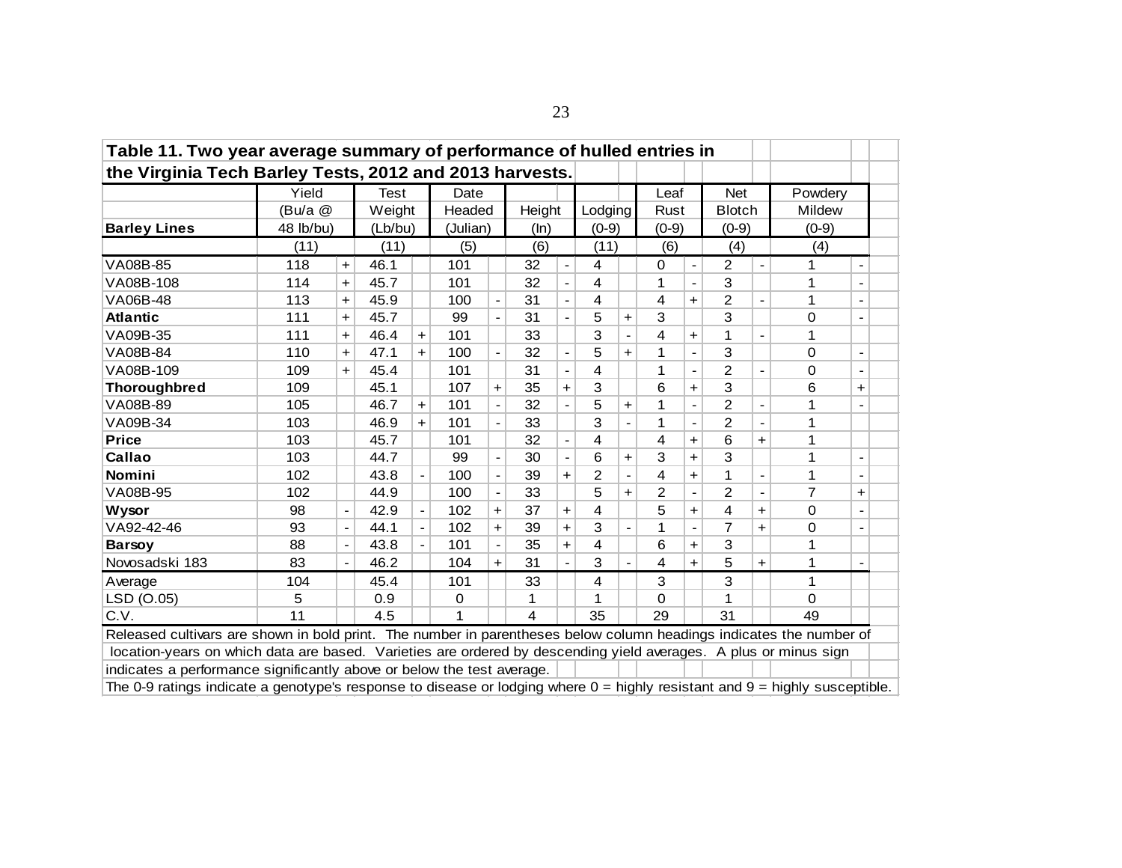| Table 11. Two year average summary of performance of hulled entries in                                                                                                                            |                                                                                                                        |                              |         |                              |          |                      |        |                          |         |                          |                |                |                |                |               |   |
|---------------------------------------------------------------------------------------------------------------------------------------------------------------------------------------------------|------------------------------------------------------------------------------------------------------------------------|------------------------------|---------|------------------------------|----------|----------------------|--------|--------------------------|---------|--------------------------|----------------|----------------|----------------|----------------|---------------|---|
|                                                                                                                                                                                                   | the Virginia Tech Barley Tests, 2012 and 2013 harvests.<br>Yield<br>Test<br><b>Net</b><br>Powdery<br>Date<br>Leaf      |                              |         |                              |          |                      |        |                          |         |                          |                |                |                |                |               |   |
|                                                                                                                                                                                                   |                                                                                                                        |                              |         |                              |          |                      |        |                          |         |                          |                |                |                |                |               |   |
|                                                                                                                                                                                                   | (Bu/a @                                                                                                                |                              | Weight  |                              | Headed   |                      | Height |                          | Lodging |                          | Rust           |                | <b>Blotch</b>  |                | <b>Mildew</b> |   |
| <b>Barley Lines</b>                                                                                                                                                                               | 48 lb/bu)                                                                                                              |                              | (Lb/bu) |                              | (Julian) |                      | (ln)   |                          | $(0-9)$ |                          | $(0-9)$        |                | $(0-9)$        |                | $(0-9)$       |   |
|                                                                                                                                                                                                   | (11)                                                                                                                   |                              | (11)    |                              | (5)      |                      | (6)    |                          | (11)    |                          | (6)            |                | (4)            |                | (4)           |   |
| VA08B-85                                                                                                                                                                                          | 118                                                                                                                    | $\ddot{\phantom{1}}$         | 46.1    |                              | 101      |                      | 32     | $\overline{\phantom{a}}$ | 4       |                          | 0              | $\blacksquare$ | $\overline{2}$ |                | 1             |   |
| VA08B-108                                                                                                                                                                                         | 114                                                                                                                    | $+$                          | 45.7    |                              | 101      |                      | 32     |                          | 4       |                          | 1              |                | 3              |                | 1             |   |
| VA06B-48                                                                                                                                                                                          | 113                                                                                                                    | $\ddag$                      | 45.9    |                              | 100      |                      | 31     |                          | 4       |                          | 4              | $\ddot{}$      | 2              |                | 1             |   |
| <b>Atlantic</b>                                                                                                                                                                                   | 111                                                                                                                    | $\ddag$                      | 45.7    |                              | 99       |                      | 31     | $\overline{\phantom{0}}$ | 5       | $\ddag$                  | 3              |                | 3              |                | 0             |   |
| 3<br>VA09B-35<br>46.4<br>101<br>33<br>4<br>1<br>1<br>111<br>$+$<br>$+$<br>$\ddot{}$<br>5<br>3<br>47.1<br>1<br>0<br>VA08B-84<br>110<br>100<br>32<br>$\ddot{\phantom{1}}$<br>$\ddot{}$<br>$\ddot{}$ |                                                                                                                        |                              |         |                              |          |                      |        |                          |         |                          |                |                |                |                |               |   |
|                                                                                                                                                                                                   |                                                                                                                        |                              |         |                              |          |                      |        |                          |         |                          |                |                |                |                |               |   |
| 2<br>VA08B-109<br>4<br>109<br>45.4<br>101<br>31<br>1<br>0<br>$\ddot{}$<br>$\blacksquare$<br>$\blacksquare$                                                                                        |                                                                                                                        |                              |         |                              |          |                      |        |                          |         |                          |                |                |                |                |               |   |
| <b>Thoroughbred</b>                                                                                                                                                                               | 3<br>45.1<br>107<br>3<br>6<br>6<br>109<br>35<br>$\ddot{\phantom{1}}$<br>$\ddot{\phantom{1}}$<br>$\ddot{}$<br>$\ddot{}$ |                              |         |                              |          |                      |        |                          |         |                          |                |                |                |                |               |   |
| VA08B-89                                                                                                                                                                                          | 105                                                                                                                    |                              | 46.7    | $+$                          | 101      |                      | 32     |                          | 5       | $\ddot{\phantom{1}}$     | 1              |                | $\overline{2}$ |                | 1             |   |
| VA09B-34                                                                                                                                                                                          | 103                                                                                                                    |                              | 46.9    | $+$                          | 101      |                      | 33     |                          | 3       |                          | 1              | $\blacksquare$ | 2              |                | 1             |   |
| <b>Price</b>                                                                                                                                                                                      | 103                                                                                                                    |                              | 45.7    |                              | 101      |                      | 32     |                          | 4       |                          | 4              | $\ddot{}$      | 6              | $+$            | 1             |   |
| Callao                                                                                                                                                                                            | 103                                                                                                                    |                              | 44.7    |                              | 99       |                      | 30     |                          | 6       | +                        | 3              | $\ddot{}$      | 3              |                | 1             |   |
| Nomini                                                                                                                                                                                            | 102                                                                                                                    |                              | 43.8    | $\overline{\phantom{0}}$     | 100      |                      | 39     | $\ddot{}$                | 2       | $\overline{\phantom{a}}$ | 4              | $\ddot{}$      | 1              | $\blacksquare$ | 1             |   |
| VA08B-95                                                                                                                                                                                          | 102                                                                                                                    |                              | 44.9    |                              | 100      |                      | 33     |                          | 5       | $\ddot{}$                | $\overline{2}$ |                | $\overline{2}$ |                | 7             | + |
| Wysor                                                                                                                                                                                             | 98                                                                                                                     | $\qquad \qquad \blacksquare$ | 42.9    | $\qquad \qquad \blacksquare$ | 102      | $\ddot{}$            | 37     | $\ddot{}$                | 4       |                          | 5              | $\ddot{}$      | 4              | $+$            | 0             |   |
| VA92-42-46                                                                                                                                                                                        | 93                                                                                                                     | $\overline{\phantom{a}}$     | 44.1    | $\blacksquare$               | 102      | $\ddot{}$            | 39     | $\ddot{}$                | 3       | $\blacksquare$           | 1              |                | 7              | $+$            | 0             |   |
| <b>Barsoy</b>                                                                                                                                                                                     | 88                                                                                                                     |                              | 43.8    |                              | 101      |                      | 35     | $\ddot{}$                | 4       |                          | 6              | $\ddot{}$      | 3              |                | 1             |   |
| Novosadski 183                                                                                                                                                                                    | 83                                                                                                                     | $\overline{\phantom{a}}$     | 46.2    |                              | 104      | $\ddot{\phantom{1}}$ | 31     |                          | 3       |                          | 4              | $\ddot{}$      | 5              | $+$            | 1             |   |
| Average                                                                                                                                                                                           | 104                                                                                                                    |                              | 45.4    |                              | 101      |                      | 33     |                          | 4       |                          | 3              |                | 3              |                | 1             |   |
| LSD (O.05)                                                                                                                                                                                        | 5                                                                                                                      |                              | 0.9     |                              | 0        |                      | 1      |                          | 1       |                          | 0              |                | 1              |                | 0             |   |
| C.V.                                                                                                                                                                                              | 11                                                                                                                     |                              | 4.5     |                              | 1        |                      | 4      |                          | 35      |                          | 29             |                | 31             |                | 49            |   |
| Released cultivars are shown in bold print. The number in parentheses below column headings indicates the number of                                                                               |                                                                                                                        |                              |         |                              |          |                      |        |                          |         |                          |                |                |                |                |               |   |
|                                                                                                                                                                                                   | location-years on which data are based. Varieties are ordered by descending yield averages. A plus or minus sign       |                              |         |                              |          |                      |        |                          |         |                          |                |                |                |                |               |   |
| indicates a performance significantly above or below the test average.                                                                                                                            |                                                                                                                        |                              |         |                              |          |                      |        |                          |         |                          |                |                |                |                |               |   |
| The 0-9 ratings indicate a genotype's response to disease or lodging where $0 =$ highly resistant and $9 =$ highly susceptible.                                                                   |                                                                                                                        |                              |         |                              |          |                      |        |                          |         |                          |                |                |                |                |               |   |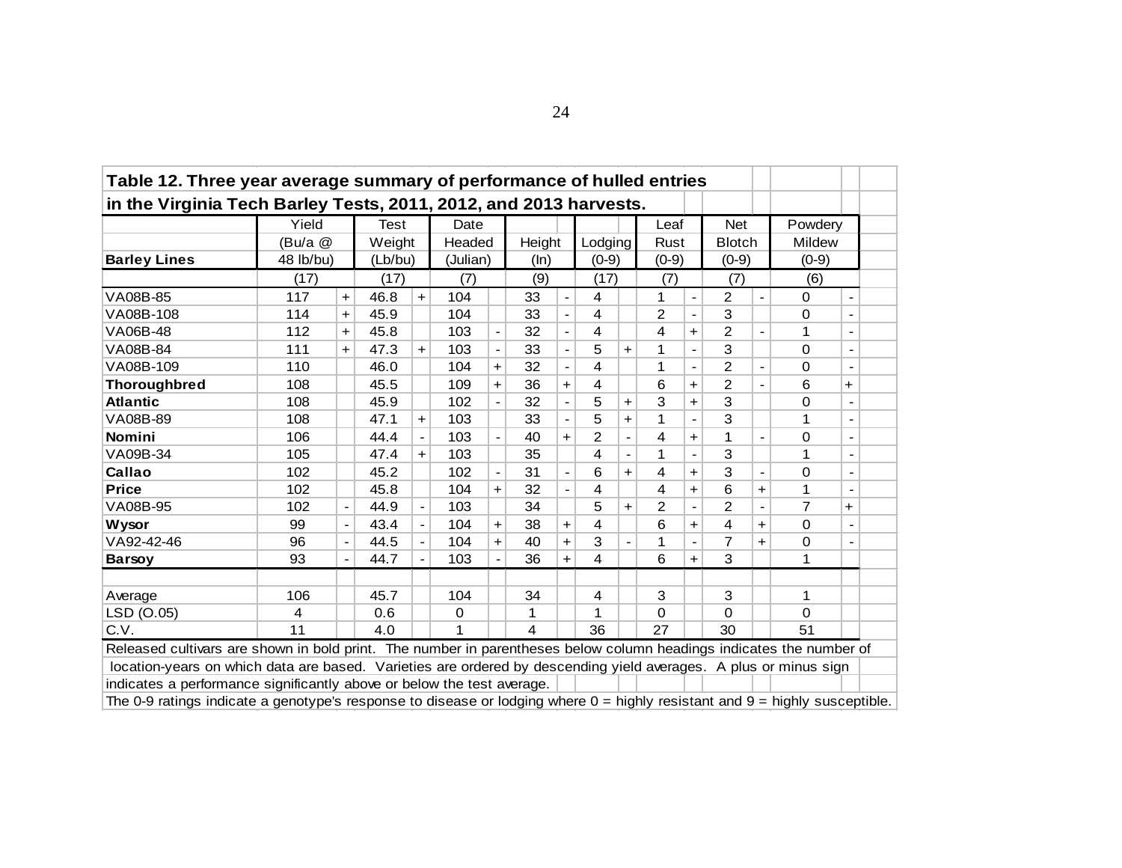| Table 12. Three year average summary of performance of hulled entries                                                                                                                                                                   |           |                 |             |                          |          |            |        |                          |                |           |                |                          |               |                              |                |                          |  |
|-----------------------------------------------------------------------------------------------------------------------------------------------------------------------------------------------------------------------------------------|-----------|-----------------|-------------|--------------------------|----------|------------|--------|--------------------------|----------------|-----------|----------------|--------------------------|---------------|------------------------------|----------------|--------------------------|--|
| in the Virginia Tech Barley Tests, 2011, 2012, and 2013 harvests.                                                                                                                                                                       |           |                 |             |                          |          |            |        |                          |                |           |                |                          |               |                              |                |                          |  |
|                                                                                                                                                                                                                                         | Yield     |                 | <b>Test</b> |                          | Date     |            |        |                          |                |           | Leaf           |                          | <b>Net</b>    |                              | Powdery        |                          |  |
|                                                                                                                                                                                                                                         | (Bu/a @   |                 | Weight      |                          | Headed   |            | Height |                          | Lodging        |           | Rust           |                          | <b>Blotch</b> |                              | Mildew         |                          |  |
| <b>Barley Lines</b>                                                                                                                                                                                                                     | 48 lb/bu) |                 | (Lb/bu)     |                          | (Julian) |            | (ln)   |                          | $(0-9)$        |           | $(0-9)$        |                          | $(0-9)$       |                              | $(0-9)$        |                          |  |
|                                                                                                                                                                                                                                         | (17)      |                 | (17)        |                          | (7)      |            | (9)    |                          | (17)           |           | (7)            |                          | (7)           |                              | (6)            |                          |  |
| VA08B-85                                                                                                                                                                                                                                | 117       | $\ddot{}$       | 46.8        | $+$                      | 104      |            | 33     | $\overline{\phantom{a}}$ | 4              |           | 1              | $\overline{\phantom{a}}$ | 2             |                              | 0              | $\blacksquare$           |  |
| VA08B-108                                                                                                                                                                                                                               | 114       | $+$             | 45.9        |                          | 104      |            | 33     |                          | 4              |           | $\overline{2}$ |                          | 3             |                              | 0              |                          |  |
| VA06B-48                                                                                                                                                                                                                                | 112       | $\ddot{}$       | 45.8        |                          | 103      |            | 32     |                          | 4              |           | 4              | $\ddot{}$                | 2             |                              | 1              |                          |  |
| 3<br>VA08B-84<br>103<br>33<br>5<br>0<br>111<br>47.3<br>1<br>$\ddot{}$<br>$\ddot{}$<br>$\pm$<br>$\overline{2}$<br>4<br>46.0<br>104<br>32<br>1<br>0<br>110<br>$\ddagger$                                                                  |           |                 |             |                          |          |            |        |                          |                |           |                |                          |               |                              |                |                          |  |
| VA08B-109<br>2<br>36<br>6<br>6<br>45.5<br>109<br>4<br>108<br>$\ddot{}$<br>$\ddot{}$<br>$\ddot{}$<br>+<br>$\overline{\phantom{a}}$                                                                                                       |           |                 |             |                          |          |            |        |                          |                |           |                |                          |               |                              |                |                          |  |
|                                                                                                                                                                                                                                         |           |                 |             |                          |          |            |        |                          |                |           |                |                          |               |                              |                |                          |  |
| Thoroughbred<br>3<br>3<br><b>Atlantic</b><br>45.9<br>102<br>32<br>0<br>108<br>5<br>$\ddot{}$<br>$\ddot{}$                                                                                                                               |           |                 |             |                          |          |            |        |                          |                |           |                |                          |               |                              |                |                          |  |
| VA08B-89                                                                                                                                                                                                                                | 108       |                 | 47.1        | $\ddot{}$                | 103      |            | 33     |                          | 5              | +         | 1              |                          | 3             |                              | 1              | $\blacksquare$           |  |
| Nomini                                                                                                                                                                                                                                  | 106       |                 | 44.4        | $\blacksquare$           | 103      |            | 40     | $+$                      | $\overline{2}$ |           | 4              | $\ddot{\phantom{1}}$     |               |                              | 0              |                          |  |
| VA09B-34                                                                                                                                                                                                                                | 105       |                 | 47.4        | $+$                      | 103      |            | 35     |                          | 4              |           | 1              |                          | 3             |                              | 1              | $\overline{\phantom{a}}$ |  |
| Callao                                                                                                                                                                                                                                  | 102       |                 | 45.2        |                          | 102      |            | 31     | $\overline{\phantom{a}}$ | 6              | $\ddot{}$ | 4              | $\ddot{}$                | 3             | $\qquad \qquad \blacksquare$ | 0              | $\overline{\phantom{a}}$ |  |
| <b>Price</b>                                                                                                                                                                                                                            | 102       |                 | 45.8        |                          | 104      | $\ddot{}$  | 32     |                          | 4              |           | 4              | $\ddot{\phantom{1}}$     | 6             | $\ddot{}$                    | 1              |                          |  |
| VA08B-95                                                                                                                                                                                                                                | 102       |                 | 44.9        |                          | 103      |            | 34     |                          | 5              | ٠         | $\overline{2}$ |                          | 2             |                              | $\overline{7}$ | $\ddot{}$                |  |
| <b>Wysor</b>                                                                                                                                                                                                                            | 99        |                 | 43.4        | $\blacksquare$           | 104      | $\ddagger$ | 38     | $\ddot{\phantom{1}}$     | 4              |           | 6              | $\ddag$                  | 4             | $+$                          | $\mathsf 0$    | $\overline{\phantom{a}}$ |  |
| VA92-42-46                                                                                                                                                                                                                              | 96        | $\qquad \qquad$ | 44.5        | $\overline{\phantom{a}}$ | 104      | $\ddot{}$  | 40     | $\ddot{}$                | 3              |           | 1              |                          | 7             | $\ddot{}$                    | 0              |                          |  |
| <b>Barsoy</b>                                                                                                                                                                                                                           | 93        |                 | 44.7        |                          | 103      |            | 36     | $+$                      | 4              |           | 6              | $\ddot{}$                | 3             |                              | 1              |                          |  |
|                                                                                                                                                                                                                                         |           |                 |             |                          |          |            |        |                          |                |           |                |                          |               |                              |                |                          |  |
| Average                                                                                                                                                                                                                                 | 106       |                 | 45.7        |                          | 104      |            | 34     |                          | 4              |           | 3              |                          | 3             |                              | 1              |                          |  |
| LSD (O.05)                                                                                                                                                                                                                              | 4         |                 | 0.6         |                          | $\Omega$ |            | 1      |                          | 1              |           | 0              |                          | 0             |                              | 0              |                          |  |
| C.V.                                                                                                                                                                                                                                    | 11        |                 | 4.0         |                          |          |            | 4      |                          | 36             |           | 27             |                          | 30            |                              | 51             |                          |  |
|                                                                                                                                                                                                                                         |           |                 |             |                          |          |            |        |                          |                |           |                |                          |               |                              |                |                          |  |
| Released cultivars are shown in bold print. The number in parentheses below column headings indicates the number of<br>location-years on which data are based. Varieties are ordered by descending yield averages. A plus or minus sign |           |                 |             |                          |          |            |        |                          |                |           |                |                          |               |                              |                |                          |  |
| indicates a performance significantly above or below the test average.                                                                                                                                                                  |           |                 |             |                          |          |            |        |                          |                |           |                |                          |               |                              |                |                          |  |
| The 0-9 ratings indicate a genotype's response to disease or lodging where $0 =$ highly resistant and $9 =$ highly susceptible.                                                                                                         |           |                 |             |                          |          |            |        |                          |                |           |                |                          |               |                              |                |                          |  |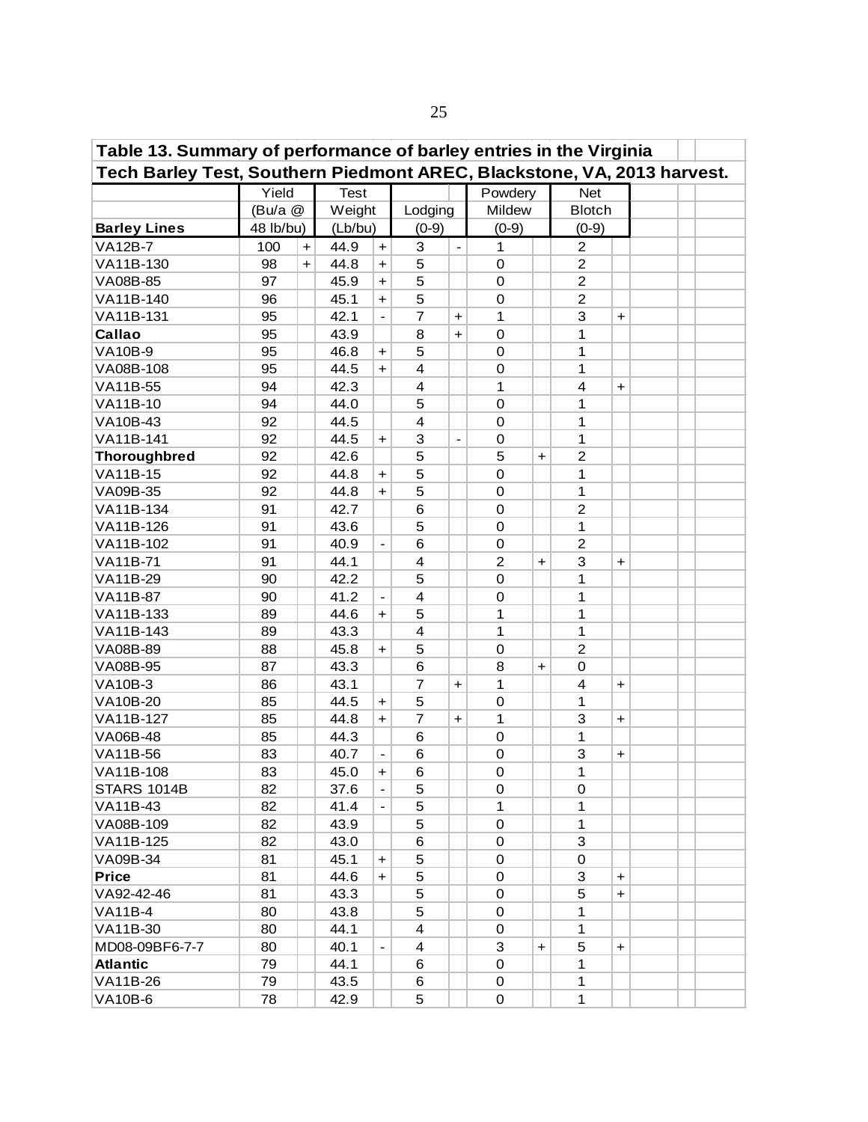| Table 13. Summary of performance of barley entries in the Virginia<br>Tech Barley Test, Southern Piedmont AREC, Blackstone, VA, 2013 harvest. |           |           |             |                          |                |                              |                  |                      |                |                                  |  |  |  |
|-----------------------------------------------------------------------------------------------------------------------------------------------|-----------|-----------|-------------|--------------------------|----------------|------------------------------|------------------|----------------------|----------------|----------------------------------|--|--|--|
|                                                                                                                                               |           |           |             |                          |                |                              |                  |                      |                |                                  |  |  |  |
|                                                                                                                                               | Yield     |           | <b>Test</b> |                          |                |                              | Powdery          |                      | <b>Net</b>     |                                  |  |  |  |
|                                                                                                                                               | (Bu/a @   |           | Weight      |                          | Lodging        |                              | Mildew           |                      | <b>Blotch</b>  |                                  |  |  |  |
| <b>Barley Lines</b>                                                                                                                           | 48 lb/bu) |           | (Lb/bu)     |                          | $(0-9)$        |                              | $(0-9)$          |                      | $(0-9)$        |                                  |  |  |  |
| <b>VA12B-7</b>                                                                                                                                | 100       | $\ddot{}$ | 44.9        | $\ddot{}$                | 3              | $\overline{a}$               | 1                |                      | $\overline{c}$ |                                  |  |  |  |
| VA11B-130                                                                                                                                     | 98        | $\ddot{}$ | 44.8        | $\ddot{\phantom{1}}$     | 5              |                              | $\mathbf 0$      |                      | $\overline{c}$ |                                  |  |  |  |
| VA08B-85                                                                                                                                      | 97        |           | 45.9        | $\ddot{}$                | 5              |                              | $\mathbf 0$      |                      | $\overline{c}$ |                                  |  |  |  |
| VA11B-140                                                                                                                                     | 96        |           | 45.1        | $\ddot{}$                | 5              |                              | $\boldsymbol{0}$ |                      | $\overline{c}$ |                                  |  |  |  |
| VA11B-131                                                                                                                                     | 95        |           | 42.1        |                          | $\overline{7}$ | $\ddot{}$                    | 1                |                      | 3              | $\ddot{}$                        |  |  |  |
| Callao                                                                                                                                        | 95        |           | 43.9        |                          | 8              | $\ddot{\phantom{1}}$         | 0                |                      | 1              |                                  |  |  |  |
| <b>VA10B-9</b>                                                                                                                                | 95        |           | 46.8        | $\ddot{}$                | 5              |                              | 0                |                      | 1              |                                  |  |  |  |
| VA08B-108                                                                                                                                     | 95        |           | 44.5        | $+$                      | 4              |                              | 0                |                      | 1              |                                  |  |  |  |
| VA11B-55                                                                                                                                      | 94        |           | 42.3        |                          | 4              |                              | 1                |                      | 4              | +                                |  |  |  |
| VA11B-10                                                                                                                                      | 94        |           | 44.0        |                          | 5              |                              | $\mathbf 0$      |                      | 1              |                                  |  |  |  |
| VA10B-43                                                                                                                                      | 92        |           | 44.5        |                          | 4              |                              | 0                |                      | 1              |                                  |  |  |  |
| VA11B-141                                                                                                                                     | 92        |           | 44.5        | $\ddot{}$                | 3              | $\qquad \qquad \blacksquare$ | 0                |                      | 1              |                                  |  |  |  |
| <b>Thoroughbred</b>                                                                                                                           | 92        |           | 42.6        |                          | 5              |                              | 5                | $\ddot{}$            | $\overline{c}$ |                                  |  |  |  |
| VA11B-15                                                                                                                                      | 92        |           | 44.8        | $\ddot{}$                | 5              |                              | 0                |                      | 1              |                                  |  |  |  |
| VA09B-35                                                                                                                                      | 92        |           | 44.8        | $+$                      | 5              |                              | 0                |                      | 1              |                                  |  |  |  |
| VA11B-134                                                                                                                                     | 91        |           | 42.7        |                          | 6              |                              | 0                |                      | $\overline{c}$ |                                  |  |  |  |
| VA11B-126                                                                                                                                     | 91        |           | 43.6        |                          | 5              |                              | $\mathbf 0$      |                      | 1              |                                  |  |  |  |
| VA11B-102                                                                                                                                     | 91        |           | 40.9        |                          | 6              |                              | 0                |                      | $\overline{2}$ |                                  |  |  |  |
| VA11B-71                                                                                                                                      | 91        |           | 44.1        |                          | 4              |                              | $\overline{2}$   | $\ddot{\phantom{1}}$ | 3              | $\ddot{}$                        |  |  |  |
| VA11B-29                                                                                                                                      | 90        |           | 42.2        |                          | 5              |                              | $\mathbf 0$      |                      | 1              |                                  |  |  |  |
| VA11B-87                                                                                                                                      | 90        |           | 41.2        |                          | 4              |                              | $\boldsymbol{0}$ |                      | 1              |                                  |  |  |  |
| VA11B-133                                                                                                                                     | 89        |           | 44.6        | $\ddot{}$                | 5              |                              | 1                |                      | 1              |                                  |  |  |  |
| VA11B-143                                                                                                                                     | 89        |           | 43.3        |                          | $\overline{4}$ |                              | 1                |                      | 1              |                                  |  |  |  |
| VA08B-89                                                                                                                                      | 88        |           | 45.8        | $\ddot{}$                | 5              |                              | $\mathbf 0$      |                      | $\overline{2}$ |                                  |  |  |  |
| VA08B-95                                                                                                                                      | 87        |           | 43.3        |                          | 6              |                              | 8                | $\ddot{}$            | 0              |                                  |  |  |  |
| <b>VA10B-3</b>                                                                                                                                | 86        |           | 43.1        |                          | 7              | $\ddag$                      | 1                |                      | 4              | $\ddot{}$                        |  |  |  |
| VA10B-20                                                                                                                                      | 85        |           | 44.5        | $\ddot{}$                | 5              |                              | $\mathbf 0$      |                      | 1              |                                  |  |  |  |
| VA11B-127                                                                                                                                     | 85        |           | 44.8        | $\ddot{}$                | 7              | $\ddag$                      | 1                |                      | 3              | $\ddot{}$                        |  |  |  |
| <b>VA06B-48</b>                                                                                                                               | 85        |           | 44.3        |                          | 6              |                              | 0                |                      | 1              |                                  |  |  |  |
| VA11B-56                                                                                                                                      | 83        |           | 40.7        | $\overline{\phantom{a}}$ | 6              |                              | 0                |                      | 3              | $\ddot{}$                        |  |  |  |
| VA11B-108                                                                                                                                     | 83        |           | 45.0        | $+$                      | 6              |                              | 0                |                      | 1              |                                  |  |  |  |
| <b>STARS 1014B</b>                                                                                                                            | 82        |           | 37.6        | $\blacksquare$           | 5              |                              | 0                |                      | 0              |                                  |  |  |  |
| <b>VA11B-43</b>                                                                                                                               | 82        |           | 41.4        |                          | 5              |                              | 1                |                      | 1              |                                  |  |  |  |
| VA08B-109                                                                                                                                     | 82        |           | 43.9        |                          | 5              |                              | 0                |                      | 1              |                                  |  |  |  |
| VA11B-125                                                                                                                                     | 82        |           | 43.0        |                          | 6              |                              | 0                |                      | 3              |                                  |  |  |  |
| VA09B-34                                                                                                                                      | 81        |           | 45.1        | +                        | 5              |                              | 0                |                      | 0              |                                  |  |  |  |
| <b>Price</b>                                                                                                                                  | 81        |           | 44.6        | $\ddot{}$                | 5              |                              | 0                |                      | 3              | $\ddot{}$                        |  |  |  |
| VA92-42-46                                                                                                                                    | 81        |           | 43.3        |                          | 5              |                              | 0                |                      | 5              | $\begin{array}{c} + \end{array}$ |  |  |  |
| <b>VA11B-4</b>                                                                                                                                | 80        |           | 43.8        |                          | 5              |                              | 0                |                      | 1              |                                  |  |  |  |
| VA11B-30                                                                                                                                      | 80        |           | 44.1        |                          | 4              |                              | 0                |                      | 1              |                                  |  |  |  |
| MD08-09BF6-7-7                                                                                                                                | 80        |           | 40.1        |                          | 4              |                              | 3                | $\ddot{}$            | 5              | $\ddot{}$                        |  |  |  |
| <b>Atlantic</b>                                                                                                                               | 79        |           | 44.1        |                          | 6              |                              | 0                |                      | 1              |                                  |  |  |  |
| VA11B-26                                                                                                                                      | 79        |           | 43.5        |                          | 6              |                              | 0                |                      | 1              |                                  |  |  |  |
| <b>VA10B-6</b>                                                                                                                                | 78        |           | 42.9        |                          | 5              |                              | $\mathsf 0$      |                      | 1              |                                  |  |  |  |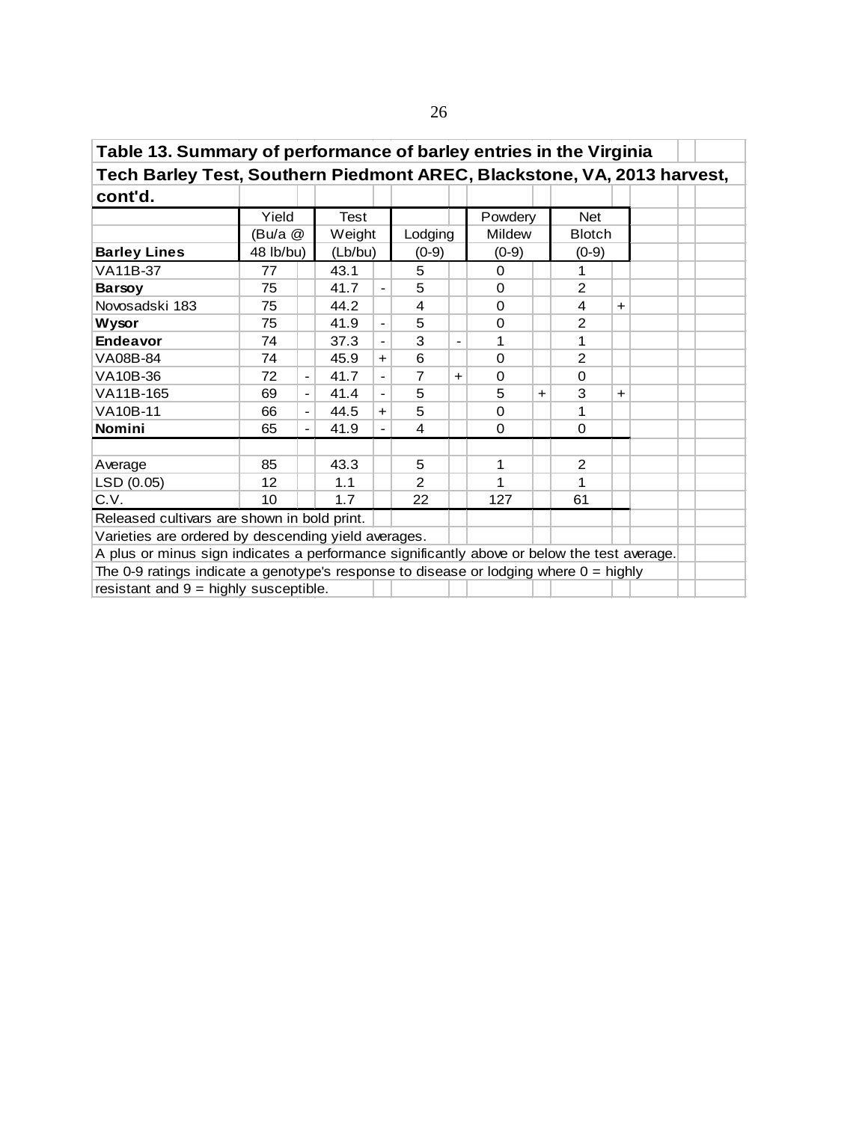| Table 13. Summary of performance of barley entries in the Virginia<br>Tech Barley Test, Southern Piedmont AREC, Blackstone, VA, 2013 harvest, |                                                            |                              |         |                |                |           |          |           |               |           |  |  |  |  |
|-----------------------------------------------------------------------------------------------------------------------------------------------|------------------------------------------------------------|------------------------------|---------|----------------|----------------|-----------|----------|-----------|---------------|-----------|--|--|--|--|
|                                                                                                                                               |                                                            |                              |         |                |                |           |          |           |               |           |  |  |  |  |
| cont'd.                                                                                                                                       |                                                            |                              |         |                |                |           |          |           |               |           |  |  |  |  |
|                                                                                                                                               | Yield                                                      |                              | Test    |                |                |           | Powdery  |           | <b>Net</b>    |           |  |  |  |  |
|                                                                                                                                               | (Bu/a @                                                    |                              | Weight  |                | Lodging        |           | Mildew   |           | <b>Blotch</b> |           |  |  |  |  |
| <b>Barley Lines</b>                                                                                                                           | 48 lb/bu)                                                  |                              | (Lb/bu) |                | $(0-9)$        |           | $(0-9)$  |           | $(0-9)$       |           |  |  |  |  |
| <b>VA11B-37</b>                                                                                                                               | 77                                                         |                              | 43.1    |                | 5              |           | 0        |           | 1             |           |  |  |  |  |
| <b>Barsoy</b>                                                                                                                                 | 75                                                         |                              | 41.7    | $\blacksquare$ | 5              |           | 0        |           | 2             |           |  |  |  |  |
| Novosadski 183<br>75<br>44.2<br>4<br>$\Omega$<br>4<br>$\ddagger$                                                                              |                                                            |                              |         |                |                |           |          |           |               |           |  |  |  |  |
| 41.9<br><b>Wysor</b><br>75<br>5<br>2<br>0<br>$\blacksquare$                                                                                   |                                                            |                              |         |                |                |           |          |           |               |           |  |  |  |  |
| <b>Endeavor</b>                                                                                                                               | 3<br>37.3<br>1<br>74<br>1<br>$\overline{\phantom{a}}$<br>6 |                              |         |                |                |           |          |           |               |           |  |  |  |  |
| VA08B-84                                                                                                                                      | 74                                                         | 45.9<br>$+$                  |         |                |                |           | 0        |           | 2             |           |  |  |  |  |
| VA10B-36                                                                                                                                      | 72                                                         | $\frac{1}{2}$                | 41.7    |                | $\overline{7}$ | $\ddot{}$ | $\Omega$ |           | $\Omega$      |           |  |  |  |  |
| VA11B-165                                                                                                                                     | 69                                                         | $\qquad \qquad \blacksquare$ | 41.4    |                | 5              |           | 5        | $\ddot{}$ | 3             | $\ddot{}$ |  |  |  |  |
| VA10B-11                                                                                                                                      | 66                                                         | $\overline{\phantom{a}}$     | 44.5    | $+$            | 5              |           | $\Omega$ |           | 1             |           |  |  |  |  |
| <b>Nomini</b>                                                                                                                                 | 65                                                         | $\overline{\phantom{a}}$     | 41.9    | $\blacksquare$ | 4              |           | $\Omega$ |           | $\Omega$      |           |  |  |  |  |
|                                                                                                                                               |                                                            |                              |         |                |                |           |          |           |               |           |  |  |  |  |
| Average                                                                                                                                       | 85                                                         |                              | 43.3    |                | 5              |           | 1        |           | 2             |           |  |  |  |  |
| LSD (0.05)                                                                                                                                    | 12                                                         |                              | 1.1     |                | $\mathcal{P}$  |           | 1        |           | 1             |           |  |  |  |  |
| C.V.                                                                                                                                          | 10                                                         |                              | 1.7     |                | 22             |           | 127      |           | 61            |           |  |  |  |  |
| Released cultivars are shown in bold print.                                                                                                   |                                                            |                              |         |                |                |           |          |           |               |           |  |  |  |  |
| Varieties are ordered by descending yield averages.                                                                                           |                                                            |                              |         |                |                |           |          |           |               |           |  |  |  |  |
| A plus or minus sign indicates a performance significantly above or below the test average.                                                   |                                                            |                              |         |                |                |           |          |           |               |           |  |  |  |  |
| The 0-9 ratings indicate a genotype's response to disease or lodging where $0 =$ highly                                                       |                                                            |                              |         |                |                |           |          |           |               |           |  |  |  |  |
| resistant and $9 =$ highly susceptible.                                                                                                       |                                                            |                              |         |                |                |           |          |           |               |           |  |  |  |  |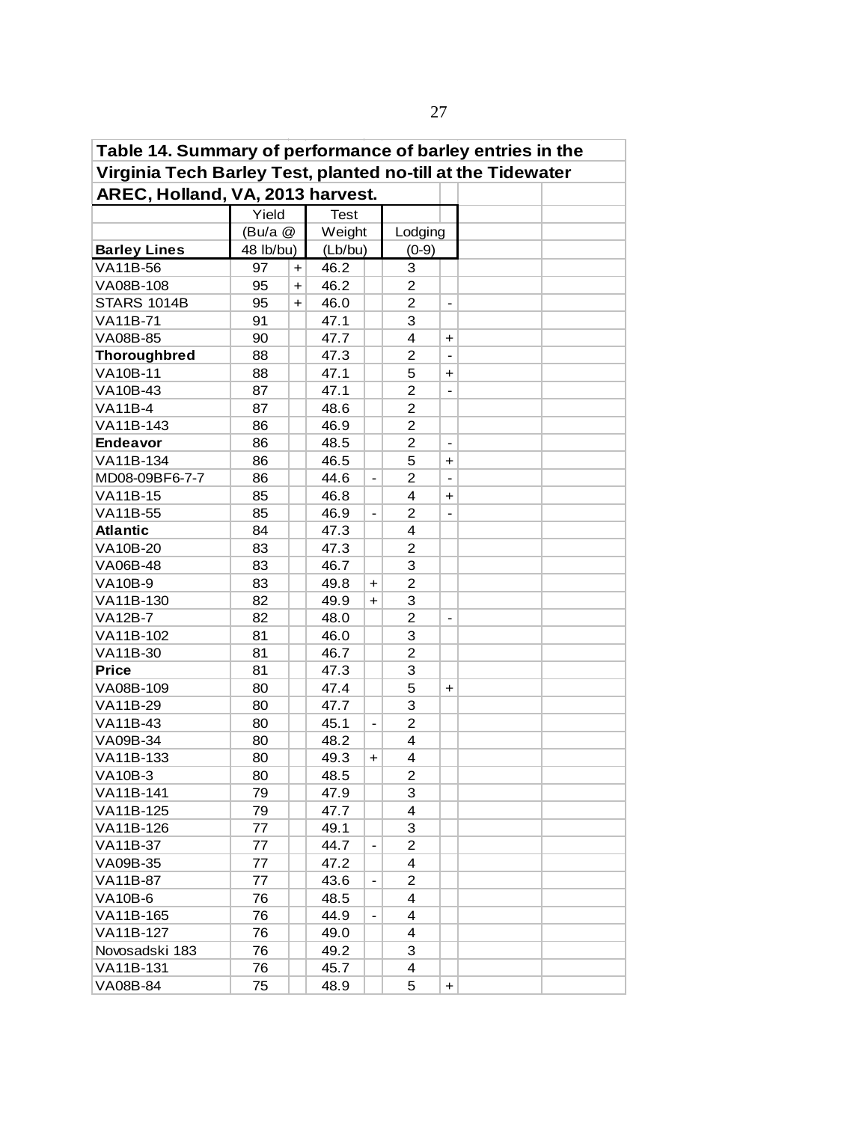| Table 14. Summary of performance of barley entries in the<br>Virginia Tech Barley Test, planted no-till at the Tidewater |           |                      |             |                                  |                |                              |  |  |  |  |  |  |  |
|--------------------------------------------------------------------------------------------------------------------------|-----------|----------------------|-------------|----------------------------------|----------------|------------------------------|--|--|--|--|--|--|--|
|                                                                                                                          |           |                      |             |                                  |                |                              |  |  |  |  |  |  |  |
| AREC, Holland, VA, 2013 harvest.                                                                                         |           |                      |             |                                  |                |                              |  |  |  |  |  |  |  |
|                                                                                                                          | Yield     |                      | <b>Test</b> |                                  |                |                              |  |  |  |  |  |  |  |
|                                                                                                                          | (Bu/a @   |                      | Weight      |                                  | Lodging        |                              |  |  |  |  |  |  |  |
| <b>Barley Lines</b>                                                                                                      | 48 lb/bu) |                      | (Lb/bu)     |                                  | $(0-9)$        |                              |  |  |  |  |  |  |  |
| VA11B-56                                                                                                                 | 97        | $+$                  | 46.2        |                                  | 3              |                              |  |  |  |  |  |  |  |
| VA08B-108                                                                                                                | 95        | $\ddot{}$            | 46.2        |                                  | $\overline{2}$ |                              |  |  |  |  |  |  |  |
| <b>STARS 1014B</b>                                                                                                       | 95        | $\ddot{\phantom{1}}$ | 46.0        |                                  | 2              | $\overline{\phantom{0}}$     |  |  |  |  |  |  |  |
| VA11B-71                                                                                                                 | 91        |                      | 47.1        |                                  | 3              |                              |  |  |  |  |  |  |  |
| VA08B-85                                                                                                                 | 90        |                      | 47.7        |                                  | 4              | $\ddot{}$                    |  |  |  |  |  |  |  |
| <b>Thoroughbred</b>                                                                                                      | 88        |                      | 47.3        |                                  | 2              | $\qquad \qquad \blacksquare$ |  |  |  |  |  |  |  |
| VA10B-11                                                                                                                 | 88        |                      | 47.1        |                                  | 5              | $\pm$                        |  |  |  |  |  |  |  |
| VA10B-43                                                                                                                 | 87        |                      | 47.1        |                                  | $\overline{c}$ | $\overline{\phantom{a}}$     |  |  |  |  |  |  |  |
| <b>VA11B-4</b>                                                                                                           | 87        |                      | 48.6        |                                  | $\overline{2}$ |                              |  |  |  |  |  |  |  |
| VA11B-143                                                                                                                | 86        |                      | 46.9        |                                  | $\overline{c}$ |                              |  |  |  |  |  |  |  |
| <b>Endeavor</b>                                                                                                          | 86        |                      | 48.5        |                                  | $\overline{c}$ | $\blacksquare$               |  |  |  |  |  |  |  |
| VA11B-134                                                                                                                | 86        |                      | 46.5        |                                  | 5              | $\ddot{}$                    |  |  |  |  |  |  |  |
| MD08-09BF6-7-7                                                                                                           | 86        |                      | 44.6        |                                  | $\overline{2}$ |                              |  |  |  |  |  |  |  |
| <b>VA11B-15</b>                                                                                                          | 85        |                      | 46.8        |                                  | 4              | +                            |  |  |  |  |  |  |  |
| <b>VA11B-55</b>                                                                                                          | 85        |                      | 46.9        |                                  | 2              |                              |  |  |  |  |  |  |  |
| <b>Atlantic</b>                                                                                                          | 84        |                      | 47.3        |                                  | $\overline{4}$ |                              |  |  |  |  |  |  |  |
| VA10B-20                                                                                                                 | 83        |                      | 47.3        |                                  | 2              |                              |  |  |  |  |  |  |  |
| VA06B-48                                                                                                                 | 83        |                      | 46.7        |                                  | 3              |                              |  |  |  |  |  |  |  |
| VA10B-9                                                                                                                  | 83        |                      | 49.8        | $\ddot{}$                        | $\overline{2}$ |                              |  |  |  |  |  |  |  |
| VA11B-130                                                                                                                | 82        |                      | 49.9        | $\ddot{}$                        | 3              |                              |  |  |  |  |  |  |  |
| VA12B-7                                                                                                                  | 82        |                      | 48.0        |                                  | $\overline{2}$ | $\qquad \qquad \blacksquare$ |  |  |  |  |  |  |  |
| VA11B-102                                                                                                                | 81        |                      | 46.0        |                                  | 3              |                              |  |  |  |  |  |  |  |
| VA11B-30                                                                                                                 | 81        |                      | 46.7        |                                  | $\overline{c}$ |                              |  |  |  |  |  |  |  |
| <b>Price</b>                                                                                                             | 81        |                      | 47.3        |                                  | 3              |                              |  |  |  |  |  |  |  |
| VA08B-109                                                                                                                | 80        |                      | 47.4        |                                  | 5              | $\ddot{}$                    |  |  |  |  |  |  |  |
| VA11B-29                                                                                                                 | 80        |                      | 47.7        |                                  | 3              |                              |  |  |  |  |  |  |  |
| VA11B-43                                                                                                                 | 80        |                      | 45.1        | $\blacksquare$                   | $\overline{2}$ |                              |  |  |  |  |  |  |  |
| VA09B-34                                                                                                                 | 80        |                      | 48.2        |                                  | 4              |                              |  |  |  |  |  |  |  |
| VA11B-133                                                                                                                | 80        |                      | 49.3        | $\begin{array}{c} + \end{array}$ | 4              |                              |  |  |  |  |  |  |  |
| <b>VA10B-3</b>                                                                                                           | 80        |                      | 48.5        |                                  | $\overline{c}$ |                              |  |  |  |  |  |  |  |
| VA11B-141                                                                                                                | 79        |                      | 47.9        |                                  | 3              |                              |  |  |  |  |  |  |  |
| VA11B-125                                                                                                                | 79        |                      | 47.7        |                                  | 4              |                              |  |  |  |  |  |  |  |
| VA11B-126                                                                                                                | 77        |                      | 49.1        |                                  | 3              |                              |  |  |  |  |  |  |  |
| VA11B-37                                                                                                                 | 77        |                      | 44.7        |                                  | $\overline{2}$ |                              |  |  |  |  |  |  |  |
| VA09B-35                                                                                                                 | 77        |                      | 47.2        |                                  | 4              |                              |  |  |  |  |  |  |  |
| VA11B-87                                                                                                                 | 77        |                      | 43.6        |                                  | 2              |                              |  |  |  |  |  |  |  |
| VA10B-6                                                                                                                  | 76        |                      | 48.5        |                                  | 4              |                              |  |  |  |  |  |  |  |
| VA11B-165                                                                                                                | 76        |                      | 44.9        |                                  | 4              |                              |  |  |  |  |  |  |  |
| VA11B-127                                                                                                                | 76        |                      | 49.0        |                                  | 4              |                              |  |  |  |  |  |  |  |
| Novosadski 183                                                                                                           | 76        |                      | 49.2        |                                  | 3              |                              |  |  |  |  |  |  |  |
| VA11B-131                                                                                                                | 76        |                      | 45.7        |                                  | 4              |                              |  |  |  |  |  |  |  |
| VA08B-84                                                                                                                 | 75        |                      | 48.9        |                                  | 5              | $\ddot{}$                    |  |  |  |  |  |  |  |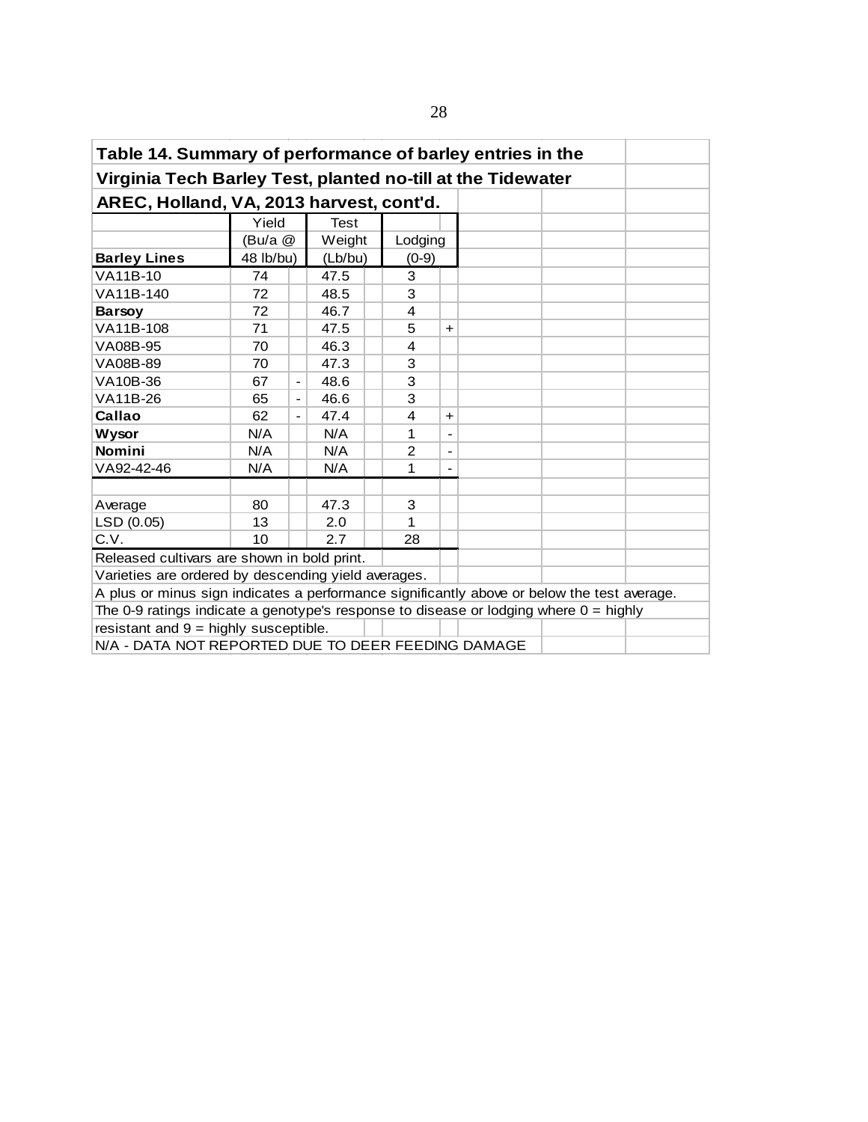| Table 14. Summary of performance of barley entries in the<br>Virginia Tech Barley Test, planted no-till at the Tidewater |           |                          |             |  |                |                          |  |  |  |  |  |  |  |  |
|--------------------------------------------------------------------------------------------------------------------------|-----------|--------------------------|-------------|--|----------------|--------------------------|--|--|--|--|--|--|--|--|
|                                                                                                                          |           |                          |             |  |                |                          |  |  |  |  |  |  |  |  |
| AREC, Holland, VA, 2013 harvest, cont'd.                                                                                 |           |                          |             |  |                |                          |  |  |  |  |  |  |  |  |
|                                                                                                                          | Yield     |                          | <b>Test</b> |  |                |                          |  |  |  |  |  |  |  |  |
|                                                                                                                          | (Bu/a @   |                          | Weight      |  | Lodging        |                          |  |  |  |  |  |  |  |  |
| <b>Barley Lines</b>                                                                                                      | 48 lb/bu) |                          | (Lb/bu)     |  | $(0-9)$        |                          |  |  |  |  |  |  |  |  |
| VA11B-10                                                                                                                 | 74        |                          | 47.5        |  | 3              |                          |  |  |  |  |  |  |  |  |
| VA11B-140                                                                                                                | 72        |                          | 48.5        |  | 3              |                          |  |  |  |  |  |  |  |  |
| <b>Barsov</b>                                                                                                            | 72        |                          | 46.7        |  | $\overline{4}$ |                          |  |  |  |  |  |  |  |  |
| VA11B-108                                                                                                                | 71        |                          | 47.5        |  | 5              | $+$                      |  |  |  |  |  |  |  |  |
| VA08B-95<br>46.3<br>4<br>70                                                                                              |           |                          |             |  |                |                          |  |  |  |  |  |  |  |  |
| VA08B-89<br>47.3<br>3<br>70                                                                                              |           |                          |             |  |                |                          |  |  |  |  |  |  |  |  |
| VA10B-36                                                                                                                 | 67        | -                        | 48.6        |  | 3              |                          |  |  |  |  |  |  |  |  |
| VA11B-26                                                                                                                 | 65        | $\overline{\phantom{0}}$ | 46.6        |  | 3              |                          |  |  |  |  |  |  |  |  |
| Callao                                                                                                                   | 62        | -                        | 47.4        |  | 4              | $\ddot{\phantom{1}}$     |  |  |  |  |  |  |  |  |
| <b>Wysor</b>                                                                                                             | N/A       |                          | N/A         |  | 1              |                          |  |  |  |  |  |  |  |  |
| <b>Nomini</b>                                                                                                            | N/A       |                          | N/A         |  | $\overline{2}$ | $\overline{\phantom{a}}$ |  |  |  |  |  |  |  |  |
| VA92-42-46                                                                                                               | N/A       |                          | N/A         |  | 1              |                          |  |  |  |  |  |  |  |  |
|                                                                                                                          |           |                          |             |  |                |                          |  |  |  |  |  |  |  |  |
| Average                                                                                                                  | 80        |                          | 47.3        |  | 3              |                          |  |  |  |  |  |  |  |  |
| LSD (0.05)                                                                                                               | 13        |                          | 2.0         |  | 1              |                          |  |  |  |  |  |  |  |  |
| C.V.                                                                                                                     | 10        |                          | 2.7         |  | 28             |                          |  |  |  |  |  |  |  |  |
| Released cultivars are shown in bold print.                                                                              |           |                          |             |  |                |                          |  |  |  |  |  |  |  |  |
| Varieties are ordered by descending yield averages.                                                                      |           |                          |             |  |                |                          |  |  |  |  |  |  |  |  |
| A plus or minus sign indicates a performance significantly above or below the test average.                              |           |                          |             |  |                |                          |  |  |  |  |  |  |  |  |
| The 0-9 ratings indicate a genotype's response to disease or lodging where $0 =$ highly                                  |           |                          |             |  |                |                          |  |  |  |  |  |  |  |  |
| resistant and $9 =$ highly susceptible.                                                                                  |           |                          |             |  |                |                          |  |  |  |  |  |  |  |  |
| N/A - DATA NOT REPORTED DUE TO DEER FEEDING DAMAGE                                                                       |           |                          |             |  |                |                          |  |  |  |  |  |  |  |  |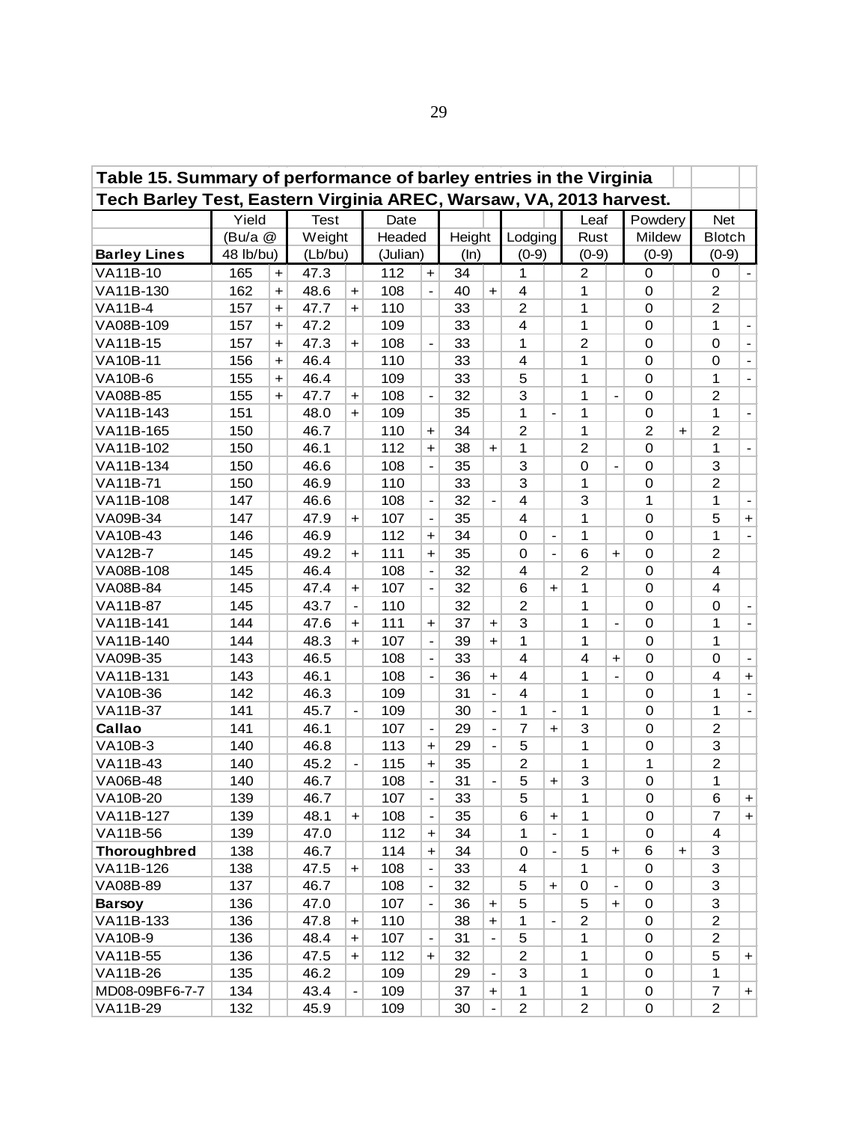| Table 15. Summary of performance of barley entries in the Virginia<br>Tech Barley Test, Eastern Virginia AREC, Warsaw, VA, 2013 harvest. |           |           |             |                          |          |                              |        |                      |                |                              |                |                |                |                      |                |                              |
|------------------------------------------------------------------------------------------------------------------------------------------|-----------|-----------|-------------|--------------------------|----------|------------------------------|--------|----------------------|----------------|------------------------------|----------------|----------------|----------------|----------------------|----------------|------------------------------|
|                                                                                                                                          |           |           |             |                          |          |                              |        |                      |                |                              |                |                |                |                      |                |                              |
|                                                                                                                                          | Yield     |           | <b>Test</b> |                          | Date     |                              |        |                      |                |                              | Leaf           |                | Powdery        |                      | <b>Net</b>     |                              |
|                                                                                                                                          | (Bu/a @   |           | Weight      |                          | Headed   |                              | Height |                      | Lodging        |                              | Rust           |                | Mildew         |                      | <b>Blotch</b>  |                              |
| <b>Barley Lines</b>                                                                                                                      | 48 lb/bu) |           | (Lb/bu)     |                          | (Julian) |                              | (ln)   |                      | $(0-9)$        |                              | $(0-9)$        |                | $(0-9)$        |                      | $(0-9)$        |                              |
| VA11B-10                                                                                                                                 | 165       | $\ddot{}$ | 47.3        |                          | 112      | $+$                          | 34     |                      | 1              |                              | 2              |                | 0              |                      | 0              | $\blacksquare$               |
| VA11B-130                                                                                                                                | 162       | $\ddot{}$ | 48.6        | $\ddot{}$                | 108      | $\blacksquare$               | 40     | $+$                  | 4              |                              | 1              |                | 0              |                      | $\overline{2}$ |                              |
| <b>VA11B-4</b>                                                                                                                           | 157       | $\ddot{}$ | 47.7        | $\ddot{}$                | 110      |                              | 33     |                      | $\overline{c}$ |                              | 1              |                | $\mathbf 0$    |                      | $\overline{c}$ |                              |
| VA08B-109                                                                                                                                | 157       | $\ddot{}$ | 47.2        |                          | 109      |                              | 33     |                      | 4              |                              | 1              |                | $\mathbf 0$    |                      | 1              | $\overline{\phantom{a}}$     |
| VA11B-15                                                                                                                                 | 157       | $\ddot{}$ | 47.3        | $\ddot{}$                | 108      | $\overline{a}$               | 33     |                      | 1              |                              | $\overline{2}$ |                | $\mathbf 0$    |                      | $\mathbf 0$    | $\blacksquare$               |
| <b>VA10B-11</b>                                                                                                                          | 156       | $\ddot{}$ | 46.4        |                          | 110      |                              | 33     |                      | 4              |                              | 1              |                | $\mathbf 0$    |                      | $\mathbf 0$    |                              |
| <b>VA10B-6</b>                                                                                                                           | 155       | $\div$    | 46.4        |                          | 109      |                              | 33     |                      | 5              |                              | 1              |                | $\mathbf 0$    |                      | 1              |                              |
| VA08B-85                                                                                                                                 | 155       | $\ddot{}$ | 47.7        | $\ddot{}$                | 108      |                              | 32     |                      | 3              |                              | 1              |                | $\mathbf 0$    |                      | $\overline{c}$ |                              |
| VA11B-143                                                                                                                                | 151       |           | 48.0        | $\ddot{}$                | 109      |                              | 35     |                      | $\mathbf{1}$   |                              | 1              |                | $\mathbf 0$    |                      | 1              | $\overline{\phantom{a}}$     |
| VA11B-165                                                                                                                                | 150       |           | 46.7        |                          | 110      | $\ddot{}$                    | 34     |                      | $\overline{2}$ |                              | 1              |                | $\overline{2}$ | $\ddot{\phantom{1}}$ | $\overline{2}$ |                              |
| VA11B-102                                                                                                                                | 150       |           | 46.1        |                          | 112      | $\ddot{}$                    | 38     | $\ddot{}$            | $\mathbf{1}$   |                              | $\overline{c}$ |                | $\mathbf 0$    |                      | $\mathbf{1}$   | $\overline{\phantom{a}}$     |
| VA11B-134                                                                                                                                | 150       |           | 46.6        |                          | 108      | $\overline{a}$               | 35     |                      | 3              |                              | 0              | $\overline{a}$ | 0              |                      | 3              |                              |
| <b>VA11B-71</b>                                                                                                                          | 150       |           | 46.9        |                          | 110      |                              | 33     |                      | 3              |                              | 1              |                | 0              |                      | $\overline{c}$ |                              |
| VA11B-108                                                                                                                                | 147       |           | 46.6        |                          | 108      | $\qquad \qquad \blacksquare$ | 32     |                      | 4              |                              | 3              |                | 1              |                      | 1              | $\qquad \qquad \blacksquare$ |
| VA09B-34                                                                                                                                 | 147       |           | 47.9        | $\ddot{}$                | 107      |                              | 35     |                      | 4              |                              | 1              |                | 0              |                      | 5              | $+$                          |
| VA10B-43                                                                                                                                 | 146       |           | 46.9        |                          | 112      | $\ddot{}$                    | 34     |                      | 0              | $\qquad \qquad \blacksquare$ | 1              |                | 0              |                      | $\mathbf 1$    | $\blacksquare$               |
| <b>VA12B-7</b>                                                                                                                           | 145       |           | 49.2        | $\ddot{}$                | 111      | $\ddot{}$                    | 35     |                      | 0              | $\blacksquare$               | 6              | $\ddot{}$      | 0              |                      | $\overline{2}$ |                              |
| VA08B-108                                                                                                                                | 145       |           | 46.4        |                          | 108      | $\blacksquare$               | 32     |                      | 4              |                              | $\overline{2}$ |                | 0              |                      | 4              |                              |
| VA08B-84                                                                                                                                 | 145       |           | 47.4        | $\ddot{}$                | 107      | $\blacksquare$               | 32     |                      | 6              | $\ddot{}$                    | 1              |                | $\mathbf 0$    |                      | 4              |                              |
| <b>VA11B-87</b>                                                                                                                          | 145       |           | 43.7        | $\overline{a}$           | 110      |                              | 32     |                      | $\overline{c}$ |                              | 1              |                | $\mathbf 0$    |                      | 0              | $\overline{\phantom{a}}$     |
| VA11B-141                                                                                                                                | 144       |           | 47.6        | $\ddot{}$                | 111      | $\ddot{}$                    | 37     | $\ddot{\phantom{1}}$ | 3              |                              | 1              | $\overline{a}$ | 0              |                      | $\mathbf{1}$   | $\blacksquare$               |
| VA11B-140                                                                                                                                | 144       |           | 48.3        | $\ddot{\phantom{1}}$     | 107      | $\blacksquare$               | 39     | $\ddot{\phantom{1}}$ | 1              |                              | 1              |                | $\mathbf 0$    |                      | $\mathbf{1}$   |                              |
| VA09B-35                                                                                                                                 | 143       |           | 46.5        |                          | 108      | $\overline{a}$               | 33     |                      | 4              |                              | 4              | $\ddot{}$      | 0              |                      | 0              |                              |
| VA11B-131                                                                                                                                | 143       |           | 46.1        |                          | 108      |                              | 36     | $\ddot{}$            | $\overline{4}$ |                              | 1              |                | 0              |                      | 4              | $+$                          |
| VA10B-36                                                                                                                                 | 142       |           | 46.3        |                          | 109      |                              | 31     |                      | $\overline{4}$ |                              | 1              |                | 0              |                      | $\mathbf{1}$   |                              |
| VA11B-37                                                                                                                                 | 141       |           | 45.7        | $\overline{\phantom{a}}$ | 109      |                              | 30     | $\blacksquare$       | 1              | $\qquad \qquad \blacksquare$ | 1              |                | $\mathbf 0$    |                      | $\mathbf{1}$   | $\overline{\phantom{a}}$     |
| Callao                                                                                                                                   | 141       |           | 46.1        |                          | 107      | $\overline{\phantom{a}}$     | 29     | $\blacksquare$       | $\overline{7}$ | $\ddot{\phantom{1}}$         | 3              |                | 0              |                      | $\overline{c}$ |                              |
| <b>VA10B-3</b>                                                                                                                           | 140       |           | 46.8        |                          | 113      | $\ddot{}$                    | 29     |                      | 5              |                              | 1              |                | $\mathbf 0$    |                      | 3              |                              |
| VA11B-43                                                                                                                                 | 140       |           | 45.2        |                          | 115      | $+$                          | 35     |                      | $\overline{c}$ |                              | 1              |                | 1              |                      | $\overline{c}$ |                              |
| VA06B-48                                                                                                                                 | 140       |           | 46.7        |                          | 108      | $\blacksquare$               | 31     |                      | 5              | $\pm$                        | 3              |                | $\mathbf 0$    |                      | 1              |                              |
| VA10B-20                                                                                                                                 | 139       |           | 46.7        |                          | 107      | $\blacksquare$               | 33     |                      | 5              |                              | 1              |                | $\,0\,$        |                      | 6              | $\boldsymbol{+}$             |
| VA11B-127                                                                                                                                | 139       |           | 48.1        | $\pm$                    | 108      | $\overline{\phantom{a}}$     | 35     |                      | 6              | +                            | 1              |                | 0              |                      | 7              | $+$                          |
| VA11B-56                                                                                                                                 | 139       |           | 47.0        |                          | 112      | $+$                          | 34     |                      | 1              | $\overline{a}$               | 1              |                | 0              |                      | 4              |                              |
| <b>Thoroughbred</b>                                                                                                                      | 138       |           | 46.7        |                          | 114      | $\ddot{}$                    | 34     |                      | 0              | $\frac{1}{2}$                | 5              | $\ddot{}$      | 6              | $\ddot{\phantom{1}}$ | 3              |                              |
| VA11B-126                                                                                                                                | 138       |           | 47.5        | $\ddot{}$                | 108      | $\overline{\phantom{a}}$     | 33     |                      | 4              |                              | 1              |                | $\mathbf 0$    |                      | 3              |                              |
| VA08B-89                                                                                                                                 | 137       |           | 46.7        |                          | 108      | $\overline{\phantom{a}}$     | 32     |                      | 5              | $\ddot{}$                    | $\mathbf 0$    | $\blacksquare$ | 0              |                      | 3              |                              |
| <b>Barsoy</b>                                                                                                                            | 136       |           | 47.0        |                          | 107      | $\overline{a}$               | 36     | $\ddot{}$            | 5              |                              | 5              | $\ddot{}$      | 0              |                      | 3              |                              |
| VA11B-133                                                                                                                                | 136       |           | 47.8        | $\ddot{}$                | 110      |                              | 38     | $\ddot{}$            | 1              | $\overline{a}$               | $\overline{2}$ |                | $\mathbf 0$    |                      | $\overline{c}$ |                              |
| <b>VA10B-9</b>                                                                                                                           | 136       |           | 48.4        | $\ddag$                  | 107      |                              | 31     |                      | 5              |                              | 1              |                | $\mathbf 0$    |                      | $\overline{c}$ |                              |
| VA11B-55                                                                                                                                 | 136       |           | 47.5        | $\ddot{\phantom{1}}$     | 112      | $+$                          | 32     |                      | $\overline{2}$ |                              | 1              |                | $\mathbf 0$    |                      | 5              | $+$                          |
| VA11B-26                                                                                                                                 | 135       |           | 46.2        |                          | 109      |                              | 29     |                      | 3              |                              | 1              |                | $\mathbf 0$    |                      | 1              |                              |
| MD08-09BF6-7-7                                                                                                                           | 134       |           | 43.4        |                          | 109      |                              | 37     | $\ddot{}$            | $\mathbf{1}$   |                              | $\mathbf{1}$   |                | 0              |                      | $\overline{7}$ | $+$                          |
| VA11B-29                                                                                                                                 | 132       |           | 45.9        |                          | 109      |                              | 30     |                      | $\overline{c}$ |                              | $\overline{2}$ |                | $\mathsf 0$    |                      | $\overline{2}$ |                              |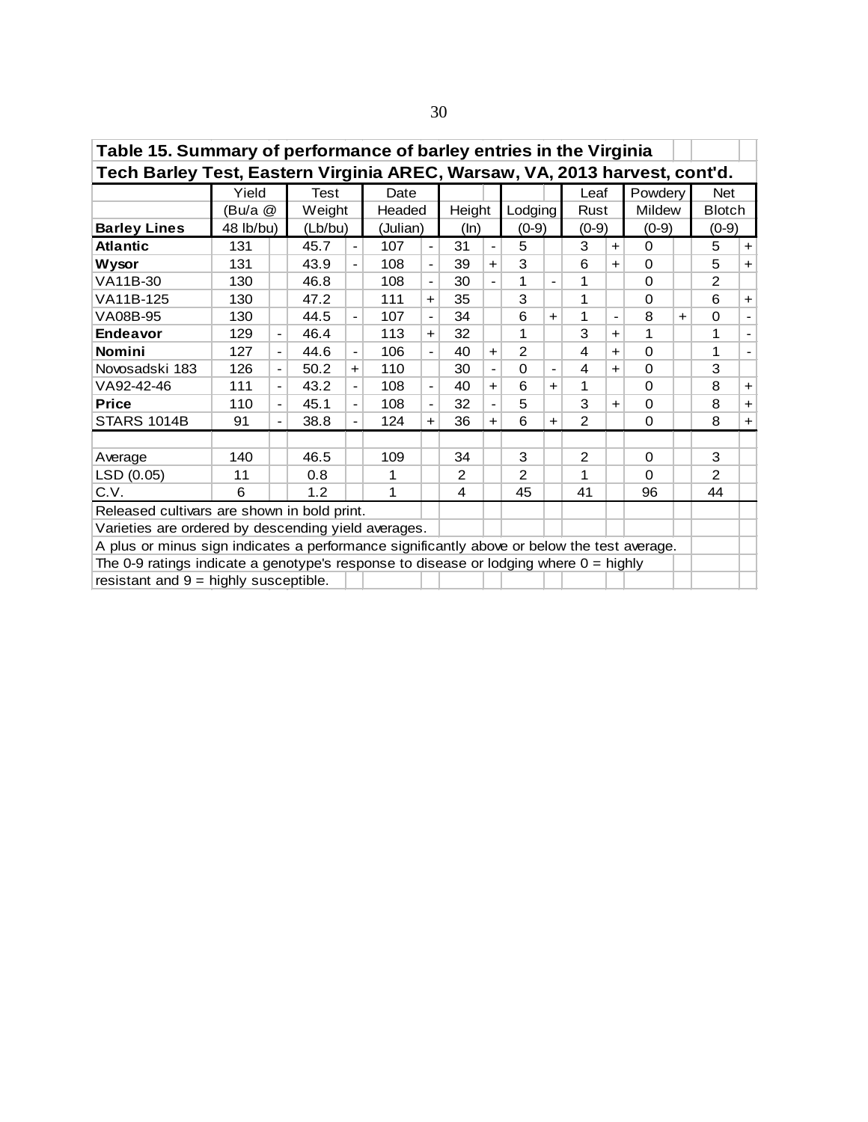| Table 15. Summary of performance of barley entries in the Virginia<br>Tech Barley Test, Eastern Virginia AREC, Warsaw, VA, 2013 harvest, cont'd. |           |                          |             |                          |          |                          |        |                          |          |                              |                |                |          |     |                |                |
|--------------------------------------------------------------------------------------------------------------------------------------------------|-----------|--------------------------|-------------|--------------------------|----------|--------------------------|--------|--------------------------|----------|------------------------------|----------------|----------------|----------|-----|----------------|----------------|
|                                                                                                                                                  |           |                          |             |                          |          |                          |        |                          |          |                              |                |                |          |     |                |                |
|                                                                                                                                                  | Yield     |                          | <b>Test</b> |                          | Date     |                          |        |                          |          |                              | Leaf           |                | Powdery  |     | <b>Net</b>     |                |
|                                                                                                                                                  | (Bu/a @   |                          | Weight      |                          | Headed   |                          | Height |                          | Lodging  |                              | Rust           |                | Mildew   |     | <b>Blotch</b>  |                |
| <b>Barley Lines</b>                                                                                                                              | 48 lb/bu) |                          | (Lb/bu)     |                          | (Julian) |                          | (ln)   |                          | $(0-9)$  |                              | $(0-9)$        |                | $(0-9)$  |     | $(0-9)$        |                |
| <b>Atlantic</b>                                                                                                                                  | 131       |                          | 45.7        | $\overline{\phantom{a}}$ | 107      | $\blacksquare$           | 31     | $\overline{\phantom{a}}$ | 5        |                              | 3              | $+$            | $\Omega$ |     | 5              | $+$            |
| <b>Wysor</b>                                                                                                                                     | 131       |                          | 43.9        |                          | 108      | $\overline{a}$           | 39     | $+$                      | 3        |                              | 6              | $+$            | $\Omega$ |     | 5              | $+$            |
| VA11B-30                                                                                                                                         | 130       |                          | 46.8        |                          | 108      | $\overline{a}$           | 30     |                          | 1        | $\overline{\phantom{0}}$     | 1              |                | 0        |     | 2              |                |
| VA11B-125                                                                                                                                        | 130       |                          | 47.2        |                          | 111      | $+$                      | 35     |                          | 3        |                              | 1              |                | 0        |     | 6              | $+$            |
| VA08B-95                                                                                                                                         | 130       |                          | 44.5        | $\blacksquare$           | 107      | $\overline{\phantom{a}}$ | 34     |                          | 6        | $+$                          | 1              | $\blacksquare$ | 8        | $+$ | $\mathbf 0$    | $\blacksquare$ |
| <b>Endeavor</b>                                                                                                                                  | 129       | $\blacksquare$           | 46.4        |                          | 113      | $+$                      | 32     |                          | 1        |                              | 3              | $+$            | 1        |     | 1              | $\blacksquare$ |
| <b>Nomini</b>                                                                                                                                    | 127       | $\overline{\phantom{a}}$ | 44.6        | $\blacksquare$           | 106      | $\blacksquare$           | 40     | $\ddot{}$                | 2        |                              | 4              | $+$            | $\Omega$ |     | 1              | $\blacksquare$ |
| Novosadski 183                                                                                                                                   | 126       | $\blacksquare$           | 50.2        | $\pm$                    | 110      |                          | 30     | $\blacksquare$           | $\Omega$ | $\qquad \qquad \blacksquare$ | 4              | $\ddot{}$      | $\Omega$ |     | 3              |                |
| VA92-42-46                                                                                                                                       | 111       | $\overline{\phantom{a}}$ | 43.2        | $\overline{\phantom{a}}$ | 108      | $\overline{\phantom{a}}$ | 40     | +                        | 6        | $\ddot{}$                    | 1              |                | $\Omega$ |     | 8              | $+$            |
| <b>Price</b>                                                                                                                                     | 110       |                          | 45.1        |                          | 108      | $\frac{1}{2}$            | 32     |                          | 5        |                              | 3              | $+$            | $\Omega$ |     | 8              | $+$            |
| <b>STARS 1014B</b>                                                                                                                               | 91        |                          | 38.8        |                          | 124      | $+$                      | 36     | $\ddot{}$                | 6        | $\ddot{}$                    | $\mathcal{P}$  |                | $\Omega$ |     | 8              | $+$            |
|                                                                                                                                                  |           |                          |             |                          |          |                          |        |                          |          |                              |                |                |          |     |                |                |
| Average                                                                                                                                          | 140       |                          | 46.5        |                          | 109      |                          | 34     |                          | 3        |                              | $\overline{2}$ |                | $\Omega$ |     | 3              |                |
| LSD (0.05)                                                                                                                                       | 11        |                          | 0.8         |                          | 1        |                          | 2      |                          | 2        |                              | 1              |                | $\Omega$ |     | $\overline{2}$ |                |
| C.V.                                                                                                                                             | 6         |                          | 1.2         |                          | 1        |                          | 4      |                          | 45       |                              | 41             |                | 96       |     | 44             |                |
| Released cultivars are shown in bold print.                                                                                                      |           |                          |             |                          |          |                          |        |                          |          |                              |                |                |          |     |                |                |
| Varieties are ordered by descending yield averages.                                                                                              |           |                          |             |                          |          |                          |        |                          |          |                              |                |                |          |     |                |                |
| A plus or minus sign indicates a performance significantly above or below the test average.                                                      |           |                          |             |                          |          |                          |        |                          |          |                              |                |                |          |     |                |                |
| The 0-9 ratings indicate a genotype's response to disease or lodging where $0 =$ highly                                                          |           |                          |             |                          |          |                          |        |                          |          |                              |                |                |          |     |                |                |
| resistant and $9 =$ highly susceptible.                                                                                                          |           |                          |             |                          |          |                          |        |                          |          |                              |                |                |          |     |                |                |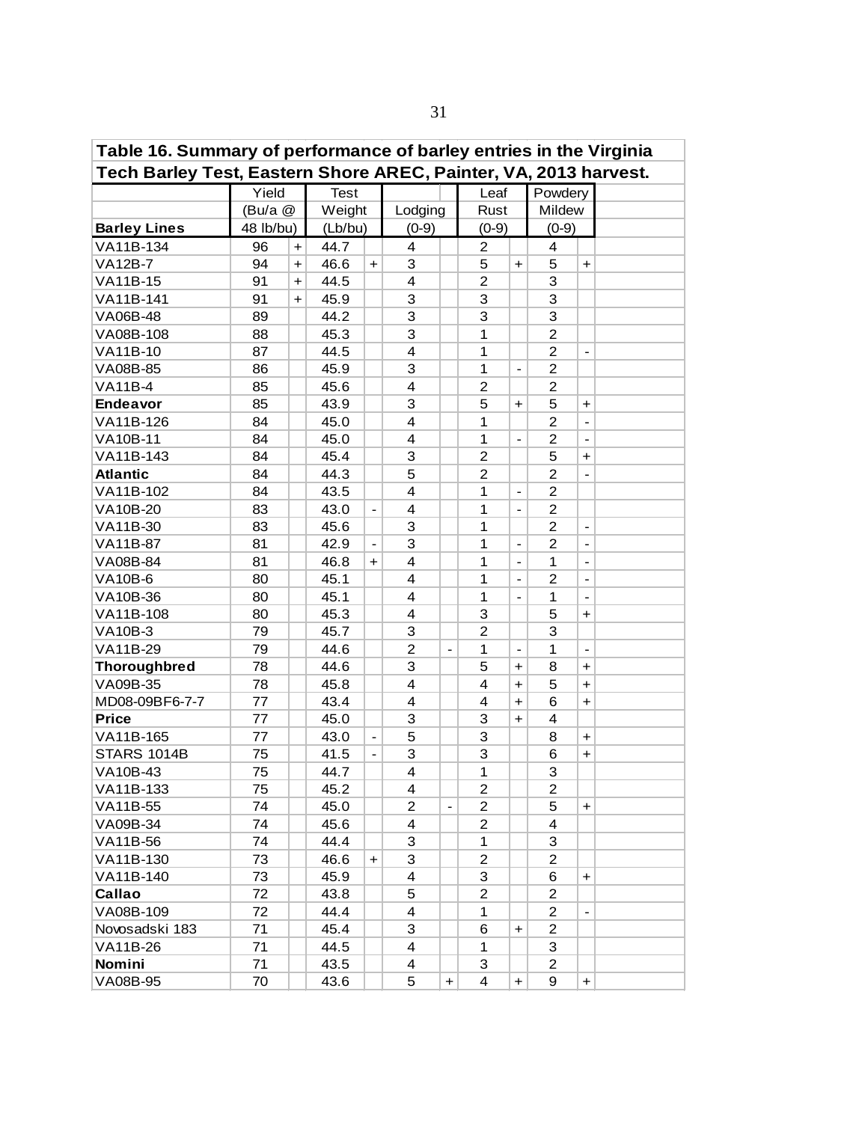| Table 16. Summary of performance of barley entries in the Virginia<br>Tech Barley Test, Eastern Shore AREC, Painter, VA, 2013 harvest. |           |                      |             |                              |                         |                          |                |                                  |                |                          |  |  |  |
|----------------------------------------------------------------------------------------------------------------------------------------|-----------|----------------------|-------------|------------------------------|-------------------------|--------------------------|----------------|----------------------------------|----------------|--------------------------|--|--|--|
|                                                                                                                                        |           |                      |             |                              |                         |                          |                |                                  |                |                          |  |  |  |
|                                                                                                                                        | Yield     |                      | <b>Test</b> |                              |                         |                          | Leaf           |                                  | Powdery        |                          |  |  |  |
|                                                                                                                                        | (Bu/a @   |                      | Weight      |                              | Lodging                 |                          | Rust           |                                  | Mildew         |                          |  |  |  |
| <b>Barley Lines</b>                                                                                                                    | 48 lb/bu) |                      | (Lb/bu)     |                              | $(0-9)$                 |                          | $(0-9)$        |                                  | $(0-9)$        |                          |  |  |  |
| VA11B-134                                                                                                                              | 96        | $+$                  | 44.7        |                              | 4                       |                          | $\overline{2}$ |                                  | 4              |                          |  |  |  |
| <b>VA12B-7</b>                                                                                                                         | 94        | $\ddot{\phantom{1}}$ | 46.6        | $\ddot{}$                    | 3                       |                          | 5              | $\ddot{\phantom{1}}$             | 5              | $+$                      |  |  |  |
| VA11B-15                                                                                                                               | 91        | $\ddot{\phantom{1}}$ | 44.5        |                              | $\overline{\mathbf{4}}$ |                          | $\overline{2}$ |                                  | 3              |                          |  |  |  |
| VA11B-141                                                                                                                              | 91        | $\ddot{}$            | 45.9        |                              | 3                       |                          | 3              |                                  | 3              |                          |  |  |  |
| VA06B-48                                                                                                                               | 89        |                      | 44.2        |                              | 3                       |                          | 3              |                                  | 3              |                          |  |  |  |
| VA08B-108                                                                                                                              | 88        |                      | 45.3        |                              | 3                       |                          | 1              |                                  | $\overline{2}$ |                          |  |  |  |
| VA11B-10                                                                                                                               | 87        |                      | 44.5        |                              | $\overline{\mathbf{4}}$ |                          | 1              |                                  | $\overline{2}$ | $\overline{\phantom{a}}$ |  |  |  |
| VA08B-85                                                                                                                               | 86        |                      | 45.9        |                              | 3                       |                          | $\mathbf{1}$   | $\overline{\phantom{a}}$         | $\overline{2}$ |                          |  |  |  |
| <b>VA11B-4</b>                                                                                                                         | 85        |                      | 45.6        |                              | $\overline{4}$          |                          | $\overline{c}$ |                                  | $\overline{2}$ |                          |  |  |  |
| <b>Endeavor</b>                                                                                                                        | 85        |                      | 43.9        |                              | 3                       |                          | 5              | $\begin{array}{c} + \end{array}$ | 5              | $\ddot{}$                |  |  |  |
| VA11B-126                                                                                                                              | 84        |                      | 45.0        |                              | 4                       |                          | 1              |                                  | $\overline{c}$ | $\overline{\phantom{a}}$ |  |  |  |
| <b>VA10B-11</b>                                                                                                                        | 84        |                      | 45.0        |                              | 4                       |                          | 1              | $\frac{1}{2}$                    | $\overline{2}$ |                          |  |  |  |
| VA11B-143                                                                                                                              | 84        |                      | 45.4        |                              | 3                       |                          | $\overline{c}$ |                                  | 5              | $\ddot{}$                |  |  |  |
| <b>Atlantic</b>                                                                                                                        | 84        |                      | 44.3        |                              | 5                       |                          | $\overline{c}$ |                                  | $\overline{c}$ | $\blacksquare$           |  |  |  |
| VA11B-102                                                                                                                              | 84        |                      | 43.5        |                              | 4                       |                          | $\mathbf{1}$   | $\overline{\phantom{a}}$         | $\overline{c}$ |                          |  |  |  |
| VA10B-20                                                                                                                               | 83        |                      | 43.0        | $\overline{\phantom{a}}$     | 4                       |                          | 1              | $\blacksquare$                   | $\overline{c}$ |                          |  |  |  |
| VA11B-30                                                                                                                               | 83        |                      | 45.6        |                              | 3                       |                          | 1              |                                  | $\overline{2}$ | $\overline{\phantom{a}}$ |  |  |  |
| VA11B-87                                                                                                                               | 81        |                      | 42.9        | $\overline{\phantom{a}}$     | 3                       |                          | 1              | $\overline{\phantom{a}}$         | $\overline{2}$ | $\blacksquare$           |  |  |  |
| VA08B-84                                                                                                                               | 81        |                      | 46.8        | $\ddot{\phantom{1}}$         | 4                       |                          | 1              | $\overline{\phantom{a}}$         | 1              | $\overline{\phantom{a}}$ |  |  |  |
| <b>VA10B-6</b>                                                                                                                         | 80        |                      | 45.1        |                              | 4                       |                          | 1              |                                  | $\overline{c}$ | $\overline{a}$           |  |  |  |
| VA10B-36                                                                                                                               | 80        |                      | 45.1        |                              | 4                       |                          | 1              | $\overline{a}$                   | 1              |                          |  |  |  |
| VA11B-108                                                                                                                              | 80        |                      | 45.3        |                              | 4                       |                          | 3              |                                  | 5              | $\ddot{}$                |  |  |  |
| <b>VA10B-3</b>                                                                                                                         | 79        |                      | 45.7        |                              | 3                       |                          | $\overline{2}$ |                                  | 3              |                          |  |  |  |
| VA11B-29                                                                                                                               | 79        |                      | 44.6        |                              | $\overline{2}$          | $\blacksquare$           | $\mathbf{1}$   |                                  | 1              | $\overline{\phantom{a}}$ |  |  |  |
| <b>Thoroughbred</b>                                                                                                                    | 78        |                      | 44.6        |                              | 3                       |                          | 5              | $\ddot{\phantom{1}}$             | 8              | $\ddot{}$                |  |  |  |
| VA09B-35                                                                                                                               | 78        |                      | 45.8        |                              | $\overline{4}$          |                          | $\overline{4}$ | $\ddot{\phantom{1}}$             | 5              | $\ddot{}$                |  |  |  |
| MD08-09BF6-7-7                                                                                                                         | 77        |                      | 43.4        |                              | $\overline{\mathbf{4}}$ |                          | 4              | $\ddot{\phantom{1}}$             | 6              | $\ddot{}$                |  |  |  |
| <b>Price</b>                                                                                                                           | 77        |                      | 45.0        |                              | 3                       |                          | 3              | $\ddot{}$                        | 4              |                          |  |  |  |
| VA11B-165                                                                                                                              | 77        |                      | 43.0        | $\qquad \qquad \blacksquare$ | 5                       |                          | 3              |                                  | 8              | $\ddot{}$                |  |  |  |
| <b>STARS 1014B</b>                                                                                                                     | 75        |                      | 41.5        | $\blacksquare$               | 3                       |                          | 3              |                                  | 6              | $\ddot{}$                |  |  |  |
| <b>VA10B-43</b>                                                                                                                        | 75        |                      | 44.7        |                              | $\overline{\mathbf{4}}$ |                          | 1              |                                  | 3              |                          |  |  |  |
| VA11B-133                                                                                                                              | 75        |                      | 45.2        |                              | 4                       |                          | $\overline{2}$ |                                  | 2              |                          |  |  |  |
| VA11B-55                                                                                                                               | 74        |                      | 45.0        |                              | 2                       | $\overline{\phantom{0}}$ | $\overline{2}$ |                                  | 5              | $\ddot{}$                |  |  |  |
| VA09B-34                                                                                                                               | 74        |                      | 45.6        |                              | 4                       |                          | $\overline{c}$ |                                  | 4              |                          |  |  |  |
| VA11B-56                                                                                                                               | 74        |                      | 44.4        |                              | 3                       |                          | 1              |                                  | 3              |                          |  |  |  |
| VA11B-130                                                                                                                              | 73        |                      | 46.6        | $\ddot{}$                    | 3                       |                          | $\overline{c}$ |                                  | 2              |                          |  |  |  |
| VA11B-140                                                                                                                              | 73        |                      | 45.9        |                              | 4                       |                          | 3              |                                  | 6              | $\ddot{}$                |  |  |  |
| Callao                                                                                                                                 | 72        |                      | 43.8        |                              | 5                       |                          | $\overline{c}$ |                                  | $\overline{c}$ |                          |  |  |  |
| VA08B-109                                                                                                                              | 72        |                      | 44.4        |                              | 4                       |                          | 1              |                                  | $\overline{c}$ |                          |  |  |  |
| Novosadski 183                                                                                                                         | 71        |                      | 45.4        |                              | 3                       |                          | 6              | $\ddot{}$                        | $\overline{c}$ |                          |  |  |  |
| VA11B-26                                                                                                                               | 71        |                      | 44.5        |                              | 4                       |                          | 1              |                                  | 3              |                          |  |  |  |
| Nomini                                                                                                                                 | 71        |                      | 43.5        |                              | 4                       |                          | 3              |                                  | $\overline{2}$ |                          |  |  |  |
| VA08B-95                                                                                                                               | 70        |                      | 43.6        |                              | 5                       | $\ddot{}$                | 4              | $\ddot{}$                        | 9              | $+$                      |  |  |  |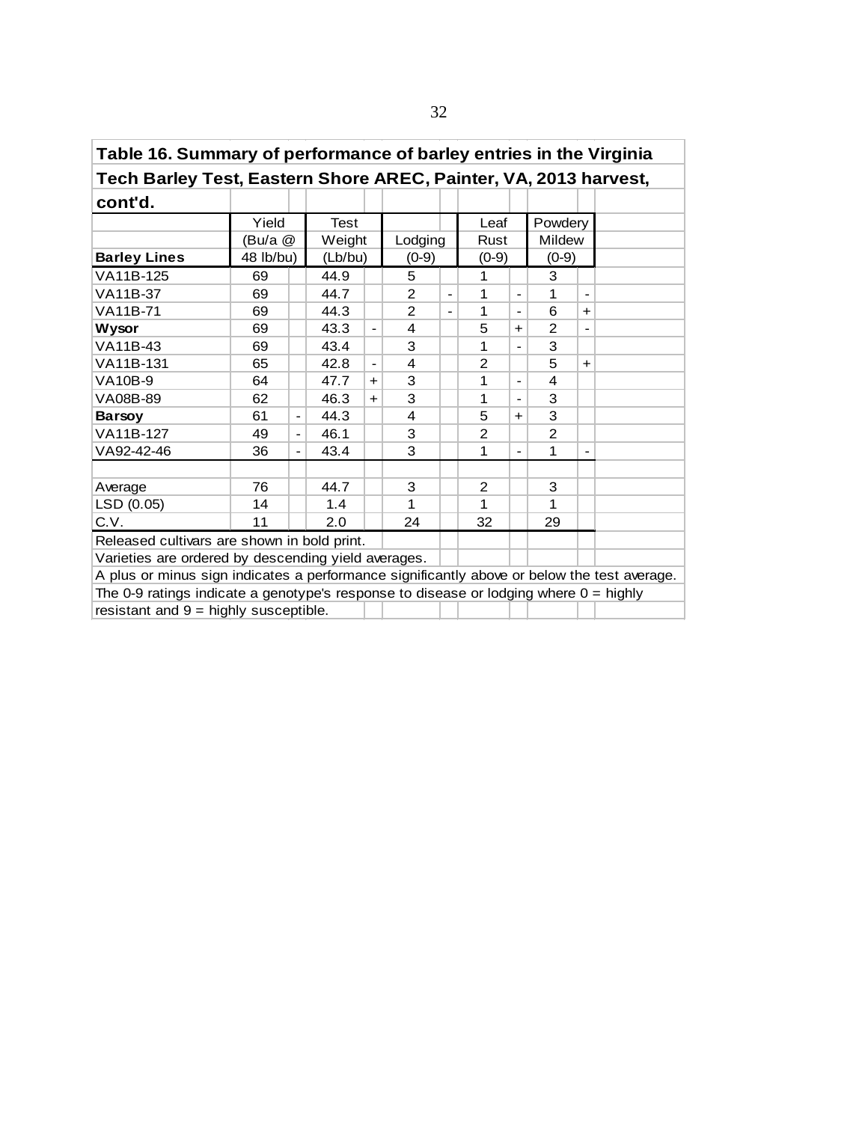| Table 16. Summary of performance of barley entries in the Virginia                          |           |                                                                     |         |           |                |                          |                |                              |                |                          |  |  |  |  |
|---------------------------------------------------------------------------------------------|-----------|---------------------------------------------------------------------|---------|-----------|----------------|--------------------------|----------------|------------------------------|----------------|--------------------------|--|--|--|--|
| Tech Barley Test, Eastern Shore AREC, Painter, VA, 2013 harvest,                            |           |                                                                     |         |           |                |                          |                |                              |                |                          |  |  |  |  |
| cont'd.                                                                                     |           |                                                                     |         |           |                |                          |                |                              |                |                          |  |  |  |  |
|                                                                                             | Yield     |                                                                     | Test    |           |                |                          | Leaf           |                              | Powdery        |                          |  |  |  |  |
|                                                                                             | (Bu/a @   |                                                                     | Weight  |           | Lodging        |                          | Rust           |                              | <b>Mildew</b>  |                          |  |  |  |  |
| <b>Barley Lines</b>                                                                         | 48 lb/bu) |                                                                     | (Lb/bu) |           | $(0-9)$        |                          | $(0-9)$        |                              | $(0-9)$        |                          |  |  |  |  |
| VA11B-125                                                                                   | 69        |                                                                     | 44.9    |           | 5              |                          | 1              |                              | 3              |                          |  |  |  |  |
| VA11B-37                                                                                    | 69        |                                                                     | 44.7    |           | $\overline{2}$ | $\overline{\phantom{0}}$ | 1              |                              | 1              |                          |  |  |  |  |
| VA11B-71                                                                                    | 69        |                                                                     | 44.3    |           | 2              |                          | 1              | $\overline{\phantom{0}}$     | 6              | $\ddagger$               |  |  |  |  |
| 5<br>43.3<br>$\overline{2}$<br>69<br>Wysor<br>4<br>$\blacksquare$<br>$+$<br>$\blacksquare$  |           |                                                                     |         |           |                |                          |                |                              |                |                          |  |  |  |  |
| 3<br>VA11B-43<br>3<br>1<br>69<br>43.4                                                       |           |                                                                     |         |           |                |                          |                |                              |                |                          |  |  |  |  |
| VA11B-131                                                                                   | 65        | $\overline{2}$<br>5<br>42.8<br>4<br>$+$<br>$\overline{\phantom{a}}$ |         |           |                |                          |                |                              |                |                          |  |  |  |  |
| <b>VA10B-9</b>                                                                              | 64        |                                                                     | 47.7    | $+$       | 3              |                          | 1              | $\blacksquare$               | 4              |                          |  |  |  |  |
| VA08B-89                                                                                    | 62        |                                                                     | 46.3    | $\ddot{}$ | 3              |                          | 1              | $\qquad \qquad \blacksquare$ | 3              |                          |  |  |  |  |
| <b>Barsoy</b>                                                                               | 61        | $\overline{\phantom{0}}$                                            | 44.3    |           | 4              |                          | 5              | $+$                          | 3              |                          |  |  |  |  |
| VA11B-127                                                                                   | 49        | $\blacksquare$                                                      | 46.1    |           | 3              |                          | 2              |                              | $\overline{2}$ |                          |  |  |  |  |
| VA92-42-46                                                                                  | 36        | $\blacksquare$                                                      | 43.4    |           | 3              |                          | 1              | $\blacksquare$               | 1              | $\overline{\phantom{a}}$ |  |  |  |  |
|                                                                                             |           |                                                                     |         |           |                |                          |                |                              |                |                          |  |  |  |  |
| Average                                                                                     | 76        |                                                                     | 44.7    |           | 3              |                          | $\overline{2}$ |                              | 3              |                          |  |  |  |  |
| LSD (0.05)                                                                                  | 14        |                                                                     | 1.4     |           | 1              |                          | 1              |                              | 1              |                          |  |  |  |  |
| C.V.                                                                                        | 11        |                                                                     | 2.0     |           | 24             |                          | 32             |                              | 29             |                          |  |  |  |  |
| Released cultivars are shown in bold print.                                                 |           |                                                                     |         |           |                |                          |                |                              |                |                          |  |  |  |  |
| Varieties are ordered by descending yield averages.                                         |           |                                                                     |         |           |                |                          |                |                              |                |                          |  |  |  |  |
| A plus or minus sign indicates a performance significantly above or below the test average. |           |                                                                     |         |           |                |                          |                |                              |                |                          |  |  |  |  |
| The 0-9 ratings indicate a genotype's response to disease or lodging where $0 =$ highly     |           |                                                                     |         |           |                |                          |                |                              |                |                          |  |  |  |  |
| resistant and $9 =$ highly susceptible.                                                     |           |                                                                     |         |           |                |                          |                |                              |                |                          |  |  |  |  |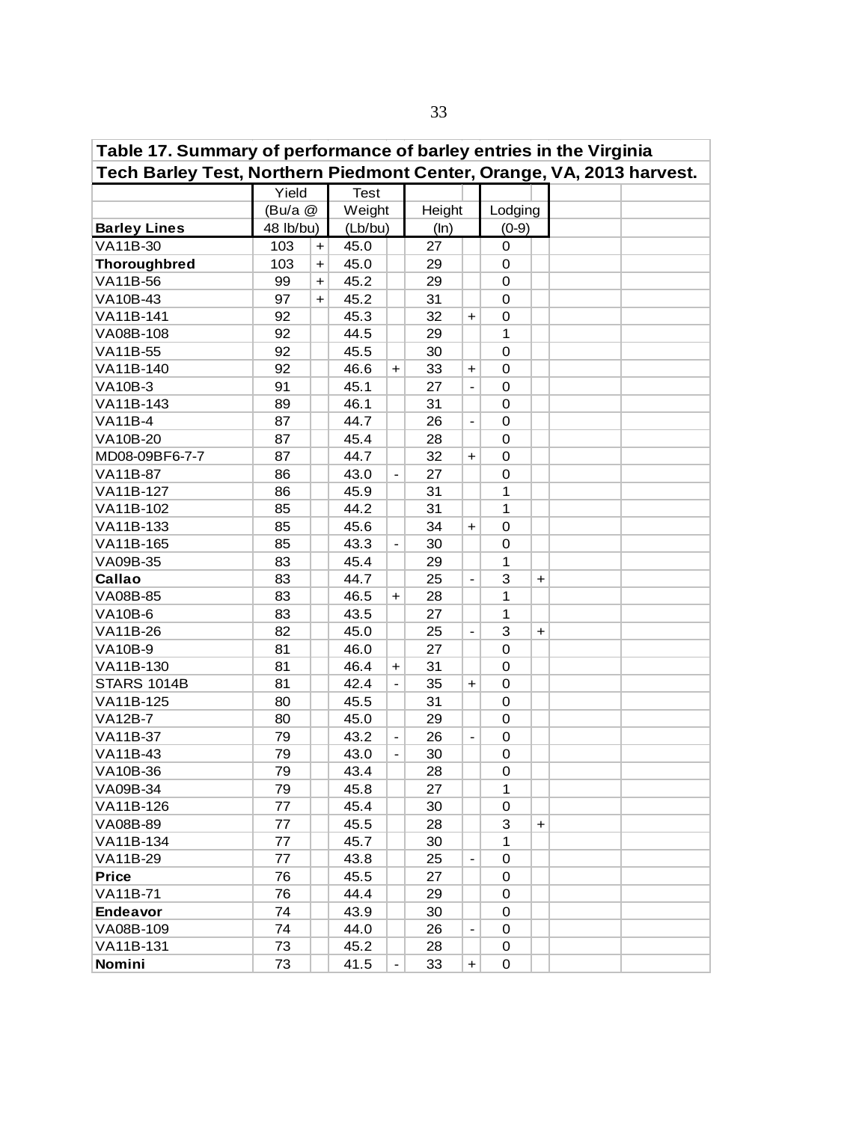| Table 17. Summary of performance of barley entries in the Virginia                            |           |                      |         |                          |        |                          |              |           |  |  |  |  |  |
|-----------------------------------------------------------------------------------------------|-----------|----------------------|---------|--------------------------|--------|--------------------------|--------------|-----------|--|--|--|--|--|
| Tech Barley Test, Northern Piedmont Center, Orange, VA, 2013 harvest.<br>Yield<br><b>Test</b> |           |                      |         |                          |        |                          |              |           |  |  |  |  |  |
|                                                                                               |           |                      |         |                          |        |                          |              |           |  |  |  |  |  |
|                                                                                               | (Bu/a @   |                      | Weight  |                          | Height |                          | Lodging      |           |  |  |  |  |  |
| <b>Barley Lines</b>                                                                           | 48 lb/bu) |                      | (Lb/bu) |                          | (ln)   |                          | $(0-9)$      |           |  |  |  |  |  |
| VA11B-30                                                                                      | 103       | $\ddot{}$            | 45.0    |                          | 27     |                          | 0            |           |  |  |  |  |  |
| <b>Thoroughbred</b>                                                                           | 103       | $\ddot{\phantom{1}}$ | 45.0    |                          | 29     |                          | 0            |           |  |  |  |  |  |
| VA11B-56                                                                                      | 99        | $\ddot{}$            | 45.2    |                          | 29     |                          | $\mathbf 0$  |           |  |  |  |  |  |
| VA10B-43                                                                                      | 97        | $+$                  | 45.2    |                          | 31     |                          | $\mathbf 0$  |           |  |  |  |  |  |
| VA11B-141                                                                                     | 92        |                      | 45.3    |                          | 32     | $\ddag$                  | $\mathbf 0$  |           |  |  |  |  |  |
| VA08B-108                                                                                     | 92        |                      | 44.5    |                          | 29     |                          | 1            |           |  |  |  |  |  |
| VA11B-55                                                                                      | 92        |                      | 45.5    |                          | 30     |                          | $\mathbf 0$  |           |  |  |  |  |  |
| VA11B-140                                                                                     | 92        |                      | 46.6    | $\ddot{}$                | 33     | $\ddot{}$                | $\mathbf 0$  |           |  |  |  |  |  |
| <b>VA10B-3</b>                                                                                | 91        |                      | 45.1    |                          | 27     | $\frac{1}{2}$            | $\mathbf 0$  |           |  |  |  |  |  |
| VA11B-143                                                                                     | 89        |                      | 46.1    |                          | 31     |                          | 0            |           |  |  |  |  |  |
| <b>VA11B-4</b>                                                                                | 87        |                      | 44.7    |                          | 26     | $\blacksquare$           | 0            |           |  |  |  |  |  |
| VA10B-20                                                                                      | 87        |                      | 45.4    |                          | 28     |                          | 0            |           |  |  |  |  |  |
| MD08-09BF6-7-7                                                                                | 87        |                      | 44.7    |                          | 32     | $\ddag$                  | 0            |           |  |  |  |  |  |
| <b>VA11B-87</b>                                                                               | 86        |                      | 43.0    |                          | 27     |                          | 0            |           |  |  |  |  |  |
| VA11B-127                                                                                     | 86        |                      | 45.9    |                          | 31     |                          | $\mathbf{1}$ |           |  |  |  |  |  |
| VA11B-102                                                                                     | 85        |                      | 44.2    |                          | 31     |                          | $\mathbf{1}$ |           |  |  |  |  |  |
| VA11B-133                                                                                     | 85        |                      | 45.6    |                          | 34     | $\ddag$                  | 0            |           |  |  |  |  |  |
| VA11B-165                                                                                     | 85        |                      | 43.3    | $\overline{\phantom{a}}$ | 30     |                          | 0            |           |  |  |  |  |  |
| VA09B-35                                                                                      | 83        |                      | 45.4    |                          | 29     |                          | 1            |           |  |  |  |  |  |
| Callao                                                                                        | 83        |                      | 44.7    |                          | 25     | $\blacksquare$           | 3            | +         |  |  |  |  |  |
| VA08B-85                                                                                      | 83        |                      | 46.5    | $\div$                   | 28     |                          | 1            |           |  |  |  |  |  |
| <b>VA10B-6</b>                                                                                | 83        |                      | 43.5    |                          | 27     |                          | 1            |           |  |  |  |  |  |
| VA11B-26                                                                                      | 82        |                      | 45.0    |                          | 25     |                          | 3            | +         |  |  |  |  |  |
| <b>VA10B-9</b>                                                                                | 81        |                      | 46.0    |                          | 27     |                          | 0            |           |  |  |  |  |  |
| VA11B-130                                                                                     | 81        |                      | 46.4    | $\ddot{}$                | 31     |                          | 0            |           |  |  |  |  |  |
| <b>STARS 1014B</b>                                                                            | 81        |                      | 42.4    |                          | 35     | $\ddag$                  | 0            |           |  |  |  |  |  |
| VA11B-125                                                                                     | 80        |                      | 45.5    |                          | 31     |                          | 0            |           |  |  |  |  |  |
| <b>VA12B-7</b>                                                                                | 80        |                      | 45.0    |                          | 29     |                          | 0            |           |  |  |  |  |  |
| VA11B-37                                                                                      | 79        |                      | 43.2    | $\blacksquare$           | 26     | $\blacksquare$           | 0            |           |  |  |  |  |  |
| VA11B-43                                                                                      | 79        |                      | 43.0    |                          | 30     |                          | 0            |           |  |  |  |  |  |
| VA10B-36                                                                                      | 79        |                      | 43.4    |                          | 28     |                          | 0            |           |  |  |  |  |  |
| VA09B-34                                                                                      | 79        |                      | 45.8    |                          | 27     |                          | 1            |           |  |  |  |  |  |
| VA11B-126                                                                                     | 77        |                      | 45.4    |                          | 30     |                          | 0            |           |  |  |  |  |  |
| VA08B-89                                                                                      | 77        |                      | 45.5    |                          | 28     |                          | 3            | $\ddot{}$ |  |  |  |  |  |
| VA11B-134                                                                                     | 77        |                      | 45.7    |                          | 30     |                          | $\mathbf 1$  |           |  |  |  |  |  |
| VA11B-29                                                                                      | 77        |                      | 43.8    |                          | 25     | $\overline{\phantom{a}}$ | 0            |           |  |  |  |  |  |
| <b>Price</b>                                                                                  | 76        |                      | 45.5    |                          | 27     |                          | 0            |           |  |  |  |  |  |
| VA11B-71                                                                                      | 76        |                      | 44.4    |                          | 29     |                          | 0            |           |  |  |  |  |  |
| <b>Endeavor</b>                                                                               | 74        |                      | 43.9    |                          | 30     |                          | 0            |           |  |  |  |  |  |
| VA08B-109                                                                                     | 74        |                      | 44.0    |                          | 26     |                          | 0            |           |  |  |  |  |  |
| VA11B-131                                                                                     | 73        |                      | 45.2    |                          | 28     |                          | 0            |           |  |  |  |  |  |
| Nomini                                                                                        | 73        |                      | 41.5    |                          | 33     | $\ddot{\phantom{1}}$     | 0            |           |  |  |  |  |  |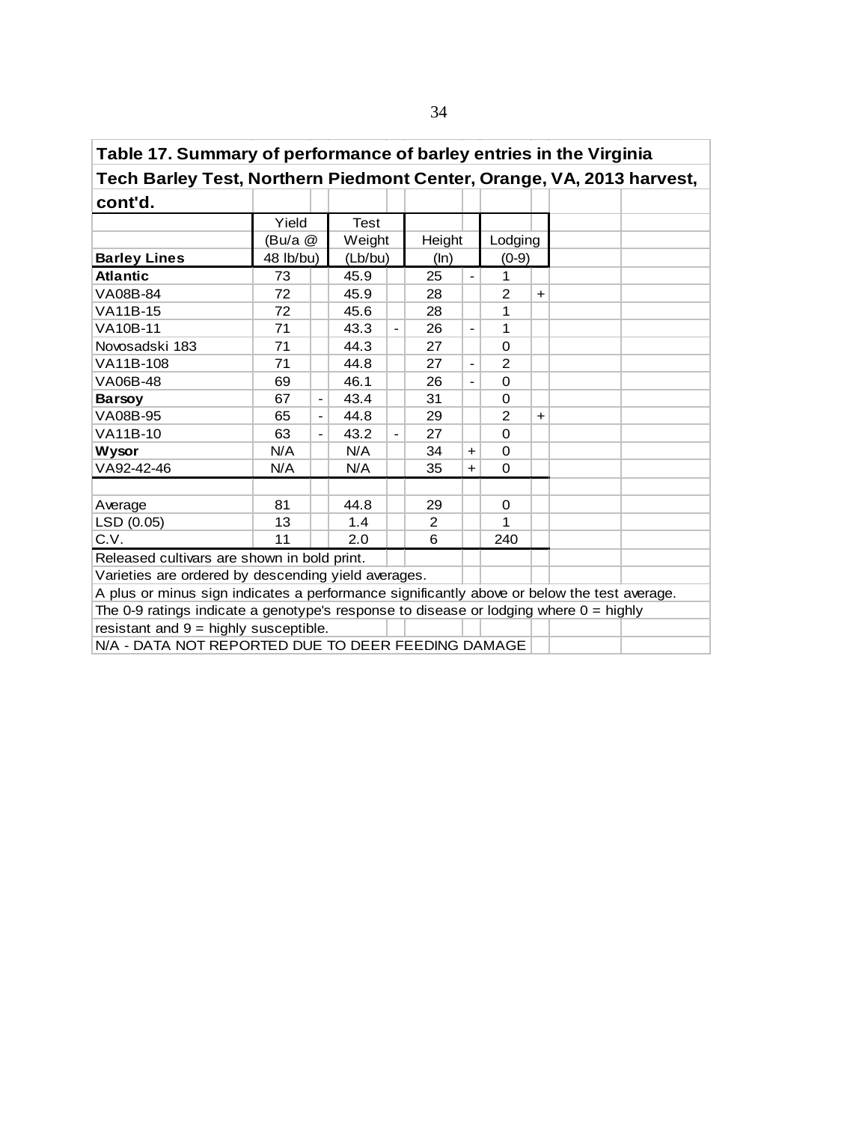| Table 17. Summary of performance of barley entries in the Virginia                          |           |                          |             |                          |        |                          |                |            |  |  |  |  |  |  |
|---------------------------------------------------------------------------------------------|-----------|--------------------------|-------------|--------------------------|--------|--------------------------|----------------|------------|--|--|--|--|--|--|
| Tech Barley Test, Northern Piedmont Center, Orange, VA, 2013 harvest,                       |           |                          |             |                          |        |                          |                |            |  |  |  |  |  |  |
| cont'd.                                                                                     |           |                          |             |                          |        |                          |                |            |  |  |  |  |  |  |
|                                                                                             | Yield     |                          | <b>Test</b> |                          |        |                          |                |            |  |  |  |  |  |  |
|                                                                                             | (Bu/a @   |                          | Weight      |                          | Height |                          | Lodging        |            |  |  |  |  |  |  |
| <b>Barley Lines</b>                                                                         | 48 lb/bu) |                          | (Lb/bu)     |                          | (ln)   |                          | $(0-9)$        |            |  |  |  |  |  |  |
| <b>Atlantic</b>                                                                             | 73        |                          | 45.9        |                          | 25     | $\overline{\phantom{a}}$ | 1              |            |  |  |  |  |  |  |
| VA08B-84                                                                                    | 72        |                          | 45.9        |                          | 28     |                          | 2              | $\ddagger$ |  |  |  |  |  |  |
| VA11B-15                                                                                    | 72        |                          | 45.6        |                          | 28     |                          | 1              |            |  |  |  |  |  |  |
| <b>VA10B-11</b>                                                                             | 71        |                          | 43.3        | $\overline{\phantom{a}}$ | 26     | $\blacksquare$           | 1              |            |  |  |  |  |  |  |
| 44.3<br>Novosadski 183<br>71<br>27<br>$\Omega$<br>$\overline{\phantom{0}}$                  |           |                          |             |                          |        |                          |                |            |  |  |  |  |  |  |
| 44.8<br>2<br>VA11B-108<br>71<br>27                                                          |           |                          |             |                          |        |                          |                |            |  |  |  |  |  |  |
| VA06B-48                                                                                    | 69        |                          | 46.1        |                          | 26     | $\overline{a}$           | $\Omega$       |            |  |  |  |  |  |  |
| <b>Barsoy</b>                                                                               | 67        | $\overline{\phantom{a}}$ | 43.4        |                          | 31     |                          | 0              |            |  |  |  |  |  |  |
| VA08B-95                                                                                    | 65        |                          | 44.8        |                          | 29     |                          | $\overline{2}$ | $\ddot{}$  |  |  |  |  |  |  |
| VA11B-10                                                                                    | 63        | $\overline{\phantom{a}}$ | 43.2        | $\blacksquare$           | 27     |                          | $\Omega$       |            |  |  |  |  |  |  |
| <b>Wysor</b>                                                                                | N/A       |                          | N/A         |                          | 34     | $+$                      | $\Omega$       |            |  |  |  |  |  |  |
| VA92-42-46                                                                                  | N/A       |                          | N/A         |                          | 35     | $+$                      | $\Omega$       |            |  |  |  |  |  |  |
|                                                                                             |           |                          |             |                          |        |                          |                |            |  |  |  |  |  |  |
| Average                                                                                     | 81        |                          | 44.8        |                          | 29     |                          | $\mathbf 0$    |            |  |  |  |  |  |  |
| LSD (0.05)                                                                                  | 13        |                          | 1.4         |                          | 2      |                          | 1              |            |  |  |  |  |  |  |
| C.V.                                                                                        | 11        |                          | 2.0         |                          | 6      |                          | 240            |            |  |  |  |  |  |  |
| Released cultivars are shown in bold print.                                                 |           |                          |             |                          |        |                          |                |            |  |  |  |  |  |  |
| Varieties are ordered by descending yield averages.                                         |           |                          |             |                          |        |                          |                |            |  |  |  |  |  |  |
| A plus or minus sign indicates a performance significantly above or below the test average. |           |                          |             |                          |        |                          |                |            |  |  |  |  |  |  |
| The 0-9 ratings indicate a genotype's response to disease or lodging where $0 =$ highly     |           |                          |             |                          |        |                          |                |            |  |  |  |  |  |  |
| resistant and $9 =$ highly susceptible.                                                     |           |                          |             |                          |        |                          |                |            |  |  |  |  |  |  |
| N/A - DATA NOT REPORTED DUE TO DEER FEEDING DAMAGE                                          |           |                          |             |                          |        |                          |                |            |  |  |  |  |  |  |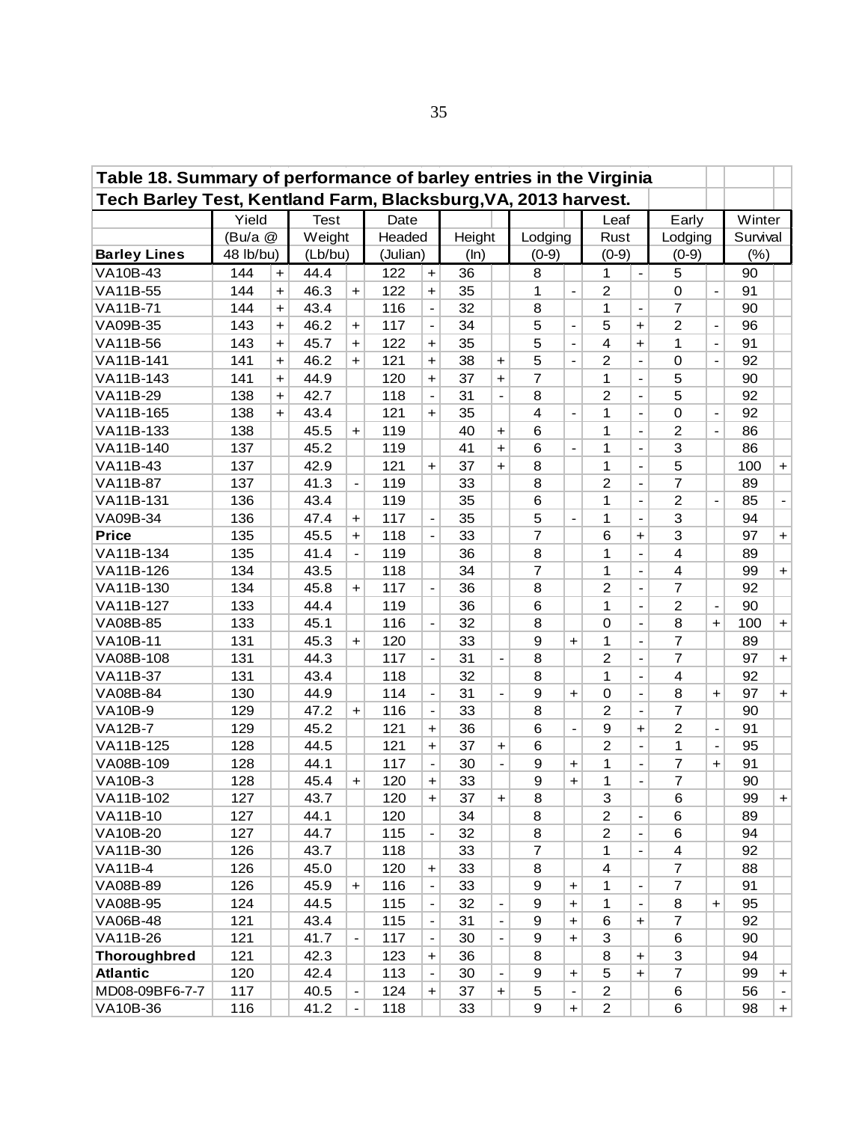| Table 18. Summary of performance of barley entries in the Virginia<br>Tech Barley Test, Kentland Farm, Blacksburg, VA, 2013 harvest. |           |                      |         |                              |          |                              |      |                          |                  |                                  |                |                                  |                         |                          |          |                |
|--------------------------------------------------------------------------------------------------------------------------------------|-----------|----------------------|---------|------------------------------|----------|------------------------------|------|--------------------------|------------------|----------------------------------|----------------|----------------------------------|-------------------------|--------------------------|----------|----------------|
| Yield<br><b>Test</b><br>Date<br>Early<br>Leaf<br>(Bu/a @<br>Weight<br>Headed<br>Height<br>Lodging<br>Rust<br>Lodging                 |           |                      |         |                              |          |                              |      |                          |                  |                                  |                |                                  |                         |                          |          |                |
|                                                                                                                                      |           |                      |         |                              |          |                              |      |                          |                  |                                  |                |                                  |                         |                          | Winter   |                |
|                                                                                                                                      |           |                      |         |                              |          |                              |      |                          |                  |                                  |                |                                  |                         |                          | Survival |                |
| <b>Barley Lines</b>                                                                                                                  | 48 lb/bu) |                      | (Lb/bu) |                              | (Julian) |                              | (ln) |                          | $(0-9)$          |                                  | $(0-9)$        |                                  | $(0-9)$                 |                          | (%)      |                |
| VA10B-43                                                                                                                             | 144       | $\ddot{}$            | 44.4    |                              | 122      | $\ddot{}$                    | 36   |                          | 8                |                                  | 1              | $\overline{a}$                   | 5                       |                          | 90       |                |
| VA11B-55                                                                                                                             | 144       | $\ddot{}$            | 46.3    | $\ddot{\phantom{1}}$         | 122      | $\ddot{}$                    | 35   |                          | 1                | $\blacksquare$                   | $\overline{2}$ |                                  | $\mathbf 0$             | $\blacksquare$           | 91       |                |
| <b>VA11B-71</b>                                                                                                                      | 144       | $\ddot{\phantom{1}}$ | 43.4    |                              | 116      | $\overline{a}$               | 32   |                          | 8                |                                  | 1              | $\overline{a}$                   | $\overline{7}$          |                          | 90       |                |
| VA09B-35                                                                                                                             | 143       | $\ddot{}$            | 46.2    | $\ddot{\phantom{1}}$         | 117      | $\frac{1}{2}$                | 34   |                          | 5                |                                  | 5              | $\begin{array}{c} + \end{array}$ | $\overline{2}$          | $\blacksquare$           | 96       |                |
| <b>VA11B-56</b>                                                                                                                      | 143       | $\ddot{\phantom{1}}$ | 45.7    | $\ddot{\phantom{1}}$         | 122      | $\ddot{}$                    | 35   |                          | 5                |                                  | 4              | +                                | 1                       | $\blacksquare$           | 91       |                |
| VA11B-141                                                                                                                            | 141       | $\ddot{}$            | 46.2    | $\ddot{\phantom{1}}$         | 121      | $\ddot{}$                    | 38   | $\ddot{}$                | 5                |                                  | $\overline{2}$ | $\overline{\phantom{a}}$         | $\mathbf 0$             |                          | 92       |                |
| VA11B-143                                                                                                                            | 141       | $\ddot{}$            | 44.9    |                              | 120      | $\ddag$                      | 37   | $\ddot{}$                | $\overline{7}$   |                                  | 1              | $\overline{\phantom{a}}$         | 5                       |                          | 90       |                |
| VA11B-29                                                                                                                             | 138       | $\ddot{}$            | 42.7    |                              | 118      | $\overline{a}$               | 31   | $\overline{\phantom{a}}$ | 8                |                                  | $\overline{2}$ | $\qquad \qquad \blacksquare$     | 5                       |                          | 92       |                |
| VA11B-165                                                                                                                            | 138       | $\ddot{}$            | 43.4    |                              | 121      | $\ddag$                      | 35   |                          | $\overline{4}$   | $\overline{\phantom{a}}$         | 1              | $\qquad \qquad \blacksquare$     | $\mathbf 0$             | $\overline{\phantom{a}}$ | 92       |                |
| VA11B-133                                                                                                                            | 138       |                      | 45.5    | $\ddot{}$                    | 119      |                              | 40   | $\ddot{}$                | 6                |                                  | 1              | $\overline{\phantom{a}}$         | $\overline{c}$          | $\overline{\phantom{a}}$ | 86       |                |
| VA11B-140                                                                                                                            | 137       |                      | 45.2    |                              | 119      |                              | 41   | $\ddot{}$                | 6                | $\blacksquare$                   | 1              | $\overline{\phantom{a}}$         | 3                       |                          | 86       |                |
| VA11B-43                                                                                                                             | 137       |                      | 42.9    |                              | 121      | $\ddot{}$                    | 37   | $\ddot{}$                | 8                |                                  | 1              | $\overline{a}$                   | 5                       |                          | 100      | $+$            |
| <b>VA11B-87</b>                                                                                                                      | 137       |                      | 41.3    | $\qquad \qquad \blacksquare$ | 119      |                              | 33   |                          | 8                |                                  | $\overline{2}$ | $\overline{a}$                   | $\overline{7}$          |                          | 89       |                |
| VA11B-131                                                                                                                            | 136       |                      | 43.4    |                              | 119      |                              | 35   |                          | 6                |                                  | 1              | $\qquad \qquad \blacksquare$     | $\overline{2}$          |                          | 85       | $\blacksquare$ |
| VA09B-34                                                                                                                             | 136       |                      | 47.4    | $\ddot{}$                    | 117      | $\blacksquare$               | 35   |                          | 5                | $\qquad \qquad \blacksquare$     | 1              | $\qquad \qquad \blacksquare$     | 3                       |                          | 94       |                |
| <b>Price</b>                                                                                                                         | 135       |                      | 45.5    | $\ddot{}$                    | 118      | $\blacksquare$               | 33   |                          | $\overline{7}$   |                                  | 6              | $\ddot{}$                        | 3                       |                          | 97       | $+$            |
| VA11B-134                                                                                                                            | 135       |                      | 41.4    | $\overline{\phantom{a}}$     | 119      |                              | 36   |                          | 8                |                                  | 1              | $\overline{\phantom{0}}$         | 4                       |                          | 89       |                |
| VA11B-126                                                                                                                            | 134       |                      | 43.5    |                              | 118      |                              | 34   |                          | $\overline{7}$   |                                  | 1              | $\overline{\phantom{a}}$         | $\overline{4}$          |                          | 99       | $+$            |
| VA11B-130                                                                                                                            | 134       |                      | 45.8    | $+$                          | 117      | $\overline{a}$               | 36   |                          | 8                |                                  | 2              | $\overline{\phantom{a}}$         | 7                       |                          | 92       |                |
| VA11B-127                                                                                                                            | 133       |                      | 44.4    |                              | 119      |                              | 36   |                          | 6                |                                  | 1              | $\overline{\phantom{a}}$         | $\overline{2}$          |                          | 90       |                |
| VA08B-85                                                                                                                             | 133       |                      | 45.1    |                              | 116      |                              | 32   |                          | 8                |                                  | $\mathbf 0$    | $\overline{\phantom{a}}$         | 8                       | $\ddot{}$                | 100      | $+$            |
| <b>VA10B-11</b>                                                                                                                      | 131       |                      | 45.3    | $+$                          | 120      |                              | 33   |                          | $\boldsymbol{9}$ | $+$                              | 1              | $\blacksquare$                   | $\overline{7}$          |                          | 89       |                |
| VA08B-108                                                                                                                            | 131       |                      | 44.3    |                              | 117      | $\overline{a}$               | 31   |                          | 8                |                                  | $\overline{c}$ | $\qquad \qquad \blacksquare$     | $\overline{7}$          |                          | 97       | $+$            |
| <b>VA11B-37</b>                                                                                                                      | 131       |                      | 43.4    |                              | 118      |                              | 32   |                          | 8                |                                  | 1              | $\overline{\phantom{a}}$         | $\overline{4}$          |                          | 92       |                |
| VA08B-84                                                                                                                             | 130       |                      | 44.9    |                              | 114      | $\overline{\phantom{a}}$     | 31   | $\frac{1}{2}$            | 9                | $\ddot{\phantom{1}}$             | $\mathbf 0$    | $\overline{\phantom{a}}$         | 8                       | $\ddot{}$                | 97       | $+$            |
| <b>VA10B-9</b>                                                                                                                       | 129       |                      | 47.2    | $\ddot{}$                    | 116      | $\blacksquare$               | 33   |                          | 8                |                                  | $\overline{2}$ | $\overline{\phantom{0}}$         | $\overline{7}$          |                          | 90       |                |
| <b>VA12B-7</b>                                                                                                                       | 129       |                      | 45.2    |                              | 121      | $\ddot{}$                    | 36   |                          | 6                | $\overline{\phantom{a}}$         | 9              | $\ddot{}$                        | $\overline{2}$          | $\overline{\phantom{a}}$ | 91       |                |
| VA11B-125                                                                                                                            | 128       |                      | 44.5    |                              | 121      | $\ddag$                      | 37   | $\pm$                    | 6                |                                  | $\overline{2}$ |                                  | 1                       | $\overline{\phantom{a}}$ | 95       |                |
| VA08B-109                                                                                                                            | 128       |                      | 44.1    |                              | 117      | $\qquad \qquad \blacksquare$ | 30   | $\frac{1}{2}$            | 9                | $\ddot{}$                        | 1              | $\overline{\phantom{0}}$         | $\overline{7}$          | $\ddot{}$                | 91       |                |
| <b>VA10B-3</b>                                                                                                                       | 128       |                      | 45.4    | $\ddot{\phantom{1}}$         | 120      | $\ddot{}$                    | 33   |                          | $\boldsymbol{9}$ | $\ddot{}$                        | 1              | $\overline{\phantom{0}}$         | $\overline{7}$          |                          | 90       |                |
| VA11B-102                                                                                                                            | 127       |                      | 43.7    |                              | 120      | $\ddag$                      | 37   | +                        | 8                |                                  | 3              |                                  | 6                       |                          | 99       | $\ddot{}$      |
| VA11B-10                                                                                                                             | 127       |                      | 44.1    |                              | 120      |                              | 34   |                          | 8                |                                  | $\overline{c}$ | $\overline{\phantom{a}}$         | 6                       |                          | 89       |                |
| VA10B-20                                                                                                                             | 127       |                      | 44.7    |                              | 115      | $\overline{\phantom{a}}$     | 32   |                          | 8                |                                  | $\overline{2}$ | $\qquad \qquad \blacksquare$     | 6                       |                          | 94       |                |
| VA11B-30                                                                                                                             | 126       |                      | 43.7    |                              | 118      |                              | 33   |                          | $\overline{7}$   |                                  | 1              | $\frac{1}{2}$                    | $\overline{\mathbf{4}}$ |                          | 92       |                |
| <b>VA11B-4</b>                                                                                                                       | 126       |                      | 45.0    |                              | 120      | $\ddot{}$                    | 33   |                          | 8                |                                  | 4              |                                  | $\overline{7}$          |                          | 88       |                |
| VA08B-89                                                                                                                             | 126       |                      | 45.9    | $\ddot{}$                    | 116      | $\blacksquare$               | 33   |                          | $\boldsymbol{9}$ | $\ddot{}$                        | 1              | $\overline{a}$                   | $\overline{7}$          |                          | 91       |                |
| VA08B-95                                                                                                                             | 124       |                      | 44.5    |                              | 115      | $\overline{a}$               | 32   |                          | $\boldsymbol{9}$ | $\ddot{\phantom{1}}$             | 1              | $\overline{a}$                   | 8                       | $\ddot{}$                | 95       |                |
| VA06B-48                                                                                                                             | 121       |                      | 43.4    |                              | 115      |                              | 31   |                          | $\boldsymbol{9}$ | $\begin{array}{c} + \end{array}$ | 6              | $\begin{array}{c} + \end{array}$ | $\overline{7}$          |                          | 92       |                |
| VA11B-26                                                                                                                             | 121       |                      | 41.7    |                              | 117      | $\qquad \qquad \blacksquare$ | 30   |                          | $\boldsymbol{9}$ | $\ddot{\phantom{1}}$             | 3              |                                  | 6                       |                          | 90       |                |
| <b>Thoroughbred</b>                                                                                                                  | 121       |                      | 42.3    |                              | 123      | $\ddot{}$                    | 36   |                          | 8                |                                  | 8              | $\ddot{}$                        | 3                       |                          | 94       |                |
| <b>Atlantic</b>                                                                                                                      | 120       |                      | 42.4    |                              | 113      |                              | 30   |                          | $\boldsymbol{9}$ | +                                | 5              | $\ddot{\phantom{1}}$             | $\overline{7}$          |                          | 99       | $\pm$          |
| MD08-09BF6-7-7                                                                                                                       | 117       |                      | 40.5    |                              | 124      | $\ddot{}$                    | 37   | $\ddot{}$                | 5                |                                  | $\overline{2}$ |                                  | 6                       |                          | 56       | $\blacksquare$ |
| VA10B-36                                                                                                                             | 116       |                      | 41.2    |                              | 118      |                              | 33   |                          | 9                | $\ddot{}$                        | $\overline{2}$ |                                  | 6                       |                          | 98       | $+$            |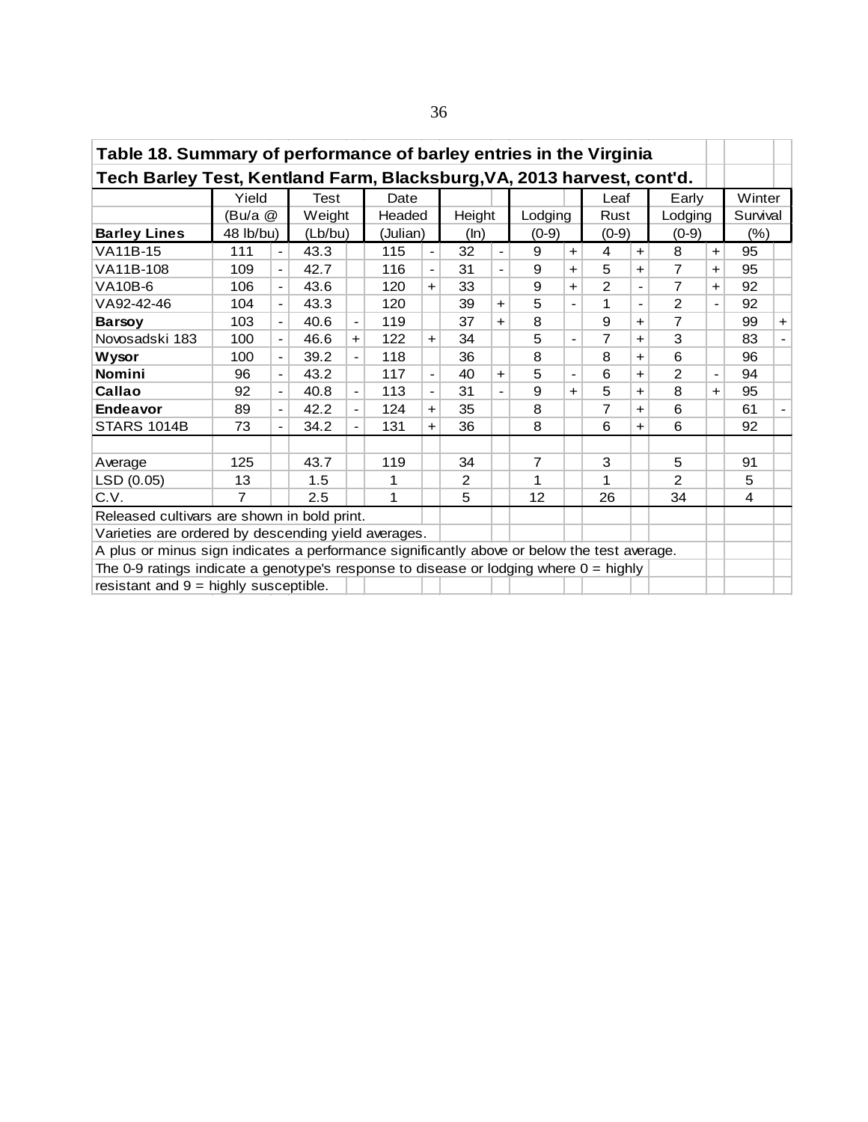| Table 18. Summary of performance of barley entries in the Virginia                          |                |                          |             |                          |          |                          |                |                          |         |                              |               |            |               |                |          |                |
|---------------------------------------------------------------------------------------------|----------------|--------------------------|-------------|--------------------------|----------|--------------------------|----------------|--------------------------|---------|------------------------------|---------------|------------|---------------|----------------|----------|----------------|
| Tech Barley Test, Kentland Farm, Blacksburg, VA, 2013 harvest, cont'd.                      |                |                          |             |                          |          |                          |                |                          |         |                              |               |            |               |                |          |                |
|                                                                                             | Yield          |                          | <b>Test</b> |                          | Date     |                          |                |                          |         |                              | Leaf          |            | Early         |                | Winter   |                |
|                                                                                             | (Bu/a @        |                          | Weight      |                          | Headed   |                          |                | Height                   |         | Lodging                      | Rust          |            | Lodging       |                | Survival |                |
| <b>Barley Lines</b>                                                                         | 48 lb/bu)      |                          | (Lb/bu)     |                          | (Julian) |                          | (ln)           |                          | $(0-9)$ |                              | $(0-9)$       |            | $(0-9)$       |                | $(\%)$   |                |
| VA11B-15                                                                                    | 111            | $\blacksquare$           | 43.3        |                          | 115      | $\overline{\phantom{a}}$ | 32             | $\blacksquare$           | 9       | $\ddot{}$                    | 4             | $\ddagger$ | 8             | $\ddot{}$      | 95       |                |
| VA11B-108                                                                                   | 109            | $\blacksquare$           | 42.7        |                          | 116      | $\blacksquare$           | 31             | $\overline{\phantom{a}}$ | 9       | $\ddot{}$                    | 5             | ÷          | 7             | $\ddot{}$      | 95       |                |
| VA10B-6                                                                                     | 106            | $\blacksquare$           | 43.6        |                          | 120      | $+$                      | 33             |                          | 9       | ÷.                           | $\mathcal{P}$ |            | 7             | $\ddot{}$      | 92       |                |
| VA92-42-46                                                                                  | 104            | $\blacksquare$           | 43.3        |                          | 120      |                          | 39             | $\ddot{}$                | 5       | $\overline{\phantom{a}}$     | 1             |            | $\mathcal{P}$ |                | 92       |                |
| <b>Barsoy</b>                                                                               | 103            | $\blacksquare$           | 40.6        | $\overline{\phantom{a}}$ | 119      |                          | 37             | $+$                      | 8       |                              | 9             | $+$        | 7             |                | 99       | $+$            |
| Novosadski 183                                                                              | 100            | $\overline{\phantom{a}}$ | 46.6        | $+$                      | 122      | $+$                      | 34             |                          | 5       | $\blacksquare$               | 7             | $+$        | 3             |                | 83       |                |
| Wysor                                                                                       | 100            | $\frac{1}{2}$            | 39.2        | $\overline{\phantom{0}}$ | 118      |                          | 36             |                          | 8       |                              | 8             | $\pm$      | 6             |                | 96       |                |
| <b>Nomini</b>                                                                               | 96             | $\frac{1}{2}$            | 43.2        |                          | 117      | $\blacksquare$           | 40             | $+$                      | 5       | $\qquad \qquad \blacksquare$ | 6             | $\pm$      | $\mathcal{P}$ | $\blacksquare$ | 94       |                |
| Callao                                                                                      | 92             | $\frac{1}{2}$            | 40.8        | $\overline{\phantom{0}}$ | 113      | $\frac{1}{2}$            | 31             |                          | 9       | ÷.                           | 5             | $\ddot{}$  | 8             | $+$            | 95       |                |
| <b>Endeavor</b>                                                                             | 89             | $\blacksquare$           | 42.2        | $\overline{\phantom{a}}$ | 124      | $\ddot{}$                | 35             |                          | 8       |                              | 7             | $+$        | 6             |                | 61       | $\blacksquare$ |
| STARS 1014B                                                                                 | 73             | $\overline{\phantom{a}}$ | 34.2        | $\overline{\phantom{a}}$ | 131      | $+$                      | 36             |                          | 8       |                              | 6             | $+$        | 6             |                | 92       |                |
|                                                                                             |                |                          |             |                          |          |                          |                |                          |         |                              |               |            |               |                |          |                |
| Average                                                                                     | 125            |                          | 43.7        |                          | 119      |                          | 34             |                          | 7       |                              | 3             |            | 5             |                | 91       |                |
| LSD (0.05)                                                                                  | 13             |                          | 1.5         |                          | 1        |                          | $\overline{2}$ |                          | 1       |                              | 1             |            | $\mathcal{P}$ |                | 5        |                |
| C.V.                                                                                        | $\overline{7}$ |                          | 2.5         |                          | 1        |                          | 5              |                          | 12      |                              | 26            |            | 34            |                | 4        |                |
| Released cultivars are shown in bold print.                                                 |                |                          |             |                          |          |                          |                |                          |         |                              |               |            |               |                |          |                |
| Varieties are ordered by descending yield averages.                                         |                |                          |             |                          |          |                          |                |                          |         |                              |               |            |               |                |          |                |
| A plus or minus sign indicates a performance significantly above or below the test average. |                |                          |             |                          |          |                          |                |                          |         |                              |               |            |               |                |          |                |
| The 0-9 ratings indicate a genotype's response to disease or lodging where 0 = highly       |                |                          |             |                          |          |                          |                |                          |         |                              |               |            |               |                |          |                |
| resistant and $9 =$ highly susceptible.                                                     |                |                          |             |                          |          |                          |                |                          |         |                              |               |            |               |                |          |                |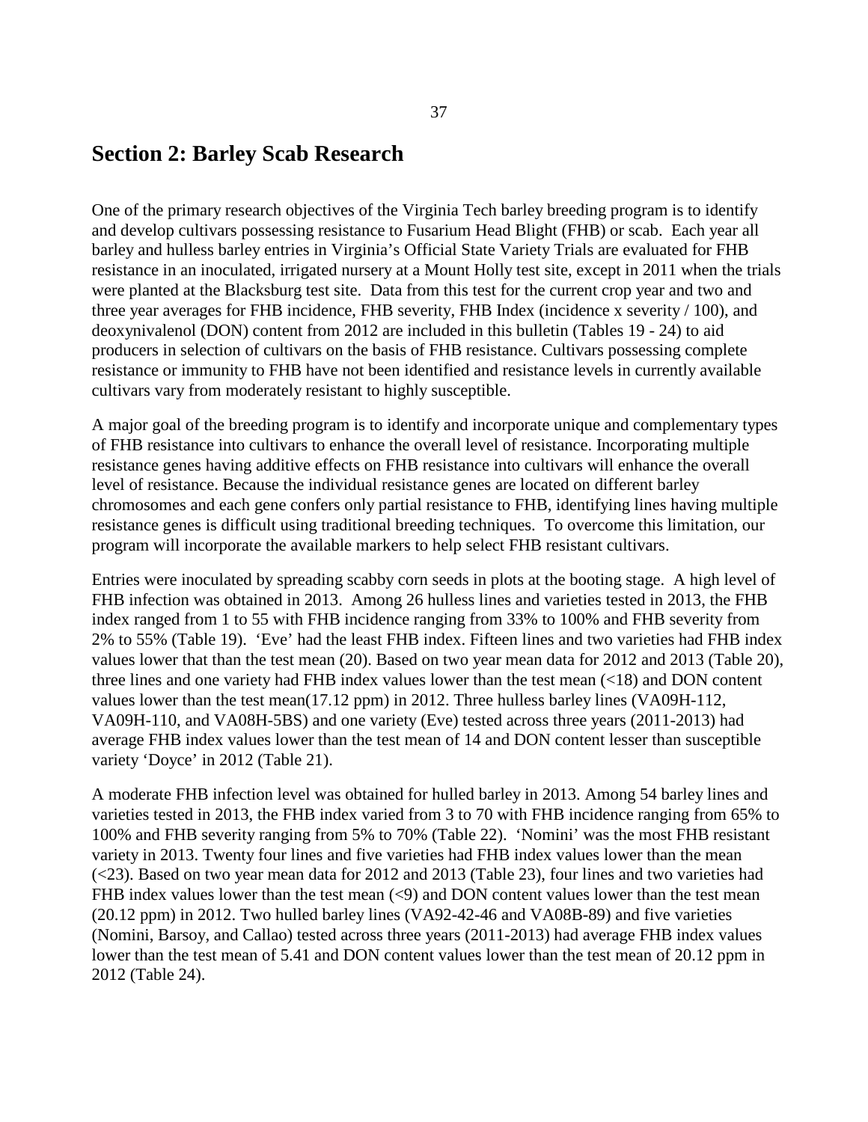#### **Section 2: Barley Scab Research**

One of the primary research objectives of the Virginia Tech barley breeding program is to identify and develop cultivars possessing resistance to Fusarium Head Blight (FHB) or scab. Each year all barley and hulless barley entries in Virginia's Official State Variety Trials are evaluated for FHB resistance in an inoculated, irrigated nursery at a Mount Holly test site, except in 2011 when the trials were planted at the Blacksburg test site. Data from this test for the current crop year and two and three year averages for FHB incidence, FHB severity, FHB Index (incidence x severity / 100), and deoxynivalenol (DON) content from 2012 are included in this bulletin (Tables 19 - 24) to aid producers in selection of cultivars on the basis of FHB resistance. Cultivars possessing complete resistance or immunity to FHB have not been identified and resistance levels in currently available cultivars vary from moderately resistant to highly susceptible.

A major goal of the breeding program is to identify and incorporate unique and complementary types of FHB resistance into cultivars to enhance the overall level of resistance. Incorporating multiple resistance genes having additive effects on FHB resistance into cultivars will enhance the overall level of resistance. Because the individual resistance genes are located on different barley chromosomes and each gene confers only partial resistance to FHB, identifying lines having multiple resistance genes is difficult using traditional breeding techniques. To overcome this limitation, our program will incorporate the available markers to help select FHB resistant cultivars.

Entries were inoculated by spreading scabby corn seeds in plots at the booting stage. A high level of FHB infection was obtained in 2013. Among 26 hulless lines and varieties tested in 2013, the FHB index ranged from 1 to 55 with FHB incidence ranging from 33% to 100% and FHB severity from 2% to 55% (Table 19). 'Eve' had the least FHB index. Fifteen lines and two varieties had FHB index values lower that than the test mean (20). Based on two year mean data for 2012 and 2013 (Table 20), three lines and one variety had FHB index values lower than the test mean (<18) and DON content values lower than the test mean(17.12 ppm) in 2012. Three hulless barley lines (VA09H-112, VA09H-110, and VA08H-5BS) and one variety (Eve) tested across three years (2011-2013) had average FHB index values lower than the test mean of 14 and DON content lesser than susceptible variety 'Doyce' in 2012 (Table 21).

A moderate FHB infection level was obtained for hulled barley in 2013. Among 54 barley lines and varieties tested in 2013, the FHB index varied from 3 to 70 with FHB incidence ranging from 65% to 100% and FHB severity ranging from 5% to 70% (Table 22). 'Nomini' was the most FHB resistant variety in 2013. Twenty four lines and five varieties had FHB index values lower than the mean (<23). Based on two year mean data for 2012 and 2013 (Table 23), four lines and two varieties had FHB index values lower than the test mean  $(\leq 9)$  and DON content values lower than the test mean (20.12 ppm) in 2012. Two hulled barley lines (VA92-42-46 and VA08B-89) and five varieties (Nomini, Barsoy, and Callao) tested across three years (2011-2013) had average FHB index values lower than the test mean of 5.41 and DON content values lower than the test mean of 20.12 ppm in 2012 (Table 24).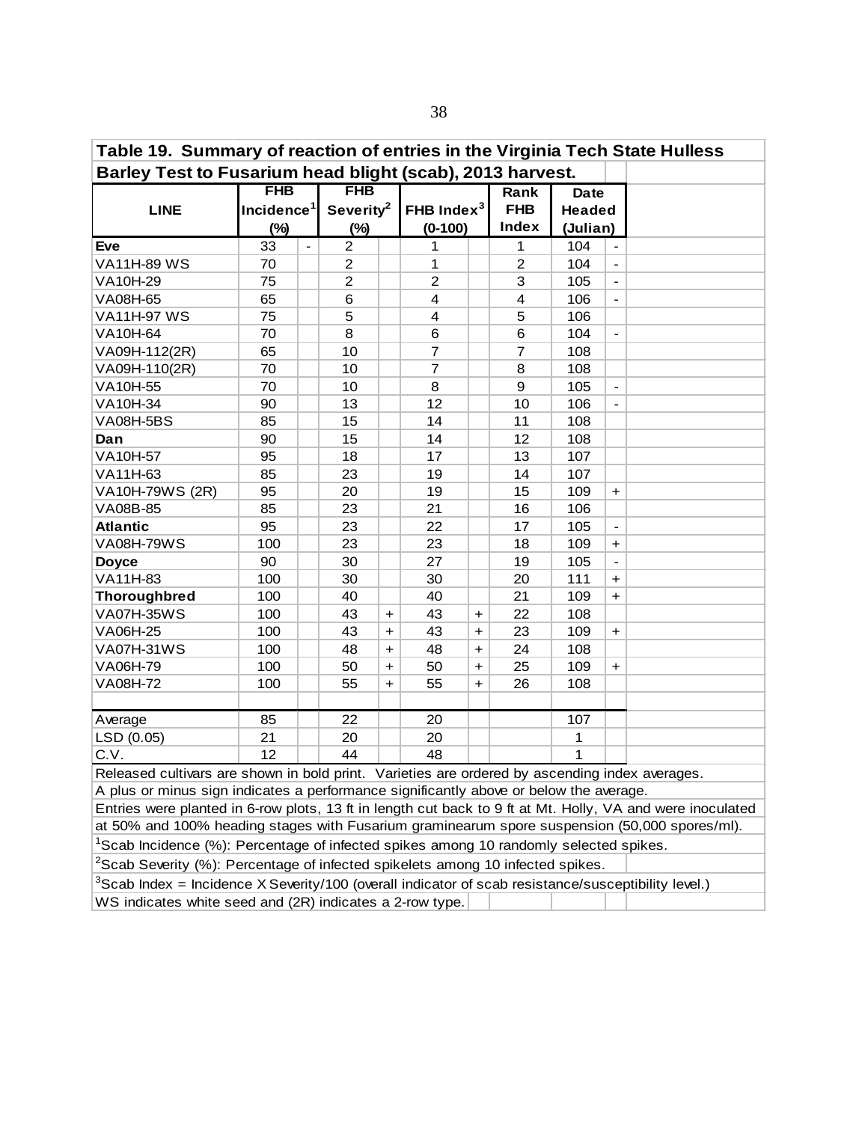| Table 19. Summary of reaction of entries in the Virginia Tech State Hulless                    |                                                                                                                                 |                       |           |                         |           |                         |               |                          |  |  |
|------------------------------------------------------------------------------------------------|---------------------------------------------------------------------------------------------------------------------------------|-----------------------|-----------|-------------------------|-----------|-------------------------|---------------|--------------------------|--|--|
| Barley Test to Fusarium head blight (scab), 2013 harvest.                                      |                                                                                                                                 |                       |           |                         |           |                         |               |                          |  |  |
|                                                                                                | <b>FHB</b>                                                                                                                      | <b>FHB</b>            |           |                         |           | Rank                    | <b>Date</b>   |                          |  |  |
| <b>LINE</b>                                                                                    | Incidence <sup>1</sup>                                                                                                          | Severity <sup>2</sup> |           | FHB Index $3$           |           | <b>FHB</b>              | <b>Headed</b> |                          |  |  |
|                                                                                                | (%)                                                                                                                             | $(\%)$                |           | $(0-100)$               |           | <b>Index</b>            | (Julian)      |                          |  |  |
| <b>Eve</b>                                                                                     | 33<br>$\blacksquare$                                                                                                            | $\overline{2}$        |           | 1                       |           | 1                       | 104           | $\blacksquare$           |  |  |
| <b>VA11H-89 WS</b>                                                                             | 70                                                                                                                              | 2                     |           | 1                       |           | $\overline{2}$          | 104           | $\blacksquare$           |  |  |
| VA10H-29                                                                                       | 75                                                                                                                              | $\overline{c}$        |           | $\overline{2}$          |           | 3                       | 105           | $\overline{\phantom{a}}$ |  |  |
| VA08H-65                                                                                       | 65                                                                                                                              | 6                     |           | $\overline{\mathbf{4}}$ |           | $\overline{\mathbf{4}}$ | 106           | $\overline{\phantom{a}}$ |  |  |
| <b>VA11H-97 WS</b>                                                                             | 75                                                                                                                              | 5                     |           | $\overline{\mathbf{4}}$ |           | 5                       | 106           |                          |  |  |
| VA10H-64                                                                                       | 70                                                                                                                              | 8                     |           | 6                       |           | 6                       | 104           | $\blacksquare$           |  |  |
| VA09H-112(2R)                                                                                  | 65                                                                                                                              | 10                    |           | $\overline{7}$          |           | $\overline{7}$          | 108           |                          |  |  |
| VA09H-110(2R)                                                                                  | 70                                                                                                                              | 10                    |           | $\overline{7}$          |           | 8                       | 108           |                          |  |  |
| VA10H-55                                                                                       | 70                                                                                                                              | 10                    |           | 8                       |           | 9                       | 105           | $\blacksquare$           |  |  |
| VA10H-34                                                                                       | 90                                                                                                                              | 13                    |           | 12                      |           | 10                      | 106           |                          |  |  |
| <b>VA08H-5BS</b>                                                                               | 85                                                                                                                              | 15                    |           | 14                      |           | 11                      | 108           |                          |  |  |
| Dan                                                                                            | 90                                                                                                                              | 15                    |           | 14                      |           | 12                      | 108           |                          |  |  |
| VA10H-57                                                                                       | 95                                                                                                                              | 18                    |           | 17                      |           | 13                      | 107           |                          |  |  |
| VA11H-63                                                                                       | 85                                                                                                                              | 23                    |           | 19                      |           | 14                      | 107           |                          |  |  |
| VA10H-79WS (2R)                                                                                | 95                                                                                                                              | 20                    |           | 19                      |           | 15                      | 109           | $\ddot{\phantom{1}}$     |  |  |
| VA08B-85                                                                                       | 85                                                                                                                              | 23                    |           | 21                      |           | 16                      | 106           |                          |  |  |
| <b>Atlantic</b>                                                                                | 95                                                                                                                              | 23                    |           | 22                      |           | 17                      | 105           | $\blacksquare$           |  |  |
| <b>VA08H-79WS</b>                                                                              | 100                                                                                                                             | 23                    |           | 23                      |           | 18                      | 109           | $\ddot{}$                |  |  |
| <b>Doyce</b>                                                                                   | 90                                                                                                                              | 30                    |           | 27                      |           | 19                      | 105           | $\blacksquare$           |  |  |
| VA11H-83                                                                                       | 100                                                                                                                             | 30                    |           | 30                      |           | 20                      | 111           | $\ddot{\phantom{1}}$     |  |  |
| <b>Thoroughbred</b>                                                                            | 100                                                                                                                             | 40                    |           | 40                      |           | 21                      | 109           | $\ddagger$               |  |  |
| <b>VA07H-35WS</b>                                                                              | 100                                                                                                                             | 43                    | $\ddot{}$ | 43                      | $\ddot{}$ | 22                      | 108           |                          |  |  |
| VA06H-25                                                                                       | 100                                                                                                                             | 43                    | $+$       | 43                      | $+$       | 23                      | 109           | $\ddot{\phantom{1}}$     |  |  |
| <b>VA07H-31WS</b>                                                                              | 100                                                                                                                             | 48                    | $+$       | 48                      | $\ddot{}$ | 24                      | 108           |                          |  |  |
| VA06H-79                                                                                       | 100                                                                                                                             | 50                    | $\ddot{}$ | 50                      | $\ddot{}$ | 25                      | 109           | $\ddot{\phantom{1}}$     |  |  |
| VA08H-72                                                                                       | 100                                                                                                                             | 55                    | $\ddot{}$ | 55                      | $\ddot{}$ | 26                      | 108           |                          |  |  |
|                                                                                                |                                                                                                                                 |                       |           |                         |           |                         |               |                          |  |  |
| Average                                                                                        | 85                                                                                                                              | 22                    |           | 20                      |           |                         | 107           |                          |  |  |
| LSD (0.05)                                                                                     | 21                                                                                                                              | 20                    |           | 20                      |           |                         | 1             |                          |  |  |
| C.V.                                                                                           | 12                                                                                                                              | 44                    |           | 48                      |           |                         | 1             |                          |  |  |
| Released cultivars are shown in bold print. Varieties are ordered by ascending index averages. |                                                                                                                                 |                       |           |                         |           |                         |               |                          |  |  |
| A plus or minus sign indicates a performance significantly above or below the average.         |                                                                                                                                 |                       |           |                         |           |                         |               |                          |  |  |
|                                                                                                | $\Gamma$ stripe were planted in C row plate, $42.4$ in legath and healthe O.4 of Mt. Helly, $\overline{M}$ and were incontraded |                       |           |                         |           |                         |               |                          |  |  |

Entries were planted in 6-row plots, 13 ft in length cut back to 9 ft at Mt. Holly, VA and were inoculated at 50% and 100% heading stages with Fusarium graminearum spore suspension (50,000 spores/ml). <sup>1</sup>Scab Incidence (%): Percentage of infected spikes among 10 randomly selected spikes.

 $2$ Scab Severity (%): Percentage of infected spikelets among 10 infected spikes.

 $3$ Scab Index = Incidence X Severity/100 (overall indicator of scab resistance/susceptibility level.) WS indicates white seed and (2R) indicates a 2-row type.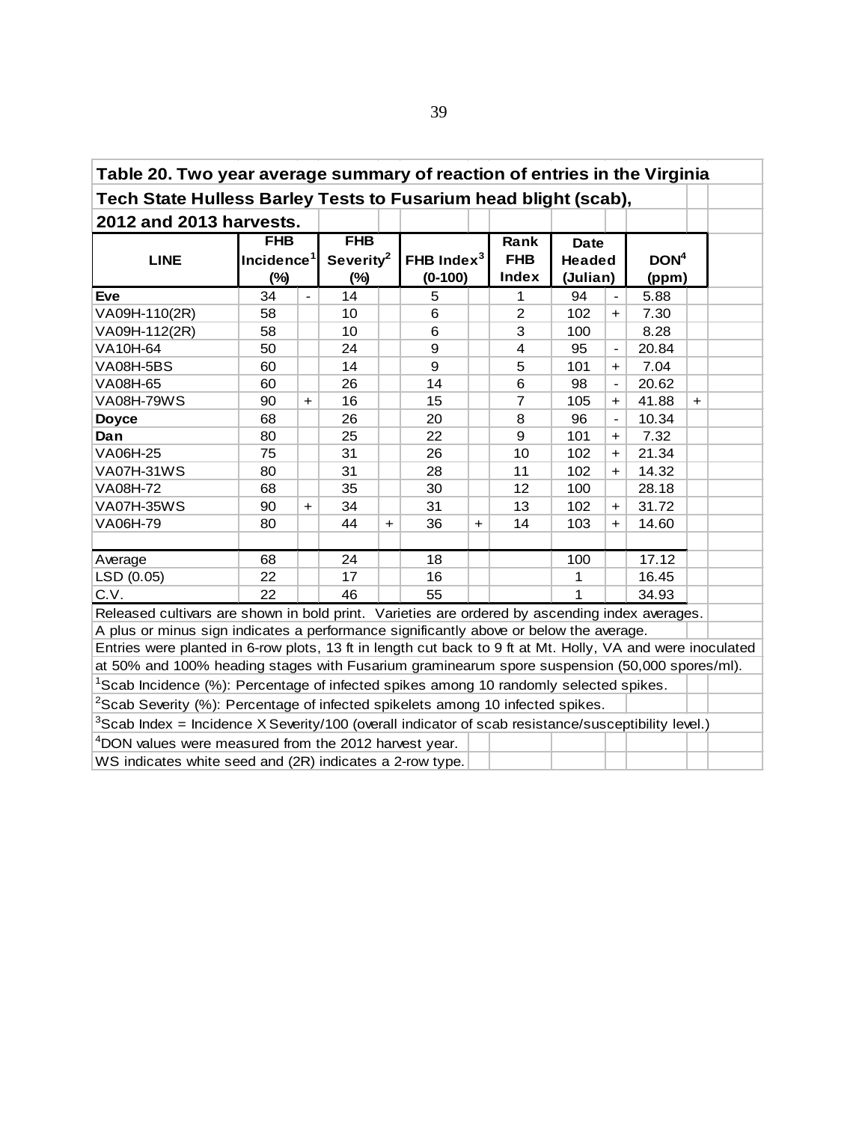| Table 20. Two year average summary of reaction of entries in the Virginia                                   |                                                                                                   |                |                       |     |               |     |                |               |                          |                  |     |  |
|-------------------------------------------------------------------------------------------------------------|---------------------------------------------------------------------------------------------------|----------------|-----------------------|-----|---------------|-----|----------------|---------------|--------------------------|------------------|-----|--|
| Tech State Hulless Barley Tests to Fusarium head blight (scab),                                             |                                                                                                   |                |                       |     |               |     |                |               |                          |                  |     |  |
| 2012 and 2013 harvests.                                                                                     |                                                                                                   |                |                       |     |               |     |                |               |                          |                  |     |  |
|                                                                                                             | <b>FHB</b>                                                                                        |                | <b>FHB</b>            |     |               |     | Rank           | <b>Date</b>   |                          |                  |     |  |
| <b>LINE</b>                                                                                                 | Incidence <sup>1</sup>                                                                            |                | Severity <sup>2</sup> |     | FHB Index $3$ |     | <b>FHB</b>     | <b>Headed</b> |                          | DOM <sup>4</sup> |     |  |
|                                                                                                             | <b>Index</b><br>(Julian)<br>$(\%)$<br>$(0-100)$<br>$(\%)$<br>(ppm)                                |                |                       |     |               |     |                |               |                          |                  |     |  |
| <b>Eve</b>                                                                                                  | 34                                                                                                | $\blacksquare$ | 14                    |     | 5             |     | 1              | 94            | $\blacksquare$           | 5.88             |     |  |
| VA09H-110(2R)                                                                                               | 58                                                                                                |                | 10                    |     | 6             |     | $\overline{2}$ | 102           | $\ddot{}$                | 7.30             |     |  |
| VA09H-112(2R)                                                                                               | 58                                                                                                |                | 10                    |     | 6             |     | 3              | 100           |                          | 8.28             |     |  |
| VA10H-64                                                                                                    | 50                                                                                                |                | 24                    |     | 9             |     | 4              | 95            | $\overline{\phantom{0}}$ | 20.84            |     |  |
| VA08H-5BS                                                                                                   | 60                                                                                                |                | 14                    |     | 9             |     | 5              | 101           | $\ddot{}$                | 7.04             |     |  |
| VA08H-65                                                                                                    | 60                                                                                                |                | 26                    |     | 14            |     | 6              | 98            | $\blacksquare$           | 20.62            |     |  |
| <b>VA08H-79WS</b>                                                                                           | 90                                                                                                | $\ddot{}$      | 16                    |     | 15            |     | $\overline{7}$ | 105           | $+$                      | 41.88            | $+$ |  |
| <b>Doyce</b>                                                                                                | 68                                                                                                |                | 26                    |     | 20            |     | 8              | 96            | $\blacksquare$           | 10.34            |     |  |
| Dan                                                                                                         | 80                                                                                                |                | 25                    |     | 22            |     | 9              | 101           | $+$                      | 7.32             |     |  |
| VA06H-25                                                                                                    | 75                                                                                                |                | 31                    |     | 26            |     | 10             | 102           | $\ddot{}$                | 21.34            |     |  |
| <b>VA07H-31WS</b>                                                                                           | 80                                                                                                |                | 31                    |     | 28            |     | 11             | 102           | $+$                      | 14.32            |     |  |
| VA08H-72                                                                                                    | 68                                                                                                |                | 35                    |     | 30            |     | 12             | 100           |                          | 28.18            |     |  |
| <b>VA07H-35WS</b>                                                                                           | 90                                                                                                | $\ddot{}$      | 34                    |     | 31            |     | 13             | 102           | $\ddot{}$                | 31.72            |     |  |
| VA06H-79                                                                                                    | 80                                                                                                |                | 44                    | $+$ | 36            | $+$ | 14             | 103           | $+$                      | 14.60            |     |  |
|                                                                                                             |                                                                                                   |                |                       |     |               |     |                |               |                          |                  |     |  |
| Average                                                                                                     | 68                                                                                                |                | 24                    |     | 18            |     |                | 100           |                          | 17.12            |     |  |
| LSD (0.05)                                                                                                  | 22                                                                                                |                | 17                    |     | 16            |     |                | 1             |                          | 16.45            |     |  |
| C.V.                                                                                                        | 22                                                                                                |                | 46                    |     | 55            |     |                | 1             |                          | 34.93            |     |  |
| Released cultivars are shown in bold print. Varieties are ordered by ascending index averages.              |                                                                                                   |                |                       |     |               |     |                |               |                          |                  |     |  |
| A plus or minus sign indicates a performance significantly above or below the average.                      |                                                                                                   |                |                       |     |               |     |                |               |                          |                  |     |  |
| Entries were planted in 6-row plots, 13 ft in length cut back to 9 ft at Mt. Holly, VA and were inoculated  |                                                                                                   |                |                       |     |               |     |                |               |                          |                  |     |  |
| at 50% and 100% heading stages with Fusarium graminearum spore suspension (50,000 spores/ml).               |                                                                                                   |                |                       |     |               |     |                |               |                          |                  |     |  |
|                                                                                                             | <sup>1</sup> Scab Incidence (%): Percentage of infected spikes among 10 randomly selected spikes. |                |                       |     |               |     |                |               |                          |                  |     |  |
| ${}^{2}$ Scab Severity (%): Percentage of infected spikelets among 10 infected spikes.                      |                                                                                                   |                |                       |     |               |     |                |               |                          |                  |     |  |
| ${}^{3}$ Scab Index = Incidence X Severity/100 (overall indicator of scab resistance/susceptibility level.) |                                                                                                   |                |                       |     |               |     |                |               |                          |                  |     |  |
| <sup>4</sup> DON values were measured from the 2012 harvest year.                                           |                                                                                                   |                |                       |     |               |     |                |               |                          |                  |     |  |
| WS indicates white seed and (2R) indicates a 2-row type.                                                    |                                                                                                   |                |                       |     |               |     |                |               |                          |                  |     |  |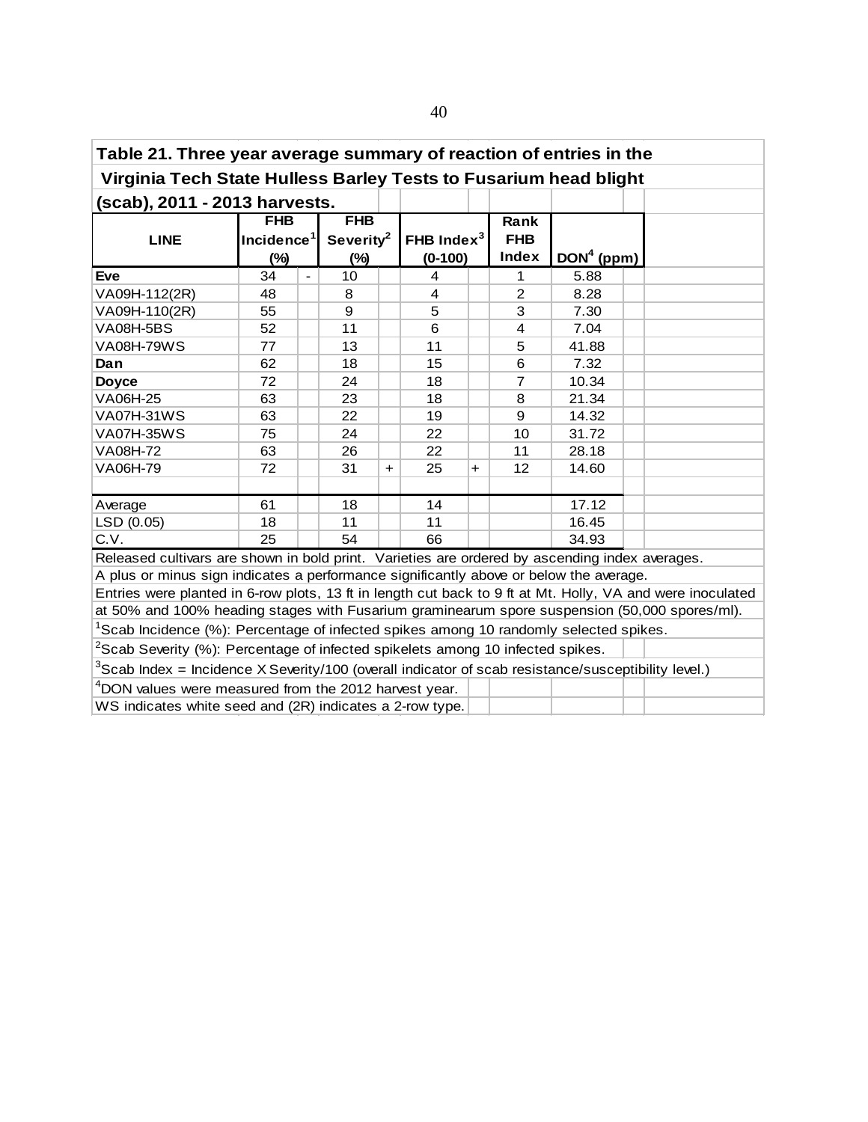| Table 21. Three year average summary of reaction of entries in the                                         |                                |                       |               |     |                |              |  |  |  |
|------------------------------------------------------------------------------------------------------------|--------------------------------|-----------------------|---------------|-----|----------------|--------------|--|--|--|
| Virginia Tech State Hulless Barley Tests to Fusarium head blight                                           |                                |                       |               |     |                |              |  |  |  |
| (scab), 2011 - 2013 harvests.                                                                              |                                |                       |               |     |                |              |  |  |  |
|                                                                                                            | <b>FHB</b>                     | <b>FHB</b>            |               |     | Rank           |              |  |  |  |
| <b>LINE</b>                                                                                                | Incidence <sup>1</sup>         | Severity <sup>2</sup> | FHB Index $3$ |     | <b>FHB</b>     |              |  |  |  |
|                                                                                                            | $(\%)$                         | $(\%)$                | $(0-100)$     |     | Index          | $DOM4$ (ppm) |  |  |  |
| <b>Eve</b>                                                                                                 | 34<br>$\overline{\phantom{a}}$ | 10                    | 4             |     | 1.             | 5.88         |  |  |  |
| VA09H-112(2R)                                                                                              | 48                             | 8                     | 4             |     | 2              | 8.28         |  |  |  |
| VA09H-110(2R)                                                                                              | 55                             | 9                     | 5             |     | 3              | 7.30         |  |  |  |
| VA08H-5BS                                                                                                  | 52                             | 11                    | 6             |     | 4              | 7.04         |  |  |  |
| <b>VA08H-79WS</b>                                                                                          | 77                             | 13                    | 11            |     | 5              | 41.88        |  |  |  |
| Dan                                                                                                        | 62                             | 18                    | 15            |     | 6              | 7.32         |  |  |  |
| <b>Doyce</b>                                                                                               | 72                             | 24                    | 18            |     | $\overline{7}$ | 10.34        |  |  |  |
| VA06H-25                                                                                                   | 63                             | 23                    | 18            |     | 8              | 21.34        |  |  |  |
| <b>VA07H-31WS</b>                                                                                          | 63                             | 22                    | 19            |     | 9              | 14.32        |  |  |  |
| VA07H-35WS                                                                                                 | 75                             | 24                    | 22            |     | 10             | 31.72        |  |  |  |
| VA08H-72                                                                                                   | 63                             | 26                    | 22            |     | 11             | 28.18        |  |  |  |
| VA06H-79                                                                                                   | 72                             | 31<br>$+$             | 25            | $+$ | 12             | 14.60        |  |  |  |
|                                                                                                            |                                |                       |               |     |                |              |  |  |  |
| Average                                                                                                    | 61                             | 18                    | 14            |     |                | 17.12        |  |  |  |
| LSD (0.05)                                                                                                 | 18                             | 11                    | 11            |     |                | 16.45        |  |  |  |
| C.V.                                                                                                       | 25                             | 54                    | 66            |     |                | 34.93        |  |  |  |
| Released cultivars are shown in bold print. Varieties are ordered by ascending index averages.             |                                |                       |               |     |                |              |  |  |  |
| A plus or minus sign indicates a performance significantly above or below the average.                     |                                |                       |               |     |                |              |  |  |  |
| Entries were planted in 6-row plots, 13 ft in length cut back to 9 ft at Mt. Holly, VA and were inoculated |                                |                       |               |     |                |              |  |  |  |
| at 50% and 100% heading stages with Fusarium graminearum spore suspension (50,000 spores/ml).              |                                |                       |               |     |                |              |  |  |  |

<sup>1</sup>Scab Incidence (%): Percentage of infected spikes among 10 randomly selected spikes.

 $^{2}$ Scab Severity (%): Percentage of infected spikelets among 10 infected spikes.

 $3$ Scab Index = Incidence X Severity/100 (overall indicator of scab resistance/susceptibility level.)

<sup>4</sup>DON values were measured from the 2012 harvest year.

WS indicates white seed and (2R) indicates a 2-row type.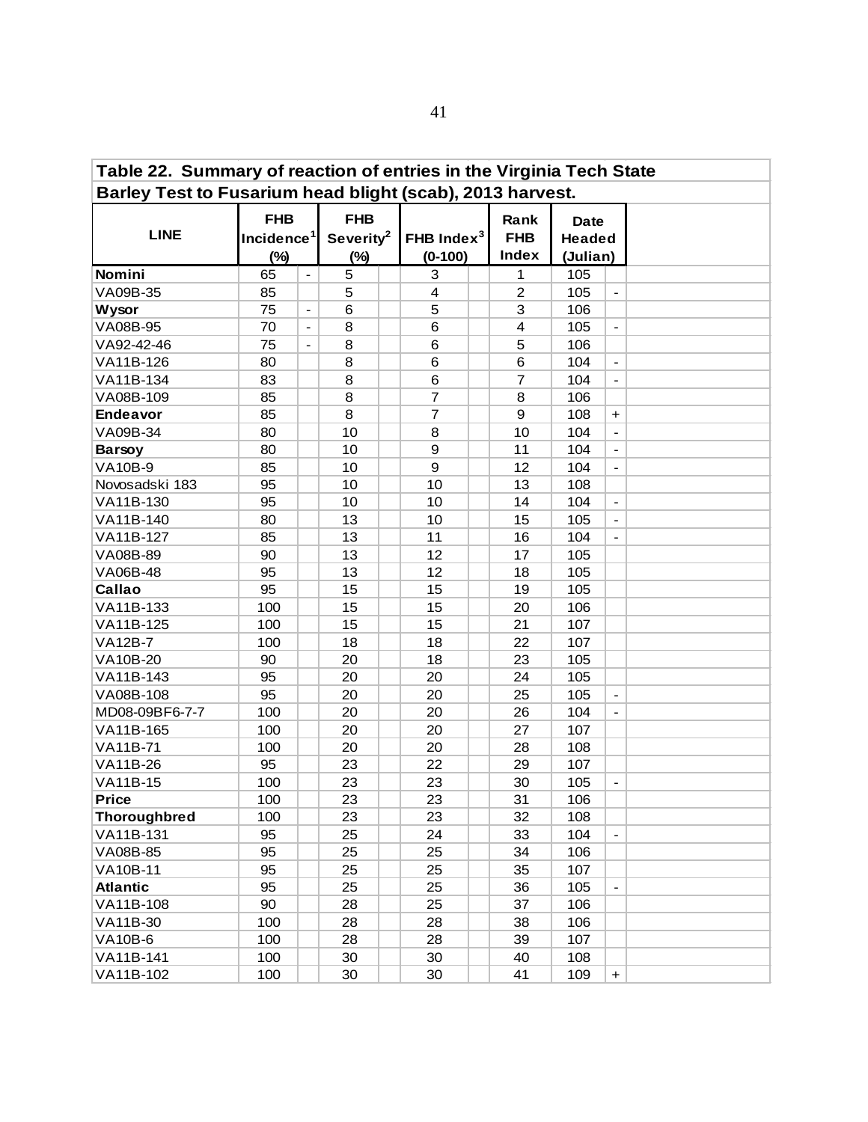| Table 22. Summary of reaction of entries in the Virginia Tech State |                      |                                                               |    |  |                                     |  |                             |                                          |                          |  |
|---------------------------------------------------------------------|----------------------|---------------------------------------------------------------|----|--|-------------------------------------|--|-----------------------------|------------------------------------------|--------------------------|--|
| Barley Test to Fusarium head blight (scab), 2013 harvest.           |                      |                                                               |    |  |                                     |  |                             |                                          |                          |  |
| <b>LINE</b>                                                         | <b>FHB</b><br>$(\%)$ | <b>FHB</b><br>Incidence <sup>1</sup><br>Severity <sup>2</sup> |    |  | FHB Index <sup>3</sup><br>$(0-100)$ |  | Rank<br><b>FHB</b><br>Index | <b>Date</b><br><b>Headed</b><br>(Julian) |                          |  |
| Nomini                                                              | 65                   | $\blacksquare$                                                | 5  |  | 3                                   |  | 1                           | 105                                      |                          |  |
| VA09B-35                                                            | 85                   |                                                               | 5  |  | 4                                   |  | $\overline{c}$              | 105                                      | $\blacksquare$           |  |
| <b>Wysor</b>                                                        | 75                   |                                                               | 6  |  | 5                                   |  | 3                           | 106                                      |                          |  |
| VA08B-95                                                            | 70                   | $\blacksquare$                                                | 8  |  | 6                                   |  | 4                           | 105                                      | $\overline{\phantom{a}}$ |  |
| VA92-42-46                                                          | 75                   |                                                               | 8  |  | 6                                   |  | 5                           | 106                                      |                          |  |
| VA11B-126                                                           | 80                   |                                                               | 8  |  | 6                                   |  | 6                           | 104                                      | $\overline{\phantom{a}}$ |  |
| VA11B-134                                                           | 83                   |                                                               | 8  |  | 6                                   |  | $\overline{7}$              | 104                                      | $\blacksquare$           |  |
| VA08B-109                                                           | 85                   |                                                               | 8  |  | $\overline{7}$                      |  | 8                           | 106                                      |                          |  |
| <b>Endeavor</b>                                                     | 85                   |                                                               | 8  |  | $\overline{7}$                      |  | 9                           | 108                                      | $\ddot{}$                |  |
| VA09B-34                                                            | 80                   |                                                               | 10 |  | 8                                   |  | 10                          | 104                                      | $\blacksquare$           |  |
| <b>Barsoy</b>                                                       | 80                   |                                                               | 10 |  | $\boldsymbol{9}$                    |  | 11                          | 104                                      | $\blacksquare$           |  |
| <b>VA10B-9</b>                                                      | 85                   |                                                               | 10 |  | $\boldsymbol{9}$                    |  | 12                          | 104                                      | $\overline{\phantom{a}}$ |  |
| Novosadski 183                                                      | 95                   |                                                               | 10 |  | 10                                  |  | 13                          | 108                                      |                          |  |
| VA11B-130                                                           | 95                   |                                                               | 10 |  | 10                                  |  | 14                          | 104                                      | $\overline{\phantom{a}}$ |  |
| VA11B-140                                                           | 80                   |                                                               | 13 |  | 10                                  |  | 15                          | 105                                      | $\overline{\phantom{a}}$ |  |
| VA11B-127                                                           | 85                   |                                                               | 13 |  | 11                                  |  | 16                          | 104                                      | $\blacksquare$           |  |
| VA08B-89                                                            | 90                   |                                                               | 13 |  | 12                                  |  | 17                          | 105                                      |                          |  |
| VA06B-48                                                            | 95                   |                                                               | 13 |  | 12                                  |  | 18                          | 105                                      |                          |  |
| Callao                                                              | 95                   |                                                               | 15 |  | 15                                  |  | 19                          | 105                                      |                          |  |
| VA11B-133                                                           | 100                  |                                                               | 15 |  | 15                                  |  | 20                          | 106                                      |                          |  |
| VA11B-125                                                           | 100                  |                                                               | 15 |  | 15                                  |  | 21                          | 107                                      |                          |  |
| <b>VA12B-7</b>                                                      | 100                  |                                                               | 18 |  | 18                                  |  | 22                          | 107                                      |                          |  |
| VA10B-20                                                            | 90                   |                                                               | 20 |  | 18                                  |  | 23                          | 105                                      |                          |  |
| VA11B-143                                                           | 95                   |                                                               | 20 |  | 20                                  |  | 24                          | 105                                      |                          |  |
| VA08B-108                                                           | 95                   |                                                               | 20 |  | 20                                  |  | 25                          | 105                                      | $\overline{\phantom{a}}$ |  |
| MD08-09BF6-7-7                                                      | 100                  |                                                               | 20 |  | 20                                  |  | 26                          | 104                                      | $\blacksquare$           |  |
| VA11B-165                                                           | 100                  |                                                               | 20 |  | 20                                  |  | 27                          | 107                                      |                          |  |
| VA11B-71                                                            | 100                  |                                                               | 20 |  | 20                                  |  | 28                          | 108                                      |                          |  |
| VA11B-26                                                            | 95                   |                                                               | 23 |  | 22                                  |  | 29                          | 107                                      |                          |  |
| VA11B-15                                                            | 100                  |                                                               | 23 |  | 23                                  |  | 30                          | 105                                      | $\overline{\phantom{a}}$ |  |
| <b>Price</b>                                                        | 100                  |                                                               | 23 |  | 23                                  |  | 31                          | 106                                      |                          |  |
| <b>Thoroughbred</b>                                                 | 100                  |                                                               | 23 |  | 23                                  |  | 32                          | 108                                      |                          |  |
| VA11B-131                                                           | 95                   |                                                               | 25 |  | 24                                  |  | 33                          | 104                                      | $\blacksquare$           |  |
| VA08B-85                                                            | 95                   |                                                               | 25 |  | 25                                  |  | 34                          | 106                                      |                          |  |
| <b>VA10B-11</b>                                                     | 95                   |                                                               | 25 |  | 25                                  |  | 35                          | 107                                      |                          |  |
| <b>Atlantic</b>                                                     | 95                   |                                                               | 25 |  | 25                                  |  | 36                          | 105                                      | $\blacksquare$           |  |
| VA11B-108                                                           | 90                   |                                                               | 28 |  | 25                                  |  | 37                          | 106                                      |                          |  |
| VA11B-30                                                            | 100                  |                                                               | 28 |  | 28                                  |  | 38                          | 106                                      |                          |  |
| <b>VA10B-6</b>                                                      | 100                  |                                                               | 28 |  | 28                                  |  | 39                          | 107                                      |                          |  |
| VA11B-141                                                           | 100                  |                                                               | 30 |  | 30                                  |  | 40                          | 108                                      |                          |  |
| VA11B-102                                                           | 100                  |                                                               | 30 |  | 30                                  |  | 41                          | 109                                      | $\boldsymbol{+}$         |  |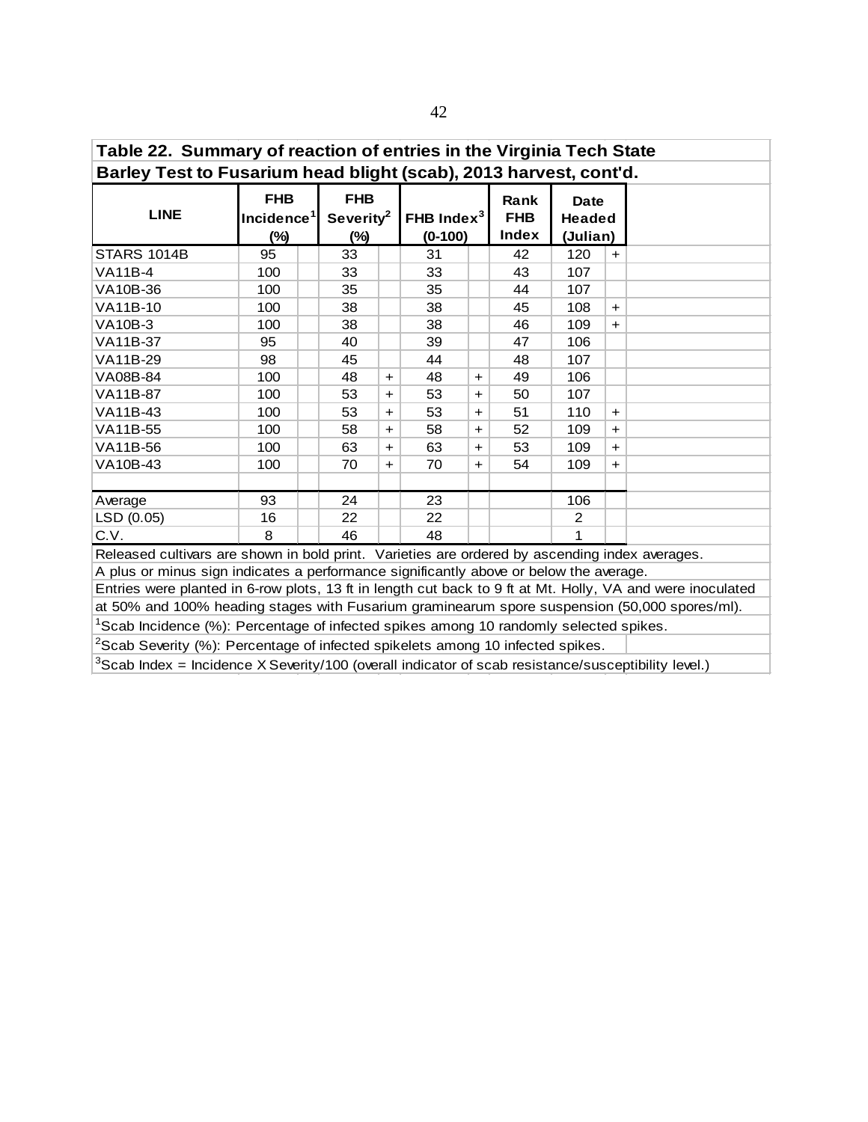| Table 22. Summary of reaction of entries in the Virginia Tech State                            |                                                |                                            |           |                            |     |                             |                                          |     |  |
|------------------------------------------------------------------------------------------------|------------------------------------------------|--------------------------------------------|-----------|----------------------------|-----|-----------------------------|------------------------------------------|-----|--|
| Barley Test to Fusarium head blight (scab), 2013 harvest, cont'd.                              |                                                |                                            |           |                            |     |                             |                                          |     |  |
| <b>LINE</b>                                                                                    | <b>FHB</b><br>Incidence <sup>1</sup><br>$(\%)$ | <b>FHB</b><br>Severity <sup>2</sup><br>(%) |           | FHB Index $3$<br>$(0-100)$ |     | Rank<br><b>FHB</b><br>Index | <b>Date</b><br><b>Headed</b><br>(Julian) |     |  |
| <b>STARS 1014B</b>                                                                             | 95                                             | 33                                         |           | 31                         |     | 42                          | 120                                      | $+$ |  |
| VA11B-4                                                                                        | 100                                            | 33                                         |           | 33                         |     | 43                          | 107                                      |     |  |
| VA10B-36                                                                                       | 100                                            | 35                                         |           | 35                         |     | 44                          | 107                                      |     |  |
| <b>VA11B-10</b>                                                                                | 100                                            | 38                                         |           | 38                         |     | 45                          | 108                                      | $+$ |  |
| VA10B-3                                                                                        | 100                                            | 38                                         |           | 38                         |     | 46                          | 109                                      | $+$ |  |
| VA11B-37                                                                                       | 95                                             | 40                                         |           | 39                         |     | 47                          | 106                                      |     |  |
| VA11B-29                                                                                       | 98                                             | 45                                         |           | 44                         |     | 48                          | 107                                      |     |  |
| VA08B-84                                                                                       | 100                                            | 48                                         | $+$       | 48                         | $+$ | 49                          | 106                                      |     |  |
| <b>VA11B-87</b>                                                                                | 100                                            | 53                                         | $+$       | 53                         | $+$ | 50                          | 107                                      |     |  |
| VA11B-43                                                                                       | 100                                            | 53                                         | $+$       | 53                         | $+$ | 51                          | 110                                      | $+$ |  |
| VA11B-55                                                                                       | 100                                            | 58                                         | $+$       | 58                         | $+$ | 52                          | 109                                      | $+$ |  |
| VA11B-56                                                                                       | 100                                            | 63                                         | $\ddot{}$ | 63                         | $+$ | 53                          | 109                                      | $+$ |  |
| VA10B-43                                                                                       | 100                                            | 70                                         | $+$       | 70                         | $+$ | 54                          | 109                                      | $+$ |  |
|                                                                                                |                                                |                                            |           |                            |     |                             |                                          |     |  |
| Average                                                                                        | 93                                             | 24                                         |           | 23                         |     |                             | 106                                      |     |  |
| LSD (0.05)                                                                                     | 16                                             | 22                                         |           | 22                         |     |                             | 2                                        |     |  |
| C.V.                                                                                           | 8                                              | 46                                         |           | 48                         |     |                             | 1                                        |     |  |
| Released cultivars are shown in bold print. Varieties are ordered by ascending index averages. |                                                |                                            |           |                            |     |                             |                                          |     |  |

Released cultivars are shown in bold print. Varieties are ordered by ascending index averages.

A plus or minus sign indicates a performance significantly above or below the average. Entries were planted in 6-row plots, 13 ft in length cut back to 9 ft at Mt. Holly, VA and were inoculated

at 50% and 100% heading stages with Fusarium graminearum spore suspension (50,000 spores/ml).

<sup>1</sup>Scab Incidence (%): Percentage of infected spikes among 10 randomly selected spikes.

 $2$ Scab Severity (%): Percentage of infected spikelets among 10 infected spikes.

 $3$ Scab Index = Incidence X Severity/100 (overall indicator of scab resistance/susceptibility level.)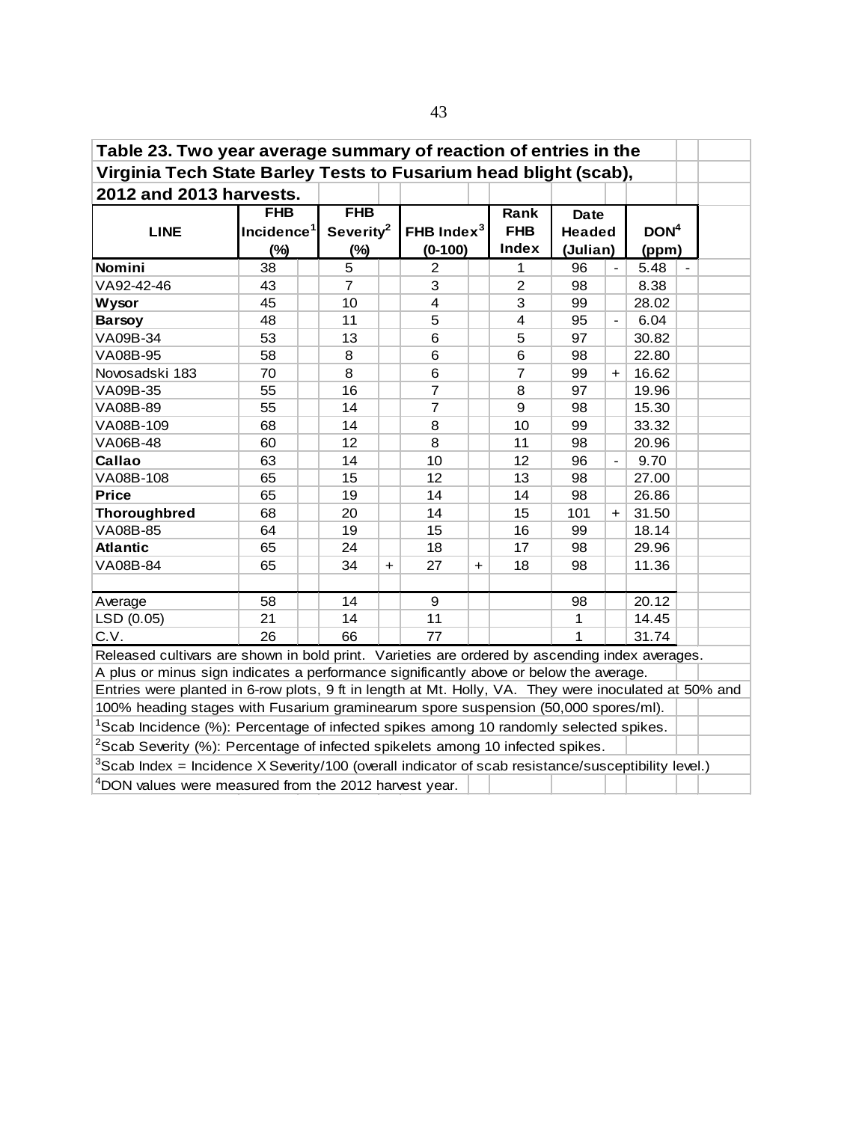| Table 23. Two year average summary of reaction of entries in the                                            |                        |                       |           |                         |           |                |               |                |                  |  |
|-------------------------------------------------------------------------------------------------------------|------------------------|-----------------------|-----------|-------------------------|-----------|----------------|---------------|----------------|------------------|--|
| Virginia Tech State Barley Tests to Fusarium head blight (scab),                                            |                        |                       |           |                         |           |                |               |                |                  |  |
| 2012 and 2013 harvests.                                                                                     |                        |                       |           |                         |           |                |               |                |                  |  |
|                                                                                                             | <b>FHB</b>             | <b>FHB</b>            |           |                         |           | Rank           | <b>Date</b>   |                |                  |  |
| <b>LINE</b>                                                                                                 | Incidence <sup>1</sup> | Severity <sup>2</sup> |           | FHB Index $3$           |           | <b>FHB</b>     | <b>Headed</b> |                | DOM <sup>4</sup> |  |
|                                                                                                             | $(\%)$                 | $(\%)$                |           | $(0-100)$               |           | <b>Index</b>   | (Julian)      |                | (ppm)            |  |
| Nomini                                                                                                      | 38                     | 5                     |           | $\overline{2}$          |           | 1              | 96            | $\blacksquare$ | 5.48             |  |
| VA92-42-46                                                                                                  | 43                     | $\overline{7}$        |           | 3                       |           | $\overline{2}$ | 98            |                | 8.38             |  |
| <b>Wysor</b>                                                                                                | 45                     | 10                    |           | $\overline{\mathbf{4}}$ |           | 3              | 99            |                | 28.02            |  |
| <b>Barsoy</b>                                                                                               | 48                     | 11                    |           | 5                       |           | $\overline{4}$ | 95            |                | 6.04             |  |
| VA09B-34                                                                                                    | 53                     | 13                    |           | 6                       |           | 5              | 97            |                | 30.82            |  |
| VA08B-95                                                                                                    | 58                     | 8                     |           | 6                       |           | 6              | 98            |                | 22.80            |  |
| Novosadski 183                                                                                              | 70                     | 8                     |           | 6                       |           | $\overline{7}$ | 99            | $+$            | 16.62            |  |
| VA09B-35                                                                                                    | 55                     | 16                    |           | $\overline{7}$          |           | 8              | 97            |                | 19.96            |  |
| VA08B-89                                                                                                    | 55                     | 14                    |           | $\overline{7}$          |           | 9              | 98            |                | 15.30            |  |
| VA08B-109                                                                                                   | 68                     | 14                    |           | 8                       |           | 10             | 99            |                | 33.32            |  |
| VA06B-48                                                                                                    | 60                     | 12                    |           | 8                       |           | 11             | 98            |                | 20.96            |  |
| Callao                                                                                                      | 63                     | 14                    |           | 10                      |           | 12             | 96            |                | 9.70             |  |
| VA08B-108                                                                                                   | 65                     | 15                    |           | 12                      |           | 13             | 98            |                | 27.00            |  |
| <b>Price</b>                                                                                                | 65                     | 19                    |           | 14                      |           | 14             | 98            |                | 26.86            |  |
| <b>Thoroughbred</b>                                                                                         | 68                     | 20                    |           | 14                      |           | 15             | 101           | $\ddot{}$      | 31.50            |  |
| VA08B-85                                                                                                    | 64                     | 19                    |           | 15                      |           | 16             | 99            |                | 18.14            |  |
| <b>Atlantic</b>                                                                                             | 65                     | 24                    |           | 18                      |           | 17             | 98            |                | 29.96            |  |
| VA08B-84                                                                                                    | 65                     | 34                    | $\ddot{}$ | 27                      | $\ddot{}$ | 18             | 98            |                | 11.36            |  |
|                                                                                                             |                        |                       |           |                         |           |                |               |                |                  |  |
| Average                                                                                                     | 58                     | 14                    |           | 9                       |           |                | 98            |                | 20.12            |  |
| LSD (0.05)                                                                                                  | 21                     | 14                    |           | 11                      |           |                | 1             |                | 14.45            |  |
| C.V.                                                                                                        | 26                     | 66                    |           | 77                      |           |                | 1             |                | 31.74            |  |
| Released cultivars are shown in bold print. Varieties are ordered by ascending index averages.              |                        |                       |           |                         |           |                |               |                |                  |  |
| A plus or minus sign indicates a performance significantly above or below the average.                      |                        |                       |           |                         |           |                |               |                |                  |  |
| Entries were planted in 6-row plots, 9 ft in length at Mt. Holly, VA. They were inoculated at 50% and       |                        |                       |           |                         |           |                |               |                |                  |  |
| 100% heading stages with Fusarium graminearum spore suspension (50,000 spores/ml).                          |                        |                       |           |                         |           |                |               |                |                  |  |
| <sup>1</sup> Scab Incidence (%): Percentage of infected spikes among 10 randomly selected spikes.           |                        |                       |           |                         |           |                |               |                |                  |  |
| <sup>2</sup> Scab Severity (%): Percentage of infected spikelets among 10 infected spikes.                  |                        |                       |           |                         |           |                |               |                |                  |  |
| ${}^{3}$ Scab Index = Incidence X Severity/100 (overall indicator of scab resistance/susceptibility level.) |                        |                       |           |                         |           |                |               |                |                  |  |
| <sup>4</sup> DON values were measured from the 2012 harvest year.                                           |                        |                       |           |                         |           |                |               |                |                  |  |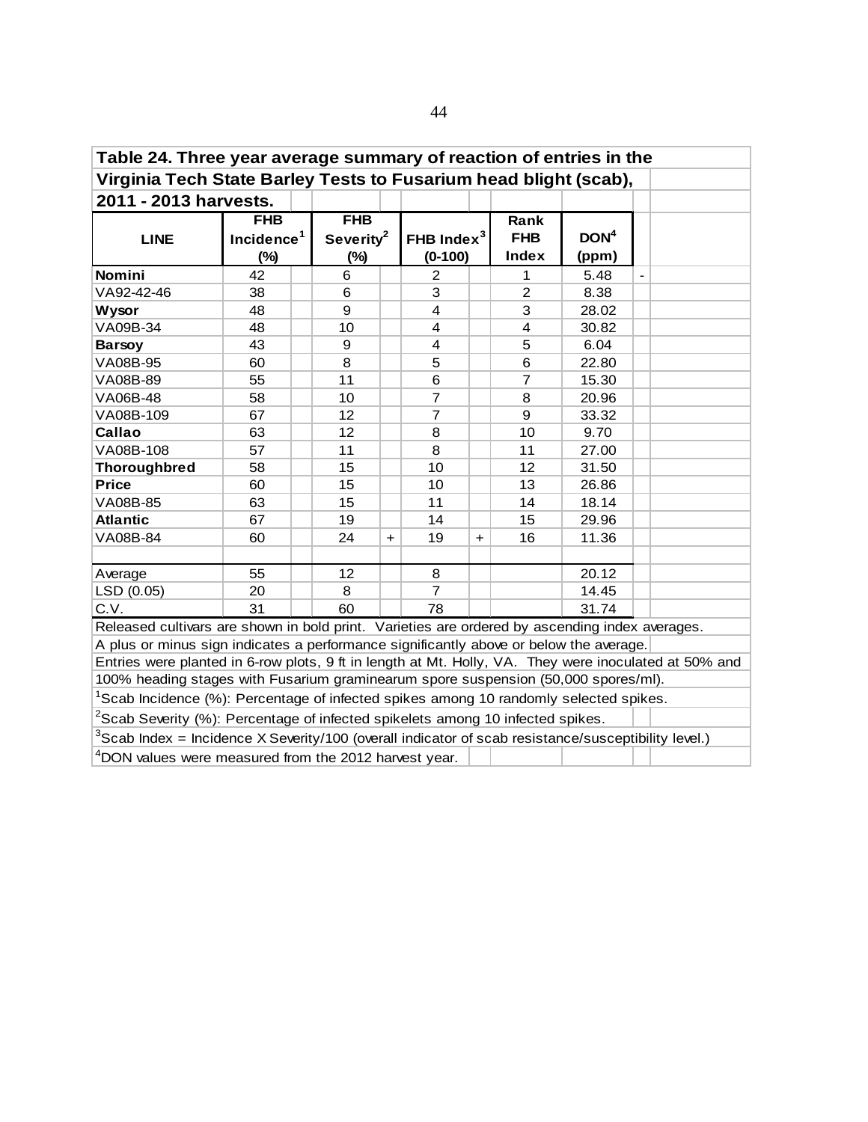| Table 24. Three year average summary of reaction of entries in the                                          |                        |    |                                              |                |     |                |                  |                |  |
|-------------------------------------------------------------------------------------------------------------|------------------------|----|----------------------------------------------|----------------|-----|----------------|------------------|----------------|--|
| Virginia Tech State Barley Tests to Fusarium head blight (scab),                                            |                        |    |                                              |                |     |                |                  |                |  |
| 2011 - 2013 harvests.                                                                                       |                        |    |                                              |                |     |                |                  |                |  |
|                                                                                                             | <b>FHB</b>             |    | <b>FHB</b>                                   |                |     | Rank           |                  |                |  |
| <b>LINE</b>                                                                                                 | Incidence <sup>1</sup> |    | Severity <sup>2</sup>                        | FHB Index $3$  |     | <b>FHB</b>     | DOM <sup>4</sup> |                |  |
|                                                                                                             | $(\%)$                 |    | <b>Index</b><br>$(0-100)$<br>(ppm)<br>$(\%)$ |                |     |                |                  |                |  |
| Nomini                                                                                                      | 42                     | 6  |                                              | $\overline{2}$ |     | 1              | 5.48             | $\overline{a}$ |  |
| VA92-42-46                                                                                                  | 38                     | 6  |                                              | 3              |     | $\overline{2}$ | 8.38             |                |  |
| <b>Wysor</b>                                                                                                | 48                     | 9  |                                              | 4              |     | 3              | 28.02            |                |  |
| VA09B-34                                                                                                    | 48                     | 10 |                                              | $\overline{4}$ |     | $\overline{4}$ | 30.82            |                |  |
| <b>Barsoy</b>                                                                                               | 43                     | 9  |                                              | 4              |     | 5              | 6.04             |                |  |
| VA08B-95                                                                                                    | 60                     | 8  |                                              | 5              |     | 6              | 22.80            |                |  |
| VA08B-89                                                                                                    | 55                     | 11 |                                              | 6              |     | $\overline{7}$ | 15.30            |                |  |
| VA06B-48                                                                                                    | 58                     | 10 |                                              | $\overline{7}$ |     | 8              | 20.96            |                |  |
| VA08B-109                                                                                                   | 67                     | 12 |                                              | $\overline{7}$ |     | 9              | 33.32            |                |  |
| Callao                                                                                                      | 63                     | 12 |                                              | 8              |     | 10             | 9.70             |                |  |
| VA08B-108                                                                                                   | 57                     | 11 |                                              | 8              |     | 11             | 27.00            |                |  |
| <b>Thoroughbred</b>                                                                                         | 58                     | 15 |                                              | 10             |     | 12             | 31.50            |                |  |
| <b>Price</b>                                                                                                | 60                     | 15 |                                              | 10             |     | 13             | 26.86            |                |  |
| VA08B-85                                                                                                    | 63                     | 15 |                                              | 11             |     | 14             | 18.14            |                |  |
| <b>Atlantic</b>                                                                                             | 67                     | 19 |                                              | 14             |     | 15             | 29.96            |                |  |
| VA08B-84                                                                                                    | 60                     | 24 | $\ddot{}$                                    | 19             | $+$ | 16             | 11.36            |                |  |
|                                                                                                             |                        |    |                                              |                |     |                |                  |                |  |
| Average                                                                                                     | 55                     | 12 |                                              | 8              |     |                | 20.12            |                |  |
| LSD (0.05)                                                                                                  | 20                     | 8  |                                              | $\overline{7}$ |     |                | 14.45            |                |  |
| C.V.                                                                                                        | 31                     | 60 |                                              | 78             |     |                | 31.74            |                |  |
| Released cultivars are shown in bold print. Varieties are ordered by ascending index averages.              |                        |    |                                              |                |     |                |                  |                |  |
| A plus or minus sign indicates a performance significantly above or below the average.                      |                        |    |                                              |                |     |                |                  |                |  |
| Entries were planted in 6-row plots, 9 ft in length at Mt. Holly, VA. They were inoculated at 50% and       |                        |    |                                              |                |     |                |                  |                |  |
| 100% heading stages with Fusarium graminearum spore suspension (50,000 spores/ml).                          |                        |    |                                              |                |     |                |                  |                |  |
| <sup>1</sup> Scab Incidence (%): Percentage of infected spikes among 10 randomly selected spikes.           |                        |    |                                              |                |     |                |                  |                |  |
| $2$ Scab Severity (%): Percentage of infected spikelets among 10 infected spikes.                           |                        |    |                                              |                |     |                |                  |                |  |
| ${}^{3}$ Scab Index = Incidence X Severity/100 (overall indicator of scab resistance/susceptibility level.) |                        |    |                                              |                |     |                |                  |                |  |
| <sup>4</sup> DON values were measured from the 2012 harvest year.                                           |                        |    |                                              |                |     |                |                  |                |  |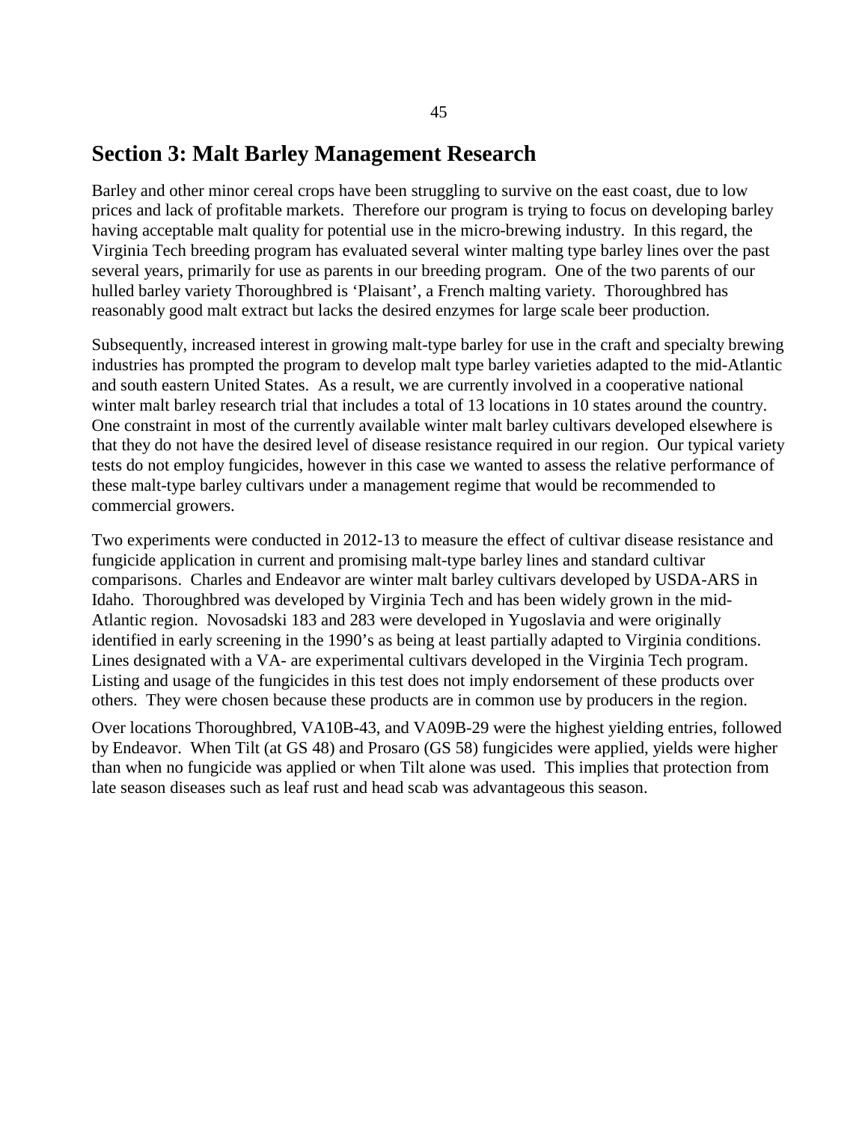### **Section 3: Malt Barley Management Research**

Barley and other minor cereal crops have been struggling to survive on the east coast, due to low prices and lack of profitable markets. Therefore our program is trying to focus on developing barley having acceptable malt quality for potential use in the micro-brewing industry. In this regard, the Virginia Tech breeding program has evaluated several winter malting type barley lines over the past several years, primarily for use as parents in our breeding program. One of the two parents of our hulled barley variety Thoroughbred is 'Plaisant', a French malting variety. Thoroughbred has reasonably good malt extract but lacks the desired enzymes for large scale beer production.

Subsequently, increased interest in growing malt-type barley for use in the craft and specialty brewing industries has prompted the program to develop malt type barley varieties adapted to the mid-Atlantic and south eastern United States. As a result, we are currently involved in a cooperative national winter malt barley research trial that includes a total of 13 locations in 10 states around the country. One constraint in most of the currently available winter malt barley cultivars developed elsewhere is that they do not have the desired level of disease resistance required in our region. Our typical variety tests do not employ fungicides, however in this case we wanted to assess the relative performance of these malt-type barley cultivars under a management regime that would be recommended to commercial growers.

Two experiments were conducted in 2012-13 to measure the effect of cultivar disease resistance and fungicide application in current and promising malt-type barley lines and standard cultivar comparisons. Charles and Endeavor are winter malt barley cultivars developed by USDA-ARS in Idaho. Thoroughbred was developed by Virginia Tech and has been widely grown in the mid-Atlantic region. Novosadski 183 and 283 were developed in Yugoslavia and were originally identified in early screening in the 1990's as being at least partially adapted to Virginia conditions. Lines designated with a VA- are experimental cultivars developed in the Virginia Tech program. Listing and usage of the fungicides in this test does not imply endorsement of these products over others. They were chosen because these products are in common use by producers in the region.

Over locations Thoroughbred, VA10B-43, and VA09B-29 were the highest yielding entries, followed by Endeavor. When Tilt (at GS 48) and Prosaro (GS 58) fungicides were applied, yields were higher than when no fungicide was applied or when Tilt alone was used. This implies that protection from late season diseases such as leaf rust and head scab was advantageous this season.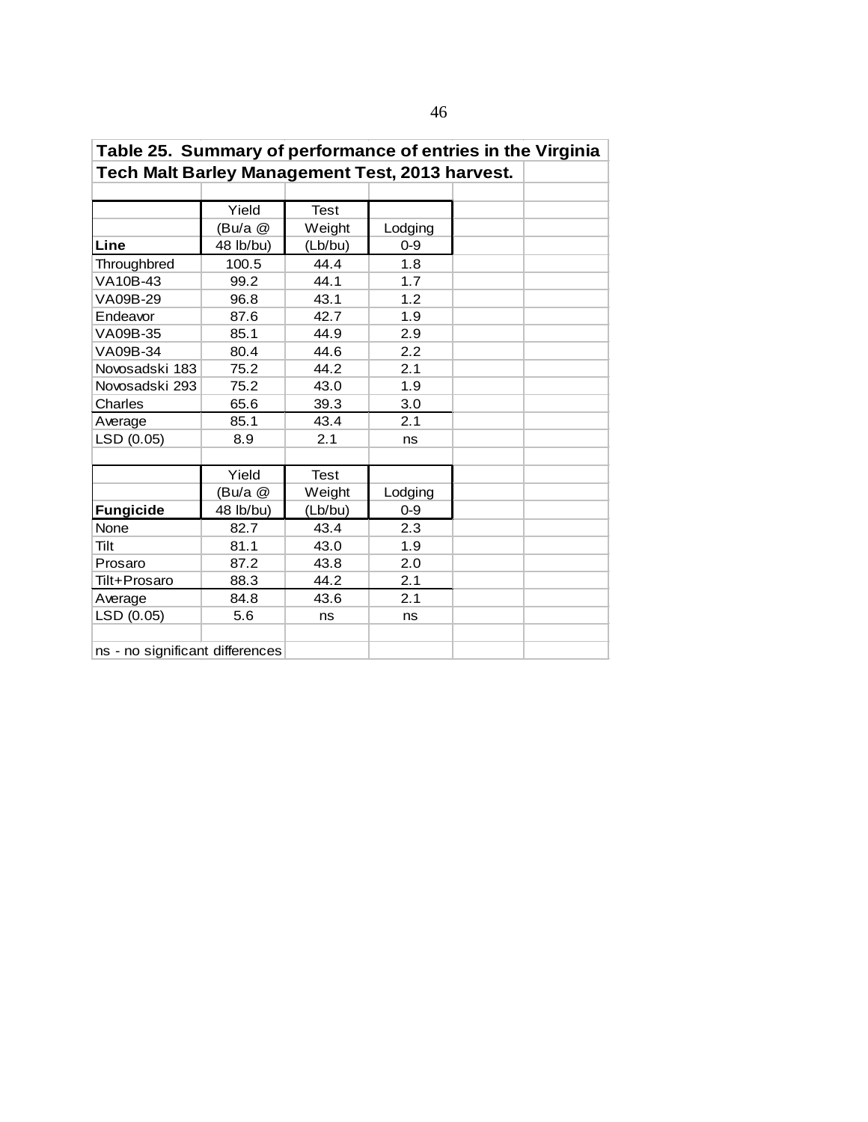| . apio 20.   Odminary or portormanoo or ontrioo in tho virginia |           |             |         |  |  |  |  |  |  |
|-----------------------------------------------------------------|-----------|-------------|---------|--|--|--|--|--|--|
| Tech Malt Barley Management Test, 2013 harvest.                 |           |             |         |  |  |  |  |  |  |
|                                                                 |           |             |         |  |  |  |  |  |  |
|                                                                 | Yield     | <b>Test</b> |         |  |  |  |  |  |  |
|                                                                 | (Bu/a @   | Weight      | Lodging |  |  |  |  |  |  |
| Line                                                            | 48 lb/bu) | (Lb/bu)     | $0 - 9$ |  |  |  |  |  |  |
| Throughbred                                                     | 100.5     | 44.4        | 1.8     |  |  |  |  |  |  |
| VA10B-43                                                        | 99.2      | 44.1        | 1.7     |  |  |  |  |  |  |
| VA09B-29                                                        | 96.8      | 43.1        | 1.2     |  |  |  |  |  |  |
| Endeavor                                                        | 87.6      | 42.7        | 1.9     |  |  |  |  |  |  |
| VA09B-35                                                        | 85.1      | 44.9        | 2.9     |  |  |  |  |  |  |
| VA09B-34                                                        | 80.4      | 44.6        | 2.2     |  |  |  |  |  |  |
| Novosadski 183                                                  | 75.2      | 44.2        | 2.1     |  |  |  |  |  |  |
| Novosadski 293                                                  | 75.2      | 43.0        | 1.9     |  |  |  |  |  |  |
| Charles                                                         | 65.6      | 39.3        | 3.0     |  |  |  |  |  |  |
| Average                                                         | 85.1      | 43.4        | 2.1     |  |  |  |  |  |  |
| LSD (0.05)                                                      | 8.9       | 2.1         | ns      |  |  |  |  |  |  |
|                                                                 |           |             |         |  |  |  |  |  |  |
|                                                                 | Yield     | <b>Test</b> |         |  |  |  |  |  |  |
|                                                                 | (Bu/a @   | Weight      | Lodging |  |  |  |  |  |  |
| <b>Fungicide</b>                                                | 48 lb/bu) | (Lb/bu)     | $0 - 9$ |  |  |  |  |  |  |
| None                                                            | 82.7      | 43.4        | 2.3     |  |  |  |  |  |  |
| Tilt                                                            | 81.1      | 43.0        | 1.9     |  |  |  |  |  |  |
| Prosaro                                                         | 87.2      | 43.8        | 2.0     |  |  |  |  |  |  |
| Tilt+Prosaro                                                    | 88.3      | 44.2        | 2.1     |  |  |  |  |  |  |
| Average                                                         | 84.8      | 43.6        | 2.1     |  |  |  |  |  |  |
| LSD (0.05)                                                      | 5.6       | ns          | ns      |  |  |  |  |  |  |
|                                                                 |           |             |         |  |  |  |  |  |  |
| ns - no significant differences                                 |           |             |         |  |  |  |  |  |  |

# **Table 25. Summary of performance of entries in the Virginia**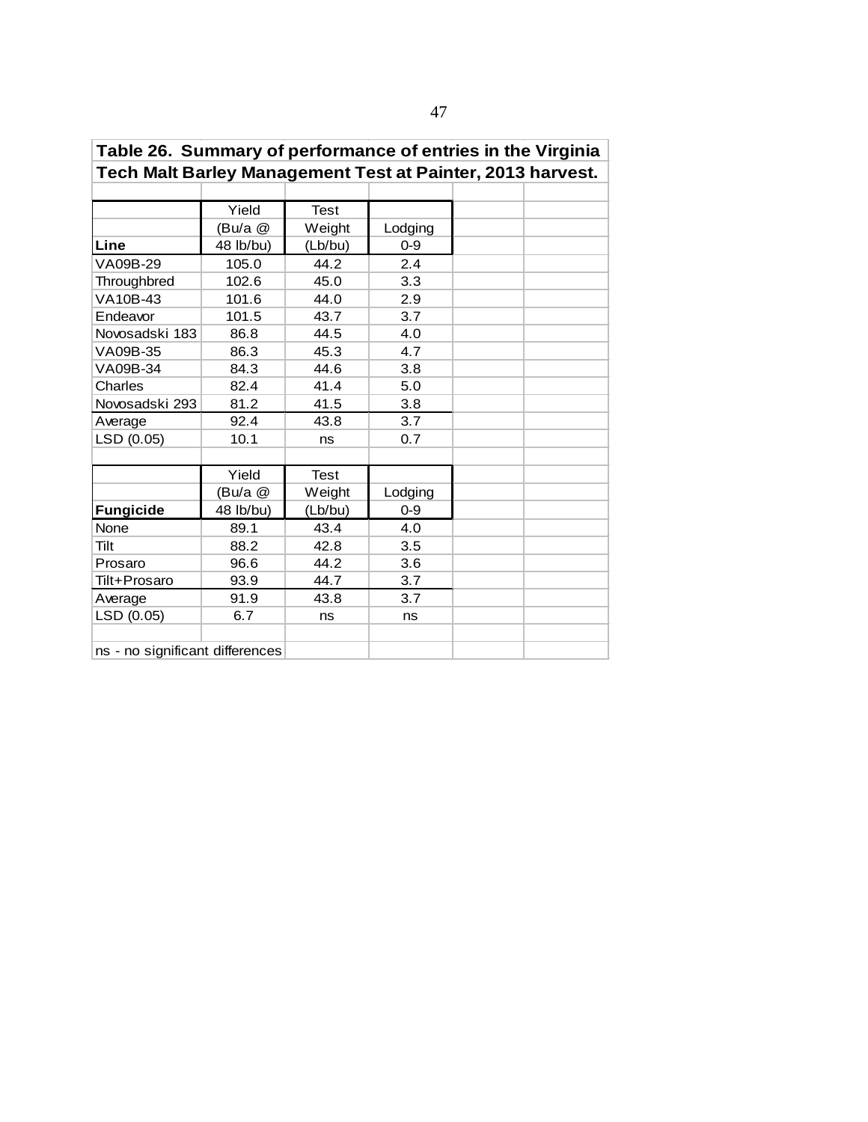| Tech Malt Barley Management Test at Painter, 2013 harvest. |           |             |         |  |  |  |  |  |  |
|------------------------------------------------------------|-----------|-------------|---------|--|--|--|--|--|--|
|                                                            |           |             |         |  |  |  |  |  |  |
|                                                            | Yield     | <b>Test</b> |         |  |  |  |  |  |  |
|                                                            | (Bu/a @   | Weight      | Lodging |  |  |  |  |  |  |
| Line                                                       | 48 lb/bu) | (Lb/bu)     | $0 - 9$ |  |  |  |  |  |  |
| VA09B-29                                                   | 105.0     | 44.2        | 2.4     |  |  |  |  |  |  |
| Throughbred                                                | 102.6     | 45.0        | 3.3     |  |  |  |  |  |  |
| VA10B-43                                                   | 101.6     | 44.0        | 2.9     |  |  |  |  |  |  |
| Endeavor                                                   | 101.5     | 43.7        | 3.7     |  |  |  |  |  |  |
| Novosadski 183                                             | 86.8      | 44.5        | 4.0     |  |  |  |  |  |  |
| VA09B-35                                                   | 86.3      | 45.3        | 4.7     |  |  |  |  |  |  |
| VA09B-34                                                   | 84.3      | 44.6        | 3.8     |  |  |  |  |  |  |
| Charles                                                    | 82.4      | 41.4        | 5.0     |  |  |  |  |  |  |
| Novosadski 293                                             | 81.2      | 41.5        | 3.8     |  |  |  |  |  |  |
| Average                                                    | 92.4      | 43.8        | 3.7     |  |  |  |  |  |  |
| LSD (0.05)                                                 | 10.1      | ns          | 0.7     |  |  |  |  |  |  |
|                                                            |           |             |         |  |  |  |  |  |  |
|                                                            | Yield     | <b>Test</b> |         |  |  |  |  |  |  |
|                                                            | (Bu/a @   | Weight      | Lodging |  |  |  |  |  |  |
| Fungicide                                                  | 48 lb/bu) | (Lb/bu)     | $0 - 9$ |  |  |  |  |  |  |
| None                                                       | 89.1      | 43.4        | 4.0     |  |  |  |  |  |  |
| Tilt                                                       | 88.2      | 42.8        | 3.5     |  |  |  |  |  |  |
| Prosaro                                                    | 96.6      | 44.2        | 3.6     |  |  |  |  |  |  |
| Tilt+Prosaro                                               | 93.9      | 44.7        | 3.7     |  |  |  |  |  |  |
| Average                                                    | 91.9      | 43.8        | 3.7     |  |  |  |  |  |  |
| LSD (0.05)                                                 | 6.7       | ns          | ns      |  |  |  |  |  |  |
|                                                            |           |             |         |  |  |  |  |  |  |
| ns - no significant differences                            |           |             |         |  |  |  |  |  |  |

| Table 26. Summary of performance of entries in the Virginia |  |
|-------------------------------------------------------------|--|
| Tech Malt Barley Management Test at Painter, 2013 harvest.  |  |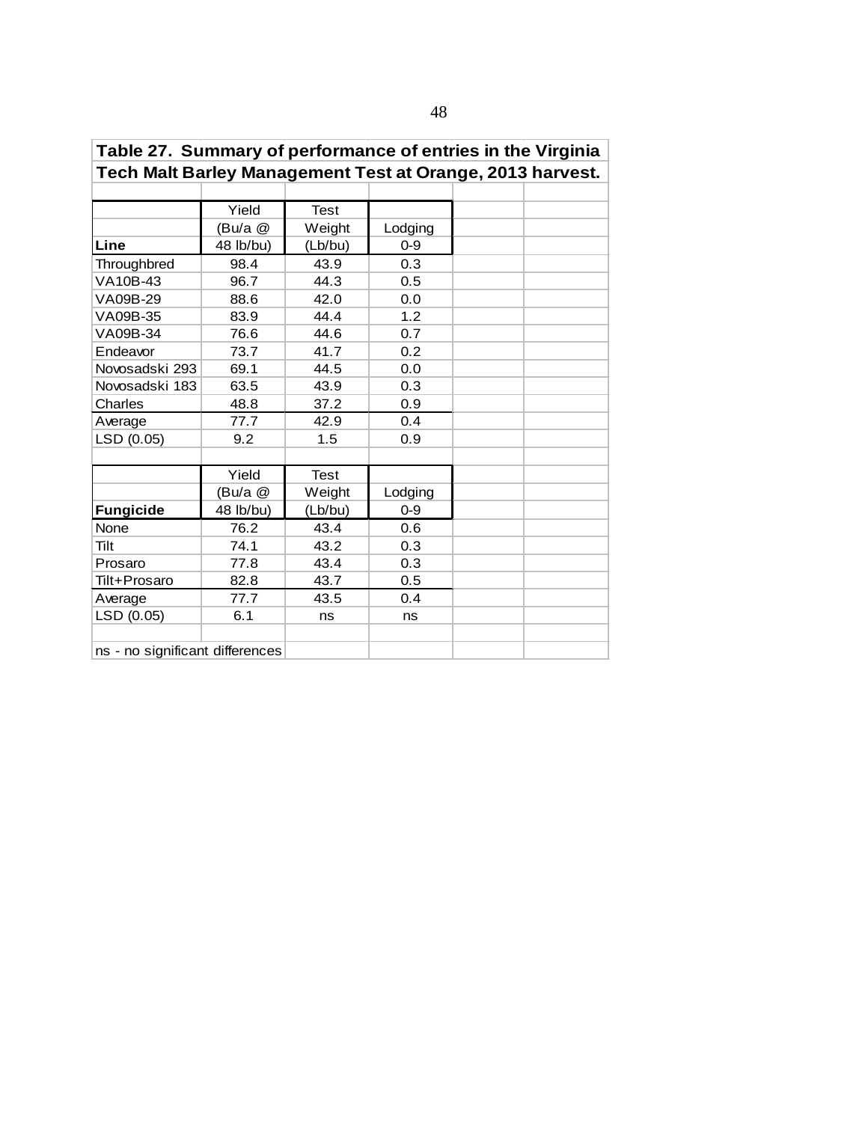| Tech Malt Barley Management Test at Orange, 2013 harvest. |           |             |         |  |  |  |  |  |  |
|-----------------------------------------------------------|-----------|-------------|---------|--|--|--|--|--|--|
|                                                           |           |             |         |  |  |  |  |  |  |
|                                                           | Yield     | <b>Test</b> |         |  |  |  |  |  |  |
|                                                           | (Bu/a @   | Weight      | Lodging |  |  |  |  |  |  |
| Line                                                      | 48 lb/bu) | (Lb/bu)     | $0 - 9$ |  |  |  |  |  |  |
| Throughbred                                               | 98.4      | 43.9        | 0.3     |  |  |  |  |  |  |
| VA10B-43                                                  | 96.7      | 44.3        | 0.5     |  |  |  |  |  |  |
| VA09B-29                                                  | 88.6      | 42.0        | 0.0     |  |  |  |  |  |  |
| VA09B-35                                                  | 83.9      | 44.4        | 1.2     |  |  |  |  |  |  |
| VA09B-34                                                  | 76.6      | 44.6        | 0.7     |  |  |  |  |  |  |
| Endeavor                                                  | 73.7      | 41.7        | 0.2     |  |  |  |  |  |  |
| Novosadski 293                                            | 69.1      | 44.5        | 0.0     |  |  |  |  |  |  |
| Novosadski 183                                            | 63.5      | 43.9        | 0.3     |  |  |  |  |  |  |
| Charles                                                   | 48.8      | 37.2        | 0.9     |  |  |  |  |  |  |
| Average                                                   | 77.7      | 42.9        | 0.4     |  |  |  |  |  |  |
| LSD (0.05)                                                | 9.2       | 1.5         | 0.9     |  |  |  |  |  |  |
|                                                           |           |             |         |  |  |  |  |  |  |
|                                                           | Yield     | <b>Test</b> |         |  |  |  |  |  |  |
|                                                           | (Bu/a @   | Weight      | Lodging |  |  |  |  |  |  |
| <b>Fungicide</b>                                          | 48 lb/bu) | (Lb/bu)     | $0 - 9$ |  |  |  |  |  |  |
| None                                                      | 76.2      | 43.4        | 0.6     |  |  |  |  |  |  |
| Tilt                                                      | 74.1      | 43.2        | 0.3     |  |  |  |  |  |  |
| Prosaro                                                   | 77.8      | 43.4        | 0.3     |  |  |  |  |  |  |
| Tilt+Prosaro                                              | 82.8      | 43.7        | 0.5     |  |  |  |  |  |  |
| Average                                                   | 77.7      | 43.5        | 0.4     |  |  |  |  |  |  |
| LSD (0.05)                                                | 6.1       | ns          | ns      |  |  |  |  |  |  |
|                                                           |           |             |         |  |  |  |  |  |  |
| ns - no significant differences                           |           |             |         |  |  |  |  |  |  |

## **Table 27. Summary of performance of entries in the Virginia**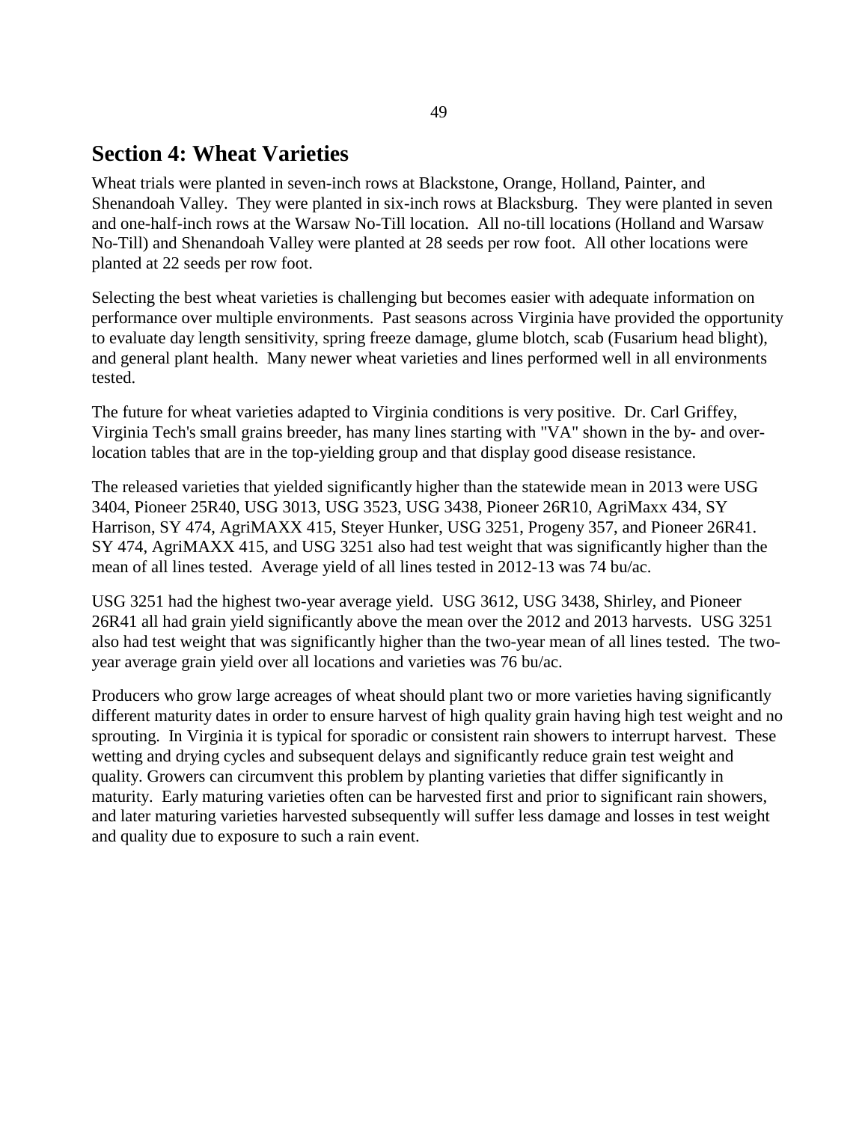### **Section 4: Wheat Varieties**

Wheat trials were planted in seven-inch rows at Blackstone, Orange, Holland, Painter, and Shenandoah Valley. They were planted in six-inch rows at Blacksburg. They were planted in seven and one-half-inch rows at the Warsaw No-Till location. All no-till locations (Holland and Warsaw No-Till) and Shenandoah Valley were planted at 28 seeds per row foot. All other locations were planted at 22 seeds per row foot.

Selecting the best wheat varieties is challenging but becomes easier with adequate information on performance over multiple environments. Past seasons across Virginia have provided the opportunity to evaluate day length sensitivity, spring freeze damage, glume blotch, scab (Fusarium head blight), and general plant health. Many newer wheat varieties and lines performed well in all environments tested.

The future for wheat varieties adapted to Virginia conditions is very positive. Dr. Carl Griffey, Virginia Tech's small grains breeder, has many lines starting with "VA" shown in the by- and overlocation tables that are in the top-yielding group and that display good disease resistance.

The released varieties that yielded significantly higher than the statewide mean in 2013 were USG 3404, Pioneer 25R40, USG 3013, USG 3523, USG 3438, Pioneer 26R10, AgriMaxx 434, SY Harrison, SY 474, AgriMAXX 415, Steyer Hunker, USG 3251, Progeny 357, and Pioneer 26R41. SY 474, AgriMAXX 415, and USG 3251 also had test weight that was significantly higher than the mean of all lines tested. Average yield of all lines tested in 2012-13 was 74 bu/ac.

USG 3251 had the highest two-year average yield. USG 3612, USG 3438, Shirley, and Pioneer 26R41 all had grain yield significantly above the mean over the 2012 and 2013 harvests. USG 3251 also had test weight that was significantly higher than the two-year mean of all lines tested. The twoyear average grain yield over all locations and varieties was 76 bu/ac.

Producers who grow large acreages of wheat should plant two or more varieties having significantly different maturity dates in order to ensure harvest of high quality grain having high test weight and no sprouting. In Virginia it is typical for sporadic or consistent rain showers to interrupt harvest. These wetting and drying cycles and subsequent delays and significantly reduce grain test weight and quality. Growers can circumvent this problem by planting varieties that differ significantly in maturity. Early maturing varieties often can be harvested first and prior to significant rain showers, and later maturing varieties harvested subsequently will suffer less damage and losses in test weight and quality due to exposure to such a rain event.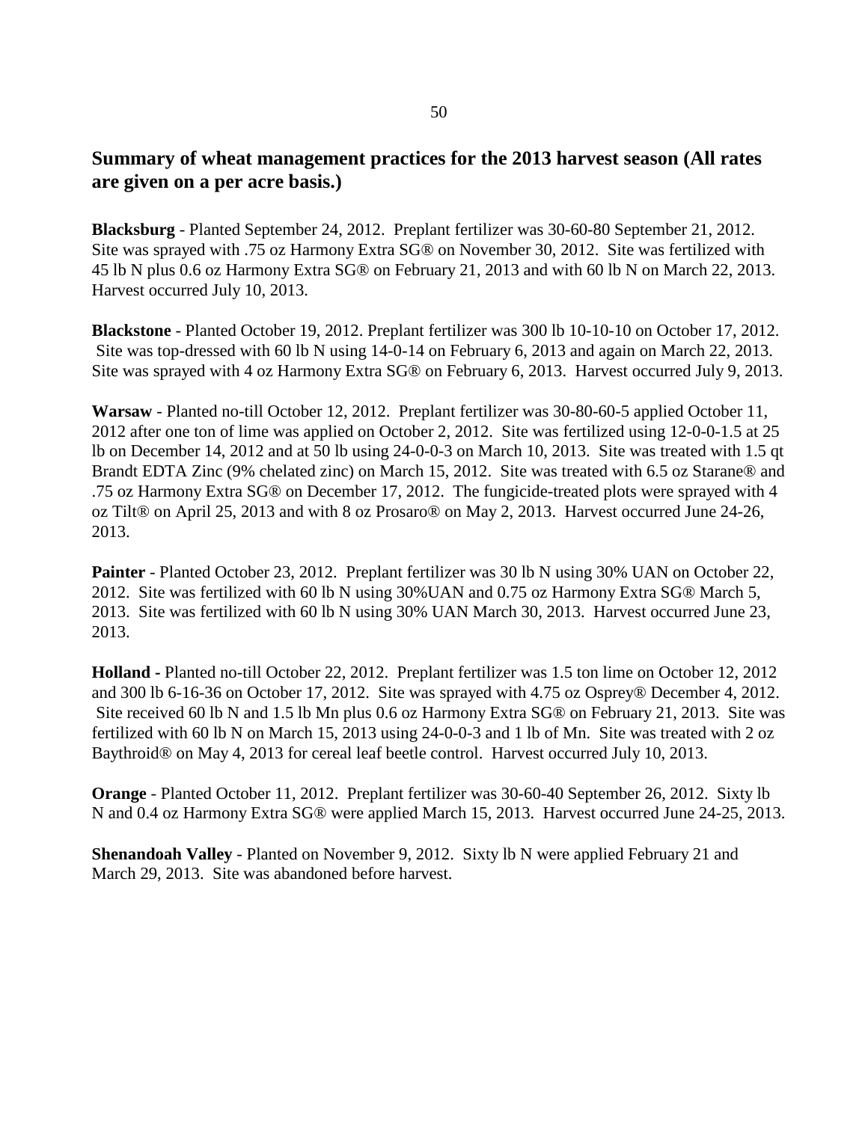### **Summary of wheat management practices for the 2013 harvest season (All rates are given on a per acre basis.)**

**Blacksburg** - Planted September 24, 2012. Preplant fertilizer was 30-60-80 September 21, 2012. Site was sprayed with .75 oz Harmony Extra SG® on November 30, 2012. Site was fertilized with 45 lb N plus 0.6 oz Harmony Extra SG® on February 21, 2013 and with 60 lb N on March 22, 2013. Harvest occurred July 10, 2013.

**Blackstone** - Planted October 19, 2012. Preplant fertilizer was 300 lb 10-10-10 on October 17, 2012. Site was top-dressed with 60 lb N using 14-0-14 on February 6, 2013 and again on March 22, 2013. Site was sprayed with 4 oz Harmony Extra SG® on February 6, 2013. Harvest occurred July 9, 2013.

**Warsaw** - Planted no-till October 12, 2012. Preplant fertilizer was 30-80-60-5 applied October 11, 2012 after one ton of lime was applied on October 2, 2012. Site was fertilized using 12-0-0-1.5 at 25 lb on December 14, 2012 and at 50 lb using 24-0-0-3 on March 10, 2013. Site was treated with 1.5 qt Brandt EDTA Zinc (9% chelated zinc) on March 15, 2012. Site was treated with 6.5 oz Starane® and .75 oz Harmony Extra SG® on December 17, 2012. The fungicide-treated plots were sprayed with 4 oz Tilt® on April 25, 2013 and with 8 oz Prosaro® on May 2, 2013. Harvest occurred June 24-26, 2013.

**Painter** - Planted October 23, 2012. Preplant fertilizer was 30 lb N using 30% UAN on October 22, 2012. Site was fertilized with 60 lb N using 30%UAN and 0.75 oz Harmony Extra SG® March 5, 2013. Site was fertilized with 60 lb N using 30% UAN March 30, 2013. Harvest occurred June 23, 2013.

**Holland -** Planted no-till October 22, 2012. Preplant fertilizer was 1.5 ton lime on October 12, 2012 and 300 lb 6-16-36 on October 17, 2012. Site was sprayed with 4.75 oz Osprey® December 4, 2012. Site received 60 lb N and 1.5 lb Mn plus 0.6 oz Harmony Extra SG® on February 21, 2013. Site was fertilized with 60 lb N on March 15, 2013 using 24-0-0-3 and 1 lb of Mn. Site was treated with 2 oz Baythroid® on May 4, 2013 for cereal leaf beetle control. Harvest occurred July 10, 2013.

**Orange** - Planted October 11, 2012. Preplant fertilizer was 30-60-40 September 26, 2012. Sixty lb N and 0.4 oz Harmony Extra SG® were applied March 15, 2013. Harvest occurred June 24-25, 2013.

**Shenandoah Valley** - Planted on November 9, 2012. Sixty lb N were applied February 21 and March 29, 2013. Site was abandoned before harvest.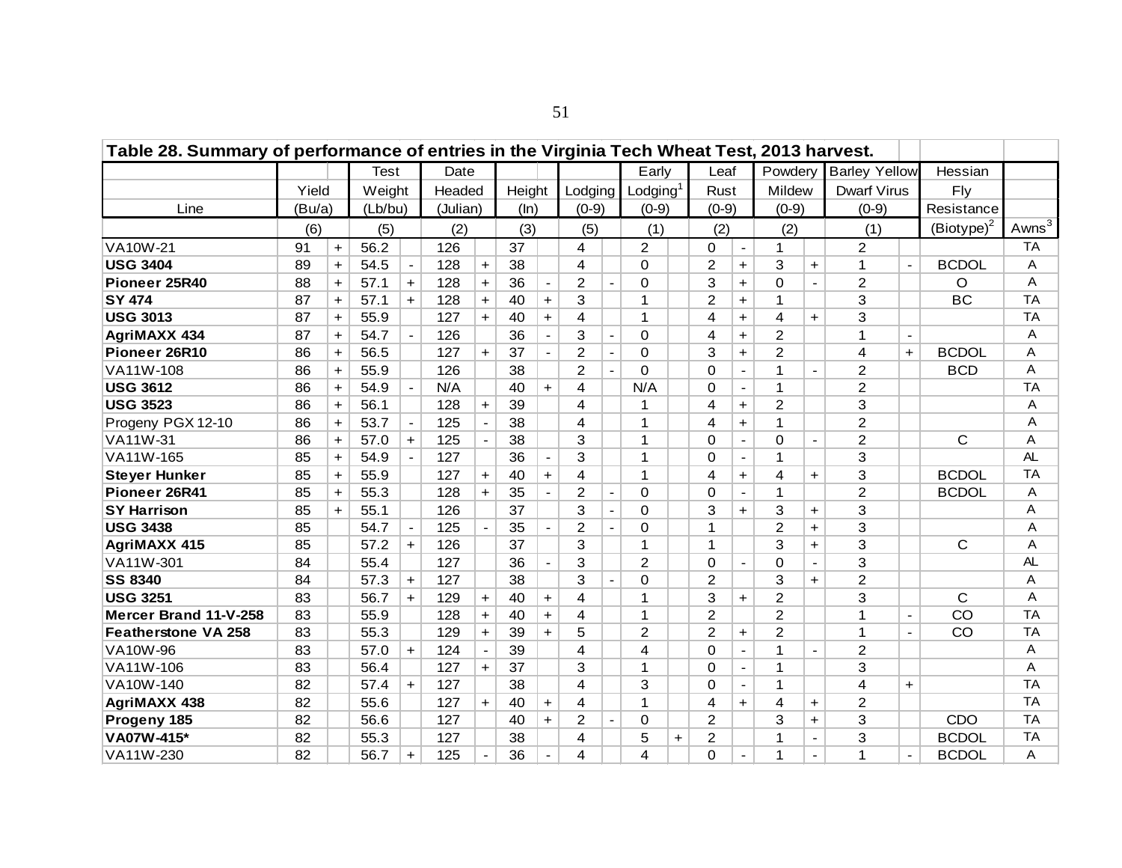| Table 28. Summary of performance of entries in the Virginia Tech Wheat Test, 2013 harvest. |        |           |         |                |          |                          |        |                |                |                          |                         |           |                |                |                |                |                      |                          |               |           |
|--------------------------------------------------------------------------------------------|--------|-----------|---------|----------------|----------|--------------------------|--------|----------------|----------------|--------------------------|-------------------------|-----------|----------------|----------------|----------------|----------------|----------------------|--------------------------|---------------|-----------|
|                                                                                            |        |           | Test    |                | Date     |                          |        |                |                |                          | Early                   |           | Leaf           |                | Powdery        |                | <b>Barley Yellow</b> |                          | Hessian       |           |
|                                                                                            | Yield  |           | Weight  |                | Headed   |                          | Height |                | Lodging        |                          | Lodging <sup>1</sup>    |           | Rust           |                | Mildew         |                | <b>Dwarf Virus</b>   |                          | Fly           |           |
| Line                                                                                       | (Bu/a) |           | (Lb/bu) |                | (Julian) |                          | (ln)   |                | $(0-9)$        |                          | $(0-9)$                 |           | $(0-9)$        |                | $(0-9)$        |                | $(0-9)$              |                          | Resistance    |           |
|                                                                                            | (6)    |           | (5)     |                | (2)      |                          | (3)    |                | (5)            |                          | (1)                     |           | (2)            |                | (2)            |                | (1)                  |                          | $(Biotype)^2$ | Awns $3$  |
| VA10W-21                                                                                   | 91     | $\ddot{}$ | 56.2    |                | 126      |                          | 37     |                | 4              |                          | $\overline{2}$          |           | 0              | $\blacksquare$ | 1              |                | $\overline{2}$       |                          |               | <b>TA</b> |
| <b>USG 3404</b>                                                                            | 89     | $\ddot{}$ | 54.5    | $\blacksquare$ | 128      | $+$                      | 38     |                | 4              |                          | $\Omega$                |           | 2              | $+$            | 3              | $+$            | 1                    | $\blacksquare$           | <b>BCDOL</b>  | Α         |
| Pioneer 25R40                                                                              | 88     | $\ddot{}$ | 57.1    | $+$            | 128      | $\ddot{}$                | 36     | $\blacksquare$ | 2              | $\overline{\phantom{a}}$ | $\Omega$                |           | 3              | $\ddot{}$      | $\Omega$       | $\blacksquare$ | $\overline{c}$       |                          | O             | A         |
| <b>SY 474</b>                                                                              | 87     | $+$       | 57.1    | $+$            | 128      | $+$                      | 40     | $+$            | 3              |                          | 1                       |           | 2              | $\ddagger$     | $\mathbf 1$    |                | 3                    |                          | <b>BC</b>     | <b>TA</b> |
| <b>USG 3013</b>                                                                            | 87     | $+$       | 55.9    |                | 127      | $+$                      | 40     | $+$            | 4              |                          | $\mathbf 1$             |           | 4              | $\ddot{}$      | 4              | $+$            | 3                    |                          |               | <b>TA</b> |
| <b>AgriMAXX 434</b>                                                                        | 87     | $+$       | 54.7    | $\blacksquare$ | 126      |                          | 36     | $\blacksquare$ | 3              |                          | $\Omega$                |           | 4              | $\ddot{}$      | 2              |                | 1                    | $\sim$                   |               | A         |
| Pioneer 26R10                                                                              | 86     | $+$       | 56.5    |                | 127      | $+$                      | 37     |                | $\overline{2}$ |                          | $\Omega$                |           | 3              | $\ddot{}$      | $\overline{2}$ |                | 4                    | $+$                      | <b>BCDOL</b>  | Α         |
| VA11W-108                                                                                  | 86     | $+$       | 55.9    |                | 126      |                          | 38     |                | $\overline{2}$ |                          | $\Omega$                |           | $\Omega$       | $\blacksquare$ | 1              |                | $\overline{2}$       |                          | <b>BCD</b>    | A         |
| <b>USG 3612</b>                                                                            | 86     | $\ddot{}$ | 54.9    | $\blacksquare$ | N/A      |                          | 40     | $+$            | 4              |                          | N/A                     |           | $\Omega$       | $\blacksquare$ | 1              |                | $\overline{2}$       |                          |               | <b>TA</b> |
| <b>USG 3523</b>                                                                            | 86     | $+$       | 56.1    |                | 128      | $+$                      | 39     |                | 4              |                          | $\mathbf 1$             |           | 4              | $\ddot{}$      | $\overline{2}$ |                | 3                    |                          |               | A         |
| Progeny PGX 12-10                                                                          | 86     | $\ddot{}$ | 53.7    | $\blacksquare$ | 125      | $\blacksquare$           | 38     |                | 4              |                          | $\mathbf{1}$            |           | $\overline{4}$ | $\ddot{}$      | 1              |                | $\overline{2}$       |                          |               | Α         |
| VA11W-31                                                                                   | 86     | $\ddot{}$ | 57.0    | $+$            | 125      | $\overline{\phantom{a}}$ | 38     |                | 3              |                          | $\mathbf{1}$            |           | $\Omega$       | $\mathbf{r}$   | $\Omega$       | $\blacksquare$ | $\overline{2}$       |                          | $\mathsf{C}$  | A         |
| VA11W-165                                                                                  | 85     | $\ddot{}$ | 54.9    |                | 127      |                          | 36     |                | 3              |                          | 1                       |           | $\Omega$       | $\blacksquare$ | 1              |                | 3                    |                          |               | AL        |
| <b>Steyer Hunker</b>                                                                       | 85     | $\ddot{}$ | 55.9    |                | 127      | $\ddot{}$                | 40     | $+$            | 4              |                          | 1                       |           | $\overline{4}$ | $\ddot{}$      | 4              | $+$            | 3                    |                          | <b>BCDOL</b>  | <b>TA</b> |
| Pioneer 26R41                                                                              | 85     | $+$       | 55.3    |                | 128      | $+$                      | 35     | $\blacksquare$ | $\overline{2}$ | $\blacksquare$           | $\mathbf 0$             |           | $\Omega$       | $\blacksquare$ | 1              |                | $\overline{2}$       |                          | <b>BCDOL</b>  | Α         |
| <b>SY Harrison</b>                                                                         | 85     | $+$       | 55.1    |                | 126      |                          | 37     |                | 3              | $\blacksquare$           | $\Omega$                |           | 3              | $+$            | 3              | $+$            | 3                    |                          |               | A         |
| <b>USG 3438</b>                                                                            | 85     |           | 54.7    | $\blacksquare$ | 125      | $\blacksquare$           | 35     | $\blacksquare$ | $\overline{2}$ | $\blacksquare$           | 0                       |           | 1              |                | 2              | $+$            | 3                    |                          |               | Α         |
| <b>AgriMAXX 415</b>                                                                        | 85     |           | 57.2    | $+$            | 126      |                          | 37     |                | 3              |                          | $\mathbf{1}$            |           | $\overline{1}$ |                | 3              | $+$            | 3                    |                          | $\mathsf{C}$  | A         |
| VA11W-301                                                                                  | 84     |           | 55.4    |                | 127      |                          | 36     |                | 3              |                          | $\overline{2}$          |           | $\Omega$       | $\blacksquare$ | $\Omega$       |                | 3                    |                          |               | AL        |
| <b>SS 8340</b>                                                                             | 84     |           | 57.3    | $+$            | 127      |                          | 38     |                | 3              |                          | $\mathbf 0$             |           | $\overline{2}$ |                | 3              | $+$            | $\overline{2}$       |                          |               | Α         |
| <b>USG 3251</b>                                                                            | 83     |           | 56.7    | $+$            | 129      | $\ddot{}$                | 40     | $+$            | 4              |                          | $\mathbf{1}$            |           | 3              | $+$            | 2              |                | 3                    |                          | $\mathsf{C}$  | A         |
| Mercer Brand 11-V-258                                                                      | 83     |           | 55.9    |                | 128      | $\ddot{}$                | 40     | $+$            | 4              |                          | $\mathbf{1}$            |           | $\overline{2}$ |                | $\overline{2}$ |                | 1                    | $\blacksquare$           | CO            | <b>TA</b> |
| <b>Featherstone VA 258</b>                                                                 | 83     |           | 55.3    |                | 129      | <sup>+</sup>             | 39     | $+$            | 5              |                          | $\overline{2}$          |           | 2              | $+$            | $\overline{2}$ |                | 1                    |                          | CO            | <b>TA</b> |
| VA10W-96                                                                                   | 83     |           | 57.0    | $+$            | 124      | $\blacksquare$           | 39     |                | 4              |                          | $\overline{\mathbf{4}}$ |           | $\Omega$       | $\blacksquare$ | 1              |                | $\overline{2}$       |                          |               | Α         |
| VA11W-106                                                                                  | 83     |           | 56.4    |                | 127      | $+$                      | 37     |                | 3              |                          | 1                       |           | 0              | $\blacksquare$ | 1              |                | 3                    |                          |               | A         |
| VA10W-140                                                                                  | 82     |           | 57.4    | $+$            | 127      |                          | 38     |                | 4              |                          | 3                       |           | $\Omega$       | $\blacksquare$ | 1              |                | 4                    | $+$                      |               | <b>TA</b> |
| AgriMAXX 438                                                                               | 82     |           | 55.6    |                | 127      | $+$                      | 40     | $+$            | 4              |                          | $\mathbf 1$             |           | 4              | $+$            | 4              | $+$            | 2                    |                          |               | <b>TA</b> |
| Progeny 185                                                                                | 82     |           | 56.6    |                | 127      |                          | 40     | $+$            | 2              | $\blacksquare$           | 0                       |           | 2              |                | 3              | $+$            | 3                    |                          | CDO           | <b>TA</b> |
| VA07W-415*                                                                                 | 82     |           | 55.3    |                | 127      |                          | 38     |                | 4              |                          | 5                       | $\ddot{}$ | $\overline{2}$ |                | 1              | $\overline{a}$ | 3                    |                          | <b>BCDOL</b>  | <b>TA</b> |
| VA11W-230                                                                                  | 82     |           | 56.7    | $+$            | 125      |                          | 36     |                | 4              |                          | 4                       |           | $\Omega$       | $\blacksquare$ | 1              |                | 1                    | $\overline{\phantom{a}}$ | <b>BCDOL</b>  | Α         |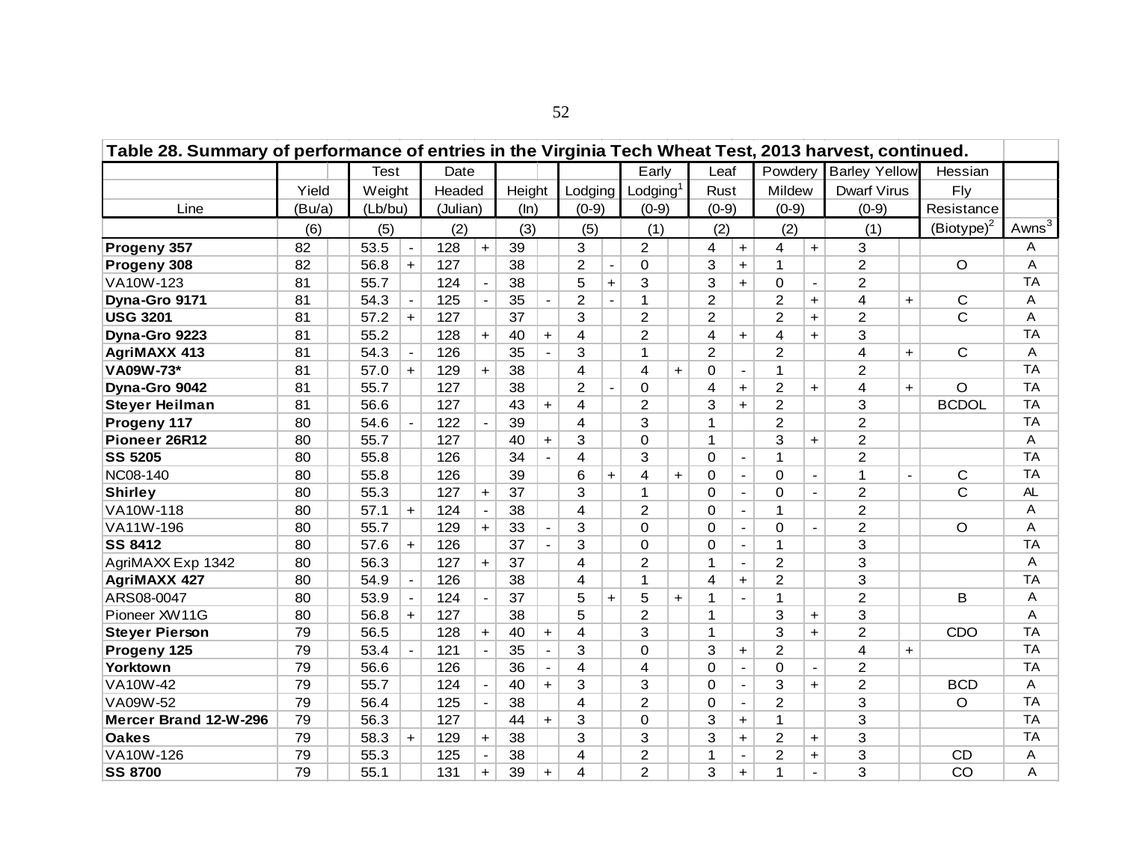| Table 28. Summary of performance of entries in the Virginia Tech Wheat Test, 2013 harvest, continued. |        |         |                |          |                |        |                      |                |                |                      |                      |                |                          |                         |                      |                         |                |               |                     |
|-------------------------------------------------------------------------------------------------------|--------|---------|----------------|----------|----------------|--------|----------------------|----------------|----------------|----------------------|----------------------|----------------|--------------------------|-------------------------|----------------------|-------------------------|----------------|---------------|---------------------|
|                                                                                                       |        | Test    |                | Date     |                |        |                      |                |                | Early                |                      | Leaf           |                          | Powdery                 |                      | <b>Barley Yellow</b>    |                | Hessian       |                     |
|                                                                                                       | Yield  | Weight  |                | Headed   |                | Height |                      | Lodging        |                | Lodging <sup>1</sup> |                      | Rust           |                          | Mildew                  |                      | <b>Dwarf Virus</b>      |                | Fly           |                     |
| Line                                                                                                  | (Bu/a) | (Lb/bu) |                | (Julian) |                | (ln)   |                      | $(0-9)$        |                | $(0-9)$              |                      | $(0-9)$        |                          | $(0-9)$                 |                      | $(0-9)$                 |                | Resistance    |                     |
|                                                                                                       | (6)    | (5)     |                | (2)      |                | (3)    |                      | (5)            |                | (1)                  |                      | (2)            |                          | (2)                     |                      | (1)                     |                | $(Biotype)^2$ | Awns $\overline{3}$ |
| Progeny 357                                                                                           | 82     | 53.5    | $\blacksquare$ | 128      | $+$            | 39     |                      | 3              |                | $\overline{2}$       |                      | 4              | $+$                      | 4                       | $\ddot{}$            | 3                       |                |               | A                   |
| Progeny 308                                                                                           | 82     | 56.8    | $+$            | 127      |                | 38     |                      | $\overline{2}$ |                | $\mathbf 0$          |                      | 3              | $+$                      | $\mathbf{1}$            |                      | $\overline{c}$          |                | $\circ$       | Α                   |
| VA10W-123                                                                                             | 81     | 55.7    |                | 124      |                | 38     |                      | 5              | $+$            | 3                    |                      | 3              | $+$                      | $\Omega$                | $\blacksquare$       | $\overline{2}$          |                |               | <b>TA</b>           |
| Dyna-Gro 9171                                                                                         | 81     | 54.3    | $\blacksquare$ | 125      |                | 35     |                      | $\overline{2}$ |                | $\mathbf{1}$         |                      | $\overline{2}$ |                          | $\overline{2}$          | $+$                  | 4                       | $+$            | C             | A                   |
| <b>USG 3201</b>                                                                                       | 81     | 57.2    | $+$            | 127      |                | 37     |                      | 3              |                | $\overline{2}$       |                      | $\overline{2}$ |                          | $\overline{2}$          | $+$                  | 2                       |                | $\mathsf{C}$  | Α                   |
| Dyna-Gro 9223                                                                                         | 81     | 55.2    |                | 128      | $+$            | 40     | $+$                  | 4              |                | $\overline{2}$       |                      | 4              | $+$                      | $\overline{\mathbf{4}}$ | $+$                  | 3                       |                |               | <b>TA</b>           |
| <b>AgriMAXX 413</b>                                                                                   | 81     | 54.3    | $\blacksquare$ | 126      |                | 35     | $\blacksquare$       | 3              |                | $\mathbf{1}$         |                      | $\overline{2}$ |                          | $\overline{2}$          |                      | $\overline{4}$          | $+$            | C             | A                   |
| VA09W-73*                                                                                             | 81     | 57.0    | $+$            | 129      | $+$            | 38     |                      | 4              |                | $\overline{4}$       | $+$                  | $\Omega$       | $\blacksquare$           | $\mathbf{1}$            |                      | 2                       |                |               | <b>TA</b>           |
| Dyna-Gro 9042                                                                                         | 81     | 55.7    |                | 127      |                | 38     |                      | $\overline{2}$ | $\blacksquare$ | $\Omega$             |                      | 4              | $+$                      | $\overline{2}$          | $+$                  | $\overline{\mathbf{4}}$ | $+$            | $\circ$       | <b>TA</b>           |
| <b>Steyer Heilman</b>                                                                                 | 81     | 56.6    |                | 127      |                | 43     | $+$                  | 4              |                | $\overline{2}$       |                      | 3              | $+$                      | $\overline{c}$          |                      | 3                       |                | <b>BCDOL</b>  | <b>TA</b>           |
| Progeny 117                                                                                           | 80     | 54.6    | $\blacksquare$ | 122      |                | 39     |                      | 4              |                | 3                    |                      | 1              |                          | $\overline{2}$          |                      | $\overline{c}$          |                |               | <b>TA</b>           |
| Pioneer 26R12                                                                                         | 80     | 55.7    |                | 127      |                | 40     | $\ddot{}$            | 3              |                | $\Omega$             |                      | $\mathbf{1}$   |                          | 3                       | $\ddot{\phantom{1}}$ | $\overline{2}$          |                |               | Α                   |
| <b>SS 5205</b>                                                                                        | 80     | 55.8    |                | 126      |                | 34     |                      | 4              |                | 3                    |                      | $\Omega$       | $\overline{\phantom{a}}$ | 1                       |                      | $\overline{2}$          |                |               | <b>TA</b>           |
| <b>NC08-140</b>                                                                                       | 80     | 55.8    |                | 126      |                | 39     |                      | 6              | $\ddot{}$      | $\overline{4}$       | $\ddot{\phantom{1}}$ | $\Omega$       | $\overline{a}$           | $\Omega$                | $\blacksquare$       | 1                       | $\blacksquare$ | C             | <b>TA</b>           |
| <b>Shirley</b>                                                                                        | 80     | 55.3    |                | 127      | $\ddot{}$      | 37     |                      | 3              |                | 1                    |                      | 0              | $\overline{a}$           | $\Omega$                | $\blacksquare$       | $\overline{2}$          |                | $\mathsf{C}$  | AL                  |
| VA10W-118                                                                                             | 80     | 57.1    | $+$            | 124      |                | 38     |                      | 4              |                | $\overline{2}$       |                      | $\Omega$       | $\blacksquare$           | 1                       |                      | $\overline{2}$          |                |               | A                   |
| VA11W-196                                                                                             | 80     | 55.7    |                | 129      | $+$            | 33     |                      | 3              |                | 0                    |                      | $\Omega$       | $\overline{\phantom{a}}$ | $\Omega$                | $\blacksquare$       | $\overline{2}$          |                | $\circ$       | Α                   |
| <b>SS 8412</b>                                                                                        | 80     | 57.6    | $+$            | 126      |                | 37     |                      | 3              |                | $\Omega$             |                      | $\Omega$       | $\blacksquare$           | $\mathbf 1$             |                      | 3                       |                |               | <b>TA</b>           |
| AgriMAXX Exp 1342                                                                                     | 80     | 56.3    |                | 127      | $+$            | 37     |                      | $\overline{4}$ |                | $\overline{2}$       |                      | 1              | $\blacksquare$           | $\overline{2}$          |                      | 3                       |                |               | Α                   |
| <b>AgriMAXX 427</b>                                                                                   | 80     | 54.9    | $\blacksquare$ | 126      |                | 38     |                      | 4              |                | $\mathbf 1$          |                      | 4              | $+$                      | $\overline{2}$          |                      | 3                       |                |               | <b>TA</b>           |
| ARS08-0047                                                                                            | 80     | 53.9    | $\blacksquare$ | 124      | $\blacksquare$ | 37     |                      | 5              | $+$            | 5                    | $+$                  | 1              | $\blacksquare$           | $\mathbf 1$             |                      | $\overline{2}$          |                | B             | Α                   |
| Pioneer XW11G                                                                                         | 80     | 56.8    | $+$            | 127      |                | 38     |                      | 5              |                | $\overline{2}$       |                      | 1              |                          | 3                       | $+$                  | 3                       |                |               | Α                   |
| <b>Steyer Pierson</b>                                                                                 | 79     | 56.5    |                | 128      | $+$            | 40     | $\ddot{\phantom{1}}$ | 4              |                | 3                    |                      | $\mathbf{1}$   |                          | 3                       | $+$                  | $\overline{2}$          |                | CDO           | <b>TA</b>           |
| Progeny 125                                                                                           | 79     | 53.4    | $\blacksquare$ | 121      | $\blacksquare$ | 35     | $\blacksquare$       | 3              |                | 0                    |                      | 3              | $+$                      | 2                       |                      | $\overline{4}$          | $+$            |               | <b>TA</b>           |
| Yorktown                                                                                              | 79     | 56.6    |                | 126      |                | 36     | $\blacksquare$       | 4              |                | 4                    |                      | $\Omega$       | $\mathbf{r}$             | $\Omega$                | $\blacksquare$       | 2                       |                |               | <b>TA</b>           |
| VA10W-42                                                                                              | 79     | 55.7    |                | 124      |                | 40     | $+$                  | 3              |                | 3                    |                      | $\Omega$       | $\mathbf{r}$             | 3                       | $+$                  | $\overline{2}$          |                | <b>BCD</b>    | A                   |
| VA09W-52                                                                                              | 79     | 56.4    |                | 125      |                | 38     |                      | 4              |                | $\overline{2}$       |                      | $\Omega$       | $\blacksquare$           | 2                       |                      | 3                       |                | $\circ$       | <b>TA</b>           |
| Mercer Brand 12-W-296                                                                                 | 79     | 56.3    |                | 127      |                | 44     | $+$                  | 3              |                | $\Omega$             |                      | 3              | $+$                      | $\mathbf{1}$            |                      | 3                       |                |               | <b>TA</b>           |
| <b>Oakes</b>                                                                                          | 79     | 58.3    | $+$            | 129      | $+$            | 38     |                      | 3              |                | 3                    |                      | 3              | $+$                      | $\overline{c}$          | $\ddot{}$            | 3                       |                |               | <b>TA</b>           |
| VA10W-126                                                                                             | 79     | 55.3    |                | 125      |                | 38     |                      | 4              |                | $\overline{2}$       |                      | $\mathbf{1}$   | $\overline{a}$           | $\overline{2}$          | $\ddot{}$            | 3                       |                | <b>CD</b>     | Α                   |
| <b>SS 8700</b>                                                                                        | 79     | 55.1    |                | 131      | $+$            | 39     | $+$                  | 4              |                | $\overline{2}$       |                      | 3              | $+$                      | 1                       |                      | 3                       |                | CO            | A                   |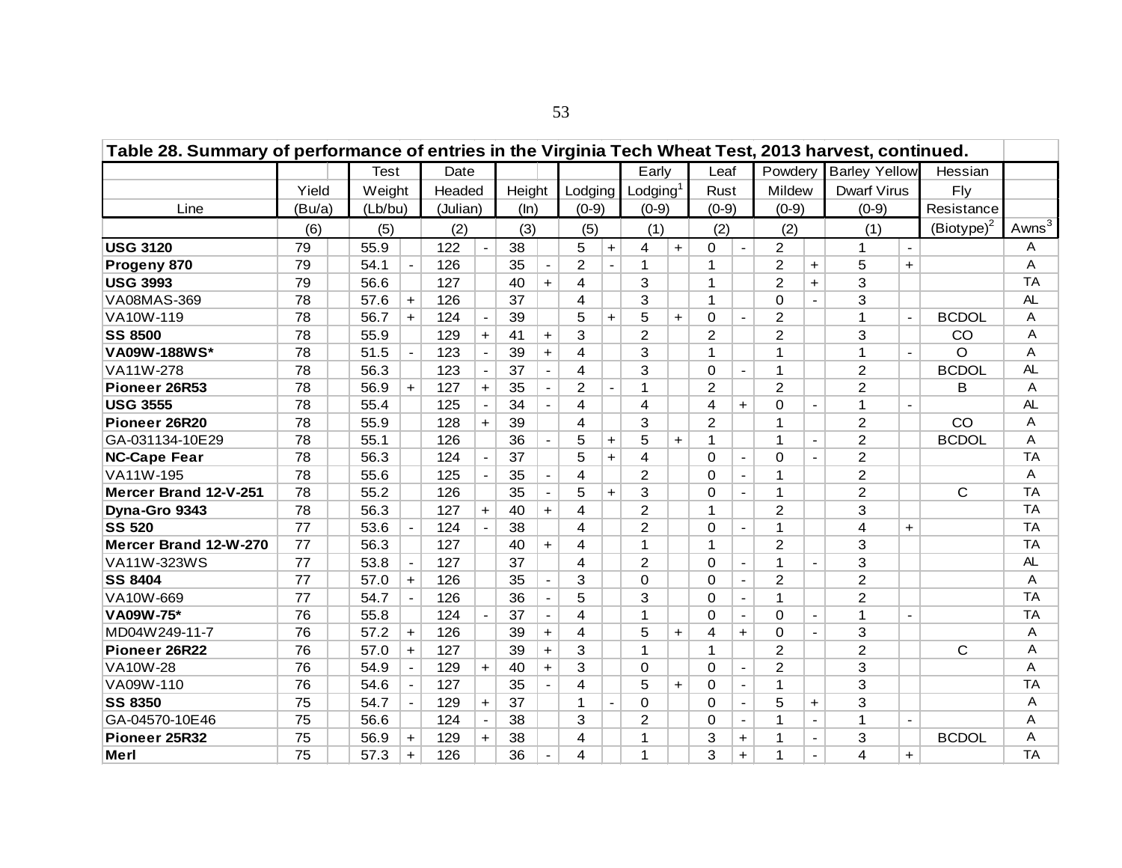| Table 28. Summary of performance of entries in the Virginia Tech Wheat Test, 2013 harvest, continued. |        |             |                          |          |                |        |                          |                         |                |                      |     |                |                          |                |                          |                      |                |               |                     |
|-------------------------------------------------------------------------------------------------------|--------|-------------|--------------------------|----------|----------------|--------|--------------------------|-------------------------|----------------|----------------------|-----|----------------|--------------------------|----------------|--------------------------|----------------------|----------------|---------------|---------------------|
|                                                                                                       |        | <b>Test</b> |                          | Date     |                |        |                          |                         |                | Early                |     | Leaf           |                          | Powdery        |                          | <b>Barley Yellow</b> |                | Hessian       |                     |
|                                                                                                       | Yield  | Weight      |                          | Headed   |                | Height |                          | Lodging                 |                | Lodging <sup>1</sup> |     | Rust           |                          | Mildew         |                          | <b>Dwarf Virus</b>   |                | Fly           |                     |
| Line                                                                                                  | (Bu/a) | (Lb/bu)     |                          | (Julian) |                | (ln)   |                          | $(0-9)$                 |                | $(0-9)$              |     | $(0-9)$        |                          | $(0-9)$        |                          | $(0-9)$              |                | Resistance    |                     |
|                                                                                                       | (6)    | (5)         |                          | (2)      |                | (3)    |                          | (5)                     |                | (1)                  |     | (2)            |                          | (2)            |                          | (1)                  |                | $(Biotype)^2$ | Awns $\overline{3}$ |
| <b>USG 3120</b>                                                                                       | 79     | 55.9        |                          | 122      |                | 38     |                          | 5                       | $+$            | 4                    | $+$ | $\Omega$       | $\blacksquare$           | 2              |                          | 1                    |                |               | A                   |
| Progeny 870                                                                                           | 79     | 54.1        | $\blacksquare$           | 126      |                | 35     | $\blacksquare$           | $\overline{2}$          |                | 1                    |     | 1              |                          | $\overline{2}$ | $+$                      | 5                    | $+$            |               | A                   |
| <b>USG 3993</b>                                                                                       | 79     | 56.6        |                          | 127      |                | 40     | $+$                      | 4                       |                | 3                    |     | 1              |                          | $\overline{2}$ | $+$                      | 3                    |                |               | <b>TA</b>           |
| VA08MAS-369                                                                                           | 78     | 57.6        | $+$                      | 126      |                | 37     |                          | 4                       |                | 3                    |     | $\mathbf{1}$   |                          | $\Omega$       | $\mathbf{r}$             | 3                    |                |               | AL                  |
| VA10W-119                                                                                             | 78     | 56.7        | $\ddot{}$                | 124      |                | 39     |                          | 5                       | $+$            | 5                    | $+$ | 0              | $\sim$                   | 2              |                          | 1                    | $\sim$         | <b>BCDOL</b>  | A                   |
| <b>SS 8500</b>                                                                                        | 78     | 55.9        |                          | 129      | $+$            | 41     | $\ddot{}$                | 3                       |                | $\overline{2}$       |     | $\overline{2}$ |                          | $\overline{2}$ |                          | 3                    |                | CO            | Α                   |
| <b>VA09W-188WS*</b>                                                                                   | 78     | 51.5        | $\overline{\phantom{a}}$ | 123      |                | 39     | $+$                      | 4                       |                | 3                    |     | $\mathbf{1}$   |                          | 1              |                          | 1                    |                | O             | A                   |
| VA11W-278                                                                                             | 78     | 56.3        |                          | 123      |                | 37     |                          | 4                       |                | 3                    |     | 0              | $\overline{a}$           | 1              |                          | $\overline{2}$       |                | <b>BCDOL</b>  | AL                  |
| Pioneer 26R53                                                                                         | 78     | 56.9        | $+$                      | 127      | $+$            | 35     | $\blacksquare$           | $\overline{2}$          |                | $\mathbf{1}$         |     | $\overline{2}$ |                          | $\overline{2}$ |                          | $\overline{2}$       |                | B             | Α                   |
| <b>USG 3555</b>                                                                                       | 78     | 55.4        |                          | 125      |                | 34     | $\blacksquare$           | $\overline{\mathbf{4}}$ |                | $\overline{4}$       |     | 4              | $+$                      | $\Omega$       | $\blacksquare$           | 1                    | $\blacksquare$ |               | AL                  |
| Pioneer 26R20                                                                                         | 78     | 55.9        |                          | 128      | $+$            | 39     |                          | 4                       |                | 3                    |     | $\overline{2}$ |                          | 1              |                          | $\overline{c}$       |                | CO            | Α                   |
| GA-031134-10E29                                                                                       | 78     | 55.1        |                          | 126      |                | 36     |                          | 5                       | $\ddot{}$      | 5                    | $+$ | 1              |                          | 1              | $\blacksquare$           | $\overline{2}$       |                | <b>BCDOL</b>  | A                   |
| <b>NC-Cape Fear</b>                                                                                   | 78     | 56.3        |                          | 124      |                | 37     |                          | 5                       | $+$            | $\overline{4}$       |     | $\Omega$       | $\overline{\phantom{a}}$ | $\Omega$       | $\blacksquare$           | $\overline{2}$       |                |               | <b>TA</b>           |
| VA11W-195                                                                                             | 78     | 55.6        |                          | 125      | $\blacksquare$ | 35     | $\overline{\phantom{a}}$ | 4                       |                | 2                    |     | $\Omega$       | $\blacksquare$           | 1              |                          | $\overline{2}$       |                |               | A                   |
| Mercer Brand 12-V-251                                                                                 | 78     | 55.2        |                          | 126      |                | 35     | $\blacksquare$           | 5                       | $+$            | 3                    |     | $\Omega$       | $\blacksquare$           | $\mathbf 1$    |                          | 2                    |                | C             | <b>TA</b>           |
| Dyna-Gro 9343                                                                                         | 78     | 56.3        |                          | 127      | $+$            | 40     | $+$                      | 4                       |                | 2                    |     | $\mathbf{1}$   |                          | $\overline{2}$ |                          | 3                    |                |               | <b>TA</b>           |
| <b>SS 520</b>                                                                                         | 77     | 53.6        | $\blacksquare$           | 124      | $\blacksquare$ | 38     |                          | 4                       |                | $\overline{2}$       |     | $\Omega$       | $\mathbf{r}$             | $\mathbf 1$    |                          | 4                    | $+$            |               | <b>TA</b>           |
| Mercer Brand 12-W-270                                                                                 | 77     | 56.3        |                          | 127      |                | 40     | $\ddot{\phantom{1}}$     | 4                       |                | $\mathbf{1}$         |     | 1              |                          | $\overline{2}$ |                          | 3                    |                |               | <b>TA</b>           |
| VA11W-323WS                                                                                           | 77     | 53.8        | $\blacksquare$           | 127      |                | 37     |                          | 4                       |                | $\overline{2}$       |     | 0              | $\overline{\phantom{a}}$ | $\mathbf 1$    |                          | 3                    |                |               | AL                  |
| <b>SS 8404</b>                                                                                        | 77     | 57.0        | $+$                      | 126      |                | 35     |                          | 3                       |                | $\Omega$             |     | $\Omega$       | $\blacksquare$           | $\overline{2}$ |                          | $\overline{2}$       |                |               | A                   |
| VA10W-669                                                                                             | 77     | 54.7        | $\blacksquare$           | 126      |                | 36     | $\blacksquare$           | 5                       |                | 3                    |     | $\Omega$       | $\blacksquare$           | $\mathbf{1}$   |                          | $\overline{2}$       |                |               | <b>TA</b>           |
| VA09W-75*                                                                                             | 76     | 55.8        |                          | 124      | $\blacksquare$ | 37     | $\blacksquare$           | 4                       |                | $\mathbf{1}$         |     | $\Omega$       | $\sim$                   | $\Omega$       | $\blacksquare$           | 1                    | $\blacksquare$ |               | <b>TA</b>           |
| MD04W249-11-7                                                                                         | 76     | 57.2        | $+$                      | 126      |                | 39     | $+$                      | 4                       |                | 5                    | $+$ | 4              | $+$                      | $\Omega$       | $\blacksquare$           | 3                    |                |               | A                   |
| Pioneer 26R22                                                                                         | 76     | 57.0        | $+$                      | 127      |                | 39     | $+$                      | 3                       |                | $\mathbf{1}$         |     | 1              |                          | $\overline{2}$ |                          | $\overline{2}$       |                | C             | A                   |
| <b>VA10W-28</b>                                                                                       | 76     | 54.9        | $\blacksquare$           | 129      | $+$            | 40     | $+$                      | 3                       |                | $\mathbf 0$          |     | $\Omega$       | $\overline{\phantom{a}}$ | $\overline{2}$ |                          | 3                    |                |               | A                   |
| VA09W-110                                                                                             | 76     | 54.6        | $\blacksquare$           | 127      |                | 35     | $\blacksquare$           | 4                       |                | 5                    | $+$ | 0              | $\blacksquare$           | $\mathbf{1}$   |                          | 3                    |                |               | <b>TA</b>           |
| <b>SS 8350</b>                                                                                        | 75     | 54.7        | $\mathbf{r}$             | 129      | $+$            | 37     |                          | $\mathbf 1$             | $\blacksquare$ | 0                    |     | $\Omega$       | $\blacksquare$           | 5              | $+$                      | 3                    |                |               | Α                   |
| GA-04570-10E46                                                                                        | 75     | 56.6        |                          | 124      | $\blacksquare$ | 38     |                          | 3                       |                | 2                    |     | 0              | $\blacksquare$           | 1              | $\blacksquare$           | 1                    | $\sim$         |               | Α                   |
| Pioneer 25R32                                                                                         | 75     | 56.9        | $+$                      | 129      | $+$            | 38     |                          | 4                       |                | $\mathbf{1}$         |     | 3              | $+$                      | 1              | $\blacksquare$           | 3                    |                | <b>BCDOL</b>  | Α                   |
| Merl                                                                                                  | 75     | 57.3        | $+$                      | 126      |                | 36     |                          | 4                       |                | 1                    |     | 3              | $+$                      | 1              | $\overline{\phantom{a}}$ | 4                    | $\ddot{}$      |               | <b>TA</b>           |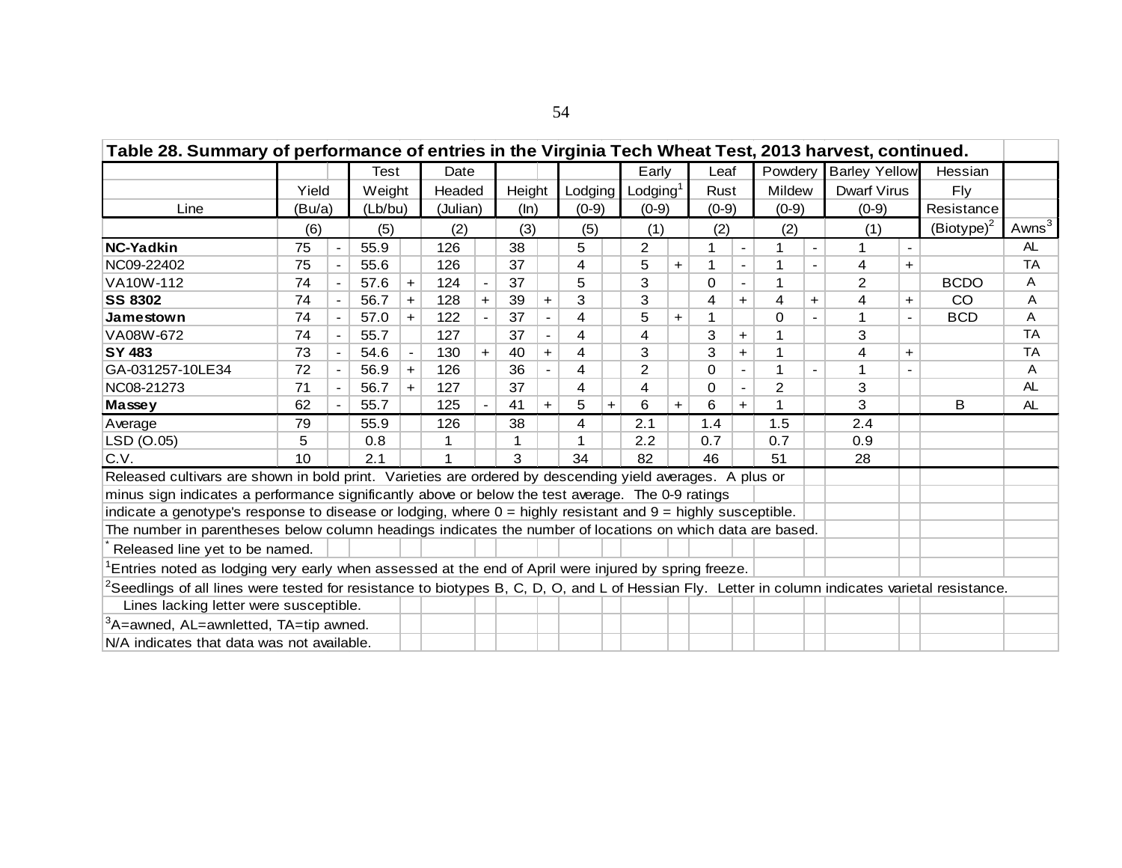|                                                                                                                                                          | Table 28. Summary of performance of entries in the Virginia Tech Wheat Test, 2013 harvest, continued.<br>Test<br>Date<br>Early<br>Leaf<br>Powdery<br><b>Barley Yellow</b><br>Lodging $1$<br>Mildew<br>Yield<br>Weight<br>Headed<br>Height<br>Lodging<br>Rust<br><b>Dwarf Virus</b><br>Fly<br>(Lb/bu)<br>$(0-9)$<br>$(0-9)$<br>(Julian)<br>(ln)<br>$(0-9)$<br>$(0-9)$<br>$(0-9)$<br>(Bu/a)<br>(3)<br>(1)<br>(2)<br>(6)<br>(5)<br>(2)<br>(5)<br>(2)<br>(1)<br>55.9<br>38<br>5<br>$\overline{c}$<br>75<br>126<br>$\blacksquare$<br>55.6<br>126<br>75<br>37<br>4<br>5<br>1<br>4<br>$+$<br>$\ddot{}$<br>5<br>3<br><b>BCDO</b><br>37<br>2<br>74<br>57.6<br>124<br>0<br>$+$<br>$\overline{\phantom{a}}$<br>$\overline{\phantom{a}}$<br>3<br>3<br>56.7<br>128<br>39<br>4<br>CO<br>74<br>4<br>$+$<br>$+$<br>4<br>$+$<br>$+$<br>$+$<br>$\ddot{}$<br>122<br>37<br>4<br>74<br>57.0<br>5<br>$\Omega$<br><b>BCD</b><br>$+$<br>$+$<br>$\blacksquare$<br>37<br>$\overline{4}$<br>3<br>3<br>74<br>55.7<br>127<br>4<br>$+$<br>$\overline{\phantom{a}}$<br>130<br>4<br>3<br>3<br>73<br>54.6<br>40<br>$+$<br>$+$<br>4<br>$+$<br>$+$<br>$\blacksquare$<br>$\blacksquare$<br>$\overline{2}$<br>$\overline{4}$<br>72<br>56.9<br>126<br>36<br>0<br>$+$<br>71<br>4<br>$\overline{2}$<br>3<br>56.7<br>127<br>37<br>4<br>$\Omega$<br>$+$<br>$\blacksquare$<br>3<br>6<br>B<br>125<br>$+$<br>$+$<br>$+$<br>$+$ |  |      |  |     |  |    |  |    |  |     |  |     |  |     |     |  |               |                   |
|----------------------------------------------------------------------------------------------------------------------------------------------------------|-----------------------------------------------------------------------------------------------------------------------------------------------------------------------------------------------------------------------------------------------------------------------------------------------------------------------------------------------------------------------------------------------------------------------------------------------------------------------------------------------------------------------------------------------------------------------------------------------------------------------------------------------------------------------------------------------------------------------------------------------------------------------------------------------------------------------------------------------------------------------------------------------------------------------------------------------------------------------------------------------------------------------------------------------------------------------------------------------------------------------------------------------------------------------------------------------------------------------------------------------------------------------------------------------------------------------------------------------------------------------------------|--|------|--|-----|--|----|--|----|--|-----|--|-----|--|-----|-----|--|---------------|-------------------|
|                                                                                                                                                          |                                                                                                                                                                                                                                                                                                                                                                                                                                                                                                                                                                                                                                                                                                                                                                                                                                                                                                                                                                                                                                                                                                                                                                                                                                                                                                                                                                                   |  |      |  |     |  |    |  |    |  |     |  |     |  |     |     |  | Hessian       |                   |
|                                                                                                                                                          |                                                                                                                                                                                                                                                                                                                                                                                                                                                                                                                                                                                                                                                                                                                                                                                                                                                                                                                                                                                                                                                                                                                                                                                                                                                                                                                                                                                   |  |      |  |     |  |    |  |    |  |     |  |     |  |     |     |  |               |                   |
| Line                                                                                                                                                     |                                                                                                                                                                                                                                                                                                                                                                                                                                                                                                                                                                                                                                                                                                                                                                                                                                                                                                                                                                                                                                                                                                                                                                                                                                                                                                                                                                                   |  |      |  |     |  |    |  |    |  |     |  |     |  |     |     |  | Resistance    |                   |
|                                                                                                                                                          |                                                                                                                                                                                                                                                                                                                                                                                                                                                                                                                                                                                                                                                                                                                                                                                                                                                                                                                                                                                                                                                                                                                                                                                                                                                                                                                                                                                   |  |      |  |     |  |    |  |    |  |     |  |     |  |     |     |  | $(Biotype)^2$ | Awns <sup>3</sup> |
| <b>NC-Yadkin</b>                                                                                                                                         |                                                                                                                                                                                                                                                                                                                                                                                                                                                                                                                                                                                                                                                                                                                                                                                                                                                                                                                                                                                                                                                                                                                                                                                                                                                                                                                                                                                   |  |      |  |     |  |    |  |    |  |     |  |     |  |     |     |  |               | AL.               |
| NC09-22402                                                                                                                                               |                                                                                                                                                                                                                                                                                                                                                                                                                                                                                                                                                                                                                                                                                                                                                                                                                                                                                                                                                                                                                                                                                                                                                                                                                                                                                                                                                                                   |  |      |  |     |  |    |  |    |  |     |  |     |  |     |     |  |               | <b>TA</b>         |
| VA10W-112                                                                                                                                                |                                                                                                                                                                                                                                                                                                                                                                                                                                                                                                                                                                                                                                                                                                                                                                                                                                                                                                                                                                                                                                                                                                                                                                                                                                                                                                                                                                                   |  |      |  |     |  |    |  |    |  |     |  |     |  |     |     |  |               | A                 |
| <b>SS 8302</b>                                                                                                                                           |                                                                                                                                                                                                                                                                                                                                                                                                                                                                                                                                                                                                                                                                                                                                                                                                                                                                                                                                                                                                                                                                                                                                                                                                                                                                                                                                                                                   |  |      |  |     |  |    |  |    |  |     |  |     |  |     |     |  |               | A                 |
| Jamestown                                                                                                                                                |                                                                                                                                                                                                                                                                                                                                                                                                                                                                                                                                                                                                                                                                                                                                                                                                                                                                                                                                                                                                                                                                                                                                                                                                                                                                                                                                                                                   |  |      |  |     |  |    |  |    |  |     |  |     |  |     |     |  |               | Α                 |
| VA08W-672                                                                                                                                                |                                                                                                                                                                                                                                                                                                                                                                                                                                                                                                                                                                                                                                                                                                                                                                                                                                                                                                                                                                                                                                                                                                                                                                                                                                                                                                                                                                                   |  |      |  |     |  |    |  |    |  |     |  |     |  |     |     |  |               | <b>TA</b>         |
| <b>SY 483</b>                                                                                                                                            |                                                                                                                                                                                                                                                                                                                                                                                                                                                                                                                                                                                                                                                                                                                                                                                                                                                                                                                                                                                                                                                                                                                                                                                                                                                                                                                                                                                   |  |      |  |     |  |    |  |    |  |     |  |     |  |     |     |  |               | <b>TA</b>         |
| GA-031257-10LE34                                                                                                                                         |                                                                                                                                                                                                                                                                                                                                                                                                                                                                                                                                                                                                                                                                                                                                                                                                                                                                                                                                                                                                                                                                                                                                                                                                                                                                                                                                                                                   |  |      |  |     |  |    |  |    |  |     |  |     |  |     |     |  |               | A                 |
| NC08-21273                                                                                                                                               |                                                                                                                                                                                                                                                                                                                                                                                                                                                                                                                                                                                                                                                                                                                                                                                                                                                                                                                                                                                                                                                                                                                                                                                                                                                                                                                                                                                   |  |      |  |     |  |    |  |    |  |     |  |     |  |     |     |  |               | AL.               |
| Massey                                                                                                                                                   | 62                                                                                                                                                                                                                                                                                                                                                                                                                                                                                                                                                                                                                                                                                                                                                                                                                                                                                                                                                                                                                                                                                                                                                                                                                                                                                                                                                                                |  | 55.7 |  |     |  | 41 |  | 5  |  | 6   |  |     |  |     |     |  |               | AL                |
| Average                                                                                                                                                  | 79                                                                                                                                                                                                                                                                                                                                                                                                                                                                                                                                                                                                                                                                                                                                                                                                                                                                                                                                                                                                                                                                                                                                                                                                                                                                                                                                                                                |  | 55.9 |  | 126 |  | 38 |  | 4  |  | 2.1 |  | 1.4 |  | 1.5 | 2.4 |  |               |                   |
| LSD (O.05)                                                                                                                                               | 5                                                                                                                                                                                                                                                                                                                                                                                                                                                                                                                                                                                                                                                                                                                                                                                                                                                                                                                                                                                                                                                                                                                                                                                                                                                                                                                                                                                 |  | 0.8  |  | 1   |  |    |  |    |  | 2.2 |  | 0.7 |  | 0.7 | 0.9 |  |               |                   |
| C.V.                                                                                                                                                     | 10                                                                                                                                                                                                                                                                                                                                                                                                                                                                                                                                                                                                                                                                                                                                                                                                                                                                                                                                                                                                                                                                                                                                                                                                                                                                                                                                                                                |  | 2.1  |  | 1   |  | 3  |  | 34 |  | 82  |  | 46  |  | 51  | 28  |  |               |                   |
| Released cultivars are shown in bold print. Varieties are ordered by descending yield averages. A plus or                                                |                                                                                                                                                                                                                                                                                                                                                                                                                                                                                                                                                                                                                                                                                                                                                                                                                                                                                                                                                                                                                                                                                                                                                                                                                                                                                                                                                                                   |  |      |  |     |  |    |  |    |  |     |  |     |  |     |     |  |               |                   |
| minus sign indicates a performance significantly above or below the test average. The 0-9 ratings                                                        |                                                                                                                                                                                                                                                                                                                                                                                                                                                                                                                                                                                                                                                                                                                                                                                                                                                                                                                                                                                                                                                                                                                                                                                                                                                                                                                                                                                   |  |      |  |     |  |    |  |    |  |     |  |     |  |     |     |  |               |                   |
| indicate a genotype's response to disease or lodging, where $0 =$ highly resistant and $9 =$ highly susceptible.                                         |                                                                                                                                                                                                                                                                                                                                                                                                                                                                                                                                                                                                                                                                                                                                                                                                                                                                                                                                                                                                                                                                                                                                                                                                                                                                                                                                                                                   |  |      |  |     |  |    |  |    |  |     |  |     |  |     |     |  |               |                   |
| The number in parentheses below column headings indicates the number of locations on which data are based.                                               |                                                                                                                                                                                                                                                                                                                                                                                                                                                                                                                                                                                                                                                                                                                                                                                                                                                                                                                                                                                                                                                                                                                                                                                                                                                                                                                                                                                   |  |      |  |     |  |    |  |    |  |     |  |     |  |     |     |  |               |                   |
| Released line yet to be named.                                                                                                                           |                                                                                                                                                                                                                                                                                                                                                                                                                                                                                                                                                                                                                                                                                                                                                                                                                                                                                                                                                                                                                                                                                                                                                                                                                                                                                                                                                                                   |  |      |  |     |  |    |  |    |  |     |  |     |  |     |     |  |               |                   |
| Entries noted as lodging very early when assessed at the end of April were injured by spring freeze.                                                     |                                                                                                                                                                                                                                                                                                                                                                                                                                                                                                                                                                                                                                                                                                                                                                                                                                                                                                                                                                                                                                                                                                                                                                                                                                                                                                                                                                                   |  |      |  |     |  |    |  |    |  |     |  |     |  |     |     |  |               |                   |
| ${}^{2}$ Seedlings of all lines were tested for resistance to biotypes B, C, D, O, and L of Hessian Fly. Letter in column indicates varietal resistance. |                                                                                                                                                                                                                                                                                                                                                                                                                                                                                                                                                                                                                                                                                                                                                                                                                                                                                                                                                                                                                                                                                                                                                                                                                                                                                                                                                                                   |  |      |  |     |  |    |  |    |  |     |  |     |  |     |     |  |               |                   |
| Lines lacking letter were susceptible.                                                                                                                   |                                                                                                                                                                                                                                                                                                                                                                                                                                                                                                                                                                                                                                                                                                                                                                                                                                                                                                                                                                                                                                                                                                                                                                                                                                                                                                                                                                                   |  |      |  |     |  |    |  |    |  |     |  |     |  |     |     |  |               |                   |
| $3A$ = awned, AL = awnletted, TA = tip awned.                                                                                                            |                                                                                                                                                                                                                                                                                                                                                                                                                                                                                                                                                                                                                                                                                                                                                                                                                                                                                                                                                                                                                                                                                                                                                                                                                                                                                                                                                                                   |  |      |  |     |  |    |  |    |  |     |  |     |  |     |     |  |               |                   |
| N/A indicates that data was not available.                                                                                                               |                                                                                                                                                                                                                                                                                                                                                                                                                                                                                                                                                                                                                                                                                                                                                                                                                                                                                                                                                                                                                                                                                                                                                                                                                                                                                                                                                                                   |  |      |  |     |  |    |  |    |  |     |  |     |  |     |     |  |               |                   |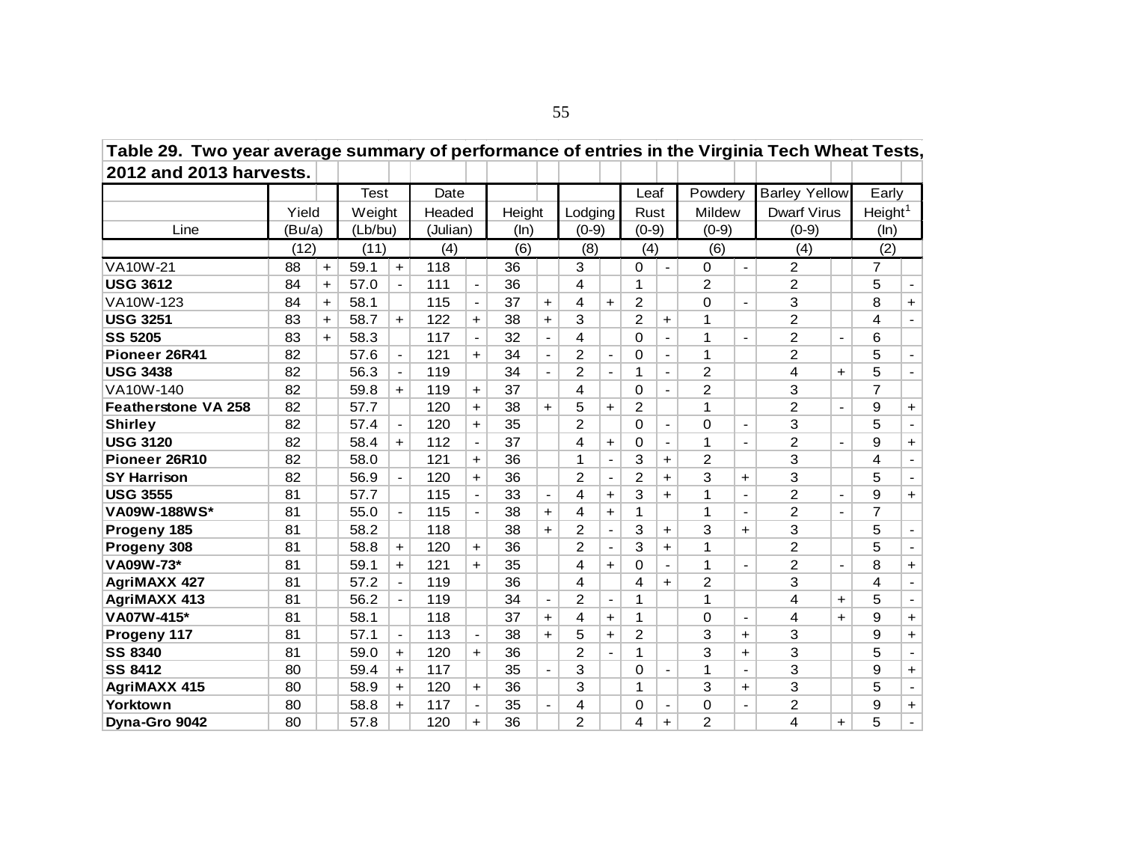| Table 29. Two year average summary of performance of entries in the Virginia Tech Wheat Tests, |        |           |             |                          |          |                          |        |                |                |                          |                |                          |                |                          |                      |                          |                         |                          |
|------------------------------------------------------------------------------------------------|--------|-----------|-------------|--------------------------|----------|--------------------------|--------|----------------|----------------|--------------------------|----------------|--------------------------|----------------|--------------------------|----------------------|--------------------------|-------------------------|--------------------------|
| 2012 and 2013 harvests.                                                                        |        |           |             |                          |          |                          |        |                |                |                          |                |                          |                |                          |                      |                          |                         |                          |
|                                                                                                |        |           | <b>Test</b> |                          | Date     |                          |        |                |                |                          | Leaf           |                          | Powdery        |                          | <b>Barley Yellow</b> |                          | Early                   |                          |
|                                                                                                | Yield  |           | Weight      |                          | Headed   |                          | Height |                | Lodging        |                          | Rust           |                          | Mildew         |                          | <b>Dwarf Virus</b>   |                          | Height <sup>1</sup>     |                          |
| Line                                                                                           | (Bu/a) |           | (Lb/bu)     |                          | (Julian) |                          | (ln)   |                | $(0-9)$        |                          | $(0-9)$        |                          | $(0-9)$        |                          | $(0-9)$              |                          | (ln)                    |                          |
|                                                                                                | (12)   |           | (11)        |                          | (4)      |                          | (6)    |                | (8)            |                          | (4)            |                          | (6)            |                          | (4)                  |                          | (2)                     |                          |
| VA10W-21                                                                                       | 88     | $+$       | 59.1        | $+$                      | 118      |                          | 36     |                | 3              |                          | 0              | $\blacksquare$           | 0              | $\blacksquare$           | $\overline{2}$       |                          | $\overline{7}$          |                          |
| <b>USG 3612</b>                                                                                | 84     | $+$       | 57.0        | $\blacksquare$           | 111      | $\overline{\phantom{a}}$ | 36     |                | 4              |                          | 1              |                          | 2              |                          | 2                    |                          | 5                       |                          |
| VA10W-123                                                                                      | 84     | $+$       | 58.1        |                          | 115      | $\overline{\phantom{a}}$ | 37     | $+$            | 4              | $+$                      | $\overline{2}$ |                          | 0              | $\blacksquare$           | 3                    |                          | 8                       | $+$                      |
| <b>USG 3251</b>                                                                                | 83     | $+$       | 58.7        | $\ddot{\phantom{1}}$     | 122      | $\ddot{\phantom{1}}$     | 38     | $+$            | 3              |                          | $\overline{2}$ | $\ddot{}$                | 1              |                          | $\overline{2}$       |                          | 4                       | $\overline{\phantom{0}}$ |
| <b>SS 5205</b>                                                                                 | 83     | $\ddot{}$ | 58.3        |                          | 117      |                          | 32     |                | 4              |                          | $\Omega$       |                          | 1              |                          | 2                    |                          | 6                       |                          |
| Pioneer 26R41                                                                                  | 82     |           | 57.6        | $\blacksquare$           | 121      | $+$                      | 34     | $\blacksquare$ | $\overline{2}$ | $\overline{\phantom{a}}$ | $\Omega$       | $\blacksquare$           | 1              |                          | 2                    |                          | 5                       | $\sim$                   |
| <b>USG 3438</b>                                                                                | 82     |           | 56.3        |                          | 119      |                          | 34     | $\blacksquare$ | $\overline{2}$ | $\overline{\phantom{a}}$ | 1              |                          | 2              |                          | 4                    | $\ddot{}$                | 5                       |                          |
| VA10W-140                                                                                      | 82     |           | 59.8        | $+$                      | 119      | $\ddot{\phantom{1}}$     | 37     |                | 4              |                          | $\Omega$       |                          | 2              |                          | 3                    |                          | $\overline{7}$          |                          |
| <b>Featherstone VA 258</b>                                                                     | 82     |           | 57.7        |                          | 120      | $+$                      | 38     | $+$            | 5              | $+$                      | 2              |                          | 1              |                          | $\overline{2}$       | $\overline{\phantom{a}}$ | 9                       | $+$                      |
| <b>Shirley</b>                                                                                 | 82     |           | 57.4        |                          | 120      | $\ddot{\phantom{1}}$     | 35     |                | $\overline{2}$ |                          | 0              |                          | 0              | $\overline{\phantom{a}}$ | 3                    |                          | 5                       |                          |
| <b>USG 3120</b>                                                                                | 82     |           | 58.4        | $+$                      | 112      | $\blacksquare$           | 37     |                | 4              | $+$                      | 0              | $\blacksquare$           | 1              | $\blacksquare$           | $\overline{2}$       | $\blacksquare$           | 9                       | $+$                      |
| Pioneer 26R10                                                                                  | 82     |           | 58.0        |                          | 121      | $+$                      | 36     |                | 1              | $\overline{a}$           | 3              | $\ddot{}$                | 2              |                          | 3                    |                          | 4                       | $\overline{\phantom{a}}$ |
| <b>SY Harrison</b>                                                                             | 82     |           | 56.9        | $\overline{\phantom{a}}$ | 120      | $+$                      | 36     |                | $\overline{2}$ | $\overline{\phantom{a}}$ | 2              | $\ddot{}$                | 3              | $\ddot{}$                | 3                    |                          | 5                       | $\blacksquare$           |
| <b>USG 3555</b>                                                                                | 81     |           | 57.7        |                          | 115      | $\blacksquare$           | 33     | $\blacksquare$ | 4              | $\ddot{\phantom{1}}$     | 3              | $\ddot{}$                | 1              | $\blacksquare$           | $\overline{2}$       |                          | 9                       | $+$                      |
| VA09W-188WS*                                                                                   | 81     |           | 55.0        | $\overline{\phantom{a}}$ | 115      |                          | 38     | $+$            | 4              | $\ddot{}$                | 1              |                          | 1              | $\overline{\phantom{a}}$ | $\overline{2}$       |                          | $\overline{7}$          |                          |
| Progeny 185                                                                                    | 81     |           | 58.2        |                          | 118      |                          | 38     | $+$            | 2              | $\blacksquare$           | 3              | $+$                      | 3              | $+$                      | 3                    |                          | 5                       | $\overline{\phantom{0}}$ |
| Progeny 308                                                                                    | 81     |           | 58.8        | $\ddot{}$                | 120      | $\ddot{\phantom{1}}$     | 36     |                | $\overline{2}$ | $\frac{1}{2}$            | 3              | $+$                      | 1              |                          | $\overline{2}$       |                          | 5                       | $\blacksquare$           |
| VA09W-73*                                                                                      | 81     |           | 59.1        | $+$                      | 121      | $+$                      | 35     |                | 4              | $+$                      | $\Omega$       | $\overline{\phantom{a}}$ | 1              | $\overline{\phantom{a}}$ | $\overline{2}$       | $\overline{\phantom{a}}$ | 8                       | $+$                      |
| <b>AgriMAXX 427</b>                                                                            | 81     |           | 57.2        |                          | 119      |                          | 36     |                | 4              |                          | 4              | $\ddot{}$                | $\overline{2}$ |                          | 3                    |                          | $\overline{\mathbf{4}}$ |                          |
| <b>AgriMAXX 413</b>                                                                            | 81     |           | 56.2        |                          | 119      |                          | 34     | $\blacksquare$ | $\overline{2}$ | $\blacksquare$           | 1              |                          | $\mathbf 1$    |                          | 4                    | $\ddot{}$                | 5                       | $\blacksquare$           |
| VA07W-415*                                                                                     | 81     |           | 58.1        |                          | 118      |                          | 37     | $+$            | 4              | $+$                      | 1              |                          | $\Omega$       | $\blacksquare$           | 4                    | $\ddot{}$                | 9                       | $+$                      |
| Progeny 117                                                                                    | 81     |           | 57.1        | $\overline{\phantom{a}}$ | 113      | $\blacksquare$           | 38     | $+$            | 5              | $+$                      | $\overline{2}$ |                          | 3              | $+$                      | 3                    |                          | 9                       | $+$                      |
| <b>SS 8340</b>                                                                                 | 81     |           | 59.0        | $\ddot{}$                | 120      | $+$                      | 36     |                | $\overline{2}$ | $\blacksquare$           | 1              |                          | 3              | $\ddot{}$                | 3                    |                          | 5                       | $\blacksquare$           |
| <b>SS 8412</b>                                                                                 | 80     |           | 59.4        | $+$                      | 117      |                          | 35     |                | 3              |                          | $\Omega$       |                          | 1              | $\blacksquare$           | 3                    |                          | 9                       | $+$                      |
| <b>AgriMAXX 415</b>                                                                            | 80     |           | 58.9        | $+$                      | 120      | $+$                      | 36     |                | 3              |                          | 1              |                          | 3              | $+$                      | 3                    |                          | 5                       | $\blacksquare$           |
| Yorktown                                                                                       | 80     |           | 58.8        | $+$                      | 117      | $\overline{\phantom{a}}$ | 35     |                | 4              |                          | 0              |                          | $\Omega$       | $\blacksquare$           | 2                    |                          | 9                       | $+$                      |
| Dyna-Gro 9042                                                                                  | 80     |           | 57.8        |                          | 120      | $\ddot{}$                | 36     |                | $\overline{2}$ |                          | 4              | $\ddot{\phantom{1}}$     | $\overline{2}$ |                          | 4                    | $\ddot{}$                | 5                       | $\blacksquare$           |

55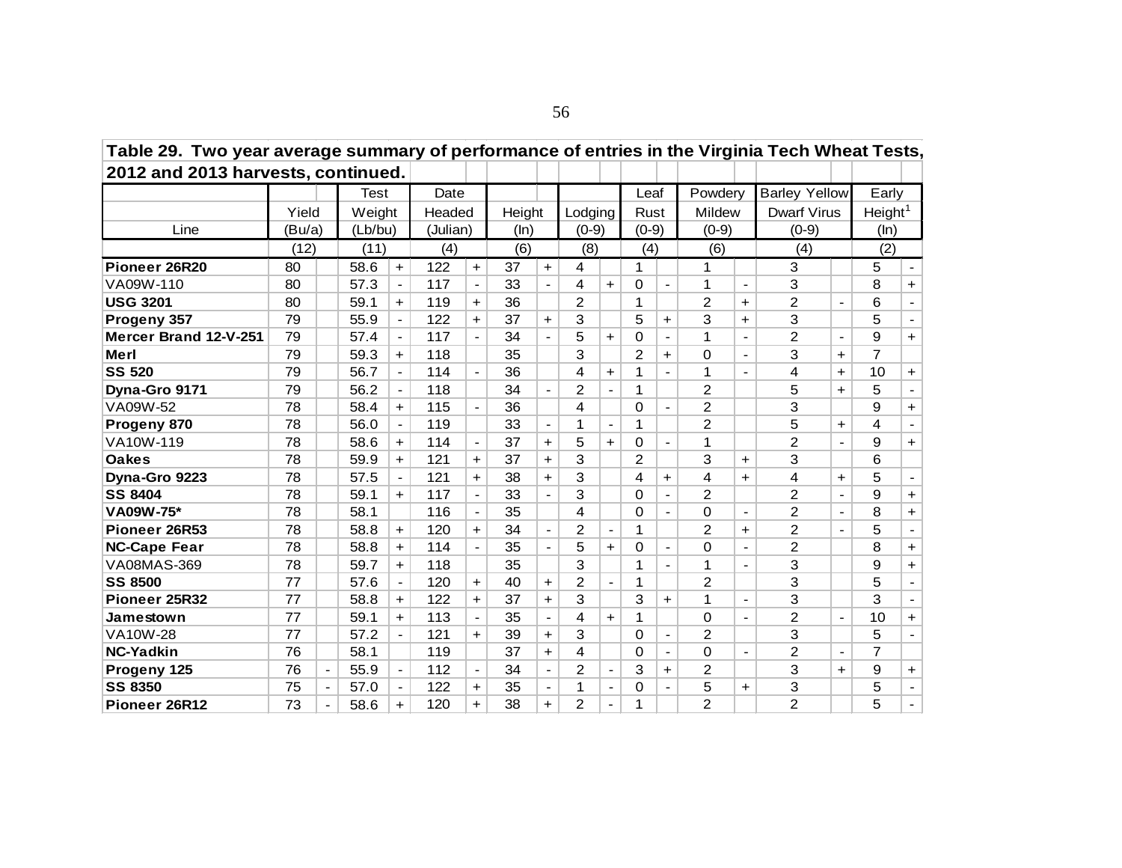| Table 29. Two year average summary of performance of entries in the virginia Tech wheat Tests, |        |                          |         |                |          |                          |        |                |                |                          |                |                          |                |                          |                      |            |                     |                          |
|------------------------------------------------------------------------------------------------|--------|--------------------------|---------|----------------|----------|--------------------------|--------|----------------|----------------|--------------------------|----------------|--------------------------|----------------|--------------------------|----------------------|------------|---------------------|--------------------------|
| 2012 and 2013 harvests, continued.                                                             |        |                          |         |                |          |                          |        |                |                |                          |                |                          |                |                          |                      |            |                     |                          |
|                                                                                                |        |                          | Test    |                | Date     |                          |        |                |                |                          | Leaf           |                          | Powdery        |                          | <b>Barley Yellow</b> |            | Early               |                          |
|                                                                                                | Yield  |                          | Weight  |                | Headed   |                          | Height |                | Lodging        |                          | Rust           |                          | Mildew         |                          | <b>Dwarf Virus</b>   |            | Height <sup>1</sup> |                          |
| Line                                                                                           | (Bu/a) |                          | (Lb/bu) |                | (Julian) |                          | (ln)   |                | $(0-9)$        |                          | $(0-9)$        |                          | $(0-9)$        |                          | $(0-9)$              |            | (ln)                |                          |
|                                                                                                | (12)   |                          | (11)    |                | (4)      |                          | (6)    |                | (8)            |                          | (4)            |                          | (6)            |                          | (4)                  |            | (2)                 |                          |
| Pioneer 26R20                                                                                  | 80     |                          | 58.6    | $+$            | 122      | $\ddot{}$                | 37     | $+$            | 4              |                          | 1              |                          | 1              |                          | 3                    |            | 5                   | $\overline{\phantom{0}}$ |
| VA09W-110                                                                                      | 80     |                          | 57.3    | $\blacksquare$ | 117      | $\blacksquare$           | 33     |                | 4              | $+$                      | 0              |                          | 1              | $\overline{\phantom{a}}$ | 3                    |            | 8                   | $+$                      |
| <b>USG 3201</b>                                                                                | 80     |                          | 59.1    | $+$            | 119      | $\ddot{}$                | 36     |                | $\overline{2}$ |                          |                |                          | $\overline{2}$ | $+$                      | $\overline{2}$       |            | 6                   |                          |
| Progeny 357                                                                                    | 79     |                          | 55.9    | $\blacksquare$ | 122      | $+$                      | 37     | $+$            | 3              |                          | 5              | $\ddot{}$                | 3              | $+$                      | 3                    |            | 5                   | $\blacksquare$           |
| Mercer Brand 12-V-251                                                                          | 79     |                          | 57.4    |                | 117      |                          | 34     |                | 5              | $+$                      | $\Omega$       |                          | 1              |                          | $\overline{2}$       |            | 9                   | $+$                      |
| Merl                                                                                           | 79     |                          | 59.3    | $+$            | 118      |                          | 35     |                | 3              |                          | $\overline{2}$ | $\ddot{}$                | 0              |                          | 3                    | $+$        | $\overline{7}$      |                          |
| <b>SS 520</b>                                                                                  | 79     |                          | 56.7    |                | 114      | $\blacksquare$           | 36     |                | 4              | $+$                      | 1              |                          | 1              |                          | 4                    | $+$        | 10                  | $+$                      |
| Dyna-Gro 9171                                                                                  | 79     |                          | 56.2    |                | 118      |                          | 34     |                | $\overline{2}$ | $\overline{a}$           | 1              |                          | $\overline{2}$ |                          | 5                    | $\ddot{}$  | 5                   |                          |
| VA09W-52                                                                                       | 78     |                          | 58.4    | $+$            | 115      |                          | 36     |                | 4              |                          | 0              |                          | $\overline{2}$ |                          | 3                    |            | 9                   | $+$                      |
| Progeny 870                                                                                    | 78     |                          | 56.0    |                | 119      |                          | 33     | $\blacksquare$ | 1              | $\blacksquare$           | 1              |                          | $\overline{2}$ |                          | 5                    | $+$        | 4                   | $\overline{\phantom{0}}$ |
| VA10W-119                                                                                      | 78     |                          | 58.6    | $\ddot{}$      | 114      | $\overline{\phantom{a}}$ | 37     | $\ddot{}$      | 5              | $\ddot{}$                | 0              | $\overline{\phantom{0}}$ | 1              |                          | $\overline{2}$       |            | 9                   | $+$                      |
| <b>Oakes</b>                                                                                   | 78     |                          | 59.9    | $+$            | 121      | $\ddot{}$                | 37     | $+$            | 3              |                          | $\overline{2}$ |                          | 3              | $+$                      | 3                    |            | 6                   |                          |
| Dyna-Gro 9223                                                                                  | 78     |                          | 57.5    |                | 121      | $\pm$                    | 38     | $+$            | 3              |                          | 4              | $+$                      | 4              | $+$                      | 4                    | $\ddagger$ | 5                   | $\overline{\phantom{0}}$ |
| <b>SS 8404</b>                                                                                 | 78     |                          | 59.1    | $\ddot{}$      | 117      |                          | 33     |                | 3              |                          | $\Omega$       |                          | $\overline{2}$ |                          | $\overline{2}$       |            | 9                   | $+$                      |
| VA09W-75*                                                                                      | 78     |                          | 58.1    |                | 116      |                          | 35     |                | 4              |                          | $\Omega$       |                          | $\Omega$       |                          | $\overline{2}$       |            | 8                   | $+$                      |
| Pioneer 26R53                                                                                  | 78     |                          | 58.8    | $\pm$          | 120      | $+$                      | 34     | $\blacksquare$ | $\overline{2}$ | $\blacksquare$           | 1              |                          | $\overline{2}$ | $+$                      | $\overline{2}$       |            | 5                   | $\blacksquare$           |
| <b>NC-Cape Fear</b>                                                                            | 78     |                          | 58.8    | $+$            | 114      |                          | 35     |                | 5              | $+$                      | 0              | $\overline{\phantom{a}}$ | 0              |                          | $\overline{2}$       |            | 8                   | $+$                      |
| VA08MAS-369                                                                                    | 78     |                          | 59.7    | $+$            | 118      |                          | 35     |                | 3              |                          | 1              |                          | 1              |                          | 3                    |            | 9                   | $+$                      |
| <b>SS 8500</b>                                                                                 | 77     |                          | 57.6    | $\blacksquare$ | 120      | $\ddagger$               | 40     | $+$            | 2              | $\blacksquare$           | 1              |                          | $\mathfrak{p}$ |                          | 3                    |            | 5                   | $\blacksquare$           |
| Pioneer 25R32                                                                                  | 77     |                          | 58.8    | $\ddot{}$      | 122      | $\ddot{}$                | 37     | $+$            | 3              |                          | 3              | $\ddot{}$                | 1              |                          | 3                    |            | 3                   | $\overline{\phantom{a}}$ |
| Jamestown                                                                                      | 77     |                          | 59.1    | $+$            | 113      |                          | 35     |                | 4              | $+$                      | 1              |                          | 0              |                          | $\overline{2}$       |            | 10                  | $+$                      |
| <b>VA10W-28</b>                                                                                | 77     |                          | 57.2    |                | 121      | $+$                      | 39     | $+$            | 3              |                          | 0              | $\blacksquare$           | $\overline{2}$ |                          | 3                    |            | 5                   | $\blacksquare$           |
| <b>NC-Yadkin</b>                                                                               | 76     |                          | 58.1    |                | 119      |                          | 37     | $+$            | 4              |                          | 0              |                          | 0              |                          | $\overline{2}$       |            | $\overline{7}$      |                          |
| Progeny 125                                                                                    | 76     | $\overline{\phantom{0}}$ | 55.9    |                | 112      | $\blacksquare$           | 34     |                | $\overline{2}$ | $\overline{\phantom{a}}$ | 3              | $+$                      | 2              |                          | 3                    | $\ddot{}$  | $9\,$               | $+$                      |
| <b>SS 8350</b>                                                                                 | 75     | $\overline{\phantom{a}}$ | 57.0    | $\blacksquare$ | 122      | $\ddagger$               | 35     | $\blacksquare$ | 1              | $\blacksquare$           | 0              | $\blacksquare$           | 5              | $\ddot{}$                | 3                    |            | 5                   | $\blacksquare$           |
| Pioneer 26R12                                                                                  | 73     |                          | 58.6    | $\ddot{}$      | 120      | $\ddot{}$                | 38     | $+$            | $\overline{2}$ |                          | 1              |                          | $\overline{2}$ |                          | $\overline{2}$       |            | 5                   |                          |

**Table 29. Two year average summary of performance of entries in the Virginia Tech Wheat Tests,**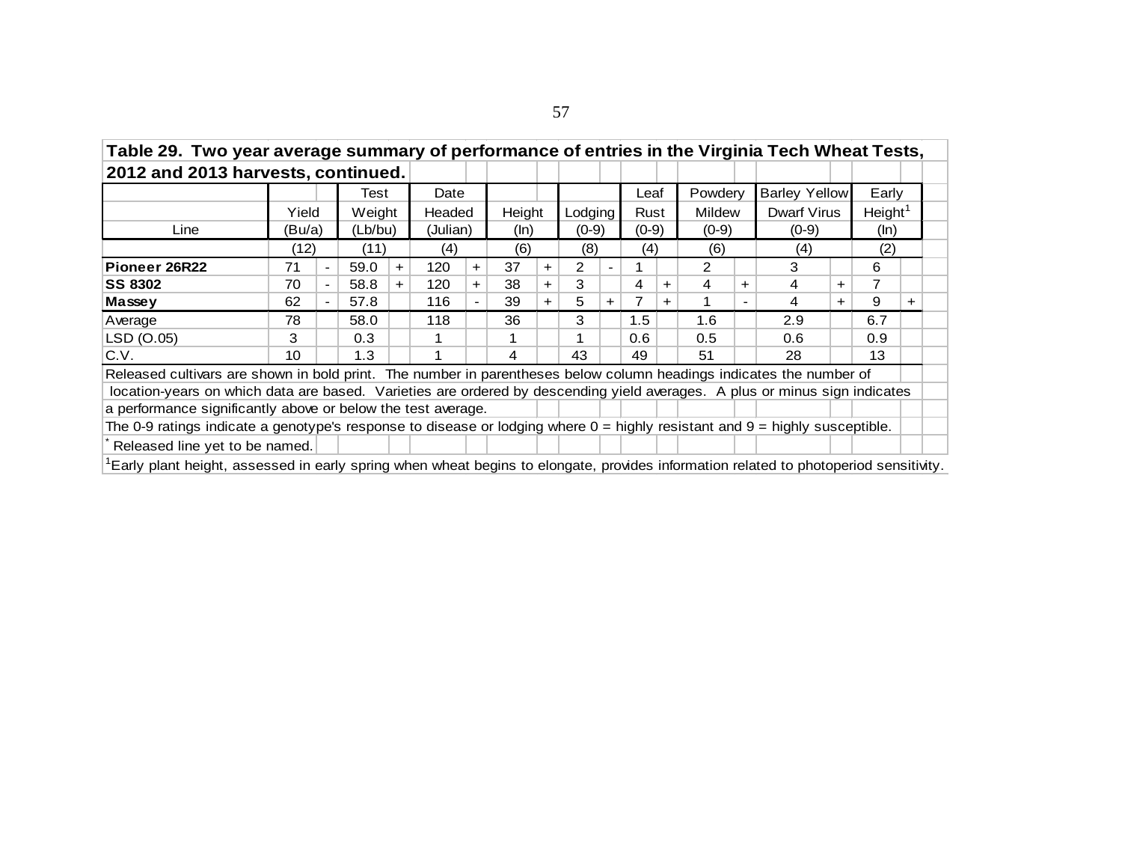| Table 29. Two year average summary of performance of entries in the Virginia Tech Wheat Tests,<br>2012 and 2013 harvests, continued.<br><b>Barley Yellow</b><br>Powderv<br>Early<br>Date<br>Leaf<br>Test<br>Height <sup>1</sup><br>Weight<br>Height<br>Lodging<br>Dwarf Virus<br>Headed<br>Mildew<br>Yield<br>Rust<br>(Lb/bu)<br>(Julian)<br>Line<br>(Bu/a)<br>$(0-9)$<br>$(0-9)$<br>$(0-9)$<br>$(0-9)$<br>(ln)<br>(ln)<br>(12)<br>(2)<br>(11)<br>(6)<br>(8)<br>(4)<br>(6)<br>(4)<br>(4)<br>37<br>2<br>$\mathcal{P}$<br>3<br>59.0<br>120<br>6<br>71<br>$+$<br>$+$<br>$+$<br>$\blacksquare$<br>$\overline{\phantom{0}}$ |                                                                                                                              |  |      |  |     |  |    |  |    |  |     |  |     |  |     |                  |  |  |
|------------------------------------------------------------------------------------------------------------------------------------------------------------------------------------------------------------------------------------------------------------------------------------------------------------------------------------------------------------------------------------------------------------------------------------------------------------------------------------------------------------------------------------------------------------------------------------------------------------------------|------------------------------------------------------------------------------------------------------------------------------|--|------|--|-----|--|----|--|----|--|-----|--|-----|--|-----|------------------|--|--|
|                                                                                                                                                                                                                                                                                                                                                                                                                                                                                                                                                                                                                        |                                                                                                                              |  |      |  |     |  |    |  |    |  |     |  |     |  |     |                  |  |  |
|                                                                                                                                                                                                                                                                                                                                                                                                                                                                                                                                                                                                                        |                                                                                                                              |  |      |  |     |  |    |  |    |  |     |  |     |  |     |                  |  |  |
|                                                                                                                                                                                                                                                                                                                                                                                                                                                                                                                                                                                                                        |                                                                                                                              |  |      |  |     |  |    |  |    |  |     |  |     |  |     |                  |  |  |
|                                                                                                                                                                                                                                                                                                                                                                                                                                                                                                                                                                                                                        |                                                                                                                              |  |      |  |     |  |    |  |    |  |     |  |     |  |     |                  |  |  |
|                                                                                                                                                                                                                                                                                                                                                                                                                                                                                                                                                                                                                        |                                                                                                                              |  |      |  |     |  |    |  |    |  |     |  |     |  |     |                  |  |  |
| Pioneer 26R22                                                                                                                                                                                                                                                                                                                                                                                                                                                                                                                                                                                                          | 3<br>38<br>7<br>70<br>58.8<br>120<br>4<br>4<br>4<br>$\pm$<br>$+$<br>$\pm$<br>$\pm$<br>$\pm$<br>$\blacksquare$<br>$+$         |  |      |  |     |  |    |  |    |  |     |  |     |  |     |                  |  |  |
| <b>SS 8302</b>                                                                                                                                                                                                                                                                                                                                                                                                                                                                                                                                                                                                         |                                                                                                                              |  |      |  |     |  |    |  |    |  |     |  |     |  |     |                  |  |  |
| Massey                                                                                                                                                                                                                                                                                                                                                                                                                                                                                                                                                                                                                 | 9<br>62<br>57.8<br>116<br>39<br>5<br>4<br>$\pm$<br>$\pm$<br>$\pm$<br>$\ddot{}$<br>$\blacksquare$<br>$\overline{\phantom{0}}$ |  |      |  |     |  |    |  |    |  |     |  |     |  |     | $\pm$            |  |  |
| Average                                                                                                                                                                                                                                                                                                                                                                                                                                                                                                                                                                                                                | 78                                                                                                                           |  | 58.0 |  | 118 |  | 36 |  | 3  |  | 1.5 |  | 1.6 |  | 2.9 | 6.7              |  |  |
| LSD (O.05)                                                                                                                                                                                                                                                                                                                                                                                                                                                                                                                                                                                                             | 3                                                                                                                            |  | 0.3  |  |     |  |    |  |    |  | 0.6 |  | 0.5 |  | 0.6 | 0.9 <sup>°</sup> |  |  |
| C.V.                                                                                                                                                                                                                                                                                                                                                                                                                                                                                                                                                                                                                   | 10                                                                                                                           |  | 1.3  |  |     |  | 4  |  | 43 |  | 49  |  | 51  |  | 28  | 13               |  |  |
| Released cultivars are shown in bold print. The number in parentheses below column headings indicates the number of                                                                                                                                                                                                                                                                                                                                                                                                                                                                                                    |                                                                                                                              |  |      |  |     |  |    |  |    |  |     |  |     |  |     |                  |  |  |
| location-years on which data are based. Varieties are ordered by descending yield averages. A plus or minus sign indicates                                                                                                                                                                                                                                                                                                                                                                                                                                                                                             |                                                                                                                              |  |      |  |     |  |    |  |    |  |     |  |     |  |     |                  |  |  |
| a performance significantly above or below the test average.                                                                                                                                                                                                                                                                                                                                                                                                                                                                                                                                                           |                                                                                                                              |  |      |  |     |  |    |  |    |  |     |  |     |  |     |                  |  |  |
| The 0-9 ratings indicate a genotype's response to disease or lodging where $0 =$ highly resistant and $9 =$ highly susceptible.                                                                                                                                                                                                                                                                                                                                                                                                                                                                                        |                                                                                                                              |  |      |  |     |  |    |  |    |  |     |  |     |  |     |                  |  |  |
| Released line yet to be named.                                                                                                                                                                                                                                                                                                                                                                                                                                                                                                                                                                                         |                                                                                                                              |  |      |  |     |  |    |  |    |  |     |  |     |  |     |                  |  |  |
| <sup>1</sup> Early plant height, assessed in early spring when wheat begins to elongate, provides information related to photoperiod sensitivity.                                                                                                                                                                                                                                                                                                                                                                                                                                                                      |                                                                                                                              |  |      |  |     |  |    |  |    |  |     |  |     |  |     |                  |  |  |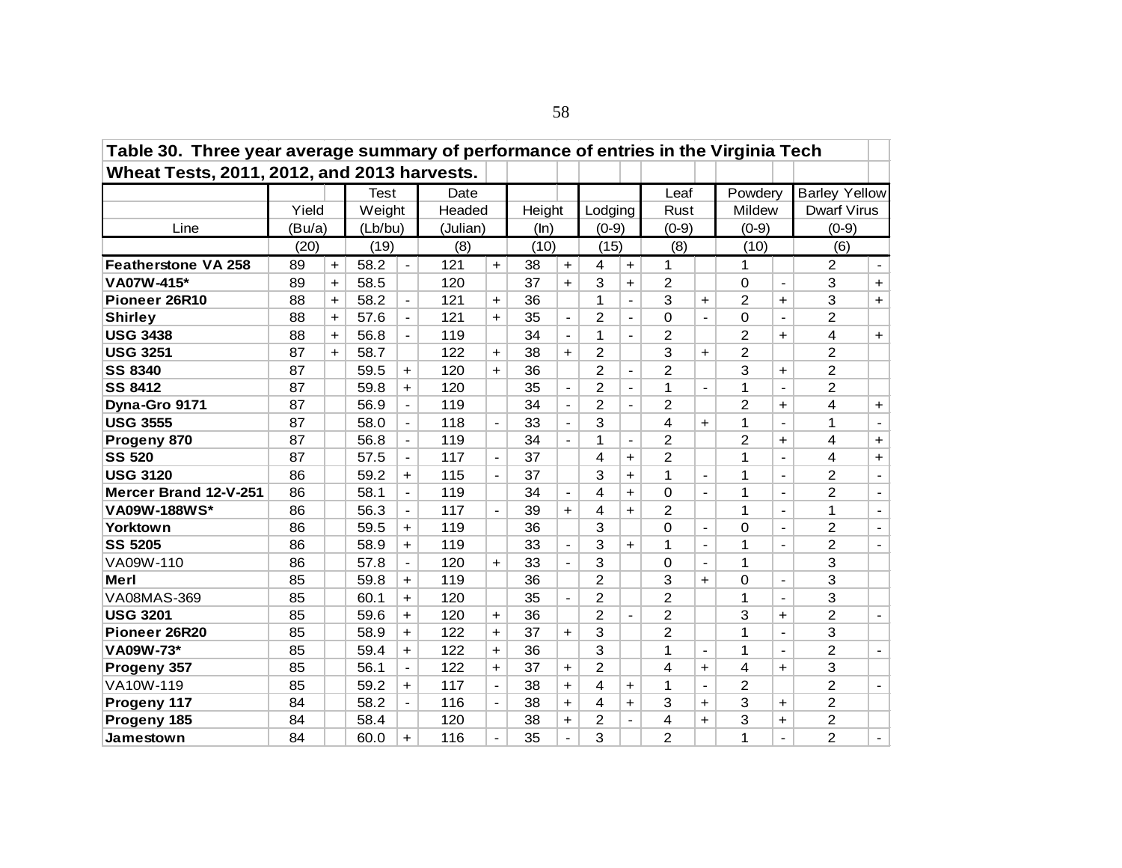| Table 30. Three year average summary of performance of entries in the Virginia Tech |        |     |             |                          |          |                      |        |                |                |                          |                |                          |                |                          |                      |                          |
|-------------------------------------------------------------------------------------|--------|-----|-------------|--------------------------|----------|----------------------|--------|----------------|----------------|--------------------------|----------------|--------------------------|----------------|--------------------------|----------------------|--------------------------|
| Wheat Tests, 2011, 2012, and 2013 harvests.                                         |        |     |             |                          |          |                      |        |                |                |                          |                |                          |                |                          |                      |                          |
|                                                                                     |        |     | <b>Test</b> |                          | Date     |                      |        |                |                |                          | Leaf           |                          | Powdery        |                          | <b>Barley Yellow</b> |                          |
|                                                                                     | Yield  |     | Weight      |                          | Headed   |                      | Height |                | Lodging        |                          | Rust           |                          | Mildew         |                          | <b>Dwarf Virus</b>   |                          |
| Line                                                                                | (Bu/a) |     | (Lb/bu)     |                          | (Julian) |                      | (ln)   |                | $(0-9)$        |                          | $(0-9)$        |                          | $(0-9)$        |                          | $(0-9)$              |                          |
|                                                                                     | (20)   |     | (19)        |                          | (8)      |                      | (10)   |                | (15)           |                          | (8)            |                          | (10)           |                          | (6)                  |                          |
| <b>Featherstone VA 258</b>                                                          | 89     | $+$ | 58.2        | $\blacksquare$           | 121      | $+$                  | 38     | $\ddot{}$      | 4              | $+$                      | $\mathbf{1}$   |                          | 1              |                          | 2                    | $\overline{\phantom{a}}$ |
| VA07W-415*                                                                          | 89     | $+$ | 58.5        |                          | 120      |                      | 37     | $+$            | 3              | $\pm$                    | $\overline{c}$ |                          | $\Omega$       | $\overline{\phantom{a}}$ | 3                    | $+$                      |
| Pioneer 26R10                                                                       | 88     | $+$ | 58.2        | $\overline{\phantom{a}}$ | 121      | $\ddot{}$            | 36     |                | 1              | $\overline{a}$           | 3              | $\ddot{}$                | $\overline{2}$ | $\ddot{}$                | 3                    | $+$                      |
| <b>Shirley</b>                                                                      | 88     | $+$ | 57.6        | $\blacksquare$           | 121      | $\ddagger$           | 35     | $\blacksquare$ | 2              | $\overline{\phantom{a}}$ | $\Omega$       | $\blacksquare$           | $\Omega$       | $\overline{\phantom{a}}$ | $\overline{2}$       |                          |
| <b>USG 3438</b>                                                                     | 88     | $+$ | 56.8        | $\blacksquare$           | 119      |                      | 34     | $\blacksquare$ | 1              | $\blacksquare$           | $\overline{c}$ |                          | $\overline{2}$ | $\ddot{\phantom{1}}$     | 4                    | $\ddot{}$                |
| <b>USG 3251</b>                                                                     | 87     | $+$ | 58.7        |                          | 122      | $\ddot{}$            | 38     | $+$            | $\overline{2}$ |                          | 3              | $+$                      | $\overline{2}$ |                          | $\overline{2}$       |                          |
| <b>SS 8340</b>                                                                      | 87     |     | 59.5        | $\ddot{}$                | 120      | $+$                  | 36     |                | $\overline{2}$ | $\overline{\phantom{0}}$ | $\overline{2}$ |                          | 3              | $\ddot{\phantom{1}}$     | $\overline{2}$       |                          |
| <b>SS 8412</b>                                                                      | 87     |     | 59.8        | $\ddot{}$                | 120      |                      | 35     | $\blacksquare$ | $\overline{2}$ | $\blacksquare$           | 1              | $\overline{a}$           | 1              | $\blacksquare$           | $\overline{2}$       |                          |
| Dyna-Gro 9171                                                                       | 87     |     | 56.9        | $\blacksquare$           | 119      |                      | 34     | $\blacksquare$ | $\overline{2}$ | $\overline{a}$           | $\overline{2}$ |                          | 2              | $\ddot{}$                | 4                    | $+$                      |
| <b>USG 3555</b>                                                                     | 87     |     | 58.0        | $\overline{\phantom{a}}$ | 118      |                      | 33     |                | 3              |                          | 4              | $\ddagger$               | 1              | $\overline{\phantom{a}}$ | 1                    |                          |
| Progeny 870                                                                         | 87     |     | 56.8        | $\blacksquare$           | 119      |                      | 34     | $\blacksquare$ | 1              | $\overline{\phantom{a}}$ | 2              |                          | 2              | $\ddot{}$                | 4                    | $\ddot{}$                |
| <b>SS 520</b>                                                                       | 87     |     | 57.5        | $\blacksquare$           | 117      | $\blacksquare$       | 37     |                | 4              | $+$                      | 2              |                          | 1              | $\blacksquare$           | 4                    | $+$                      |
| <b>USG 3120</b>                                                                     | 86     |     | 59.2        | $\ddot{}$                | 115      |                      | 37     |                | 3              | $\ddot{}$                | 1              |                          | 1              | $\frac{1}{2}$            | $\overline{2}$       |                          |
| Mercer Brand 12-V-251                                                               | 86     |     | 58.1        | $\blacksquare$           | 119      |                      | 34     |                | 4              | $+$                      | $\mathbf 0$    |                          | 1              | $\overline{\phantom{a}}$ | $\overline{2}$       | $\blacksquare$           |
| <b>VA09W-188WS*</b>                                                                 | 86     |     | 56.3        | $\blacksquare$           | 117      | $\blacksquare$       | 39     | $+$            | 4              | $+$                      | $\overline{2}$ |                          | 1              | $\blacksquare$           | 1                    | $\blacksquare$           |
| Yorktown                                                                            | 86     |     | 59.5        | $\ddot{}$                | 119      |                      | 36     |                | 3              |                          | $\Omega$       |                          | $\Omega$       | $\blacksquare$           | 2                    | $\blacksquare$           |
| <b>SS 5205</b>                                                                      | 86     |     | 58.9        | +                        | 119      |                      | 33     | $\blacksquare$ | 3              | $+$                      | 1              | $\blacksquare$           | 1              | $\overline{\phantom{a}}$ | 2                    |                          |
| VA09W-110                                                                           | 86     |     | 57.8        | $\blacksquare$           | 120      | $+$                  | 33     | $\blacksquare$ | 3              |                          | $\Omega$       | $\overline{\phantom{a}}$ | 1              |                          | 3                    |                          |
| <b>Merl</b>                                                                         | 85     |     | 59.8        | $\ddot{}$                | 119      |                      | 36     |                | 2              |                          | 3              | $\ddagger$               | 0              | $\overline{\phantom{a}}$ | 3                    |                          |
| VA08MAS-369                                                                         | 85     |     | 60.1        | $\ddot{\phantom{1}}$     | 120      |                      | 35     |                | $\overline{2}$ |                          | $\overline{2}$ |                          | 1              | $\frac{1}{2}$            | 3                    |                          |
| <b>USG 3201</b>                                                                     | 85     |     | 59.6        | $+$                      | 120      | $\ddot{}$            | 36     |                | $\overline{2}$ | $\blacksquare$           | 2              |                          | 3              | $+$                      | $\overline{2}$       | $\blacksquare$           |
| Pioneer 26R20                                                                       | 85     |     | 58.9        | $\ddot{}$                | 122      | $\ddot{}$            | 37     | $+$            | 3              |                          | $\overline{2}$ |                          | 1              | $\overline{\phantom{a}}$ | 3                    |                          |
| VA09W-73*                                                                           | 85     |     | 59.4        | $+$                      | 122      | $\ddot{\phantom{1}}$ | 36     |                | 3              |                          | 1              |                          | 1              | $\blacksquare$           | $\overline{2}$       | $\blacksquare$           |
| Progeny 357                                                                         | 85     |     | 56.1        | $\overline{\phantom{a}}$ | 122      | $+$                  | 37     | $+$            | $\overline{2}$ |                          | 4              | $+$                      | 4              | +                        | 3                    |                          |
| VA10W-119                                                                           | 85     |     | 59.2        | $+$                      | 117      | $\blacksquare$       | 38     | $+$            | 4              | $\ddot{}$                | 1              | $\overline{\phantom{a}}$ | 2              |                          | 2                    | $\overline{\phantom{a}}$ |
| Progeny 117                                                                         | 84     |     | 58.2        | $\blacksquare$           | 116      | $\blacksquare$       | 38     | $+$            | 4              | $+$                      | 3              | $+$                      | 3              | $+$                      | $\overline{2}$       |                          |
| Progeny 185                                                                         | 84     |     | 58.4        |                          | 120      |                      | 38     | $+$            | 2              | $\frac{1}{2}$            | 4              | $+$                      | 3              | +                        | 2                    |                          |
| Jamestown                                                                           | 84     |     | 60.0        | $\ddot{\phantom{1}}$     | 116      |                      | 35     | $\overline{a}$ | 3              |                          | $\overline{2}$ |                          | 1              | $\overline{\phantom{0}}$ | 2                    | $\blacksquare$           |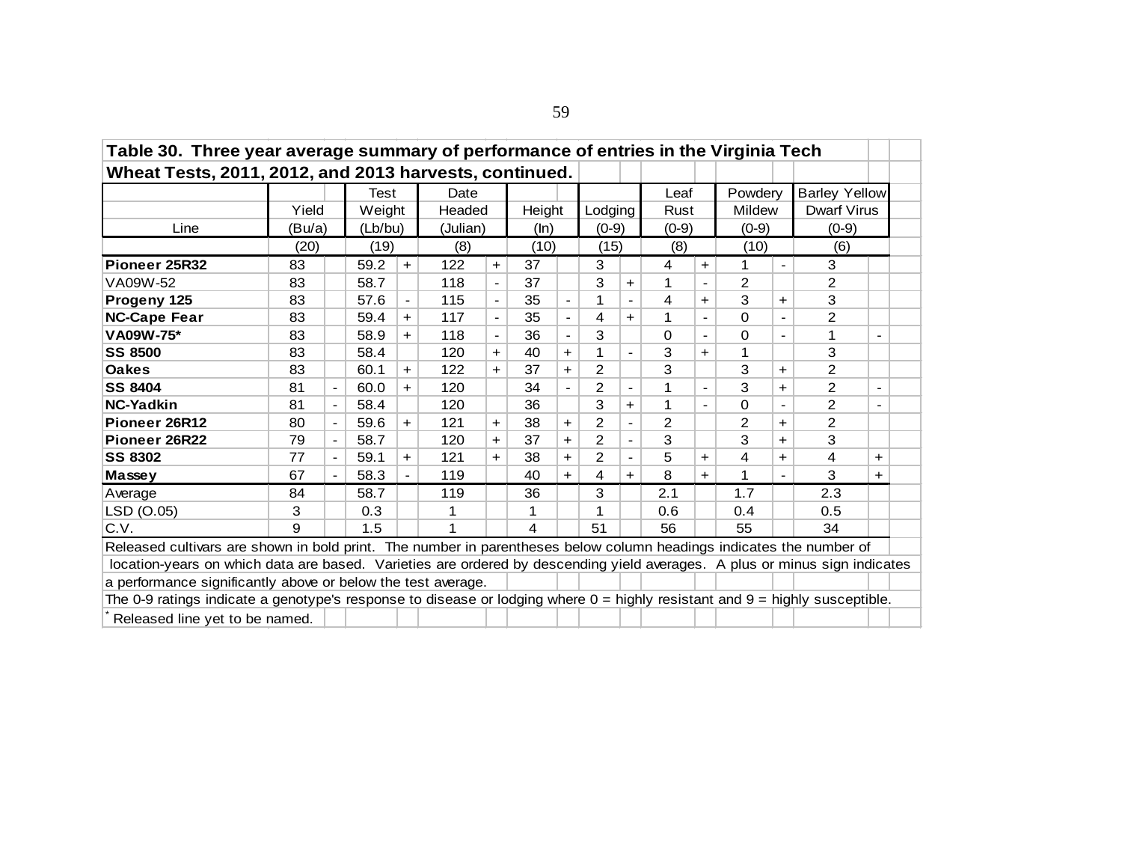| Table 30. Three year average summary of performance of entries in the Virginia Tech                                             |                                                                                                                                                                                                                                                                                         |                          |                |                          |          |                          |        |                          |                |                          |          |                          |                |                          |                      |                          |  |
|---------------------------------------------------------------------------------------------------------------------------------|-----------------------------------------------------------------------------------------------------------------------------------------------------------------------------------------------------------------------------------------------------------------------------------------|--------------------------|----------------|--------------------------|----------|--------------------------|--------|--------------------------|----------------|--------------------------|----------|--------------------------|----------------|--------------------------|----------------------|--------------------------|--|
| Wheat Tests, 2011, 2012, and 2013 harvests, continued.                                                                          |                                                                                                                                                                                                                                                                                         |                          |                |                          |          |                          |        |                          |                |                          |          |                          |                |                          |                      |                          |  |
|                                                                                                                                 |                                                                                                                                                                                                                                                                                         |                          | Test           |                          | Date     |                          |        |                          |                |                          | Leaf     |                          | Powdery        |                          | <b>Barley Yellow</b> |                          |  |
|                                                                                                                                 | Yield                                                                                                                                                                                                                                                                                   |                          | Weight         |                          | Headed   |                          | Height |                          | Lodging        |                          | Rust     |                          | Mildew         |                          | <b>Dwarf Virus</b>   |                          |  |
| Line                                                                                                                            | (Bu/a)                                                                                                                                                                                                                                                                                  |                          | (Lb/bu)        |                          | (Julian) |                          | (ln)   |                          | $(0-9)$        |                          | $(0-9)$  |                          | $(0-9)$        |                          | $(0-9)$              |                          |  |
|                                                                                                                                 | (20)                                                                                                                                                                                                                                                                                    |                          | (19)           |                          | (8)      |                          | (10)   |                          | (15)           |                          | (8)      |                          | (10)           |                          | (6)                  |                          |  |
| Pioneer 25R32                                                                                                                   | 83                                                                                                                                                                                                                                                                                      |                          | 59.2           | $\ddot{}$                | 122      | $+$                      | 37     |                          | 3              |                          | 4        | $\pm$                    | 1              |                          | 3                    |                          |  |
| VA09W-52                                                                                                                        | 83                                                                                                                                                                                                                                                                                      |                          | 58.7           |                          | 118      | $\overline{\phantom{a}}$ | 37     |                          | 3              | $+$                      | 1        | $\overline{\phantom{a}}$ | $\overline{2}$ |                          | $\overline{2}$       |                          |  |
| Progeny 125                                                                                                                     | 83                                                                                                                                                                                                                                                                                      |                          | 57.6           | $\overline{\phantom{a}}$ | 115      | $\overline{\phantom{a}}$ | 35     | $\overline{\phantom{a}}$ | 1              | $\overline{\phantom{a}}$ | 4        | $\pm$                    | 3              | $\ddot{}$                | 3                    |                          |  |
| <b>NC-Cape Fear</b>                                                                                                             | 83                                                                                                                                                                                                                                                                                      | 0                        | $\overline{a}$ | 2                        |          |                          |        |                          |                |                          |          |                          |                |                          |                      |                          |  |
| VA09W-75*                                                                                                                       | 83                                                                                                                                                                                                                                                                                      |                          | 58.9           | $\ddot{}$                | 118      | $\overline{\phantom{a}}$ | 36     |                          | 3              |                          | $\Omega$ | $\overline{\phantom{a}}$ | 0              | $\overline{\phantom{a}}$ | 1                    | $\overline{\phantom{0}}$ |  |
| <b>SS 8500</b>                                                                                                                  | 4<br>59.4<br>117<br>35<br>1<br>$\ddot{}$<br>$+$<br>$\overline{\phantom{a}}$<br>3<br>3<br>83<br>1<br>58.4<br>120<br>40<br>1<br>$\ddot{}$<br>$+$<br>$\pm$<br>$\overline{\phantom{a}}$<br>3<br>2<br>3<br>$\overline{2}$<br>83<br>60.1<br>122<br>37<br>$\ddot{}$<br>$+$<br>$+$<br>$\ddot{}$ |                          |                |                          |          |                          |        |                          |                |                          |          |                          |                |                          |                      |                          |  |
| <b>Oakes</b>                                                                                                                    |                                                                                                                                                                                                                                                                                         |                          |                |                          |          |                          |        |                          |                |                          |          |                          |                |                          |                      |                          |  |
| <b>SS 8404</b>                                                                                                                  | 81                                                                                                                                                                                                                                                                                      | $\blacksquare$           | 60.0           | $\ddot{}$                | 120      |                          | 34     | $\overline{\phantom{a}}$ | $\overline{2}$ | $\overline{\phantom{a}}$ | 1        | $\overline{\phantom{a}}$ | 3              | $\ddot{}$                | 2                    | $\overline{\phantom{0}}$ |  |
| <b>NC-Yadkin</b>                                                                                                                | 81                                                                                                                                                                                                                                                                                      |                          | 58.4           |                          | 120      |                          | 36     |                          | 3              | $+$                      | 1        |                          | 0              | $\blacksquare$           | 2                    |                          |  |
| Pioneer 26R12                                                                                                                   | 80                                                                                                                                                                                                                                                                                      |                          | 59.6           | $\ddot{}$                | 121      | $+$                      | 38     | $+$                      | $\overline{2}$ | $\blacksquare$           | 2        |                          | 2              | $\ddot{}$                | $\overline{2}$       |                          |  |
| Pioneer 26R22                                                                                                                   | 79                                                                                                                                                                                                                                                                                      | $\overline{\phantom{a}}$ | 58.7           |                          | 120      | $+$                      | 37     | $\ddot{}$                | $\overline{c}$ | $\blacksquare$           | 3        |                          | 3              | $\ddot{}$                | 3                    |                          |  |
| <b>SS 8302</b>                                                                                                                  | 77                                                                                                                                                                                                                                                                                      | $\overline{\phantom{a}}$ | 59.1           | $\ddot{\phantom{1}}$     | 121      | $+$                      | 38     | $+$                      | $\overline{2}$ | $\overline{\phantom{a}}$ | 5        | $\pm$                    | 4              | $\ddot{}$                | 4                    | $+$                      |  |
| Massey                                                                                                                          | 67                                                                                                                                                                                                                                                                                      |                          | 58.3           | $\blacksquare$           | 119      |                          | 40     | $\ddot{}$                | 4              | $+$                      | 8        | $+$                      | 1              | $\blacksquare$           | 3                    | $+$                      |  |
| Average                                                                                                                         | 84                                                                                                                                                                                                                                                                                      |                          | 58.7           |                          | 119      |                          | 36     |                          | 3              |                          | 2.1      |                          | 1.7            |                          | 2.3                  |                          |  |
| LSD (O.05)                                                                                                                      | 3                                                                                                                                                                                                                                                                                       |                          | 0.3            |                          |          |                          |        |                          |                |                          | 0.6      |                          | 0.4            |                          | 0.5                  |                          |  |
| C.V.                                                                                                                            | 9                                                                                                                                                                                                                                                                                       |                          | 1.5            |                          |          |                          | 4      |                          | 51             |                          | 56       |                          | 55             |                          | 34                   |                          |  |
| Released cultivars are shown in bold print. The number in parentheses below column headings indicates the number of             |                                                                                                                                                                                                                                                                                         |                          |                |                          |          |                          |        |                          |                |                          |          |                          |                |                          |                      |                          |  |
| location-years on which data are based. Varieties are ordered by descending yield averages. A plus or minus sign indicates      |                                                                                                                                                                                                                                                                                         |                          |                |                          |          |                          |        |                          |                |                          |          |                          |                |                          |                      |                          |  |
| a performance significantly above or below the test average.                                                                    |                                                                                                                                                                                                                                                                                         |                          |                |                          |          |                          |        |                          |                |                          |          |                          |                |                          |                      |                          |  |
| The 0-9 ratings indicate a genotype's response to disease or lodging where $0 =$ highly resistant and $9 =$ highly susceptible. |                                                                                                                                                                                                                                                                                         |                          |                |                          |          |                          |        |                          |                |                          |          |                          |                |                          |                      |                          |  |
| Released line yet to be named.                                                                                                  |                                                                                                                                                                                                                                                                                         |                          |                |                          |          |                          |        |                          |                |                          |          |                          |                |                          |                      |                          |  |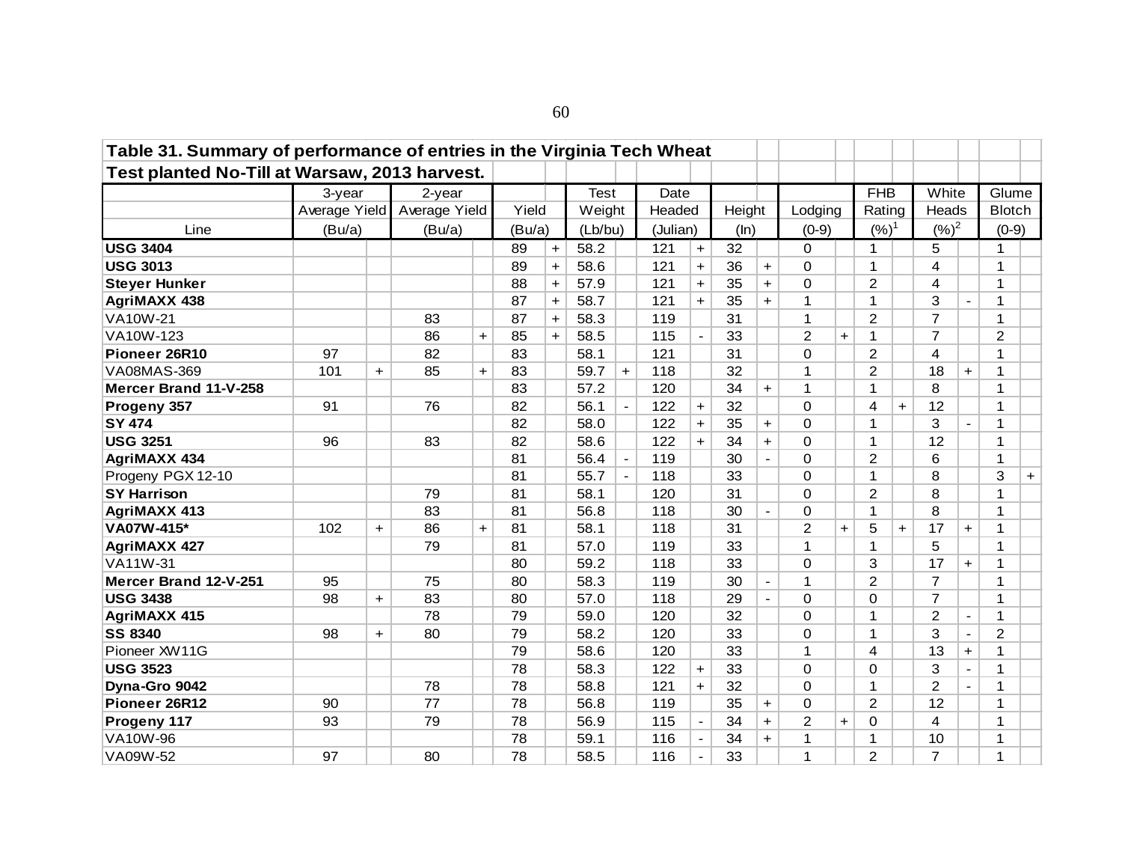| Table 31. Summary of performance of entries in the Virginia Tech Wheat<br>Test planted No-Till at Warsaw, 2013 harvest. |                         |                      |                            |           |        |     |             |                |          |                          |        |                |                |           |                |     |                |                              |                        |     |
|-------------------------------------------------------------------------------------------------------------------------|-------------------------|----------------------|----------------------------|-----------|--------|-----|-------------|----------------|----------|--------------------------|--------|----------------|----------------|-----------|----------------|-----|----------------|------------------------------|------------------------|-----|
|                                                                                                                         |                         |                      |                            |           |        |     | <b>Test</b> |                | Date     |                          |        |                |                |           | <b>FHB</b>     |     | White          |                              |                        |     |
|                                                                                                                         | 3-year<br>Average Yield |                      | $2$ -year<br>Average Yield |           | Yield  |     | Weight      |                | Headed   |                          |        |                | Lodging        |           | Rating         |     | Heads          |                              | Glume<br><b>Blotch</b> |     |
|                                                                                                                         |                         |                      |                            |           |        |     |             |                |          |                          | Height |                |                |           |                |     |                |                              |                        |     |
| Line                                                                                                                    | (Bu/a)                  |                      | (Bu/a)                     |           | (Bu/a) |     | (Lb/bu)     |                | (Julian) |                          | (ln)   |                | $(0-9)$        |           | $(%)^1$        |     | $({\%})^2$     |                              | $(0-9)$                |     |
| <b>USG 3404</b>                                                                                                         |                         |                      |                            |           | 89     | $+$ | 58.2        |                | 121      | $\ddot{}$                | 32     |                | $\Omega$       |           | 1              |     | 5              |                              | 1                      |     |
| <b>USG 3013</b>                                                                                                         |                         |                      |                            |           | 89     | $+$ | 58.6        |                | 121      | $+$                      | 36     | $+$            | $\Omega$       |           | 1              |     | 4              |                              | 1                      |     |
| <b>Steyer Hunker</b>                                                                                                    |                         |                      |                            |           | 88     | $+$ | 57.9        |                | 121      | $+$                      | 35     | $\ddot{}$      | 0              |           | $\overline{2}$ |     | 4              |                              | 1                      |     |
| <b>AgriMAXX 438</b>                                                                                                     |                         |                      |                            |           | 87     | $+$ | 58.7        |                | 121      | $+$                      | 35     | $+$            | $\mathbf{1}$   |           | 1              |     | 3              |                              | 1                      |     |
| <b>VA10W-21</b>                                                                                                         |                         |                      | 83                         |           | 87     | $+$ | 58.3        |                | 119      |                          | 31     |                | $\mathbf{1}$   |           | $\overline{2}$ |     | $\overline{7}$ |                              | 1                      |     |
| VA10W-123                                                                                                               |                         |                      | 86                         | $+$       | 85     | $+$ | 58.5        |                | 115      | $\overline{a}$           | 33     |                | $\overline{2}$ | $+$       | 1              |     | $\overline{7}$ |                              | $\overline{2}$         |     |
| Pioneer 26R10                                                                                                           | 97                      |                      | 82                         |           | 83     |     | 58.1        |                | 121      |                          | 31     |                | 0              |           | $\overline{2}$ |     | 4              |                              | 1                      |     |
| <b>VA08MAS-369</b>                                                                                                      | 101                     | $\div$               | 85                         | $\ddot{}$ | 83     |     | 59.7        | $+$            | 118      |                          | 32     |                | $\mathbf{1}$   |           | $\overline{2}$ |     | 18             | $\ddot{}$                    | 1                      |     |
| Mercer Brand 11-V-258                                                                                                   |                         |                      |                            |           | 83     |     | 57.2        |                | 120      |                          | 34     | $+$            | $\mathbf{1}$   |           | 1              |     | 8              |                              | 1                      |     |
| Progeny 357                                                                                                             | 91                      |                      | 76                         |           | 82     |     | 56.1        | $\frac{1}{2}$  | 122      | $+$                      | 32     |                | 0              |           | 4              | $+$ | 12             |                              | 1                      |     |
| <b>SY 474</b>                                                                                                           |                         |                      |                            |           | 82     |     | 58.0        |                | 122      | $+$                      | 35     | $+$            | 0              |           | 1              |     | 3              | $\overline{\phantom{a}}$     | 1                      |     |
| <b>USG 3251</b>                                                                                                         | 96                      |                      | 83                         |           | 82     |     | 58.6        |                | 122      | $+$                      | 34     | $+$            | 0              |           | 1              |     | 12             |                              | 1                      |     |
| <b>AgriMAXX 434</b>                                                                                                     |                         |                      |                            |           | 81     |     | 56.4        | $\overline{a}$ | 119      |                          | 30     | $\overline{a}$ | 0              |           | $\overline{2}$ |     | 6              |                              | 1                      |     |
| Progeny PGX 12-10                                                                                                       |                         |                      |                            |           | 81     |     | 55.7        | $\blacksquare$ | 118      |                          | 33     |                | 0              |           | 1              |     | 8              |                              | 3                      | $+$ |
| <b>SY Harrison</b>                                                                                                      |                         |                      | 79                         |           | 81     |     | 58.1        |                | 120      |                          | 31     |                | 0              |           | 2              |     | 8              |                              | 1                      |     |
| <b>AgriMAXX 413</b>                                                                                                     |                         |                      | 83                         |           | 81     |     | 56.8        |                | 118      |                          | 30     |                | 0              |           | 1              |     | 8              |                              | 1                      |     |
| VA07W-415*                                                                                                              | 102                     | $\ddot{\phantom{1}}$ | 86                         | $+$       | 81     |     | 58.1        |                | 118      |                          | 31     |                | $\overline{2}$ | $\ddot{}$ | 5              | $+$ | 17             | $\ddot{}$                    | 1                      |     |
| <b>AgriMAXX 427</b>                                                                                                     |                         |                      | 79                         |           | 81     |     | 57.0        |                | 119      |                          | 33     |                | $\mathbf{1}$   |           | $\mathbf{1}$   |     | 5              |                              | 1                      |     |
| VA11W-31                                                                                                                |                         |                      |                            |           | 80     |     | 59.2        |                | 118      |                          | 33     |                | 0              |           | 3              |     | 17             | $+$                          | 1                      |     |
| Mercer Brand 12-V-251                                                                                                   | 95                      |                      | 75                         |           | 80     |     | 58.3        |                | 119      |                          | 30     | $\blacksquare$ | $\mathbf{1}$   |           | $\overline{2}$ |     | $\overline{7}$ |                              | 1                      |     |
| <b>USG 3438</b>                                                                                                         | 98                      | $\ddot{}$            | 83                         |           | 80     |     | 57.0        |                | 118      |                          | 29     |                | $\Omega$       |           | 0              |     | $\overline{7}$ |                              | 1                      |     |
| <b>AgriMAXX 415</b>                                                                                                     |                         |                      | 78                         |           | 79     |     | 59.0        |                | 120      |                          | 32     |                | 0              |           | 1              |     | $\overline{c}$ | $\qquad \qquad \blacksquare$ | 1                      |     |
| <b>SS 8340</b>                                                                                                          | 98                      | $\ddot{}$            | 80                         |           | 79     |     | 58.2        |                | 120      |                          | 33     |                | 0              |           | 1              |     | 3              | $\overline{\phantom{a}}$     | 2                      |     |
| Pioneer XW11G                                                                                                           |                         |                      |                            |           | 79     |     | 58.6        |                | 120      |                          | 33     |                | $\mathbf{1}$   |           | 4              |     | 13             | $+$                          | 1                      |     |
| <b>USG 3523</b>                                                                                                         |                         |                      |                            |           | 78     |     | 58.3        |                | 122      | $+$                      | 33     |                | 0              |           | 0              |     | 3              | $\blacksquare$               | 1                      |     |
| Dyna-Gro 9042                                                                                                           |                         |                      | 78                         |           | 78     |     | 58.8        |                | 121      | $+$                      | 32     |                | 0              |           | 1              |     | $\overline{2}$ | $\blacksquare$               | 1                      |     |
| Pioneer 26R12                                                                                                           | 90                      |                      | 77                         |           | 78     |     | 56.8        |                | 119      |                          | 35     | $\ddot{}$      | 0              |           | 2              |     | 12             |                              | 1                      |     |
| Progeny 117                                                                                                             | 93                      |                      | 79                         |           | 78     |     | 56.9        |                | 115      | $\overline{\phantom{a}}$ | 34     | $+$            | $\overline{2}$ | $\ddot{}$ | 0              |     | 4              |                              | 1                      |     |
| <b>VA10W-96</b>                                                                                                         |                         |                      |                            |           | 78     |     | 59.1        |                | 116      |                          | 34     | $\ddot{}$      | $\mathbf{1}$   |           | 1              |     | 10             |                              | 1                      |     |
| VA09W-52                                                                                                                | 97                      |                      | 80                         |           | 78     |     | 58.5        |                | 116      | $\overline{\phantom{a}}$ | 33     |                | $\mathbf{1}$   |           | 2              |     | $\overline{7}$ |                              | 1                      |     |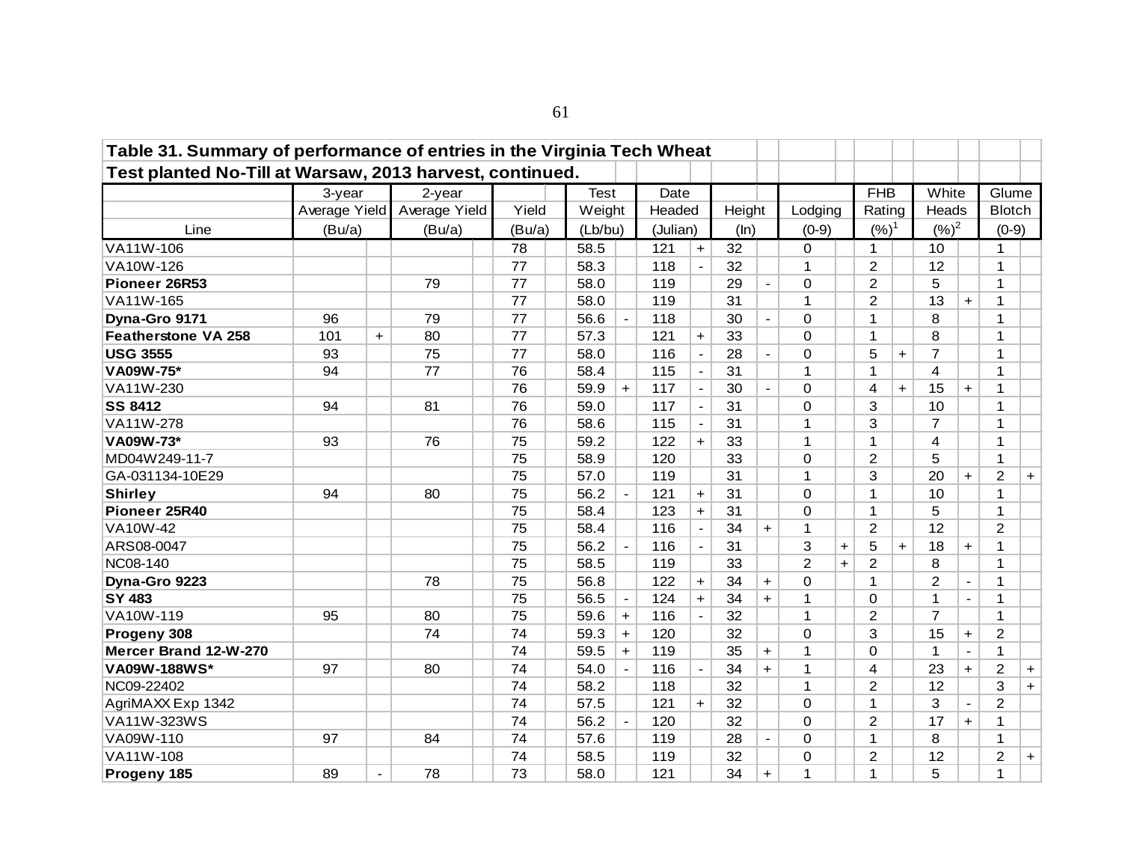| Table 31. Summary of performance of entries in the Virginia Tech Wheat |               |                |               |        |             |                |          |                          |        |           |                |     |                |     |                |                |                |            |
|------------------------------------------------------------------------|---------------|----------------|---------------|--------|-------------|----------------|----------|--------------------------|--------|-----------|----------------|-----|----------------|-----|----------------|----------------|----------------|------------|
| Test planted No-Till at Warsaw, 2013 harvest, continued.               |               |                |               |        |             |                |          |                          |        |           |                |     |                |     |                |                |                |            |
|                                                                        | 3-year        |                | 2-year        |        | <b>Test</b> |                | Date     |                          |        |           |                |     | <b>FHB</b>     |     | White          |                | Glume          |            |
|                                                                        | Average Yield |                | Average Yield | Yield  | Weight      |                | Headed   |                          | Height |           | Lodging        |     | Rating         |     | Heads          |                | <b>Blotch</b>  |            |
| Line                                                                   | (Bu/a)        |                | (Bu/a)        | (Bu/a) | (Lb/bu)     |                | (Julian) |                          | (ln)   |           | $(0-9)$        |     | $(%)^1$        |     | $({\%})^2$     |                | $(0-9)$        |            |
| VA11W-106                                                              |               |                |               | 78     | 58.5        |                | 121      | $\ddot{}$                | 32     |           | 0              |     | 1              |     | 10             |                | 1              |            |
| VA10W-126                                                              |               |                |               | 77     | 58.3        |                | 118      | $\blacksquare$           | 32     |           | 1              |     | $\overline{2}$ |     | 12             |                | 1              |            |
| Pioneer 26R53                                                          |               |                | 79            | 77     | 58.0        |                | 119      |                          | 29     |           | 0              |     | $\overline{c}$ |     | 5              |                | 1              |            |
| VA11W-165                                                              |               |                |               | 77     | 58.0        |                | 119      |                          | 31     |           | $\mathbf{1}$   |     | $\overline{2}$ |     | 13             | $+$            | 1              |            |
| Dyna-Gro 9171                                                          | 96            |                | 79            | 77     | 56.6        | $\blacksquare$ | 118      |                          | 30     |           | 0              |     | 1              |     | 8              |                | 1              |            |
| <b>Featherstone VA 258</b>                                             | 101           | $\ddot{}$      | 80            | 77     | 57.3        |                | 121      | $\ddot{}$                | 33     |           | 0              |     | 1              |     | 8              |                | 1              |            |
| <b>USG 3555</b>                                                        | 93            |                | 75            | 77     | 58.0        |                | 116      | $\overline{\phantom{a}}$ | 28     |           | 0              |     | 5              | $+$ | $\overline{7}$ |                | 1              |            |
| VA09W-75*                                                              | 94            |                | 77            | 76     | 58.4        |                | 115      | $\overline{\phantom{a}}$ | 31     |           | $\mathbf{1}$   |     | 1              |     | 4              |                | 1              |            |
| VA11W-230                                                              |               |                |               | 76     | 59.9        | $+$            | 117      | $\overline{\phantom{a}}$ | 30     |           | 0              |     | 4              | $+$ | 15             | $+$            | 1              |            |
| <b>SS 8412</b>                                                         | 94            |                | 81            | 76     | 59.0        |                | 117      | $\overline{\phantom{a}}$ | 31     |           | 0              |     | 3              |     | 10             |                | 1              |            |
| VA11W-278                                                              |               |                |               | 76     | 58.6        |                | 115      | $\blacksquare$           | 31     |           | $\mathbf{1}$   |     | 3              |     | $\overline{7}$ |                | 1              |            |
| VA09W-73*                                                              | 93            |                | 76            | 75     | 59.2        |                | 122      | $+$                      | 33     |           | $\mathbf{1}$   |     | 1              |     | 4              |                | 1              |            |
| MD04W249-11-7                                                          |               |                |               | 75     | 58.9        |                | 120      |                          | 33     |           | 0              |     | $\overline{2}$ |     | 5              |                | 1              |            |
| GA-031134-10E29                                                        |               |                |               | 75     | 57.0        |                | 119      |                          | 31     |           | $\mathbf{1}$   |     | 3              |     | 20             | $+$            | $\overline{2}$ | $+$        |
| <b>Shirley</b>                                                         | 94            |                | 80            | 75     | 56.2        |                | 121      | $\ddot{}$                | 31     |           | 0              |     | 1              |     | 10             |                | 1              |            |
| Pioneer 25R40                                                          |               |                |               | 75     | 58.4        |                | 123      | $+$                      | 31     |           | 0              |     | 1              |     | 5              |                | 1              |            |
| VA10W-42                                                               |               |                |               | 75     | 58.4        |                | 116      | $\blacksquare$           | 34     | $+$       | $\mathbf{1}$   |     | $\overline{2}$ |     | 12             |                | 2              |            |
| ARS08-0047                                                             |               |                |               | 75     | 56.2        | $\overline{a}$ | 116      | $\blacksquare$           | 31     |           | 3              | $+$ | 5              | $+$ | 18             | $+$            | 1              |            |
| <b>NC08-140</b>                                                        |               |                |               | 75     | 58.5        |                | 119      |                          | 33     |           | $\overline{2}$ | $+$ | $\overline{2}$ |     | 8              |                | 1              |            |
| Dyna-Gro 9223                                                          |               |                | 78            | 75     | 56.8        |                | 122      | $+$                      | 34     | $\ddot{}$ | 0              |     | $\mathbf{1}$   |     | 2              | $\blacksquare$ | 1              |            |
| <b>SY 483</b>                                                          |               |                |               | 75     | 56.5        | $\blacksquare$ | 124      | $+$                      | 34     | $+$       | $\mathbf{1}$   |     | 0              |     | $\mathbf{1}$   | $\overline{a}$ | 1              |            |
| VA10W-119                                                              | 95            |                | 80            | 75     | 59.6        | $+$            | 116      | $\blacksquare$           | 32     |           | $\mathbf{1}$   |     | $\overline{c}$ |     | $\overline{7}$ |                | 1              |            |
| Progeny 308                                                            |               |                | 74            | 74     | 59.3        | $+$            | 120      |                          | 32     |           | 0              |     | 3              |     | 15             | $\ddag$        | $\overline{c}$ |            |
| Mercer Brand 12-W-270                                                  |               |                |               | 74     | 59.5        | $+$            | 119      |                          | 35     | $\ddot{}$ | $\mathbf{1}$   |     | 0              |     | 1              | $\blacksquare$ | $\mathbf 1$    |            |
| VA09W-188WS*                                                           | 97            |                | 80            | 74     | 54.0        |                | 116      | $\blacksquare$           | 34     | $\ddot{}$ | $\mathbf{1}$   |     | 4              |     | 23             | $\ddot{}$      | $\overline{c}$ | $\ddagger$ |
| NC09-22402                                                             |               |                |               | 74     | 58.2        |                | 118      |                          | 32     |           | $\mathbf{1}$   |     | $\overline{2}$ |     | 12             |                | 3              | $\ddot{}$  |
| AgriMAXX Exp 1342                                                      |               |                |               | 74     | 57.5        |                | 121      | $+$                      | 32     |           | 0              |     | 1              |     | 3              |                | $\overline{c}$ |            |
| VA11W-323WS                                                            |               |                |               | 74     | 56.2        |                | 120      |                          | 32     |           | 0              |     | $\overline{c}$ |     | 17             | $\ddot{}$      | 1              |            |
| VA09W-110                                                              | 97            |                | 84            | 74     | 57.6        |                | 119      |                          | 28     |           | 0              |     | 1              |     | 8              |                | $\mathbf 1$    |            |
| VA11W-108                                                              |               |                |               | 74     | 58.5        |                | 119      |                          | 32     |           | 0              |     | $\overline{c}$ |     | 12             |                | $\overline{c}$ | $+$        |
| Progeny 185                                                            | 89            | $\blacksquare$ | 78            | 73     | 58.0        |                | 121      |                          | 34     | $\ddot{}$ | $\mathbf{1}$   |     | 1              |     | 5              |                | 1              |            |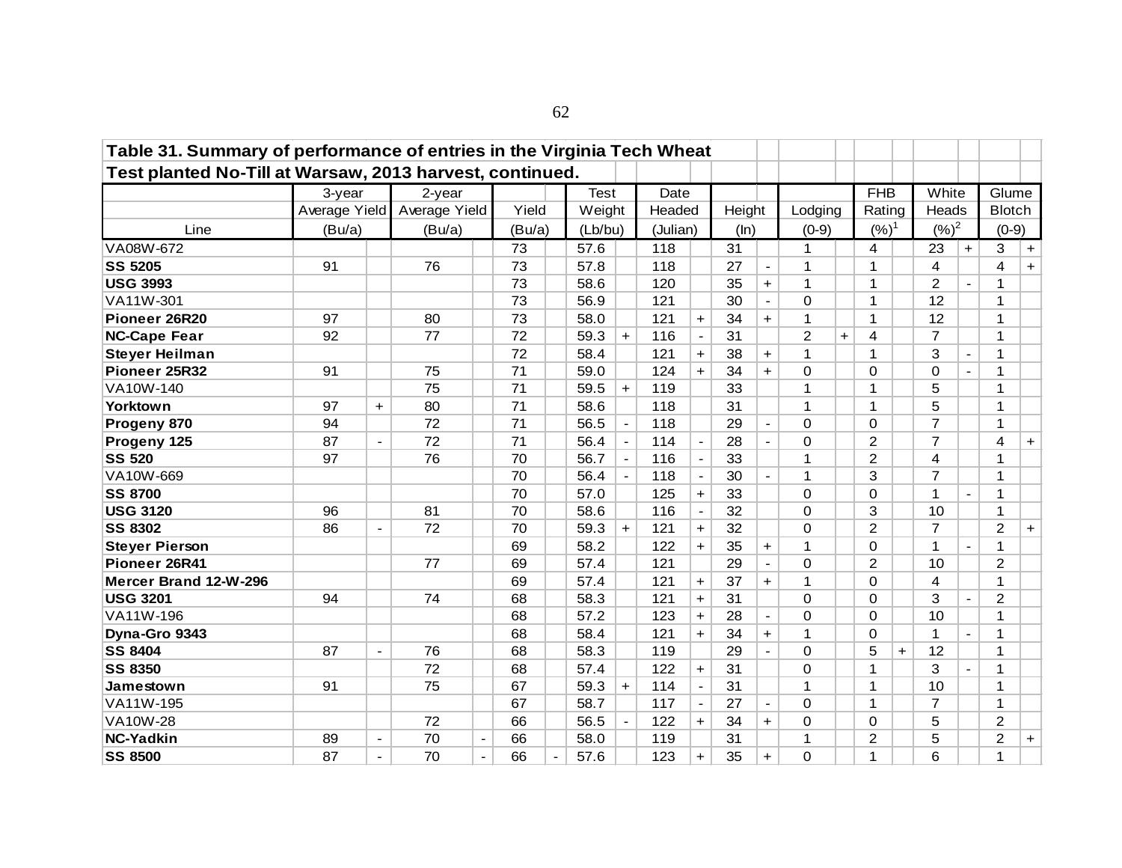| Table 31. Summary of performance of entries in the Virginia Tech Wheat |               |                |               |                          |        |                |             |                |          |                          |        |                          |                |           |                         |     |                |                          |                |           |
|------------------------------------------------------------------------|---------------|----------------|---------------|--------------------------|--------|----------------|-------------|----------------|----------|--------------------------|--------|--------------------------|----------------|-----------|-------------------------|-----|----------------|--------------------------|----------------|-----------|
| Test planted No-Till at Warsaw, 2013 harvest, continued.               |               |                |               |                          |        |                |             |                |          |                          |        |                          |                |           |                         |     |                |                          |                |           |
|                                                                        | 3-year        |                | 2-year        |                          |        |                | <b>Test</b> |                | Date     |                          |        |                          |                |           | <b>FHB</b>              |     | White          |                          | Glume          |           |
|                                                                        | Average Yield |                | Average Yield |                          | Yield  |                | Weight      |                | Headed   |                          | Height |                          | Lodging        |           | Rating                  |     | Heads          |                          | <b>Blotch</b>  |           |
| Line                                                                   | (Bu/a)        |                | (Bu/a)        |                          | (Bu/a) |                | (Lb/bu)     |                | (Julian) |                          | (ln)   |                          | $(0-9)$        |           | $(%)^1$                 |     | $({\%})^2$     |                          | $(0-9)$        |           |
| VA08W-672                                                              |               |                |               |                          | 73     |                | 57.6        |                | 118      |                          | 31     |                          | $\mathbf{1}$   |           | $\overline{\mathbf{4}}$ |     | 23             | $+$                      | 3              | $+$       |
| <b>SS 5205</b>                                                         | 91            |                | 76            |                          | 73     |                | 57.8        |                | 118      |                          | 27     | $\blacksquare$           | $\mathbf{1}$   |           | 1                       |     | 4              |                          | 4              | $+$       |
| <b>USG 3993</b>                                                        |               |                |               |                          | 73     |                | 58.6        |                | 120      |                          | 35     | $\ddot{\phantom{1}}$     | $\mathbf{1}$   |           | 1                       |     | $\overline{2}$ | $\overline{a}$           | 1              |           |
| VA11W-301                                                              |               |                |               |                          | 73     |                | 56.9        |                | 121      |                          | 30     | $\blacksquare$           | $\mathbf 0$    |           | $\mathbf{1}$            |     | 12             |                          | 1              |           |
| Pioneer 26R20                                                          | 97            |                | 80            |                          | 73     |                | 58.0        |                | 121      | $+$                      | 34     | $+$                      | $\mathbf{1}$   |           | $\mathbf 1$             |     | 12             |                          | 1              |           |
| <b>NC-Cape Fear</b>                                                    | 92            |                | 77            |                          | 72     |                | 59.3        | $+$            | 116      |                          | 31     |                          | $\overline{c}$ | $\ddot{}$ | $\overline{4}$          |     | $\overline{7}$ |                          | 1              |           |
| <b>Steyer Heilman</b>                                                  |               |                |               |                          | 72     |                | 58.4        |                | 121      | $+$                      | 38     | $+$                      | $\mathbf{1}$   |           | $\mathbf 1$             |     | 3              | $\blacksquare$           | 1              |           |
| Pioneer 25R32                                                          | 91            |                | 75            |                          | 71     |                | 59.0        |                | 124      | $+$                      | 34     | $+$                      | 0              |           | $\Omega$                |     | 0              | $\overline{a}$           | 1              |           |
| VA10W-140                                                              |               |                | 75            |                          | 71     |                | 59.5        | $+$            | 119      |                          | 33     |                          | $\mathbf 1$    |           | 1                       |     | 5              |                          | 1              |           |
| Yorktown                                                               | 97            | $+$            | 80            |                          | 71     |                | 58.6        |                | 118      |                          | 31     |                          | $\mathbf{1}$   |           | $\overline{1}$          |     | 5              |                          | 1              |           |
| Progeny 870                                                            | 94            |                | 72            |                          | 71     |                | 56.5        |                | 118      |                          | 29     | $\overline{\phantom{a}}$ | 0              |           | $\Omega$                |     | $\overline{7}$ |                          | 1              |           |
| Progeny 125                                                            | 87            | $\blacksquare$ | 72            |                          | 71     |                | 56.4        | $\blacksquare$ | 114      | $\overline{\phantom{a}}$ | 28     | $\blacksquare$           | 0              |           | $\overline{2}$          |     | $\overline{7}$ |                          | 4              | $+$       |
| <b>SS 520</b>                                                          | 97            |                | 76            |                          | 70     |                | 56.7        | $\blacksquare$ | 116      | $\blacksquare$           | 33     |                          | $\mathbf{1}$   |           | $\overline{2}$          |     | 4              |                          | 1              |           |
| VA10W-669                                                              |               |                |               |                          | 70     |                | 56.4        | $\mathbf{r}$   | 118      | $\blacksquare$           | 30     | $\blacksquare$           | $\mathbf{1}$   |           | 3                       |     | $\overline{7}$ |                          | 1              |           |
| <b>SS 8700</b>                                                         |               |                |               |                          | 70     |                | 57.0        |                | 125      | $+$                      | 33     |                          | 0              |           | $\mathbf 0$             |     | $\mathbf{1}$   | $\overline{a}$           | 1              |           |
| <b>USG 3120</b>                                                        | 96            |                | 81            |                          | 70     |                | 58.6        |                | 116      | $\blacksquare$           | 32     |                          | $\mathbf 0$    |           | 3                       |     | 10             |                          | 1              |           |
| <b>SS 8302</b>                                                         | 86            | $\hbox{--}$    | 72            |                          | 70     |                | 59.3        | $+$            | 121      | $+$                      | 32     |                          | 0              |           | $\overline{c}$          |     | $\overline{7}$ |                          | $\overline{c}$ | $\ddot{}$ |
| <b>Steyer Pierson</b>                                                  |               |                |               |                          | 69     |                | 58.2        |                | 122      | $+$                      | 35     | $\ddot{}$                | $\mathbf{1}$   |           | $\Omega$                |     | $\mathbf{1}$   | $\blacksquare$           | 1              |           |
| Pioneer 26R41                                                          |               |                | 77            |                          | 69     |                | 57.4        |                | 121      |                          | 29     | $\blacksquare$           | $\mathbf 0$    |           | $\overline{2}$          |     | 10             |                          | $\overline{2}$ |           |
| Mercer Brand 12-W-296                                                  |               |                |               |                          | 69     |                | 57.4        |                | 121      | $+$                      | 37     | $+$                      | $\mathbf{1}$   |           | $\Omega$                |     | 4              |                          | 1              |           |
| <b>USG 3201</b>                                                        | 94            |                | 74            |                          | 68     |                | 58.3        |                | 121      | $+$                      | 31     |                          | $\mathbf 0$    |           | $\Omega$                |     | 3              | $\overline{\phantom{a}}$ | $\overline{2}$ |           |
| VA11W-196                                                              |               |                |               |                          | 68     |                | 57.2        |                | 123      | $+$                      | 28     | $\blacksquare$           | $\mathbf 0$    |           | $\Omega$                |     | 10             |                          | 1              |           |
| Dyna-Gro 9343                                                          |               |                |               |                          | 68     |                | 58.4        |                | 121      | $+$                      | 34     | $+$                      | $\mathbf 1$    |           | $\Omega$                |     | 1              | $\overline{\phantom{a}}$ | 1              |           |
| <b>SS 8404</b>                                                         | 87            | $\blacksquare$ | 76            |                          | 68     |                | 58.3        |                | 119      |                          | 29     |                          | $\mathbf 0$    |           | 5                       | $+$ | 12             |                          | 1              |           |
| <b>SS 8350</b>                                                         |               |                | 72            |                          | 68     |                | 57.4        |                | 122      | $+$                      | 31     |                          | 0              |           | $\mathbf{1}$            |     | 3              | $\blacksquare$           | 1              |           |
| Jamestown                                                              | 91            |                | 75            |                          | 67     |                | 59.3        | $+$            | 114      | $\blacksquare$           | 31     |                          | $\mathbf{1}$   |           | $\mathbf 1$             |     | 10             |                          | $\mathbf 1$    |           |
| VA11W-195                                                              |               |                |               |                          | 67     |                | 58.7        |                | 117      | $\blacksquare$           | 27     | $\blacksquare$           | $\mathbf 0$    |           | 1                       |     | $\overline{7}$ |                          | 1              |           |
| <b>VA10W-28</b>                                                        |               |                | 72            |                          | 66     |                | 56.5        |                | 122      | $+$                      | 34     | $+$                      | 0              |           | $\Omega$                |     | 5              |                          | $\overline{c}$ |           |
| <b>NC-Yadkin</b>                                                       | 89            | $\blacksquare$ | 70            |                          | 66     |                | 58.0        |                | 119      |                          | 31     |                          | $\mathbf 1$    |           | $\overline{2}$          |     | 5              |                          | $\overline{2}$ | $\ddot{}$ |
| <b>SS 8500</b>                                                         | 87            | $\blacksquare$ | 70            | $\overline{\phantom{a}}$ | 66     | $\blacksquare$ | 57.6        |                | 123      | $+$                      | 35     | $+$                      | $\mathbf 0$    |           | 1                       |     | 6              |                          | 1              |           |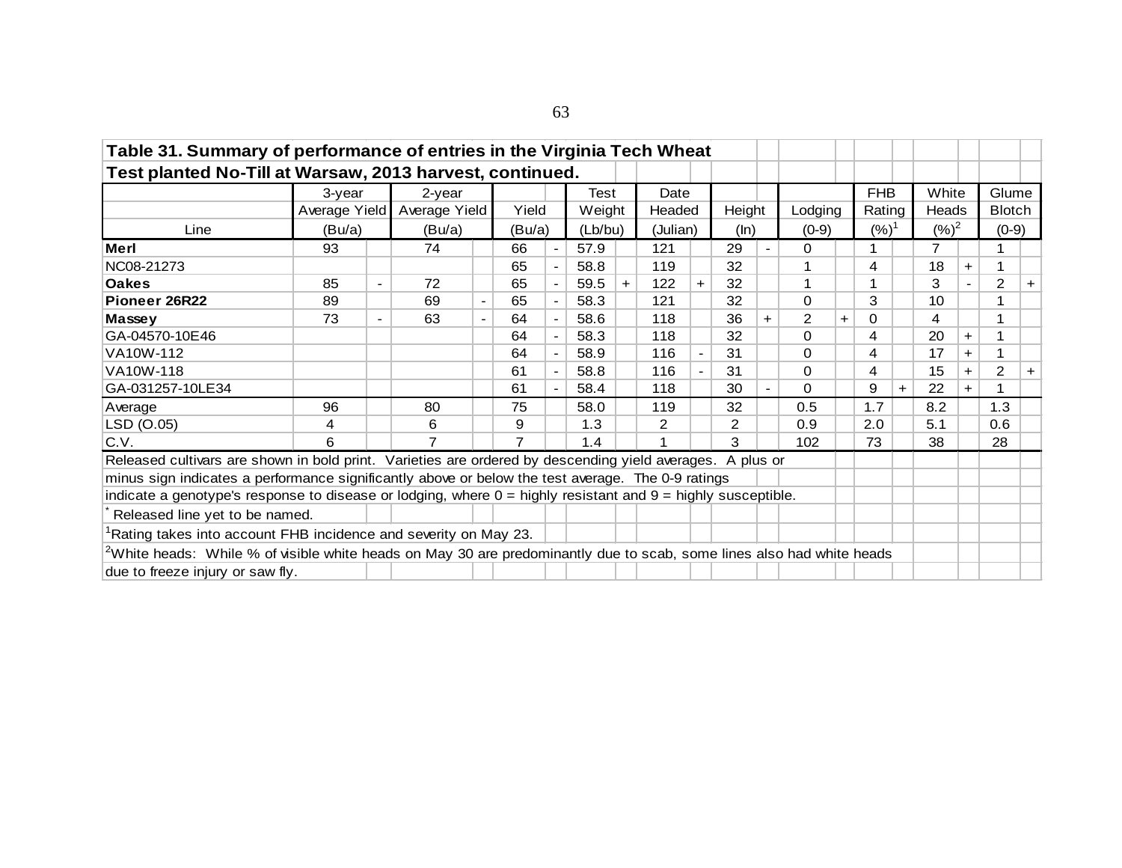| Table 31. Summary of performance of entries in the Virginia Tech Wheat                                                   |               |                              |                |                          |                |                          |        |         |                |          |                |                |                |     |            |       |                 |           |                |     |
|--------------------------------------------------------------------------------------------------------------------------|---------------|------------------------------|----------------|--------------------------|----------------|--------------------------|--------|---------|----------------|----------|----------------|----------------|----------------|-----|------------|-------|-----------------|-----------|----------------|-----|
| Test planted No-Till at Warsaw, 2013 harvest, continued.                                                                 |               |                              |                |                          |                |                          |        |         |                |          |                |                |                |     |            |       |                 |           |                |     |
|                                                                                                                          | 3-year        |                              | 2-year         |                          |                |                          | Test   |         | Date           |          |                |                |                |     | <b>FHB</b> |       | White           |           | Glume          |     |
|                                                                                                                          | Average Yield |                              | Average Yield  |                          | Yield          |                          | Weight |         | Headed         |          | Height         |                | Lodging        |     | Rating     |       | Heads           |           | <b>Blotch</b>  |     |
| Line                                                                                                                     | (Bu/a)        |                              | (Bu/a)         |                          | (Bu/a)         |                          |        | (Lb/bu) |                | (Julian) |                | (ln)           | $(0-9)$        |     | $({\%})^1$ |       | $({\%})^2$      |           | $(0-9)$        |     |
| Merl                                                                                                                     | 93            |                              | 74             |                          | 66             | $\blacksquare$           | 57.9   |         | 121            |          | 29             | $\blacksquare$ | 0              |     |            |       | 7               |           |                |     |
| NC08-21273                                                                                                               |               |                              |                |                          | 65             | $\blacksquare$           | 58.8   |         | 119            |          | 32             |                |                |     | 4          |       | 18              | $\ddot{}$ | 1              |     |
| <b>Oakes</b>                                                                                                             | 85            | $\overline{\phantom{a}}$     | 72             |                          | 65             | $\blacksquare$           | 59.5   | $+$     | 122            | $\pm$    | 32             |                | 1              |     |            |       | 3               |           | $\overline{2}$ | $+$ |
| Pioneer 26R22                                                                                                            | 89            |                              | 69             | $\blacksquare$           | 65             | $\overline{\phantom{a}}$ | 58.3   |         | 121            |          | 32             |                | 0              |     | 3          |       | 10 <sup>1</sup> |           |                |     |
| Massey                                                                                                                   | 73            | $\qquad \qquad \blacksquare$ | 63             | $\overline{\phantom{a}}$ | 64             | $\blacksquare$           | 58.6   |         | 118            |          | 36             | $\ddot{}$      | $\overline{2}$ | $+$ | 0          |       | 4               |           |                |     |
| GA-04570-10E46                                                                                                           |               |                              |                |                          | 64             | $\blacksquare$           | 58.3   |         | 118            |          | 32             |                | $\Omega$       |     | 4          |       | 20              | $+$       | 1              |     |
| VA10W-112                                                                                                                |               |                              |                |                          | 64             | $\blacksquare$           | 58.9   |         | 116            |          | 31             |                | 0              |     | 4          |       | 17              | $+$       | 1              |     |
| VA10W-118                                                                                                                |               |                              |                |                          | 61             |                          | 58.8   |         | 116            |          | 31             |                | $\Omega$       |     | 4          |       | 15              | $+$       | 2              | $+$ |
| GA-031257-10LE34                                                                                                         |               |                              |                |                          | 61             | $\blacksquare$           | 58.4   |         | 118            |          | 30             |                | $\Omega$       |     | 9          | $\pm$ | 22              | $+$       |                |     |
| Average                                                                                                                  | 96            |                              | 80             |                          | 75             |                          | 58.0   |         | 119            |          | 32             |                | 0.5            |     | 1.7        |       | 8.2             |           | 1.3            |     |
| LSD (O.05)                                                                                                               | 4             |                              | 6              |                          | 9              |                          | 1.3    |         | $\overline{2}$ |          | $\overline{c}$ |                | 0.9            |     | 2.0        |       | 5.1             |           | 0.6            |     |
| C.V.                                                                                                                     | 6             |                              | $\overline{7}$ |                          | $\overline{7}$ |                          | 1.4    |         |                |          | 3              |                | 102            |     | 73         |       | 38              |           | 28             |     |
| Released cultivars are shown in bold print. Varieties are ordered by descending yield averages. A plus or                |               |                              |                |                          |                |                          |        |         |                |          |                |                |                |     |            |       |                 |           |                |     |
| minus sign indicates a performance significantly above or below the test average. The 0-9 ratings                        |               |                              |                |                          |                |                          |        |         |                |          |                |                |                |     |            |       |                 |           |                |     |
| indicate a genotype's response to disease or lodging, where $0 =$ highly resistant and $9 =$ highly susceptible.         |               |                              |                |                          |                |                          |        |         |                |          |                |                |                |     |            |       |                 |           |                |     |
| Released line yet to be named.                                                                                           |               |                              |                |                          |                |                          |        |         |                |          |                |                |                |     |            |       |                 |           |                |     |
| Rating takes into account FHB incidence and severity on May 23.                                                          |               |                              |                |                          |                |                          |        |         |                |          |                |                |                |     |            |       |                 |           |                |     |
| $2$ White heads: While % of visible white heads on May 30 are predominantly due to scab, some lines also had white heads |               |                              |                |                          |                |                          |        |         |                |          |                |                |                |     |            |       |                 |           |                |     |
| due to freeze injury or saw fly.                                                                                         |               |                              |                |                          |                |                          |        |         |                |          |                |                |                |     |            |       |                 |           |                |     |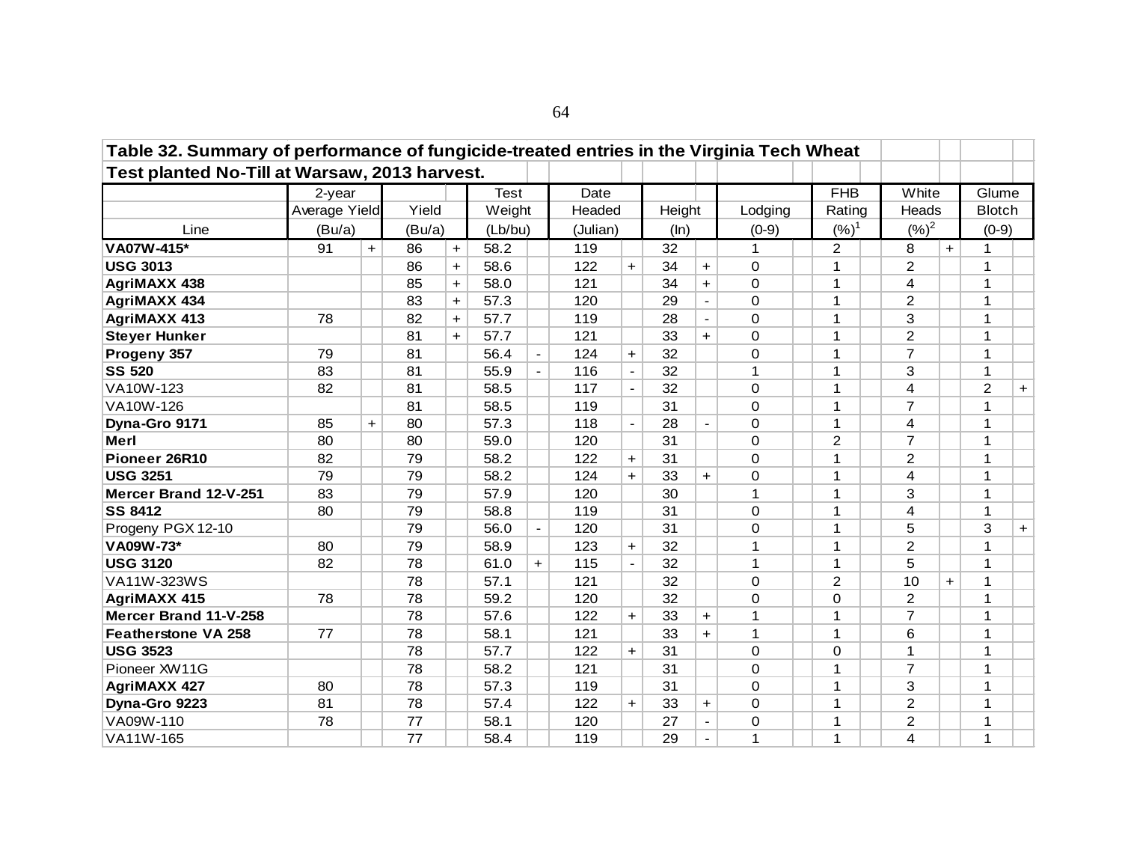| Table 32. Summary of performance of fungicide-treated entries in the Virginia Tech Wheat |               |     |        |           |             |                          |        |                          |        |                          |             |  |              |  |                |     |                |     |
|------------------------------------------------------------------------------------------|---------------|-----|--------|-----------|-------------|--------------------------|--------|--------------------------|--------|--------------------------|-------------|--|--------------|--|----------------|-----|----------------|-----|
| Test planted No-Till at Warsaw, 2013 harvest.                                            |               |     |        |           |             |                          |        |                          |        |                          |             |  |              |  |                |     |                |     |
|                                                                                          | 2-year        |     |        |           | <b>Test</b> |                          | Date   |                          |        |                          |             |  | <b>FHB</b>   |  | White          |     | Glume          |     |
|                                                                                          | Average Yield |     | Yield  |           | Weight      |                          | Headed |                          | Height |                          | Lodging     |  | Rating       |  | Heads          |     | <b>Blotch</b>  |     |
| Line                                                                                     | (Bu/a)        |     | (Bu/a) |           | (Lb/bu)     |                          |        | (Julian)                 |        |                          | $(0-9)$     |  | $(%)^1$      |  | $(%)^2$        |     | $(0-9)$        |     |
| VA07W-415*                                                                               | 91            | $+$ | 86     | $+$       | 58.2        |                          | 119    |                          | 32     |                          | 1           |  | 2            |  | 8              | $+$ | $\mathbf 1$    |     |
| <b>USG 3013</b>                                                                          |               |     | 86     | $\ddot{}$ | 58.6        |                          | 122    | $+$                      | 34     | $+$                      | $\Omega$    |  | 1            |  | $\overline{2}$ |     | $\mathbf 1$    |     |
| <b>AgriMAXX 438</b>                                                                      |               |     | 85     | $\ddot{}$ | 58.0        |                          | 121    |                          | 34     | $\ddot{}$                | 0           |  | 1            |  | 4              |     | 1              |     |
| <b>AgriMAXX 434</b>                                                                      |               |     | 83     | $+$       | 57.3        |                          | 120    |                          | 29     | $\blacksquare$           | 0           |  | 1            |  | $\overline{2}$ |     | 1              |     |
| <b>AgriMAXX 413</b>                                                                      | 78            |     | 82     | $+$       | 57.7        |                          | 119    |                          | 28     | $\mathbf{r}$             | 0           |  | 1            |  | 3              |     | $\mathbf 1$    |     |
| <b>Steyer Hunker</b>                                                                     |               |     | 81     | $+$       | 57.7        |                          | 121    |                          | 33     | $\ddot{\phantom{1}}$     | $\Omega$    |  | 1            |  | $\overline{2}$ |     | $\mathbf 1$    |     |
| Progeny 357                                                                              | 79            |     | 81     |           | 56.4        |                          | 124    | $+$                      | 32     |                          | $\Omega$    |  | 1            |  | $\overline{7}$ |     | $\mathbf{1}$   |     |
| <b>SS 520</b>                                                                            | 83            |     | 81     |           | 55.9        | $\blacksquare$           | 116    | $\overline{\phantom{a}}$ | 32     |                          | 1           |  | 1            |  | 3              |     | $\mathbf{1}$   |     |
| VA10W-123                                                                                | 82            |     | 81     |           | 58.5        |                          | 117    | $\overline{\phantom{a}}$ | 32     |                          | $\Omega$    |  | 1            |  | $\overline{4}$ |     | $\overline{2}$ | $+$ |
| VA10W-126                                                                                |               |     | 81     |           | 58.5        |                          | 119    |                          | 31     |                          | $\Omega$    |  | 1            |  | $\overline{7}$ |     | 1              |     |
| Dyna-Gro 9171                                                                            | 85            | $+$ | 80     |           | 57.3        |                          | 118    | $\overline{\phantom{a}}$ | 28     | $\overline{\phantom{a}}$ | $\mathbf 0$ |  | 1            |  | 4              |     | 1              |     |
| Merl                                                                                     | 80            |     | 80     |           | 59.0        |                          | 120    |                          | 31     |                          | $\Omega$    |  | 2            |  | $\overline{7}$ |     | 1              |     |
| Pioneer 26R10                                                                            | 82            |     | 79     |           | 58.2        |                          | 122    | $+$                      | 31     |                          | $\Omega$    |  | 1            |  | $\overline{2}$ |     | 1              |     |
| <b>USG 3251</b>                                                                          | 79            |     | 79     |           | 58.2        |                          | 124    | $+$                      | 33     | $\ddagger$               | $\Omega$    |  | 1            |  | 4              |     | $\mathbf 1$    |     |
| Mercer Brand 12-V-251                                                                    | 83            |     | 79     |           | 57.9        |                          | 120    |                          | 30     |                          | 1           |  | 1            |  | 3              |     | 1              |     |
| <b>SS 8412</b>                                                                           | 80            |     | 79     |           | 58.8        |                          | 119    |                          | 31     |                          | 0           |  | $\mathbf{1}$ |  | 4              |     | 1              |     |
| Progeny PGX 12-10                                                                        |               |     | 79     |           | 56.0        | $\overline{\phantom{a}}$ | 120    |                          | 31     |                          | 0           |  | $\mathbf{1}$ |  | 5              |     | 3              | $+$ |
| VA09W-73*                                                                                | 80            |     | 79     |           | 58.9        |                          | 123    | $+$                      | 32     |                          | 1           |  | $\mathbf{1}$ |  | $\overline{2}$ |     |                |     |
| <b>USG 3120</b>                                                                          | 82            |     | 78     |           | 61.0        | $+$                      | 115    | $\blacksquare$           | 32     |                          | 1           |  | $\mathbf{1}$ |  | 5              |     | 1              |     |
| VA11W-323WS                                                                              |               |     | 78     |           | 57.1        |                          | 121    |                          | 32     |                          | $\Omega$    |  | 2            |  | 10             | $+$ | $\mathbf 1$    |     |
| <b>AgriMAXX 415</b>                                                                      | 78            |     | 78     |           | 59.2        |                          | 120    |                          | 32     |                          | $\Omega$    |  | 0            |  | $\overline{2}$ |     | 1              |     |
| Mercer Brand 11-V-258                                                                    |               |     | 78     |           | 57.6        |                          | 122    | $+$                      | 33     | $\div$                   | 1           |  | $\mathbf{1}$ |  | $\overline{7}$ |     | $\mathbf{1}$   |     |
| <b>Featherstone VA 258</b>                                                               | 77            |     | 78     |           | 58.1        |                          | 121    |                          | 33     | $+$                      | 1           |  | $\mathbf{1}$ |  | 6              |     | $\mathbf{1}$   |     |
| <b>USG 3523</b>                                                                          |               |     | 78     |           | 57.7        |                          | 122    | $+$                      | 31     |                          | 0           |  | $\Omega$     |  | 1              |     | 1              |     |
| Pioneer XW11G                                                                            |               |     | 78     |           | 58.2        |                          | 121    |                          | 31     |                          | $\Omega$    |  | 1            |  | $\overline{7}$ |     | 1              |     |
| <b>AgriMAXX 427</b>                                                                      | 80            |     | 78     |           | 57.3        |                          | 119    |                          | 31     |                          | $\Omega$    |  | 1            |  | 3              |     | 1              |     |
| Dyna-Gro 9223                                                                            | 81            |     | 78     |           | 57.4        |                          | 122    | $+$                      | 33     | $+$                      | $\Omega$    |  | 1            |  | $\overline{2}$ |     | 1              |     |
| VA09W-110                                                                                | 78            |     | 77     |           | 58.1        |                          | 120    |                          | 27     | $\blacksquare$           | 0           |  | 1            |  | 2              |     | 1              |     |
| VA11W-165                                                                                |               |     | 77     |           | 58.4        |                          | 119    |                          | 29     |                          | 1           |  | $\mathbf{1}$ |  | 4              |     | $\mathbf{1}$   |     |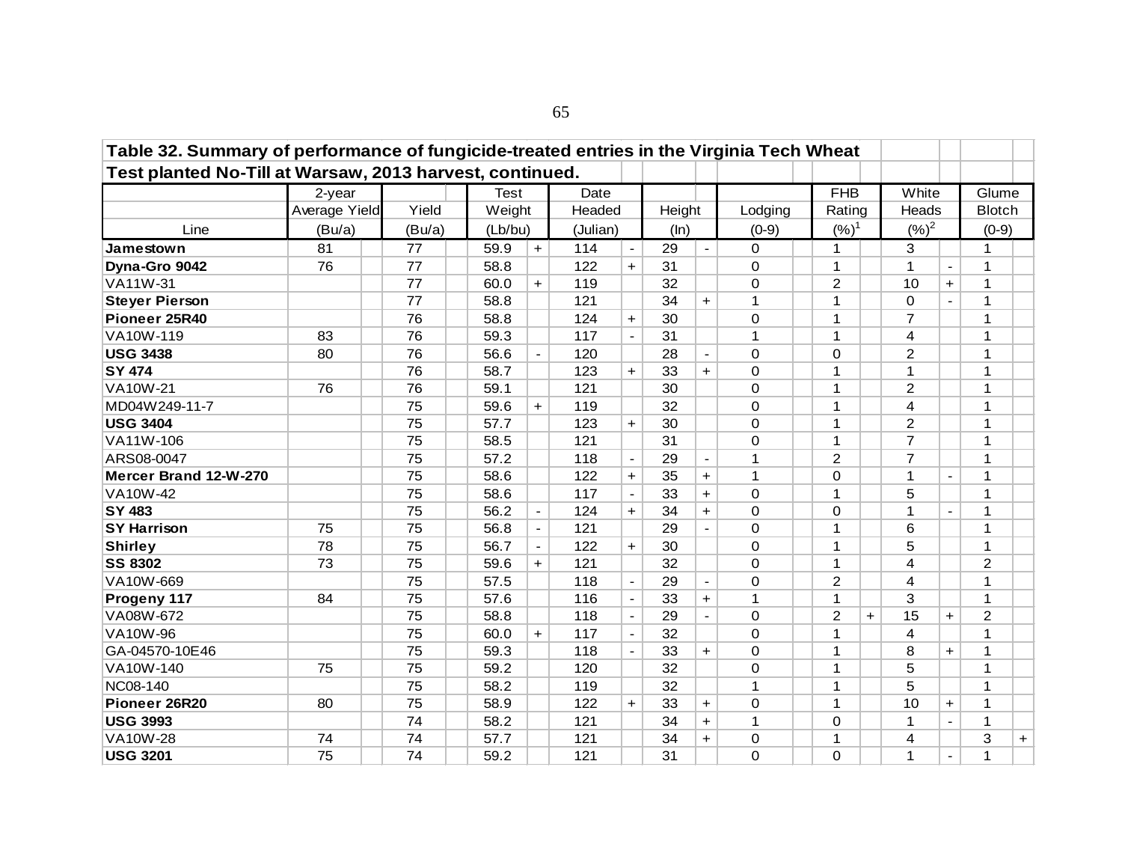| Table 32. Summary of performance of fungicide-treated entries in the Virginia Tech Wheat |               |        |             |                |            |                |        |                |                |                |     |                |                |                |           |
|------------------------------------------------------------------------------------------|---------------|--------|-------------|----------------|------------|----------------|--------|----------------|----------------|----------------|-----|----------------|----------------|----------------|-----------|
| Test planted No-Till at Warsaw, 2013 harvest, continued.                                 |               |        |             |                |            |                |        |                |                |                |     |                |                |                |           |
|                                                                                          | 2-year        |        | <b>Test</b> |                | Date       |                |        |                |                | <b>FHB</b>     |     | White          |                | Glume          |           |
|                                                                                          | Average Yield | Yield  | Weight      |                | Headed     |                | Height |                | Lodging        | Rating         |     | Heads          |                | <b>Blotch</b>  |           |
| Line                                                                                     | (Bu/a)        | (Bu/a) | (Lb/bu)     |                | (Julian)   |                | (ln)   |                | $(0-9)$        | $(%)^1$        |     | $({\%})^2$     |                | $(0-9)$        |           |
| Jamestown                                                                                | 81            | 77     |             | 59.9<br>$+$    |            | $\blacksquare$ | 29     | $\Delta$       | $\Omega$       | 1              |     | 3              |                | $\mathbf{1}$   |           |
| Dyna-Gro 9042                                                                            | 76            | 77     | 58.8        |                | 114<br>122 | $\ddagger$     | 31     |                | $\Omega$       | $\mathbf{1}$   |     | 1              | $\blacksquare$ | $\mathbf{1}$   |           |
| VA11W-31                                                                                 |               | 77     | 60.0        | $\ddot{}$      | 119        |                | 32     |                | 0              | 2              |     | 10             | $+$            | $\mathbf{1}$   |           |
| <b>Steyer Pierson</b>                                                                    |               | 77     | 58.8        |                | 121        |                | 34     | $+$            | 1              | 1              |     | $\Omega$       |                | 1              |           |
| Pioneer 25R40                                                                            |               | 76     | 58.8        |                | 124        | $\ddagger$     | 30     |                | 0              | 1              |     | $\overline{7}$ |                | 1              |           |
| VA10W-119                                                                                | 83            | 76     | 59.3        |                | 117        | $\blacksquare$ | 31     |                | 1              | 1              |     | $\overline{4}$ |                | $\mathbf 1$    |           |
| <b>USG 3438</b>                                                                          | 80            | 76     | 56.6        | $\blacksquare$ | 120        |                | 28     | $\blacksquare$ | $\overline{0}$ | $\Omega$       |     | $\overline{2}$ |                | $\mathbf{1}$   |           |
| <b>SY 474</b>                                                                            |               | 76     | 58.7        |                | 123        | $+$            | 33     | $+$            | 0              | 1              |     | $\mathbf{1}$   |                | $\mathbf{1}$   |           |
| <b>VA10W-21</b>                                                                          | 76            | 76     | 59.1        |                | 121        |                | 30     |                | $\mathbf 0$    | 1              |     | $\overline{c}$ |                | 1              |           |
| MD04W249-11-7                                                                            |               | 75     | 59.6        | $+$            | 119        |                | 32     |                | $\Omega$       | 1              |     | 4              |                | $\mathbf{1}$   |           |
| <b>USG 3404</b>                                                                          |               | 75     | 57.7        |                | 123        | $\ddagger$     | 30     |                | $\mathbf 0$    | 1              |     | $\overline{2}$ |                | $\mathbf{1}$   |           |
| VA11W-106                                                                                |               | 75     | 58.5        |                | 121        |                | 31     |                | 0              | 1              |     | $\overline{7}$ |                | $\mathbf{1}$   |           |
| ARS08-0047                                                                               |               | 75     | 57.2        |                | 118        | $\sim$         | 29     | $\sim$         | 1              | $\overline{2}$ |     | $\overline{7}$ |                | $\mathbf{1}$   |           |
| Mercer Brand 12-W-270                                                                    |               | 75     | 58.6        |                | 122        | $\ddagger$     | 35     | $+$            | 1              | 0              |     | $\mathbf{1}$   | $\blacksquare$ | $\mathbf{1}$   |           |
| VA10W-42                                                                                 |               | 75     | 58.6        |                | 117        | $\blacksquare$ | 33     | $\ddot{}$      | 0              | $\mathbf{1}$   |     | 5              |                | $\mathbf{1}$   |           |
| <b>SY 483</b>                                                                            |               | 75     | 56.2        |                | 124        | $+$            | 34     | $+$            | $\Omega$       | 0              |     | 1              |                | $\mathbf{1}$   |           |
| <b>SY Harrison</b>                                                                       | 75            | 75     | 56.8        | $\blacksquare$ | 121        |                | 29     |                | 0              | 1              |     | 6              |                | $\mathbf{1}$   |           |
| <b>Shirley</b>                                                                           | 78            | 75     | 56.7        | $\blacksquare$ | 122        | $\ddagger$     | 30     |                | 0              | 1              |     | 5              |                | $\mathbf{1}$   |           |
| <b>SS 8302</b>                                                                           | 73            | 75     | 59.6        | $+$            | 121        |                | 32     |                | 0              | 1              |     | $\overline{4}$ |                | $\overline{2}$ |           |
| VA10W-669                                                                                |               | 75     | 57.5        |                | 118        | $\blacksquare$ | 29     | $\blacksquare$ | 0              | $\overline{2}$ |     | 4              |                | $\mathbf{1}$   |           |
| Progeny 117                                                                              | 84            | 75     | 57.6        |                | 116        | $\blacksquare$ | 33     | $+$            | 1              | 1              |     | 3              |                | $\mathbf{1}$   |           |
| VA08W-672                                                                                |               | 75     | 58.8        |                | 118        | $\blacksquare$ | 29     | $\overline{a}$ | $\Omega$       | $\overline{2}$ | $+$ | 15             | $+$            | 2              |           |
| VA10W-96                                                                                 |               | 75     | 60.0        | $+$            | 117        |                | 32     |                | $\Omega$       | 1              |     | 4              |                | 1              |           |
| GA-04570-10E46                                                                           |               | 75     | 59.3        |                | 118        | $\blacksquare$ | 33     | $+$            | 0              | 1              |     | 8              | $+$            | $\mathbf{1}$   |           |
| VA10W-140                                                                                | 75            | 75     | 59.2        |                | 120        |                | 32     |                | $\Omega$       | 1              |     | 5              |                | $\mathbf{1}$   |           |
| NC08-140                                                                                 |               | 75     | 58.2        |                | 119        |                | 32     |                | 1              | 1              |     | 5              |                | $\mathbf{1}$   |           |
| Pioneer 26R20                                                                            | 80            | 75     | 58.9        |                | 122        | $\ddagger$     | 33     | $+$            | 0              | 1              |     | 10             | $+$            | $\mathbf{1}$   |           |
| <b>USG 3993</b>                                                                          |               | 74     | 58.2        |                | 121        |                | 34     | $\ddot{}$      | 1              | 0              |     | $\mathbf{1}$   | $\overline{a}$ | $\mathbf{1}$   |           |
| <b>VA10W-28</b>                                                                          | 74            | 74     | 57.7        |                | 121        |                | 34     | $+$            | 0              | 1              |     | 4              |                | 3              | $\ddot{}$ |
| <b>USG 3201</b>                                                                          | 75            | 74     | 59.2        |                | 121        |                | 31     |                | 0              | 0              |     | 1              | $\blacksquare$ | 1              |           |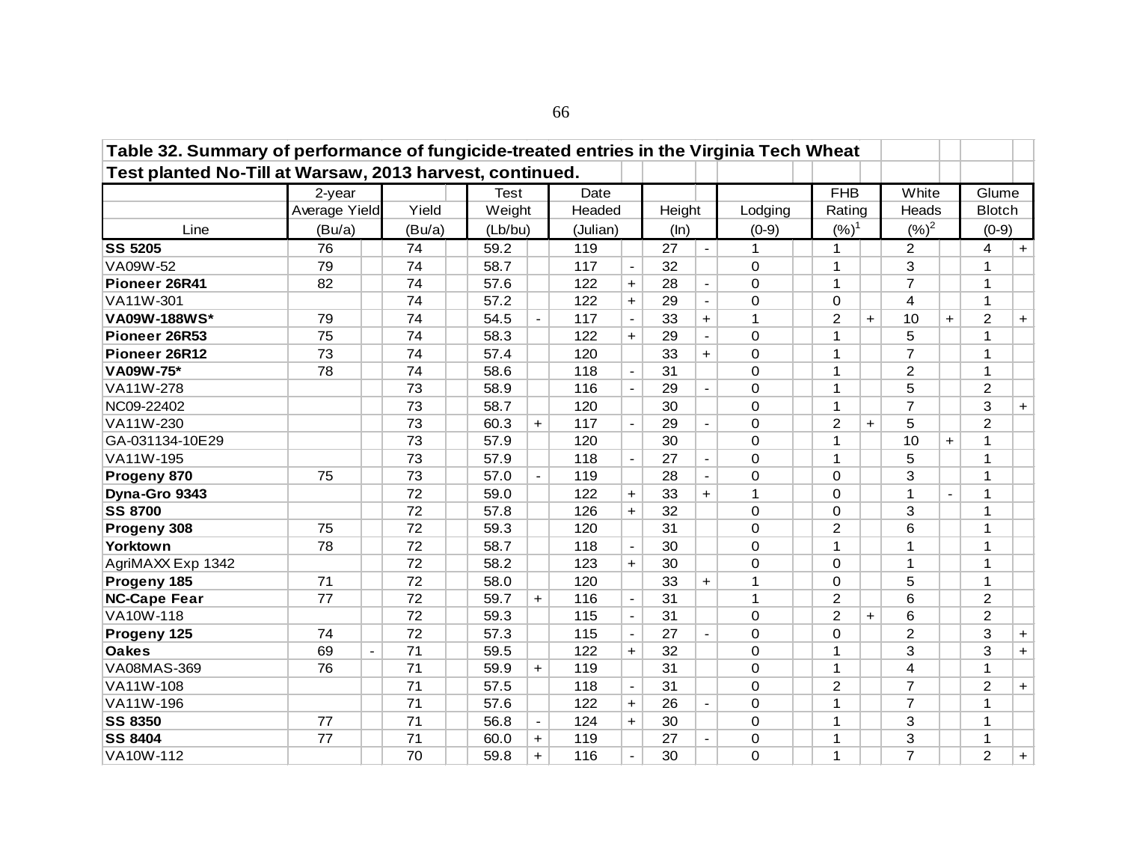| Table 32. Summary of performance of fungicide-treated entries in the Virginia Tech Wheat |                      |        |         |                |          |                          |        |                          |              |                |     |                         |     |                |           |
|------------------------------------------------------------------------------------------|----------------------|--------|---------|----------------|----------|--------------------------|--------|--------------------------|--------------|----------------|-----|-------------------------|-----|----------------|-----------|
| Test planted No-Till at Warsaw, 2013 harvest, continued.                                 |                      |        |         |                |          |                          |        |                          |              |                |     |                         |     |                |           |
|                                                                                          | $2$ -year            |        | Test    |                | Date     |                          |        |                          |              | <b>FHB</b>     |     | White                   |     | Glume          |           |
|                                                                                          | Average Yield        | Yield  | Weight  |                | Headed   |                          | Height |                          | Lodging      | Rating         |     | Heads                   |     | <b>Blotch</b>  |           |
| Line                                                                                     | (Bu/a)               | (Bu/a) | (Lb/bu) |                | (Julian) |                          | (ln)   |                          | $(0-9)$      | $(%)^1$        |     | $(%)^2$                 |     | $(0-9)$        |           |
| <b>SS 5205</b>                                                                           | 76                   | 74     | 59.2    |                | 119      |                          | 27     | $\blacksquare$           | $\mathbf 1$  | 1              |     | $\overline{2}$          |     | 4              | $+$       |
| VA09W-52                                                                                 | 79                   | 74     | 58.7    |                | 117      |                          | 32     |                          | $\Omega$     | 1              |     | 3                       |     | $\mathbf{1}$   |           |
| Pioneer 26R41                                                                            | 82                   | 74     | 57.6    |                | 122      | $+$                      | 28     |                          | $\mathbf 0$  | 1              |     | $\overline{7}$          |     | $\mathbf{1}$   |           |
| VA11W-301                                                                                |                      | 74     | 57.2    |                | 122      | $+$                      | 29     | $\overline{\phantom{a}}$ | $\Omega$     | 0              |     | $\overline{\mathbf{4}}$ |     | $\mathbf{1}$   |           |
| VA09W-188WS*                                                                             | 79                   | 74     | 54.5    |                | 117      | $\blacksquare$           | 33     | $+$                      | 1            | $\overline{2}$ | $+$ | 10                      | $+$ | $\overline{2}$ | $+$       |
| Pioneer 26R53                                                                            | 75                   | 74     | 58.3    |                | 122      | $+$                      | 29     | $\blacksquare$           | $\mathbf 0$  | 1              |     | 5                       |     | $\mathbf{1}$   |           |
| Pioneer 26R12                                                                            | 73                   | 74     | 57.4    |                | 120      |                          | 33     | $+$                      | $\mathbf 0$  | 1              |     | $\overline{7}$          |     | $\mathbf{1}$   |           |
| VA09W-75*                                                                                | 78                   | 74     | 58.6    |                | 118      | $\blacksquare$           | 31     |                          | $\Omega$     | 1              |     | $\overline{2}$          |     | $\mathbf{1}$   |           |
| VA11W-278                                                                                |                      | 73     | 58.9    |                | 116      | $\blacksquare$           | 29     |                          | $\Omega$     | 1              |     | 5                       |     | $\overline{2}$ |           |
| NC09-22402                                                                               |                      | 73     | 58.7    |                | 120      |                          | 30     |                          | $\mathbf 0$  | 1              |     | $\overline{7}$          |     | 3              | $+$       |
| VA11W-230                                                                                |                      | 73     | 60.3    | $+$            | 117      | $\blacksquare$           | 29     | $\blacksquare$           | $\Omega$     | $\overline{2}$ | $+$ | 5                       |     | $\overline{2}$ |           |
| GA-031134-10E29                                                                          |                      | 73     | 57.9    |                | 120      |                          | 30     |                          | $\Omega$     | $\mathbf{1}$   |     | 10                      | $+$ | $\mathbf{1}$   |           |
| VA11W-195                                                                                |                      | 73     | 57.9    |                | 118      | $\blacksquare$           | 27     | $\blacksquare$           | $\mathbf 0$  | 1              |     | 5                       |     | $\mathbf{1}$   |           |
| Progeny 870                                                                              | 75                   | 73     | 57.0    | $\blacksquare$ | 119      |                          | 28     | $\blacksquare$           | $\Omega$     | $\Omega$       |     | 3                       |     | $\mathbf 1$    |           |
| Dyna-Gro 9343                                                                            |                      | 72     | 59.0    |                | 122      | $+$                      | 33     | $+$                      | $\mathbf{1}$ | $\Omega$       |     | $\mathbf{1}$            |     | $\mathbf{1}$   |           |
| <b>SS 8700</b>                                                                           |                      | 72     | 57.8    |                | 126      | $+$                      | 32     |                          | $\mathbf 0$  | $\Omega$       |     | 3                       |     | $\mathbf{1}$   |           |
| Progeny 308                                                                              | 75                   | 72     | 59.3    |                | 120      |                          | 31     |                          | $\mathbf 0$  | $\overline{2}$ |     | 6                       |     | 1              |           |
| Yorktown                                                                                 | 78                   | 72     | 58.7    |                | 118      | $\overline{\phantom{a}}$ | 30     |                          | $\Omega$     | 1              |     | 1                       |     | $\mathbf{1}$   |           |
| AgriMAXX Exp 1342                                                                        |                      | 72     | 58.2    |                | 123      | $+$                      | 30     |                          | $\mathbf 0$  | $\Omega$       |     | $\mathbf{1}$            |     | $\mathbf{1}$   |           |
| Progeny 185                                                                              | 71                   | 72     | 58.0    |                | 120      |                          | 33     | $+$                      | 1            | 0              |     | 5                       |     | $\mathbf{1}$   |           |
| <b>NC-Cape Fear</b>                                                                      | 77                   | 72     | 59.7    | $+$            | 116      | $\blacksquare$           | 31     |                          | $\mathbf{1}$ | $\overline{2}$ |     | 6                       |     | $\overline{2}$ |           |
| VA10W-118                                                                                |                      | 72     | 59.3    |                | 115      | $\blacksquare$           | 31     |                          | $\Omega$     | 2              | $+$ | 6                       |     | $\overline{2}$ |           |
| Progeny 125                                                                              | 74                   | 72     | 57.3    |                | 115      | $\overline{\phantom{a}}$ | 27     |                          | $\mathbf 0$  | $\Omega$       |     | $\overline{c}$          |     | 3              | $+$       |
| <b>Oakes</b>                                                                             | 69<br>$\blacksquare$ | 71     | 59.5    |                | 122      | $+$                      | 32     |                          | $\Omega$     | $\mathbf{1}$   |     | 3                       |     | 3              | $+$       |
| <b>VA08MAS-369</b>                                                                       | 76                   | 71     | 59.9    | $+$            | 119      |                          | 31     |                          | $\Omega$     | $\mathbf{1}$   |     | 4                       |     | $\mathbf{1}$   |           |
| VA11W-108                                                                                |                      | 71     | 57.5    |                | 118      | $\blacksquare$           | 31     |                          | $\mathbf 0$  | $\overline{2}$ |     | $\overline{7}$          |     | 2              | $+$       |
| VA11W-196                                                                                |                      | 71     | 57.6    |                | 122      | $+$                      | 26     | $\blacksquare$           | $\Omega$     | 1              |     | $\overline{7}$          |     | $\mathbf 1$    |           |
| <b>SS 8350</b>                                                                           | 77                   | 71     | 56.8    |                | 124      | $+$                      | 30     |                          | $\Omega$     | 1              |     | 3                       |     | $\mathbf{1}$   |           |
| <b>SS 8404</b>                                                                           | 77                   | 71     | 60.0    | $+$            | 119      |                          | 27     |                          | $\mathbf 0$  | 1              |     | 3                       |     | 1              |           |
| VA10W-112                                                                                |                      | 70     | 59.8    | $+$            | 116      | $\blacksquare$           | 30     |                          | 0            | 1              |     | $\overline{7}$          |     | $\overline{2}$ | $\ddot{}$ |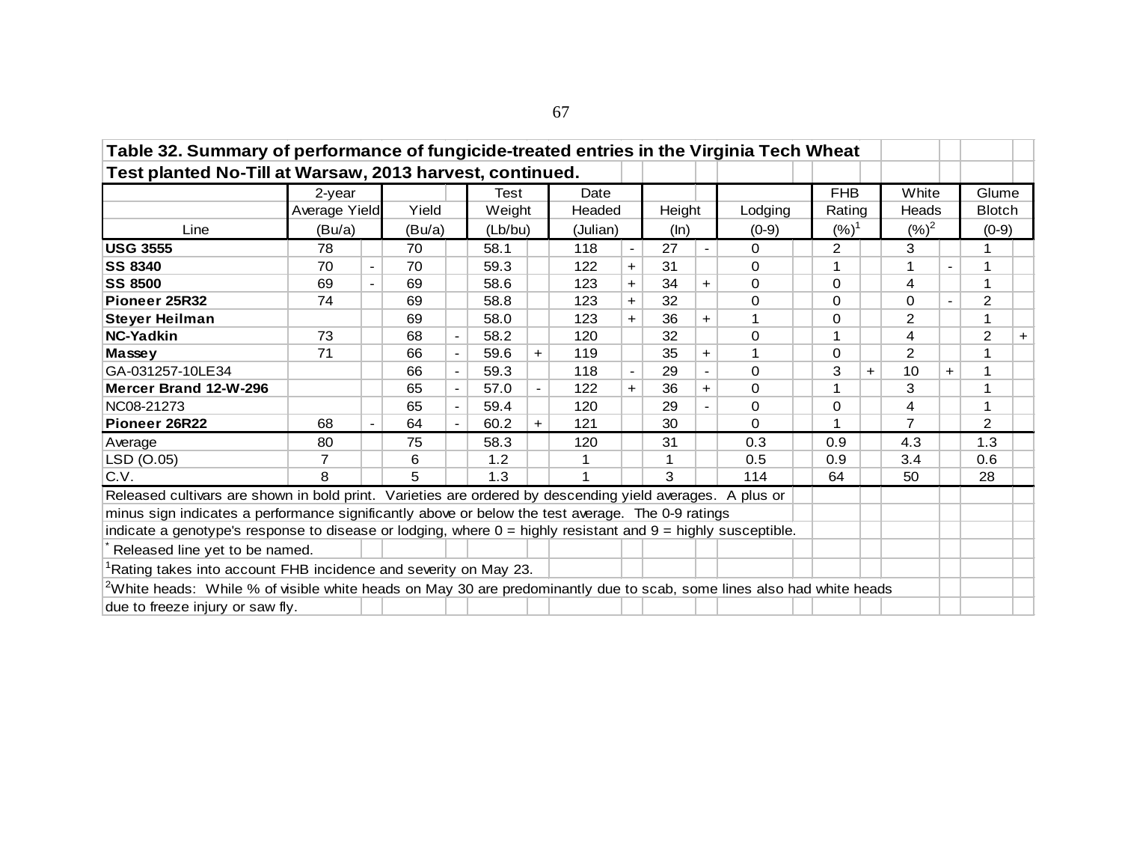| Table 32. Summary of performance of fungicide-treated entries in the Virginia Tech Wheat                                 |               |                |        |                          |        |                          |      |                |    |                |          |  |               |     |                |                |                |     |
|--------------------------------------------------------------------------------------------------------------------------|---------------|----------------|--------|--------------------------|--------|--------------------------|------|----------------|----|----------------|----------|--|---------------|-----|----------------|----------------|----------------|-----|
| Test planted No-Till at Warsaw, 2013 harvest, continued.                                                                 |               |                |        |                          |        |                          |      |                |    |                |          |  |               |     |                |                |                |     |
|                                                                                                                          | $2$ -year     |                |        |                          | Test   |                          | Date |                |    |                |          |  | <b>FHB</b>    |     | White          |                | Glume          |     |
|                                                                                                                          | Average Yield |                | Yield  |                          | Weight |                          |      | Headed         |    | Height         | Lodging  |  | Rating        |     | Heads          |                | <b>Blotch</b>  |     |
| Line                                                                                                                     | (Bu/a)        |                | (Bu/a) |                          |        | (Lb/bu)                  |      | (Julian)       |    | (ln)           | $(0-9)$  |  | $(%)^1$       |     | $({\%})^2$     |                | $(0-9)$        |     |
| <b>USG 3555</b>                                                                                                          | 78            |                | 70     |                          | 58.1   |                          | 118  |                | 27 | $\blacksquare$ | 0        |  | $\mathcal{P}$ |     | 3              |                | 1              |     |
| <b>SS 8340</b>                                                                                                           | 70            | $\blacksquare$ | 70     |                          | 59.3   |                          | 122  | $+$            | 31 |                | $\Omega$ |  |               |     |                | $\blacksquare$ | 1              |     |
| <b>SS 8500</b>                                                                                                           | 69            |                | 69     |                          | 58.6   |                          | 123  | $+$            | 34 | $\pm$          | 0        |  | $\Omega$      |     | 4              |                |                |     |
| Pioneer 25R32                                                                                                            | 74            |                | 69     |                          | 58.8   |                          | 123  | $+$            | 32 |                | $\Omega$ |  | $\Omega$      |     | $\Omega$       |                | 2              |     |
| <b>Steyer Heilman</b>                                                                                                    |               |                | 69     |                          | 58.0   |                          | 123  | $+$            | 36 | $\pm$          |          |  | 0             |     | 2              |                | 1              |     |
| <b>NC-Yadkin</b>                                                                                                         | 73            |                | 68     | $\overline{\phantom{a}}$ | 58.2   |                          | 120  |                | 32 |                | $\Omega$ |  |               |     | 4              |                | 2              | $+$ |
| <b>Massey</b>                                                                                                            | 71            |                | 66     | $\blacksquare$           | 59.6   | $+$                      | 119  |                | 35 | $\pm$          |          |  | 0             |     | 2              |                | $\mathbf{1}$   |     |
| GA-031257-10LE34                                                                                                         |               |                | 66     | $\blacksquare$           | 59.3   |                          | 118  | $\blacksquare$ | 29 | $\blacksquare$ | $\Omega$ |  | 3             | $+$ | 10             | $\ddot{}$      | 1              |     |
| Mercer Brand 12-W-296                                                                                                    |               |                | 65     | $\blacksquare$           | 57.0   | $\overline{\phantom{a}}$ | 122  | $+$            | 36 | $\pm$          | $\Omega$ |  |               |     | 3              |                |                |     |
| NC08-21273                                                                                                               |               |                | 65     |                          | 59.4   |                          | 120  |                | 29 |                | $\Omega$ |  | 0             |     | 4              |                | 1              |     |
| Pioneer 26R22                                                                                                            | 68            |                | 64     | $\blacksquare$           | 60.2   | $+$                      | 121  |                | 30 |                | $\Omega$ |  | 1             |     | $\overline{7}$ |                | $\overline{2}$ |     |
| Average                                                                                                                  | 80            |                | 75     |                          | 58.3   |                          | 120  |                | 31 |                | 0.3      |  | 0.9           |     | 4.3            |                | 1.3            |     |
| LSD (O.05)                                                                                                               | 7             |                | 6      |                          | 1.2    |                          |      |                | 1  |                | 0.5      |  | 0.9           |     | 3.4            |                | 0.6            |     |
| C.V.                                                                                                                     | 8             |                | 5      |                          | 1.3    |                          |      |                | 3  |                | 114      |  | 64            |     | 50             |                | 28             |     |
| Released cultivars are shown in bold print. Varieties are ordered by descending yield averages. A plus or                |               |                |        |                          |        |                          |      |                |    |                |          |  |               |     |                |                |                |     |
| minus sign indicates a performance significantly above or below the test average. The 0-9 ratings                        |               |                |        |                          |        |                          |      |                |    |                |          |  |               |     |                |                |                |     |
| indicate a genotype's response to disease or lodging, where $0 =$ highly resistant and $9 =$ highly susceptible.         |               |                |        |                          |        |                          |      |                |    |                |          |  |               |     |                |                |                |     |
| Released line yet to be named.                                                                                           |               |                |        |                          |        |                          |      |                |    |                |          |  |               |     |                |                |                |     |
| Rating takes into account FHB incidence and severity on May 23.                                                          |               |                |        |                          |        |                          |      |                |    |                |          |  |               |     |                |                |                |     |
| $2$ White heads: While % of visible white heads on May 30 are predominantly due to scab, some lines also had white heads |               |                |        |                          |        |                          |      |                |    |                |          |  |               |     |                |                |                |     |
| due to freeze injury or saw fly.                                                                                         |               |                |        |                          |        |                          |      |                |    |                |          |  |               |     |                |                |                |     |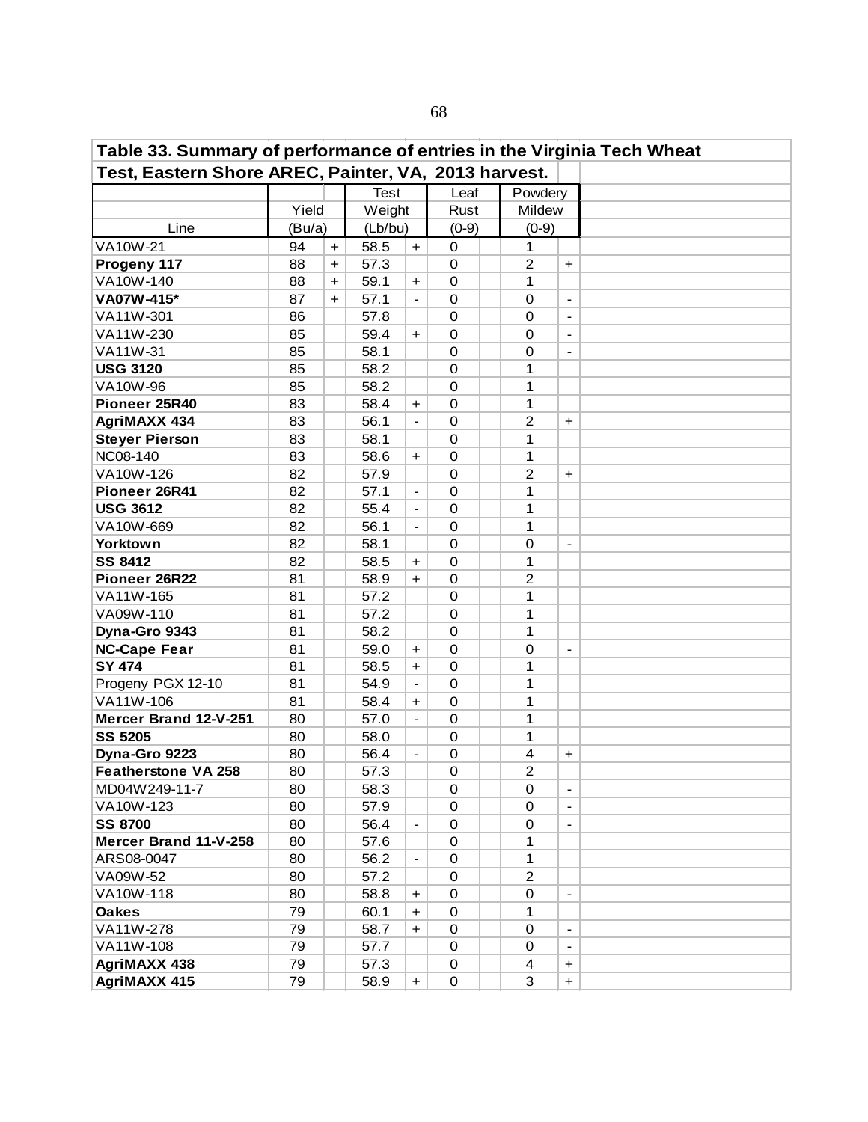| Table 33. Summary of performance of entries in the Virginia Tech Wheat |        |           |             |                          |                  |                |                              |  |
|------------------------------------------------------------------------|--------|-----------|-------------|--------------------------|------------------|----------------|------------------------------|--|
| Test, Eastern Shore AREC, Painter, VA, 2013 harvest.                   |        |           |             |                          |                  |                |                              |  |
|                                                                        |        |           | <b>Test</b> |                          | Leaf             | Powdery        |                              |  |
|                                                                        | Yield  |           | Weight      |                          | Rust             | Mildew         |                              |  |
| Line                                                                   | (Bu/a) |           | (Lb/bu)     |                          | $(0-9)$          | $(0-9)$        |                              |  |
| VA10W-21                                                               | 94     | $\ddot{}$ | 58.5        | $+$                      | $\mathbf 0$      | 1              |                              |  |
| Progeny 117                                                            | 88     | $\ddot{}$ | 57.3        |                          | 0                | $\overline{c}$ | +                            |  |
| VA10W-140                                                              | 88     | $\ddot{}$ | 59.1        | $+$                      | $\mathbf 0$      | 1              |                              |  |
| VA07W-415*                                                             | 87     | $+$       | 57.1        | $\blacksquare$           | $\mathbf 0$      | $\mathbf 0$    | $\overline{\phantom{a}}$     |  |
| VA11W-301                                                              | 86     |           | 57.8        |                          | $\mathbf 0$      | 0              | $\blacksquare$               |  |
| VA11W-230                                                              | 85     |           | 59.4        | $+$                      | $\mathbf 0$      | 0              | $\blacksquare$               |  |
| VA11W-31                                                               | 85     |           | 58.1        |                          | $\mathbf 0$      | 0              | $\overline{a}$               |  |
| <b>USG 3120</b>                                                        | 85     |           | 58.2        |                          | $\mathbf 0$      | 1              |                              |  |
| VA10W-96                                                               | 85     |           | 58.2        |                          | $\mathbf 0$      | 1              |                              |  |
| Pioneer 25R40                                                          | 83     |           | 58.4        | $\ddot{}$                | $\mathbf 0$      | 1              |                              |  |
| <b>AgriMAXX 434</b>                                                    | 83     |           | 56.1        | $\blacksquare$           | $\mathbf 0$      | $\overline{2}$ | $\ddot{}$                    |  |
| <b>Steyer Pierson</b>                                                  | 83     |           | 58.1        |                          | $\mathbf 0$      | 1              |                              |  |
| NC08-140                                                               | 83     |           | 58.6        | $\ddot{}$                | $\mathbf 0$      | 1              |                              |  |
| VA10W-126                                                              | 82     |           | 57.9        |                          | $\Omega$         | $\overline{2}$ | $\ddot{}$                    |  |
| Pioneer 26R41                                                          | 82     |           | 57.1        | $\blacksquare$           | $\Omega$         | 1              |                              |  |
| <b>USG 3612</b>                                                        | 82     |           | 55.4        |                          | $\mathbf 0$      | 1              |                              |  |
| VA10W-669                                                              | 82     |           | 56.1        |                          | $\mathbf 0$      | 1              |                              |  |
| <b>Yorktown</b>                                                        | 82     |           | 58.1        |                          | $\mathbf 0$      | 0              | $\qquad \qquad \blacksquare$ |  |
| <b>SS 8412</b>                                                         | 82     |           | 58.5        | $\ddot{}$                | $\mathbf 0$      | 1              |                              |  |
| Pioneer 26R22                                                          | 81     |           | 58.9        | $+$                      | $\mathbf 0$      | $\overline{c}$ |                              |  |
| VA11W-165                                                              | 81     |           | 57.2        |                          | 0                | 1              |                              |  |
| VA09W-110                                                              | 81     |           | 57.2        |                          | $\mathbf 0$      | 1              |                              |  |
| Dyna-Gro 9343                                                          | 81     |           | 58.2        |                          | $\Omega$         | 1              |                              |  |
| <b>NC-Cape Fear</b>                                                    | 81     |           | 59.0        | $\ddot{}$                | $\mathbf 0$      | 0              | $\overline{a}$               |  |
| <b>SY 474</b>                                                          | 81     |           | 58.5        | $\ddot{\phantom{1}}$     | $\mathbf 0$      | 1              |                              |  |
| Progeny PGX 12-10                                                      | 81     |           | 54.9        | $\blacksquare$           | $\mathbf 0$      | 1              |                              |  |
| VA11W-106                                                              | 81     |           | 58.4        | $\ddot{}$                | 0                | 1              |                              |  |
| Mercer Brand 12-V-251                                                  | 80     |           | 57.0        | $\frac{1}{2}$            | $\mathbf 0$      | 1              |                              |  |
| <b>SS 5205</b>                                                         | 80     |           | 58.0        |                          | $\mathbf 0$      | 1              |                              |  |
| Dyna-Gro 9223                                                          | 80     |           | 56.4        | $\overline{\phantom{a}}$ | $\boldsymbol{0}$ | 4              | +                            |  |
| <b>Featherstone VA 258</b>                                             | 80     |           | 57.3        |                          | $\mathbf 0$      | $\overline{2}$ |                              |  |
| MD04W249-11-7                                                          | 80     |           | 58.3        |                          | 0                | 0              | $\overline{\phantom{a}}$     |  |
| VA10W-123                                                              | 80     |           | 57.9        |                          | 0                | 0              |                              |  |
| <b>SS 8700</b>                                                         | 80     |           | 56.4        |                          | 0                | 0              | $\overline{\phantom{a}}$     |  |
| Mercer Brand 11-V-258                                                  | 80     |           | 57.6        |                          | 0                | 1              |                              |  |
| ARS08-0047                                                             | 80     |           | 56.2        | $\overline{\phantom{a}}$ | 0                | 1              |                              |  |
| VA09W-52                                                               | 80     |           | 57.2        |                          | 0                | $\overline{2}$ |                              |  |
| VA10W-118                                                              | 80     |           | 58.8        | $+$                      | 0                | 0              | $\overline{\phantom{a}}$     |  |
| <b>Oakes</b>                                                           | 79     |           | 60.1        | $+$                      | 0                | 1              |                              |  |
| VA11W-278                                                              | 79     |           | 58.7        | $+$                      | 0                | 0              | $\overline{\phantom{a}}$     |  |
| VA11W-108                                                              | 79     |           | 57.7        |                          | $\mathbf 0$      | 0              | $\blacksquare$               |  |
| <b>AgriMAXX 438</b>                                                    | 79     |           | 57.3        |                          | 0                | 4              | $\ddot{}$                    |  |
| <b>AgriMAXX 415</b>                                                    | 79     |           | 58.9        | $\ddot{}$                | $\mathsf 0$      | 3              | $+$                          |  |

68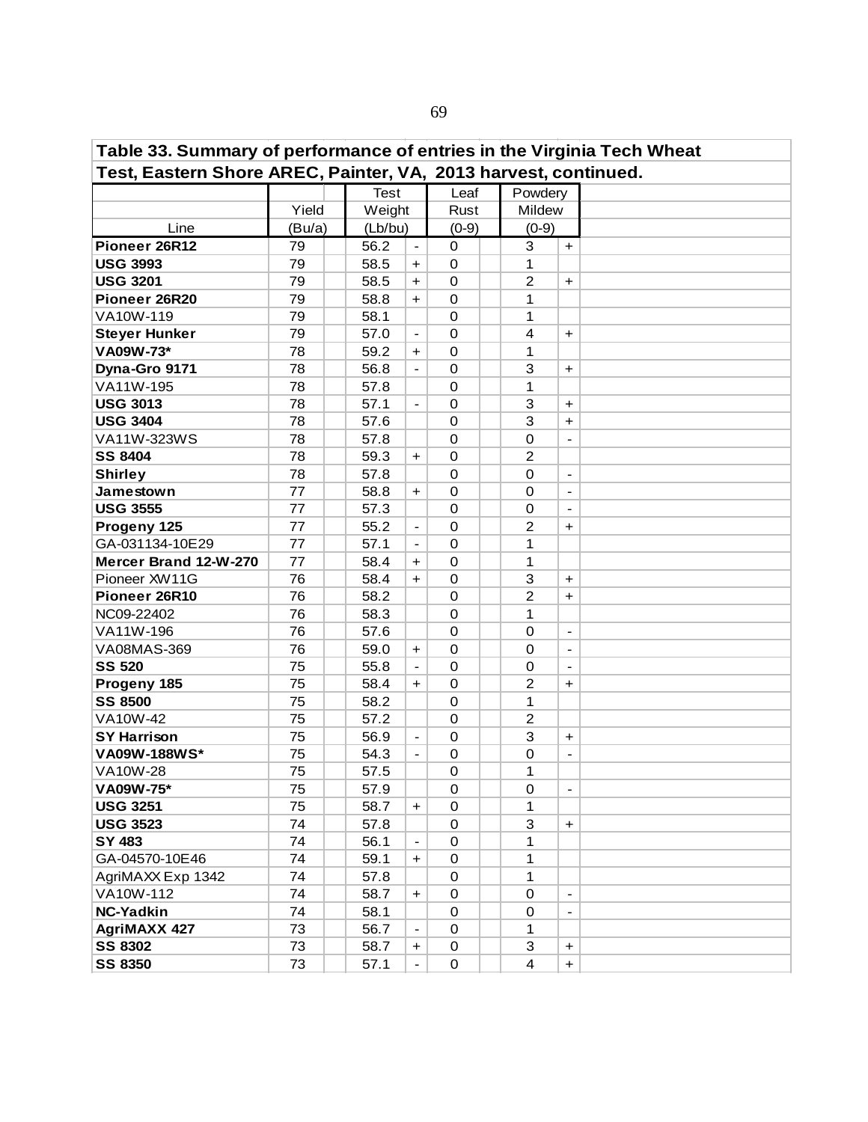**Table 33. Summary of performance of entries in the Virginia Tech Wheat Test, Eastern Shore AREC, Painter, VA, 2013 harvest, continued.**  Line **Pioneer 26R12** 79 | 56.2 |- 0 | 3 |+ **USG 3993** 79 | 58.5 | + 0 | 1 **USG 3201** 79 58.5 + 0 2 + **Pioneer 26R20** 79 88.8 + 0 1 VA10W-119 | 79 | | 58.1 | | 0 | | 1 **Steyer Hunker** 79 57.0 - 0 4 + **VA09W-73\*** 78 78 59.2 + 0 1 **Dyna-Gro 9171** 78 | 56.8 | 0 | 3 | + VA11W-195 78 57.8 0 1 **USG 3013** 78 57.1 - 0 3 + **USG 3404** 78 78 57.6 0 3 + VA11W-323WS 78 57.8 0 0 0 -**SS 8404** 78 | 59.3 + 0 | 2 Shirley | 78 | | 57.8 | | 0 | | 0 |-**Jamestown** 77 | 58.8 + 0 | 0 |-**USG 3555** 77 | 57.3 | 0 | 0 | -**Progeny 125**  $\begin{array}{|c|c|c|c|c|c|} \hline \textbf{77} & \textbf{55.2} & - & 0 & 2 & + \ \hline \end{array}$ GA-031134-10E29 77 57.1 - 0 1 **Mercer Brand 12-W-270** 77  $\begin{array}{|c|c|c|c|c|c|} \hline \end{array}$  58.4  $\begin{array}{|c|c|c|c|c|} \hline \end{array}$  1 Pioneer XW11G 76 | | 58.4 | + | 0 | | 3 | + **Pioneer 26R10** 76 | 58.2 | 0 | 2 |+ NC09-22402 76 58.3 0 1 VA11W-196 76 76 76 57.6 0 0 0 -VA08MAS-369 76 59.0 + 0 0 -**SS 520** 75 | 55.8 | 0 0 0 -Progeny 185 75 58.4 | + | \_ 0 2 | +<br>SS 8500 75 58.2 0 1 **SS 8500** 75 | 58.2 0 1 VA10W-42 75 75 57.2 0 2 **SY Harrison** 75 56.9 - 0 3 +  $VAO9W-188WS^*$  75  $|$  54.3  $|$  0  $|$  0  $|$  - $VA10W-28$  75 | 57.5 | 0 | 1  $VAO9W-75^*$  75  $| 57.9 | 0 | 0$ **USG 3251**  $\begin{array}{|c|c|c|c|c|c|c|c|} \hline \end{array}$  75  $\begin{array}{|c|c|c|c|c|c|c|c|} \hline \end{array}$  58.7  $\begin{array}{|c|c|c|c|c|c|} \hline \end{array}$  1 **USG 3523** 74 57.8 0 3 + **SY 483** 74 74 56.1 - 0 1  $GA-04570-10E46$  74 59.1 + 0 1 AgriMAXX Exp 1342 74 37.8 0 1 VA10W-112 74 58.7 + 0 0 - **NC-Yadkin** 74 58.1 0 0 -**AgriMAXX 427** 73 856.7 - 0 1 **SS 8302** 73 88.7 + 0 3 + **SS 8350** 73 | 57.1 | - | 0 | | 4 | + Test Leaf Powdery Yield Weight Rust Mildew  $(Bu/a)$   $(Lb/bu)$   $(0-9)$   $(0-9)$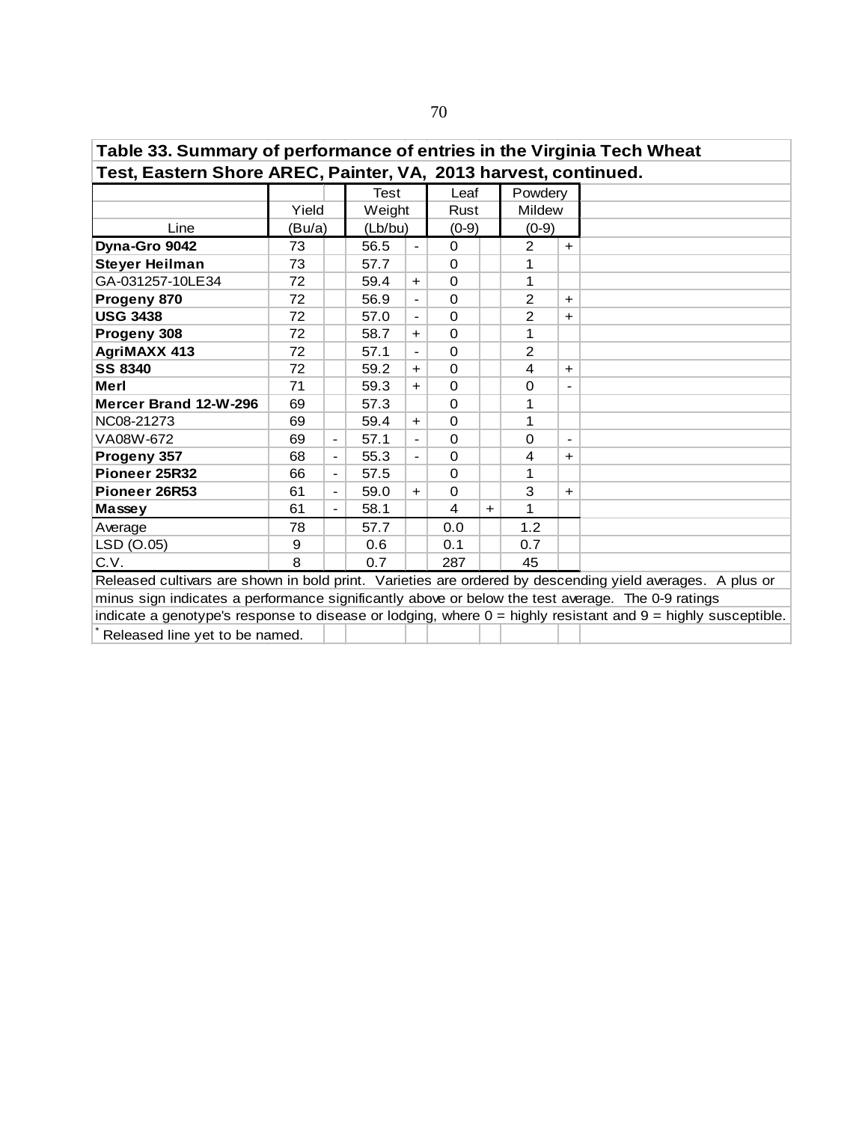| Table 33. Summary of performance of entries in the Virginia Tech Wheat                            |                                |                          |         |                          |          |     |                |                |                                                                                                                  |  |  |  |
|---------------------------------------------------------------------------------------------------|--------------------------------|--------------------------|---------|--------------------------|----------|-----|----------------|----------------|------------------------------------------------------------------------------------------------------------------|--|--|--|
| Test, Eastern Shore AREC, Painter, VA, 2013 harvest, continued.                                   |                                |                          |         |                          |          |     |                |                |                                                                                                                  |  |  |  |
|                                                                                                   |                                |                          | Test    |                          | Leaf     |     | Powdery        |                |                                                                                                                  |  |  |  |
|                                                                                                   | Yield                          |                          |         | Weight                   |          |     | <b>Mildew</b>  |                |                                                                                                                  |  |  |  |
| Line                                                                                              | (Bu/a)                         |                          | (Lb/bu) |                          | $(0-9)$  |     | $(0-9)$        |                |                                                                                                                  |  |  |  |
| Dyna-Gro 9042                                                                                     | 73                             |                          | 56.5    | $\overline{\phantom{a}}$ | $\Omega$ |     | $\overline{2}$ | $+$            |                                                                                                                  |  |  |  |
| <b>Steyer Heilman</b>                                                                             | 73                             |                          | 57.7    |                          | $\Omega$ |     | 1              |                |                                                                                                                  |  |  |  |
| GA-031257-10LE34                                                                                  | 72                             |                          | 59.4    | $+$                      | $\Omega$ |     | 1              |                |                                                                                                                  |  |  |  |
| Progeny 870                                                                                       | 72                             |                          | 56.9    |                          | $\Omega$ |     | $\overline{2}$ | $+$            |                                                                                                                  |  |  |  |
| <b>USG 3438</b>                                                                                   | 72                             |                          | 57.0    |                          | $\Omega$ |     | $\overline{2}$ | $\pm$          |                                                                                                                  |  |  |  |
| Progeny 308                                                                                       | 72                             |                          | 58.7    | $+$                      | $\Omega$ |     | 1              |                |                                                                                                                  |  |  |  |
| <b>AgriMAXX 413</b>                                                                               | 72                             |                          | 57.1    | $\blacksquare$           | $\Omega$ |     | $\overline{2}$ |                |                                                                                                                  |  |  |  |
| <b>SS 8340</b>                                                                                    | 72                             |                          | 59.2    | $+$                      | 0        |     | 4              | $+$            |                                                                                                                  |  |  |  |
| Merl                                                                                              | 71                             |                          | 59.3    | $+$                      | $\Omega$ |     | 0              |                |                                                                                                                  |  |  |  |
| Mercer Brand 12-W-296                                                                             | 69                             |                          | 57.3    |                          | $\Omega$ |     | 1              |                |                                                                                                                  |  |  |  |
| NC08-21273                                                                                        | 69                             |                          | 59.4    | $\ddot{}$                | $\Omega$ |     | 1              |                |                                                                                                                  |  |  |  |
| VA08W-672                                                                                         | 69                             | $\blacksquare$           | 57.1    |                          | $\Omega$ |     | $\Omega$       | $\blacksquare$ |                                                                                                                  |  |  |  |
| Progeny 357                                                                                       | 68                             | $\overline{\phantom{a}}$ | 55.3    |                          | $\Omega$ |     | 4              | $+$            |                                                                                                                  |  |  |  |
| Pioneer 25R32                                                                                     | 66                             | $\overline{\phantom{a}}$ | 57.5    |                          | $\Omega$ |     | 1              |                |                                                                                                                  |  |  |  |
| Pioneer 26R53                                                                                     | 61                             | $\overline{\phantom{a}}$ | 59.0    | $+$                      | 0        |     | 3              | $\pm$          |                                                                                                                  |  |  |  |
| Massey                                                                                            | 61                             | $\overline{\phantom{a}}$ | 58.1    |                          | 4        | $+$ | 1              |                |                                                                                                                  |  |  |  |
| Average                                                                                           | 78                             |                          | 57.7    |                          | 0.0      |     | 1.2            |                |                                                                                                                  |  |  |  |
| LSD (O.05)                                                                                        | 9                              |                          | 0.6     |                          | 0.1      |     | 0.7            |                |                                                                                                                  |  |  |  |
| C.V.                                                                                              | 8                              |                          | 0.7     |                          | 287      |     | 45             |                |                                                                                                                  |  |  |  |
|                                                                                                   |                                |                          |         |                          |          |     |                |                | Released cultivars are shown in bold print. Varieties are ordered by descending yield averages. A plus or        |  |  |  |
| minus sign indicates a performance significantly above or below the test average. The 0-9 ratings |                                |                          |         |                          |          |     |                |                |                                                                                                                  |  |  |  |
|                                                                                                   |                                |                          |         |                          |          |     |                |                | indicate a genotype's response to disease or lodging, where $0 =$ highly resistant and $9 =$ highly susceptible. |  |  |  |
|                                                                                                   | Released line yet to be named. |                          |         |                          |          |     |                |                |                                                                                                                  |  |  |  |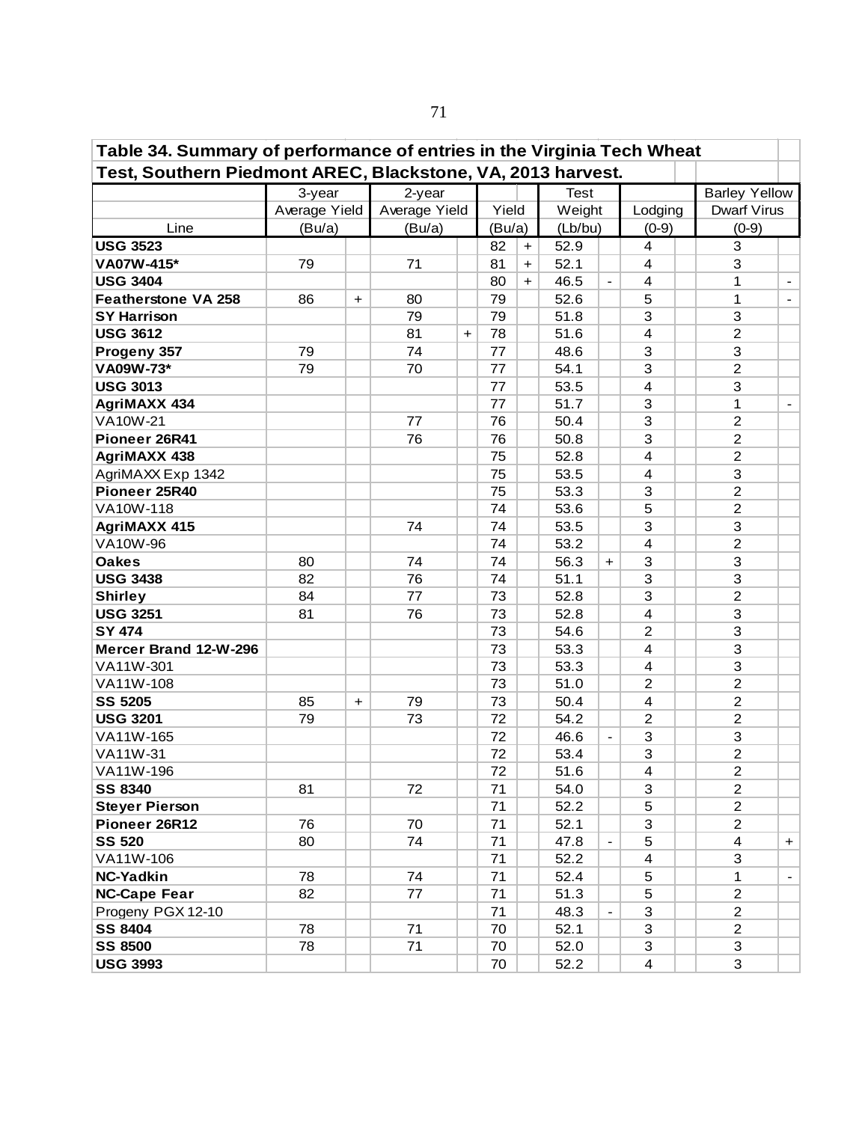| Table 34. Summary of performance of entries in the Virginia Tech Wheat |               |           |               |                      |        |     |         |           |                         |                      |     |  |
|------------------------------------------------------------------------|---------------|-----------|---------------|----------------------|--------|-----|---------|-----------|-------------------------|----------------------|-----|--|
| Test, Southern Piedmont AREC, Blackstone, VA, 2013 harvest.            |               |           |               |                      |        |     |         |           |                         |                      |     |  |
|                                                                        | 3-year        |           | 2-year        |                      |        |     | Test    |           |                         | <b>Barley Yellow</b> |     |  |
|                                                                        | Average Yield |           | Average Yield |                      | Yield  |     | Weight  |           | Lodging                 | <b>Dwarf Virus</b>   |     |  |
| Line                                                                   | (Bu/a)        |           | (Bu/a)        |                      | (Bu/a) |     | (Lb/bu) |           | $(0-9)$                 | $(0-9)$              |     |  |
| <b>USG 3523</b>                                                        |               |           |               |                      | 82     | $+$ | 52.9    |           | 4                       | 3                    |     |  |
| VA07W-415*                                                             | 79            |           | 71            |                      | 81     | $+$ | 52.1    |           | $\overline{\mathbf{4}}$ | 3                    |     |  |
| <b>USG 3404</b>                                                        |               |           |               |                      | 80     | $+$ | 46.5    |           | $\overline{\mathbf{4}}$ | 1                    |     |  |
| <b>Featherstone VA 258</b>                                             | 86            | $\ddot{}$ | 80            |                      | 79     |     | 52.6    |           | 5                       | $\mathbf 1$          |     |  |
| <b>SY Harrison</b>                                                     |               |           | 79            |                      | 79     |     | 51.8    |           | 3                       | 3                    |     |  |
| <b>USG 3612</b>                                                        |               |           | 81            | $\ddot{\phantom{1}}$ | 78     |     | 51.6    |           | $\overline{4}$          | $\overline{2}$       |     |  |
| Progeny 357                                                            | 79            |           | 74            |                      | 77     |     | 48.6    |           | 3                       | 3                    |     |  |
| VA09W-73*                                                              | 79            |           | 70            |                      | 77     |     | 54.1    |           | 3                       | $\overline{2}$       |     |  |
| <b>USG 3013</b>                                                        |               |           |               |                      | 77     |     | 53.5    |           | $\overline{4}$          | 3                    |     |  |
| <b>AgriMAXX 434</b>                                                    |               |           |               |                      | 77     |     | 51.7    |           | 3                       | $\mathbf 1$          |     |  |
| <b>VA10W-21</b>                                                        |               |           | 77            |                      | 76     |     | 50.4    |           | 3                       | $\overline{2}$       |     |  |
| Pioneer 26R41                                                          |               |           | 76            |                      | 76     |     | 50.8    |           | 3                       | $\overline{2}$       |     |  |
| <b>AgriMAXX 438</b>                                                    |               |           |               |                      | 75     |     | 52.8    |           | 4                       | $\overline{2}$       |     |  |
| AgriMAXX Exp 1342                                                      |               |           |               |                      | 75     |     | 53.5    |           | $\overline{4}$          | $\mathfrak{S}$       |     |  |
| Pioneer 25R40                                                          |               |           |               |                      | 75     |     | 53.3    |           | 3                       | $\overline{c}$       |     |  |
| VA10W-118                                                              |               |           |               |                      | 74     |     | 53.6    |           | 5                       | $\overline{c}$       |     |  |
| AgriMAXX 415                                                           |               |           | 74            |                      | 74     |     | 53.5    |           | 3                       | 3                    |     |  |
| VA10W-96                                                               |               |           |               |                      | 74     |     | 53.2    |           | $\overline{4}$          | $\overline{c}$       |     |  |
| <b>Oakes</b>                                                           | 80            |           | 74            |                      | 74     |     | 56.3    | $\ddot{}$ | 3                       | 3                    |     |  |
| <b>USG 3438</b>                                                        | 82            |           | 76            |                      | 74     |     | 51.1    |           | 3                       | 3                    |     |  |
| <b>Shirley</b>                                                         | 84            |           | 77            |                      | 73     |     | 52.8    |           | 3                       | $\overline{c}$       |     |  |
| <b>USG 3251</b>                                                        | 81            |           | 76            |                      | 73     |     | 52.8    |           | 4                       | 3                    |     |  |
| <b>SY 474</b>                                                          |               |           |               |                      | 73     |     | 54.6    |           | $\overline{2}$          | 3                    |     |  |
| Mercer Brand 12-W-296                                                  |               |           |               |                      | 73     |     | 53.3    |           | $\overline{4}$          | 3                    |     |  |
| VA11W-301                                                              |               |           |               |                      | 73     |     | 53.3    |           | 4                       | $\mathsf 3$          |     |  |
| VA11W-108                                                              |               |           |               |                      | 73     |     | 51.0    |           | $\overline{2}$          | $\overline{c}$       |     |  |
| <b>SS 5205</b>                                                         | 85            | $\ddot{}$ | 79            |                      | 73     |     | 50.4    |           | $\overline{\mathbf{4}}$ | $\overline{c}$       |     |  |
| <b>USG 3201</b>                                                        | 79            |           | 73            |                      | 72     |     | 54.2    |           | $\overline{2}$          | $\overline{c}$       |     |  |
| VA11W-165                                                              |               |           |               |                      | 72     |     | 46.6    |           | 3                       | 3                    |     |  |
| VA11W-31                                                               |               |           |               |                      | 72     |     | 53.4    |           | 3                       | $\overline{2}$       |     |  |
| VA11W-196                                                              |               |           |               |                      | 72     |     | 51.6    |           | 4                       | $\overline{c}$       |     |  |
| <b>SS 8340</b>                                                         | 81            |           | 72            |                      | 71     |     | 54.0    |           | 3                       | $\overline{c}$       |     |  |
| <b>Steyer Pierson</b>                                                  |               |           |               |                      | 71     |     | 52.2    |           | 5                       | $\overline{2}$       |     |  |
| Pioneer 26R12                                                          | 76            |           | 70            |                      | 71     |     | 52.1    |           | 3                       | $\overline{2}$       |     |  |
| <b>SS 520</b>                                                          | 80            |           | 74            |                      | 71     |     | 47.8    |           | 5                       | 4                    | $+$ |  |
| VA11W-106                                                              |               |           |               |                      | 71     |     | 52.2    |           | 4                       | 3                    |     |  |
| NC-Yadkin                                                              | 78            |           | 74            |                      | 71     |     | 52.4    |           | 5                       | 1                    |     |  |
| <b>NC-Cape Fear</b>                                                    | 82            |           | 77            |                      | 71     |     | 51.3    |           | 5                       | $\overline{2}$       |     |  |
| Progeny PGX 12-10                                                      |               |           |               |                      | 71     |     | 48.3    |           | 3                       | $\overline{2}$       |     |  |
| <b>SS 8404</b>                                                         | 78            |           | 71            |                      | 70     |     | 52.1    |           | 3                       | $\overline{2}$       |     |  |
| <b>SS 8500</b>                                                         | 78            |           | 71            |                      | 70     |     | 52.0    |           | 3                       | $\mathfrak{S}$       |     |  |
| <b>USG 3993</b>                                                        |               |           |               |                      | 70     |     | 52.2    |           | $\overline{\mathbf{4}}$ | 3                    |     |  |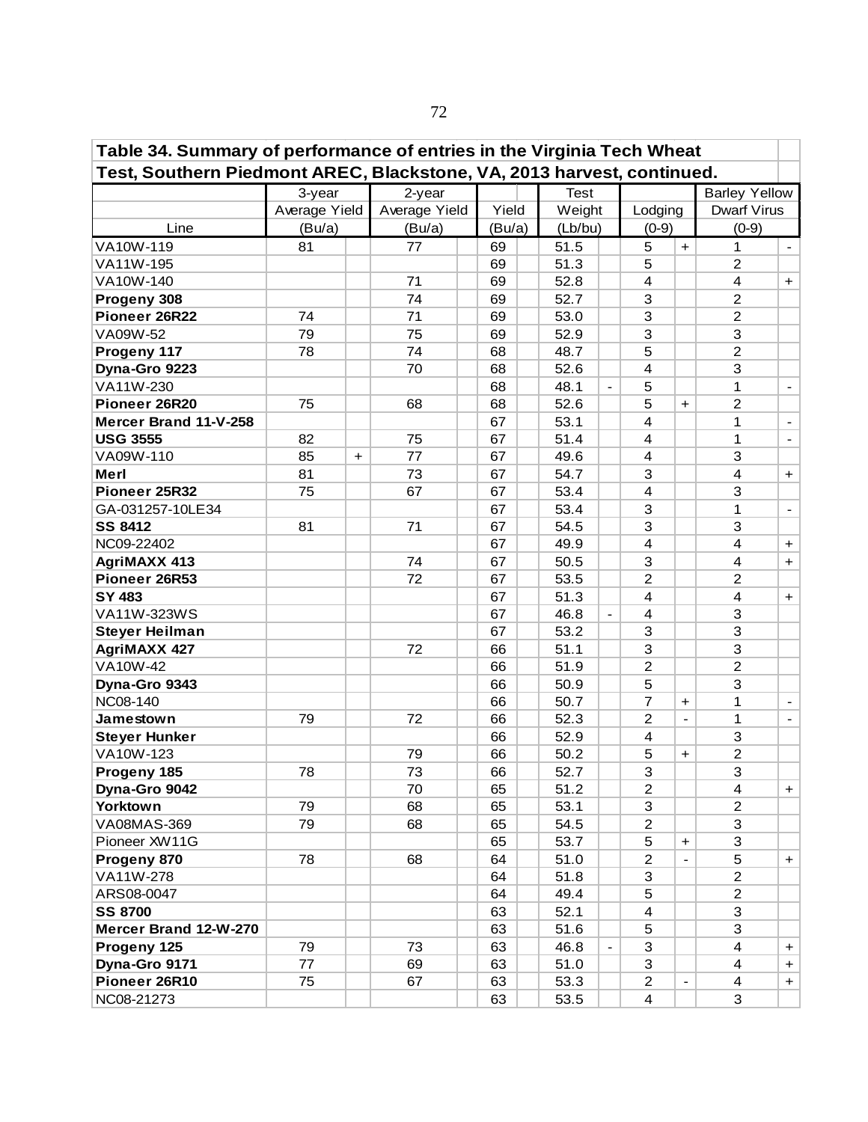| Table 34. Summary of performance of entries in the Virginia Tech Wheat |               |           |               |        |             |                          |                         |                          |                         |                |
|------------------------------------------------------------------------|---------------|-----------|---------------|--------|-------------|--------------------------|-------------------------|--------------------------|-------------------------|----------------|
| Test, Southern Piedmont AREC, Blackstone, VA, 2013 harvest, continued. |               |           |               |        |             |                          |                         |                          |                         |                |
|                                                                        | 3-year        |           | 2-year        |        | <b>Test</b> |                          |                         |                          | <b>Barley Yellow</b>    |                |
|                                                                        | Average Yield |           | Average Yield | Yield  | Weight      |                          | Lodging                 |                          | <b>Dwarf Virus</b>      |                |
| Line                                                                   | (Bu/a)        |           | (Bu/a)        | (Bu/a) | (Lb/bu)     |                          | $(0-9)$                 |                          | $(0-9)$                 |                |
| VA10W-119                                                              | 81            |           | 77            | 69     | 51.5        |                          | 5                       | $\ddot{}$                | 1                       |                |
| VA11W-195                                                              |               |           |               | 69     | 51.3        |                          | 5                       |                          | $\overline{2}$          |                |
| VA10W-140                                                              |               |           | 71            | 69     | 52.8        |                          | $\overline{\mathbf{4}}$ |                          | 4                       | $+$            |
| Progeny 308                                                            |               |           | 74            | 69     | 52.7        |                          | 3                       |                          | $\overline{c}$          |                |
| Pioneer 26R22                                                          | 74            |           | 71            | 69     | 53.0        |                          | 3                       |                          | $\overline{2}$          |                |
| VA09W-52                                                               | 79            |           | 75            | 69     | 52.9        |                          | 3                       |                          | 3                       |                |
| Progeny 117                                                            | 78            |           | 74            | 68     | 48.7        |                          | 5                       |                          | $\overline{c}$          |                |
| Dyna-Gro 9223                                                          |               |           | 70            | 68     | 52.6        |                          | 4                       |                          | 3                       |                |
| VA11W-230                                                              |               |           |               | 68     | 48.1        |                          | 5                       |                          | 1                       |                |
| Pioneer 26R20                                                          | 75            |           | 68            | 68     | 52.6        |                          | 5                       | $\ddot{\phantom{1}}$     | $\overline{c}$          |                |
| Mercer Brand 11-V-258                                                  |               |           |               | 67     | 53.1        |                          | 4                       |                          | 1                       |                |
| <b>USG 3555</b>                                                        | 82            |           | 75            | 67     | 51.4        |                          | 4                       |                          | 1                       | $\blacksquare$ |
| VA09W-110                                                              | 85            | $\ddot{}$ | 77            | 67     | 49.6        |                          | 4                       |                          | 3                       |                |
| Merl                                                                   | 81            |           | 73            | 67     | 54.7        |                          | 3                       |                          | $\overline{\mathbf{4}}$ | $\ddot{}$      |
| Pioneer 25R32                                                          | 75            |           | 67            | 67     | 53.4        |                          | 4                       |                          | 3                       |                |
| GA-031257-10LE34                                                       |               |           |               | 67     | 53.4        |                          | 3                       |                          | 1                       | $\blacksquare$ |
| <b>SS 8412</b>                                                         | 81            |           | 71            | 67     | 54.5        |                          | 3                       |                          | 3                       |                |
| NC09-22402                                                             |               |           |               | 67     | 49.9        |                          | $\overline{4}$          |                          | 4                       | $+$            |
| <b>AgriMAXX 413</b>                                                    |               |           | 74            | 67     | 50.5        |                          | 3                       |                          | 4                       | $+$            |
| Pioneer 26R53                                                          |               |           | 72            | 67     | 53.5        |                          | $\overline{c}$          |                          | $\overline{c}$          |                |
| SY 483                                                                 |               |           |               | 67     | 51.3        |                          | $\overline{4}$          |                          | 4                       | $\ddot{}$      |
| VA11W-323WS                                                            |               |           |               | 67     | 46.8        | $\overline{\phantom{a}}$ | $\overline{4}$          |                          | 3                       |                |
| <b>Steyer Heilman</b>                                                  |               |           |               | 67     | 53.2        |                          | 3                       |                          | 3                       |                |
| <b>AgriMAXX 427</b>                                                    |               |           | 72            | 66     | 51.1        |                          | 3                       |                          | 3                       |                |
| <b>VA10W-42</b>                                                        |               |           |               | 66     | 51.9        |                          | $\overline{c}$          |                          | $\overline{c}$          |                |
| Dyna-Gro 9343                                                          |               |           |               | 66     | 50.9        |                          | 5                       |                          | 3                       |                |
| NC08-140                                                               |               |           |               | 66     | 50.7        |                          | $\overline{7}$          | $\ddag$                  | 1                       |                |
| Jamestown                                                              | 79            |           | 72            | 66     | 52.3        |                          | $\overline{c}$          | $\blacksquare$           | 1                       |                |
| <b>Steyer Hunker</b>                                                   |               |           |               | 66     | 52.9        |                          | 4                       |                          | 3                       |                |
| VA10W-123                                                              |               |           | 79            | 66     | 50.2        |                          | 5                       | $+$                      | $\overline{c}$          |                |
| Progeny 185                                                            | 78            |           | 73            | 66     | 52.7        |                          | 3                       |                          | 3                       |                |
| Dyna-Gro 9042                                                          |               |           | 70            | 65     | 51.2        |                          | $\overline{c}$          |                          | 4                       | $\ddot{}$      |
| Yorktown                                                               | 79            |           | 68            | 65     | 53.1        |                          | 3                       |                          | $\overline{2}$          |                |
| VA08MAS-369                                                            | 79            |           | 68            | 65     | 54.5        |                          | $\overline{2}$          |                          | 3                       |                |
| Pioneer XW11G                                                          |               |           |               | 65     | 53.7        |                          | 5                       | $\ddot{}$                | 3                       |                |
| Progeny 870                                                            | 78            |           | 68            | 64     | 51.0        |                          | $\overline{2}$          |                          | 5                       | +              |
| VA11W-278                                                              |               |           |               | 64     | 51.8        |                          | 3                       |                          | $\overline{c}$          |                |
| ARS08-0047                                                             |               |           |               | 64     | 49.4        |                          | 5                       |                          | $\overline{2}$          |                |
| <b>SS 8700</b>                                                         |               |           |               | 63     | 52.1        |                          | $\overline{\mathbf{4}}$ |                          | 3                       |                |
| Mercer Brand 12-W-270                                                  |               |           |               | 63     | 51.6        |                          | 5                       |                          | 3                       |                |
| Progeny 125                                                            | 79            |           | 73            | 63     | 46.8        |                          | 3                       |                          | $\overline{\mathbf{4}}$ | $\ddot{}$      |
| Dyna-Gro 9171                                                          | 77            |           | 69            | 63     | 51.0        |                          | 3                       |                          | 4                       | $\pm$          |
| Pioneer 26R10                                                          | 75            |           | 67            | 63     | 53.3        |                          | $\overline{2}$          | $\overline{\phantom{0}}$ | 4                       | $+$            |
| NC08-21273                                                             |               |           |               | 63     | 53.5        |                          | $\overline{\mathbf{4}}$ |                          | 3                       |                |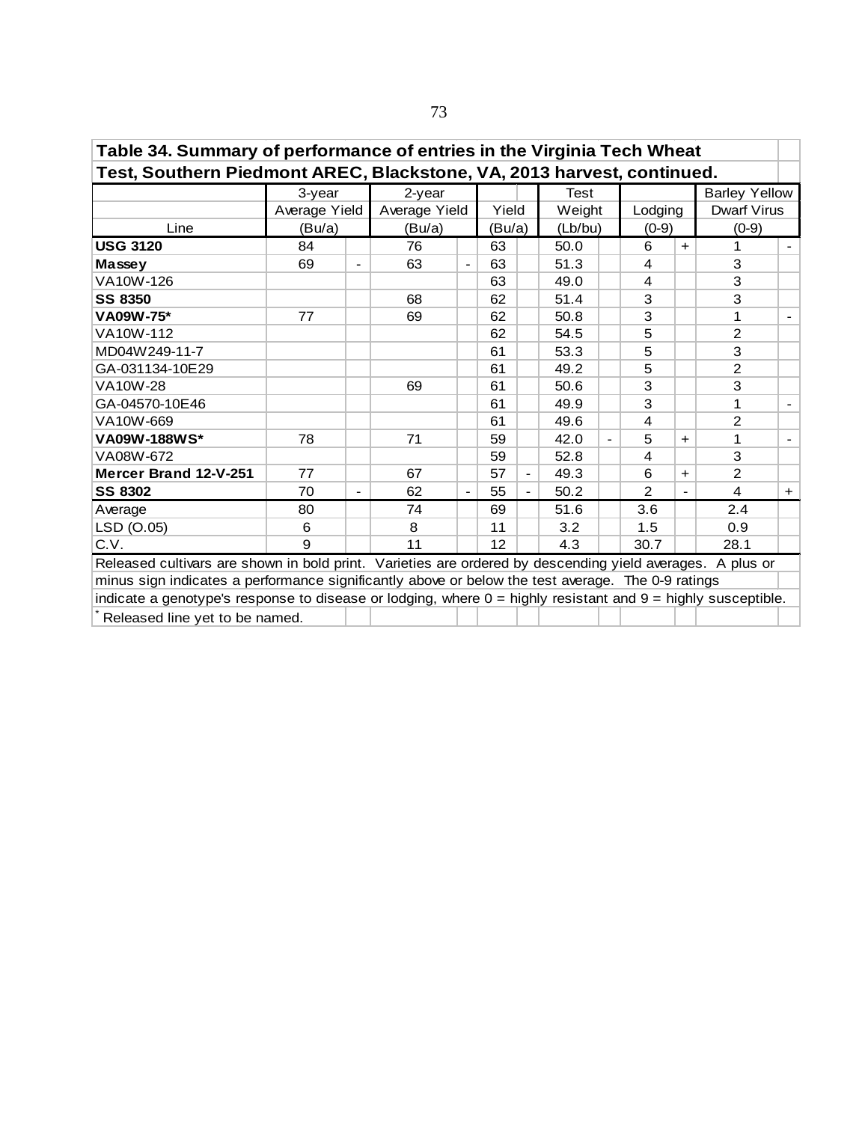| Table 34. Summary of performance of entries in the Virginia Tech Wheat                                       |               |                              |               |  |                   |                |             |  |                |     |                      |        |  |  |
|--------------------------------------------------------------------------------------------------------------|---------------|------------------------------|---------------|--|-------------------|----------------|-------------|--|----------------|-----|----------------------|--------|--|--|
| Test, Southern Piedmont AREC, Blackstone, VA, 2013 harvest, continued.                                       |               |                              |               |  |                   |                |             |  |                |     |                      |        |  |  |
|                                                                                                              | 3-year        |                              | 2-year        |  |                   |                | <b>Test</b> |  |                |     | <b>Barley Yellow</b> |        |  |  |
|                                                                                                              | Average Yield |                              | Average Yield |  | Yield             |                | Weight      |  | Lodging        |     | Dwarf Virus          |        |  |  |
| Line                                                                                                         | (Bu/a)        |                              | (Bu/a)        |  | (Bu/a)            |                | (Lb/bu)     |  | $(0-9)$        |     | $(0-9)$              |        |  |  |
| <b>USG 3120</b>                                                                                              | 84            |                              | 76            |  | 63                |                | 50.0        |  | 6              | $+$ | $\mathbf{1}$         | $\sim$ |  |  |
| Massey                                                                                                       | 69            | $\qquad \qquad \blacksquare$ | 63            |  | 63                |                | 51.3        |  | 4              |     | 3                    |        |  |  |
| VA10W-126                                                                                                    |               |                              |               |  | 63                |                | 49.0        |  | 4              |     | 3                    |        |  |  |
| <b>SS 8350</b>                                                                                               |               |                              | 68            |  | 62                |                | 51.4        |  | 3              |     | 3                    |        |  |  |
| 3<br>1<br>50.8<br><b>VA09W-75*</b><br>77<br>69<br>62<br>$\overline{2}$<br>VA10W-112<br>62<br>54.5<br>5       |               |                              |               |  |                   |                |             |  |                |     |                      |        |  |  |
|                                                                                                              |               |                              |               |  |                   |                |             |  |                |     |                      |        |  |  |
| 3<br>MD04W249-11-7<br>5<br>61<br>53.3                                                                        |               |                              |               |  |                   |                |             |  |                |     |                      |        |  |  |
| GA-031134-10E29                                                                                              |               |                              |               |  | 61                |                | 49.2        |  | 5              |     | $\overline{2}$       |        |  |  |
| <b>VA10W-28</b>                                                                                              |               |                              | 69            |  | 61                |                | 50.6        |  | 3              |     | 3                    |        |  |  |
| GA-04570-10E46                                                                                               |               |                              |               |  | 61                |                | 49.9        |  | 3              |     | 1                    |        |  |  |
| VA10W-669                                                                                                    |               |                              |               |  | 61                |                | 49.6        |  | 4              |     | 2                    |        |  |  |
| <b>VA09W-188WS*</b>                                                                                          | 78            |                              | 71            |  | 59                |                | 42.0        |  | 5              | $+$ | 1                    |        |  |  |
| VA08W-672                                                                                                    |               |                              |               |  | 59                |                | 52.8        |  | 4              |     | 3                    |        |  |  |
| Mercer Brand 12-V-251                                                                                        | 77            |                              | 67            |  | 57                | $\blacksquare$ | 49.3        |  | 6              | $+$ | $\overline{2}$       |        |  |  |
| <b>SS 8302</b>                                                                                               | 70            | $\qquad \qquad \blacksquare$ | 62            |  | 55                | $\blacksquare$ | 50.2        |  | $\mathfrak{p}$ |     | 4                    | $+$    |  |  |
| Average                                                                                                      | 80            |                              | 74            |  | 69                |                | 51.6        |  | 3.6            |     | 2.4                  |        |  |  |
| LSD (O.05)                                                                                                   | 6             |                              | 8             |  | 11                |                | 3.2         |  | 1.5            |     | 0.9                  |        |  |  |
| C.V.                                                                                                         | 9             |                              | 11            |  | $12 \overline{ }$ |                | 4.3         |  | 30.7           |     | 28.1                 |        |  |  |
| Released cultivars are shown in bold print. Varieties are ordered by descending yield averages. A plus or    |               |                              |               |  |                   |                |             |  |                |     |                      |        |  |  |
| minus sign indicates a performance significantly above or below the test average. The 0-9 ratings            |               |                              |               |  |                   |                |             |  |                |     |                      |        |  |  |
| indicate a genotype's response to disease or lodging, where 0 = highly resistant and 9 = highly susceptible. |               |                              |               |  |                   |                |             |  |                |     |                      |        |  |  |
| Released line yet to be named.                                                                               |               |                              |               |  |                   |                |             |  |                |     |                      |        |  |  |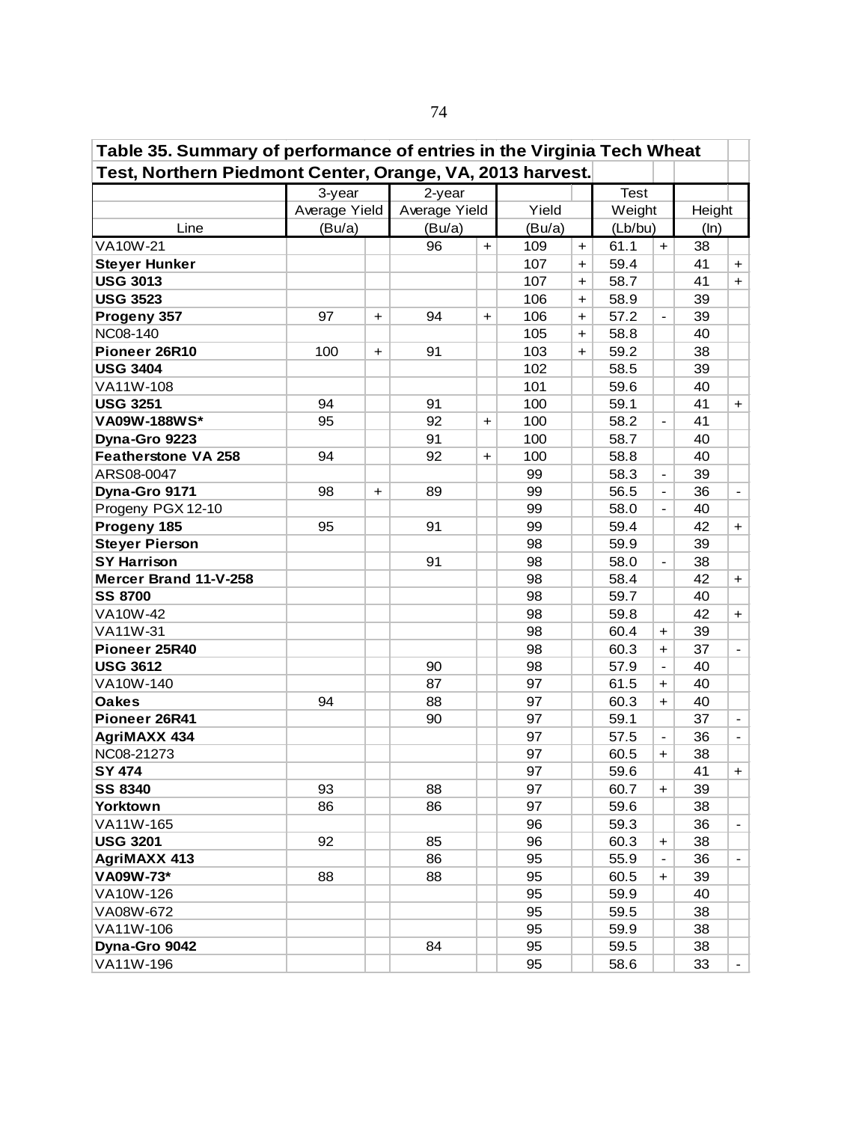| Table 35. Summary of performance of entries in the Virginia Tech Wheat |               |           |               |                      |        |                      |             |                              |        |                          |
|------------------------------------------------------------------------|---------------|-----------|---------------|----------------------|--------|----------------------|-------------|------------------------------|--------|--------------------------|
| Test, Northern Piedmont Center, Orange, VA, 2013 harvest.              |               |           |               |                      |        |                      |             |                              |        |                          |
|                                                                        | 3-year        |           | $2$ -year     |                      |        |                      | <b>Test</b> |                              |        |                          |
|                                                                        | Average Yield |           | Average Yield |                      | Yield  |                      | Weight      |                              | Height |                          |
| Line                                                                   | (Bu/a)        |           | (Bu/a)        |                      | (Bu/a) |                      | (Lb/bu)     |                              | (ln)   |                          |
| <b>VA10W-21</b>                                                        |               |           | 96            | $\ddot{\phantom{1}}$ | 109    | $\ddot{}$            | 61.1        | $+$                          | 38     |                          |
| <b>Steyer Hunker</b>                                                   |               |           |               |                      | 107    | $+$                  | 59.4        |                              | 41     | $+$                      |
| <b>USG 3013</b>                                                        |               |           |               |                      | 107    | $+$                  | 58.7        |                              | 41     | $+$                      |
| <b>USG 3523</b>                                                        |               |           |               |                      | 106    | $\ddot{}$            | 58.9        |                              | 39     |                          |
| Progeny 357                                                            | 97            | $+$       | 94            | $\ddot{}$            | 106    | $\ddot{}$            | 57.2        |                              | 39     |                          |
| <b>NC08-140</b>                                                        |               |           |               |                      | 105    | $\ddot{\phantom{1}}$ | 58.8        |                              | 40     |                          |
| Pioneer 26R10                                                          | 100           | $\ddot{}$ | 91            |                      | 103    | $\ddot{\phantom{1}}$ | 59.2        |                              | 38     |                          |
| <b>USG 3404</b>                                                        |               |           |               |                      | 102    |                      | 58.5        |                              | 39     |                          |
| VA11W-108                                                              |               |           |               |                      | 101    |                      | 59.6        |                              | 40     |                          |
| <b>USG 3251</b>                                                        | 94            |           | 91            |                      | 100    |                      | 59.1        |                              | 41     | $+$                      |
| VA09W-188WS*                                                           | 95            |           | 92            | $\ddot{}$            | 100    |                      | 58.2        | $\overline{\phantom{a}}$     | 41     |                          |
| Dyna-Gro 9223                                                          |               |           | 91            |                      | 100    |                      | 58.7        |                              | 40     |                          |
| <b>Featherstone VA 258</b>                                             | 94            |           | 92            | $\ddot{}$            | 100    |                      | 58.8        |                              | 40     |                          |
| ARS08-0047                                                             |               |           |               |                      | 99     |                      | 58.3        | $\qquad \qquad \blacksquare$ | 39     |                          |
| Dyna-Gro 9171                                                          | 98            | $\ddot{}$ | 89            |                      | 99     |                      | 56.5        | $\blacksquare$               | 36     | $\overline{\phantom{a}}$ |
| Progeny PGX 12-10                                                      |               |           |               |                      | 99     |                      | 58.0        | $\blacksquare$               | 40     |                          |
| Progeny 185                                                            | 95            |           | 91            |                      | 99     |                      | 59.4        |                              | 42     | $+$                      |
| <b>Steyer Pierson</b>                                                  |               |           |               |                      | 98     |                      | 59.9        |                              | 39     |                          |
| <b>SY Harrison</b>                                                     |               |           | 91            |                      | 98     |                      | 58.0        | $\overline{\phantom{a}}$     | 38     |                          |
| Mercer Brand 11-V-258                                                  |               |           |               |                      | 98     |                      | 58.4        |                              | 42     | $+$                      |
| <b>SS 8700</b>                                                         |               |           |               |                      | 98     |                      | 59.7        |                              | 40     |                          |
| VA10W-42                                                               |               |           |               |                      | 98     |                      | 59.8        |                              | 42     | $+$                      |
| VA11W-31                                                               |               |           |               |                      | 98     |                      | 60.4        | $\ddot{}$                    | 39     |                          |
| Pioneer 25R40                                                          |               |           |               |                      | 98     |                      | 60.3        | $\ddot{}$                    | 37     |                          |
| <b>USG 3612</b>                                                        |               |           | 90            |                      | 98     |                      | 57.9        | $\blacksquare$               | 40     |                          |
| VA10W-140                                                              |               |           | 87            |                      | 97     |                      | 61.5        | $\ddot{}$                    | 40     |                          |
| <b>Oakes</b>                                                           | 94            |           | 88            |                      | 97     |                      | 60.3        | $\ddot{\phantom{1}}$         | 40     |                          |
| Pioneer 26R41                                                          |               |           | 90            |                      | 97     |                      | 59.1        |                              | 37     | $\blacksquare$           |
| <b>AgriMAXX 434</b>                                                    |               |           |               |                      | 97     |                      | 57.5        | $\blacksquare$               | 36     | $\overline{\phantom{a}}$ |
| NC08-21273                                                             |               |           |               |                      | 97     |                      | 60.5        | $\ddot{}$                    | 38     |                          |
| <b>SY 474</b>                                                          |               |           |               |                      | 97     |                      | 59.6        |                              | 41     | $+$                      |
| <b>SS 8340</b>                                                         | 93            |           | 88            |                      | 97     |                      | 60.7        | $\ddot{}$                    | 39     |                          |
| <b>Yorktown</b>                                                        | 86            |           | 86            |                      | 97     |                      | 59.6        |                              | 38     |                          |
| VA11W-165                                                              |               |           |               |                      | 96     |                      | 59.3        |                              | 36     | $\blacksquare$           |
| <b>USG 3201</b>                                                        | 92            |           | 85            |                      | 96     |                      | 60.3        | $\ddot{}$                    | 38     |                          |
| <b>AgriMAXX 413</b>                                                    |               |           | 86            |                      | 95     |                      | 55.9        | $\overline{\phantom{a}}$     | 36     | $\blacksquare$           |
| VA09W-73*                                                              | 88            |           | 88            |                      | 95     |                      | 60.5        | $\ddot{}$                    | 39     |                          |
| VA10W-126                                                              |               |           |               |                      | 95     |                      | 59.9        |                              | 40     |                          |
| VA08W-672                                                              |               |           |               |                      | 95     |                      | 59.5        |                              | 38     |                          |
| VA11W-106                                                              |               |           |               |                      | 95     |                      | 59.9        |                              | 38     |                          |
| Dyna-Gro 9042                                                          |               |           | 84            |                      | 95     |                      | 59.5        |                              | 38     |                          |
| VA11W-196                                                              |               |           |               |                      | 95     |                      | 58.6        |                              | 33     |                          |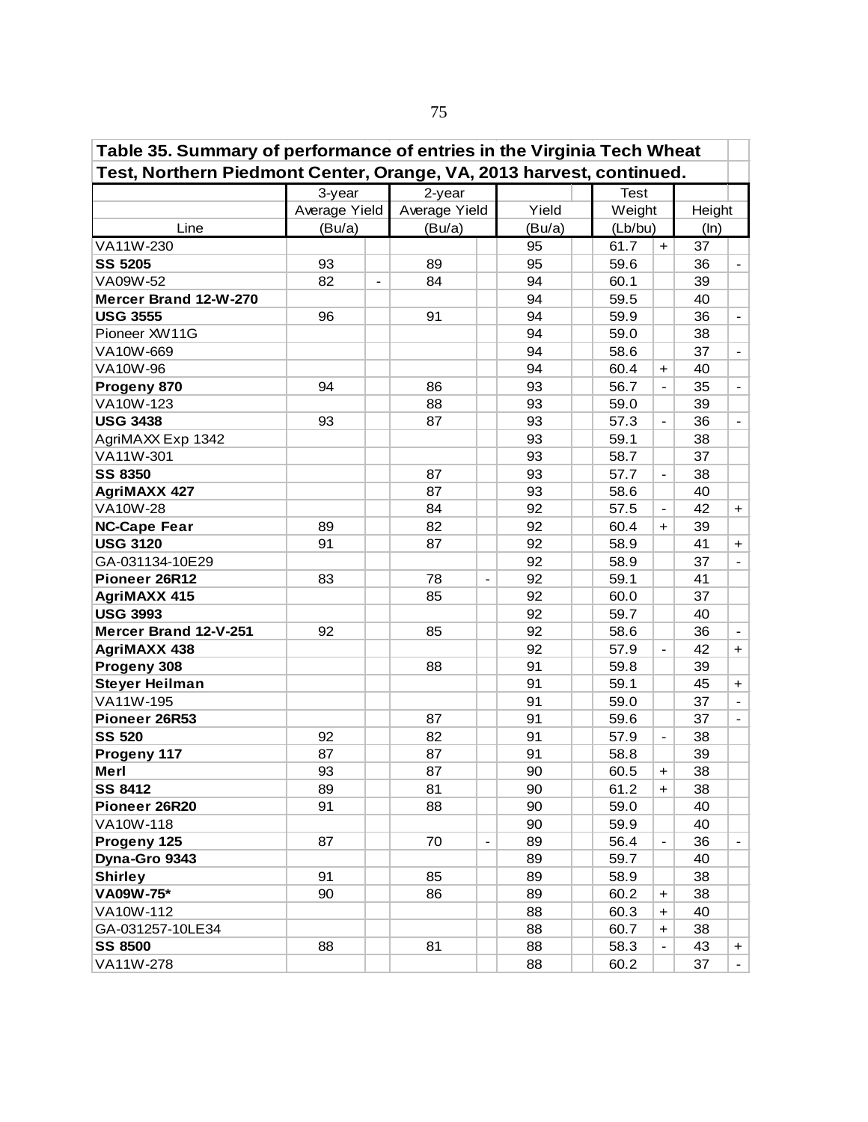| Table 35. Summary of performance of entries in the Virginia Tech Wheat<br>Test, Northern Piedmont Center, Orange, VA, 2013 harvest, continued.<br><b>Test</b><br>3-year<br>2-year |               |                |               |                          |        |  |         |                          |        |                              |  |  |  |
|-----------------------------------------------------------------------------------------------------------------------------------------------------------------------------------|---------------|----------------|---------------|--------------------------|--------|--|---------|--------------------------|--------|------------------------------|--|--|--|
|                                                                                                                                                                                   |               |                |               |                          |        |  |         |                          |        |                              |  |  |  |
|                                                                                                                                                                                   |               |                |               |                          |        |  |         |                          |        |                              |  |  |  |
|                                                                                                                                                                                   | Average Yield |                | Average Yield |                          | Yield  |  | Weight  |                          | Height |                              |  |  |  |
| Line                                                                                                                                                                              | (Bu/a)        |                | (Bu/a)        |                          | (Bu/a) |  | (Lb/bu) |                          | (ln)   |                              |  |  |  |
| VA11W-230                                                                                                                                                                         |               |                |               |                          | 95     |  | 61.7    | $+$                      | 37     |                              |  |  |  |
| <b>SS 5205</b>                                                                                                                                                                    | 93            |                | 89            |                          | 95     |  | 59.6    |                          | 36     | $\blacksquare$               |  |  |  |
| VA09W-52                                                                                                                                                                          | 82            | $\blacksquare$ | 84            |                          | 94     |  | 60.1    |                          | 39     |                              |  |  |  |
| Mercer Brand 12-W-270                                                                                                                                                             |               |                |               |                          | 94     |  | 59.5    |                          | 40     |                              |  |  |  |
| <b>USG 3555</b>                                                                                                                                                                   | 96            |                | 91            |                          | 94     |  | 59.9    |                          | 36     | $\qquad \qquad \blacksquare$ |  |  |  |
| Pioneer XW11G                                                                                                                                                                     |               |                |               |                          | 94     |  | 59.0    |                          | 38     |                              |  |  |  |
| VA10W-669                                                                                                                                                                         |               |                |               |                          | 94     |  | 58.6    |                          | 37     | $\overline{\phantom{a}}$     |  |  |  |
| VA10W-96                                                                                                                                                                          |               |                |               |                          | 94     |  | 60.4    | $\ddot{}$                | 40     |                              |  |  |  |
| Progeny 870                                                                                                                                                                       | 94            |                | 86            |                          | 93     |  | 56.7    | $\blacksquare$           | 35     | $\blacksquare$               |  |  |  |
| VA10W-123                                                                                                                                                                         |               |                | 88            |                          | 93     |  | 59.0    |                          | 39     |                              |  |  |  |
| <b>USG 3438</b>                                                                                                                                                                   | 93            |                | 87            |                          | 93     |  | 57.3    |                          | 36     | $\blacksquare$               |  |  |  |
| AgriMAXX Exp 1342                                                                                                                                                                 |               |                |               |                          | 93     |  | 59.1    |                          | 38     |                              |  |  |  |
| VA11W-301                                                                                                                                                                         |               |                |               |                          | 93     |  | 58.7    |                          | 37     |                              |  |  |  |
| <b>SS 8350</b>                                                                                                                                                                    |               |                | 87            |                          | 93     |  | 57.7    | $\overline{\phantom{a}}$ | 38     |                              |  |  |  |
| <b>AgriMAXX 427</b>                                                                                                                                                               |               |                | 87            |                          | 93     |  | 58.6    |                          | 40     |                              |  |  |  |
| <b>VA10W-28</b>                                                                                                                                                                   |               |                | 84            |                          | 92     |  | 57.5    | $\hbox{--}$              | 42     | $+$                          |  |  |  |
| <b>NC-Cape Fear</b>                                                                                                                                                               | 89            |                | 82            |                          | 92     |  | 60.4    | $+$                      | 39     |                              |  |  |  |
| <b>USG 3120</b>                                                                                                                                                                   | 91            |                | 87            |                          | 92     |  | 58.9    |                          | 41     | $+$                          |  |  |  |
| GA-031134-10E29                                                                                                                                                                   |               |                |               |                          | 92     |  | 58.9    |                          | 37     | $\blacksquare$               |  |  |  |
| Pioneer 26R12                                                                                                                                                                     | 83            |                | 78            | $\overline{a}$           | 92     |  | 59.1    |                          | 41     |                              |  |  |  |
| <b>AgriMAXX 415</b>                                                                                                                                                               |               |                | 85            |                          | 92     |  | 60.0    |                          | 37     |                              |  |  |  |
| <b>USG 3993</b>                                                                                                                                                                   |               |                |               |                          | 92     |  | 59.7    |                          | 40     |                              |  |  |  |
| Mercer Brand 12-V-251                                                                                                                                                             | 92            |                | 85            |                          | 92     |  | 58.6    |                          | 36     |                              |  |  |  |
| <b>AgriMAXX 438</b>                                                                                                                                                               |               |                |               |                          | 92     |  | 57.9    | $\overline{\phantom{a}}$ | 42     | $+$                          |  |  |  |
| Progeny 308                                                                                                                                                                       |               |                | 88            |                          | 91     |  | 59.8    |                          | 39     |                              |  |  |  |
| <b>Steyer Heilman</b>                                                                                                                                                             |               |                |               |                          | 91     |  | 59.1    |                          | 45     | $+$                          |  |  |  |
| VA11W-195                                                                                                                                                                         |               |                |               |                          | 91     |  | 59.0    |                          | 37     | $\blacksquare$               |  |  |  |
| Pioneer 26R53                                                                                                                                                                     |               |                | 87            |                          | 91     |  | 59.6    |                          | 37     |                              |  |  |  |
| <b>SS 520</b>                                                                                                                                                                     | 92            |                | 82            |                          | 91     |  | 57.9    | $\overline{\phantom{a}}$ | 38     |                              |  |  |  |
| Progeny 117                                                                                                                                                                       | 87            |                | 87            |                          | 91     |  | 58.8    |                          | 39     |                              |  |  |  |
| Merl                                                                                                                                                                              | 93            |                | 87            |                          | 90     |  | 60.5    | $\pm$                    | 38     |                              |  |  |  |
| <b>SS 8412</b>                                                                                                                                                                    | 89            |                | 81            |                          | 90     |  | 61.2    | $\pm$                    | 38     |                              |  |  |  |
| Pioneer 26R20                                                                                                                                                                     | 91            |                | 88            |                          | 90     |  | 59.0    |                          | 40     |                              |  |  |  |
| VA10W-118                                                                                                                                                                         |               |                |               |                          | 90     |  | 59.9    |                          | 40     |                              |  |  |  |
| Progeny 125                                                                                                                                                                       | 87            |                | 70            | $\overline{\phantom{a}}$ | 89     |  | 56.4    | $\overline{\phantom{a}}$ | 36     | $\blacksquare$               |  |  |  |
| Dyna-Gro 9343                                                                                                                                                                     |               |                |               |                          | 89     |  | 59.7    |                          | 40     |                              |  |  |  |
| <b>Shirley</b>                                                                                                                                                                    | 91            |                | 85            |                          | 89     |  | 58.9    |                          | 38     |                              |  |  |  |
| VA09W-75*                                                                                                                                                                         | 90            |                | 86            |                          | 89     |  | 60.2    | +                        | 38     |                              |  |  |  |
| VA10W-112                                                                                                                                                                         |               |                |               |                          | 88     |  | 60.3    | $\ddot{}$                | 40     |                              |  |  |  |
| GA-031257-10LE34                                                                                                                                                                  |               |                |               |                          | 88     |  | 60.7    | $\ddot{}$                | 38     |                              |  |  |  |
| <b>SS 8500</b>                                                                                                                                                                    | 88            |                | 81            |                          | 88     |  | 58.3    |                          | 43     | $\pm$                        |  |  |  |
| VA11W-278                                                                                                                                                                         |               |                |               |                          | 88     |  | 60.2    |                          | 37     |                              |  |  |  |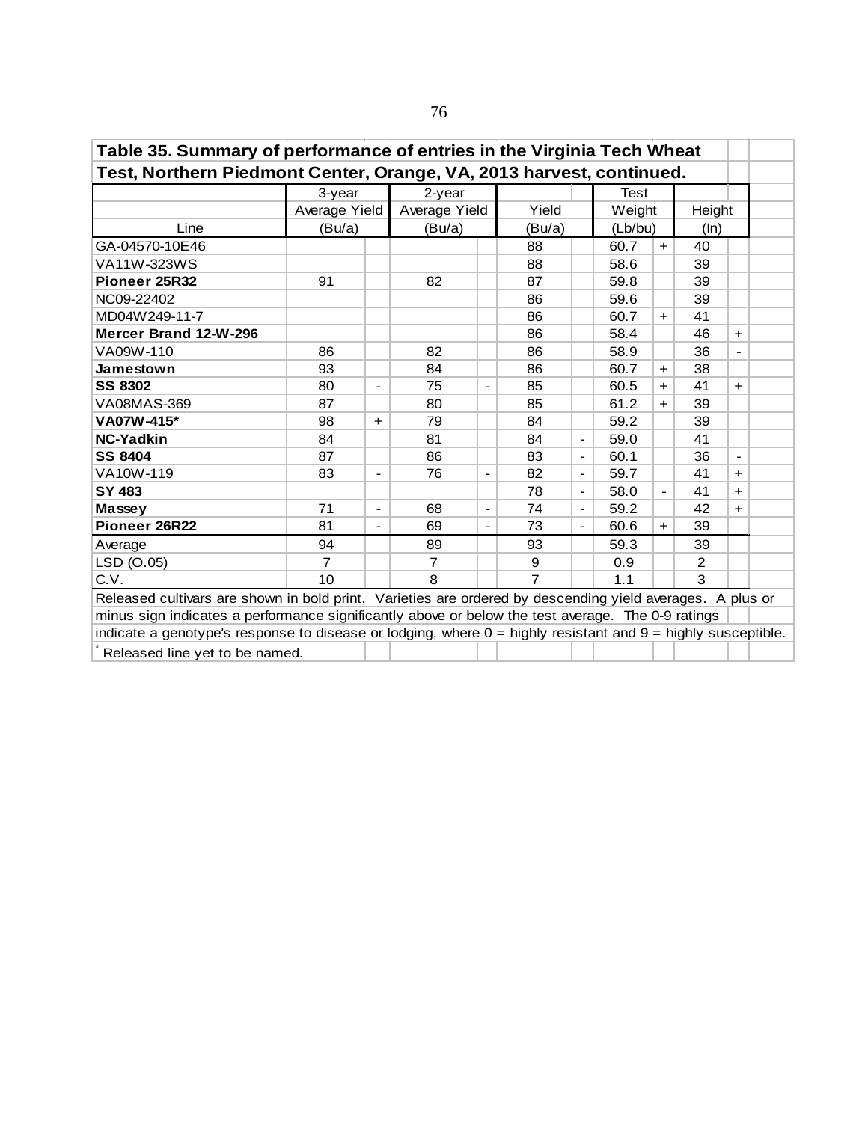| Table 35. Summary of performance of entries in the Virginia Tech Wheat                                           |                |                          |                |                              |                |                          |             |                          |                |                          |  |  |  |  |
|------------------------------------------------------------------------------------------------------------------|----------------|--------------------------|----------------|------------------------------|----------------|--------------------------|-------------|--------------------------|----------------|--------------------------|--|--|--|--|
| Test, Northern Piedmont Center, Orange, VA, 2013 harvest, continued.                                             |                |                          |                |                              |                |                          |             |                          |                |                          |  |  |  |  |
|                                                                                                                  | 3-year         |                          | 2-year         |                              |                |                          | <b>Test</b> |                          |                |                          |  |  |  |  |
|                                                                                                                  | Average Yield  |                          | Average Yield  |                              | Yield          |                          | Weight      |                          | Height         |                          |  |  |  |  |
| Line                                                                                                             | (Bu/a)         |                          | (Bu/a)         |                              | (Bu/a)         |                          | (Lb/bu)     |                          | (ln)           |                          |  |  |  |  |
| GA-04570-10E46                                                                                                   |                |                          |                |                              | 88             |                          | 60.7        | $+$                      | 40             |                          |  |  |  |  |
| VA11W-323WS                                                                                                      |                |                          |                |                              | 88             |                          | 58.6        |                          | 39             |                          |  |  |  |  |
| Pioneer 25R32                                                                                                    | 91             |                          | 82             |                              | 87             |                          | 59.8        |                          | 39             |                          |  |  |  |  |
| NC09-22402                                                                                                       |                |                          |                |                              | 86             |                          | 59.6        |                          | 39             |                          |  |  |  |  |
| MD04W249-11-7                                                                                                    |                |                          |                |                              | 86             |                          | 60.7        | $+$                      | 41             |                          |  |  |  |  |
| Mercer Brand 12-W-296<br>86<br>58.4<br>46<br>$\ddagger$<br>86<br>82<br>36<br>VA09W-110<br>86<br>58.9             |                |                          |                |                              |                |                          |             |                          |                |                          |  |  |  |  |
|                                                                                                                  |                |                          |                |                              |                |                          |             |                          |                |                          |  |  |  |  |
| 93<br>86<br>60.7<br>38<br>Jamestown<br>84<br>$+$                                                                 |                |                          |                |                              |                |                          |             |                          |                |                          |  |  |  |  |
| <b>SS 8302</b><br>80<br>75<br>85<br>60.5<br>41<br>$+$<br>$+$<br>$\blacksquare$<br>$\qquad \qquad \blacksquare$   |                |                          |                |                              |                |                          |             |                          |                |                          |  |  |  |  |
| VA08MAS-369                                                                                                      | 87             |                          | 80             |                              | 85             |                          | 61.2        | $\pm$                    | 39             |                          |  |  |  |  |
| VA07W-415*                                                                                                       | 98             | $\ddot{}$                | 79             |                              | 84             |                          | 59.2        |                          | 39             |                          |  |  |  |  |
| <b>NC-Yadkin</b>                                                                                                 | 84             |                          | 81             |                              | 84             | $\blacksquare$           | 59.0        |                          | 41             |                          |  |  |  |  |
| <b>SS 8404</b>                                                                                                   | 87             |                          | 86             |                              | 83             | $\blacksquare$           | 60.1        |                          | 36             | $\overline{\phantom{a}}$ |  |  |  |  |
| VA10W-119                                                                                                        | 83             | $\overline{\phantom{a}}$ | 76             |                              | 82             | $\overline{\phantom{a}}$ | 59.7        |                          | 41             | $\ddagger$               |  |  |  |  |
| <b>SY 483</b>                                                                                                    |                |                          |                |                              | 78             | $\blacksquare$           | 58.0        | $\overline{\phantom{a}}$ | 41             | $+$                      |  |  |  |  |
| Massey                                                                                                           | 71             | $\blacksquare$           | 68             | $\qquad \qquad \blacksquare$ | 74             | $\overline{\phantom{a}}$ | 59.2        |                          | 42             | $\ddot{}$                |  |  |  |  |
| Pioneer 26R22                                                                                                    | 81             | $\overline{\phantom{a}}$ | 69             | $\qquad \qquad -$            | 73             | $\blacksquare$           | 60.6        | $\ddot{}$                | 39             |                          |  |  |  |  |
| Average                                                                                                          | 94             |                          | 89             |                              | 93             |                          | 59.3        |                          | 39             |                          |  |  |  |  |
| LSD (O.05)                                                                                                       | $\overline{7}$ |                          | $\overline{7}$ |                              | 9              |                          | 0.9         |                          | $\overline{2}$ |                          |  |  |  |  |
| C.V.                                                                                                             | 10             |                          | 8              |                              | $\overline{7}$ |                          | 1.1         |                          | 3              |                          |  |  |  |  |
| Released cultivars are shown in bold print. Varieties are ordered by descending yield averages. A plus or        |                |                          |                |                              |                |                          |             |                          |                |                          |  |  |  |  |
| minus sign indicates a performance significantly above or below the test average. The 0-9 ratings                |                |                          |                |                              |                |                          |             |                          |                |                          |  |  |  |  |
| indicate a genotype's response to disease or lodging, where $0 =$ highly resistant and $9 =$ highly susceptible. |                |                          |                |                              |                |                          |             |                          |                |                          |  |  |  |  |
| Released line yet to be named.                                                                                   |                |                          |                |                              |                |                          |             |                          |                |                          |  |  |  |  |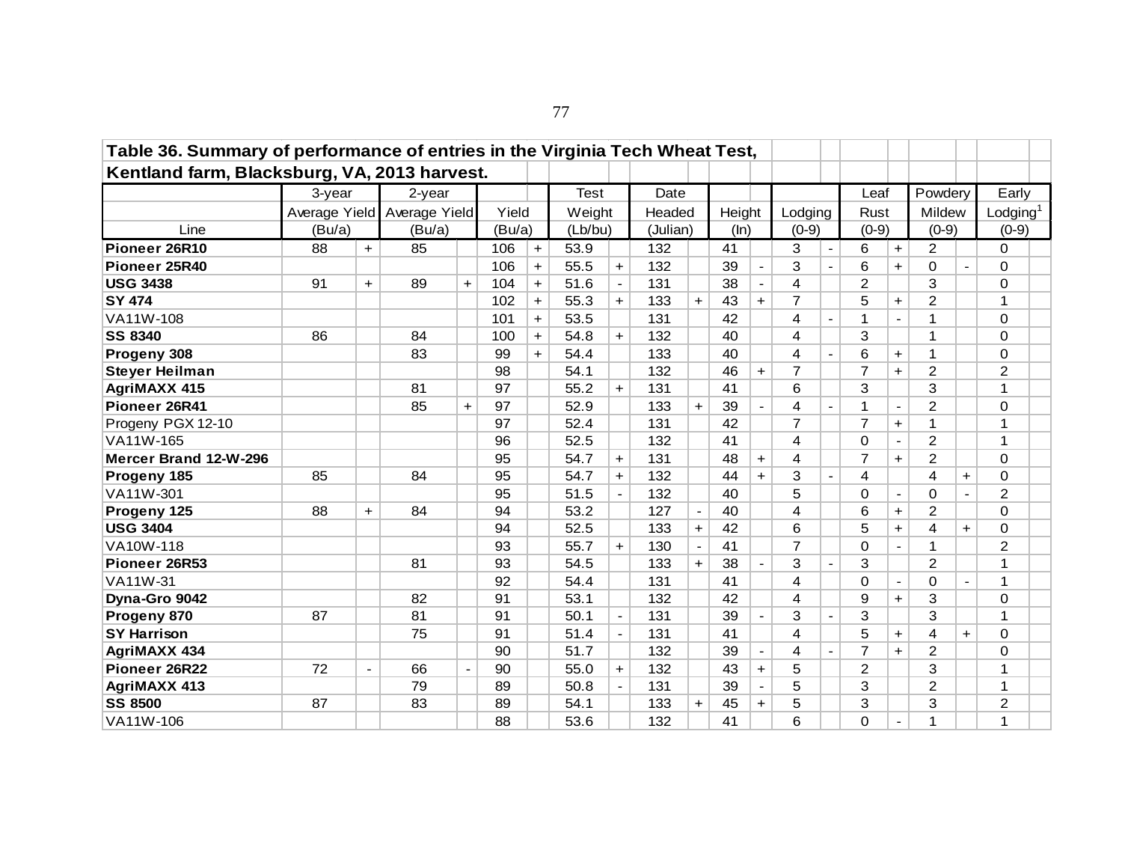| Table 36. Summary of performance of entries in the Virginia Tech Wheat Test, |        |                          |                             |                      |        |           |         |                |          |                          |        |                          |         |                          |                |                          |                |                |                |  |
|------------------------------------------------------------------------------|--------|--------------------------|-----------------------------|----------------------|--------|-----------|---------|----------------|----------|--------------------------|--------|--------------------------|---------|--------------------------|----------------|--------------------------|----------------|----------------|----------------|--|
| Kentland farm, Blacksburg, VA, 2013 harvest.                                 |        |                          |                             |                      |        |           |         |                |          |                          |        |                          |         |                          |                |                          |                |                |                |  |
|                                                                              | 3-year |                          | 2-year                      |                      |        |           | Test    |                | Date     |                          |        |                          |         |                          | Leaf           |                          | Powdery        |                | Early          |  |
|                                                                              |        |                          | Average Yield Average Yield |                      | Yield  |           | Weight  |                | Headed   |                          | Height |                          | Lodging |                          | Rust           |                          | Mildew         |                | Lodging $1$    |  |
| Line                                                                         | (Bu/a) |                          | (Bu/a)                      |                      | (Bu/a) |           | (Lb/bu) |                | (Julian) |                          | (ln)   |                          | $(0-9)$ |                          | $(0-9)$        |                          | $(0-9)$        |                | $(0-9)$        |  |
| Pioneer 26R10                                                                | 88     | $+$                      | 85                          |                      | 106    | $+$       | 53.9    |                | 132      |                          | 41     |                          | 3       | $\blacksquare$           | 6              | $\ddot{}$                | $\overline{2}$ |                | 0              |  |
| Pioneer 25R40                                                                |        |                          |                             |                      | 106    | $\ddot{}$ | 55.5    | $\ddot{}$      | 132      |                          | 39     | $\overline{\phantom{a}}$ | 3       |                          | 6              | $+$                      | 0              | $\overline{a}$ | $\Omega$       |  |
| <b>USG 3438</b>                                                              | 91     | $+$                      | 89                          | $\ddot{\phantom{1}}$ | 104    | $+$       | 51.6    |                | 131      |                          | 38     | $\overline{\phantom{a}}$ | 4       |                          | $\overline{2}$ |                          | 3              |                | $\Omega$       |  |
| <b>SY 474</b>                                                                |        |                          |                             |                      | 102    | $+$       | 55.3    | $+$            | 133      | $+$                      | 43     | $+$                      | 7       |                          | 5              | $+$                      | 2              |                | $\mathbf{1}$   |  |
| VA11W-108                                                                    |        |                          |                             |                      | 101    | $+$       | 53.5    |                | 131      |                          | 42     |                          | 4       |                          | $\mathbf{1}$   | $\blacksquare$           | 1              |                | $\Omega$       |  |
| <b>SS 8340</b>                                                               | 86     |                          | 84                          |                      | 100    | $+$       | 54.8    | $+$            | 132      |                          | 40     |                          | 4       |                          | 3              |                          | 1              |                | 0              |  |
| Progeny 308                                                                  |        |                          | 83                          |                      | 99     | $+$       | 54.4    |                | 133      |                          | 40     |                          | 4       |                          | 6              | $\ddot{}$                | 1              |                | $\Omega$       |  |
| <b>Steyer Heilman</b>                                                        |        |                          |                             |                      | 98     |           | 54.1    |                | 132      |                          | 46     | $+$                      | 7       |                          | $\overline{7}$ | $+$                      | 2              |                | $\overline{2}$ |  |
| <b>AgriMAXX 415</b>                                                          |        |                          | 81                          |                      | 97     |           | 55.2    | $+$            | 131      |                          | 41     |                          | 6       |                          | 3              |                          | 3              |                | $\mathbf 1$    |  |
| Pioneer 26R41                                                                |        |                          | 85                          | $\ddot{}$            | 97     |           | 52.9    |                | 133      | $+$                      | 39     | $\blacksquare$           | 4       |                          | $\mathbf{1}$   | $\overline{\phantom{a}}$ | 2              |                | $\Omega$       |  |
| Progeny PGX 12-10                                                            |        |                          |                             |                      | 97     |           | 52.4    |                | 131      |                          | 42     |                          | 7       |                          | $\overline{7}$ | $+$                      | 1              |                | 1              |  |
| VA11W-165                                                                    |        |                          |                             |                      | 96     |           | 52.5    |                | 132      |                          | 41     |                          | 4       |                          | $\Omega$       | $\sim$                   | $\overline{2}$ |                | $\mathbf 1$    |  |
| Mercer Brand 12-W-296                                                        |        |                          |                             |                      | 95     |           | 54.7    | $\ddot{}$      | 131      |                          | 48     | $+$                      | 4       |                          | $\overline{7}$ | $+$                      | $\overline{2}$ |                | $\Omega$       |  |
| Progeny 185                                                                  | 85     |                          | 84                          |                      | 95     |           | 54.7    | $+$            | 132      |                          | 44     | $+$                      | 3       | $\blacksquare$           | 4              |                          | 4              | $\ddot{}$      | 0              |  |
| VA11W-301                                                                    |        |                          |                             |                      | 95     |           | 51.5    |                | 132      |                          | 40     |                          | 5       |                          | $\Omega$       |                          | 0              | $\overline{a}$ | 2              |  |
| Progeny 125                                                                  | 88     | $+$                      | 84                          |                      | 94     |           | 53.2    |                | 127      | $\blacksquare$           | 40     |                          | 4       |                          | 6              | $+$                      | 2              |                | $\Omega$       |  |
| <b>USG 3404</b>                                                              |        |                          |                             |                      | 94     |           | 52.5    |                | 133      | $+$                      | 42     |                          | 6       |                          | 5              | $+$                      | 4              | $+$            | $\Omega$       |  |
| VA10W-118                                                                    |        |                          |                             |                      | 93     |           | 55.7    | $+$            | 130      | $\overline{\phantom{a}}$ | 41     |                          | 7       |                          | $\mathbf 0$    | $\blacksquare$           | 1              |                | $\overline{2}$ |  |
| Pioneer 26R53                                                                |        |                          | 81                          |                      | 93     |           | 54.5    |                | 133      | $+$                      | 38     | $\blacksquare$           | 3       | $\blacksquare$           | 3              |                          | $\overline{c}$ |                | 1              |  |
| VA11W-31                                                                     |        |                          |                             |                      | 92     |           | 54.4    |                | 131      |                          | 41     |                          | 4       |                          | $\Omega$       | $\blacksquare$           | 0              | $\blacksquare$ | $\mathbf 1$    |  |
| Dyna-Gro 9042                                                                |        |                          | 82                          |                      | 91     |           | 53.1    |                | 132      |                          | 42     |                          | 4       |                          | 9              | $\ddot{}$                | 3              |                | 0              |  |
| Progeny 870                                                                  | 87     |                          | 81                          |                      | 91     |           | 50.1    | $\blacksquare$ | 131      |                          | 39     | $\blacksquare$           | 3       | $\blacksquare$           | 3              |                          | 3              |                | 1              |  |
| <b>SY Harrison</b>                                                           |        |                          | 75                          |                      | 91     |           | 51.4    |                | 131      |                          | 41     |                          | 4       |                          | 5              | $+$                      | 4              | $+$            | $\Omega$       |  |
| <b>AgriMAXX 434</b>                                                          |        |                          |                             |                      | 90     |           | 51.7    |                | 132      |                          | 39     | $\blacksquare$           | 4       | $\overline{\phantom{a}}$ | $\overline{7}$ | $+$                      | 2              |                | $\Omega$       |  |
| Pioneer 26R22                                                                | 72     | $\overline{\phantom{a}}$ | 66                          |                      | 90     |           | 55.0    | $+$            | 132      |                          | 43     | $\ddot{}$                | 5       |                          | $\overline{2}$ |                          | 3              |                | 1              |  |
| <b>AgriMAXX 413</b>                                                          |        |                          | 79                          |                      | 89     |           | 50.8    |                | 131      |                          | 39     | $\blacksquare$           | 5       |                          | 3              |                          | 2              |                | 1              |  |
| <b>SS 8500</b>                                                               | 87     |                          | 83                          |                      | 89     |           | 54.1    |                | 133      | $+$                      | 45     | $+$                      | 5       |                          | 3              |                          | 3              |                | $\overline{2}$ |  |
| VA11W-106                                                                    |        |                          |                             |                      | 88     |           | 53.6    |                | 132      |                          | 41     |                          | 6       |                          | 0              | $\overline{\phantom{a}}$ | 1              |                | $\mathbf{1}$   |  |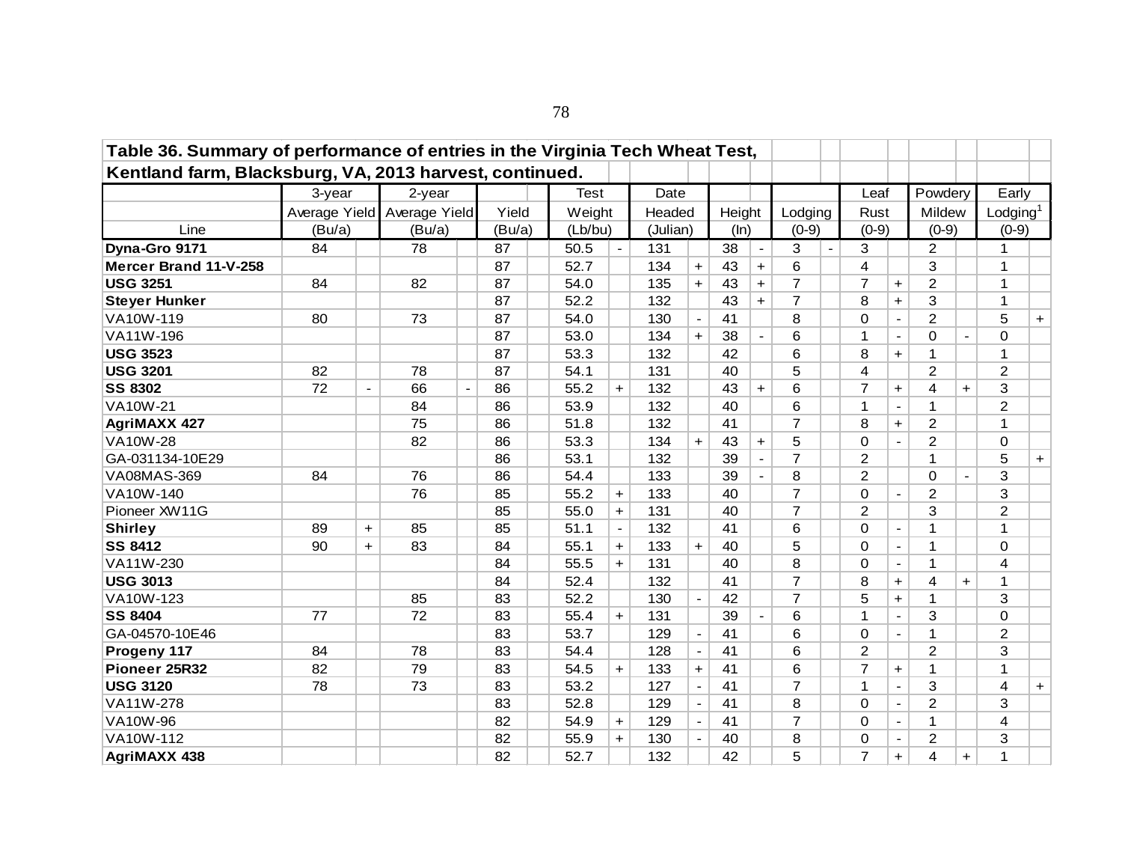| Table 36. Summary of performance of entries in the Virginia Tech Wheat Test, |        |                |                             |                          |        |         |           |          |                          |        |                |                |                |                         |                          |                |                      |                         |           |
|------------------------------------------------------------------------------|--------|----------------|-----------------------------|--------------------------|--------|---------|-----------|----------|--------------------------|--------|----------------|----------------|----------------|-------------------------|--------------------------|----------------|----------------------|-------------------------|-----------|
| Kentland farm, Blacksburg, VA, 2013 harvest, continued.                      |        |                |                             |                          |        |         |           |          |                          |        |                |                |                |                         |                          |                |                      |                         |           |
|                                                                              | 3-year |                | 2-year                      |                          |        | Test    |           | Date     |                          |        |                |                |                | Leaf                    |                          | Powdery        |                      | Early                   |           |
|                                                                              |        |                | Average Yield Average Yield |                          | Yield  | Weight  |           | Headed   |                          | Height |                | Lodging        |                | Rust                    |                          | Mildew         |                      | Lodging $1$             |           |
| Line                                                                         | (Bu/a) |                | (Bu/a)                      |                          | (Bu/a) | (Lb/bu) |           | (Julian) |                          | (ln)   |                | $(0-9)$        |                | $(0-9)$                 |                          | $(0-9)$        |                      | $(0-9)$                 |           |
| Dyna-Gro 9171                                                                | 84     |                | 78                          |                          | 87     | 50.5    |           | 131      |                          | 38     | $\blacksquare$ | 3              | $\overline{a}$ | 3                       |                          | 2              |                      | $\mathbf{1}$            |           |
| Mercer Brand 11-V-258                                                        |        |                |                             |                          | 87     | 52.7    |           | 134      | $+$                      | 43     | $+$            | 6              |                | 4                       |                          | 3              |                      | $\mathbf{1}$            |           |
| <b>USG 3251</b>                                                              | 84     |                | 82                          |                          | 87     | 54.0    |           | 135      | $+$                      | 43     | $+$            | $\overline{7}$ |                | $\overline{7}$          | $\ddot{}$                | $\overline{c}$ |                      | $\mathbf{1}$            |           |
| <b>Steyer Hunker</b>                                                         |        |                |                             |                          | 87     | 52.2    |           | 132      |                          | 43     | $+$            | $\overline{7}$ |                | 8                       | $+$                      | 3              |                      | $\mathbf{1}$            |           |
| VA10W-119                                                                    | 80     |                | 73                          |                          | 87     | 54.0    |           | 130      | $\overline{\phantom{a}}$ | 41     |                | 8              |                | $\Omega$                | $\blacksquare$           | $\overline{2}$ |                      | 5                       | $\ddot{}$ |
| VA11W-196                                                                    |        |                |                             |                          | 87     | 53.0    |           | 134      | $+$                      | 38     | $\blacksquare$ | 6              |                | $\mathbf{1}$            | $\blacksquare$           | 0              | $\sim$               | $\mathbf 0$             |           |
| <b>USG 3523</b>                                                              |        |                |                             |                          | 87     | 53.3    |           | 132      |                          | 42     |                | 6              |                | 8                       | $\ddagger$               | 1              |                      | $\mathbf{1}$            |           |
| <b>USG 3201</b>                                                              | 82     |                | 78                          |                          | 87     | 54.1    |           | 131      |                          | 40     |                | 5              |                | $\overline{\mathbf{4}}$ |                          | $\overline{c}$ |                      | $\overline{c}$          |           |
| <b>SS 8302</b>                                                               | 72     | $\blacksquare$ | 66                          | $\overline{\phantom{a}}$ | 86     | 55.2    | $+$       | 132      |                          | 43     | $+$            | 6              |                | $\overline{7}$          | $+$                      | 4              | $+$                  | 3                       |           |
| <b>VA10W-21</b>                                                              |        |                | 84                          |                          | 86     | 53.9    |           | 132      |                          | 40     |                | 6              |                | $\mathbf 1$             | $\blacksquare$           | 1              |                      | $\overline{2}$          |           |
| <b>AgriMAXX 427</b>                                                          |        |                | 75                          |                          | 86     | 51.8    |           | 132      |                          | 41     |                | $\overline{7}$ |                | 8                       | $\ddagger$               | $\overline{2}$ |                      | $\mathbf{1}$            |           |
| <b>VA10W-28</b>                                                              |        |                | 82                          |                          | 86     | 53.3    |           | 134      | $+$                      | 43     | $+$            | 5              |                | 0                       | $\blacksquare$           | 2              |                      | 0                       |           |
| GA-031134-10E29                                                              |        |                |                             |                          | 86     | 53.1    |           | 132      |                          | 39     | $\mathbf{r}$   | $\overline{7}$ |                | 2                       |                          | 1              |                      | 5                       | $+$       |
| VA08MAS-369                                                                  | 84     |                | 76                          |                          | 86     | 54.4    |           | 133      |                          | 39     | $\blacksquare$ | 8              |                | $\overline{2}$          |                          | $\Omega$       | $\sim$               | 3                       |           |
| VA10W-140                                                                    |        |                | 76                          |                          | 85     | 55.2    | $\ddot{}$ | 133      |                          | 40     |                | $\overline{7}$ |                | $\mathbf 0$             |                          | $\overline{c}$ |                      | 3                       |           |
| Pioneer XW11G                                                                |        |                |                             |                          | 85     | 55.0    | $+$       | 131      |                          | 40     |                | $\overline{7}$ |                | 2                       |                          | 3              |                      | 2                       |           |
| <b>Shirley</b>                                                               | 89     | $+$            | 85                          |                          | 85     | 51.1    |           | 132      |                          | 41     |                | 6              |                | $\Omega$                | $\blacksquare$           | 1              |                      | $\mathbf{1}$            |           |
| <b>SS 8412</b>                                                               | 90     | $+$            | 83                          |                          | 84     | 55.1    | $+$       | 133      | $+$                      | 40     |                | 5              |                | $\mathbf 0$             | $\overline{\phantom{a}}$ | 1              |                      | $\Omega$                |           |
| VA11W-230                                                                    |        |                |                             |                          | 84     | 55.5    | $+$       | 131      |                          | 40     |                | 8              |                | $\mathbf 0$             | $\blacksquare$           | 1              |                      | $\overline{\mathbf{4}}$ |           |
| <b>USG 3013</b>                                                              |        |                |                             |                          | 84     | 52.4    |           | 132      |                          | 41     |                | $\overline{7}$ |                | 8                       | $+$                      | 4              | $\ddot{}$            | 1                       |           |
| VA10W-123                                                                    |        |                | 85                          |                          | 83     | 52.2    |           | 130      |                          | 42     |                | $\overline{7}$ |                | 5                       | $\ddagger$               | 1              |                      | 3                       |           |
| <b>SS 8404</b>                                                               | 77     |                | 72                          |                          | 83     | 55.4    | $+$       | 131      |                          | 39     |                | 6              |                | $\mathbf{1}$            | $\overline{\phantom{a}}$ | 3              |                      | $\mathbf 0$             |           |
| GA-04570-10E46                                                               |        |                |                             |                          | 83     | 53.7    |           | 129      |                          | 41     |                | 6              |                | $\mathbf 0$             | $\hbox{--}$              | 1              |                      | $\overline{2}$          |           |
| Progeny 117                                                                  | 84     |                | 78                          |                          | 83     | 54.4    |           | 128      | $\blacksquare$           | 41     |                | 6              |                | $\overline{2}$          |                          | $\overline{2}$ |                      | 3                       |           |
| Pioneer 25R32                                                                | 82     |                | 79                          |                          | 83     | 54.5    | $+$       | 133      | $\ddot{\phantom{1}}$     | 41     |                | 6              |                | $\overline{7}$          | $\ddagger$               | 1              |                      | $\mathbf 1$             |           |
| <b>USG 3120</b>                                                              | 78     |                | 73                          |                          | 83     | 53.2    |           | 127      | $\blacksquare$           | 41     |                | $\overline{7}$ |                | $\mathbf 1$             | $\blacksquare$           | 3              |                      | $\overline{\mathbf{4}}$ | $\ddot{}$ |
| VA11W-278                                                                    |        |                |                             |                          | 83     | 52.8    |           | 129      | $\blacksquare$           | 41     |                | 8              |                | $\Omega$                | $\sim$                   | 2              |                      | 3                       |           |
| VA10W-96                                                                     |        |                |                             |                          | 82     | 54.9    | $\ddot{}$ | 129      | $\mathbf{r}$             | 41     |                | $\overline{7}$ |                | $\mathbf 0$             | $\blacksquare$           | 1              |                      | 4                       |           |
| VA10W-112                                                                    |        |                |                             |                          | 82     | 55.9    | $+$       | 130      |                          | 40     |                | 8              |                | 0                       |                          | $\overline{c}$ |                      | 3                       |           |
| <b>AgriMAXX 438</b>                                                          |        |                |                             |                          | 82     | 52.7    |           | 132      |                          | 42     |                | 5              |                | $\overline{7}$          | $+$                      | 4              | $\ddot{\phantom{1}}$ | 1                       |           |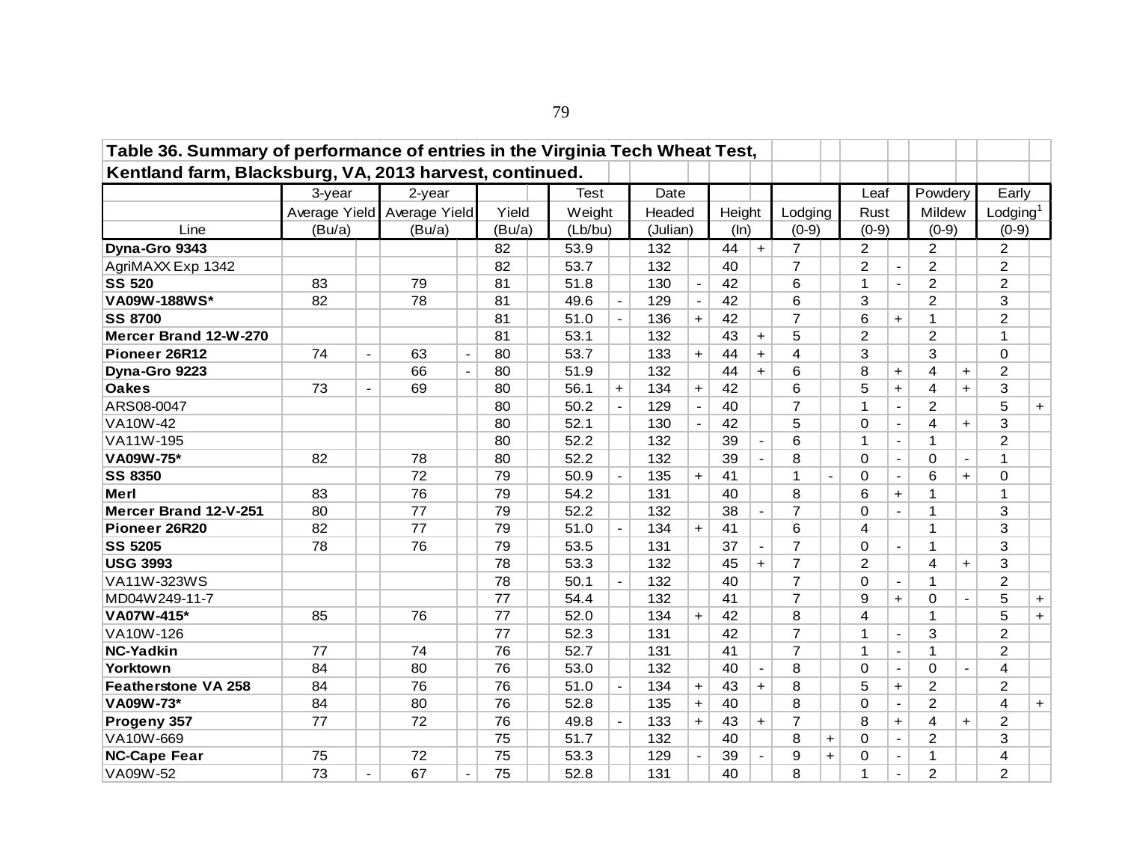| Table 36. Summary of performance of entries in the Virginia Tech Wheat Test, |                             |                          |        |                          |        |         |     |          |                          |        |                          |                |                |                |                |                |                |                      |     |
|------------------------------------------------------------------------------|-----------------------------|--------------------------|--------|--------------------------|--------|---------|-----|----------|--------------------------|--------|--------------------------|----------------|----------------|----------------|----------------|----------------|----------------|----------------------|-----|
| Kentland farm, Blacksburg, VA, 2013 harvest, continued.                      |                             |                          |        |                          |        |         |     |          |                          |        |                          |                |                |                |                |                |                |                      |     |
|                                                                              | 3-year                      |                          | 2-year |                          |        | Test    |     | Date     |                          |        |                          |                |                | Leaf           |                | Powdery        |                | Early                |     |
|                                                                              | Average Yield Average Yield |                          |        |                          | Yield  | Weight  |     | Headed   |                          | Height |                          | Lodging        |                | Rust           |                | Mildew         |                | Lodging <sup>1</sup> |     |
| Line                                                                         | (Bu/a)                      |                          | (Bu/a) |                          | (Bu/a) | (Lb/bu) |     | (Julian) |                          | (ln)   |                          | $(0-9)$        |                | $(0-9)$        |                | $(0-9)$        |                | $(0-9)$              |     |
| Dyna-Gro 9343                                                                |                             |                          |        |                          | 82     | 53.9    |     | 132      |                          | 44     | $+$                      | $\overline{7}$ |                | $\overline{2}$ |                | 2              |                | $\overline{2}$       |     |
| AgriMAXX Exp 1342                                                            |                             |                          |        |                          | 82     | 53.7    |     | 132      |                          | 40     |                          | $\overline{7}$ |                | $\overline{c}$ |                | $\overline{c}$ |                | $\overline{2}$       |     |
| <b>SS 520</b>                                                                | 83                          |                          | 79     |                          | 81     | 51.8    |     | 130      | $\blacksquare$           | 42     |                          | 6              |                | 1              | $\blacksquare$ | $\overline{2}$ |                | $\overline{2}$       |     |
| VA09W-188WS*                                                                 | 82                          |                          | 78     |                          | 81     | 49.6    |     | 129      | $\overline{\phantom{a}}$ | 42     |                          | 6              |                | 3              |                | 2              |                | 3                    |     |
| <b>SS 8700</b>                                                               |                             |                          |        |                          | 81     | 51.0    |     | 136      | $+$                      | 42     |                          | 7              |                | 6              | $\pm$          | 1              |                | $\overline{2}$       |     |
| Mercer Brand 12-W-270                                                        |                             |                          |        |                          | 81     | 53.1    |     | 132      |                          | 43     | $\ddot{}$                | 5              |                | $\overline{2}$ |                | 2              |                | 1                    |     |
| Pioneer 26R12                                                                | 74                          | $\blacksquare$           | 63     | $\overline{\phantom{a}}$ | 80     | 53.7    |     | 133      | $\ddot{}$                | 44     | $+$                      | 4              |                | 3              |                | 3              |                | $\Omega$             |     |
| Dyna-Gro 9223                                                                |                             |                          | 66     | $\blacksquare$           | 80     | 51.9    |     | 132      |                          | 44     | $+$                      | 6              |                | 8              | $\ddot{}$      | 4              | $\ddot{}$      | 2                    |     |
| <b>Oakes</b>                                                                 | 73                          | $\overline{\phantom{a}}$ | 69     |                          | 80     | 56.1    | $+$ | 134      | $+$                      | 42     |                          | 6              |                | 5              | $+$            | 4              | $+$            | 3                    |     |
| ARS08-0047                                                                   |                             |                          |        |                          | 80     | 50.2    |     | 129      |                          | 40     |                          | 7              |                | $\mathbf{1}$   | $\blacksquare$ | $\overline{2}$ |                | 5                    | $+$ |
| VA10W-42                                                                     |                             |                          |        |                          | 80     | 52.1    |     | 130      | $\sim$                   | 42     |                          | 5              |                | $\Omega$       | $\blacksquare$ | 4              | $+$            | 3                    |     |
| VA11W-195                                                                    |                             |                          |        |                          | 80     | 52.2    |     | 132      |                          | 39     | $\blacksquare$           | 6              |                | 1              | $\blacksquare$ | 1              |                | $\overline{2}$       |     |
| VA09W-75*                                                                    | 82                          |                          | 78     |                          | 80     | 52.2    |     | 132      |                          | 39     | $\blacksquare$           | 8              |                | $\mathbf 0$    | $\blacksquare$ | 0              | $\blacksquare$ | $\mathbf{1}$         |     |
| <b>SS 8350</b>                                                               |                             |                          | 72     |                          | 79     | 50.9    |     | 135      | $+$                      | 41     |                          | 1              | $\blacksquare$ | $\Omega$       | $\blacksquare$ | 6              | $+$            | $\Omega$             |     |
| <b>Merl</b>                                                                  | 83                          |                          | 76     |                          | 79     | 54.2    |     | 131      |                          | 40     |                          | 8              |                | 6              | $+$            | 1              |                | $\mathbf{1}$         |     |
| Mercer Brand 12-V-251                                                        | 80                          |                          | 77     |                          | 79     | 52.2    |     | 132      |                          | 38     | $\overline{\phantom{a}}$ | $\overline{7}$ |                | 0              | $\blacksquare$ | 1              |                | 3                    |     |
| Pioneer 26R20                                                                | 82                          |                          | 77     |                          | 79     | 51.0    |     | 134      | $+$                      | 41     |                          | 6              |                | 4              |                | 1              |                | 3                    |     |
| <b>SS 5205</b>                                                               | 78                          |                          | 76     |                          | 79     | 53.5    |     | 131      |                          | 37     | $\blacksquare$           | $\overline{7}$ |                | 0              | $\blacksquare$ | 1              |                | 3                    |     |
| <b>USG 3993</b>                                                              |                             |                          |        |                          | 78     | 53.3    |     | 132      |                          | 45     | $+$                      | $\overline{7}$ |                | $\overline{2}$ |                | 4              | $+$            | 3                    |     |
| VA11W-323WS                                                                  |                             |                          |        |                          | 78     | 50.1    |     | 132      |                          | 40     |                          | $\overline{7}$ |                | $\Omega$       | $\equiv$       | 1              |                | $\overline{2}$       |     |
| MD04W249-11-7                                                                |                             |                          |        |                          | 77     | 54.4    |     | 132      |                          | 41     |                          | $\overline{7}$ |                | 9              | $+$            | $\Omega$       | $\blacksquare$ | 5                    | $+$ |
| VA07W-415*                                                                   | 85                          |                          | 76     |                          | 77     | 52.0    |     | 134      | $+$                      | 42     |                          | 8              |                | 4              |                | 1              |                | 5                    | $+$ |
| VA10W-126                                                                    |                             |                          |        |                          | 77     | 52.3    |     | 131      |                          | 42     |                          | $\overline{7}$ |                | 1              | $\mathbf{r}$   | 3              |                | 2                    |     |
| <b>NC-Yadkin</b>                                                             | 77                          |                          | 74     |                          | 76     | 52.7    |     | 131      |                          | 41     |                          | $\overline{7}$ |                | $\mathbf{1}$   | $\blacksquare$ | $\mathbf{1}$   |                | $\overline{2}$       |     |
| Yorktown                                                                     | 84                          |                          | 80     |                          | 76     | 53.0    |     | 132      |                          | 40     | $\blacksquare$           | 8              |                | $\Omega$       | $\mathbf{r}$   | $\Omega$       | $\blacksquare$ | 4                    |     |
| <b>Featherstone VA 258</b>                                                   | 84                          |                          | 76     |                          | 76     | 51.0    |     | 134      | $+$                      | 43     | $+$                      | 8              |                | 5              | $+$            | $\overline{2}$ |                | $\overline{2}$       |     |
| VA09W-73*                                                                    | 84                          |                          | 80     |                          | 76     | 52.8    |     | 135      | $+$                      | 40     |                          | 8              |                | $\Omega$       | $\blacksquare$ | $\overline{c}$ |                | 4                    | $+$ |
| Progeny 357                                                                  | 77                          |                          | 72     |                          | 76     | 49.8    |     | 133      | $+$                      | 43     | $\pm$                    | $\overline{7}$ |                | 8              | $+$            | 4              | $+$            | $\overline{2}$       |     |
| VA10W-669                                                                    |                             |                          |        |                          | 75     | 51.7    |     | 132      |                          | 40     |                          | 8              | $\ddot{}$      | 0              | $\blacksquare$ | $\overline{c}$ |                | 3                    |     |
| <b>NC-Cape Fear</b>                                                          | 75                          |                          | 72     |                          | 75     | 53.3    |     | 129      |                          | 39     |                          | 9              | $+$            | 0              | $\blacksquare$ | 1              |                | $\overline{4}$       |     |
| VA09W-52                                                                     | 73                          |                          | 67     |                          | 75     | 52.8    |     | 131      |                          | 40     |                          | 8              |                | $\mathbf 1$    | $\blacksquare$ | $\overline{2}$ |                | $\overline{2}$       |     |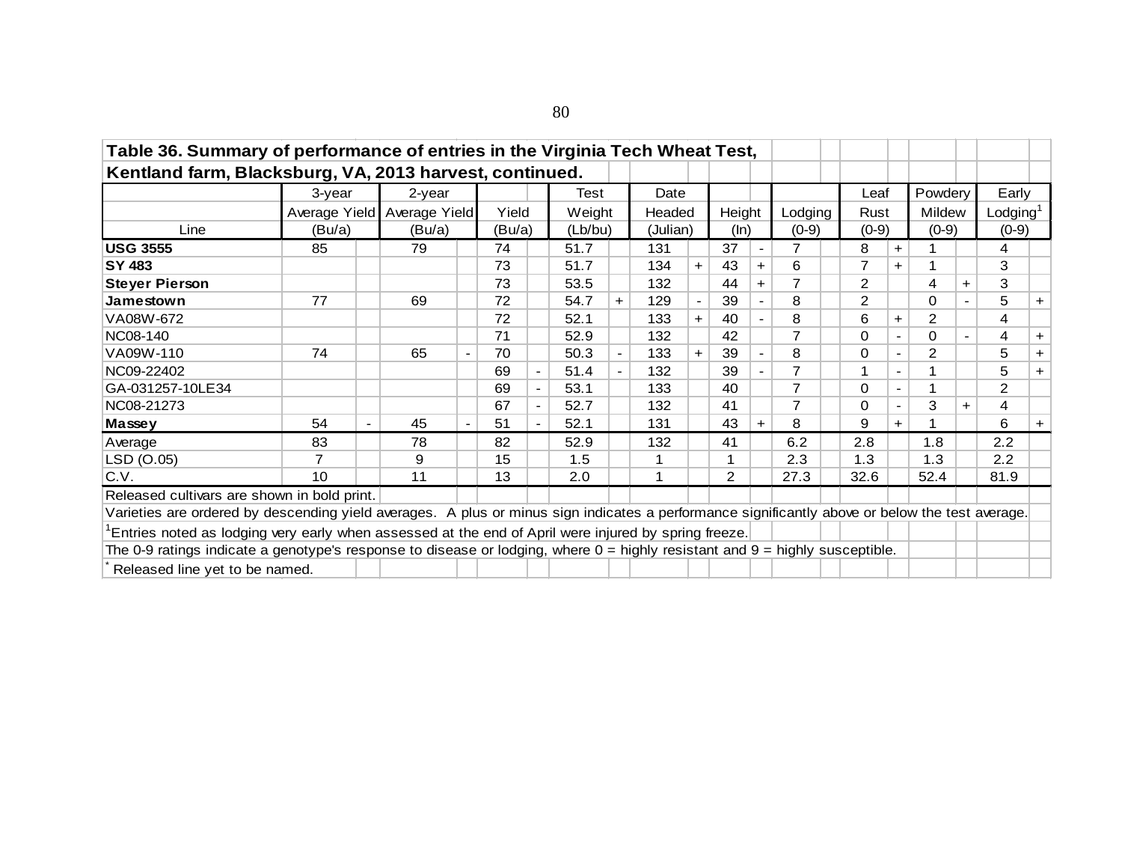| Table 36. Summary of performance of entries in the Virginia Tech Wheat Test,                                                                    |                             |        |        |                          |         |     |          |       |        |                          |         |                |                |                |                |                      |           |
|-------------------------------------------------------------------------------------------------------------------------------------------------|-----------------------------|--------|--------|--------------------------|---------|-----|----------|-------|--------|--------------------------|---------|----------------|----------------|----------------|----------------|----------------------|-----------|
| Kentland farm, Blacksburg, VA, 2013 harvest, continued.                                                                                         |                             |        |        |                          |         |     |          |       |        |                          |         |                |                |                |                |                      |           |
|                                                                                                                                                 | 3-year                      | 2-year |        |                          | Test    |     | Date     |       |        |                          |         | Leaf           |                | Powdery        |                | Early                |           |
|                                                                                                                                                 | Average Yield Average Yield |        | Yield  |                          | Weight  |     | Headed   |       | Height |                          | Lodging | Rust           |                | Mildew         |                | Lodging <sup>1</sup> |           |
| Line                                                                                                                                            | (Bu/a)                      | (Bu/a) | (Bu/a) |                          | (Lb/bu) |     | (Julian) |       | (ln)   |                          | $(0-9)$ | $(0-9)$        |                | $(0-9)$        |                | $(0-9)$              |           |
| <b>USG 3555</b>                                                                                                                                 | 85                          | 79     | 74     |                          | 51.7    |     | 131      |       | 37     | $\overline{\phantom{a}}$ |         | 8              | $\pm$          |                |                | 4                    |           |
| SY 483                                                                                                                                          |                             |        | 73     |                          | 51.7    |     | 134      | $\pm$ | 43     | $+$                      | 6       | 7              | $+$            |                |                | 3                    |           |
| <b>Steyer Pierson</b>                                                                                                                           |                             |        | 73     |                          | 53.5    |     | 132      |       | 44     | $+$                      |         | $\overline{2}$ |                | 4              | $+$            | 3                    |           |
| Jamestown                                                                                                                                       | 77                          | 69     | 72     |                          | 54.7    | $+$ | 129      |       | 39     | $\blacksquare$           | 8       | $\overline{2}$ |                | $\Omega$       | $\blacksquare$ | 5                    | $+$       |
| VA08W-672                                                                                                                                       |                             |        | 72     |                          | 52.1    |     | 133      | $+$   | 40     |                          | 8       | 6              | $+$            | $\overline{2}$ |                | 4                    |           |
| NC08-140                                                                                                                                        |                             |        | 71     |                          | 52.9    |     | 132      |       | 42     |                          |         | 0              |                | $\Omega$       | $\blacksquare$ | 4                    | $+$       |
| VA09W-110                                                                                                                                       | 74                          | 65     | 70     |                          | 50.3    |     | 133      | $\pm$ | 39     |                          | 8       | $\Omega$       | $\blacksquare$ | 2              |                | 5                    | $+$       |
| NC09-22402                                                                                                                                      |                             |        | 69     | $\overline{\phantom{a}}$ | 51.4    |     | 132      |       | 39     |                          |         | 1              | $\blacksquare$ |                |                | 5                    | $+$       |
| GA-031257-10LE34                                                                                                                                |                             |        | 69     | $\overline{\phantom{a}}$ | 53.1    |     | 133      |       | 40     |                          |         | 0              | $\blacksquare$ | 1              |                | $\overline{2}$       |           |
| NC08-21273                                                                                                                                      |                             |        | 67     | $\blacksquare$           | 52.7    |     | 132      |       | 41     |                          | 7       | $\Omega$       |                | 3              | $+$            | 4                    |           |
| Massey                                                                                                                                          | 54                          | 45     | 51     | $\blacksquare$           | 52.1    |     | 131      |       | 43     | $+$                      | 8       | 9              | $\pm$          | 1              |                | 6                    | $\ddot{}$ |
| Average                                                                                                                                         | 83                          | 78     | 82     |                          | 52.9    |     | 132      |       | 41     |                          | 6.2     | 2.8            |                | 1.8            |                | 2.2                  |           |
| LSD (O.05)                                                                                                                                      | $\overline{7}$              | 9      | 15     |                          | 1.5     |     |          |       |        |                          | 2.3     | 1.3            |                | 1.3            |                | 2.2                  |           |
| C.V.                                                                                                                                            | 10 <sup>°</sup>             | 11     | 13     |                          | 2.0     |     |          |       | 2      |                          | 27.3    | 32.6           |                | 52.4           |                | 81.9                 |           |
| Released cultivars are shown in bold print.                                                                                                     |                             |        |        |                          |         |     |          |       |        |                          |         |                |                |                |                |                      |           |
| Varieties are ordered by descending yield averages. A plus or minus sign indicates a performance significantly above or below the test average. |                             |        |        |                          |         |     |          |       |        |                          |         |                |                |                |                |                      |           |
| Entries noted as lodging very early when assessed at the end of April were injured by spring freeze.                                            |                             |        |        |                          |         |     |          |       |        |                          |         |                |                |                |                |                      |           |
| The 0-9 ratings indicate a genotype's response to disease or lodging, where $0 =$ highly resistant and $9 =$ highly susceptible.                |                             |        |        |                          |         |     |          |       |        |                          |         |                |                |                |                |                      |           |
| Released line yet to be named.                                                                                                                  |                             |        |        |                          |         |     |          |       |        |                          |         |                |                |                |                |                      |           |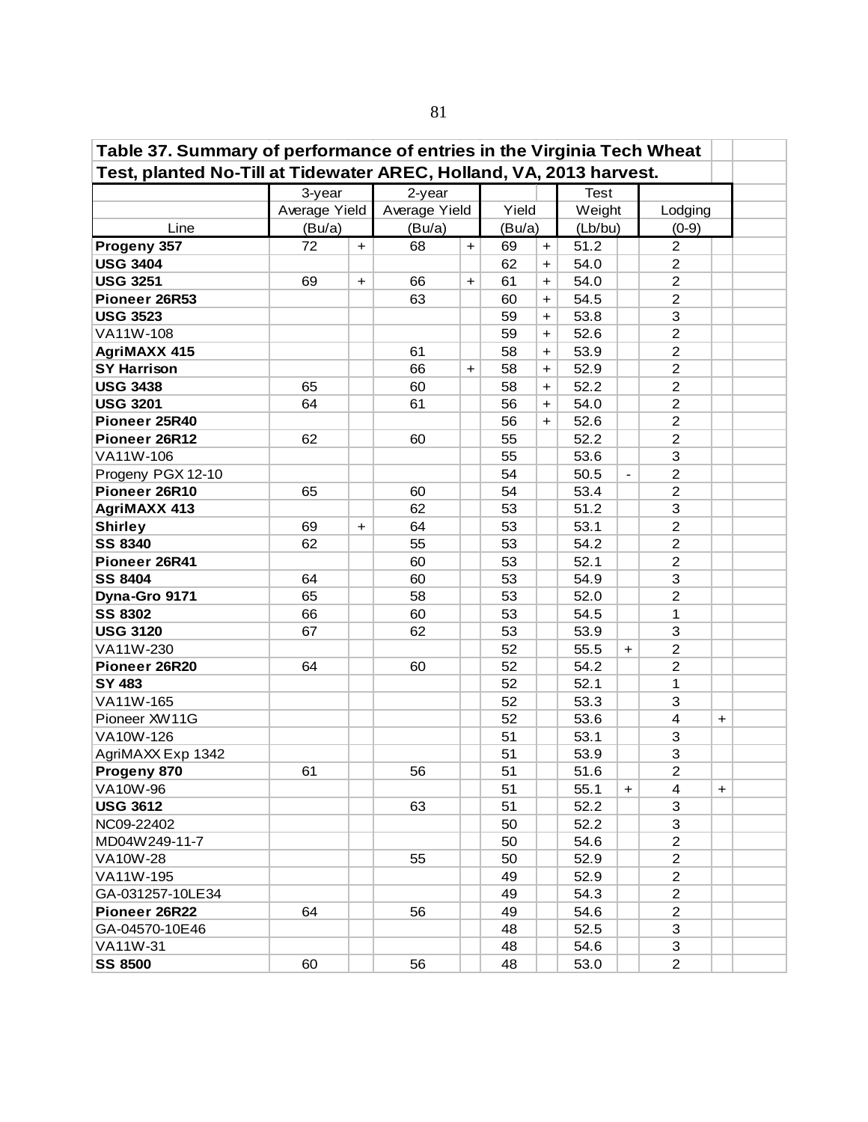| Table 37. Summary of performance of entries in the Virginia Tech Wheat |               |           |               |           |        |           |             |                          |                         |           |  |
|------------------------------------------------------------------------|---------------|-----------|---------------|-----------|--------|-----------|-------------|--------------------------|-------------------------|-----------|--|
| Test, planted No-Till at Tidewater AREC, Holland, VA, 2013 harvest.    |               |           |               |           |        |           |             |                          |                         |           |  |
|                                                                        | 3-year        |           | 2-year        |           |        |           | <b>Test</b> |                          |                         |           |  |
|                                                                        | Average Yield |           | Average Yield |           | Yield  |           | Weight      |                          | Lodging                 |           |  |
| Line                                                                   | (Bu/a)        |           | (Bu/a)        |           | (Bu/a) |           | (Lb/bu)     |                          | $(0-9)$                 |           |  |
| Progeny 357                                                            | 72            | $\ddot{}$ | 68            | $+$       | 69     | $\ddot{}$ | 51.2        |                          | $\overline{2}$          |           |  |
| <b>USG 3404</b>                                                        |               |           |               |           | 62     | $\ddot{}$ | 54.0        |                          | $\overline{2}$          |           |  |
| <b>USG 3251</b>                                                        | 69            | $\ddot{}$ | 66            | $\ddot{}$ | 61     | $\ddot{}$ | 54.0        |                          | $\overline{c}$          |           |  |
| Pioneer 26R53                                                          |               |           | 63            |           | 60     | $\ddot{}$ | 54.5        |                          | $\overline{2}$          |           |  |
| <b>USG 3523</b>                                                        |               |           |               |           | 59     | $\ddot{}$ | 53.8        |                          | 3                       |           |  |
| VA11W-108                                                              |               |           |               |           | 59     | $\ddot{}$ | 52.6        |                          | $\overline{2}$          |           |  |
| <b>AgriMAXX 415</b>                                                    |               |           | 61            |           | 58     | $+$       | 53.9        |                          | $\overline{c}$          |           |  |
| <b>SY Harrison</b>                                                     |               |           | 66            | $\ddot{}$ | 58     | $\ddot{}$ | 52.9        |                          | $\overline{c}$          |           |  |
| <b>USG 3438</b>                                                        | 65            |           | 60            |           | 58     | $\ddot{}$ | 52.2        |                          | $\overline{c}$          |           |  |
| <b>USG 3201</b>                                                        | 64            |           | 61            |           | 56     | $\ddot{}$ | 54.0        |                          | $\overline{c}$          |           |  |
| Pioneer 25R40                                                          |               |           |               |           | 56     | $+$       | 52.6        |                          | $\overline{c}$          |           |  |
| Pioneer 26R12                                                          | 62            |           | 60            |           | 55     |           | 52.2        |                          | $\overline{c}$          |           |  |
| VA11W-106                                                              |               |           |               |           | 55     |           | 53.6        |                          | 3                       |           |  |
| Progeny PGX 12-10                                                      |               |           |               |           | 54     |           | 50.5        | $\overline{\phantom{a}}$ | $\overline{2}$          |           |  |
| Pioneer 26R10                                                          | 65            |           | 60            |           | 54     |           | 53.4        |                          | 2                       |           |  |
| <b>AgriMAXX 413</b>                                                    |               |           | 62            |           | 53     |           | 51.2        |                          | 3                       |           |  |
| <b>Shirley</b>                                                         | 69            | $+$       | 64            |           | 53     |           | 53.1        |                          | $\overline{2}$          |           |  |
| <b>SS 8340</b>                                                         | 62            |           | 55            |           | 53     |           | 54.2        |                          | $\overline{2}$          |           |  |
| Pioneer 26R41                                                          |               |           | 60            |           | 53     |           | 52.1        |                          | $\overline{2}$          |           |  |
| <b>SS 8404</b>                                                         | 64            |           | 60            |           | 53     |           | 54.9        |                          | 3                       |           |  |
| Dyna-Gro 9171                                                          | 65            |           | 58            |           | 53     |           | 52.0        |                          | $\overline{2}$          |           |  |
| <b>SS 8302</b>                                                         | 66            |           | 60            |           | 53     |           | 54.5        |                          | 1                       |           |  |
| <b>USG 3120</b>                                                        | 67            |           | 62            |           | 53     |           | 53.9        |                          | 3                       |           |  |
| VA11W-230                                                              |               |           |               |           | 52     |           | 55.5        | $\ddot{}$                | $\overline{2}$          |           |  |
| Pioneer 26R20                                                          | 64            |           | 60            |           | 52     |           | 54.2        |                          | $\overline{2}$          |           |  |
| SY 483                                                                 |               |           |               |           | 52     |           | 52.1        |                          | 1                       |           |  |
| VA11W-165                                                              |               |           |               |           | 52     |           | 53.3        |                          | 3                       |           |  |
| Pioneer XW11G                                                          |               |           |               |           | 52     |           | 53.6        |                          | $\overline{\mathbf{4}}$ | $\ddot{}$ |  |
| VA10W-126                                                              |               |           |               |           | 51     |           | 53.1        |                          | $\mathbf{3}$            |           |  |
| AgriMAXX Exp 1342                                                      |               |           |               |           | 51     |           | 53.9        |                          | 3                       |           |  |
| Progeny 870                                                            | 61            |           | 56            |           | 51     |           | 51.6        |                          | $\overline{2}$          |           |  |
| VA10W-96                                                               |               |           |               |           | 51     |           | 55.1        | $\pm$                    | 4                       | $\pm$     |  |
| <b>USG 3612</b>                                                        |               |           | 63            |           | 51     |           | 52.2        |                          | 3                       |           |  |
| NC09-22402                                                             |               |           |               |           | 50     |           | 52.2        |                          | 3                       |           |  |
| MD04W249-11-7                                                          |               |           |               |           | 50     |           | 54.6        |                          | $\overline{2}$          |           |  |
| <b>VA10W-28</b>                                                        |               |           | 55            |           | 50     |           | 52.9        |                          | $\overline{2}$          |           |  |
| VA11W-195                                                              |               |           |               |           | 49     |           | 52.9        |                          | $\overline{2}$          |           |  |
| GA-031257-10LE34                                                       |               |           |               |           | 49     |           | 54.3        |                          | $\overline{2}$          |           |  |
| Pioneer 26R22                                                          | 64            |           | 56            |           | 49     |           | 54.6        |                          | $\overline{2}$          |           |  |
| GA-04570-10E46                                                         |               |           |               |           | 48     |           | 52.5        |                          | 3                       |           |  |
| VA11W-31                                                               |               |           |               |           | 48     |           | 54.6        |                          | 3                       |           |  |
| <b>SS 8500</b>                                                         | 60            |           | 56            |           | 48     |           | 53.0        |                          | $\overline{2}$          |           |  |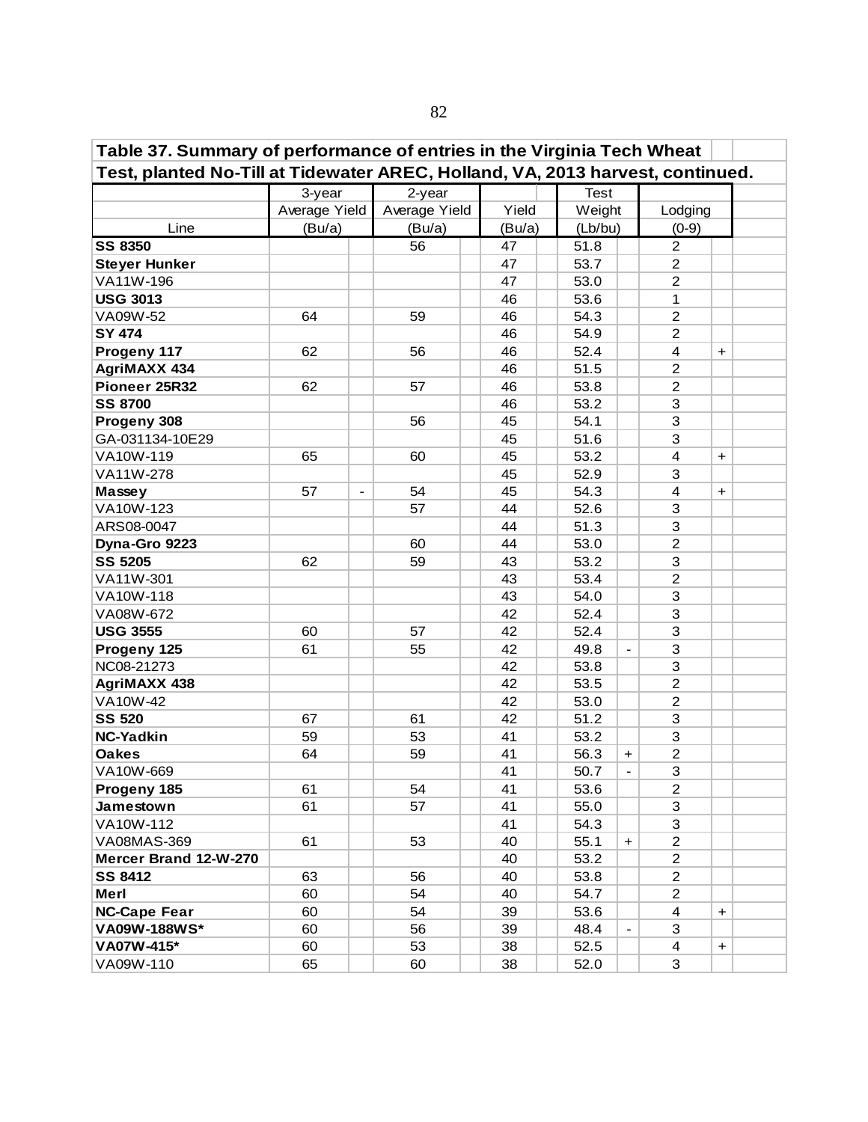| Table 37. Summary of performance of entries in the Virginia Tech Wheat<br>Test, planted No-Till at Tidewater AREC, Holland, VA, 2013 harvest, continued. |                                |               |        |                                  |                                |  |  |  |  |  |  |  |  |
|----------------------------------------------------------------------------------------------------------------------------------------------------------|--------------------------------|---------------|--------|----------------------------------|--------------------------------|--|--|--|--|--|--|--|--|
|                                                                                                                                                          |                                |               |        |                                  |                                |  |  |  |  |  |  |  |  |
|                                                                                                                                                          | 3-year                         | 2-year        |        | <b>Test</b>                      |                                |  |  |  |  |  |  |  |  |
|                                                                                                                                                          | Average Yield                  | Average Yield | Yield  | Weight                           | Lodging                        |  |  |  |  |  |  |  |  |
| Line                                                                                                                                                     | (Bu/a)                         | (Bu/a)        | (Bu/a) | (Lb/bu)                          | $(0-9)$                        |  |  |  |  |  |  |  |  |
| <b>SS 8350</b>                                                                                                                                           |                                | 56            | 47     | 51.8                             | $\overline{2}$                 |  |  |  |  |  |  |  |  |
| <b>Steyer Hunker</b>                                                                                                                                     |                                |               | 47     | 53.7                             | $\overline{c}$                 |  |  |  |  |  |  |  |  |
| VA11W-196                                                                                                                                                |                                |               | 47     | 53.0                             | $\overline{2}$                 |  |  |  |  |  |  |  |  |
| <b>USG 3013</b>                                                                                                                                          |                                |               | 46     | 53.6                             | 1                              |  |  |  |  |  |  |  |  |
| VA09W-52                                                                                                                                                 | 64                             | 59            | 46     | 54.3                             | $\overline{2}$                 |  |  |  |  |  |  |  |  |
| <b>SY 474</b>                                                                                                                                            |                                |               | 46     | 54.9                             | $\overline{2}$                 |  |  |  |  |  |  |  |  |
| Progeny 117                                                                                                                                              | 62                             | 56            | 46     | 52.4                             | $\overline{4}$<br>$\ddot{}$    |  |  |  |  |  |  |  |  |
| <b>AgriMAXX 434</b>                                                                                                                                      |                                |               | 46     | 51.5                             | $\overline{2}$                 |  |  |  |  |  |  |  |  |
| Pioneer 25R32                                                                                                                                            | 62                             | 57            | 46     | 53.8                             | $\overline{2}$                 |  |  |  |  |  |  |  |  |
| <b>SS 8700</b>                                                                                                                                           |                                |               | 46     | 53.2                             | 3                              |  |  |  |  |  |  |  |  |
| Progeny 308                                                                                                                                              |                                | 56            | 45     | 54.1                             | 3                              |  |  |  |  |  |  |  |  |
| GA-031134-10E29                                                                                                                                          |                                |               | 45     | 51.6                             | 3                              |  |  |  |  |  |  |  |  |
| VA10W-119                                                                                                                                                | 65                             | 60            | 45     | 53.2                             | 4<br>$\ddot{}$                 |  |  |  |  |  |  |  |  |
| VA11W-278                                                                                                                                                |                                |               | 45     | 52.9                             | 3                              |  |  |  |  |  |  |  |  |
| Massey                                                                                                                                                   | 57<br>$\overline{\phantom{a}}$ | 54            | 45     | 54.3                             | 4<br>$\ddot{}$                 |  |  |  |  |  |  |  |  |
| VA10W-123                                                                                                                                                |                                | 57            | 44     | 52.6                             | 3                              |  |  |  |  |  |  |  |  |
| ARS08-0047                                                                                                                                               |                                |               | 44     | 51.3                             | 3                              |  |  |  |  |  |  |  |  |
| Dyna-Gro 9223                                                                                                                                            |                                | 60            | 44     | 53.0                             | $\overline{c}$                 |  |  |  |  |  |  |  |  |
| <b>SS 5205</b>                                                                                                                                           | 62                             | 59            | 43     | 53.2                             | 3                              |  |  |  |  |  |  |  |  |
| VA11W-301                                                                                                                                                |                                |               | 43     | 53.4                             | $\overline{2}$                 |  |  |  |  |  |  |  |  |
| VA10W-118                                                                                                                                                |                                |               | 43     | 54.0                             | 3                              |  |  |  |  |  |  |  |  |
| VA08W-672                                                                                                                                                |                                |               | 42     | 52.4                             | 3                              |  |  |  |  |  |  |  |  |
| <b>USG 3555</b>                                                                                                                                          | 60                             | 57            | 42     | 52.4                             | 3                              |  |  |  |  |  |  |  |  |
| Progeny 125                                                                                                                                              | 61                             | 55            | 42     | 49.8<br>$\overline{\phantom{a}}$ | 3                              |  |  |  |  |  |  |  |  |
| NC08-21273                                                                                                                                               |                                |               | 42     | 53.8                             | 3                              |  |  |  |  |  |  |  |  |
| <b>AgriMAXX 438</b>                                                                                                                                      |                                |               | 42     | 53.5                             | $\overline{2}$                 |  |  |  |  |  |  |  |  |
| VA10W-42                                                                                                                                                 |                                |               | 42     | 53.0                             | $\overline{2}$                 |  |  |  |  |  |  |  |  |
| <b>SS 520</b>                                                                                                                                            | 67                             | 61            | 42     | 51.2                             | 3                              |  |  |  |  |  |  |  |  |
| <b>NC-Yadkin</b>                                                                                                                                         | 59                             | 53            | 41     | 53.2                             | 3                              |  |  |  |  |  |  |  |  |
| <b>Oakes</b>                                                                                                                                             | 64                             | 59            | 41     | 56.3<br>$\ddot{}$                | $\overline{2}$                 |  |  |  |  |  |  |  |  |
| VA10W-669                                                                                                                                                |                                |               | 41     | 50.7<br>$\overline{\phantom{a}}$ | 3                              |  |  |  |  |  |  |  |  |
| Progeny 185                                                                                                                                              | 61                             | 54            | 41     | 53.6                             | $\overline{2}$                 |  |  |  |  |  |  |  |  |
| Jamestown                                                                                                                                                | 61                             | 57            | 41     | 55.0                             | 3                              |  |  |  |  |  |  |  |  |
| VA10W-112                                                                                                                                                |                                |               | 41     | 54.3                             | 3                              |  |  |  |  |  |  |  |  |
| VA08MAS-369                                                                                                                                              | 61                             | 53            | 40     | 55.1<br>$+$                      | $\overline{2}$                 |  |  |  |  |  |  |  |  |
| Mercer Brand 12-W-270                                                                                                                                    |                                |               | 40     | 53.2                             | $\overline{2}$                 |  |  |  |  |  |  |  |  |
| <b>SS 8412</b>                                                                                                                                           | 63                             | 56            | 40     | 53.8                             | $\overline{2}$                 |  |  |  |  |  |  |  |  |
| Merl                                                                                                                                                     | 60                             | 54            | 40     | 54.7                             | $\overline{2}$                 |  |  |  |  |  |  |  |  |
| <b>NC-Cape Fear</b>                                                                                                                                      | 60                             | 54            | 39     | 53.6                             | $\overline{\mathbf{4}}$<br>$+$ |  |  |  |  |  |  |  |  |
| VA09W-188WS*                                                                                                                                             | 60                             | 56            | 39     | 48.4                             | 3                              |  |  |  |  |  |  |  |  |
| VA07W-415*                                                                                                                                               | 60                             | 53            | 38     | 52.5                             | $\overline{4}$<br>$\ddot{}$    |  |  |  |  |  |  |  |  |
| VA09W-110                                                                                                                                                | 65                             | 60            | 38     | 52.0                             | 3                              |  |  |  |  |  |  |  |  |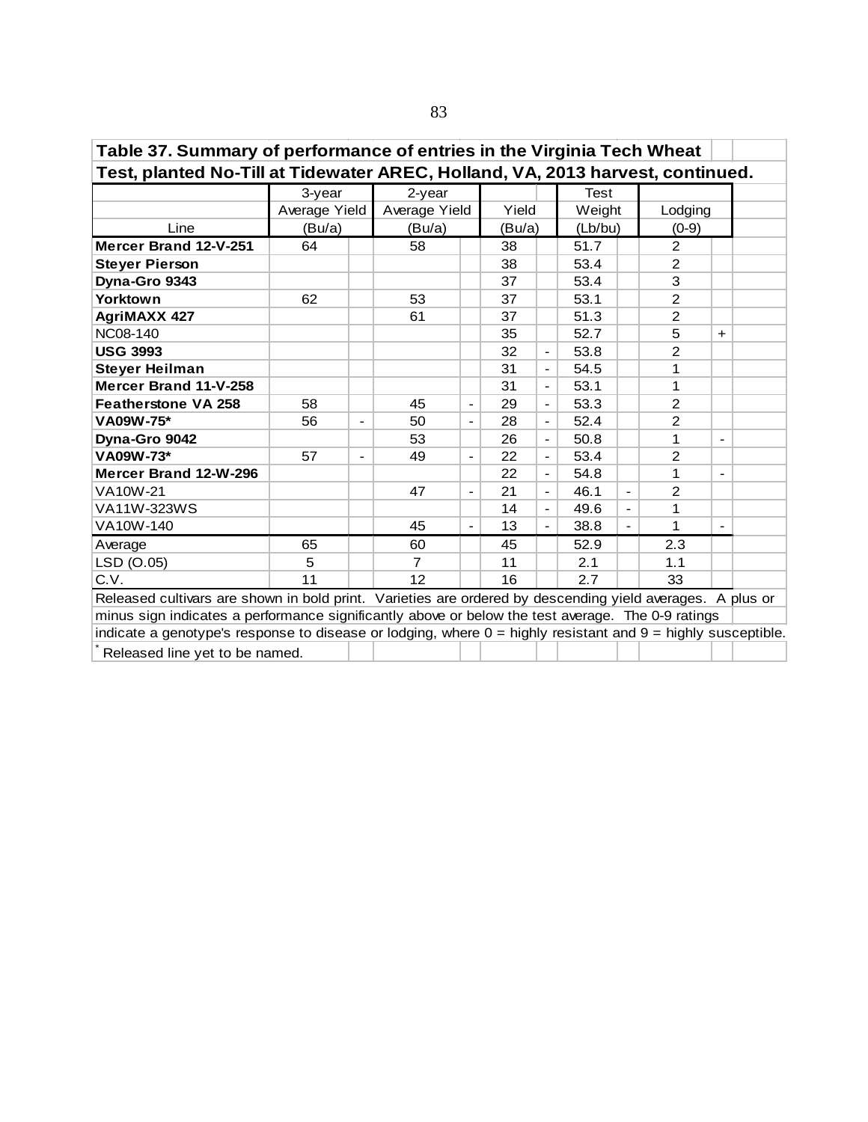| Table 37. Summary of performance of entries in the Virginia Tech Wheat                                                   |               |                          |                |                              |        |                          |         |                          |                |                          |  |  |  |  |
|--------------------------------------------------------------------------------------------------------------------------|---------------|--------------------------|----------------|------------------------------|--------|--------------------------|---------|--------------------------|----------------|--------------------------|--|--|--|--|
| Test, planted No-Till at Tidewater AREC, Holland, VA, 2013 harvest, continued.                                           |               |                          |                |                              |        |                          |         |                          |                |                          |  |  |  |  |
|                                                                                                                          | 3-year        |                          | 2-year         |                              |        |                          | Test    |                          |                |                          |  |  |  |  |
|                                                                                                                          | Average Yield |                          | Average Yield  |                              | Yield  |                          | Weight  |                          | Lodging        |                          |  |  |  |  |
| Line                                                                                                                     | (Bu/a)        |                          | (Bu/a)         |                              | (Bu/a) |                          | (Lb/bu) |                          | $(0-9)$        |                          |  |  |  |  |
| Mercer Brand 12-V-251                                                                                                    | 64            |                          | 58             |                              | 38     |                          | 51.7    |                          | 2              |                          |  |  |  |  |
| <b>Steyer Pierson</b>                                                                                                    |               |                          |                |                              | 38     |                          | 53.4    |                          | 2              |                          |  |  |  |  |
| Dyna-Gro 9343                                                                                                            |               |                          |                |                              | 37     |                          | 53.4    |                          | 3              |                          |  |  |  |  |
| <b>Yorktown</b>                                                                                                          | 62            |                          | 53             |                              | 37     |                          | 53.1    |                          | $\overline{2}$ |                          |  |  |  |  |
| <b>AgriMAXX 427</b>                                                                                                      |               |                          | 61             |                              | 37     |                          | 51.3    |                          | $\overline{2}$ |                          |  |  |  |  |
| 5<br><b>NC08-140</b><br>35<br>52.7<br>$+$<br>$\overline{2}$<br><b>USG 3993</b><br>32<br>53.8<br>$\overline{\phantom{a}}$ |               |                          |                |                              |        |                          |         |                          |                |                          |  |  |  |  |
|                                                                                                                          |               |                          |                |                              |        |                          |         |                          |                |                          |  |  |  |  |
| 54.5<br><b>Steyer Heilman</b><br>31<br>1<br>$\overline{\phantom{0}}$                                                     |               |                          |                |                              |        |                          |         |                          |                |                          |  |  |  |  |
| Mercer Brand 11-V-258                                                                                                    |               |                          |                |                              | 31     | $\overline{\phantom{a}}$ | 53.1    |                          | 1              |                          |  |  |  |  |
| <b>Featherstone VA 258</b>                                                                                               | 58            |                          | 45             |                              | 29     | $\overline{\phantom{0}}$ | 53.3    |                          | 2              |                          |  |  |  |  |
| VA09W-75*                                                                                                                | 56            | $\overline{\phantom{a}}$ | 50             | $\overline{\phantom{a}}$     | 28     | $\blacksquare$           | 52.4    |                          | $\overline{2}$ |                          |  |  |  |  |
| Dyna-Gro 9042                                                                                                            |               |                          | 53             |                              | 26     | $\blacksquare$           | 50.8    |                          | 1              |                          |  |  |  |  |
| VA09W-73*                                                                                                                | 57            | $\blacksquare$           | 49             | $\qquad \qquad \blacksquare$ | 22     | $\overline{\phantom{a}}$ | 53.4    |                          | $\overline{2}$ |                          |  |  |  |  |
| Mercer Brand 12-W-296                                                                                                    |               |                          |                |                              | 22     | $\overline{\phantom{a}}$ | 54.8    |                          | 1              |                          |  |  |  |  |
| VA10W-21                                                                                                                 |               |                          | 47             | $\overline{\phantom{a}}$     | 21     | $\overline{\phantom{a}}$ | 46.1    | $\overline{\phantom{0}}$ | 2              |                          |  |  |  |  |
| VA11W-323WS                                                                                                              |               |                          |                |                              | 14     | $\overline{\phantom{a}}$ | 49.6    | $\overline{\phantom{0}}$ | 1              |                          |  |  |  |  |
| VA10W-140                                                                                                                |               |                          | 45             | $\qquad \qquad \blacksquare$ | 13     | $\overline{\phantom{a}}$ | 38.8    | $\overline{\phantom{0}}$ | 1              | $\overline{\phantom{a}}$ |  |  |  |  |
| Average                                                                                                                  | 65            |                          | 60             |                              | 45     |                          | 52.9    |                          | 2.3            |                          |  |  |  |  |
| LSD (O.05)                                                                                                               | 5             |                          | $\overline{7}$ |                              | 11     |                          | 2.1     |                          | 1.1            |                          |  |  |  |  |
| C.V.                                                                                                                     | 11            |                          | 12             |                              | 16     |                          | 2.7     |                          | 33             |                          |  |  |  |  |
| Released cultivars are shown in bold print. Varieties are ordered by descending yield averages. A plus or                |               |                          |                |                              |        |                          |         |                          |                |                          |  |  |  |  |
| minus sign indicates a performance significantly above or below the test average. The 0-9 ratings                        |               |                          |                |                              |        |                          |         |                          |                |                          |  |  |  |  |
| indicate a genotype's response to disease or lodging, where 0 = highly resistant and 9 = highly susceptible.             |               |                          |                |                              |        |                          |         |                          |                |                          |  |  |  |  |
| Released line yet to be named.                                                                                           |               |                          |                |                              |        |                          |         |                          |                |                          |  |  |  |  |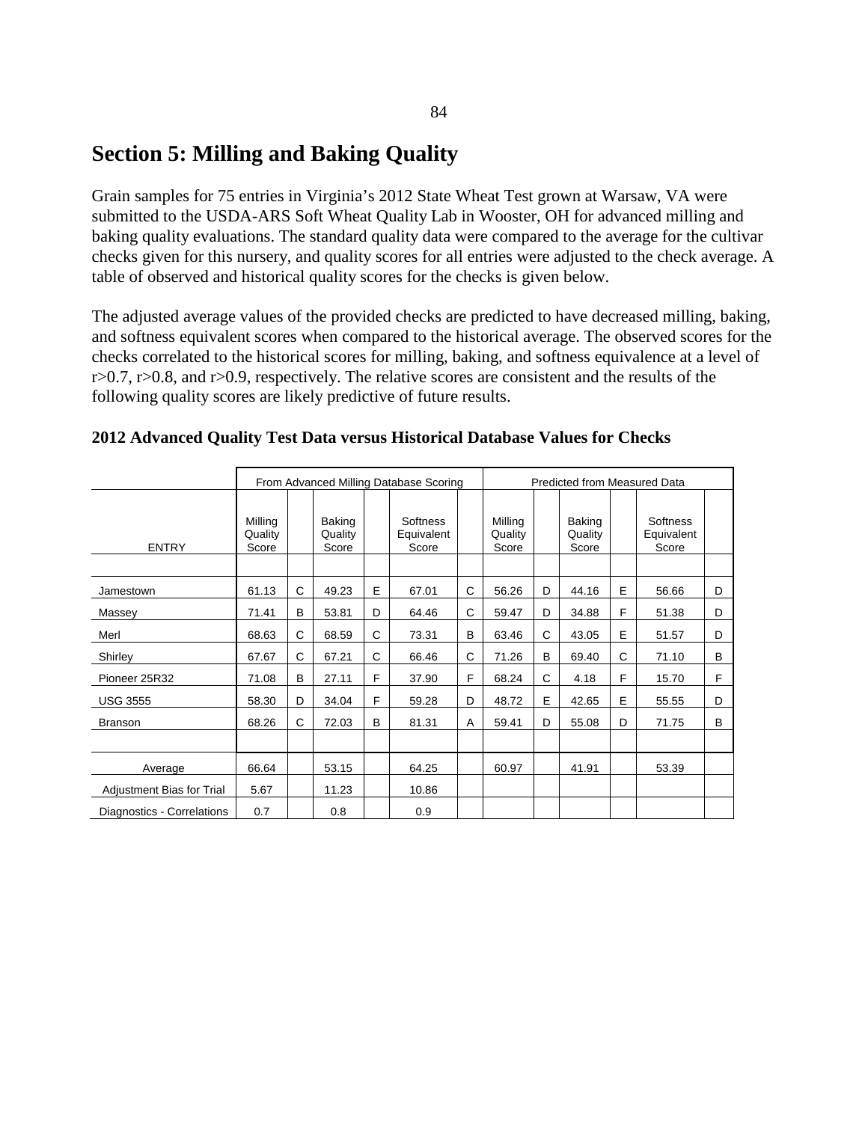## **Section 5: Milling and Baking Quality**

Grain samples for 75 entries in Virginia's 2012 State Wheat Test grown at Warsaw, VA were submitted to the USDA-ARS Soft Wheat Quality Lab in Wooster, OH for advanced milling and baking quality evaluations. The standard quality data were compared to the average for the cultivar checks given for this nursery, and quality scores for all entries were adjusted to the check average. A table of observed and historical quality scores for the checks is given below.

The adjusted average values of the provided checks are predicted to have decreased milling, baking, and softness equivalent scores when compared to the historical average. The observed scores for the checks correlated to the historical scores for milling, baking, and softness equivalence at a level of  $r>0.7$ ,  $r>0.8$ , and  $r>0.9$ , respectively. The relative scores are consistent and the results of the following quality scores are likely predictive of future results.

|                            |                             |   |                            |   | From Advanced Milling Database Scoring |   |                             |   | <b>Predicted from Measured Data</b> |   |                                 |   |
|----------------------------|-----------------------------|---|----------------------------|---|----------------------------------------|---|-----------------------------|---|-------------------------------------|---|---------------------------------|---|
| <b>ENTRY</b>               | Milling<br>Quality<br>Score |   | Baking<br>Quality<br>Score |   | Softness<br>Equivalent<br>Score        |   | Milling<br>Quality<br>Score |   | Baking<br>Quality<br>Score          |   | Softness<br>Equivalent<br>Score |   |
| Jamestown                  | 61.13                       | C | 49.23                      | E | 67.01                                  | C | 56.26                       | D | 44.16                               | E | 56.66                           | D |
| Massey                     | 71.41                       | B | 53.81                      | D | 64.46                                  | C | 59.47                       | D | 34.88                               | F | 51.38                           | D |
| Merl                       | 68.63                       | C | 68.59                      | C | 73.31                                  | B | 63.46                       | C | 43.05                               | E | 51.57                           | D |
| Shirley                    | 67.67                       | C | 67.21                      | C | 66.46                                  | C | 71.26                       | B | 69.40                               | C | 71.10                           | B |
| Pioneer 25R32              | 71.08                       | B | 27.11                      | F | 37.90                                  | F | 68.24                       | C | 4.18                                | F | 15.70                           | F |
| <b>USG 3555</b>            | 58.30                       | D | 34.04                      | F | 59.28                                  | D | 48.72                       | E | 42.65                               | E | 55.55                           | D |
| <b>Branson</b>             | 68.26                       | C | 72.03                      | B | 81.31                                  | Α | 59.41                       | D | 55.08                               | D | 71.75                           | B |
|                            |                             |   |                            |   |                                        |   |                             |   |                                     |   |                                 |   |
| Average                    | 66.64                       |   | 53.15                      |   | 64.25                                  |   | 60.97                       |   | 41.91                               |   | 53.39                           |   |
| Adjustment Bias for Trial  | 5.67                        |   | 11.23                      |   | 10.86                                  |   |                             |   |                                     |   |                                 |   |
| Diagnostics - Correlations | 0.7                         |   | 0.8                        |   | 0.9                                    |   |                             |   |                                     |   |                                 |   |

#### **2012 Advanced Quality Test Data versus Historical Database Values for Checks**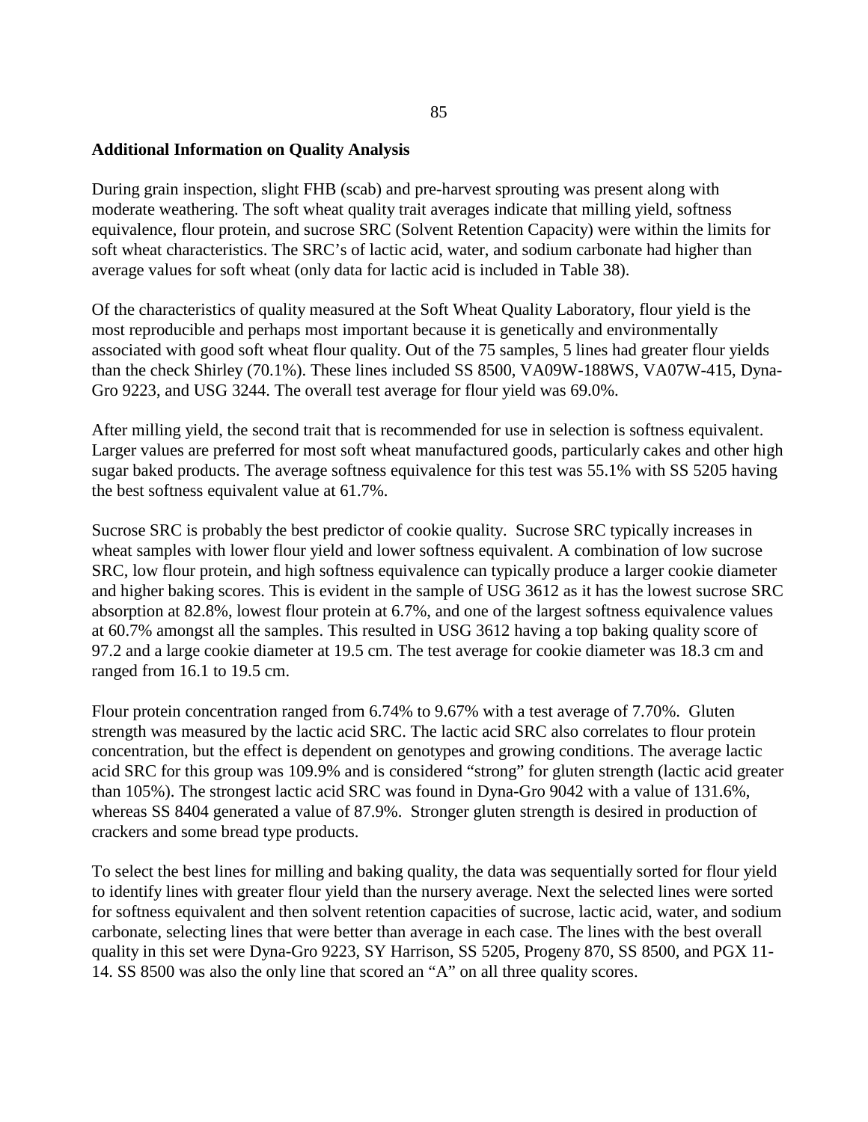#### **Additional Information on Quality Analysis**

During grain inspection, slight FHB (scab) and pre-harvest sprouting was present along with moderate weathering. The soft wheat quality trait averages indicate that milling yield, softness equivalence, flour protein, and sucrose SRC (Solvent Retention Capacity) were within the limits for soft wheat characteristics. The SRC's of lactic acid, water, and sodium carbonate had higher than average values for soft wheat (only data for lactic acid is included in Table 38).

Of the characteristics of quality measured at the Soft Wheat Quality Laboratory, flour yield is the most reproducible and perhaps most important because it is genetically and environmentally associated with good soft wheat flour quality. Out of the 75 samples, 5 lines had greater flour yields than the check Shirley (70.1%). These lines included SS 8500, VA09W-188WS, VA07W-415, Dyna-Gro 9223, and USG 3244. The overall test average for flour yield was 69.0%.

After milling yield, the second trait that is recommended for use in selection is softness equivalent. Larger values are preferred for most soft wheat manufactured goods, particularly cakes and other high sugar baked products. The average softness equivalence for this test was 55.1% with SS 5205 having the best softness equivalent value at 61.7%.

Sucrose SRC is probably the best predictor of cookie quality. Sucrose SRC typically increases in wheat samples with lower flour yield and lower softness equivalent. A combination of low sucrose SRC, low flour protein, and high softness equivalence can typically produce a larger cookie diameter and higher baking scores. This is evident in the sample of USG 3612 as it has the lowest sucrose SRC absorption at 82.8%, lowest flour protein at 6.7%, and one of the largest softness equivalence values at 60.7% amongst all the samples. This resulted in USG 3612 having a top baking quality score of 97.2 and a large cookie diameter at 19.5 cm. The test average for cookie diameter was 18.3 cm and ranged from 16.1 to 19.5 cm.

Flour protein concentration ranged from 6.74% to 9.67% with a test average of 7.70%. Gluten strength was measured by the lactic acid SRC. The lactic acid SRC also correlates to flour protein concentration, but the effect is dependent on genotypes and growing conditions. The average lactic acid SRC for this group was 109.9% and is considered "strong" for gluten strength (lactic acid greater than 105%). The strongest lactic acid SRC was found in Dyna-Gro 9042 with a value of 131.6%, whereas SS 8404 generated a value of 87.9%. Stronger gluten strength is desired in production of crackers and some bread type products.

To select the best lines for milling and baking quality, the data was sequentially sorted for flour yield to identify lines with greater flour yield than the nursery average. Next the selected lines were sorted for softness equivalent and then solvent retention capacities of sucrose, lactic acid, water, and sodium carbonate, selecting lines that were better than average in each case. The lines with the best overall quality in this set were Dyna-Gro 9223, SY Harrison, SS 5205, Progeny 870, SS 8500, and PGX 11- 14. SS 8500 was also the only line that scored an "A" on all three quality scores.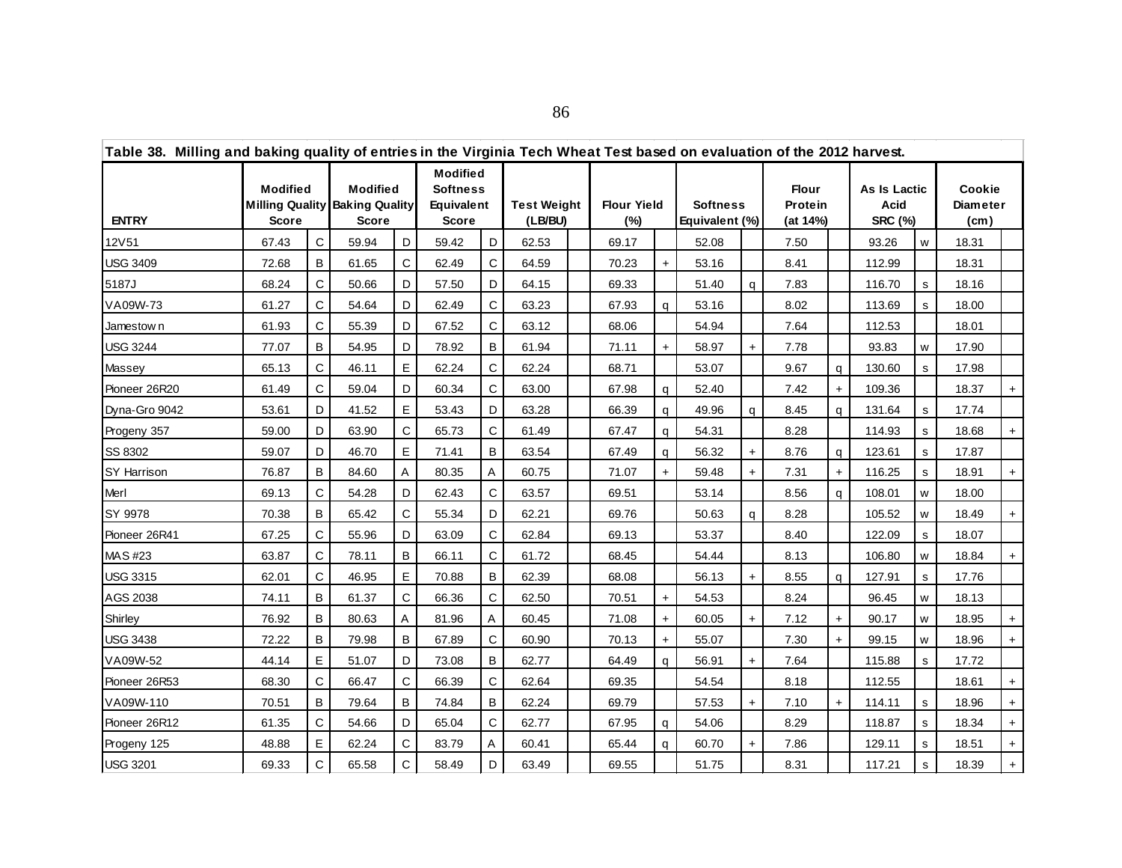| Table 38. Milling and baking quality of entries in the Virginia Tech Wheat Test based on evaluation of the 2012 harvest. |                                                    |              |                                                   |              |                                                           |              |                               |  |                           |           |                                   |     |                              |              |                                        |    |                                                |     |
|--------------------------------------------------------------------------------------------------------------------------|----------------------------------------------------|--------------|---------------------------------------------------|--------------|-----------------------------------------------------------|--------------|-------------------------------|--|---------------------------|-----------|-----------------------------------|-----|------------------------------|--------------|----------------------------------------|----|------------------------------------------------|-----|
| <b>ENTRY</b>                                                                                                             | <b>Modified</b><br><b>Milling Quality</b><br>Score |              | <b>Modified</b><br><b>Baking Quality</b><br>Score |              | <b>Modified</b><br><b>Softness</b><br>Equivalent<br>Score |              | <b>Test Weight</b><br>(LB/BU) |  | <b>Flour Yield</b><br>(%) |           | <b>Softness</b><br>Equivalent (%) |     | Flour<br>Protein<br>(at 14%) |              | As Is Lactic<br>Acid<br><b>SRC (%)</b> |    | Cookie<br><b>Diameter</b><br>(c <sub>m</sub> ) |     |
| 12V51                                                                                                                    | 67.43                                              | $\mathsf{C}$ | 59.94                                             | D            | 59.42                                                     | D            | 62.53                         |  | 69.17                     |           | 52.08                             |     | 7.50                         |              | 93.26                                  | w  | 18.31                                          |     |
| <b>USG 3409</b>                                                                                                          | 72.68                                              | B            | 61.65                                             | C            | 62.49                                                     | C            | 64.59                         |  | 70.23                     | $+$       | 53.16                             |     | 8.41                         |              | 112.99                                 |    | 18.31                                          |     |
| 5187J                                                                                                                    | 68.24                                              | C            | 50.66                                             | D            | 57.50                                                     | D            | 64.15                         |  | 69.33                     |           | 51.40                             | q   | 7.83                         |              | 116.70                                 | s  | 18.16                                          |     |
| VA09W-73                                                                                                                 | 61.27                                              | C            | 54.64                                             | D            | 62.49                                                     | C            | 63.23                         |  | 67.93                     | a         | 53.16                             |     | 8.02                         |              | 113.69                                 | s. | 18.00                                          |     |
| Jamestow n                                                                                                               | 61.93                                              | C            | 55.39                                             | D            | 67.52                                                     | C            | 63.12                         |  | 68.06                     |           | 54.94                             |     | 7.64                         |              | 112.53                                 |    | 18.01                                          |     |
| <b>USG 3244</b>                                                                                                          | 77.07                                              | B            | 54.95                                             | D            | 78.92                                                     | B            | 61.94                         |  | 71.11                     | $+$       | 58.97                             | $+$ | 7.78                         |              | 93.83                                  | w  | 17.90                                          |     |
| Massey                                                                                                                   | 65.13                                              | C            | 46.11                                             | E            | 62.24                                                     | C            | 62.24                         |  | 68.71                     |           | 53.07                             |     | 9.67                         | q            | 130.60                                 | s  | 17.98                                          |     |
| Pioneer 26R20                                                                                                            | 61.49                                              | C            | 59.04                                             | D            | 60.34                                                     | C            | 63.00                         |  | 67.98                     | q         | 52.40                             |     | 7.42                         | $+$          | 109.36                                 |    | 18.37                                          | $+$ |
| Dyna-Gro 9042                                                                                                            | 53.61                                              | D            | 41.52                                             | E            | 53.43                                                     | D            | 63.28                         |  | 66.39                     | q         | 49.96                             | q   | 8.45                         | $\alpha$     | 131.64                                 | s  | 17.74                                          |     |
| Progeny 357                                                                                                              | 59.00                                              | D            | 63.90                                             | C            | 65.73                                                     | C            | 61.49                         |  | 67.47                     | q         | 54.31                             |     | 8.28                         |              | 114.93                                 | s  | 18.68                                          | $+$ |
| SS 8302                                                                                                                  | 59.07                                              | D            | 46.70                                             | E            | 71.41                                                     | B            | 63.54                         |  | 67.49                     | q         | 56.32                             | $+$ | 8.76                         | q            | 123.61                                 | s  | 17.87                                          |     |
| SY Harrison                                                                                                              | 76.87                                              | B            | 84.60                                             | A            | 80.35                                                     | Α            | 60.75                         |  | 71.07                     | $+$       | 59.48                             | $+$ | 7.31                         | $+$          | 116.25                                 | s  | 18.91                                          | $+$ |
| Merl                                                                                                                     | 69.13                                              | C            | 54.28                                             | D            | 62.43                                                     | $\mathsf{C}$ | 63.57                         |  | 69.51                     |           | 53.14                             |     | 8.56                         | $\mathsf{q}$ | 108.01                                 | W  | 18.00                                          |     |
| SY 9978                                                                                                                  | 70.38                                              | B            | 65.42                                             | C            | 55.34                                                     | D            | 62.21                         |  | 69.76                     |           | 50.63                             | q   | 8.28                         |              | 105.52                                 | W  | 18.49                                          | $+$ |
| Pioneer 26R41                                                                                                            | 67.25                                              | C            | 55.96                                             | D            | 63.09                                                     | C            | 62.84                         |  | 69.13                     |           | 53.37                             |     | 8.40                         |              | 122.09                                 | s  | 18.07                                          |     |
| <b>MAS#23</b>                                                                                                            | 63.87                                              | C            | 78.11                                             | B            | 66.11                                                     | $\mathsf{C}$ | 61.72                         |  | 68.45                     |           | 54.44                             |     | 8.13                         |              | 106.80                                 | W  | 18.84                                          | $+$ |
| <b>USG 3315</b>                                                                                                          | 62.01                                              | C            | 46.95                                             | E            | 70.88                                                     | B            | 62.39                         |  | 68.08                     |           | 56.13                             | $+$ | 8.55                         | q            | 127.91                                 | s  | 17.76                                          |     |
| AGS 2038                                                                                                                 | 74.11                                              | B            | 61.37                                             | C            | 66.36                                                     | C            | 62.50                         |  | 70.51                     | $\ddot{}$ | 54.53                             |     | 8.24                         |              | 96.45                                  | W  | 18.13                                          |     |
| Shirley                                                                                                                  | 76.92                                              | B            | 80.63                                             | A            | 81.96                                                     | A            | 60.45                         |  | 71.08                     | $+$       | 60.05                             | $+$ | 7.12                         | $+$          | 90.17                                  | w  | 18.95                                          | $+$ |
| <b>USG 3438</b>                                                                                                          | 72.22                                              | B            | 79.98                                             | B            | 67.89                                                     | C            | 60.90                         |  | 70.13                     | $+$       | 55.07                             |     | 7.30                         | $+$          | 99.15                                  | w  | 18.96                                          | $+$ |
| VA09W-52                                                                                                                 | 44.14                                              | E            | 51.07                                             | D            | 73.08                                                     | B            | 62.77                         |  | 64.49                     | a         | 56.91                             | $+$ | 7.64                         |              | 115.88                                 | s  | 17.72                                          |     |
| Pioneer 26R53                                                                                                            | 68.30                                              | C            | 66.47                                             | C            | 66.39                                                     | C            | 62.64                         |  | 69.35                     |           | 54.54                             |     | 8.18                         |              | 112.55                                 |    | 18.61                                          | $+$ |
| VA09W-110                                                                                                                | 70.51                                              | B            | 79.64                                             | B            | 74.84                                                     | B            | 62.24                         |  | 69.79                     |           | 57.53                             | $+$ | 7.10                         | $+$          | 114.11                                 | s  | 18.96                                          | $+$ |
| Pioneer 26R12                                                                                                            | 61.35                                              | C            | 54.66                                             | D            | 65.04                                                     | $\mathsf{C}$ | 62.77                         |  | 67.95                     | q         | 54.06                             |     | 8.29                         |              | 118.87                                 | s  | 18.34                                          | $+$ |
| Progeny 125                                                                                                              | 48.88                                              | Е            | 62.24                                             | C            | 83.79                                                     | Α            | 60.41                         |  | 65.44                     | q         | 60.70                             | $+$ | 7.86                         |              | 129.11                                 | s  | 18.51                                          | $+$ |
| <b>USG 3201</b>                                                                                                          | 69.33                                              | C            | 65.58                                             | $\mathsf{C}$ | 58.49                                                     | D            | 63.49                         |  | 69.55                     |           | 51.75                             |     | 8.31                         |              | 117.21                                 | s  | 18.39                                          | $+$ |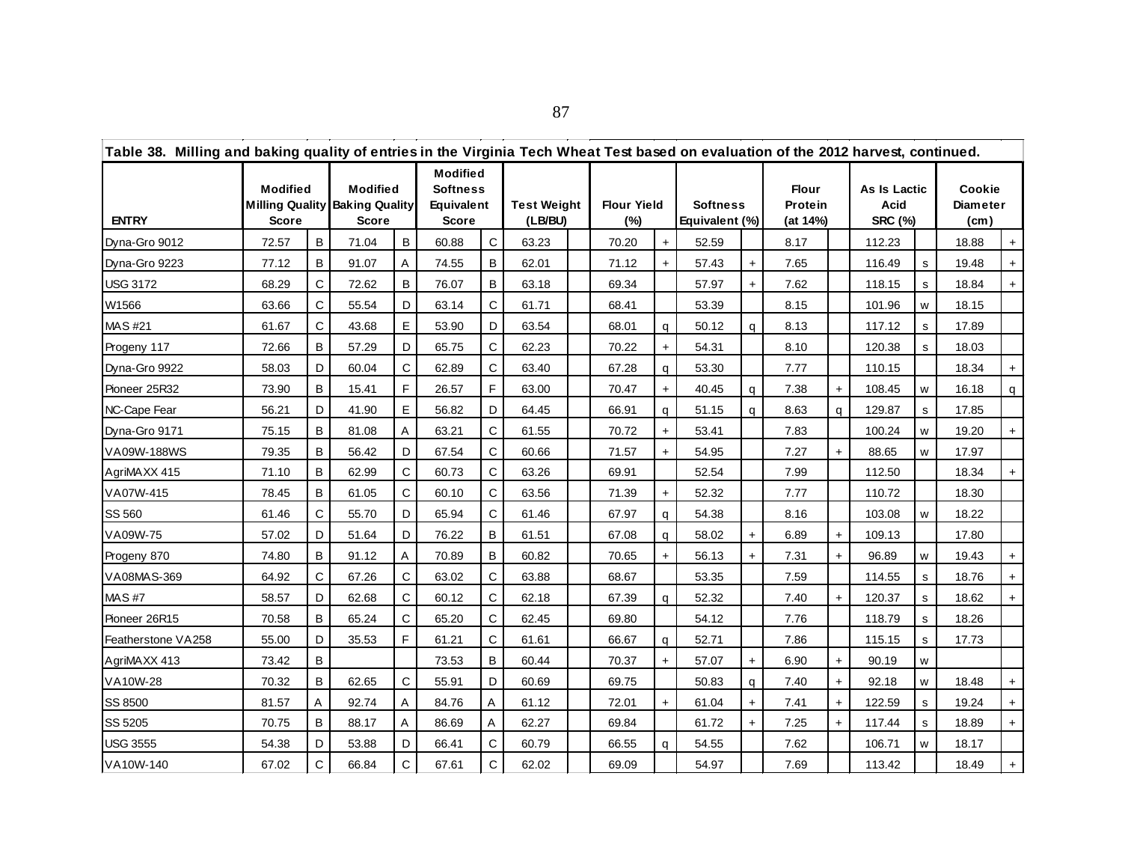| Table 38. Milling and baking quality of entries in the Virginia Tech Wheat Test based on evaluation of the 2012 harvest, continued. |                                 |             |                                                                   |   |                                                           |              |                               |  |                           |     |                                   |           |                                     |     |                                        |    |                                                |     |
|-------------------------------------------------------------------------------------------------------------------------------------|---------------------------------|-------------|-------------------------------------------------------------------|---|-----------------------------------------------------------|--------------|-------------------------------|--|---------------------------|-----|-----------------------------------|-----------|-------------------------------------|-----|----------------------------------------|----|------------------------------------------------|-----|
| <b>ENTRY</b>                                                                                                                        | <b>Modified</b><br><b>Score</b> |             | <b>Modified</b><br><b>Milling Quality Baking Quality</b><br>Score |   | <b>Modified</b><br><b>Softness</b><br>Equivalent<br>Score |              | <b>Test Weight</b><br>(LB/BU) |  | <b>Flour Yield</b><br>(%) |     | <b>Softness</b><br>Equivalent (%) |           | <b>Flour</b><br>Protein<br>(at 14%) |     | As Is Lactic<br>Acid<br><b>SRC (%)</b> |    | Cookie<br><b>Diameter</b><br>(c <sub>m</sub> ) |     |
| Dyna-Gro 9012                                                                                                                       | 72.57                           | B           | 71.04                                                             | B | 60.88                                                     | C            | 63.23                         |  | 70.20                     | $+$ | 52.59                             |           | 8.17                                |     | 112.23                                 |    | 18.88                                          | $+$ |
| Dyna-Gro 9223                                                                                                                       | 77.12                           | B           | 91.07                                                             | A | 74.55                                                     | B            | 62.01                         |  | 71.12                     | $+$ | 57.43                             | $+$       | 7.65                                |     | 116.49                                 | s  | 19.48                                          | $+$ |
| <b>USG 3172</b>                                                                                                                     | 68.29                           | C           | 72.62                                                             | B | 76.07                                                     | B            | 63.18                         |  | 69.34                     |     | 57.97                             | $+$       | 7.62                                |     | 118.15                                 | s  | 18.84                                          | $+$ |
| W1566                                                                                                                               | 63.66                           | C           | 55.54                                                             | D | 63.14                                                     | C            | 61.71                         |  | 68.41                     |     | 53.39                             |           | 8.15                                |     | 101.96                                 | w  | 18.15                                          |     |
| MAS #21                                                                                                                             | 61.67                           | C           | 43.68                                                             | E | 53.90                                                     | D            | 63.54                         |  | 68.01                     | a   | 50.12                             | q         | 8.13                                |     | 117.12                                 | s  | 17.89                                          |     |
| Progeny 117                                                                                                                         | 72.66                           | B           | 57.29                                                             | D | 65.75                                                     | C            | 62.23                         |  | 70.22                     | $+$ | 54.31                             |           | 8.10                                |     | 120.38                                 | s  | 18.03                                          |     |
| Dyna-Gro 9922                                                                                                                       | 58.03                           | D           | 60.04                                                             | C | 62.89                                                     | C            | 63.40                         |  | 67.28                     | q   | 53.30                             |           | 7.77                                |     | 110.15                                 |    | 18.34                                          | $+$ |
| Pioneer 25R32                                                                                                                       | 73.90                           | B           | 15.41                                                             | F | 26.57                                                     | F            | 63.00                         |  | 70.47                     | $+$ | 40.45                             | q         | 7.38                                | $+$ | 108.45                                 | w  | 16.18                                          | q   |
| NC-Cape Fear                                                                                                                        | 56.21                           | D           | 41.90                                                             | E | 56.82                                                     | D            | 64.45                         |  | 66.91                     | q   | 51.15                             | a         | 8.63                                | q   | 129.87                                 | s  | 17.85                                          |     |
| Dyna-Gro 9171                                                                                                                       | 75.15                           | B           | 81.08                                                             | Α | 63.21                                                     | C            | 61.55                         |  | 70.72                     | $+$ | 53.41                             |           | 7.83                                |     | 100.24                                 | W  | 19.20                                          | $+$ |
| VA09W-188WS                                                                                                                         | 79.35                           | B           | 56.42                                                             | D | 67.54                                                     | C            | 60.66                         |  | 71.57                     | $+$ | 54.95                             |           | 7.27                                | $+$ | 88.65                                  | W  | 17.97                                          |     |
| AgriMAXX 415                                                                                                                        | 71.10                           | B           | 62.99                                                             | C | 60.73                                                     | C            | 63.26                         |  | 69.91                     |     | 52.54                             |           | 7.99                                |     | 112.50                                 |    | 18.34                                          | $+$ |
| VA07W-415                                                                                                                           | 78.45                           | B           | 61.05                                                             | C | 60.10                                                     | $\mathsf{C}$ | 63.56                         |  | 71.39                     |     | 52.32                             |           | 7.77                                |     | 110.72                                 |    | 18.30                                          |     |
| SS 560                                                                                                                              | 61.46                           | C           | 55.70                                                             | D | 65.94                                                     | C            | 61.46                         |  | 67.97                     | q   | 54.38                             |           | 8.16                                |     | 103.08                                 | W  | 18.22                                          |     |
| VA09W-75                                                                                                                            | 57.02                           | D           | 51.64                                                             | D | 76.22                                                     | B            | 61.51                         |  | 67.08                     | q   | 58.02                             | $+$       | 6.89                                | $+$ | 109.13                                 |    | 17.80                                          |     |
| Progeny 870                                                                                                                         | 74.80                           | B           | 91.12                                                             | Α | 70.89                                                     | B            | 60.82                         |  | 70.65                     | $+$ | 56.13                             | $\ddot{}$ | 7.31                                | $+$ | 96.89                                  | W  | 19.43                                          | $+$ |
| VA08MAS-369                                                                                                                         | 64.92                           | C           | 67.26                                                             | C | 63.02                                                     | C            | 63.88                         |  | 68.67                     |     | 53.35                             |           | 7.59                                |     | 114.55                                 | S. | 18.76                                          | $+$ |
| <b>MAS#7</b>                                                                                                                        | 58.57                           | D           | 62.68                                                             | C | 60.12                                                     | C            | 62.18                         |  | 67.39                     | q   | 52.32                             |           | 7.40                                | $+$ | 120.37                                 | s  | 18.62                                          | $+$ |
| Pioneer 26R15                                                                                                                       | 70.58                           | B           | 65.24                                                             | C | 65.20                                                     | C            | 62.45                         |  | 69.80                     |     | 54.12                             |           | 7.76                                |     | 118.79                                 | s  | 18.26                                          |     |
| Featherstone VA258                                                                                                                  | 55.00                           | D           | 35.53                                                             | F | 61.21                                                     | C            | 61.61                         |  | 66.67                     | q   | 52.71                             |           | 7.86                                |     | 115.15                                 | s  | 17.73                                          |     |
| AgriMAXX 413                                                                                                                        | 73.42                           | В           |                                                                   |   | 73.53                                                     | B            | 60.44                         |  | 70.37                     | $+$ | 57.07                             | $+$       | 6.90                                | $+$ | 90.19                                  | W  |                                                |     |
| VA10W-28                                                                                                                            | 70.32                           | B           | 62.65                                                             | C | 55.91                                                     | D            | 60.69                         |  | 69.75                     |     | 50.83                             | q         | 7.40                                | $+$ | 92.18                                  | w  | 18.48                                          | $+$ |
| SS 8500                                                                                                                             | 81.57                           | A           | 92.74                                                             | A | 84.76                                                     | A            | 61.12                         |  | 72.01                     | $+$ | 61.04                             | $+$       | 7.41                                | $+$ | 122.59                                 | s  | 19.24                                          | $+$ |
| SS 5205                                                                                                                             | 70.75                           | B           | 88.17                                                             | A | 86.69                                                     | A            | 62.27                         |  | 69.84                     |     | 61.72                             | $+$       | 7.25                                | $+$ | 117.44                                 | s  | 18.89                                          | $+$ |
| <b>USG 3555</b>                                                                                                                     | 54.38                           | D           | 53.88                                                             | D | 66.41                                                     | C            | 60.79                         |  | 66.55                     | q   | 54.55                             |           | 7.62                                |     | 106.71                                 | w  | 18.17                                          |     |
| VA10W-140                                                                                                                           | 67.02                           | $\mathsf C$ | 66.84                                                             | C | 67.61                                                     | C            | 62.02                         |  | 69.09                     |     | 54.97                             |           | 7.69                                |     | 113.42                                 |    | 18.49                                          | $+$ |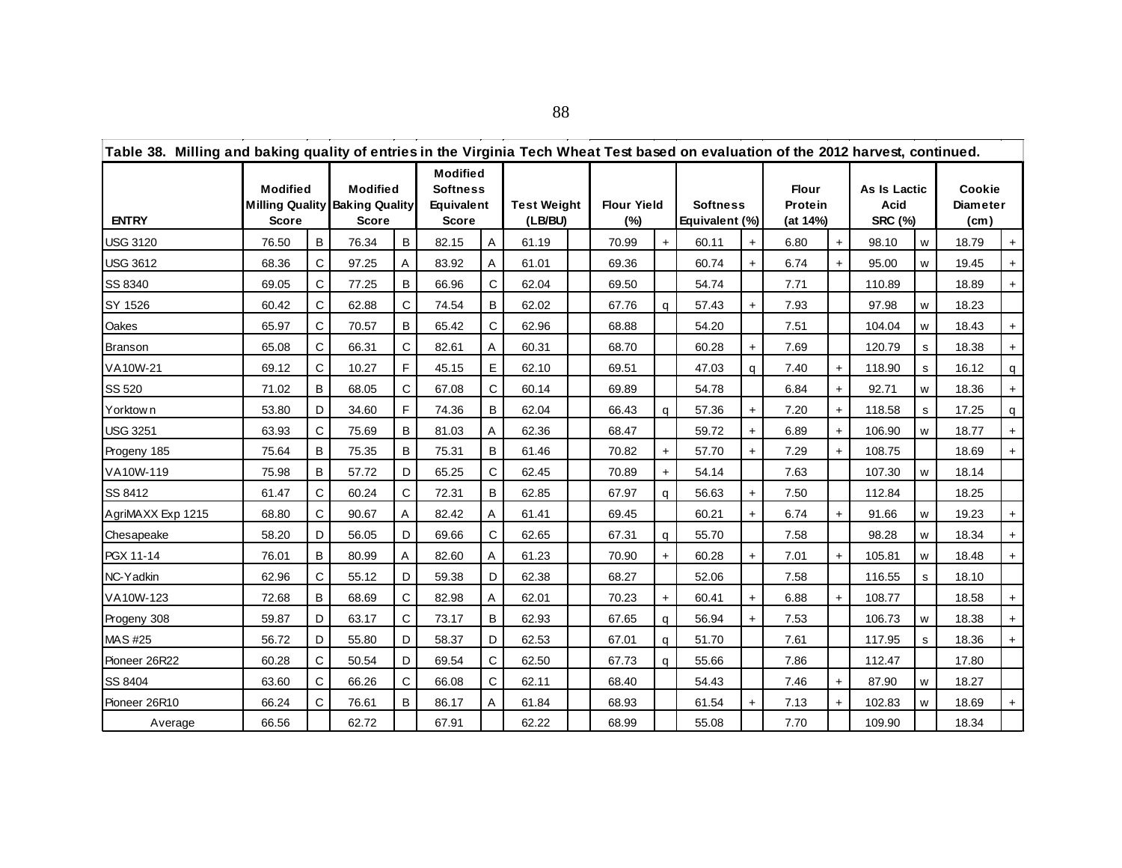| Table 38. Milling and baking quality of entries in the Virginia Tech Wheat Test based on evaluation of the 2012 harvest, continued. |                                 |   |                                                                          |              |                                                                         |   |                               |                           |           |                                   |            |                                     |           |                                        |   |                                         |     |
|-------------------------------------------------------------------------------------------------------------------------------------|---------------------------------|---|--------------------------------------------------------------------------|--------------|-------------------------------------------------------------------------|---|-------------------------------|---------------------------|-----------|-----------------------------------|------------|-------------------------------------|-----------|----------------------------------------|---|-----------------------------------------|-----|
| <b>ENTRY</b>                                                                                                                        | <b>Modified</b><br><b>Score</b> |   | <b>Modified</b><br><b>Milling Quality Baking Quality</b><br><b>Score</b> |              | <b>Modified</b><br><b>Softness</b><br><b>Equivalent</b><br><b>Score</b> |   | <b>Test Weight</b><br>(LB/BU) | <b>Flour Yield</b><br>(%) |           | <b>Softness</b><br>Equivalent (%) |            | <b>Flour</b><br>Protein<br>(at 14%) |           | As Is Lactic<br>Acid<br><b>SRC (%)</b> |   | Cookie<br>Diameter<br>(c <sub>m</sub> ) |     |
| <b>USG 3120</b>                                                                                                                     | 76.50                           | B | 76.34                                                                    | B            | 82.15                                                                   | A | 61.19                         | 70.99                     | $+$       | 60.11                             | $+$        | 6.80                                | $+$       | 98.10                                  | W | 18.79                                   |     |
| <b>USG 3612</b>                                                                                                                     | 68.36                           | С | 97.25                                                                    | A            | 83.92                                                                   | A | 61.01                         | 69.36                     |           | 60.74                             | $+$        | 6.74                                |           | 95.00                                  | w | 19.45                                   |     |
| SS 8340                                                                                                                             | 69.05                           | С | 77.25                                                                    | B            | 66.96                                                                   | С | 62.04                         | 69.50                     |           | 54.74                             |            | 7.71                                |           | 110.89                                 |   | 18.89                                   | +   |
| SY 1526                                                                                                                             | 60.42                           | С | 62.88                                                                    | $\mathsf{C}$ | 74.54                                                                   | B | 62.02                         | 67.76                     | $\alpha$  | 57.43                             | $\ddot{+}$ | 7.93                                |           | 97.98                                  | w | 18.23                                   |     |
| Oakes                                                                                                                               | 65.97                           | С | 70.57                                                                    | B            | 65.42                                                                   | С | 62.96                         | 68.88                     |           | 54.20                             |            | 7.51                                |           | 104.04                                 | W | 18.43                                   |     |
| <b>Branson</b>                                                                                                                      | 65.08                           | C | 66.31                                                                    | $\mathsf{C}$ | 82.61                                                                   | A | 60.31                         | 68.70                     |           | 60.28                             | $+$        | 7.69                                |           | 120.79                                 | s | 18.38                                   |     |
| VA10W-21                                                                                                                            | 69.12                           | С | 10.27                                                                    | F            | 45.15                                                                   | Е | 62.10                         | 69.51                     |           | 47.03                             | q          | 7.40                                | $\ddot{}$ | 118.90                                 | s | 16.12                                   | q   |
| SS 520                                                                                                                              | 71.02                           | В | 68.05                                                                    | C            | 67.08                                                                   | C | 60.14                         | 69.89                     |           | 54.78                             |            | 6.84                                | $+$       | 92.71                                  | W | 18.36                                   | $+$ |
| Yorktown                                                                                                                            | 53.80                           | D | 34.60                                                                    | F            | 74.36                                                                   | B | 62.04                         | 66.43                     | q         | 57.36                             | $+$        | 7.20                                | $+$       | 118.58                                 | s | 17.25                                   | q   |
| <b>USG 3251</b>                                                                                                                     | 63.93                           | С | 75.69                                                                    | B            | 81.03                                                                   | A | 62.36                         | 68.47                     |           | 59.72                             | $+$        | 6.89                                | $+$       | 106.90                                 | W | 18.77                                   |     |
| Progeny 185                                                                                                                         | 75.64                           | B | 75.35                                                                    | B            | 75.31                                                                   | B | 61.46                         | 70.82                     | $+$       | 57.70                             | $+$        | 7.29                                |           | 108.75                                 |   | 18.69                                   |     |
| VA10W-119                                                                                                                           | 75.98                           | B | 57.72                                                                    | D            | 65.25                                                                   | C | 62.45                         | 70.89                     | $+$       | 54.14                             |            | 7.63                                |           | 107.30                                 | w | 18.14                                   |     |
| SS 8412                                                                                                                             | 61.47                           | С | 60.24                                                                    | C            | 72.31                                                                   | B | 62.85                         | 67.97                     | q         | 56.63                             | $+$        | 7.50                                |           | 112.84                                 |   | 18.25                                   |     |
| AgriMAXX Exp 1215                                                                                                                   | 68.80                           | C | 90.67                                                                    | A            | 82.42                                                                   | A | 61.41                         | 69.45                     |           | 60.21                             | $+$        | 6.74                                | $+$       | 91.66                                  | w | 19.23                                   |     |
| Chesapeake                                                                                                                          | 58.20                           | D | 56.05                                                                    | D            | 69.66                                                                   | C | 62.65                         | 67.31                     | q         | 55.70                             |            | 7.58                                |           | 98.28                                  | W | 18.34                                   |     |
| PGX 11-14                                                                                                                           | 76.01                           | В | 80.99                                                                    | A            | 82.60                                                                   | A | 61.23                         | 70.90                     | $+$       | 60.28                             | $+$        | 7.01                                | $+$       | 105.81                                 | W | 18.48                                   |     |
| NC-Yadkin                                                                                                                           | 62.96                           | C | 55.12                                                                    | D            | 59.38                                                                   | D | 62.38                         | 68.27                     |           | 52.06                             |            | 7.58                                |           | 116.55                                 | s | 18.10                                   |     |
| VA10W-123                                                                                                                           | 72.68                           | B | 68.69                                                                    | C            | 82.98                                                                   | A | 62.01                         | 70.23                     | $\ddot{}$ | 60.41                             | $+$        | 6.88                                | $+$       | 108.77                                 |   | 18.58                                   |     |
| Progeny 308                                                                                                                         | 59.87                           | D | 63.17                                                                    | C            | 73.17                                                                   | B | 62.93                         | 67.65                     | q         | 56.94                             | $+$        | 7.53                                |           | 106.73                                 | W | 18.38                                   |     |
| MAS #25                                                                                                                             | 56.72                           | D | 55.80                                                                    | D            | 58.37                                                                   | D | 62.53                         | 67.01                     | q         | 51.70                             |            | 7.61                                |           | 117.95                                 | s | 18.36                                   |     |
| Pioneer 26R22                                                                                                                       | 60.28                           | С | 50.54                                                                    | D            | 69.54                                                                   | C | 62.50                         | 67.73                     | a         | 55.66                             |            | 7.86                                |           | 112.47                                 |   | 17.80                                   |     |
| SS 8404                                                                                                                             | 63.60                           | C | 66.26                                                                    | $\mathbf C$  | 66.08                                                                   | C | 62.11                         | 68.40                     |           | 54.43                             |            | 7.46                                | $+$       | 87.90                                  | w | 18.27                                   |     |
| Pioneer 26R10                                                                                                                       | 66.24                           | С | 76.61                                                                    | В            | 86.17                                                                   | A | 61.84                         | 68.93                     |           | 61.54                             | $+$        | 7.13                                | $+$       | 102.83                                 | w | 18.69                                   |     |
| Average                                                                                                                             | 66.56                           |   | 62.72                                                                    |              | 67.91                                                                   |   | 62.22                         | 68.99                     |           | 55.08                             |            | 7.70                                |           | 109.90                                 |   | 18.34                                   |     |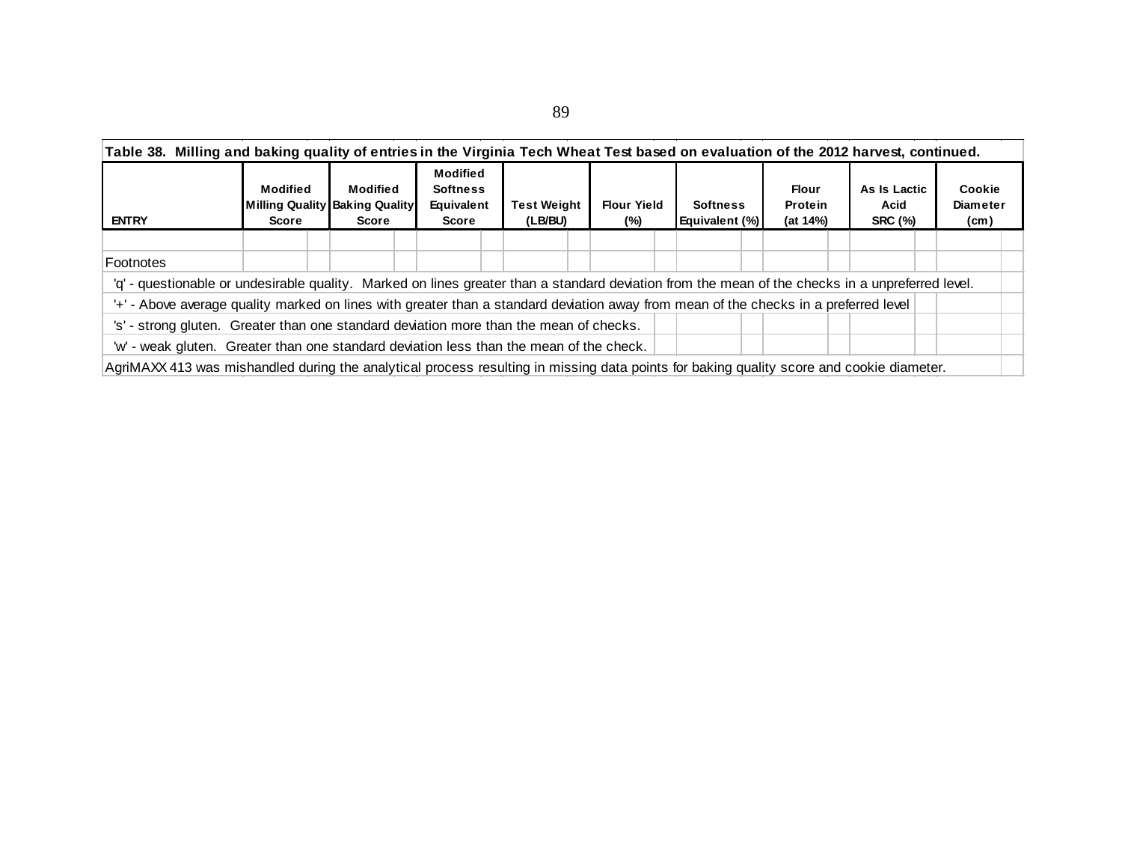| <b>ENTRY</b>                                                                                                                                     | <b>Modified</b><br>Score | <b>Modified</b><br>Milling Quality Baking Quality<br>Score | <b>Modified</b><br><b>Softness</b><br>Equivalent<br>Score | <b>Test Weight</b><br>(LB/BU) | <b>Flour Yield</b><br>$(\%)$ | <b>Softness</b><br><b>Equivalent (%)</b> | <b>Flour</b><br>Protein<br>(at 14%) | As Is Lactic<br>Acid<br><b>SRC (%)</b> | Cookie<br><b>Diameter</b><br>(cm) |
|--------------------------------------------------------------------------------------------------------------------------------------------------|--------------------------|------------------------------------------------------------|-----------------------------------------------------------|-------------------------------|------------------------------|------------------------------------------|-------------------------------------|----------------------------------------|-----------------------------------|
|                                                                                                                                                  |                          |                                                            |                                                           |                               |                              |                                          |                                     |                                        |                                   |
| Footnotes                                                                                                                                        |                          |                                                            |                                                           |                               |                              |                                          |                                     |                                        |                                   |
| 'q' - questionable or undesirable quality. Marked on lines greater than a standard deviation from the mean of the checks in a unpreferred level. |                          |                                                            |                                                           |                               |                              |                                          |                                     |                                        |                                   |
| '+' - Above average quality marked on lines with greater than a standard deviation away from mean of the checks in a preferred level             |                          |                                                            |                                                           |                               |                              |                                          |                                     |                                        |                                   |
| 's' - strong gluten. Greater than one standard deviation more than the mean of checks.                                                           |                          |                                                            |                                                           |                               |                              |                                          |                                     |                                        |                                   |
| 'w' - weak gluten. Greater than one standard deviation less than the mean of the check.                                                          |                          |                                                            |                                                           |                               |                              |                                          |                                     |                                        |                                   |

89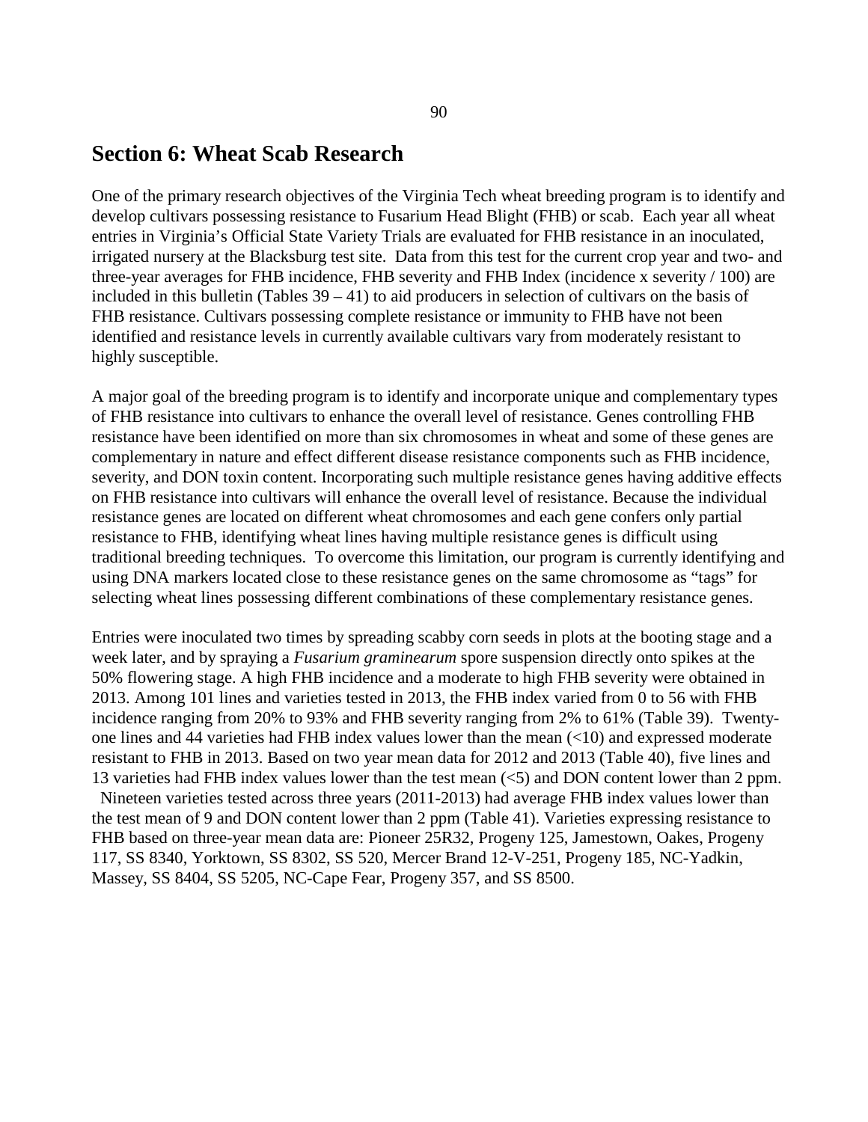## **Section 6: Wheat Scab Research**

One of the primary research objectives of the Virginia Tech wheat breeding program is to identify and develop cultivars possessing resistance to Fusarium Head Blight (FHB) or scab. Each year all wheat entries in Virginia's Official State Variety Trials are evaluated for FHB resistance in an inoculated, irrigated nursery at the Blacksburg test site. Data from this test for the current crop year and two- and three-year averages for FHB incidence, FHB severity and FHB Index (incidence x severity / 100) are included in this bulletin (Tables  $39 - 41$ ) to aid producers in selection of cultivars on the basis of FHB resistance. Cultivars possessing complete resistance or immunity to FHB have not been identified and resistance levels in currently available cultivars vary from moderately resistant to highly susceptible.

A major goal of the breeding program is to identify and incorporate unique and complementary types of FHB resistance into cultivars to enhance the overall level of resistance. Genes controlling FHB resistance have been identified on more than six chromosomes in wheat and some of these genes are complementary in nature and effect different disease resistance components such as FHB incidence, severity, and DON toxin content. Incorporating such multiple resistance genes having additive effects on FHB resistance into cultivars will enhance the overall level of resistance. Because the individual resistance genes are located on different wheat chromosomes and each gene confers only partial resistance to FHB, identifying wheat lines having multiple resistance genes is difficult using traditional breeding techniques. To overcome this limitation, our program is currently identifying and using DNA markers located close to these resistance genes on the same chromosome as "tags" for selecting wheat lines possessing different combinations of these complementary resistance genes.

Entries were inoculated two times by spreading scabby corn seeds in plots at the booting stage and a week later, and by spraying a *Fusarium graminearum* spore suspension directly onto spikes at the 50% flowering stage. A high FHB incidence and a moderate to high FHB severity were obtained in 2013. Among 101 lines and varieties tested in 2013, the FHB index varied from 0 to 56 with FHB incidence ranging from 20% to 93% and FHB severity ranging from 2% to 61% (Table 39). Twentyone lines and 44 varieties had FHB index values lower than the mean (<10) and expressed moderate resistant to FHB in 2013. Based on two year mean data for 2012 and 2013 (Table 40), five lines and 13 varieties had FHB index values lower than the test mean (<5) and DON content lower than 2 ppm. Nineteen varieties tested across three years (2011-2013) had average FHB index values lower than the test mean of 9 and DON content lower than 2 ppm (Table 41). Varieties expressing resistance to FHB based on three-year mean data are: Pioneer 25R32, Progeny 125, Jamestown, Oakes, Progeny 117, SS 8340, Yorktown, SS 8302, SS 520, Mercer Brand 12-V-251, Progeny 185, NC-Yadkin, Massey, SS 8404, SS 5205, NC-Cape Fear, Progeny 357, and SS 8500.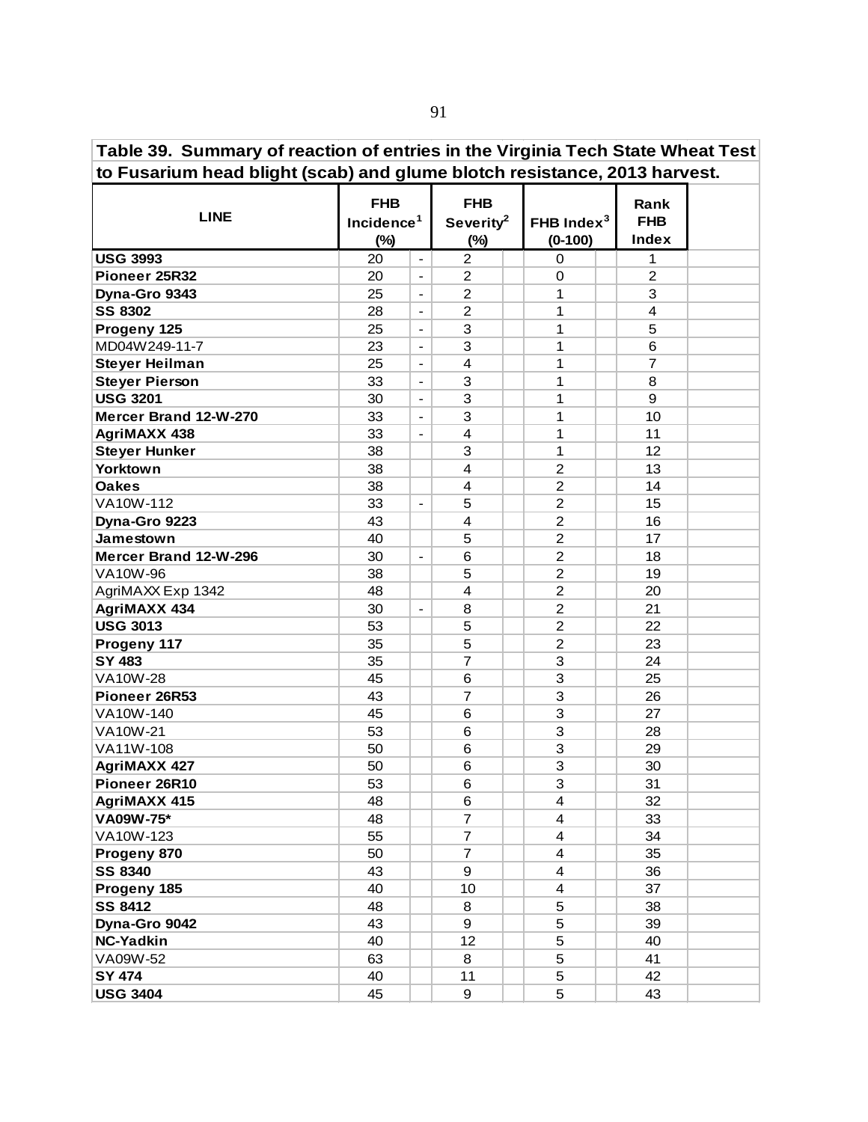| Table 39. Summary of reaction of entries in the Virginia Tech State Wheat Test |  |  |  |
|--------------------------------------------------------------------------------|--|--|--|
| to Fusarium head blight (scab) and glume blotch resistance, 2013 harvest.      |  |  |  |

| <b>LINE</b>           | <b>FHB</b><br>Incidence <sup>1</sup><br>$(\%)$ |                          | <b>FHB</b><br>Severity <sup>2</sup><br>$(\%)$ | FHB Index $3$<br>$(0-100)$ | Rank<br><b>FHB</b><br><b>Index</b> |  |
|-----------------------|------------------------------------------------|--------------------------|-----------------------------------------------|----------------------------|------------------------------------|--|
| <b>USG 3993</b>       | 20                                             | $\blacksquare$           | $\overline{2}$                                | 0                          | 1                                  |  |
| Pioneer 25R32         | 20                                             | $\blacksquare$           | $\overline{2}$                                | $\mathbf 0$                | $\overline{c}$                     |  |
| Dyna-Gro 9343         | 25                                             | $\overline{\phantom{a}}$ | $\overline{2}$                                | 1                          | 3                                  |  |
| <b>SS 8302</b>        | 28                                             | $\overline{\phantom{a}}$ | $\overline{c}$                                | 1                          | 4                                  |  |
| Progeny 125           | 25                                             | $\overline{\phantom{a}}$ | 3                                             | 1                          | 5                                  |  |
| MD04W249-11-7         | 23                                             | $\overline{\phantom{a}}$ | 3                                             | 1                          | 6                                  |  |
| <b>Steyer Heilman</b> | 25                                             | $\blacksquare$           | $\overline{4}$                                | 1                          | $\overline{7}$                     |  |
| <b>Steyer Pierson</b> | 33                                             | $\blacksquare$           | 3                                             | 1                          | 8                                  |  |
| <b>USG 3201</b>       | 30                                             | $\blacksquare$           | 3                                             | 1                          | 9                                  |  |
| Mercer Brand 12-W-270 | 33                                             | $\blacksquare$           | 3                                             | 1                          | 10                                 |  |
| <b>AgriMAXX 438</b>   | 33                                             | $\overline{a}$           | $\overline{4}$                                | 1                          | 11                                 |  |
| <b>Steyer Hunker</b>  | 38                                             |                          | 3                                             | 1                          | 12                                 |  |
| Yorktown              | 38                                             |                          | $\overline{\mathbf{4}}$                       | $\overline{c}$             | 13                                 |  |
| <b>Oakes</b>          | 38                                             |                          | 4                                             | $\overline{2}$             | 14                                 |  |
| VA10W-112             | 33                                             | $\overline{\phantom{a}}$ | 5                                             | $\overline{c}$             | 15                                 |  |
| Dyna-Gro 9223         | 43                                             |                          | $\overline{\mathbf{4}}$                       | $\overline{2}$             | 16                                 |  |
| Jamestown             | 40                                             |                          | 5                                             | $\overline{c}$             | 17                                 |  |
| Mercer Brand 12-W-296 | 30                                             | $\overline{a}$           | 6                                             | $\overline{c}$             | 18                                 |  |
| VA10W-96              | 38                                             |                          | 5                                             | $\boldsymbol{2}$           | 19                                 |  |
| AgriMAXX Exp 1342     | 48                                             |                          | $\overline{4}$                                | $\overline{2}$             | 20                                 |  |
| <b>AgriMAXX 434</b>   | 30                                             | $\frac{1}{2}$            | 8                                             | $\overline{c}$             | 21                                 |  |
| <b>USG 3013</b>       | 53                                             |                          | 5                                             | $\overline{c}$             | 22                                 |  |
| Progeny 117           | 35                                             |                          | 5                                             | $\overline{c}$             | 23                                 |  |
| SY 483                | 35                                             |                          | $\overline{7}$                                | $\ensuremath{\mathsf{3}}$  | 24                                 |  |
| <b>VA10W-28</b>       | 45                                             |                          | 6                                             | 3                          | 25                                 |  |
| Pioneer 26R53         | 43                                             |                          | $\overline{7}$                                | 3                          | 26                                 |  |
| VA10W-140             | 45                                             |                          | 6                                             | 3                          | 27                                 |  |
| <b>VA10W-21</b>       | 53                                             |                          | 6                                             | $\ensuremath{\mathsf{3}}$  | 28                                 |  |
| VA11W-108             | 50                                             |                          | 6                                             | 3                          | 29                                 |  |
| <b>AgriMAXX 427</b>   | 50                                             |                          | 6                                             | 3                          | 30                                 |  |
| Pioneer 26R10         | 53                                             |                          | 6                                             | 3                          | 31                                 |  |
| <b>AgriMAXX 415</b>   | 48                                             |                          | 6                                             | $\overline{\mathbf{4}}$    | 32                                 |  |
| VA09W-75*             | 48                                             |                          | 7                                             | 4                          | 33                                 |  |
| VA10W-123             | 55                                             |                          | $\overline{7}$                                | 4                          | 34                                 |  |
| Progeny 870           | 50                                             |                          | $\overline{7}$                                | 4                          | 35                                 |  |
| <b>SS 8340</b>        | 43                                             |                          | 9                                             | 4                          | 36                                 |  |
| Progeny 185           | 40                                             |                          | 10                                            | 4                          | 37                                 |  |
| <b>SS 8412</b>        | 48                                             |                          | 8                                             | 5                          | 38                                 |  |
| Dyna-Gro 9042         | 43                                             |                          | 9                                             | 5                          | 39                                 |  |
| <b>NC-Yadkin</b>      | 40                                             |                          | 12                                            | 5                          | 40                                 |  |
| VA09W-52              | 63                                             |                          | 8                                             | 5                          | 41                                 |  |
| <b>SY 474</b>         | 40                                             |                          | 11                                            | 5                          | 42                                 |  |
| <b>USG 3404</b>       | 45                                             |                          | 9                                             | 5                          | 43                                 |  |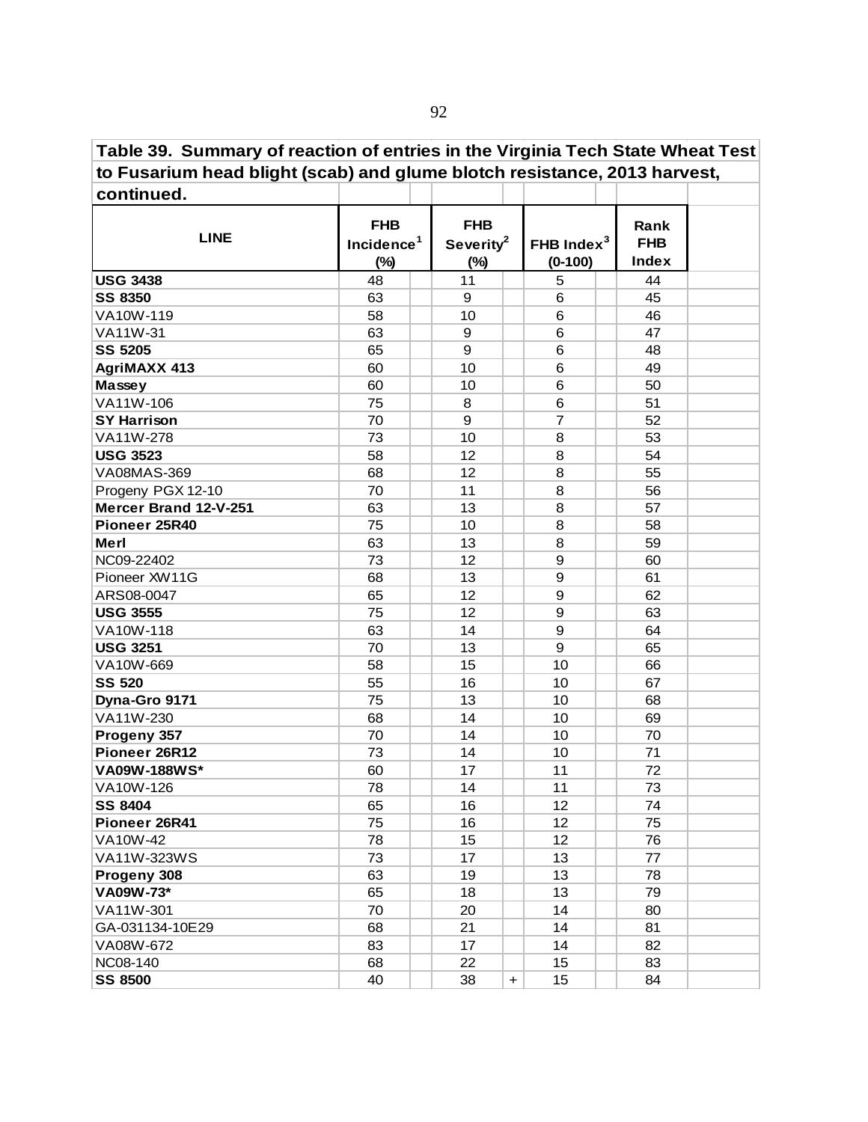**Table 39. Summary of reaction of entries in the Virginia Tech State Wheat Test to Fusarium head blight (scab) and glume blotch resistance, 2013 harvest,**

| continued.            |                                                |                                               |     |                            |                             |  |
|-----------------------|------------------------------------------------|-----------------------------------------------|-----|----------------------------|-----------------------------|--|
| <b>LINE</b>           | <b>FHB</b><br>Incidence <sup>1</sup><br>$(\%)$ | <b>FHB</b><br>Severity <sup>2</sup><br>$(\%)$ |     | FHB Index $3$<br>$(0-100)$ | Rank<br><b>FHB</b><br>Index |  |
| <b>USG 3438</b>       | 48                                             | 11                                            |     | 5                          | 44                          |  |
| <b>SS 8350</b>        | 63                                             | 9                                             |     | $\,6$                      | 45                          |  |
| VA10W-119             | 58                                             | 10                                            |     | $6\phantom{1}6$            | 46                          |  |
| VA11W-31              | 63                                             | 9                                             |     | $\,6$                      | 47                          |  |
| <b>SS 5205</b>        | 65                                             | 9                                             |     | 6                          | 48                          |  |
| <b>AgriMAXX 413</b>   | 60                                             | 10                                            |     | 6                          | 49                          |  |
| Massey                | 60                                             | 10                                            |     | 6                          | 50                          |  |
| VA11W-106             | 75                                             | 8                                             |     | 6                          | 51                          |  |
| <b>SY Harrison</b>    | 70                                             | 9                                             |     | $\overline{7}$             | 52                          |  |
| VA11W-278             | 73                                             | 10                                            |     | 8                          | 53                          |  |
| <b>USG 3523</b>       | 58                                             | 12                                            |     | 8                          | 54                          |  |
| VA08MAS-369           | 68                                             | 12                                            |     | 8                          | 55                          |  |
| Progeny PGX 12-10     | 70                                             | 11                                            |     | 8                          | 56                          |  |
| Mercer Brand 12-V-251 | 63                                             | 13                                            |     | 8                          | 57                          |  |
| Pioneer 25R40         | 75                                             | 10                                            |     | 8                          | 58                          |  |
| Merl                  | 63                                             | 13                                            |     | 8                          | 59                          |  |
| NC09-22402            | 73                                             | 12                                            |     | 9                          | 60                          |  |
| Pioneer XW11G         | 68                                             | 13                                            |     | $\boldsymbol{9}$           | 61                          |  |
| ARS08-0047            | 65                                             | 12                                            |     | $\boldsymbol{9}$           | 62                          |  |
| <b>USG 3555</b>       | 75                                             | 12                                            |     | $\boldsymbol{9}$           | 63                          |  |
| VA10W-118             | 63                                             | 14                                            |     | $\boldsymbol{9}$           | 64                          |  |
| <b>USG 3251</b>       | 70                                             | 13                                            |     | 9                          | 65                          |  |
| VA10W-669             | 58                                             | 15                                            |     | 10                         | 66                          |  |
| <b>SS 520</b>         | 55                                             | 16                                            |     | 10                         | 67                          |  |
| Dyna-Gro 9171         | 75                                             | 13                                            |     | 10                         | 68                          |  |
| VA11W-230             | 68                                             | 14                                            |     | 10                         | 69                          |  |
| Progeny 357           | 70                                             | 14                                            |     | 10                         | 70                          |  |
| Pioneer 26R12         | 73                                             | 14                                            |     | 10                         | 71                          |  |
| VA09W-188WS*          | 60                                             | 17                                            |     | 11                         | 72                          |  |
| VA10W-126             | 78                                             | 14                                            |     | 11                         | 73                          |  |
| <b>SS 8404</b>        | 65                                             | 16                                            |     | 12                         | 74                          |  |
| Pioneer 26R41         | 75                                             | 16                                            |     | 12                         | 75                          |  |
| VA10W-42              | 78                                             | 15                                            |     | 12                         | 76                          |  |
| VA11W-323WS           | 73                                             | 17                                            |     | 13                         | 77                          |  |
| Progeny 308           | 63                                             | 19                                            |     | 13                         | 78                          |  |
| VA09W-73*             | 65                                             | 18                                            |     | 13                         | 79                          |  |
| VA11W-301             | 70                                             | 20                                            |     | 14                         | 80                          |  |
| GA-031134-10E29       | 68                                             | 21                                            |     | 14                         | 81                          |  |
| VA08W-672             | 83                                             | 17                                            |     | 14                         | 82                          |  |
| NC08-140              | 68                                             | 22                                            |     | 15                         | 83                          |  |
| <b>SS 8500</b>        | 40                                             | 38                                            | $+$ | 15                         | 84                          |  |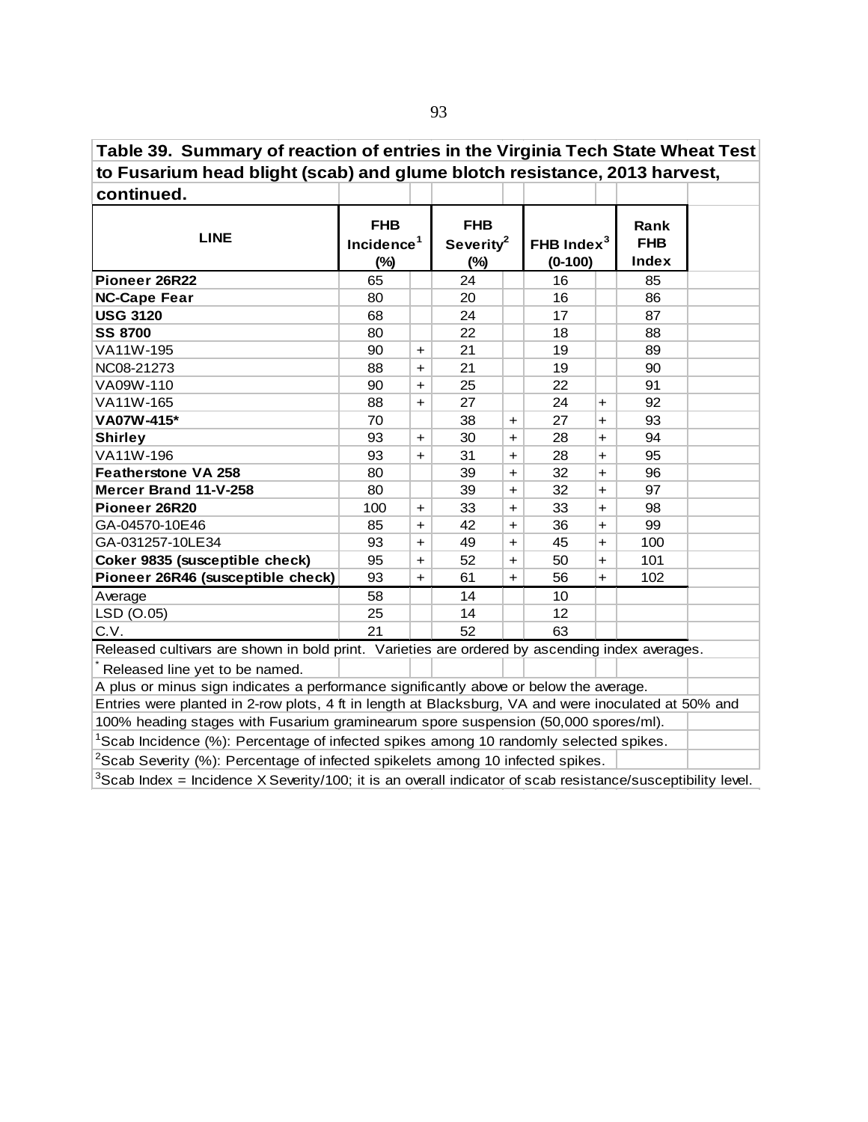**Table 39. Summary of reaction of entries in the Virginia Tech State Wheat Test to Fusarium head blight (scab) and glume blotch resistance, 2013 harvest,**

| continued.                                                                                           |                                                |           |                                               |            |                            |            |                                    |  |
|------------------------------------------------------------------------------------------------------|------------------------------------------------|-----------|-----------------------------------------------|------------|----------------------------|------------|------------------------------------|--|
| <b>LINE</b>                                                                                          | <b>FHB</b><br>Incidence <sup>1</sup><br>$(\%)$ |           | <b>FHB</b><br>Severity <sup>2</sup><br>$(\%)$ |            | FHB Index $3$<br>$(0-100)$ |            | Rank<br><b>FHB</b><br><b>Index</b> |  |
| Pioneer 26R22                                                                                        | 65                                             |           | 24                                            |            | 16                         |            | 85                                 |  |
| <b>NC-Cape Fear</b>                                                                                  | 80                                             |           | 20                                            |            | 16                         |            | 86                                 |  |
| <b>USG 3120</b>                                                                                      | 68                                             |           | 24                                            |            | 17                         |            | 87                                 |  |
| <b>SS 8700</b>                                                                                       | 80                                             |           | 22                                            |            | 18                         |            | 88                                 |  |
| VA11W-195                                                                                            | 90                                             | $\ddot{}$ | 21                                            |            | 19                         |            | 89                                 |  |
| NC08-21273                                                                                           | 88                                             | $+$       | 21                                            |            | 19                         |            | 90                                 |  |
| VA09W-110                                                                                            | 90                                             | $+$       | 25                                            |            | 22                         |            | 91                                 |  |
| VA11W-165                                                                                            | 88                                             | $+$       | 27                                            |            | 24                         | $\ddot{}$  | 92                                 |  |
| VA07W-415*                                                                                           | 70                                             |           | 38                                            | $+$        | 27                         | $+$        | 93                                 |  |
| <b>Shirley</b>                                                                                       | 93                                             | $\ddot{}$ | 30                                            | $\ddot{}$  | 28                         | +          | 94                                 |  |
| VA11W-196                                                                                            | 93                                             | $+$       | 31                                            | $+$        | 28                         | $\ddot{}$  | 95                                 |  |
| <b>Featherstone VA 258</b>                                                                           | 80                                             |           | 39                                            | $\ddot{}$  | 32                         | $\ddot{}$  | 96                                 |  |
| Mercer Brand 11-V-258                                                                                | 80                                             |           | 39                                            | $\ddagger$ | 32                         | $+$        | 97                                 |  |
| Pioneer 26R20                                                                                        | 100                                            | $\ddot{}$ | 33                                            | $+$        | 33                         | $\ddot{}$  | 98                                 |  |
| GA-04570-10E46                                                                                       | 85                                             | $+$       | 42                                            | $+$        | 36                         | $\ddot{}$  | 99                                 |  |
| GA-031257-10LE34                                                                                     | 93                                             | $+$       | 49                                            | $+$        | 45                         | $\ddagger$ | 100                                |  |
| Coker 9835 (susceptible check)                                                                       | 95                                             | $+$       | 52                                            | $\ddot{}$  | 50                         | $\ddot{}$  | 101                                |  |
| Pioneer 26R46 (susceptible check)                                                                    | 93                                             | $+$       | 61                                            | $+$        | 56                         | $+$        | 102                                |  |
| Average                                                                                              | 58                                             |           | 14                                            |            | 10                         |            |                                    |  |
| LSD (O.05)                                                                                           | 25                                             |           | 14                                            |            | 12                         |            |                                    |  |
| C.V.                                                                                                 | 21                                             |           | 52                                            |            | 63                         |            |                                    |  |
| Released cultivars are shown in bold print. Varieties are ordered by ascending index averages.       |                                                |           |                                               |            |                            |            |                                    |  |
| Released line yet to be named.                                                                       |                                                |           |                                               |            |                            |            |                                    |  |
| A plus or minus sign indicates a performance significantly above or below the average.               |                                                |           |                                               |            |                            |            |                                    |  |
| Entries were planted in 2-row plots, 4 ft in length at Blacksburg, VA and were inoculated at 50% and |                                                |           |                                               |            |                            |            |                                    |  |
| 100% heading stages with Fusarium graminearum spore suspension (50,000 spores/ml).                   |                                                |           |                                               |            |                            |            |                                    |  |
| <sup>1</sup> Scab Incidence (%): Percentage of infected spikes among 10 randomly selected spikes.    |                                                |           |                                               |            |                            |            |                                    |  |
| <sup>2</sup> Scab Severity (%): Percentage of infected spikelets among 10 infected spikes.           |                                                |           |                                               |            |                            |            |                                    |  |
|                                                                                                      |                                                |           |                                               |            |                            |            |                                    |  |

 $3$ Scab Index = Incidence X Severity/100; it is an overall indicator of scab resistance/susceptibility level.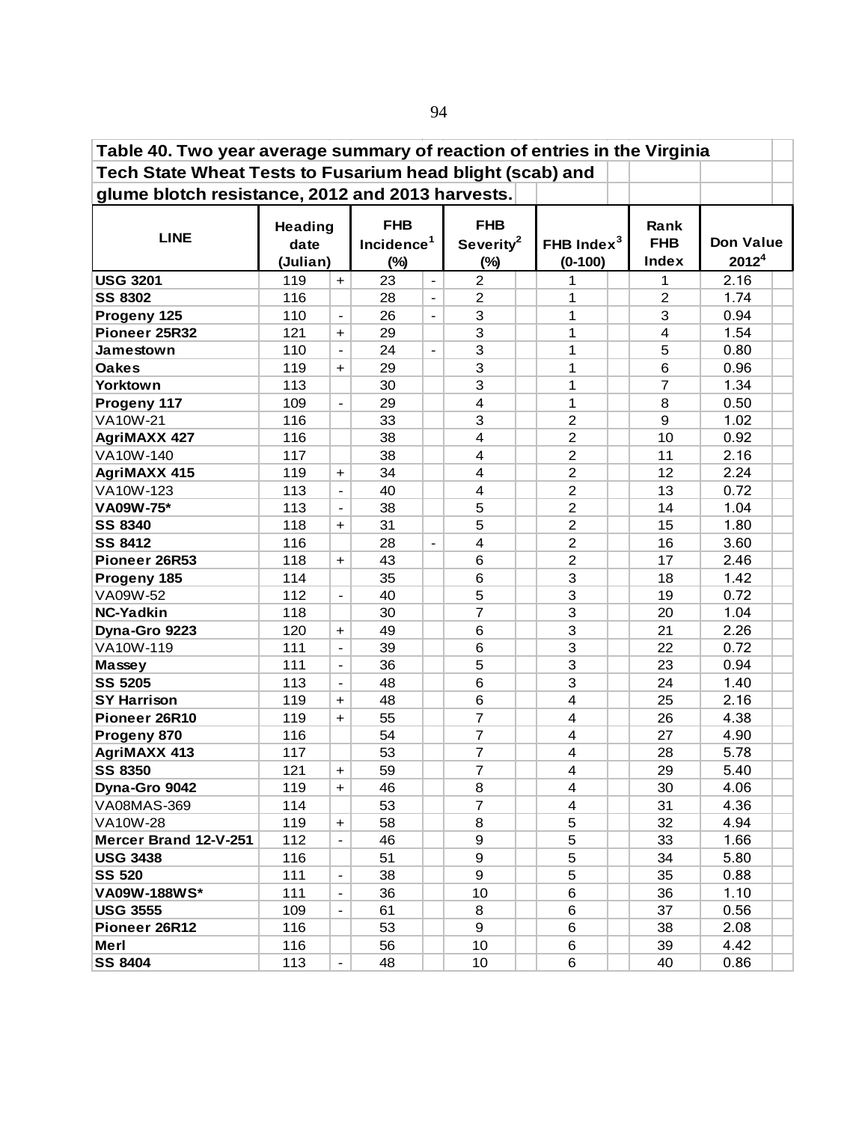| Table 40. Two year average summary of reaction of entries in the Virginia |                                    |                              |                                                |                              |                                               |  |                            |  |                             |                                       |  |  |
|---------------------------------------------------------------------------|------------------------------------|------------------------------|------------------------------------------------|------------------------------|-----------------------------------------------|--|----------------------------|--|-----------------------------|---------------------------------------|--|--|
| Tech State Wheat Tests to Fusarium head blight (scab) and                 |                                    |                              |                                                |                              |                                               |  |                            |  |                             |                                       |  |  |
| glume blotch resistance, 2012 and 2013 harvests.                          |                                    |                              |                                                |                              |                                               |  |                            |  |                             |                                       |  |  |
| <b>LINE</b>                                                               | <b>Heading</b><br>date<br>(Julian) |                              | <b>FHB</b><br>Incidence <sup>1</sup><br>$(\%)$ |                              | <b>FHB</b><br>Severity <sup>2</sup><br>$(\%)$ |  | FHB Index $3$<br>$(0-100)$ |  | Rank<br><b>FHB</b><br>Index | <b>Don Value</b><br>2012 <sup>4</sup> |  |  |
| <b>USG 3201</b>                                                           | 119                                | $+$                          | 23                                             | $\overline{\phantom{a}}$     | $\overline{2}$                                |  | 1                          |  | 1                           | 2.16                                  |  |  |
| <b>SS 8302</b>                                                            | 116                                |                              | 28                                             | $\blacksquare$               | $\overline{c}$                                |  | 1                          |  | $\overline{2}$              | 1.74                                  |  |  |
| Progeny 125                                                               | 110                                | $\overline{\phantom{a}}$     | 26                                             | $\overline{\phantom{a}}$     | 3                                             |  | 1                          |  | 3                           | 0.94                                  |  |  |
| Pioneer 25R32                                                             | 121                                | $\ddot{}$                    | 29                                             |                              | 3                                             |  | 1                          |  | 4                           | 1.54                                  |  |  |
| Jamestown                                                                 | 110                                | $\overline{\phantom{a}}$     | 24                                             | $\qquad \qquad \blacksquare$ | 3                                             |  | 1                          |  | 5                           | 0.80                                  |  |  |
| <b>Oakes</b>                                                              | 119                                | $\ddot{}$                    | 29                                             |                              | 3                                             |  | 1                          |  | 6                           | 0.96                                  |  |  |
| Yorktown                                                                  | 113                                |                              | 30                                             |                              | 3                                             |  | 1                          |  | $\overline{7}$              | 1.34                                  |  |  |
| Progeny 117                                                               | 109                                | $\overline{\phantom{a}}$     | 29                                             |                              | 4                                             |  | 1                          |  | 8                           | 0.50                                  |  |  |
| VA10W-21                                                                  | 116                                |                              | 33                                             |                              | 3                                             |  | $\overline{2}$             |  | 9                           | 1.02                                  |  |  |
| <b>AgriMAXX 427</b>                                                       | 116                                |                              | 38                                             |                              | 4                                             |  | 2                          |  | 10                          | 0.92                                  |  |  |
| VA10W-140                                                                 | 117                                |                              | 38                                             |                              | 4                                             |  | $\overline{2}$             |  | 11                          | 2.16                                  |  |  |
| <b>AgriMAXX 415</b>                                                       | 119                                | $\ddot{}$                    | 34                                             |                              | 4                                             |  | $\overline{2}$             |  | 12                          | 2.24                                  |  |  |
| VA10W-123                                                                 | 113                                | $\frac{1}{2}$                | 40                                             |                              | 4                                             |  | $\overline{c}$             |  | 13                          | 0.72                                  |  |  |
| VA09W-75*                                                                 | 113                                | $\qquad \qquad \blacksquare$ | 38                                             |                              | 5                                             |  | $\overline{c}$             |  | 14                          | 1.04                                  |  |  |
| <b>SS 8340</b>                                                            | 118                                | $\ddot{}$                    | 31                                             |                              | 5                                             |  | $\overline{c}$             |  | 15                          | 1.80                                  |  |  |
| <b>SS 8412</b>                                                            | 116                                |                              | 28                                             | $\qquad \qquad \blacksquare$ | 4                                             |  | $\overline{c}$             |  | 16                          | 3.60                                  |  |  |
| Pioneer 26R53                                                             | 118                                | $\ddot{}$                    | 43                                             |                              | 6                                             |  | $\overline{2}$             |  | 17                          | 2.46                                  |  |  |
| Progeny 185                                                               | 114                                |                              | 35                                             |                              | 6                                             |  | 3                          |  | 18                          | 1.42                                  |  |  |
| VA09W-52                                                                  | 112                                | $\blacksquare$               | 40                                             |                              | 5                                             |  | 3                          |  | 19                          | 0.72                                  |  |  |
| <b>NC-Yadkin</b>                                                          | 118                                |                              | 30                                             |                              | $\overline{7}$                                |  | 3                          |  | 20                          | 1.04                                  |  |  |
| Dyna-Gro 9223                                                             | 120                                | $\ddot{}$                    | 49                                             |                              | 6                                             |  | 3                          |  | 21                          | 2.26                                  |  |  |
| VA10W-119                                                                 | 111                                | $\qquad \qquad \blacksquare$ | 39                                             |                              | 6                                             |  | 3                          |  | 22                          | 0.72                                  |  |  |
| Massey                                                                    | 111                                | $\qquad \qquad \blacksquare$ | 36                                             |                              | 5                                             |  | 3                          |  | 23                          | 0.94                                  |  |  |
| <b>SS 5205</b>                                                            | 113                                | $\qquad \qquad \blacksquare$ | 48                                             |                              | 6                                             |  | 3                          |  | 24                          | 1.40                                  |  |  |
| <b>SY Harrison</b>                                                        | 119                                | $\ddot{}$                    | 48                                             |                              | 6                                             |  | $\overline{\mathbf{4}}$    |  | 25                          | 2.16                                  |  |  |
| Pioneer 26R10                                                             | 119                                | $\ddot{}$                    | 55                                             |                              | $\overline{7}$                                |  | 4                          |  | 26                          | 4.38                                  |  |  |
| Progeny 870                                                               | 116                                |                              | 54                                             |                              | 7                                             |  | $\overline{4}$             |  | 27                          | 4.90                                  |  |  |
| <b>AgriMAXX 413</b>                                                       | 117                                |                              | 53                                             |                              | $\overline{7}$                                |  | $\overline{\mathbf{4}}$    |  | 28                          | 5.78                                  |  |  |
| <b>SS 8350</b>                                                            | 121                                | $+$                          | 59                                             |                              | $\overline{\mathbf{7}}$                       |  | 4                          |  | 29                          | 5.40                                  |  |  |
| Dyna-Gro 9042                                                             | 119                                | $+$                          | 46                                             |                              | 8                                             |  | 4                          |  | 30                          | 4.06                                  |  |  |
| <b>VA08MAS-369</b>                                                        | 114                                |                              | 53                                             |                              | $\overline{7}$                                |  | 4                          |  | 31                          | 4.36                                  |  |  |
| <b>VA10W-28</b>                                                           | 119                                | $\ddot{}$                    | 58                                             |                              | 8                                             |  | 5                          |  | 32                          | 4.94                                  |  |  |
| Mercer Brand 12-V-251                                                     | 112                                |                              | 46                                             |                              | 9                                             |  | 5                          |  | 33                          | 1.66                                  |  |  |
| <b>USG 3438</b>                                                           | 116                                |                              | 51                                             |                              | 9                                             |  | 5                          |  | 34                          | 5.80                                  |  |  |
| <b>SS 520</b>                                                             | 111                                | $\qquad \qquad \blacksquare$ | 38                                             |                              | 9                                             |  | 5                          |  | 35                          | 0.88                                  |  |  |
| VA09W-188WS*                                                              | 111                                | $\qquad \qquad \blacksquare$ | 36                                             |                              | 10                                            |  | 6                          |  | 36                          | 1.10                                  |  |  |
| <b>USG 3555</b>                                                           | 109                                | $\qquad \qquad \blacksquare$ | 61                                             |                              | 8                                             |  | 6                          |  | 37                          | 0.56                                  |  |  |
| Pioneer 26R12                                                             | 116                                |                              | 53                                             |                              | 9                                             |  | 6                          |  | 38                          | 2.08                                  |  |  |
| Merl                                                                      | 116                                |                              | 56                                             |                              | 10                                            |  | 6                          |  | 39                          | 4.42                                  |  |  |
| <b>SS 8404</b>                                                            | 113                                | $\overline{\phantom{a}}$     | 48                                             |                              | 10                                            |  | 6                          |  | 40                          | 0.86                                  |  |  |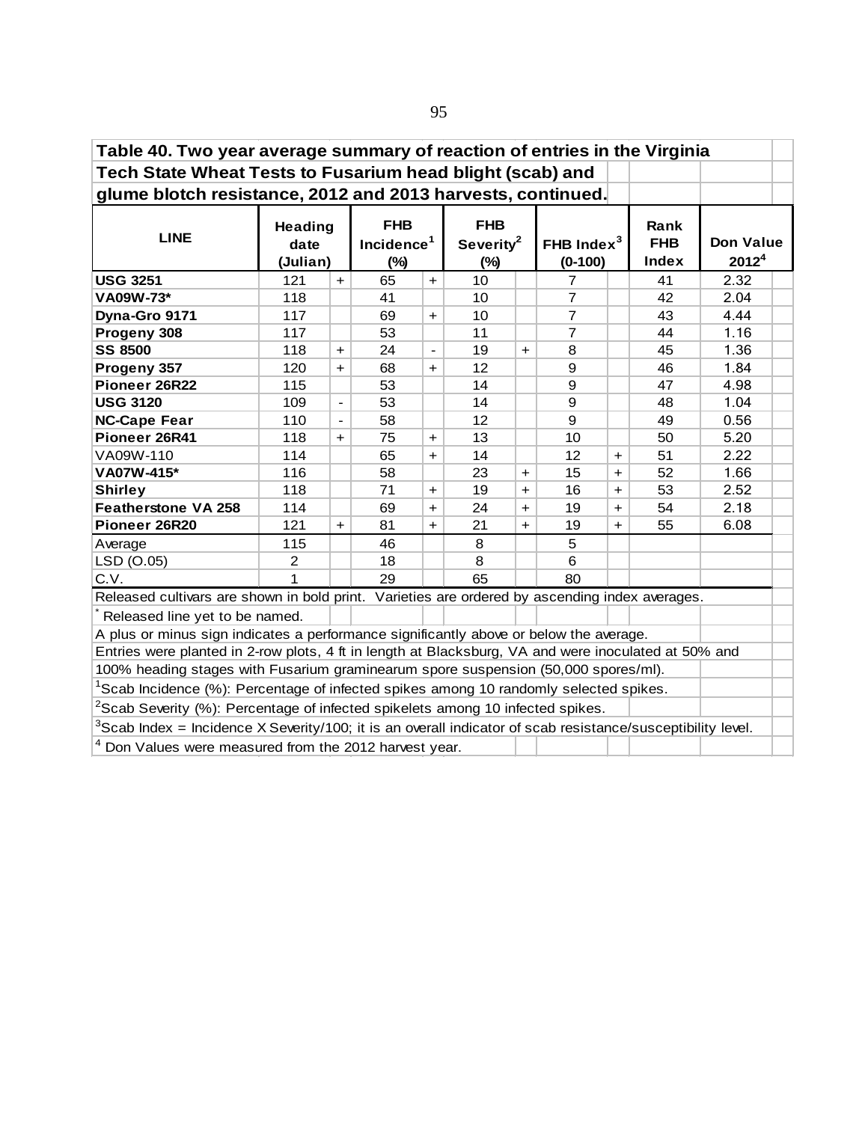| Table 40. Two year average summary of reaction of entries in the Virginia                                      |                                    |                          |                                                |                          |                                               |           |                            |           |                             |                                       |  |  |  |
|----------------------------------------------------------------------------------------------------------------|------------------------------------|--------------------------|------------------------------------------------|--------------------------|-----------------------------------------------|-----------|----------------------------|-----------|-----------------------------|---------------------------------------|--|--|--|
| Tech State Wheat Tests to Fusarium head blight (scab) and                                                      |                                    |                          |                                                |                          |                                               |           |                            |           |                             |                                       |  |  |  |
| glume blotch resistance, 2012 and 2013 harvests, continued.                                                    |                                    |                          |                                                |                          |                                               |           |                            |           |                             |                                       |  |  |  |
| <b>LINE</b>                                                                                                    | <b>Heading</b><br>date<br>(Julian) |                          | <b>FHB</b><br>Incidence <sup>1</sup><br>$(\%)$ |                          | <b>FHB</b><br>Severity <sup>2</sup><br>$(\%)$ |           | FHB Index $3$<br>$(0-100)$ |           | Rank<br><b>FHB</b><br>Index | <b>Don Value</b><br>2012 <sup>4</sup> |  |  |  |
| <b>USG 3251</b>                                                                                                | 121                                | $+$                      | 65                                             | $\ddot{}$                | 10                                            |           | $\overline{7}$             |           | 41                          | 2.32                                  |  |  |  |
| VA09W-73*                                                                                                      | 118                                |                          | 41                                             |                          | 10                                            |           | $\overline{7}$             |           | 42                          | 2.04                                  |  |  |  |
| Dyna-Gro 9171                                                                                                  | 117                                |                          | 69                                             | $\ddot{}$                | 10                                            |           | $\overline{7}$             |           | 43                          | 4.44                                  |  |  |  |
| Progeny 308                                                                                                    | 117                                |                          | 53                                             |                          | 11                                            |           | $\overline{7}$             |           | 44                          | 1.16                                  |  |  |  |
| <b>SS 8500</b>                                                                                                 | 118                                | $+$                      | 24                                             | $\overline{\phantom{a}}$ | 19                                            | $+$       | 8                          |           | 45                          | 1.36                                  |  |  |  |
| Progeny 357                                                                                                    | 120                                | $\ddot{}$                | 68                                             | $\ddot{}$                | 12                                            |           | 9                          |           | 46                          | 1.84                                  |  |  |  |
| 9<br>53<br>14<br>47<br>4.98<br>Pioneer 26R22<br>115                                                            |                                    |                          |                                                |                          |                                               |           |                            |           |                             |                                       |  |  |  |
| <b>USG 3120</b>                                                                                                | 109                                | $\overline{\phantom{a}}$ | 53                                             |                          | 14                                            |           | 9                          |           | 48                          | 1.04                                  |  |  |  |
| <b>NC-Cape Fear</b>                                                                                            | 110                                | $\blacksquare$           | 58                                             |                          | 12                                            |           | 9                          |           | 49                          | 0.56                                  |  |  |  |
| Pioneer 26R41                                                                                                  | 118                                | $\ddot{}$                | 75                                             | $\ddot{}$                | 13                                            |           | 10                         |           | 50                          | 5.20                                  |  |  |  |
| VA09W-110                                                                                                      | 114                                |                          | 65                                             | $\ddot{}$                | 14                                            |           | 12                         | +         | 51                          | 2.22                                  |  |  |  |
| VA07W-415*                                                                                                     | 116                                |                          | 58                                             |                          | 23                                            | $\ddot{}$ | 15                         | $\ddot{}$ | 52                          | 1.66                                  |  |  |  |
| <b>Shirley</b>                                                                                                 | 118                                |                          | 71                                             | $\ddot{}$                | 19                                            | $\ddot{}$ | 16                         | $\ddot{}$ | 53                          | 2.52                                  |  |  |  |
| <b>Featherstone VA 258</b>                                                                                     | 114                                |                          | 69                                             | $+$                      | 24                                            | $+$       | 19                         | $\ddot{}$ | 54                          | 2.18                                  |  |  |  |
| Pioneer 26R20                                                                                                  | 121                                | $\ddot{}$                | 81                                             | $+$                      | 21                                            | $+$       | 19                         | $\ddot{}$ | 55                          | 6.08                                  |  |  |  |
| Average                                                                                                        | 115                                |                          | 46                                             |                          | 8                                             |           | 5                          |           |                             |                                       |  |  |  |
| LSD (O.05)                                                                                                     | $\overline{c}$                     |                          | 18                                             |                          | 8                                             |           | 6                          |           |                             |                                       |  |  |  |
| C.V.                                                                                                           | 1                                  |                          | 29                                             |                          | 65                                            |           | 80                         |           |                             |                                       |  |  |  |
| Released cultivars are shown in bold print. Varieties are ordered by ascending index averages.                 |                                    |                          |                                                |                          |                                               |           |                            |           |                             |                                       |  |  |  |
| Released line yet to be named.                                                                                 |                                    |                          |                                                |                          |                                               |           |                            |           |                             |                                       |  |  |  |
| A plus or minus sign indicates a performance significantly above or below the average.                         |                                    |                          |                                                |                          |                                               |           |                            |           |                             |                                       |  |  |  |
| Entries were planted in 2-row plots, 4 ft in length at Blacksburg, VA and were inoculated at 50% and           |                                    |                          |                                                |                          |                                               |           |                            |           |                             |                                       |  |  |  |
| 100% heading stages with Fusarium graminearum spore suspension (50,000 spores/ml).                             |                                    |                          |                                                |                          |                                               |           |                            |           |                             |                                       |  |  |  |
| <sup>1</sup> Scab Incidence (%): Percentage of infected spikes among 10 randomly selected spikes.              |                                    |                          |                                                |                          |                                               |           |                            |           |                             |                                       |  |  |  |
| <sup>2</sup> Scab Severity (%): Percentage of infected spikelets among 10 infected spikes.                     |                                    |                          |                                                |                          |                                               |           |                            |           |                             |                                       |  |  |  |
| $3$ Scab Index = Incidence X Severity/100; it is an overall indicator of scab resistance/susceptibility level. |                                    |                          |                                                |                          |                                               |           |                            |           |                             |                                       |  |  |  |
| Don Values were measured from the 2012 harvest year.                                                           |                                    |                          |                                                |                          |                                               |           |                            |           |                             |                                       |  |  |  |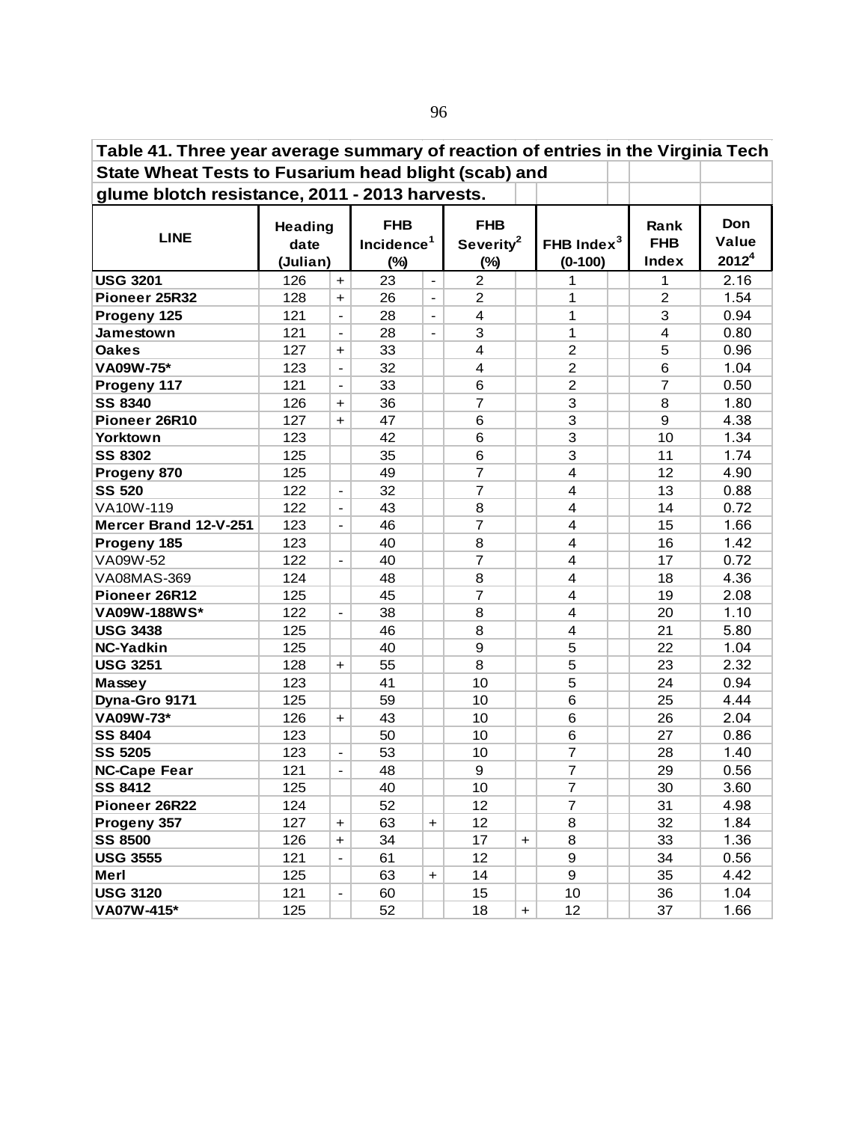| Table 41. Three year average summary of reaction of entries in the Virginia Tech |                                    |                              |                                                |                          |                                               |           |                            |  |                                    |                                   |  |  |
|----------------------------------------------------------------------------------|------------------------------------|------------------------------|------------------------------------------------|--------------------------|-----------------------------------------------|-----------|----------------------------|--|------------------------------------|-----------------------------------|--|--|
| State Wheat Tests to Fusarium head blight (scab) and                             |                                    |                              |                                                |                          |                                               |           |                            |  |                                    |                                   |  |  |
| glume blotch resistance, 2011 - 2013 harvests.                                   |                                    |                              |                                                |                          |                                               |           |                            |  |                                    |                                   |  |  |
| <b>LINE</b>                                                                      | <b>Heading</b><br>date<br>(Julian) |                              | <b>FHB</b><br>Incidence <sup>1</sup><br>$(\%)$ |                          | <b>FHB</b><br>Severity <sup>2</sup><br>$(\%)$ |           | FHB Index $3$<br>$(0-100)$ |  | Rank<br><b>FHB</b><br><b>Index</b> | Don<br>Value<br>2012 <sup>4</sup> |  |  |
| <b>USG 3201</b>                                                                  | 126                                | $\ddot{}$                    | 23                                             | $\overline{\phantom{a}}$ | $\overline{2}$                                |           | 1                          |  | 1                                  | 2.16                              |  |  |
| Pioneer 25R32                                                                    | 128                                | +                            | 26                                             | $\blacksquare$           | $\overline{2}$                                |           | 1                          |  | $\overline{2}$                     | 1.54                              |  |  |
| Progeny 125                                                                      | 121                                | $\overline{\phantom{a}}$     | 28                                             | $\overline{\phantom{a}}$ | 4                                             |           | 1                          |  | 3                                  | 0.94                              |  |  |
| Jamestown                                                                        | 121                                | $\overline{\phantom{a}}$     | 28                                             | $\blacksquare$           | 3                                             |           | 1                          |  | $\overline{4}$                     | 0.80                              |  |  |
| <b>Oakes</b>                                                                     | 127                                | $\ddot{}$                    | 33                                             |                          | $\overline{4}$                                |           | $\overline{c}$             |  | 5                                  | 0.96                              |  |  |
| VA09W-75*                                                                        | 123                                | $\overline{\phantom{a}}$     | 32                                             |                          | $\overline{\mathbf{4}}$                       |           | $\overline{c}$             |  | 6                                  | 1.04                              |  |  |
| Progeny 117                                                                      | 121                                | $\overline{a}$               | 33                                             |                          | 6                                             |           | $\overline{c}$             |  | $\overline{7}$                     | 0.50                              |  |  |
| <b>SS 8340</b>                                                                   | 126                                | $\ddot{}$                    | 36                                             |                          | $\overline{7}$                                |           | 3                          |  | 8                                  | 1.80                              |  |  |
| Pioneer 26R10                                                                    | 127                                | $+$                          | 47                                             |                          | 6                                             |           | 3                          |  | 9                                  | 4.38                              |  |  |
| Yorktown                                                                         | 123                                |                              | 42                                             |                          | 6                                             |           | 3                          |  | 10                                 | 1.34                              |  |  |
| <b>SS 8302</b>                                                                   | 125                                |                              | 35                                             |                          | 6                                             |           | 3                          |  | 11                                 | 1.74                              |  |  |
| Progeny 870                                                                      | 125                                |                              | 49                                             |                          | $\overline{7}$                                |           | $\overline{4}$             |  | 12                                 | 4.90                              |  |  |
| <b>SS 520</b>                                                                    | 122                                | $\frac{1}{2}$                | 32                                             |                          | $\overline{7}$                                |           | 4                          |  | 13                                 | 0.88                              |  |  |
| VA10W-119                                                                        | 122                                | $\overline{\phantom{0}}$     | 43                                             |                          | 8                                             |           | 4                          |  | 14                                 | 0.72                              |  |  |
| Mercer Brand 12-V-251                                                            | 123                                | $\overline{\phantom{0}}$     | 46                                             |                          | $\overline{7}$                                |           | 4                          |  | 15                                 | 1.66                              |  |  |
| Progeny 185                                                                      | 123                                |                              | 40                                             |                          | 8                                             |           | 4                          |  | 16                                 | 1.42                              |  |  |
| VA09W-52                                                                         | 122                                | $\frac{1}{2}$                | 40                                             |                          | $\overline{7}$                                |           | 4                          |  | 17                                 | 0.72                              |  |  |
| VA08MAS-369                                                                      | 124                                |                              | 48                                             |                          | 8                                             |           | 4                          |  | 18                                 | 4.36                              |  |  |
| Pioneer 26R12                                                                    | 125                                |                              | 45                                             |                          | $\overline{7}$                                |           | 4                          |  | 19                                 | 2.08                              |  |  |
| VA09W-188WS*                                                                     | 122                                | $\overline{\phantom{a}}$     | 38                                             |                          | 8                                             |           | 4                          |  | 20                                 | 1.10                              |  |  |
| <b>USG 3438</b>                                                                  | 125                                |                              | 46                                             |                          | 8                                             |           | 4                          |  | 21                                 | 5.80                              |  |  |
| NC-Yadkin                                                                        | 125                                |                              | 40                                             |                          | 9                                             |           | 5                          |  | 22                                 | 1.04                              |  |  |
| <b>USG 3251</b>                                                                  | 128                                | $+$                          | 55                                             |                          | 8                                             |           | 5                          |  | 23                                 | 2.32                              |  |  |
| Massey                                                                           | 123                                |                              | 41                                             |                          | 10                                            |           | 5                          |  | 24                                 | 0.94                              |  |  |
| Dyna-Gro 9171                                                                    | 125                                |                              | 59                                             |                          | 10                                            |           | 6                          |  | 25                                 | 4.44                              |  |  |
| VA09W-73*                                                                        | 126                                | $\div$                       | 43                                             |                          | 10                                            |           | 6                          |  | 26                                 | 2.04                              |  |  |
| <b>SS 8404</b>                                                                   | 123                                |                              | 50                                             |                          | 10                                            |           | 6                          |  | 27                                 | 0.86                              |  |  |
| <b>SS 5205</b>                                                                   | 123                                | $\qquad \qquad \blacksquare$ | 53                                             |                          | 10                                            |           | $\overline{7}$             |  | 28                                 | 1.40                              |  |  |
| <b>NC-Cape Fear</b>                                                              | 121                                | $\overline{\phantom{0}}$     | 48                                             |                          | 9                                             |           | $\overline{7}$             |  | 29                                 | 0.56                              |  |  |
| <b>SS 8412</b>                                                                   | 125                                |                              | 40                                             |                          | 10                                            |           | $\overline{7}$             |  | 30                                 | 3.60                              |  |  |
| Pioneer 26R22                                                                    | 124                                |                              | 52                                             |                          | 12                                            |           | $\overline{7}$             |  | 31                                 | 4.98                              |  |  |
| Progeny 357                                                                      | 127                                | $\pm$                        | 63                                             | $\ddot{}$                | 12                                            |           | 8                          |  | 32                                 | 1.84                              |  |  |
| <b>SS 8500</b>                                                                   | 126                                | $\ddot{}$                    | 34                                             |                          | 17                                            | $\ddot{}$ | 8                          |  | 33                                 | 1.36                              |  |  |
| <b>USG 3555</b>                                                                  | 121                                | $\qquad \qquad \blacksquare$ | 61                                             |                          | 12                                            |           | $\boldsymbol{9}$           |  | 34                                 | 0.56                              |  |  |
| Merl                                                                             | 125                                |                              | 63                                             | $\ddot{}$                | 14                                            |           | 9                          |  | 35                                 | 4.42                              |  |  |
| <b>USG 3120</b>                                                                  | 121                                | $\qquad \qquad \blacksquare$ | 60                                             |                          | 15                                            |           | 10                         |  | 36                                 | 1.04                              |  |  |
| VA07W-415*                                                                       | 125                                |                              | 52                                             |                          | 18                                            | $+$       | 12                         |  | 37                                 | 1.66                              |  |  |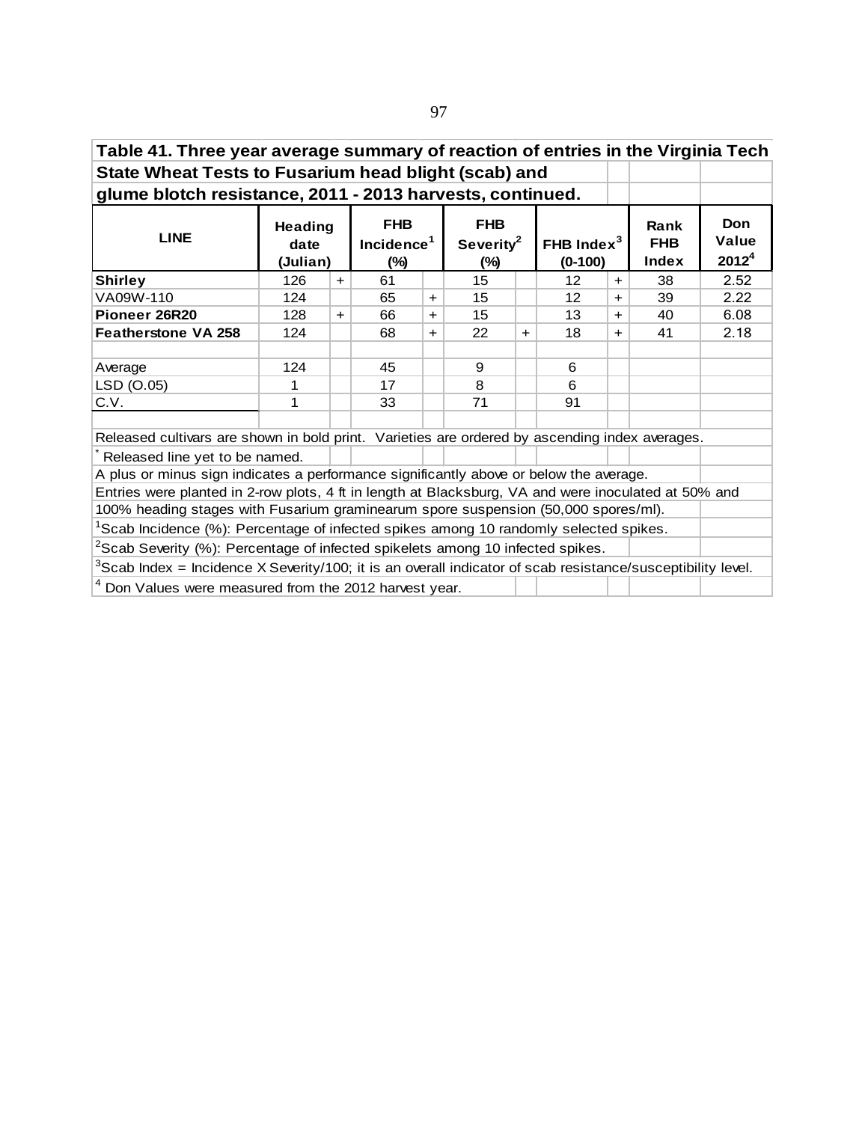| Table 41. Three year average summary of reaction of entries in the Virginia Tech                                    |          |                                                                              |          |                                               |        |     |                                     |       |                                    |                                          |
|---------------------------------------------------------------------------------------------------------------------|----------|------------------------------------------------------------------------------|----------|-----------------------------------------------|--------|-----|-------------------------------------|-------|------------------------------------|------------------------------------------|
| State Wheat Tests to Fusarium head blight (scab) and                                                                |          |                                                                              |          |                                               |        |     |                                     |       |                                    |                                          |
| glume blotch resistance, 2011 - 2013 harvests, continued.                                                           |          |                                                                              |          |                                               |        |     |                                     |       |                                    |                                          |
| <b>LINE</b>                                                                                                         | date     | <b>FHB</b><br><b>Heading</b><br>Incidence <sup>1</sup><br>(Julian)<br>$(\%)$ |          | <b>FHB</b><br>Severity <sup>2</sup><br>$(\%)$ |        |     | FHB Index <sup>3</sup><br>$(0-100)$ |       | <b>Rank</b><br><b>FHB</b><br>Index | <b>Don</b><br>Value<br>2012 <sup>4</sup> |
| <b>Shirley</b>                                                                                                      | 126      | $+$                                                                          | 61       |                                               | 15     |     | 12                                  | $+$   | 38                                 | 2.52                                     |
| VA09W-110                                                                                                           | 124      |                                                                              | 65       | $+$                                           | 15     |     | 12                                  | $\pm$ | 39                                 | 2.22                                     |
| Pioneer 26R20                                                                                                       | 128      | $+$                                                                          | 66       | $+$                                           | 15     |     | 13                                  | $+$   | 40                                 | 6.08                                     |
| <b>Featherstone VA 258</b>                                                                                          | 124      |                                                                              | 68       | $+$                                           | 22     | $+$ | 18                                  | $+$   | 41                                 | 2.18                                     |
| Average<br>LSD (O.05)                                                                                               | 124<br>1 |                                                                              | 45<br>17 |                                               | 9<br>8 |     | 6<br>6                              |       |                                    |                                          |
| C.V.                                                                                                                | 1        |                                                                              | 33       |                                               | 71     |     | 91                                  |       |                                    |                                          |
|                                                                                                                     |          |                                                                              |          |                                               |        |     |                                     |       |                                    |                                          |
| Released cultivars are shown in bold print. Varieties are ordered by ascending index averages.                      |          |                                                                              |          |                                               |        |     |                                     |       |                                    |                                          |
| Released line yet to be named.                                                                                      |          |                                                                              |          |                                               |        |     |                                     |       |                                    |                                          |
| A plus or minus sign indicates a performance significantly above or below the average.                              |          |                                                                              |          |                                               |        |     |                                     |       |                                    |                                          |
| Entries were planted in 2-row plots, 4 ft in length at Blacksburg, VA and were inoculated at 50% and                |          |                                                                              |          |                                               |        |     |                                     |       |                                    |                                          |
| 100% heading stages with Fusarium graminearum spore suspension (50,000 spores/ml).                                  |          |                                                                              |          |                                               |        |     |                                     |       |                                    |                                          |
| <sup>1</sup> Scab Incidence (%): Percentage of infected spikes among 10 randomly selected spikes.                   |          |                                                                              |          |                                               |        |     |                                     |       |                                    |                                          |
| <sup>2</sup> Scab Severity (%): Percentage of infected spikelets among 10 infected spikes.                          |          |                                                                              |          |                                               |        |     |                                     |       |                                    |                                          |
| ${}^{3}$ Scab Index = Incidence X Severity/100; it is an overall indicator of scab resistance/susceptibility level. |          |                                                                              |          |                                               |        |     |                                     |       |                                    |                                          |
| <sup>4</sup> Don Values were measured from the 2012 harvest year.                                                   |          |                                                                              |          |                                               |        |     |                                     |       |                                    |                                          |